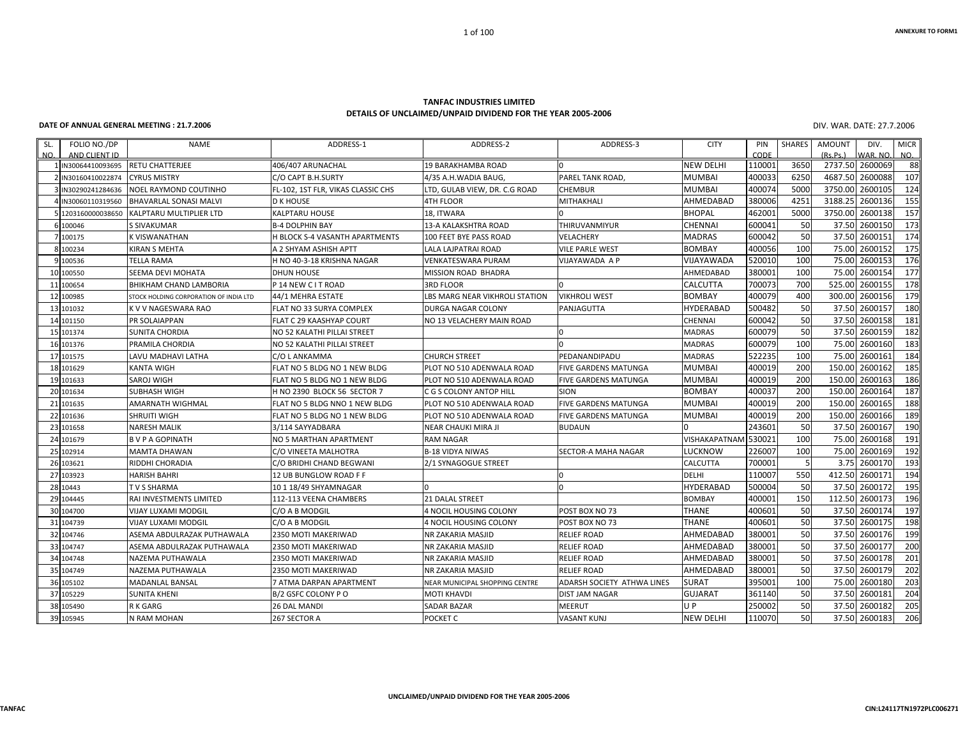## **ANNEXURE TO FORM1**

## **TANFAC INDUSTRIES LIMITED DETAILS OF UNCLAIMED/UNPAID DIVIDEND FOR THE YEAR 2005‐2006**

1 of 100

**DATE OF ANNUAL GENERAL MEETING: 21.7.2006** DIV.

WAR. DATE: 27.7.2006

| SL. | FOLIO NO./DP                         | <b>NAME</b>                            | ADDRESS-1                               | ADDRESS-2                      | ADDRESS-3                   | <b>CITY</b>      | PIN            | SHARES    | AMOUNT                | DIV.                | <b>MICR</b> |
|-----|--------------------------------------|----------------------------------------|-----------------------------------------|--------------------------------|-----------------------------|------------------|----------------|-----------|-----------------------|---------------------|-------------|
| NO. | AND CLIENT ID                        | <b>RETU CHATTERJEE</b>                 |                                         | 19 BARAKHAMBA ROAD             |                             | <b>NEW DELHI</b> | CODE<br>11000: | 3650      | (Rs, Ps, )<br>2737.50 | WAR, NO.<br>2600069 | NO.<br>88   |
|     | IN30064410093695<br>IN30160410022874 | <b>CYRUS MISTRY</b>                    | 406/407 ARUNACHAL<br>C/O CAPT B.H.SURTY | 4/35 A.H.WADIA BAUG,           | PAREL TANK ROAD,            | <b>MUMBAI</b>    | 400033         | 6250      | 4687.50               | 2600088             | 107         |
|     | IN30290241284636                     | NOEL RAYMOND COUTINHO                  | FL-102, 1ST FLR, VIKAS CLASSIC CHS      | LTD, GULAB VIEW, DR. C.G ROAD  | CHEMBUR                     | <b>MUMBAI</b>    | 400074         | 5000      | 3750.00               | 2600105             | 124         |
|     | IN30060110319560                     | BHAVARLAL SONASI MALVI                 | <b>D K HOUSE</b>                        | 4TH FLOOR                      | <b>MITHAKHALI</b>           | AHMEDABAD        | 380006         | 4251      | 3188.25               | 2600136             | 155         |
|     | 5 1203160000038650                   | KALPTARU MULTIPLIER LTD                | <b>KALPTARU HOUSE</b>                   | 18, ITWARA                     |                             | <b>BHOPAL</b>    | 462001         | 5000      | 3750.00               | 2600138             | 157         |
|     |                                      |                                        |                                         |                                |                             |                  | 600041         |           | 37.50                 | 2600150             | 173         |
|     | 6 100046                             | <b>S SIVAKUMAR</b>                     | <b>B-4 DOLPHIN BAY</b>                  | 13-A KALAKSHTRA ROAD           | THIRUVANMIYUR               | CHENNAI          | 600042         | 50        |                       | 2600151             |             |
|     | 7 100175                             | K VISWANATHAN                          | H BLOCK S-4 VASANTH APARTMENTS          | 100 FEET BYE PASS ROAD         | VELACHERY                   | <b>MADRAS</b>    | 400056         | 50<br>100 | 37.50                 | 2600152             | 174<br>175  |
|     | 8 100234                             | KIRAN S MEHTA                          | A 2 SHYAM ASHISH APTT                   | LALA LAJPATRAI ROAD            | <b>VILE PARLE WEST</b>      | <b>BOMBAY</b>    |                | 100       | 75.00                 |                     |             |
|     | 9 100536                             | <b>TELLA RAMA</b>                      | H NO 40-3-18 KRISHNA NAGAR              | VENKATESWARA PURAM             | VIJAYAWADA A P              | VIJAYAWADA       | 520010         |           | 75.00                 | 2600153             | 176         |
|     | 10 100550                            | <b>SEEMA DEVI MOHATA</b>               | <b>DHUN HOUSE</b>                       | MISSION ROAD BHADRA            |                             | AHMEDABAD        | 380001         | 100       | 75.00                 | 2600154             | 177         |
|     | 11 100654                            | BHIKHAM CHAND LAMBORIA                 | P 14 NEW C I T ROAD                     | 3RD FLOOR                      |                             | CALCUTTA         | 700073         | 700       | 525.00                | 2600155             | 178         |
|     | 12 100985                            | STOCK HOLDING CORPORATION OF INDIA LTD | 44/1 MEHRA ESTATE                       | LBS MARG NEAR VIKHROLI STATION | <b>VIKHROLI WEST</b>        | <b>BOMBAY</b>    | 400079         | 400       | 300.00                | 2600156             | 179         |
|     | 13 101032                            | K V V NAGESWARA RAO                    | FLAT NO 33 SURYA COMPLEX                | DURGA NAGAR COLONY             | PANJAGUTTA                  | <b>HYDERABAD</b> | 500482         | 50        | 37.50                 | 2600157             | 180         |
|     | 14 101150                            | <b>PR SOLAIAPPAN</b>                   | FLAT C 29 KAASHYAP COURT                | NO 13 VELACHERY MAIN ROAD      |                             | CHENNAI          | 600042         | 50        | 37.50                 | 2600158             | 181         |
|     | 15 101374                            | SUNITA CHORDIA                         | NO 52 KALATHI PILLAI STREET             |                                |                             | <b>MADRAS</b>    | 600079         | 50        | 37.50                 | 2600159             | 182         |
|     | 16 101376                            | PRAMILA CHORDIA                        | NO 52 KALATHI PILLAI STREET             |                                |                             | <b>MADRAS</b>    | 600079         | 100       | 75.00                 | 2600160             | 183         |
|     | 17 101575                            | LAVU MADHAVI LATHA                     | C/O L ANKAMMA                           | <b>CHURCH STREET</b>           | PEDANANDIPADU               | <b>MADRAS</b>    | 522235         | 100       | 75.00                 | 2600161             | 184         |
|     | 18 101629                            | KANTA WIGH                             | FLAT NO 5 BLDG NO 1 NEW BLDG            | PLOT NO 510 ADENWALA ROAD      | FIVE GARDENS MATUNGA        | <b>MUMBAI</b>    | 400019         | 200       | 150.00                | 2600162             | 185         |
|     | 19 101633                            | SAROJ WIGH                             | FLAT NO 5 BLDG NO 1 NEW BLDG            | PLOT NO 510 ADENWALA ROAD      | <b>FIVE GARDENS MATUNGA</b> | <b>MUMBAI</b>    | 400019         | 200       | 150.00                | 2600163             | 186         |
|     | 20 101634                            | <b>SUBHASH WIGH</b>                    | H NO 2390 BLOCK 56 SECTOR 7             | C G S COLONY ANTOP HILL        | SION                        | <b>BOMBAY</b>    | 400037         | 200       | 150.00                | 2600164             | 187         |
|     | 21 101635                            | AMARNATH WIGHMAL                       | FLAT NO 5 BLDG NNO 1 NEW BLDG           | PLOT NO 510 ADENWALA ROAD      | <b>FIVE GARDENS MATUNGA</b> | <b>MUMBAI</b>    | 400019         | 200       | 150.00                | 2600165             | 188         |
|     | 22 101636                            | SHRUITI WIGH                           | FLAT NO 5 BLDG NO 1 NEW BLDG            | PLOT NO 510 ADENWALA ROAD      | <b>FIVE GARDENS MATUNGA</b> | <b>MUMBAI</b>    | 400019         | 200       | 150.00                | 2600166             | 189         |
|     | 23 101658                            | <b>NARESH MALIK</b>                    | 3/114 SAYYADBARA                        | NEAR CHAUKI MIRA JI            | <b>BUDAUN</b>               |                  | 243601         | 50        | 37.50                 | 2600167             | 190         |
|     | 24 101679                            | <b>BVPAGOPINATH</b>                    | NO 5 MARTHAN APARTMENT                  | <b>RAM NAGAR</b>               |                             | VISHAKAPATNAM    | 530021         | 100       | 75.00                 | 2600168             | 191         |
|     | 25 102914                            | MAMTA DHAWAN                           | C/O VINEETA MALHOTRA                    | B-18 VIDYA NIWAS               | <b>SECTOR-A MAHA NAGAR</b>  | LUCKNOW          | 226007         | 100       | 75.00                 | 2600169             | 192         |
|     | 26 103621                            | RIDDHI CHORADIA                        | C/O BRIDHI CHAND BEGWANI                | 2/1 SYNAGOGUE STREET           |                             | CALCUTTA         | 700001         | 5         | 3.75                  | 2600170             | 193         |
|     | 27 103923                            | <b>HARISH BAHRI</b>                    | 12 UB BUNGLOW ROAD F F                  |                                |                             | <b>DELHI</b>     | 110007         | 550       | 412.50                | 2600171             | 194         |
|     | 28 10443                             | TVS SHARMA                             | 10118/49 SHYAMNAGAR                     |                                | $\Omega$                    | <b>HYDERABAD</b> | 500004         | 50        | 37.50                 | 2600172             | 195         |
|     | 29 104445                            | RAI INVESTMENTS LIMITED                | 112-113 VEENA CHAMBERS                  | <b>21 DALAL STREET</b>         |                             | <b>BOMBAY</b>    | 400001         | 150       | 112.50                | 2600173             | 196         |
|     | 30 104700                            | VIJAY LUXAMI MODGIL                    | C/O A B MODGIL                          | 4 NOCIL HOUSING COLONY         | POST BOX NO 73              | <b>THANE</b>     | 400601         | 50        | 37.50                 | 2600174             | 197         |
|     | 31 104739                            | VIJAY LUXAMI MODGIL                    | C/O A B MODGIL                          | 4 NOCIL HOUSING COLONY         | POST BOX NO 73              | <b>THANE</b>     | 400601         | 50        | 37.50                 | 2600175             | 198         |
|     | 32 104746                            | ASEMA ABDULRAZAK PUTHAWALA             | 2350 MOTI MAKERIWAD                     | NR ZAKARIA MASJID              | <b>RELIEF ROAD</b>          | AHMEDABAD        | 380001         | 50        | 37.50                 | 2600176             | 199         |
|     | 33 104747                            | ASEMA ABDULRAZAK PUTHAWALA             | 2350 MOTI MAKERIWAD                     | NR ZAKARIA MASJID              | <b>RELIEF ROAD</b>          | AHMEDABAD        | 380001         | 50        | 37.50                 | 2600177             | 200         |
|     | 34 104748                            | NAZEMA PUTHAWALA                       | 2350 MOTI MAKERIWAD                     | NR ZAKARIA MASJID              | <b>RELIEF ROAD</b>          | AHMEDABAD        | 380001         | 50        | 37.50                 | 2600178             | 201         |
|     | 35 104749                            | NAZEMA PUTHAWALA                       | 2350 MOTI MAKERIWAD                     | NR ZAKARIA MASJID              | RELIEF ROAD                 | AHMEDABAD        | 380001         | 50        | 37.50                 | 2600179             | 202         |
|     | 36 105102                            | MADANLAL BANSAL                        | 7 ATMA DARPAN APARTMENT                 | NEAR MUNICIPAL SHOPPING CENTRE | ADARSH SOCIETY ATHWA LINES  | <b>SURAT</b>     | 395001         | 100       | 75.00                 | 2600180             | 203         |
|     | 37 105229                            | <b>SUNITA KHENI</b>                    | B/2 GSFC COLONY P O                     | MOTI KHAVDI                    | <b>DIST JAM NAGAR</b>       | <b>GUJARAT</b>   | 361140         | 50        | 37.50                 | 2600181             | 204         |
|     | 38 105490                            | R K GARG                               | 26 DAL MANDI                            | SADAR BAZAR                    | MEERUT                      | U P              | 250002         | 50        | 37.50                 | 2600182             | 205         |
|     | 39 105945                            | N RAM MOHAN                            | 267 SECTOR A                            | POCKET C                       | <b>VASANT KUNJ</b>          | <b>NEW DELHI</b> | 110070         | 50        |                       | 37.50 2600183       | 206         |
|     |                                      |                                        |                                         |                                |                             |                  |                |           |                       |                     |             |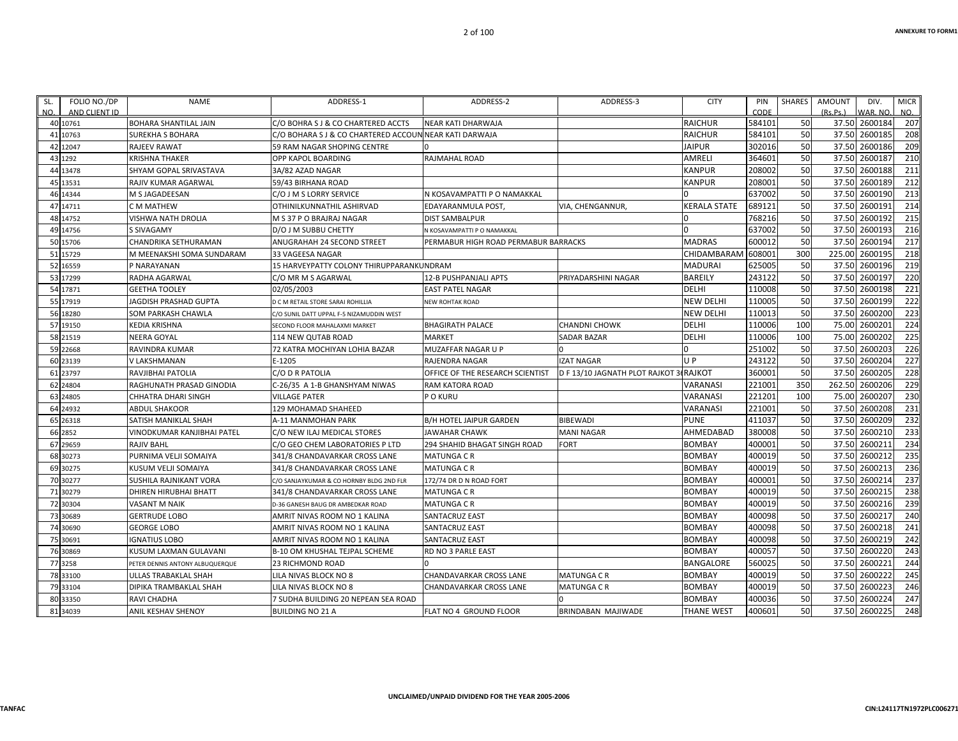| SL. | FOLIO NO./DP  | NAME                            | ADDRESS-1                                | ADDRESS-2                            | ADDRESS-3                       | <b>CITY</b>      | PIN    | <b>SHARES</b> | AMOUNT   | DIV.          | <b>MICR</b> |
|-----|---------------|---------------------------------|------------------------------------------|--------------------------------------|---------------------------------|------------------|--------|---------------|----------|---------------|-------------|
| NO. | AND CLIENT ID |                                 |                                          |                                      |                                 |                  | CODE   |               | (Rs.Ps.) | VAR. NO       | NO.         |
|     | 40 10761      | <b>BOHARA SHANTILAL JAIN</b>    | C/O BOHRA S J & CO CHARTERED ACCTS       | <b>NEAR KATI DHARWAJA</b>            |                                 | <b>RAICHUR</b>   | 584101 | 50            | 37.50    | 2600184       | 207         |
|     | 41 10763      | <b>SUREKHA S BOHARA</b>         | C/O BOHARA S J & CO CHARTERED ACCOUN     | <b>NEAR KATI DARWAJA</b>             |                                 | <b>RAICHUR</b>   | 584101 | 50            | 37.50    | 2600185       | 208         |
|     | 42 12047      | <b>RAJEEV RAWAT</b>             | 59 RAM NAGAR SHOPING CENTRE              |                                      |                                 | <b>JAIPUR</b>    | 302016 | 50            | 37.50    | 2600186       | 209         |
|     | 43 1292       | KRISHNA THAKER                  | OPP KAPOL BOARDING                       | RAJMAHAL ROAD                        |                                 | AMRELI           | 364601 | 50            | 37.50    | 2600187       | 210         |
|     | 44 13478      | SHYAM GOPAL SRIVASTAVA          | 3A/82 AZAD NAGAR                         |                                      |                                 | <b>KANPUR</b>    | 208002 | 50            | 37.50    | 2600188       | 211         |
|     | 45 13531      | RAJIV KUMAR AGARWAL             | 59/43 BIRHANA ROAD                       |                                      |                                 | KANPUR           | 208001 | 50            | 37.50    | 2600189       | 212         |
|     | 46 14344      | M S JAGADEESAN                  | C/O J M S LORRY SERVICE                  | N KOSAVAMPATTI P O NAMAKKAL          |                                 |                  | 637002 | 50            | 37.50    | 2600190       | 213         |
|     | 47 14711      | C M MATHEW                      | OTHINILKUNNATHIL ASHIRVAD                | EDAYARANMULA POST                    | VIA, CHENGANNUR,                | KERALA STATE     | 689121 | 50            | 37.50    | 2600191       | 214         |
|     | 48 14752      | VISHWA NATH DROLIA              | M S 37 P O BRAJRAJ NAGAR                 | <b>DIST SAMBALPUR</b>                |                                 |                  | 768216 | 50            | 37.50    | 2600192       | 215         |
|     | 49 14756      | S SIVAGAMY                      | D/O J M SUBBU CHETTY                     | N KOSAVAMPATTI P O NAMAKKAL          |                                 |                  | 637002 | 50            | 37.50    | 2600193       | 216         |
|     | 50 15706      | CHANDRIKA SETHURAMAN            | ANUGRAHAH 24 SECOND STREET               | PERMABUR HIGH ROAD PERMABUR BARRACKS |                                 | <b>MADRAS</b>    | 600012 | 50            | 37.50    | 2600194       | 217         |
|     | 51 15729      | M MEENAKSHI SOMA SUNDARAM       | 33 VAGEESA NAGAR                         |                                      |                                 | CHIDAMBARAN      | 608001 | 300           | 225.00   | 2600195       | 218         |
|     | 52 16559      | P NARAYANAN                     | 15 HARVEYPATTY COLONY THIRUPPARANKUNDRAM |                                      |                                 | MADURAI          | 625005 | 50            | 37.50    | 2600196       | 219         |
|     | 53 17299      | RADHA AGARWAL                   | C/O MR M S AGARWAL                       | 12-B PUSHPANJALI APTS                | PRIYADARSHINI NAGAR             | <b>BAREILY</b>   | 243122 | 50            | 37.50    | 2600197       | 220         |
|     | 54 17871      | <b>GEETHA TOOLEY</b>            | 02/05/2003                               | <b>EAST PATEL NAGAR</b>              |                                 | <b>DELHI</b>     | 110008 | 50            | 37.50    | 2600198       | 221         |
|     | 55 17919      | <b>JAGDISH PRASHAD GUPTA</b>    | D C M RETAIL STORE SARAI ROHILLIA        | NEW ROHTAK ROAD                      |                                 | <b>NEW DELHI</b> | 110005 | 50            | 37.50    | 2600199       | 222         |
|     | 56 18280      | SOM PARKASH CHAWLA              | C/O SUNIL DATT UPPAL F-5 NIZAMUDDIN WEST |                                      |                                 | NEW DELHI        | 110013 | 50            | 37.50    | 2600200       | 223         |
|     | 57 19150      | KEDIA KRISHNA                   | SECOND FLOOR MAHALAXMI MARKET            | <b>BHAGIRATH PALACE</b>              | CHANDNI CHOWK                   | DELHI            | 110006 | 100           | 75.00    | 2600201       | 224         |
|     | 58 21519      | NEERA GOYAL                     | 114 NEW QUTAB ROAD                       | <b>MARKET</b>                        | SADAR BAZAR                     | DELHI            | 110006 | 100           | 75.00    | 2600202       | 225         |
|     | 59 22668      | RAVINDRA KUMAR                  | 72 KATRA MOCHIYAN LOHIA BAZAR            | MUZAFFAR NAGAR U P                   |                                 |                  | 251002 | 50            | 37.50    | 2600203       | 226         |
|     | 60 23139      | V LAKSHMANAN                    | E-1205                                   | <b>RAJENDRA NAGAR</b>                | <b>IZAT NAGAR</b>               | U P              | 243122 | 50            | 37.50    | 2600204       | 227         |
|     | 61 23797      | RAVJIBHAI PATOLIA               | C/O D R PATOLIA                          | OFFICE OF THE RESEARCH SCIENTIST     | D F 13/10 JAGNATH PLOT RAJKOT 3 | <b>RAJKOT</b>    | 360001 | 50            | 37.50    | 2600205       | 228         |
|     | 62 24804      | RAGHUNATH PRASAD GINODIA        | C-26/35 A 1-B GHANSHYAM NIWAS            | RAM KATORA ROAD                      |                                 | VARANASI         | 221001 | 350           | 262.50   | 2600206       | 229         |
|     | 63 24805      | <b>CHHATRA DHARI SINGH</b>      | <b>VILLAGE PATER</b>                     | P O KURU                             |                                 | VARANASI         | 221201 | 100           | 75.00    | 2600207       | 230         |
|     | 64 24932      | <b>ABDUL SHAKOOR</b>            | 129 MOHAMAD SHAHEED                      |                                      |                                 | VARANASI         | 221001 | 50            | 37.50    | 2600208       | 231         |
|     | 65 26318      | SATISH MANIKLAL SHAH            | A-11 MANMOHAN PARK                       | <b>B/H HOTEL JAIPUR GARDEN</b>       | <b>BIBEWADI</b>                 | PUNE             | 411037 | 50            | 37.50    | 2600209       | 232         |
|     | 66 2852       | VINODKUMAR KANJIBHAI PATEL      | C/O NEW ILAJ MEDICAL STORES              | JAWAHAR CHAWK                        | <b>MANI NAGAR</b>               | AHMEDABAD        | 380008 | 50            | 37.50    | 2600210       | 233         |
|     | 67 29659      | <b>RAJIV BAHL</b>               | C/O GEO CHEM LABORATORIES P LTD          | 294 SHAHID BHAGAT SINGH ROAD         | FORT                            | <b>BOMBAY</b>    | 400001 | 50            | 37.50    | 260021        | 234         |
|     | 68 30273      | PURNIMA VELJI SOMAIYA           | 341/8 CHANDAVARKAR CROSS LANE            | <b>MATUNGA C R</b>                   |                                 | <b>BOMBAY</b>    | 400019 | 50            | 37.50    | 2600212       | 235         |
|     | 69 30275      | KUSUM VELJI SOMAIYA             | 341/8 CHANDAVARKAR CROSS LANE            | <b>MATUNGA C R</b>                   |                                 | <b>BOMBAY</b>    | 400019 | 50            | 37.50    | 2600213       | 236         |
|     | 70 30277      | SUSHILA RAJNIKANT VORA          | C/O SANJAYKUMAR & CO HORNBY BLDG 2ND FLR | 172/74 DR D N ROAD FORT              |                                 | <b>BOMBAY</b>    | 400001 | 50            | 37.50    | 2600214       | 237         |
|     | 71 30279      | <b>DHIREN HIRUBHAI BHATT</b>    | 341/8 CHANDAVARKAR CROSS LANE            | <b>MATUNGA C R</b>                   |                                 | <b>BOMBAY</b>    | 400019 | 50            | 37.50    | 2600215       | 238         |
|     | 72 30304      | VASANT M NAIK                   | D-36 GANESH BAUG DR AMBEDKAR ROAD        | MATUNGA C R                          |                                 | BOMBAY           | 400019 | 50            | 37.50    | 2600216       | 239         |
|     | 73 30689      | <b>GERTRUDE LOBO</b>            | AMRIT NIVAS ROOM NO 1 KALINA             | SANTACRUZ EAST                       |                                 | <b>BOMBAY</b>    | 400098 | 50            | 37.50    | 2600217       | 240         |
|     | 74 30690      | <b>GEORGE LOBO</b>              | AMRIT NIVAS ROOM NO 1 KALINA             | <b>SANTACRUZ EAST</b>                |                                 | <b>BOMBAY</b>    | 400098 | 50            | 37.50    | 2600218       | 241         |
|     | 75 30691      | <b>IGNATIUS LOBO</b>            | AMRIT NIVAS ROOM NO 1 KALINA             | SANTACRUZ EAST                       |                                 | BOMBAY           | 400098 | 50            | 37.50    | 2600219       | 242         |
|     | 76 30869      | KUSUM LAXMAN GULAVANI           | B-10 OM KHUSHAL TEJPAL SCHEME            | RD NO 3 PARLE EAST                   |                                 | <b>BOMBAY</b>    | 400057 | 50            | 37.50    | 2600220       | 243         |
|     | 77 3258       | PETER DENNIS ANTONY ALBUQUERQUE | 23 RICHMOND ROAD                         |                                      |                                 | <b>BANGALORE</b> | 560025 | 50            | 37.50    | 260022        | 244         |
|     | 78 33100      | ULLAS TRABAKLAL SHAH            | LILA NIVAS BLOCK NO 8                    | CHANDAVARKAR CROSS LANE              | <b>MATUNGA C R</b>              | BOMBAY           | 400019 | 50            | 37.50    | 2600222       | 245         |
|     | 79 33104      | DIPIKA TRAMBAKLAL SHAH          | LILA NIVAS BLOCK NO 8                    | CHANDAVARKAR CROSS LANE              | <b>MATUNGA C R</b>              | <b>BOMBAY</b>    | 400019 | 50            | 37.50    | 2600223       | 246         |
|     | 80 33350      | RAVI CHADHA                     | 7 SUDHA BUILDING 20 NEPEAN SEA ROAD      |                                      |                                 | BOMBAY           | 400036 | 50            | 37.50    | 2600224       | 247         |
|     | 81 34039      | ANIL KESHAV SHENOY              | <b>BUILDING NO 21 A</b>                  | FLAT NO 4 GROUND FLOOR               | BRINDABAN MAJIWADE              | THANE WEST       | 400601 | 50            |          | 37.50 2600225 | 248         |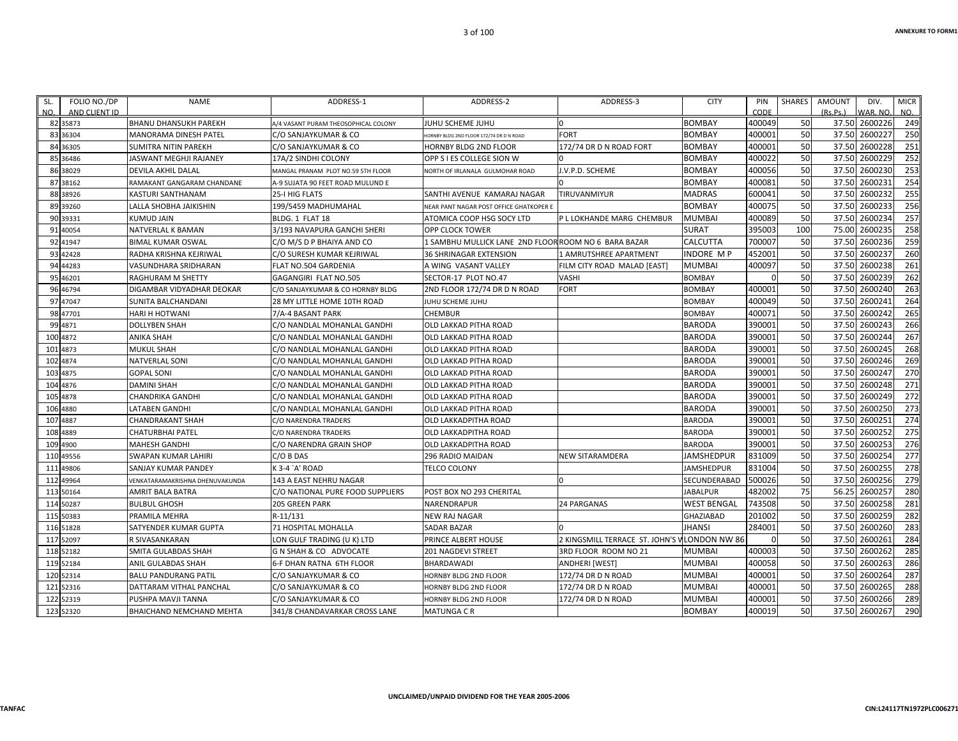| SL.<br>NO. | FOLIO NO./DP<br>AND CLIENT ID | <b>NAME</b>                      | ADDRESS-1                            | ADDRESS-2                                            | ADDRESS-3                        | <b>CITY</b>        | PIN<br>CODE | SHARES | <b>AMOUNT</b><br>(Rs.Ps.) | DIV.<br>WAR. NO. | <b>MICR</b><br>NO. |
|------------|-------------------------------|----------------------------------|--------------------------------------|------------------------------------------------------|----------------------------------|--------------------|-------------|--------|---------------------------|------------------|--------------------|
|            | 82 35873                      | <b>BHANU DHANSUKH PAREKH</b>     | 4/4 VASANT PURAM THEOSOPHICAL COLONY | <b>JUHU SCHEME JUHU</b>                              |                                  | <b>BOMBAY</b>      | 400049      | 50     |                           | 37.50 2600226    | 249                |
|            | 83 36304                      | <b>MANORAMA DINESH PATEL</b>     | C/O SANJAYKUMAR & CO                 | ORNBY BLDG 2ND FLOOR 172/74 DR D N ROAD              | <b>FORT</b>                      | <b>BOMBAY</b>      | 400001      | 50     | 37.50                     | 2600227          | 250                |
|            | 84 36305                      | <b>SUMITRA NITIN PAREKH</b>      | C/O SANJAYKUMAR & CO                 | <b>HORNBY BLDG 2ND FLOOR</b>                         | 172/74 DR D N ROAD FORT          | <b>BOMBAY</b>      | 400001      | 50     | 37.50                     | 2600228          | 251                |
|            | 85 36486                      | JASWANT MEGHJI RAJANEY           | 17A/2 SINDHI COLONY                  | OPP S I ES COLLEGE SION W                            |                                  | BOMBAY             | 400022      | 50     | 37.50                     | 2600229          | 252                |
|            | 86 38029                      | <b>DEVILA AKHIL DALAL</b>        | MANGAL PRANAM PLOT NO.59 5TH FLOOR   | NORTH OF IRLANALA GULMOHAR ROAD                      | J.V.P.D. SCHEME                  | <b>BOMBAY</b>      | 400056      | 50     | 37.50                     | 2600230          | 253                |
|            | 87 38162                      | RAMAKANT GANGARAM CHANDANE       | A-9 SUJATA 90 FEET ROAD MULUND E     |                                                      |                                  | <b>BOMBAY</b>      | 400081      | 50     | 37.50                     | 260023           | 254                |
|            | 88 38926                      | KASTURI SANTHANAM                | 25-I HIG FLATS                       | SANTHI AVENUE KAMARAJ NAGAR                          | TIRUVANMIYUR                     | MADRAS             | 600041      | 50     | 37.50                     | 2600232          | 255                |
|            | 89 39 260                     | LALLA SHOBHA JAIKISHIN           | 199/5459 MADHUMAHAL                  | NEAR PANT NAGAR POST OFFICE GHATKOPER I              |                                  | BOMBAY             | 400075      | 50     | 37.50                     | 2600233          | 256                |
|            | 90 39331                      | <b>KUMUD JAIN</b>                | BLDG. 1 FLAT 18                      | ATOMICA COOP HSG SOCY LTD                            | P L LOKHANDE MARG CHEMBUR        | <b>MUMBAI</b>      | 400089      | 50     | 37.50                     | 2600234          | 257                |
|            | 91 40054                      | <b>NATVERLAL K BAMAN</b>         | 3/193 NAVAPURA GANCHI SHERI          | <b>OPP CLOCK TOWER</b>                               |                                  | <b>SURAT</b>       | 395003      | 100    | 75.00                     | 2600235          | 258                |
|            | 92 41947                      | <b>BIMAL KUMAR OSWAL</b>         | C/O M/S D P BHAIYA AND CO            | 1 SAMBHU MULLICK LANE 2ND FLOOR ROOM NO 6 BARA BAZAR |                                  | CALCUTTA           | 700007      | 50     | 37.50                     | 2600236          | 259                |
|            | 93 42428                      | RADHA KRISHNA KEJRIWAL           | C/O SURESH KUMAR KEJRIWAL            | <b>36 SHRINAGAR EXTENSION</b>                        | 1 AMRUTSHREE APARTMENT           | INDORE M P         | 452001      | 50     | 37.50                     | 2600237          | 260                |
|            | 94 44283                      | VASUNDHARA SRIDHARAN             | FLAT NO.504 GARDENIA                 | A WING VASANT VALLEY                                 | FILM CITY ROAD MALAD [EAST]      | MUMBAI             | 400097      | 50     | 37.50                     | 2600238          | 261                |
|            | 95 46201                      | <b>RAGHURAM M SHETTY</b>         | GAGANGIRI FLAT NO.505                | SECTOR-17 PLOT NO.47                                 | VASHI                            | <b>BOMBAY</b>      | $\Omega$    | 50     | 37.50                     | 2600239          | 262                |
|            | 96 46794                      | <b>DIGAMBAR VIDYADHAR DEOKAR</b> | C/O SANJAYKUMAR & CO HORNBY BLDG     | 2ND FLOOR 172/74 DR D N ROAD                         | <b>FORT</b>                      | <b>BOMBAY</b>      | 400001      | 50     | 37.50                     | 2600240          | 263                |
|            | 97 47047                      | <b>SUNITA BALCHANDANI</b>        | 28 MY LITTLE HOME 10TH ROAD          | JUHU SCHEME JUHU                                     |                                  | <b>BOMBAY</b>      | 400049      | 50     | 37.50                     | 2600243          | 264                |
|            | 98 47701                      | <b>HARI H HOTWANI</b>            | 7/A-4 BASANT PARK                    | <b>CHEMBUR</b>                                       |                                  | <b>BOMBAY</b>      | 400071      | 50     | 37.50                     | 2600242          | 265                |
|            | 99 4871                       | <b>DOLLYBEN SHAH</b>             | C/O NANDLAL MOHANLAL GANDHI          | OLD LAKKAD PITHA ROAD                                |                                  | BARODA             | 390001      | 50     | 37.50                     | 2600243          | 266                |
| 100 4872   |                               | <b>ANIKA SHAH</b>                | C/O NANDLAL MOHANLAL GANDHI          | OLD LAKKAD PITHA ROAD                                |                                  | <b>BARODA</b>      | 390001      | 50     | 37.50                     | 2600244          | 267                |
| 101 4873   |                               | <b>MUKUL SHAH</b>                | C/O NANDLAL MOHANLAL GANDHI          | OLD LAKKAD PITHA ROAD                                |                                  | <b>BARODA</b>      | 390001      | 50     | 37.50                     | 2600245          | 268                |
| 102 4874   |                               | <b>NATVERLAL SONI</b>            | C/O NANDLAL MOHANLAL GANDHI          | OLD LAKKAD PITHA ROAD                                |                                  | <b>BARODA</b>      | 390001      | 50     | 37.50                     | 2600246          | 269                |
| 103 4875   |                               | <b>GOPAL SONI</b>                | C/O NANDLAL MOHANLAL GANDHI          | OLD LAKKAD PITHA ROAD                                |                                  | <b>BARODA</b>      | 390001      | 50     | 37.50                     | 2600247          | 270                |
| 104 4876   |                               | <b>DAMINI SHAH</b>               | C/O NANDLAL MOHANLAL GANDHI          | OLD LAKKAD PITHA ROAD                                |                                  | <b>BARODA</b>      | 390001      | 50     | 37.50                     | 2600248          | 271                |
| 105 4878   |                               | <b>CHANDRIKA GANDHI</b>          | C/O NANDLAL MOHANLAL GANDHI          | OLD LAKKAD PITHA ROAD                                |                                  | BARODA             | 390001      | 50     | 37.50                     | 2600249          | 272                |
| 106 4880   |                               | <b>LATABEN GANDHI</b>            | C/O NANDLAL MOHANLAL GANDHI          | OLD LAKKAD PITHA ROAD                                |                                  | <b>BARODA</b>      | 390001      | 50     | 37.50                     | 2600250          | 273                |
| 107 4887   |                               | <b>CHANDRAKANT SHAH</b>          | C/O NARENDRA TRADERS                 | OLD LAKKADPITHA ROAD                                 |                                  | <b>BARODA</b>      | 390001      | 50     | 37.50                     | 260025           | 274                |
| 108 4889   |                               | <b>CHATURBHAI PATEL</b>          | C/O NARENDRA TRADERS                 | OLD LAKKADPITHA ROAD                                 |                                  | BARODA             | 390001      | 50     | 37.50                     | 2600252          | 275                |
| 109 4900   |                               | <b>MAHESH GANDHI</b>             | C/O NARENDRA GRAIN SHOP              | OLD LAKKADPITHA ROAD                                 |                                  | <b>BARODA</b>      | 390001      | 50     | 37.50                     | 2600253          | 276                |
|            | 110 49556                     | SWAPAN KUMAR LAHIRI              | C/O B DAS                            | 296 RADIO MAIDAN                                     | <b>NEW SITARAMDERA</b>           | JAMSHEDPUR         | 831009      | 50     | 37.50                     | 2600254          | 277                |
|            | 111 49806                     | SANJAY KUMAR PANDEY              | K 3-4 `A' ROAD                       | <b>TELCO COLONY</b>                                  |                                  | JAMSHEDPUR         | 831004      | 50     | 37.50                     | 2600255          | 278                |
|            | 112 49964                     | VENKATARAMAKRISHNA DHENUVAKUNDA  | 143 A EAST NEHRU NAGAR               |                                                      |                                  | SECUNDERABAD       | 500026      | 50     | 37.50                     | 2600256          | 279                |
|            | 113 50164                     | <b>AMRIT BALA BATRA</b>          | C/O NATIONAL PURE FOOD SUPPLIERS     | POST BOX NO 293 CHERITAL                             |                                  | <b>JABALPUR</b>    | 482002      | 75     | 56.25                     | 2600257          | 280                |
|            | 114 50287                     | <b>BULBUL GHOSH</b>              | 205 GREEN PARK                       | NARENDRAPUR                                          | 24 PARGANAS                      | <b>WEST BENGAL</b> | 743508      | 50     | 37.50                     | 2600258          | 281                |
|            | 115 50383                     | PRAMILA MEHRA                    | R-11/131                             | <b>NEW RAJ NAGAR</b>                                 |                                  | GHAZIABAD          | 201002      | 50     | 37.50                     | 2600259          | 282                |
|            | 116 51828                     | SATYENDER KUMAR GUPTA            | 71 HOSPITAL MOHALLA                  | <b>SADAR BAZAR</b>                                   |                                  | <b>JHANSI</b>      | 284001      | 50     | 37.50                     | 2600260          | 283                |
|            | 117 52097                     | R SIVASANKARAN                   | LON GULF TRADING (U K) LTD           | PRINCE ALBERT HOUSE                                  | 2 KINGSMILL TERRACE ST. JOHN'S \ | LONDON NW 86       |             | 50     | 37.50                     | 260026           | 284                |
|            | 118 52182                     | SMITA GULABDAS SHAH              | G N SHAH & CO ADVOCATE               | <b>201 NAGDEVI STREET</b>                            | 3RD FLOOR ROOM NO 21             | MUMBAI             | 400003      | 50     | 37.50                     | 2600262          | 285                |
|            | 119 52184                     | <b>ANIL GULABDAS SHAH</b>        | 6-F DHAN RATNA 6TH FLOOR             | <b>BHARDAWADI</b>                                    | ANDHERI [WEST]                   | MUMBAI             | 400058      | 50     | 37.50                     | 2600263          | 286                |
|            | 120 52314                     | <b>BALU PANDURANG PATIL</b>      | C/O SANJAYKUMAR & CO                 | HORNBY BLDG 2ND FLOOR                                | 172/74 DR D N ROAD               | MUMBAI             | 400001      | 50     | 37.50                     | 2600264          | 287                |
|            | 121 52316                     | DATTARAM VITHAL PANCHAL          | C/O SANJAYKUMAR & CO                 | HORNBY BLDG 2ND FLOOR                                | 172/74 DR D N ROAD               | MUMBAI             | 400001      | 50     | 37.50                     | 2600265          | 288                |
|            | 122 52319                     | PUSHPA MAVJI TANNA               | C/O SANJAYKUMAR & CO                 | HORNBY BLDG 2ND FLOOR                                | 172/74 DR D N ROAD               | MUMBAI             | 400001      | 50     | 37.50                     | 2600266          | 289                |
|            | 123 52320                     | <b>BHAICHAND NEMCHAND MEHTA</b>  | 341/8 CHANDAVARKAR CROSS LANE        | <b>MATUNGA C R</b>                                   |                                  | <b>BOMBAY</b>      | 400019      | 50     |                           | 37.50 2600267    | 290                |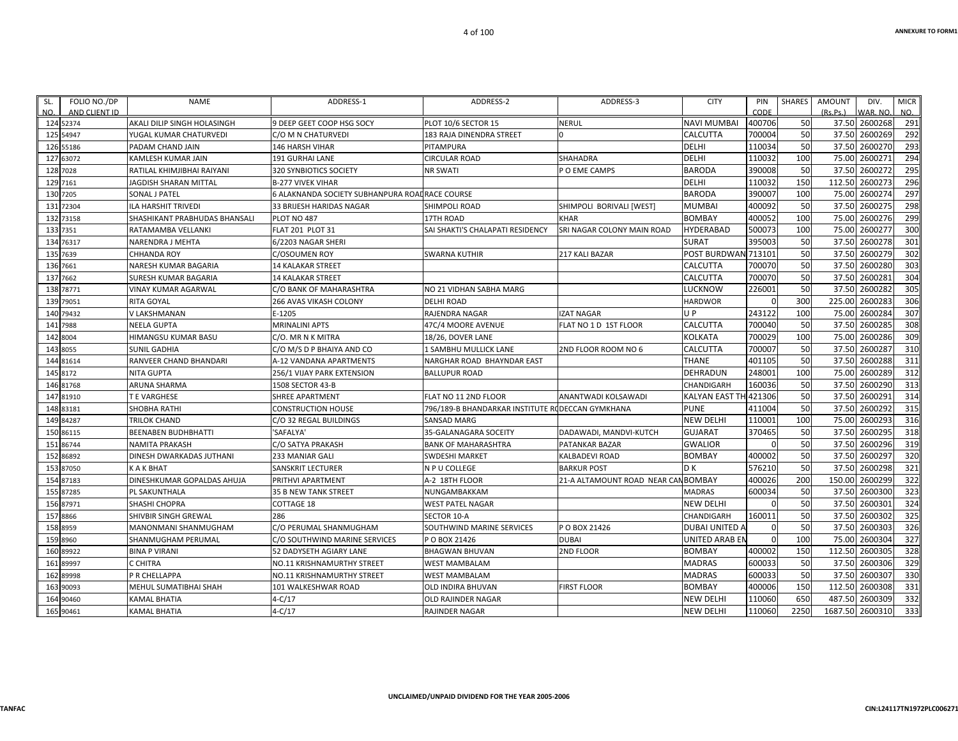| SL. | FOLIO NO./DP           | <b>NAME</b>                                          | ADDRESS-1                                          | ADDRESS-2                                        | ADDRESS-3                        | <b>CITY</b>                           | PIN              | <b>SHARES</b> | <b>AMOUNT</b>  | DIV.               | <b>MICR</b>      |
|-----|------------------------|------------------------------------------------------|----------------------------------------------------|--------------------------------------------------|----------------------------------|---------------------------------------|------------------|---------------|----------------|--------------------|------------------|
| NO. | AND CLIENT ID          |                                                      |                                                    |                                                  |                                  |                                       | CODE             |               | (Rs, Ps.)      | WAR, NO            | NO.              |
|     | 124 52374              | AKALI DILIP SINGH HOLASINGH                          | 9 DEEP GEET COOP HSG SOCY                          | PLOT 10/6 SECTOR 15                              | <b>NERUL</b>                     | <b>NAVI MUMBAI</b><br><b>CALCUTTA</b> | 400706<br>700004 | 50<br>50      | 37.50<br>37.50 | 2600268<br>2600269 | 291<br>292       |
|     | 125 54947              | YUGAL KUMAR CHATURVEDI                               | C/O M N CHATURVEDI                                 | 183 RAJA DINENDRA STREET                         |                                  | DELHI                                 | 110034           | 50            | 37.50          | 2600270            | 293              |
|     | 126 55186<br>127 63072 | PADAM CHAND JAIN                                     | <b>146 HARSH VIHAR</b>                             | PITAMPURA                                        |                                  | DELHI                                 | 110032           | 100           | 75.00          | 2600271            | 294              |
|     | 128 7028               | KAMLESH KUMAR JAIN<br>RATILAL KHIMJIBHAI RAIYANI     | <b>191 GURHAI LANE</b>                             | <b>CIRCULAR ROAD</b><br>NR SWATI                 | <b>SHAHADRA</b><br>O EME CAMPS   | <b>BARODA</b>                         | 390008           | 50            | 37.50          | 2600272            | 295              |
|     | 129 7161               | JAGDISH SHARAN MITTAL                                | 320 SYNBIOTICS SOCIETY<br><b>B-277 VIVEK VIHAR</b> |                                                  |                                  | DELHI                                 | 110032           | 150           | 112.50         | 2600273            | 296              |
|     | 130 7205               |                                                      |                                                    |                                                  |                                  |                                       | 390007           | 100           | 75.00          | 2600274            | 297              |
|     |                        | <b>SONAL J PATEL</b>                                 | 6 ALAKNANDA SOCIETY SUBHANPURA ROAI RACE COURSE    |                                                  |                                  | <b>BARODA</b>                         | 400092           | 50            | 37.50          | 2600275            | 298              |
|     | 131 72304<br>132 73158 | ILA HARSHIT TRIVEDI<br>SHASHIKANT PRABHUDAS BHANSALI | 33 BRIJESH HARIDAS NAGAR<br>PLOT NO 487            | SHIMPOLI ROAD<br>17TH ROAD                       | SHIMPOLI BORIVALI [WEST]<br>KHAR | MUMBAI<br><b>BOMBAY</b>               | 400052           | 100           | 75.00          | 2600276            | 299              |
|     |                        |                                                      |                                                    |                                                  |                                  |                                       |                  |               |                |                    | 300              |
|     | 133 7351               | RATAMAMBA VELLANKI                                   | <b>FLAT 201 PLOT 31</b>                            | SAI SHAKTI'S CHALAPATI RESIDENCY                 | SRI NAGAR COLONY MAIN ROAD       | <b>HYDERABAD</b>                      | 500073           | 100           | 75.00          | 2600277            |                  |
|     | 134 76317              | NARENDRA J MEHTA                                     | 6/2203 NAGAR SHERI                                 |                                                  |                                  | SURAT                                 | 395003           | 50            | 37.50          | 2600278            | 301<br>302       |
|     | 135 7639               | <b>CHHANDA ROY</b>                                   | C/OSOUMEN ROY                                      | <b>SWARNA KUTHIR</b>                             | 217 KALI BAZAR                   | POST BURDWAN 713101                   |                  | 50            | 37.50          | 2600279            | 303              |
|     | 136 7661               | NARESH KUMAR BAGARIA                                 | <b>14 KALAKAR STREET</b>                           |                                                  |                                  | <b>CALCUTTA</b>                       | 700070           | 50            | 37.50          | 2600280            |                  |
|     | 137 7662               | SURESH KUMAR BAGARIA                                 | <b>14 KALAKAR STREET</b>                           |                                                  |                                  | CALCUTTA                              | 700070           | 50            | 37.50          | 2600281            | 304              |
|     | 138 78771              | VINAY KUMAR AGARWAL                                  | C/O BANK OF MAHARASHTRA                            | NO 21 VIDHAN SABHA MARG                          |                                  | LUCKNOW                               | 226001           | 50            | 37.50          | 2600282            | 305              |
|     | 139 79051              | <b>RITA GOYAL</b>                                    | 266 AVAS VIKASH COLONY                             | <b>DELHI ROAD</b>                                |                                  | <b>HARDWOR</b>                        | $\Omega$         | 300           | 225.00         | 2600283            | 306              |
|     | 140 79432              | V LAKSHMANAN                                         | E-1205                                             | <b>RAJENDRA NAGAR</b>                            | <b>IZAT NAGAR</b>                | U P                                   | 243122           | 100           | 75.00          | 2600284            | 307              |
|     | 141 7988               | <b>NEELA GUPTA</b>                                   | <b>MRINALINI APTS</b>                              | 47C/4 MOORE AVENUE                               | FLAT NO 1 D 1ST FLOOR            | CALCUTTA                              | 700040           | 50            | 37.50          | 2600285            | 308              |
|     | 142 8004               | HIMANGSU KUMAR BASU                                  | C/O. MR N K MITRA                                  | 18/26, DOVER LANE                                |                                  | KOLKATA                               | 700029           | 100           | 75.00          | 2600286            | 309              |
|     | 143 8055               | SUNIL GADHIA                                         | C/O M/S D P BHAIYA AND CO                          | 1 SAMBHU MULLICK LANE                            | 2ND FLOOR ROOM NO 6              | CALCUTTA                              | 700007           | 50            | 37.50          | 2600287            | 310              |
|     | 144 81614              | RANVEER CHAND BHANDARI                               | A-12 VANDANA APARTMENTS                            | NARGHAR ROAD BHAYNDAR EAST                       |                                  | <b>THANE</b>                          | 401105           | 50            | 37.50          | 2600288            | $\overline{311}$ |
|     | 145 8172               | NITA GUPTA                                           | 256/1 VIJAY PARK EXTENSION                         | <b>BALLUPUR ROAD</b>                             |                                  | <b>DEHRADUN</b>                       | 248001           | 100           | 75.00          | 2600289            | $\overline{312}$ |
|     | 146 81768              | ARUNA SHARMA                                         | 1508 SECTOR 43-B                                   |                                                  |                                  | CHANDIGARH                            | 160036           | 50            | 37.50          | 2600290            | 313              |
|     | 147 81910              | T E VARGHESE                                         | <b>SHREE APARTMENT</b>                             | FLAT NO 11 2ND FLOOR                             | ANANTWADI KOLSAWADI              | KALYAN EAST TH 421306                 |                  | 50            | 37.50          | 2600291            | 314              |
|     | 148 83181              | <b>SHOBHA RATHI</b>                                  | <b>CONSTRUCTION HOUSE</b>                          | 796/189-B BHANDARKAR INSTITUTE RODECCAN GYMKHANA |                                  | <b>PUNE</b>                           | 411004           | 50            | 37.50          | 2600292            | 315              |
|     | 149 84287              | <b>TRILOK CHAND</b>                                  | C/O 32 REGAL BUILDINGS                             | SANSAD MARG                                      |                                  | <b>NEW DELHI</b>                      | 110001           | 100           | 75.00          | 2600293            | 316              |
|     | 150 86115              | <b>BEENABEN BUDHBHATTI</b>                           | 'SAFALYA'                                          | 35-GALANAGARA SOCEITY                            | DADAWADI, MANDVI-KUTCH           | <b>GUJARAT</b>                        | 370465           | 50            | 37.50          | 2600295            | 318              |
|     | 151 86744              | NAMITA PRAKASH                                       | C/O SATYA PRAKASH                                  | <b>BANK OF MAHARASHTRA</b>                       | PATANKAR BAZAR                   | <b>GWALIOR</b>                        | $\Omega$         | 50            | 37.50          | 2600296            | 319              |
|     | 152 86892              | DINESH DWARKADAS JUTHANI                             | 233 MANIAR GALI                                    | <b>SWDESHI MARKET</b>                            | KALBADEVI ROAD                   | <b>BOMBAY</b>                         | 400002           | 50            | 37.50          | 2600297            | 320              |
|     | 153 87050              | K A K BHAT                                           | <b>SANSKRIT LECTURER</b>                           | N P U COLLEGE                                    | <b>BARKUR POST</b>               | D K                                   | 576210           | 50            | 37.50          | 2600298            | $\overline{321}$ |
|     | 154 87183              | DINESHKUMAR GOPALDAS AHUJA                           | PRITHVI APARTMENT                                  | A-2 18TH FLOOR                                   | 21-A ALTAMOUNT ROAD NEAR CAI     | <b>BOMBAY</b>                         | 400026           | 200           | 150.00         | 2600299            | 322              |
|     | 155 87285              | PL SAKUNTHALA                                        | <b>35 B NEW TANK STREET</b>                        | NUNGAMBAKKAM                                     |                                  | <b>MADRAS</b>                         | 600034           | 50            | 37.50          | 2600300            | 323              |
|     | 156 87971              | SHASHI CHOPRA                                        | COTTAGE 18                                         | WEST PATEL NAGAR                                 |                                  | NEW DELHI                             |                  | 50            | 37.50          | 2600301            | 324              |
|     | 157 8866               | SHIVBIR SINGH GREWAL                                 | 286                                                | SECTOR 10-A                                      |                                  | CHANDIGARH                            | 160011           | 50            | 37.50          | 2600302            | 325              |
|     | 158 8959               | MANONMANI SHANMUGHAM                                 | C/O PERUMAL SHANMUGHAM                             | SOUTHWIND MARINE SERVICES                        | POBOX 21426                      | <b>DUBAI UNITED A</b>                 | $\Omega$         | 50            | 37.50          | 2600303            | 326              |
|     | 159 8960               | SHANMUGHAM PERUMAL                                   | C/O SOUTHWIND MARINE SERVICES                      | P O BOX 21426                                    | <b>DUBAI</b>                     | <b>UNITED ARAB EN</b>                 | 0                | 100           | 75.00          | 2600304            | 327              |
|     | 160 89922              | <b>BINA P VIRANI</b>                                 | 52 DADYSETH AGIARY LANE                            | <b>BHAGWAN BHUVAN</b>                            | 2ND FLOOR                        | <b>BOMBAY</b>                         | 400002           | 150           | 112.50         | 2600305            | 328              |
|     | 161 89997              | C CHITRA                                             | NO.11 KRISHNAMURTHY STREET                         | <b>WEST MAMBALAM</b>                             |                                  | <b>MADRAS</b>                         | 600033           | 50            | 37.50          | 2600306            | 329              |
|     | 162 89998              | P R CHELLAPPA                                        | NO.11 KRISHNAMURTHY STREET                         | <b>WEST MAMBALAM</b>                             |                                  | <b>MADRAS</b>                         | 600033           | 50            | 37.50          | 2600307            | 330              |
|     | 163 90093              | MEHUL SUMATIBHAI SHAH                                | 101 WALKESHWAR ROAD                                | OLD INDIRA BHUVAN                                | <b>FIRST FLOOR</b>               | <b>BOMBAY</b>                         | 400006           | 150           | 112.50         | 2600308            | 331              |
|     | 164 90460              | KAMAL BHATIA                                         | $4 - C / 17$                                       | OLD RAJINDER NAGAR                               |                                  | NEW DELHI                             | 110060           | 650           | 487.50         | 2600309            | 332              |
|     | 165 90461              | KAMAL BHATIA                                         | $4-C/17$                                           | <b>RAJINDER NAGAR</b>                            |                                  | <b>NEW DELHI</b>                      | 110060           | 2250          |                | 1687.50 2600310    | 333              |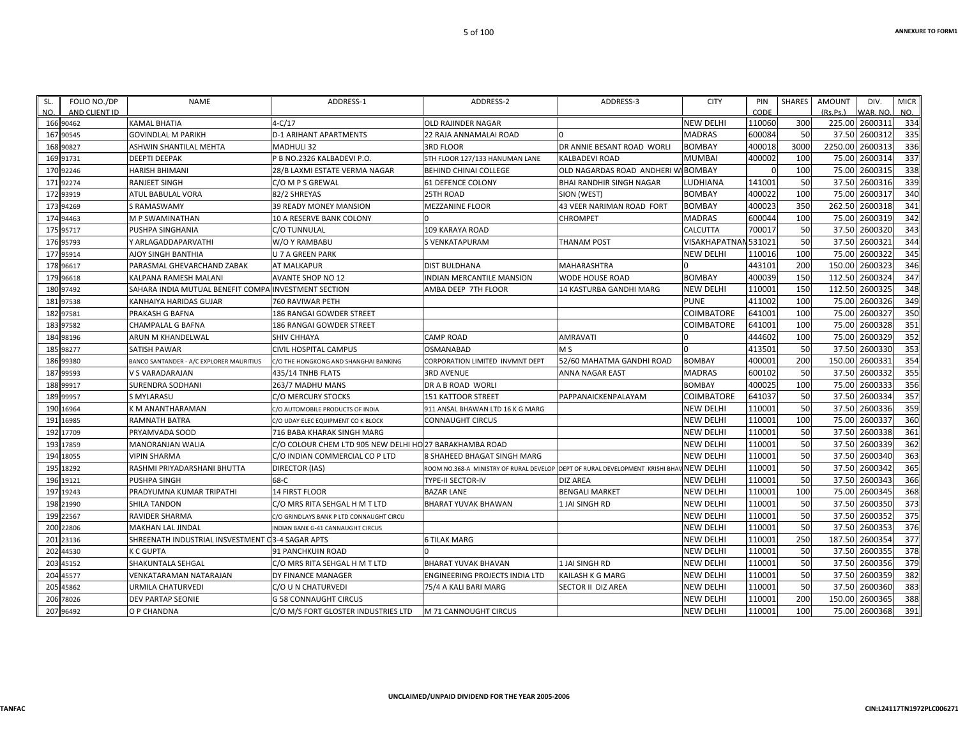| SL. | FOLIO NO./DP               | <b>NAME</b>                                          | ADDRESS-1                                               | ADDRESS-2                                                                     | ADDRESS-3                       | <b>CITY</b>          | PIN<br>CODE | SHARES | AMOUNT   | DIV.                       | <b>MICR</b> |
|-----|----------------------------|------------------------------------------------------|---------------------------------------------------------|-------------------------------------------------------------------------------|---------------------------------|----------------------|-------------|--------|----------|----------------------------|-------------|
| NO. | AND CLIENT ID<br>166 90462 | <b>KAMAL BHATIA</b>                                  | $4-C/17$                                                | <b>OLD RAJINDER NAGAR</b>                                                     |                                 | <b>NEW DELHI</b>     | 110060      | 300    | (Rs.Ps.) | WAR. NO.<br>225.00 2600311 | NO.<br>334  |
|     | 167 90545                  | <b>GOVINDLAL M PARIKH</b>                            | <b>D-1 ARIHANT APARTMENTS</b>                           | 22 RAJA ANNAMALAI ROAD                                                        |                                 | <b>MADRAS</b>        | 600084      | -50    |          | 37.50 2600312              | 335         |
|     | 168 90827                  | ASHWIN SHANTILAL MEHTA                               | <b>MADHULI 32</b>                                       | <b>3RD FLOOR</b>                                                              | DR ANNIE BESANT ROAD WORLI      | <b>BOMBAY</b>        | 400018      | 3000   | 2250.00  | 2600313                    | 336         |
|     | 169 91731                  | <b>DEEPTI DEEPAK</b>                                 | P B NO.2326 KALBADEVI P.O.                              | 5TH FLOOR 127/133 HANUMAN LANE                                                | <b>KALBADEVI ROAD</b>           | <b>MUMBAI</b>        | 400002      | 100    |          | 75.00 2600314              | 337         |
|     | 170 92246                  | <b>HARISH BHIMANI</b>                                | 28/B LAXMI ESTATE VERMA NAGAR                           | <b>BEHIND CHINAI COLLEGE</b>                                                  | OLD NAGARDAS ROAD ANDHERI W     | <b>BOMBAY</b>        |             | 100    | 75.00    | 2600315                    | 338         |
|     | 171 92274                  | <b>RANJEET SINGH</b>                                 | C/O M P S GREWAL                                        | 61 DEFENCE COLONY                                                             | <b>BHAI RANDHIR SINGH NAGAR</b> | LUDHIANA             | 141001      | 50     | 37.50    | 2600316                    | 339         |
|     | 172 93919                  | ATUL BABULAL VORA                                    | 82/2 SHREYAS                                            | 25TH ROAD                                                                     | SION (WEST)                     | <b>BOMBAY</b>        | 400022      | 100    | 75.00    | 2600317                    | 340         |
|     | 173 94269                  | S RAMASWAMY                                          | 39 READY MONEY MANSION                                  | <b>MEZZANINE FLOOR</b>                                                        | 43 VEER NARIMAN ROAD FORT       | <b>BOMBAY</b>        | 400023      | 350    | 262.50   | 2600318                    | 341         |
|     | 174 94463                  | M P SWAMINATHAN                                      | 10 A RESERVE BANK COLONY                                |                                                                               | <b>CHROMPET</b>                 | <b>MADRAS</b>        | 600044      | 100    | 75.00    | 2600319                    | 342         |
|     | 175 95717                  | PUSHPA SINGHANIA                                     | C/O TUNNULAL                                            | <b>109 KARAYA ROAD</b>                                                        |                                 | <b>CALCUTTA</b>      | 700017      | 50     | 37.50    | 2600320                    | 343         |
|     | 176 95793                  | Y ARLAGADDAPARVATHI                                  | W/O Y RAMBABU                                           | S VENKATAPURAM                                                                | THANAM POST                     | VISAKHAPATNAN 531021 |             | 50     |          | 37.50 2600321              | 344         |
|     | 177 95914                  | <b>AJOY SINGH BANTHIA</b>                            | <b>U 7 A GREEN PARK</b>                                 |                                                                               |                                 | <b>NEW DELHI</b>     | 110016      | 100    | 75.00    | 2600322                    | 345         |
|     | 178 96617                  | PARASMAL GHEVARCHAND ZABAK                           | AT MALKAPUR                                             | <b>DIST BULDHANA</b>                                                          | <b>MAHARASHTRA</b>              |                      | 443101      | 200    | 150.00   | 2600323                    | 346         |
|     | 179 96618                  | KALPANA RAMESH MALANI                                | <b>AVANTE SHOP NO 12</b>                                | INDIAN MERCANTILE MANSION                                                     | WODE HOUSE ROAD                 | <b>BOMBAY</b>        | 400039      | 150    | 112.50   | 2600324                    | 347         |
|     | 180 97492                  | SAHARA INDIA MUTUAL BENEFIT COMPA INVESTMENT SECTION |                                                         | AMBA DEEP 7TH FLOOR                                                           | 14 KASTURBA GANDHI MARG         | <b>NEW DELHI</b>     | 110001      | 150    | 112.50   | 2600325                    | 348         |
|     | 181 97538                  | KANHAIYA HARIDAS GUJAR                               | 760 RAVIWAR PETH                                        |                                                                               |                                 | <b>PUNE</b>          | 411002      | 100    | 75.00    | 2600326                    | 349         |
|     | 182 97581                  | PRAKASH G BAFNA                                      | 186 RANGAI GOWDER STREET                                |                                                                               |                                 | COIMBATORE           | 641001      | 100    | 75.00    | 2600327                    | 350         |
|     | 183 97582                  | CHAMPALAL G BAFNA                                    | 186 RANGAI GOWDER STREET                                |                                                                               |                                 | COIMBATORE           | 641001      | 100    |          | 75.00 2600328              | 351         |
|     | 184 98196                  | ARUN M KHANDELWAL                                    | SHIV CHHAYA                                             | <b>CAMP ROAD</b>                                                              | <b>AMRAVATI</b>                 |                      | 444602      | 100    | 75.00    | 2600329                    | 352         |
|     | 185 98277                  | <b>SATISH PAWAR</b>                                  | <b>CIVIL HOSPITAL CAMPUS</b>                            | <b>OSMANABAD</b>                                                              | M <sub>S</sub>                  |                      | 413501      | 50     | 37.50    | 2600330                    | 353         |
|     | 186 99380                  | BANCO SANTANDER - A/C EXPLORER MAURITIUS             | C/O THE HONGKONG AND SHANGHAI BANKING                   | CORPORATION LIMITED INVMNT DEPT                                               | 52/60 MAHATMA GANDHI ROAD       | <b>BOMBAY</b>        | 400001      | 200    | 150.00   | 2600331                    | 354         |
|     | 187 99593                  | V S VARADARAJAN                                      | 435/14 TNHB FLATS                                       | <b>3RD AVENUE</b>                                                             | ANNA NAGAR EAST                 | <b>MADRAS</b>        | 600102      | 50     | 37.50    | 2600332                    | 355         |
|     | 188 99917                  | SURENDRA SODHANI                                     | 263/7 MADHU MANS                                        | DR A B ROAD WORLI                                                             |                                 | <b>BOMBAY</b>        | 400025      | 100    | 75.00    | 2600333                    | 356         |
|     | 189 99957                  | <b>S MYLARASU</b>                                    | C/O MERCURY STOCKS                                      | <b>151 KATTOOR STREET</b>                                                     | PAPPANAICKENPALAYAM             | COIMBATORE           | 641037      | 50     |          | 37.50 2600334              | 357         |
|     | 190 16964                  | K M ANANTHARAMAN                                     | C/O AUTOMOBILE PRODUCTS OF INDIA                        | 911 ANSAL BHAWAN LTD 16 K G MARG                                              |                                 | <b>NEW DELHI</b>     | 110001      | 50     | 37.50    | 2600336                    | 359         |
|     | 191 16985                  | <b>RAMNATH BATRA</b>                                 | C/O UDAY ELEC EQUIPMENT CO K BLOCK                      | CONNAUGHT CIRCUS                                                              |                                 | <b>NEW DELHI</b>     | 110001      | 100    | 75.00    | 2600337                    | 360         |
|     | 192 17709                  | PRYAMVADA SOOD                                       | 716 BABA KHARAK SINGH MARG                              |                                                                               |                                 | <b>NEW DELHI</b>     | 110001      | 50     |          | 37.50 2600338              | 361         |
|     | 193 17859                  | <b>MANORANJAN WALIA</b>                              | C/O COLOUR CHEM LTD 905 NEW DELHI HO 27 BARAKHAMBA ROAD |                                                                               |                                 | <b>NEW DELHI</b>     | 110001      | 50     | 37.50    | 2600339                    | 362         |
|     | 194 18055                  | <b>VIPIN SHARMA</b>                                  | C/O INDIAN COMMERCIAL CO P LTD                          | 8 SHAHEED BHAGAT SINGH MARG                                                   |                                 | <b>NEW DELHI</b>     | 110001      | 50     | 37.50    | 2600340                    | 363         |
|     | 195 18292                  | RASHMI PRIYADARSHANI BHUTTA                          | <b>DIRECTOR (IAS)</b>                                   | ROOM NO.368-A MINISTRY OF RURAL DEVELOP DEPT OF RURAL DEVELOPMENT KRISHI BHA' |                                 | NEW DELHI            | 110001      | 50     |          | 37.50 2600342              | 365         |
|     | 196 19121                  | <b>PUSHPA SINGH</b>                                  | 68-C                                                    | TYPE-II SECTOR-IV                                                             | <b>DIZ AREA</b>                 | <b>NEW DELHI</b>     | 110001      | 50     |          | 37.50 2600343              | 366         |
|     | 197 19243                  | PRADYUMNA KUMAR TRIPATHI                             | 14 FIRST FLOOR                                          | <b>BAZAR LANE</b>                                                             | <b>BENGALI MARKET</b>           | <b>NEW DELHI</b>     | 110001      | 100    | 75.00    | 2600345                    | 368         |
|     | 198 21990                  | <b>SHILA TANDON</b>                                  | C/O MRS RITA SEHGAL H M T LTD                           | <b>BHARAT YUVAK BHAWAN</b>                                                    | 1 JAI SINGH RD                  | <b>NEW DELHI</b>     | 110001      | 50     | 37.50    | 2600350                    | 373         |
|     | 199 22567                  | <b>RAVIDER SHARMA</b>                                | C/O GRINDLAYS BANK P LTD CONNAUGHT CIRCU                |                                                                               |                                 | <b>NEW DELHI</b>     | 110001      | 50     |          | 37.50 2600352              | 375         |
|     | 200 22806                  | <b>MAKHAN LAL JINDAL</b>                             | INDIAN BANK G-41 CANNAUGHT CIRCUS                       |                                                                               |                                 | <b>NEW DELHI</b>     | 110001      | 50     |          | 37.50 2600353              | 376         |
|     | 201 23136                  | SHREENATH INDUSTRIAL INSVESTMENT 03-4 SAGAR APTS     |                                                         | <b>6 TILAK MARG</b>                                                           |                                 | <b>NEW DELHI</b>     | 110001      | 250    | 187.50   | 2600354                    | 377         |
|     | 202 44530                  | <b>K C GUPTA</b>                                     | <b>91 PANCHKUIN ROAD</b>                                |                                                                               |                                 | NEW DELHI            | 110001      | 50     | 37.50    | 2600355                    | 378         |
|     | 203 45152                  | SHAKUNTALA SEHGAL                                    | C/O MRS RITA SEHGAL H M T LTD                           | <b>BHARAT YUVAK BHAVAN</b>                                                    | 1 JAI SINGH RD                  | <b>NEW DELHI</b>     | 110001      | 50     | 37.50    | 2600356                    | 379         |
|     | 204 45577                  | VENKATARAMAN NATARAJAN                               | DY FINANCE MANAGER                                      | ENGINEERING PROJECTS INDIA LTD                                                | KAILASH K G MARG                | <b>NEW DELHI</b>     | 110001      | 50     | 37.50    | 2600359                    | 382         |
|     | 205 45862                  | URMILA CHATURVEDI                                    | C/O U N CHATURVEDI                                      | 75/4 A KALI BARI MARG                                                         | SECTOR II DIZ AREA              | <b>NEW DELHI</b>     | 110001      | 50     |          | 37.50 2600360              | 383         |
|     | 206 78026                  | DEV PARTAP SEONIE                                    | <b>G 58 CONNAUGHT CIRCUS</b>                            |                                                                               |                                 | <b>NEW DELHI</b>     | 110001      | 200    | 150.00   | 2600365                    | 388         |
|     | 207 96492                  | O P CHANDNA                                          | C/O M/S FORT GLOSTER INDUSTRIES LTD                     | M 71 CANNOUGHT CIRCUS                                                         |                                 | <b>NEW DELHI</b>     | 110001      | 100    |          | 75.00 2600368              | 391         |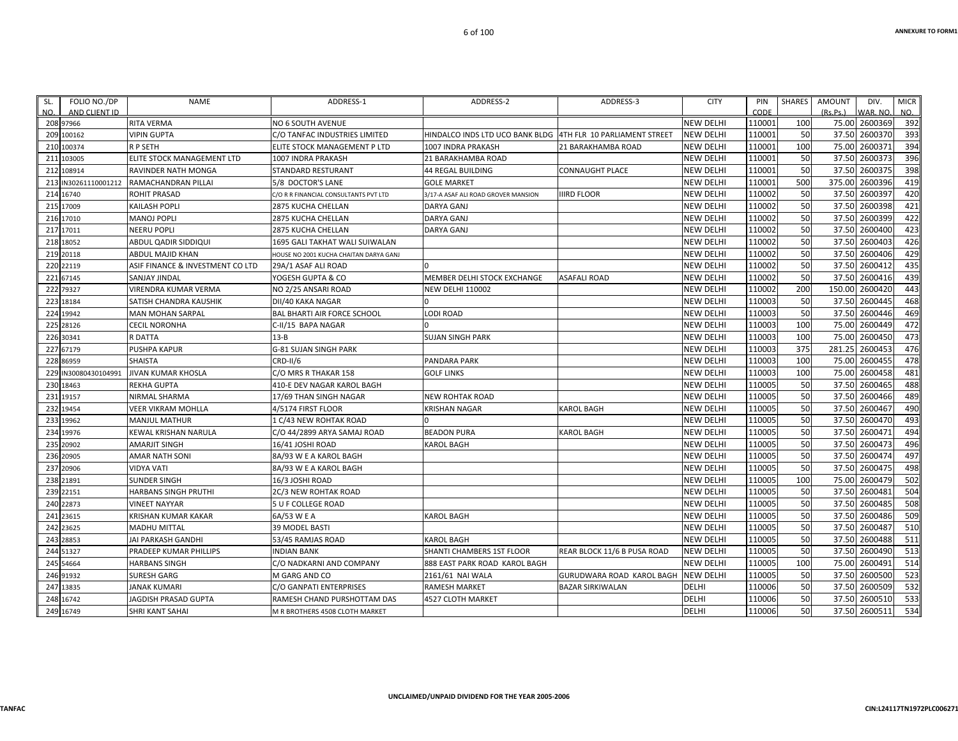| SL. | FOLIO NO./DP         | <b>NAME</b>                      | ADDRESS-1                              | ADDRESS-2                                                    | ADDRESS-3                   | <b>CITY</b>      | PIN    | SHARES | <b>AMOUNT</b> | DIV.           | <b>MICR</b> |
|-----|----------------------|----------------------------------|----------------------------------------|--------------------------------------------------------------|-----------------------------|------------------|--------|--------|---------------|----------------|-------------|
| NO. | AND CLIENT ID        |                                  |                                        |                                                              |                             |                  | CODE   |        | (Rs.Ps.)      | WAR, NO.       | NO.         |
|     | 208 97966            | RITA VERMA                       | NO 6 SOUTH AVENUE                      |                                                              |                             | <b>NEW DELHI</b> | 110001 | 100    |               | 75.00 2600369  | 392         |
|     | 209 100162           | VIPIN GUPTA                      | C/O TANFAC INDUSTRIES LIMITED          | HINDALCO INDS LTD UCO BANK BLDG 4TH FLR 10 PARLIAMENT STREET |                             | <b>NEW DELHI</b> | 110001 | 50     |               | 37.50 2600370  | 393         |
|     | 210 100374           | R P SETH                         | ELITE STOCK MANAGEMENT P LTD           | 1007 INDRA PRAKASH                                           | 21 BARAKHAMBA ROAD          | <b>NEW DELHI</b> | 110001 | 100    |               | 75.00 2600371  | 394         |
|     | 211 103005           | ELITE STOCK MANAGEMENT LTD       | 1007 INDRA PRAKASH                     | 21 BARAKHAMBA ROAD                                           |                             | <b>NEW DELHI</b> | 110001 | 50     |               | 37.50 2600373  | 396<br>398  |
|     | 212 108914           | RAVINDER NATH MONGA              | <b>STANDARD RESTURANT</b>              | <b>44 REGAL BUILDING</b>                                     | <b>CONNAUGHT PLACE</b>      | <b>NEW DELHI</b> | 110001 | 50     | 37.50         | 2600375        |             |
| 213 | IN30261110001212     | RAMACHANDRAN PILLAI              | 5/8 DOCTOR'S LANE                      | <b>GOLE MARKET</b>                                           |                             | <b>NEW DELHI</b> | 110001 | 500    |               | 375.00 2600396 | 419         |
|     | 214 16740            | ROHIT PRASAD                     | C/O R R FINANCIAL CONSULTANTS PVT LTD  | 3/17-A ASAF ALI ROAD GROVER MANSION                          | <b>IIIRD FLOOR</b>          | <b>NEW DELHI</b> | 110002 | 50     |               | 37.50 2600397  | 420         |
|     | 215 17009            | KAILASH POPLI                    | <b>2875 KUCHA CHELLAN</b>              | <b>DARYA GANJ</b>                                            |                             | <b>NEW DELHI</b> | 110002 | 50     |               | 37.50 2600398  | 421         |
|     | 216 17010            | <b>MANOJ POPLI</b>               | 2875 KUCHA CHELLAN                     | <b>DARYA GANJ</b>                                            |                             | <b>NEW DELHI</b> | 110002 | 50     |               | 37.50 2600399  | 422         |
|     | 217 17011            | NEERU POPLI                      | 2875 KUCHA CHELLAN                     | <b>DARYA GANJ</b>                                            |                             | <b>NEW DELHI</b> | 110002 | 50     |               | 37.50 2600400  | 423         |
|     | 218 18052            | ABDUL QADIR SIDDIQUI             | 1695 GALI TAKHAT WALI SUIWALAN         |                                                              |                             | <b>NEW DELHI</b> | 110002 | 50     |               | 37.50 2600403  | 426         |
|     | 219 20118            | ABDUL MAJID KHAN                 | HOUSE NO 2001 KUCHA CHAITAN DARYA GANJ |                                                              |                             | <b>NEW DELHI</b> | 110002 | 50     |               | 37.50 2600406  | 429         |
|     | 220 22119            | ASIF FINANCE & INVESTMENT CO LTD | 29A/1 ASAF ALI ROAD                    |                                                              |                             | <b>NEW DELHI</b> | 110002 | 50     | 37.50         | 2600412        | 435         |
|     | 221 67145            | SANJAY JINDAL                    | YOGESH GUPTA & CO                      | MEMBER DELHI STOCK EXCHANGE                                  | ASAFALI ROAD                | <b>NEW DELHI</b> | 110002 | 50     |               | 37.50 2600416  | 439         |
|     | 222 79327            | VIRENDRA KUMAR VERMA             | NO 2/25 ANSARI ROAD                    | <b>NEW DELHI 110002</b>                                      |                             | <b>NEW DELHI</b> | 110002 | 200    | 150.00        | 2600420        | 443         |
|     | 223 18184            | SATISH CHANDRA KAUSHIK           | DII/40 KAKA NAGAR                      |                                                              |                             | <b>NEW DELHI</b> | 110003 | 50     |               | 37.50 2600445  | 468         |
|     | 224 19942            | MAN MOHAN SARPAL                 | <b>BAL BHARTI AIR FORCE SCHOOL</b>     | <b>LODI ROAD</b>                                             |                             | <b>NEW DELHI</b> | 110003 | 50     |               | 37.50 2600446  | 469         |
|     | 225 28126            | <b>CECIL NORONHA</b>             | C-II/15 BAPA NAGAR                     |                                                              |                             | <b>NEW DELHI</b> | 110003 | 100    |               | 75.00 2600449  | 472         |
|     | 226 30341            | R DATTA                          | $13 - B$                               | <b>SUJAN SINGH PARK</b>                                      |                             | <b>NEW DELHI</b> | 110003 | 100    | 75.00         | 2600450        | 473         |
|     | 227 67179            | PUSHPA KAPUR                     | <b>G-81 SUJAN SINGH PARK</b>           |                                                              |                             | <b>NEW DELHI</b> | 110003 | 375    | 281.25        | 2600453        | 476         |
|     | 228 86959            | SHAISTA                          | <b>CRD-II/6</b>                        | <b>PANDARA PARK</b>                                          |                             | <b>NEW DELHI</b> | 110003 | 100    |               | 75.00 2600455  | 478         |
|     | 229 IN30080430104991 | <b>JIVAN KUMAR KHOSLA</b>        | C/O MRS R THAKAR 158                   | <b>GOLF LINKS</b>                                            |                             | <b>NEW DELHI</b> | 110003 | 100    | 75.00         | 2600458        | 481         |
|     | 230 18463            | REKHA GUPTA                      | 410-E DEV NAGAR KAROL BAGH             |                                                              |                             | <b>NEW DELHI</b> | 110005 | 50     | 37.50         | 2600465        | 488         |
|     | 231 19157            | NIRMAL SHARMA                    | 17/69 THAN SINGH NAGAR                 | <b>NEW ROHTAK ROAD</b>                                       |                             | <b>NEW DELHI</b> | 110005 | 50     |               | 37.50 2600466  | 489         |
|     | 232 19454            | VEER VIKRAM MOHLLA               | 4/5174 FIRST FLOOR                     | <b>KRISHAN NAGAR</b>                                         | <b>KAROL BAGH</b>           | <b>NEW DELHI</b> | 110005 | 50     |               | 37.50 2600467  | 490         |
|     | 233 19962            | MANJUL MATHUR                    | 1 C/43 NEW ROHTAK ROAD                 |                                                              |                             | <b>NEW DELHI</b> | 110005 | 50     |               | 37.50 2600470  | 493         |
|     | 234 19976            | KEWAL KRISHAN NARULA             | C/O 44/2899 ARYA SAMAJ ROAD            | <b>BEADON PURA</b>                                           | <b>KAROL BAGH</b>           | <b>NEW DELHI</b> | 110005 | 50     |               | 37.50 2600471  | 494         |
|     | 235 20902            | AMARJIT SINGH                    | 16/41 JOSHI ROAD                       | <b>KAROL BAGH</b>                                            |                             | <b>NEW DELHI</b> | 110005 | 50     | 37.50         | 2600473        | 496         |
|     | 236 20905            | <b>AMAR NATH SONI</b>            | 8A/93 W E A KAROL BAGH                 |                                                              |                             | <b>NEW DELHI</b> | 110005 | 50     |               | 37.50 2600474  | 497         |
|     | 237 20906            | VIDYA VATI                       | 8A/93 W E A KAROL BAGH                 |                                                              |                             | <b>NEW DELHI</b> | 110005 | 50     |               | 37.50 2600475  | 498         |
|     | 238 21891            | SUNDER SINGH                     | 16/3 JOSHI ROAD                        |                                                              |                             | <b>NEW DELHI</b> | 110005 | 100    |               | 75.00 2600479  | 502         |
|     | 239 22151            | HARBANS SINGH PRUTHI             | 2C/3 NEW ROHTAK ROAD                   |                                                              |                             | <b>NEW DELHI</b> | 110005 | 50     |               | 37.50 2600481  | 504         |
|     | 240 22873            | <b>VINEET NAYYAR</b>             | <b>5 U F COLLEGE ROAD</b>              |                                                              |                             | <b>NEW DELHI</b> | 110005 | 50     | 37.50         | 2600485        | 508         |
|     | 241 23615            | KRISHAN KUMAR KAKAR              | 6A/53 W E A                            | <b>KAROL BAGH</b>                                            |                             | <b>NEW DELHI</b> | 110005 | 50     |               | 37.50 2600486  | 509         |
|     | 242 23625            | <b>MADHU MITTAL</b>              | 39 MODEL BASTI                         |                                                              |                             | <b>NEW DELHI</b> | 110005 | 50     |               | 37.50 2600487  | 510         |
|     | 243 28853            | JAI PARKASH GANDHI               | 53/45 RAMJAS ROAD                      | <b>KAROL BAGH</b>                                            |                             | <b>NEW DELHI</b> | 110005 | 50     |               | 37.50 2600488  | 511         |
|     | 244 51327            | PRADEEP KUMAR PHILLIPS           | <b>INDIAN BANK</b>                     | SHANTI CHAMBERS 1ST FLOOR                                    | REAR BLOCK 11/6 B PUSA ROAD | <b>NEW DELHI</b> | 110005 | 50     |               | 37.50 2600490  | 513         |
|     | 245 54664            | <b>HARBANS SINGH</b>             | C/O NADKARNI AND COMPANY               | 888 EAST PARK ROAD KAROL BAGH                                |                             | <b>NEW DELHI</b> | 110005 | 100    | 75.00         | 2600491        | 514         |
|     | 246 91932            | <b>SURESH GARG</b>               | M GARG AND CO                          | 2161/61 NAI WALA                                             | GURUDWARA ROAD KAROL BAGH   | <b>NEW DELHI</b> | 110005 | 50     |               | 37.50 2600500  | 523         |
|     | 247 13835            | JANAK KUMARI                     | C/O GANPATI ENTERPRISES                | <b>RAMESH MARKET</b>                                         | <b>BAZAR SIRKIWALAN</b>     | DELHI            | 110006 | 50     |               | 37.50 2600509  | 532         |
|     | 248 16742            | <b>JAGDISH PRASAD GUPTA</b>      | RAMESH CHAND PURSHOTTAM DAS            | 4527 CLOTH MARKET                                            |                             | DELHI            | 110006 | 50     |               | 37.50 2600510  | 533         |
|     | 249 16749            | SHRI KANT SAHAI                  | M R BROTHERS 4508 CLOTH MARKET         |                                                              |                             | <b>DELHI</b>     | 110006 | 50     |               | 37.50 2600511  | 534         |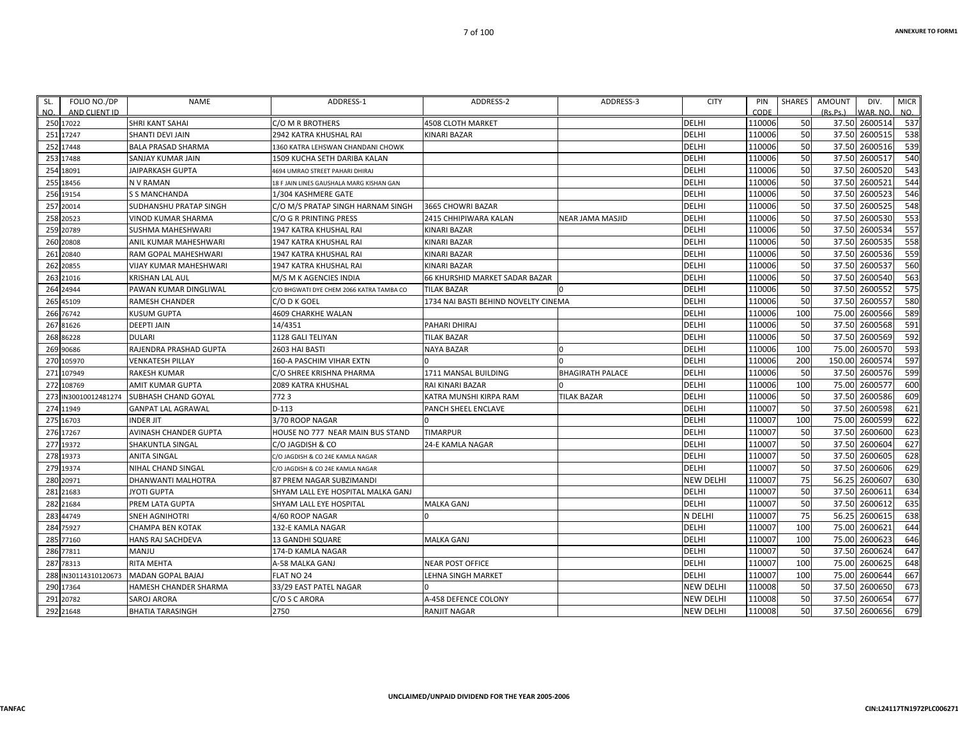| AND CLIENT ID<br>CODE<br>250 17022<br>SHRI KANT SAHAI<br><b>4508 CLOTH MARKET</b><br><b>DELHI</b><br>110006<br>C/O M R BROTHERS<br>251 17247<br><b>DELHI</b><br>110006<br>SHANTI DEVI JAIN<br>2942 KATRA KHUSHAL RAI<br>KINARI BAZAR<br>252 17448<br><b>DELHI</b><br>110006<br>BALA PRASAD SHARMA<br>1360 KATRA LEHSWAN CHANDANI CHOWK<br><b>DELHI</b><br>110006<br>253 17488<br>SANJAY KUMAR JAIN<br>1509 KUCHA SETH DARIBA KALAN<br>110006<br><b>DELHI</b><br>254 18091<br><b>JAIPARKASH GUPTA</b><br>4694 UMRAO STREET PAHARI DHIRAJ<br>255 18456<br>DELHI<br>110006<br>N V RAMAN<br>18 F JAIN LINES GAUSHALA MARG KISHAN GAN<br>DELHI<br>110006<br>256 19154<br>S S MANCHANDA<br>1/304 KASHMERE GATE<br><b>DELHI</b><br>110006<br>257 20014<br>SUDHANSHU PRATAP SINGH<br>C/O M/S PRATAP SINGH HARNAM SINGH<br>3665 CHOWRI BAZAR<br>258 20523<br><b>DELHI</b><br>110006<br>VINOD KUMAR SHARMA<br>C/O G R PRINTING PRESS<br>2415 CHHIPIWARA KALAN<br>NEAR JAMA MASJID<br><b>DELHI</b><br>110006<br>259 20789<br>SUSHMA MAHESHWARI<br>1947 KATRA KHUSHAL RAI<br>KINARI BAZAR<br><b>DELHI</b><br>110006<br>260 20808<br>ANIL KUMAR MAHESHWARI<br>1947 KATRA KHUSHAL RAI<br>KINARI BAZAR<br><b>DELHI</b><br>110006<br>261 20840<br>RAM GOPAL MAHESHWARI<br>1947 KATRA KHUSHAL RAI<br>KINARI BAZAR<br><b>DELHI</b><br>110006<br>262 20855<br>VIJAY KUMAR MAHESHWARI<br>1947 KATRA KHUSHAL RAI<br>KINARI BAZAR<br><b>DELHI</b><br>110006<br>263 21016<br>66 KHURSHID MARKET SADAR BAZAR<br>KRISHAN LAL AUL<br>M/S M K AGENCIES INDIA<br><b>DELHI</b><br>264 24944<br>110006<br>PAWAN KUMAR DINGLIWAL<br>TILAK BAZAR<br>C/O BHGWATI DYE CHEM 2066 KATRA TAMBA CO<br><b>DELHI</b><br>110006<br>265 45109<br>1734 NAI BASTI BEHIND NOVELTY CINEMA<br>RAMESH CHANDER<br>C/O D K GOEL<br><b>DELHI</b><br>110006<br>266 76742<br>4609 CHARKHE WALAN<br>KUSUM GUPTA | (Rs, Ps.)<br>VAR. NO.<br>NO.<br>537<br>50<br>37.50 2600514 |     |  |  |  |     |
|-----------------------------------------------------------------------------------------------------------------------------------------------------------------------------------------------------------------------------------------------------------------------------------------------------------------------------------------------------------------------------------------------------------------------------------------------------------------------------------------------------------------------------------------------------------------------------------------------------------------------------------------------------------------------------------------------------------------------------------------------------------------------------------------------------------------------------------------------------------------------------------------------------------------------------------------------------------------------------------------------------------------------------------------------------------------------------------------------------------------------------------------------------------------------------------------------------------------------------------------------------------------------------------------------------------------------------------------------------------------------------------------------------------------------------------------------------------------------------------------------------------------------------------------------------------------------------------------------------------------------------------------------------------------------------------------------------------------------------------------------------------------------------------------------------------------------------------------------------------|------------------------------------------------------------|-----|--|--|--|-----|
|                                                                                                                                                                                                                                                                                                                                                                                                                                                                                                                                                                                                                                                                                                                                                                                                                                                                                                                                                                                                                                                                                                                                                                                                                                                                                                                                                                                                                                                                                                                                                                                                                                                                                                                                                                                                                                                           |                                                            |     |  |  |  | NO. |
|                                                                                                                                                                                                                                                                                                                                                                                                                                                                                                                                                                                                                                                                                                                                                                                                                                                                                                                                                                                                                                                                                                                                                                                                                                                                                                                                                                                                                                                                                                                                                                                                                                                                                                                                                                                                                                                           |                                                            |     |  |  |  |     |
|                                                                                                                                                                                                                                                                                                                                                                                                                                                                                                                                                                                                                                                                                                                                                                                                                                                                                                                                                                                                                                                                                                                                                                                                                                                                                                                                                                                                                                                                                                                                                                                                                                                                                                                                                                                                                                                           | 2600515<br>538<br>37.50                                    | 50  |  |  |  |     |
|                                                                                                                                                                                                                                                                                                                                                                                                                                                                                                                                                                                                                                                                                                                                                                                                                                                                                                                                                                                                                                                                                                                                                                                                                                                                                                                                                                                                                                                                                                                                                                                                                                                                                                                                                                                                                                                           | 539<br>37.50<br>2600516                                    | 50  |  |  |  |     |
|                                                                                                                                                                                                                                                                                                                                                                                                                                                                                                                                                                                                                                                                                                                                                                                                                                                                                                                                                                                                                                                                                                                                                                                                                                                                                                                                                                                                                                                                                                                                                                                                                                                                                                                                                                                                                                                           | 540<br>37.50 2600517                                       | 50  |  |  |  |     |
|                                                                                                                                                                                                                                                                                                                                                                                                                                                                                                                                                                                                                                                                                                                                                                                                                                                                                                                                                                                                                                                                                                                                                                                                                                                                                                                                                                                                                                                                                                                                                                                                                                                                                                                                                                                                                                                           | 543<br>37.50<br>2600520                                    | 50  |  |  |  |     |
|                                                                                                                                                                                                                                                                                                                                                                                                                                                                                                                                                                                                                                                                                                                                                                                                                                                                                                                                                                                                                                                                                                                                                                                                                                                                                                                                                                                                                                                                                                                                                                                                                                                                                                                                                                                                                                                           | 544<br>37.50<br>2600521                                    | 50  |  |  |  |     |
|                                                                                                                                                                                                                                                                                                                                                                                                                                                                                                                                                                                                                                                                                                                                                                                                                                                                                                                                                                                                                                                                                                                                                                                                                                                                                                                                                                                                                                                                                                                                                                                                                                                                                                                                                                                                                                                           | 546<br>37.50<br>2600523                                    | 50  |  |  |  |     |
|                                                                                                                                                                                                                                                                                                                                                                                                                                                                                                                                                                                                                                                                                                                                                                                                                                                                                                                                                                                                                                                                                                                                                                                                                                                                                                                                                                                                                                                                                                                                                                                                                                                                                                                                                                                                                                                           | 2600525<br>548<br>37.50                                    | 50  |  |  |  |     |
|                                                                                                                                                                                                                                                                                                                                                                                                                                                                                                                                                                                                                                                                                                                                                                                                                                                                                                                                                                                                                                                                                                                                                                                                                                                                                                                                                                                                                                                                                                                                                                                                                                                                                                                                                                                                                                                           | 553<br>37.50<br>2600530                                    | 50  |  |  |  |     |
|                                                                                                                                                                                                                                                                                                                                                                                                                                                                                                                                                                                                                                                                                                                                                                                                                                                                                                                                                                                                                                                                                                                                                                                                                                                                                                                                                                                                                                                                                                                                                                                                                                                                                                                                                                                                                                                           | 557<br>37.50<br>2600534                                    | 50  |  |  |  |     |
|                                                                                                                                                                                                                                                                                                                                                                                                                                                                                                                                                                                                                                                                                                                                                                                                                                                                                                                                                                                                                                                                                                                                                                                                                                                                                                                                                                                                                                                                                                                                                                                                                                                                                                                                                                                                                                                           | 558<br>37.50<br>2600535                                    | 50  |  |  |  |     |
|                                                                                                                                                                                                                                                                                                                                                                                                                                                                                                                                                                                                                                                                                                                                                                                                                                                                                                                                                                                                                                                                                                                                                                                                                                                                                                                                                                                                                                                                                                                                                                                                                                                                                                                                                                                                                                                           | 559<br>37.50<br>2600536                                    | 50  |  |  |  |     |
|                                                                                                                                                                                                                                                                                                                                                                                                                                                                                                                                                                                                                                                                                                                                                                                                                                                                                                                                                                                                                                                                                                                                                                                                                                                                                                                                                                                                                                                                                                                                                                                                                                                                                                                                                                                                                                                           | 2600537<br>560<br>37.50                                    | 50  |  |  |  |     |
|                                                                                                                                                                                                                                                                                                                                                                                                                                                                                                                                                                                                                                                                                                                                                                                                                                                                                                                                                                                                                                                                                                                                                                                                                                                                                                                                                                                                                                                                                                                                                                                                                                                                                                                                                                                                                                                           | 563<br>37.50<br>2600540                                    | 50  |  |  |  |     |
|                                                                                                                                                                                                                                                                                                                                                                                                                                                                                                                                                                                                                                                                                                                                                                                                                                                                                                                                                                                                                                                                                                                                                                                                                                                                                                                                                                                                                                                                                                                                                                                                                                                                                                                                                                                                                                                           | 575<br>37.50<br>2600552                                    | 50  |  |  |  |     |
|                                                                                                                                                                                                                                                                                                                                                                                                                                                                                                                                                                                                                                                                                                                                                                                                                                                                                                                                                                                                                                                                                                                                                                                                                                                                                                                                                                                                                                                                                                                                                                                                                                                                                                                                                                                                                                                           | 2600557<br>580<br>37.50                                    | 50  |  |  |  |     |
|                                                                                                                                                                                                                                                                                                                                                                                                                                                                                                                                                                                                                                                                                                                                                                                                                                                                                                                                                                                                                                                                                                                                                                                                                                                                                                                                                                                                                                                                                                                                                                                                                                                                                                                                                                                                                                                           | 589<br>2600566<br>75.00                                    | 100 |  |  |  |     |
| <b>DELHI</b><br>110006<br>267 81626<br>14/4351<br>DEEPTI JAIN<br>PAHARI DHIRAJ                                                                                                                                                                                                                                                                                                                                                                                                                                                                                                                                                                                                                                                                                                                                                                                                                                                                                                                                                                                                                                                                                                                                                                                                                                                                                                                                                                                                                                                                                                                                                                                                                                                                                                                                                                            | 591<br>37.50<br>2600568                                    | 50  |  |  |  |     |
| 110006<br>268 86228<br><b>DELHI</b><br>DULARI<br>1128 GALI TELIYAN<br>TILAK BAZAR                                                                                                                                                                                                                                                                                                                                                                                                                                                                                                                                                                                                                                                                                                                                                                                                                                                                                                                                                                                                                                                                                                                                                                                                                                                                                                                                                                                                                                                                                                                                                                                                                                                                                                                                                                         | 592<br>37.50<br>2600569                                    | 50  |  |  |  |     |
| 110006<br><b>DELHI</b><br>269 90686<br>RAJENDRA PRASHAD GUPTA<br>NAYA BAZAR<br>2603 HAI BASTI                                                                                                                                                                                                                                                                                                                                                                                                                                                                                                                                                                                                                                                                                                                                                                                                                                                                                                                                                                                                                                                                                                                                                                                                                                                                                                                                                                                                                                                                                                                                                                                                                                                                                                                                                             | 593<br>2600570<br>75.00                                    | 100 |  |  |  |     |
| <b>DELHI</b><br>110006<br>270 105970<br>VENKATESH PILLAY<br>160-A PASCHIM VIHAR EXTN                                                                                                                                                                                                                                                                                                                                                                                                                                                                                                                                                                                                                                                                                                                                                                                                                                                                                                                                                                                                                                                                                                                                                                                                                                                                                                                                                                                                                                                                                                                                                                                                                                                                                                                                                                      | 597<br>150.00<br>2600574                                   | 200 |  |  |  |     |
| <b>DELHI</b><br>110006<br>271 107949<br>RAKESH KUMAR<br>C/O SHREE KRISHNA PHARMA<br>1711 MANSAL BUILDING<br><b>BHAGIRATH PALACE</b>                                                                                                                                                                                                                                                                                                                                                                                                                                                                                                                                                                                                                                                                                                                                                                                                                                                                                                                                                                                                                                                                                                                                                                                                                                                                                                                                                                                                                                                                                                                                                                                                                                                                                                                       | 599<br>37.50<br>2600576                                    | 50  |  |  |  |     |
| <b>DELHI</b><br>110006<br>272 108769<br>AMIT KUMAR GUPTA<br>2089 KATRA KHUSHAL<br>RAI KINARI BAZAR                                                                                                                                                                                                                                                                                                                                                                                                                                                                                                                                                                                                                                                                                                                                                                                                                                                                                                                                                                                                                                                                                                                                                                                                                                                                                                                                                                                                                                                                                                                                                                                                                                                                                                                                                        | 2600577<br>600<br>75.00                                    | 100 |  |  |  |     |
| <b>DELHI</b><br>110006<br>7723<br>273 IN30010012481274<br>SUBHASH CHAND GOYAL<br>KATRA MUNSHI KIRPA RAM<br><b>TILAK BAZAR</b>                                                                                                                                                                                                                                                                                                                                                                                                                                                                                                                                                                                                                                                                                                                                                                                                                                                                                                                                                                                                                                                                                                                                                                                                                                                                                                                                                                                                                                                                                                                                                                                                                                                                                                                             | 609<br>37.50<br>2600586                                    | 50  |  |  |  |     |
| <b>DELHI</b><br>110007<br>274 11949<br>$D-113$<br><b>GANPAT LAL AGRAWAL</b><br>PANCH SHEEL ENCLAVE                                                                                                                                                                                                                                                                                                                                                                                                                                                                                                                                                                                                                                                                                                                                                                                                                                                                                                                                                                                                                                                                                                                                                                                                                                                                                                                                                                                                                                                                                                                                                                                                                                                                                                                                                        | 621<br>37.50<br>2600598                                    | 50  |  |  |  |     |
| <b>DELHI</b><br>110007<br>275 16703<br><b>INDER JIT</b><br>3/70 ROOP NAGAR                                                                                                                                                                                                                                                                                                                                                                                                                                                                                                                                                                                                                                                                                                                                                                                                                                                                                                                                                                                                                                                                                                                                                                                                                                                                                                                                                                                                                                                                                                                                                                                                                                                                                                                                                                                | 622<br>75.00<br>2600599                                    | 100 |  |  |  |     |
| <b>DELHI</b><br>110007<br>276 17267<br>AVINASH CHANDER GUPTA<br>HOUSE NO 777 NEAR MAIN BUS STAND<br><b>TIMARPUR</b>                                                                                                                                                                                                                                                                                                                                                                                                                                                                                                                                                                                                                                                                                                                                                                                                                                                                                                                                                                                                                                                                                                                                                                                                                                                                                                                                                                                                                                                                                                                                                                                                                                                                                                                                       | 623<br>37.50<br>2600600                                    | 50  |  |  |  |     |
| 277 19372<br>DELHI<br>110007<br>SHAKUNTLA SINGAL<br>C/O JAGDISH & CO<br>24-E KAMLA NAGAR                                                                                                                                                                                                                                                                                                                                                                                                                                                                                                                                                                                                                                                                                                                                                                                                                                                                                                                                                                                                                                                                                                                                                                                                                                                                                                                                                                                                                                                                                                                                                                                                                                                                                                                                                                  | 627<br>37.50<br>2600604                                    | 50  |  |  |  |     |
| <b>DELHI</b><br>110007<br>278 19373<br>ANITA SINGAL<br>C/O JAGDISH & CO 24E KAMLA NAGAR                                                                                                                                                                                                                                                                                                                                                                                                                                                                                                                                                                                                                                                                                                                                                                                                                                                                                                                                                                                                                                                                                                                                                                                                                                                                                                                                                                                                                                                                                                                                                                                                                                                                                                                                                                   | 628<br>37.50<br>2600605                                    | 50  |  |  |  |     |
| 279 19374<br><b>DELHI</b><br>110007<br>NIHAL CHAND SINGAL<br>C/O JAGDISH & CO 24E KAMLA NAGAR                                                                                                                                                                                                                                                                                                                                                                                                                                                                                                                                                                                                                                                                                                                                                                                                                                                                                                                                                                                                                                                                                                                                                                                                                                                                                                                                                                                                                                                                                                                                                                                                                                                                                                                                                             | 629<br>37.50<br>2600606                                    | 50  |  |  |  |     |
| 110007<br>280 20971<br><b>NEW DELHI</b><br>DHANWANTI MALHOTRA<br>87 PREM NAGAR SUBZIMANDI                                                                                                                                                                                                                                                                                                                                                                                                                                                                                                                                                                                                                                                                                                                                                                                                                                                                                                                                                                                                                                                                                                                                                                                                                                                                                                                                                                                                                                                                                                                                                                                                                                                                                                                                                                 | 630<br>56.25<br>2600607                                    | 75  |  |  |  |     |
| 110007<br>281 21683<br>DELHI<br>JYOTI GUPTA<br>SHYAM LALL EYE HOSPITAL MALKA GANJ                                                                                                                                                                                                                                                                                                                                                                                                                                                                                                                                                                                                                                                                                                                                                                                                                                                                                                                                                                                                                                                                                                                                                                                                                                                                                                                                                                                                                                                                                                                                                                                                                                                                                                                                                                         | 37.50<br>634<br>2600611                                    | 50  |  |  |  |     |
| <b>DELHI</b><br>110007<br>282 21684<br>PREM LATA GUPTA<br>SHYAM LALL EYE HOSPITAL<br>MALKA GANJ                                                                                                                                                                                                                                                                                                                                                                                                                                                                                                                                                                                                                                                                                                                                                                                                                                                                                                                                                                                                                                                                                                                                                                                                                                                                                                                                                                                                                                                                                                                                                                                                                                                                                                                                                           | 635<br>37.50<br>2600612                                    | 50  |  |  |  |     |
| 283 44749<br>N DELHI<br>110007<br>SNEH AGNIHOTRI<br>4/60 ROOP NAGAR                                                                                                                                                                                                                                                                                                                                                                                                                                                                                                                                                                                                                                                                                                                                                                                                                                                                                                                                                                                                                                                                                                                                                                                                                                                                                                                                                                                                                                                                                                                                                                                                                                                                                                                                                                                       | 638<br>2600615<br>56.25                                    | 75  |  |  |  |     |
| <b>DELHI</b><br>110007<br>284 75927<br>132-E KAMLA NAGAR<br>CHAMPA BEN KOTAK                                                                                                                                                                                                                                                                                                                                                                                                                                                                                                                                                                                                                                                                                                                                                                                                                                                                                                                                                                                                                                                                                                                                                                                                                                                                                                                                                                                                                                                                                                                                                                                                                                                                                                                                                                              | 2600621<br>644<br>75.00                                    | 100 |  |  |  |     |
| <b>DELHI</b><br>110007<br>285 77160<br>HANS RAJ SACHDEVA<br>13 GANDHI SQUARE<br>MALKA GANJ                                                                                                                                                                                                                                                                                                                                                                                                                                                                                                                                                                                                                                                                                                                                                                                                                                                                                                                                                                                                                                                                                                                                                                                                                                                                                                                                                                                                                                                                                                                                                                                                                                                                                                                                                                | 646<br>75.00<br>2600623                                    | 100 |  |  |  |     |
| 110007<br>286 77811<br><b>DELHI</b><br>MANJU<br>174-D KAMLA NAGAR                                                                                                                                                                                                                                                                                                                                                                                                                                                                                                                                                                                                                                                                                                                                                                                                                                                                                                                                                                                                                                                                                                                                                                                                                                                                                                                                                                                                                                                                                                                                                                                                                                                                                                                                                                                         | 37.50<br>2600624<br>647                                    | 50  |  |  |  |     |
| 110007<br>287 78313<br>RITA MEHTA<br><b>DELHI</b><br>A-58 MALKA GANJ<br>NEAR POST OFFICE                                                                                                                                                                                                                                                                                                                                                                                                                                                                                                                                                                                                                                                                                                                                                                                                                                                                                                                                                                                                                                                                                                                                                                                                                                                                                                                                                                                                                                                                                                                                                                                                                                                                                                                                                                  | 75.00<br>648<br>2600625                                    | 100 |  |  |  |     |
| 110007<br><b>DELHI</b><br>288 IN30114310120673<br><b>MADAN GOPAL BAJAJ</b><br>FLAT NO 24<br>LEHNA SINGH MARKET                                                                                                                                                                                                                                                                                                                                                                                                                                                                                                                                                                                                                                                                                                                                                                                                                                                                                                                                                                                                                                                                                                                                                                                                                                                                                                                                                                                                                                                                                                                                                                                                                                                                                                                                            | 667<br>2600644<br>75.00                                    | 100 |  |  |  |     |
| <b>NEW DELHI</b><br>110008<br>290 17364<br>33/29 EAST PATEL NAGAR<br>HAMESH CHANDER SHARMA                                                                                                                                                                                                                                                                                                                                                                                                                                                                                                                                                                                                                                                                                                                                                                                                                                                                                                                                                                                                                                                                                                                                                                                                                                                                                                                                                                                                                                                                                                                                                                                                                                                                                                                                                                | 673<br>37.50<br>2600650                                    | 50  |  |  |  |     |
| 110008<br>291 20782<br>C/O S C ARORA<br>A-458 DEFENCE COLONY<br><b>NEW DELHI</b><br>SAROJ ARORA                                                                                                                                                                                                                                                                                                                                                                                                                                                                                                                                                                                                                                                                                                                                                                                                                                                                                                                                                                                                                                                                                                                                                                                                                                                                                                                                                                                                                                                                                                                                                                                                                                                                                                                                                           | 677<br>37.50<br>2600654                                    | 50  |  |  |  |     |
| 2750<br><b>NEW DELHI</b><br>110008<br>292 21648<br>BHATIA TARASINGH<br>RANJIT NAGAR                                                                                                                                                                                                                                                                                                                                                                                                                                                                                                                                                                                                                                                                                                                                                                                                                                                                                                                                                                                                                                                                                                                                                                                                                                                                                                                                                                                                                                                                                                                                                                                                                                                                                                                                                                       | 679<br>50<br>2600656<br>37.50                              |     |  |  |  |     |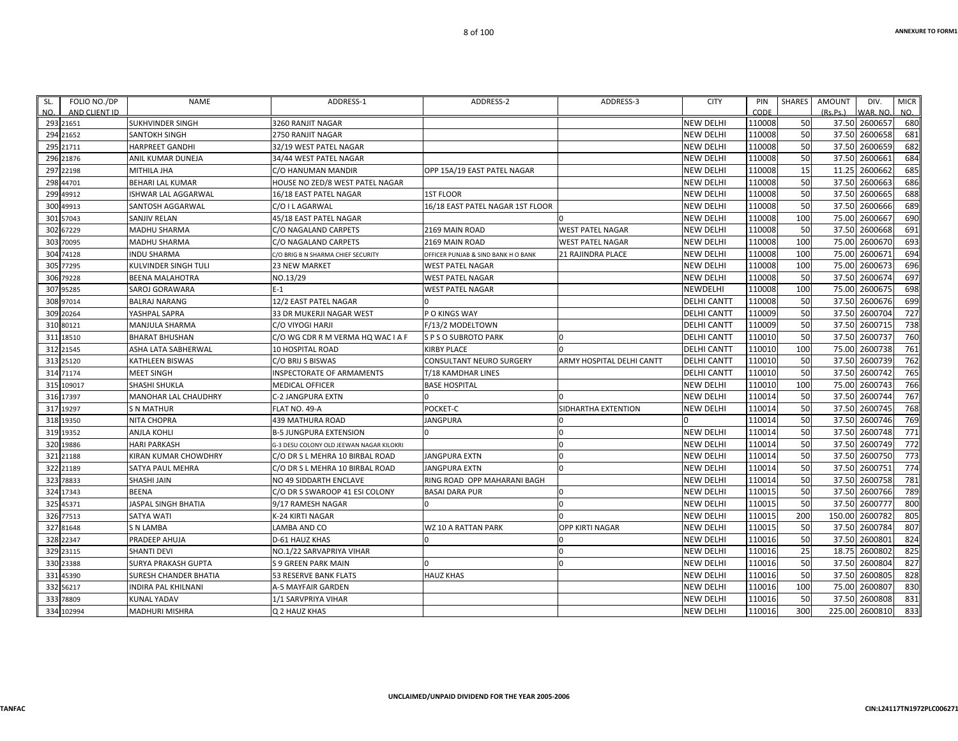| SL. | FOLIO NO./DP  | <b>NAME</b>           | ADDRESS-1                                | ADDRESS-2                           | ADDRESS-3                 | <b>CITY</b>        | PIN    | SHARES | AMOUNT   | DIV.           | <b>MICR</b> |
|-----|---------------|-----------------------|------------------------------------------|-------------------------------------|---------------------------|--------------------|--------|--------|----------|----------------|-------------|
| NO. | AND CLIENT ID |                       |                                          |                                     |                           |                    | CODE   |        | (Rs, Ps) | WAR. NO.       | NO.         |
|     | 293 21651     | SUKHVINDER SINGH      | 3260 RANJIT NAGAR                        |                                     |                           | <b>NEW DELHI</b>   | 110008 | 50     |          | 37.50 2600657  | 680         |
|     | 294 21652     | SANTOKH SINGH         | 2750 RANJIT NAGAR                        |                                     |                           | <b>NEW DELHI</b>   | 110008 | 50     |          | 37.50 2600658  | 681         |
|     | 295 21711     | HARPREET GANDHI       | 32/19 WEST PATEL NAGAR                   |                                     |                           | <b>NEW DELHI</b>   | 110008 | 50     |          | 37.50 2600659  | 682         |
|     | 296 21876     | ANIL KUMAR DUNEJA     | 34/44 WEST PATEL NAGAR                   |                                     |                           | <b>NEW DELHI</b>   | 110008 | 50     |          | 37.50 2600661  | 684         |
|     | 297 22198     | MITHILA JHA           | C/O HANUMAN MANDIR                       | OPP 15A/19 EAST PATEL NAGAR         |                           | <b>NEW DELHI</b>   | 110008 | 15     | 11.25    | 2600662        | 685         |
|     | 298 44701     | BEHARI LAL KUMAR      | <b>HOUSE NO ZED/8 WEST PATEL NAGAR</b>   |                                     |                           | <b>NEW DELHI</b>   | 110008 | 50     | 37.50    | 2600663        | 686         |
|     | 299 49912     | ISHWAR LAL AGGARWAL   | 16/18 EAST PATEL NAGAR                   | <b>1ST FLOOR</b>                    |                           | <b>NEW DELHI</b>   | 110008 | 50     |          | 37.50 2600665  | 688         |
|     | 300 49913     | SANTOSH AGGARWAL      | C/O I L AGARWAL                          | 16/18 EAST PATEL NAGAR 1ST FLOOR    |                           | <b>NEW DELHI</b>   | 110008 | 50     |          | 37.50 2600666  | 689         |
|     | 301 57043     | SANJIV RELAN          | 45/18 EAST PATEL NAGAR                   |                                     |                           | <b>NEW DELHI</b>   | 110008 | 100    | 75.00    | 2600667        | 690         |
|     | 302 67229     | MADHU SHARMA          | C/O NAGALAND CARPETS                     | 2169 MAIN ROAD                      | <b>WEST PATEL NAGAR</b>   | <b>NEW DELHI</b>   | 110008 | 50     | 37.50    | 2600668        | 691         |
|     | 303 70095     | MADHU SHARMA          | C/O NAGALAND CARPETS                     | 2169 MAIN ROAD                      | <b>WEST PATEL NAGAR</b>   | <b>NEW DELHI</b>   | 110008 | 100    |          | 75.00 2600670  | 693         |
|     | 304 74128     | INDU SHARMA           | C/O BRIG B N SHARMA CHIEF SECURITY       | OFFICER PUNJAB & SIND BANK H O BANK | <b>21 RAJINDRA PLACE</b>  | <b>NEW DELHI</b>   | 110008 | 100    |          | 75.00 2600671  | 694         |
|     | 305 77295     | KULVINDER SINGH TULI  | 23 NEW MARKET                            | <b>WEST PATEL NAGAR</b>             |                           | <b>NEW DELHI</b>   | 110008 | 100    |          | 75.00 2600673  | 696         |
|     | 306 79228     | BEENA MALAHOTRA       | NO.13/29                                 | <b>WEST PATEL NAGAR</b>             |                           | <b>NEW DELHI</b>   | 110008 | 50     |          | 37.50 2600674  | 697         |
|     | 307 95285     | SAROJ GORAWARA        | E-1                                      | <b>WEST PATEL NAGAR</b>             |                           | <b>NEWDELHI</b>    | 110008 | 100    | 75.00    | 2600675        | 698         |
|     | 308 97014     | <b>BALRAJ NARANG</b>  | 12/2 EAST PATEL NAGAR                    |                                     |                           | <b>DELHI CANTT</b> | 110008 | 50     |          | 37.50 2600676  | 699         |
|     | 309 20264     | YASHPAL SAPRA         | 33 DR MUKERJI NAGAR WEST                 | P O KINGS WAY                       |                           | <b>DELHI CANTT</b> | 110009 | 50     |          | 37.50 2600704  | 727         |
|     | 310 80121     | MANJULA SHARMA        | C/O VIYOGI HARJI                         | F/13/2 MODELTOWN                    |                           | <b>DELHI CANTT</b> | 110009 | 50     |          | 37.50 2600715  | 738         |
|     | 311 18510     | BHARAT BHUSHAN        | C/O WG CDR R M VERMA HQ WAC I A F        | S P S O SUBROTO PARK                |                           | <b>DELHI CANTT</b> | 110010 | 50     | 37.50    | 2600737        | 760         |
|     | 312 21545     | ASHA LATA SABHERWAL   | 10 HOSPITAL ROAD                         | <b>KIRBY PLACE</b>                  |                           | <b>DELHI CANTT</b> | 110010 | 100    |          | 75.00 2600738  | 761         |
|     | 313 25120     | KATHLEEN BISWAS       | C/O BRIJ S BISWAS                        | <b>CONSULTANT NEURO SURGERY</b>     | ARMY HOSPITAL DELHI CANTT | <b>DELHI CANTT</b> | 110010 | 50     |          | 37.50 2600739  | 762         |
|     | 314 71174     | MEET SINGH            | INSPECTORATE OF ARMAMENTS                | T/18 KAMDHAR LINES                  |                           | <b>DELHI CANTT</b> | 110010 | 50     |          | 37.50 2600742  | 765         |
|     | 315 109017    | SHASHI SHUKLA         | <b>MEDICAL OFFICER</b>                   | <b>BASE HOSPITAL</b>                |                           | <b>NEW DELHI</b>   | 110010 | 100    | 75.00    | 2600743        | 766         |
|     | 316 17397     | MANOHAR LAL CHAUDHRY  | C-2 JANGPURA EXTN                        | <sup>0</sup>                        |                           | <b>NEW DELHI</b>   | 110014 | 50     |          | 37.50 2600744  | 767         |
|     | 317 19297     | <b>S N MATHUR</b>     | FLAT NO. 49-A                            | POCKET-C                            | SIDHARTHA EXTENTION       | <b>NEW DELHI</b>   | 110014 | 50     | 37.50    | 2600745        | 768         |
|     | 318 19350     | NITA CHOPRA           | 439 MATHURA ROAD                         | <b>JANGPURA</b>                     |                           |                    | 110014 | 50     |          | 37.50 2600746  | 769         |
|     | 319 19352     | ANJLA KOHLI           | <b>B-5 JUNGPURA EXTENSION</b>            | $\overline{0}$                      |                           | <b>NEW DELHI</b>   | 110014 | 50     |          | 37.50 2600748  | 771         |
|     | 320 19886     | <b>HARI PARKASH</b>   | G-3 DESU COLONY OLD JEEWAN NAGAR KILOKRI |                                     |                           | <b>NEW DELHI</b>   | 110014 | 50     | 37.50    | 2600749        | 772         |
|     | 321 21188     | KIRAN KUMAR CHOWDHRY  | C/O DR S L MEHRA 10 BIRBAL ROAD          | <b>JANGPURA EXTN</b>                |                           | <b>NEW DELHI</b>   | 110014 | 50     |          | 37.50 2600750  | 773         |
|     | 322 21189     | SATYA PAUL MEHRA      | C/O DR S L MEHRA 10 BIRBAL ROAD          | <b>JANGPURA EXTN</b>                | $\Omega$                  | <b>NEW DELHI</b>   | 110014 | 50     |          | 37.50 2600751  | 774         |
|     | 323 78833     | SHASHI JAIN           | NO 49 SIDDARTH ENCLAVE                   | RING ROAD OPP MAHARANI BAGH         |                           | <b>NEW DELHI</b>   | 110014 | 50     |          | 37.50 2600758  | 781         |
|     | 324 17343     | <b>BEENA</b>          | C/O DR S SWAROOP 41 ESI COLONY           | <b>BASAI DARA PUR</b>               |                           | <b>NEW DELHI</b>   | 110015 | 50     |          | 37.50 2600766  | 789         |
|     | 325 45371     | JASPAL SINGH BHATIA   | 9/17 RAMESH NAGAR                        |                                     | $\Omega$                  | <b>NEW DELHI</b>   | 110015 | 50     | 37.50    | 2600777        | 800         |
|     | 326 77513     | SATYA WATI            | K-24 KIRTI NAGAR                         |                                     |                           | <b>NEW DELHI</b>   | 110015 | 200    |          | 150.00 2600782 | 805         |
|     | 327 81648     | S N LAMBA             | LAMBA AND CO                             | WZ 10 A RATTAN PARK                 | <b>OPP KIRTI NAGAR</b>    | <b>NEW DELHI</b>   | 110015 | 50     |          | 37.50 2600784  | 807         |
|     | 328 22347     | PRADEEP AHUJA         | D-61 HAUZ KHAS                           |                                     |                           | <b>NEW DELHI</b>   | 110016 | 50     |          | 37.50 2600801  | 824         |
|     | 329 23115     | <b>SHANTI DEVI</b>    | NO.1/22 SARVAPRIYA VIHAR                 |                                     | $\Omega$                  | <b>NEW DELHI</b>   | 110016 | 25     |          | 18.75 2600802  | 825         |
|     | 330 23388     | SURYA PRAKASH GUPTA   | <b>S 9 GREEN PARK MAIN</b>               |                                     | $\Omega$                  | <b>NEW DELHI</b>   | 110016 | 50     |          | 37.50 2600804  | 827         |
|     | 331 45390     | SURESH CHANDER BHATIA | 53 RESERVE BANK FLATS                    | <b>HAUZ KHAS</b>                    |                           | <b>NEW DELHI</b>   | 110016 | 50     |          | 37.50 2600805  | 828         |
|     | 332 56217     | INDIRA PAL KHILNANI   | A-5 MAYFAIR GARDEN                       |                                     |                           | <b>NEW DELHI</b>   | 110016 | 100    |          | 75.00 2600807  | 830         |
|     | 333 78809     | KUNAL YADAV           | 1/1 SARVPRIYA VIHAR                      |                                     |                           | <b>NEW DELHI</b>   | 110016 | 50     |          | 37.50 2600808  | 831         |
|     | 334 102994    | MADHURI MISHRA        | Q 2 HAUZ KHAS                            |                                     |                           | <b>NEW DELHI</b>   | 110016 | 300    |          | 225.00 2600810 | 833         |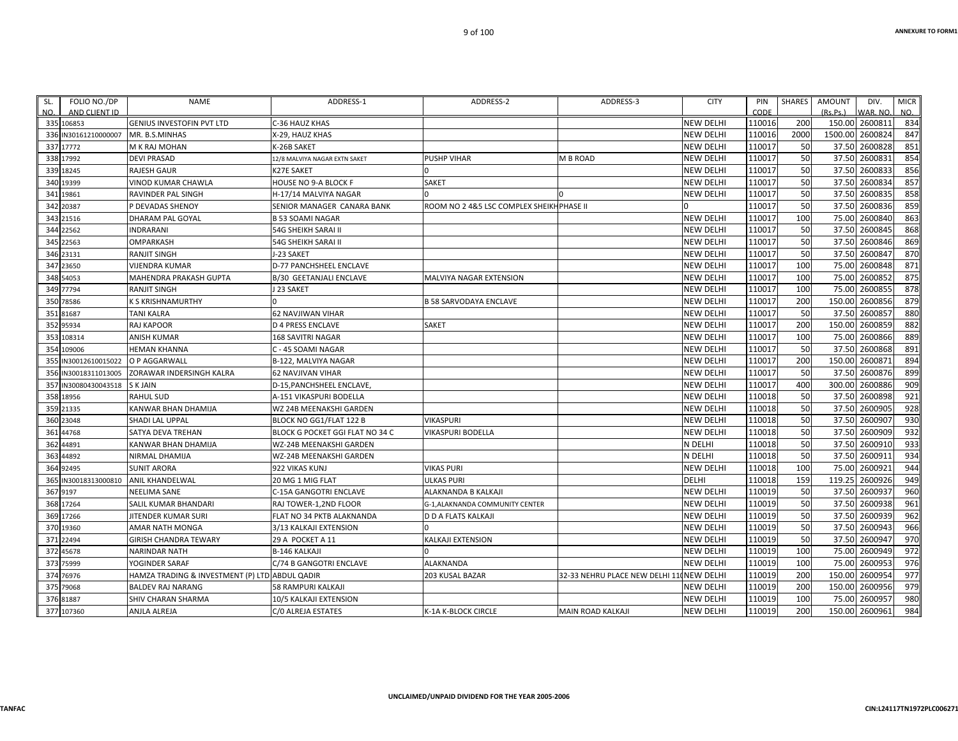**CIN:L24117TN1972PLC006271**

ALREJA C/0 ALREJA ESTATES K‐1A K‐BLOCK CIRCLE MAIN ROAD KALKAJI NEW DELHI 110019 200 150.00 2600961 984

SHARMA 10/5 KALKAJI EXTENSION NEW DELHI 2000 100 2600957 980

| FOLIO NO./DP<br>SL.                | <b>NAME</b>                                    | ADDRESS-1                       | ADDRESS-2                                | ADDRESS-3                                | <b>CITY</b>      | PIN            | SHARES | <b>AMOUNT</b> | DIV.                       | <b>MICR</b>     |
|------------------------------------|------------------------------------------------|---------------------------------|------------------------------------------|------------------------------------------|------------------|----------------|--------|---------------|----------------------------|-----------------|
| AND CLIENT ID<br>NO.               | <b>GENIUS INVESTOFIN PVT LTD</b>               | C-36 HAUZ KHAS                  |                                          |                                          | <b>NEW DELHI</b> | CODE<br>110016 | 200    | (Rs.Ps.)      | WAR. NO.<br>150.00 2600811 | NO.<br>834      |
| 335 106853<br>336 IN30161210000007 | MR. B.S.MINHAS                                 | X-29, HAUZ KHAS                 |                                          |                                          | <b>NEW DELHI</b> | 110016         | 2000   | 1500.00       | 2600824                    | 847             |
| 337 17772                          | M K RAJ MOHAN                                  | K-26B SAKET                     |                                          |                                          | <b>NEW DELHI</b> | 110017         | 50     | 37.50         | 2600828                    | 851             |
| 338 17992                          | <b>DEVI PRASAD</b>                             | 12/8 MALVIYA NAGAR EXTN SAKET   | <b>PUSHP VIHAR</b>                       | M B ROAD                                 | <b>NEW DELHI</b> | 110017         | 50     | 37.50         | 2600831                    | 854             |
| 339 18245                          | <b>RAJESH GAUR</b>                             | K27E SAKET                      |                                          |                                          | <b>NEW DELHI</b> | 110017         | 50     | 37.50         | 2600833                    | 856             |
| 340 19399                          | <b>VINOD KUMAR CHAWLA</b>                      | HOUSE NO 9-A BLOCK F            | <b>SAKET</b>                             |                                          | <b>NEW DELHI</b> | 110017         | 50     |               | 37.50 2600834              | 857             |
| 341 19861                          | RAVINDER PAL SINGH                             | H-17/14 MALVIYA NAGAR           |                                          |                                          | <b>NEW DELHI</b> | 110017         | 50     | 37.50         | 2600835                    | 858             |
| 342 20387                          | P DEVADAS SHENOY                               | SENIOR MANAGER CANARA BANK      | ROOM NO 2 4&5 LSC COMPLEX SHEIKHPHASE II |                                          |                  | 110017         | 50     | 37.50         | 2600836                    | 859             |
| 343 21516                          | <b>DHARAM PAL GOYAL</b>                        | <b>B 53 SOAMI NAGAR</b>         |                                          |                                          | <b>NEW DELHI</b> | 110017         | 100    |               | 75.00 2600840              | 863             |
| 344 22562                          | <b>INDRARANI</b>                               | 54G SHEIKH SARAI II             |                                          |                                          | <b>NEW DELHI</b> | 110017         | 50     |               | 37.50 2600845              | 868             |
| 345 22563                          | OMPARKASH                                      | 54G SHEIKH SARAI II             |                                          |                                          | <b>NEW DELHI</b> | 110017         | 50     | 37.50         | 2600846                    | 869             |
| 346 23131                          | <b>RANJIT SINGH</b>                            | J-23 SAKET                      |                                          |                                          | <b>NEW DELHI</b> | 110017         | 50     |               | 37.50 2600847              | 87C             |
| 347 23650                          | <b>VIJENDRA KUMAR</b>                          | D-77 PANCHSHEEL ENCLAVE         |                                          |                                          | <b>NEW DELHI</b> | 110017         | 100    | 75.00         | 2600848                    | 871             |
| 348 54053                          | MAHENDRA PRAKASH GUPTA                         | <b>B/30 GEETANJALI ENCLAVE</b>  | <b>MALVIYA NAGAR EXTENSION</b>           |                                          | <b>NEW DELHI</b> | 110017         | 100    | 75.00         | 2600852                    | 875             |
| 349 77794                          | <b>RANJIT SINGH</b>                            | J 23 SAKET                      |                                          |                                          | <b>NEW DELHI</b> | 110017         | 100    |               | 75.00 2600855              | 878             |
| 350 78586                          | K S KRISHNAMURTHY                              |                                 | <b>B 58 SARVODAYA ENCLAVE</b>            |                                          | <b>NEW DELHI</b> | 110017         | 200    | 150.00        | 2600856                    | 879             |
| 351 81687                          | <b>TANI KALRA</b>                              | 62 NAVJIWAN VIHAR               |                                          |                                          | <b>NEW DELHI</b> | 110017         | 50     |               | 37.50 2600857              | <b>880</b>      |
| 352 95934                          | <b>RAJ KAPOOR</b>                              | <b>D 4 PRESS ENCLAVE</b>        | <b>SAKET</b>                             |                                          | <b>NEW DELHI</b> | 110017         | 200    |               | 150.00 2600859             | 882             |
| 353 108314                         | ANISH KUMAR                                    | 168 SAVITRI NAGAR               |                                          |                                          | <b>NEW DELHI</b> | 110017         | 100    |               | 75.00 2600866              | 889             |
| 354 109006                         | <b>HEMAN KHANNA</b>                            | C - 45 SOAMI NAGAR              |                                          |                                          | <b>NEW DELHI</b> | 110017         | 50     |               | 37.50 2600868              | 891             |
| 355 IN30012610015022               | O P AGGARWALL                                  | <b>B-122. MALVIYA NAGAR</b>     |                                          |                                          | <b>NEW DELHI</b> | 110017         | 200    | 150.00        | 2600871                    | 894             |
| 356 IN30018311013005               | ZORAWAR INDERSINGH KALRA                       | 62 NAVJIVAN VIHAR               |                                          |                                          | <b>NEW DELHI</b> | 110017         | 50     | 37.50         | 2600876                    | 899             |
| 357 IN30080430043518               | <b>SKJAIN</b>                                  | D-15, PANCHSHEEL ENCLAVE,       |                                          |                                          | <b>NEW DELHI</b> | 110017         | 400    | 300.00        | 2600886                    | 909             |
| 358 18956                          | <b>RAHUL SUD</b>                               | A-151 VIKASPURI BODELLA         |                                          |                                          | <b>NEW DELHI</b> | 110018         | 50     |               | 37.50 2600898              | 921             |
| 359 21335                          | KANWAR BHAN DHAMIJA                            | WZ 24B MEENAKSHI GARDEN         |                                          |                                          | <b>NEW DELHI</b> | 110018         | 50     |               | 37.50 2600905              | 928             |
| 360 23048                          | SHADI LAL UPPAL                                | BLOCK NO GG1/FLAT 122 B         | <b>VIKASPURI</b>                         |                                          | <b>NEW DELHI</b> | 110018         | 50     | 37.50         | 2600907                    | 93C             |
| 361 44768                          | SATYA DEVA TREHAN                              | BLOCK G POCKET GGI FLAT NO 34 C | VIKASPURI BODELLA                        |                                          | <b>NEW DELHI</b> | 110018         | 50     |               | 37.50 2600909              | 932             |
| 362 44891                          | KANWAR BHAN DHAMIJA                            | WZ-24B MEENAKSHI GARDEN         |                                          |                                          | N DELHI          | 110018         | 50     |               | 37.50 2600910              | 933             |
| 363 44892                          | NIRMAL DHAMIJA                                 | WZ-24B MEENAKSHI GARDEN         |                                          |                                          | N DELHI          | 110018         | 50     |               | 37.50 2600911              | 934             |
| 364 92495                          | <b>SUNIT ARORA</b>                             | 922 VIKAS KUNJ                  | <b>VIKAS PURI</b>                        |                                          | <b>NEW DELHI</b> | 110018         | 100    | 75.00         | 2600921                    | 944             |
| 365 IN30018313000810               | ANIL KHANDELWAL                                | 20 MG 1 MIG FLAT                | <b>ULKAS PURI</b>                        |                                          | DELHI            | 110018         | 159    |               | 119.25 2600926             | 949             |
| 367 9197                           | <b>NEELIMA SANE</b>                            | C-15A GANGOTRI ENCLAVE          | ALAKNANDA B KALKAJI                      |                                          | <b>NEW DELHI</b> | 110019         | 50     |               | 37.50 2600937              | 96 <sub>C</sub> |
| 368 17264                          | SALIL KUMAR BHANDARI                           | RAJ TOWER-1,2ND FLOOR           | G-1, ALAKNANDA COMMUNITY CENTER          |                                          | <b>NEW DELHI</b> | 110019         | 50     | 37.50         | 2600938                    | 961             |
| 369 17266                          | <b>JITENDER KUMAR SURI</b>                     | FLAT NO 34 PKTB ALAKNANDA       | <b>D D A FLATS KALKAJI</b>               |                                          | <b>NEW DELHI</b> | 110019         | 50     |               | 37.50 2600939              | 962             |
| 370 19360                          | AMAR NATH MONGA                                | 3/13 KALKAJI EXTENSION          |                                          |                                          | <b>NEW DELHI</b> | 110019         | 50     | 37.50         | 2600943                    | 966             |
| 371 22494                          | <b>GIRISH CHANDRA TEWARY</b>                   | 29 A POCKET A 11                | KALKAJI EXTENSION                        |                                          | <b>NEW DELHI</b> | 110019         | 50     |               | 37.50 2600947              | 97 <sub>C</sub> |
| 372 45678                          | NARINDAR NATH                                  | <b>B-146 KALKAJI</b>            |                                          |                                          | <b>NEW DELHI</b> | 110019         | 100    |               | 75.00 2600949              | 972             |
| 373 75999                          | YOGINDER SARAF                                 | C/74 B GANGOTRI ENCLAVE         | ALAKNANDA                                |                                          | <b>NEW DELHI</b> | 110019         | 100    | 75.00         | 2600953                    | 976             |
| 374 76976                          | HAMZA TRADING & INVESTMENT (P) LTD ABDUL QADIR |                                 | 203 KUSAL BAZAR                          | 32-33 NEHRU PLACE NEW DELHI 11 NEW DELHI |                  | 110019         | 200    | 150.00        | 2600954                    | 977             |
| 375 79068                          | <b>BALDEV RAJ NARANG</b>                       | 58 RAMPURI KALKAJI              |                                          |                                          | <b>NEW DELHI</b> | 110019         | 200    |               | 150.00 2600956             | 979             |

9 of 100

SHIV CHARAN SHARMA

376 81887 SHIV

377 107360 ANJLA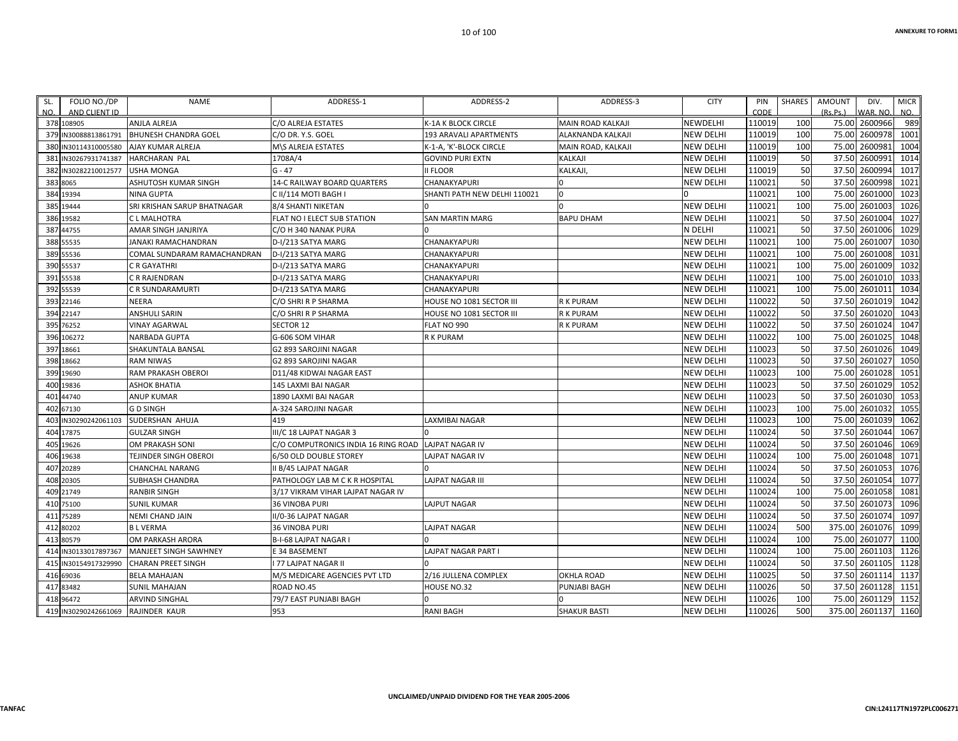| SL.<br>FOLIO NO./DP<br>NO.<br>AND CLIENT ID | <b>NAME</b>                 | ADDRESS-1                           | ADDRESS-2                    | ADDRESS-3           | <b>CITY</b>      | PIN<br>CODE | SHARES | AMOUNT<br>(Rs, Ps) | DIV.<br>WAR, NO. | <b>MICR</b><br>NO. |
|---------------------------------------------|-----------------------------|-------------------------------------|------------------------------|---------------------|------------------|-------------|--------|--------------------|------------------|--------------------|
| 378 108905                                  | ANJLA ALREJA                | C/O ALREJA ESTATES                  | K-1A K BLOCK CIRCLE          | MAIN ROAD KALKAJI   | <b>NEWDELHI</b>  | 110019      | 100    |                    | 75.00 2600966    | 989                |
| 379 IN30088813861791                        | <b>BHUNESH CHANDRA GOEL</b> | C/O DR. Y.S. GOEL                   | 193 ARAVALI APARTMENTS       | ALAKNANDA KALKAJI   | <b>NEW DELHI</b> | 110019      | 100    |                    | 75.00 2600978    | 1001               |
| 380<br>IN30114310005580                     | AJAY KUMAR ALREJA           | M\S ALREJA ESTATES                  | K-1-A, 'K'-BLOCK CIRCLE      | MAIN ROAD, KALKAJI  | <b>NEW DELHI</b> | 110019      | 100    |                    | 75.00 2600981    | 1004               |
| 381 IN30267931741387                        | <b>HARCHARAN PAL</b>        | 1708A/4                             | <b>GOVIND PURI EXTN</b>      | KALKAJI             | <b>NEW DELHI</b> | 110019      | 50     |                    | 37.50 2600991    | 1014               |
| 382 IN30282210012577                        | <b>USHA MONGA</b>           | $G - 47$                            | <b>II FLOOR</b>              | KALKAJI,            | <b>NEW DELHI</b> | 110019      | 50     |                    | 37.50 2600994    | 1017               |
| 383 8065                                    | ASHUTOSH KUMAR SINGH        | 14-C RAILWAY BOARD QUARTERS         | CHANAKYAPURI                 |                     | <b>NEW DELHI</b> | 110021      | 50     |                    | 37.50 2600998    | 1021               |
| 384 19394                                   | <b>NINA GUPTA</b>           | C II/114 MOTI BAGH I                | SHANTI PATH NEW DELHI 110021 | 0                   |                  | 110021      | 100    |                    | 75.00 2601000    | 1023               |
| 385 19444                                   | SRI KRISHAN SARUP BHATNAGAR | 8/4 SHANTI NIKETAN                  |                              |                     | <b>NEW DELHI</b> | 110021      | 100    |                    | 75.00 2601003    | 1026               |
| 386 19582                                   | C L MALHOTRA                | FLAT NO I ELECT SUB STATION         | <b>SAN MARTIN MARG</b>       | <b>BAPU DHAM</b>    | <b>NEW DELHI</b> | 110021      | 50     |                    | 37.50 2601004    | 1027               |
| 387 44755                                   | AMAR SINGH JANJRIYA         | C/O H 340 NANAK PURA                |                              |                     | N DELHI          | 110021      | 50     |                    | 37.50 2601006    | 1029               |
| 388 55535                                   | IANAKI RAMACHANDRAN         | D-I/213 SATYA MARG                  | CHANAKYAPURI                 |                     | <b>NEW DELHI</b> | 110021      | 100    |                    | 75.00 2601007    | 1030               |
| 389 55536                                   | COMAL SUNDARAM RAMACHANDRAN | D-I/213 SATYA MARG                  | CHANAKYAPURI                 |                     | <b>NEW DELHI</b> | 110021      | 100    |                    | 75.00 2601008    | 1031               |
| 390 55537                                   | C R GAYATHRI                | D-I/213 SATYA MARG                  | CHANAKYAPURI                 |                     | <b>NEW DELHI</b> | 110021      | 100    | 75.00              | 2601009          | 1032               |
| 391 55538                                   | C R RAJENDRAN               | D-I/213 SATYA MARG                  | CHANAKYAPURI                 |                     | <b>NEW DELHI</b> | 110021      | 100    |                    | 75.00 2601010    | 1033               |
| 392 55539                                   | C R SUNDARAMURTI            | D-I/213 SATYA MARG                  | CHANAKYAPURI                 |                     | <b>NEW DELHI</b> | 110021      | 100    | 75.00              | 2601011          | 1034               |
| 393 22146                                   | NEERA                       | C/O SHRI R P SHARMA                 | HOUSE NO 1081 SECTOR III     | R K PURAM           | <b>NEW DELHI</b> | 110022      | 50     |                    | 37.50 2601019    | 1042               |
| 394 22147                                   | ANSHULI SARIN               | C/O SHRI R P SHARMA                 | HOUSE NO 1081 SECTOR III     | R K PURAM           | <b>NEW DELHI</b> | 110022      | 50     |                    | 37.50 2601020    | 1043               |
| 395 76252                                   | <b>VINAY AGARWAL</b>        | SECTOR 12                           | FLAT NO 990                  | <b>R K PURAM</b>    | <b>NEW DELHI</b> | 110022      | 50     |                    | 37.50 2601024    | 1047               |
| 396 106272                                  | NARBADA GUPTA               | G-606 SOM VIHAR                     | R K PURAM                    |                     | <b>NEW DELHI</b> | 110022      | 100    | 75.00              | 2601025          | 1048               |
| 397 18661                                   | SHAKUNTALA BANSAL           | G2 893 SAROJINI NAGAR               |                              |                     | <b>NEW DELHI</b> | 110023      | 50     |                    | 37.50 2601026    | 1049               |
| 398<br>18662                                | <b>RAM NIWAS</b>            | G2 893 SAROJINI NAGAR               |                              |                     | <b>NEW DELHI</b> | 110023      | 50     |                    | 37.50 2601027    | 1050               |
| 399<br>19690                                | RAM PRAKASH OBEROI          | D11/48 KIDWAI NAGAR EAST            |                              |                     | <b>NEW DELHI</b> | 110023      | 100    |                    | 75.00 2601028    | 1051               |
| 400<br>19836                                | ASHOK BHATIA                | 145 LAXMI BAI NAGAR                 |                              |                     | <b>NEW DELHI</b> | 110023      | 50     |                    | 37.50 2601029    | 1052               |
| 401 44740                                   | <b>ANUP KUMAR</b>           | 1890 LAXMI BAI NAGAR                |                              |                     | <b>NEW DELHI</b> | 110023      | 50     |                    | 37.50 2601030    | 1053               |
| 402 67130                                   | <b>GD SINGH</b>             | A-324 SAROJINI NAGAR                |                              |                     | <b>NEW DELHI</b> | 110023      | 100    |                    | 75.00 2601032    | 1055               |
| IN30290242061103<br>403                     | SUDERSHAN AHUJA             | 419                                 | LAXMIBAI NAGAR               |                     | <b>NEW DELHI</b> | 110023      | 100    |                    | 75.00 2601039    | 1062               |
| 404<br>17875                                | <b>GULZAR SINGH</b>         | III/C 18 LAJPAT NAGAR 3             |                              |                     | <b>NEW DELHI</b> | 110024      | 50     |                    | 37.50 2601044    | 1067               |
| 405<br>19626                                | OM PRAKASH SONI             | C/O COMPUTRONICS INDIA 16 RING ROAD | <b>LAJPAT NAGAR IV</b>       |                     | <b>NEW DELHI</b> | 110024      | 50     |                    | 37.50 2601046    | 1069               |
| 406<br>19638                                | TEJINDER SINGH OBEROI       | 6/50 OLD DOUBLE STOREY              | <b>LAJPAT NAGAR IV</b>       |                     | <b>NEW DELHI</b> | 110024      | 100    |                    | 75.00 2601048    | 1071               |
| 407 20289                                   | CHANCHAL NARANG             | II B/45 LAJPAT NAGAR                |                              |                     | <b>NEW DELHI</b> | 110024      | 50     |                    | 37.50 2601053    | 1076               |
| 408 20305                                   | SUBHASH CHANDRA             | PATHOLOGY LAB M C K R HOSPITAL      | <b>LAJPAT NAGAR III</b>      |                     | <b>NEW DELHI</b> | 110024      | 50     |                    | 37.50 2601054    | 1077               |
| 409 21749                                   | <b>RANBIR SINGH</b>         | 3/17 VIKRAM VIHAR LAJPAT NAGAR IV   |                              |                     | <b>NEW DELHI</b> | 110024      | 100    |                    | 75.00 2601058    | 1081               |
| 410 75100                                   | <b>SUNIL KUMAR</b>          | 36 VINOBA PURI                      | LAJPUT NAGAR                 |                     | <b>NEW DELHI</b> | 110024      | 50     |                    | 37.50 2601073    | 1096               |
| 411 75289                                   | NEMI CHAND JAIN             | II/0-36 LAJPAT NAGAR                |                              |                     | <b>NEW DELHI</b> | 110024      | 50     |                    | 37.50 2601074    | 1097               |
| 412 80202                                   | <b>BLVERMA</b>              | <b>36 VINOBA PURI</b>               | <b>LAJPAT NAGAR</b>          |                     | <b>NEW DELHI</b> | 110024      | 500    |                    | 375.00 2601076   | 1099               |
| 413 80579                                   | OM PARKASH ARORA            | B-I-68 LAJPAT NAGAR I               |                              |                     | <b>NEW DELHI</b> | 110024      | 100    |                    | 75.00 2601077    | 1100               |
| 414 IN30133017897367                        | MANJEET SINGH SAWHNEY       | E 34 BASEMENT                       | <b>LAJPAT NAGAR PART I</b>   |                     | <b>NEW DELHI</b> | 110024      | 100    |                    | 75.00 2601103    | 1126               |
| 415<br>IN30154917329990                     | <b>CHARAN PREET SINGH</b>   | 77 LAJPAT NAGAR II                  |                              |                     | <b>NEW DELHI</b> | 110024      | 50     |                    | 37.50 2601105    | 1128               |
| 416 69036                                   | <b>BELA MAHAJAN</b>         | M/S MEDICARE AGENCIES PVT LTD       | 2/16 JULLENA COMPLEX         | OKHLA ROAD          | <b>NEW DELHI</b> | 110025      | 50     |                    | 37.50 2601114    | 1137               |
| 417 83482                                   | <b>SUNIL MAHAJAN</b>        | ROAD NO.45                          | HOUSE NO.32                  | PUNJABI BAGH        | <b>NEW DELHI</b> | 110026      | 50     |                    | 37.50 2601128    | 1151               |
| 418 96472                                   | <b>ARVIND SINGHAL</b>       | 79/7 EAST PUNJABI BAGH              |                              |                     | <b>NEW DELHI</b> | 110026      | 100    |                    | 75.00 2601129    | 1152               |
| 419 IN30290242661069                        | RAJINDER KAUR               | 953                                 | <b>RANI BAGH</b>             | <b>SHAKUR BASTI</b> | <b>NEW DELHI</b> | 110026      | 500    |                    | 375.00 2601137   | 1160               |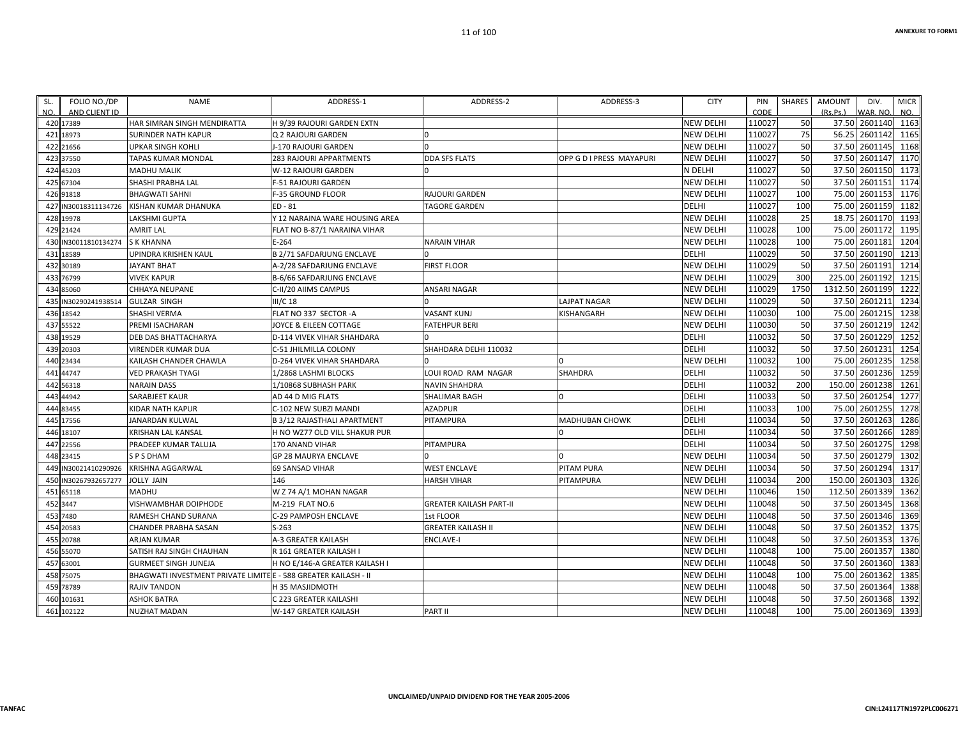| SL. | FOLIO NO./DP               | <b>NAME</b>                                                     | ADDRESS-1                          | ADDRESS-2                      | ADDRESS-3                | <b>CITY</b>      | PIN            | SHARES | AMOUNT   | DIV.                     | <b>MICR</b> |
|-----|----------------------------|-----------------------------------------------------------------|------------------------------------|--------------------------------|--------------------------|------------------|----------------|--------|----------|--------------------------|-------------|
| NO. | AND CLIENT ID<br>420 17389 | HAR SIMRAN SINGH MENDIRATTA                                     | H 9/39 RAJOURI GARDEN EXTN         |                                |                          | <b>NEW DELHI</b> | CODE<br>110027 | 50     | (Rs.Ps.) | WAR, NO<br>37.50 2601140 | NO.<br>1163 |
|     | 421 18973                  | SURINDER NATH KAPUR                                             | Q 2 RAJOURI GARDEN                 |                                |                          | <b>NEW DELHI</b> | 110027         | 75     |          | 56.25 2601142            | 1165        |
|     | 422 21656                  | <b>UPKAR SINGH KOHLI</b>                                        | J-170 RAJOURI GARDEN               | $\Omega$                       |                          | <b>NEW DELHI</b> | 110027         | 50     | 37.50    | 2601145                  | 1168        |
|     | 423 37550                  | TAPAS KUMAR MONDAL                                              | 283 RAJOURI APPARTMENTS            | <b>DDA SFS FLATS</b>           | OPP G D I PRESS MAYAPURI | <b>NEW DELHI</b> | 110027         | 50     |          | 37.50 2601147            | 1170        |
|     | 424 45203                  | <b>MADHU MALIK</b>                                              | W-12 RAJOURI GARDEN                |                                |                          | N DELHI          | 110027         | 50     |          | 37.50 2601150            | 1173        |
|     | 425 67304                  | SHASHI PRABHA LAL                                               | F-51 RAJOURI GARDEN                |                                |                          | <b>NEW DELHI</b> | 110027         | 50     |          | 37.50 2601151            | 1174        |
|     | 426 91818                  | <b>BHAGWATI SAHNI</b>                                           | <b>F-35 GROUND FLOOR</b>           | RAJOURI GARDEN                 |                          | <b>NEW DELHI</b> | 110027         | 100    | 75.00    | 2601153                  | 1176        |
|     | 427 IN30018311134726       | KISHAN KUMAR DHANUKA                                            | ED-81                              | <b>TAGORE GARDEN</b>           |                          | <b>DELHI</b>     | 110027         | 100    | 75.00    | 2601159                  | 1182        |
|     | 428 19978                  | LAKSHMI GUPTA                                                   | Y 12 NARAINA WARE HOUSING AREA     |                                |                          | <b>NEW DELHI</b> | 110028         | 25     |          | 18.75 2601170            | 1193        |
|     | 429 21424                  | <b>AMRIT LAL</b>                                                | FLAT NO B-87/1 NARAINA VIHAR       |                                |                          | <b>NEW DELHI</b> | 110028         | 100    | 75.00    | 2601172                  | 1195        |
|     | 430 IN30011810134274       | <b>S K KHANNA</b>                                               | $E - 264$                          | <b>NARAIN VIHAR</b>            |                          | <b>NEW DELHI</b> | 110028         | 100    | 75.00    | 2601181                  | 1204        |
|     | 431 18589                  | UPINDRA KRISHEN KAUL                                            | <b>B 2/71 SAFDARJUNG ENCLAVE</b>   |                                |                          | <b>DELHI</b>     | 110029         | 50     |          | 37.50 2601190            | 1213        |
|     | 432 30189                  | <b>JAYANT BHAT</b>                                              | A-2/28 SAFDARJUNG ENCLAVE          | <b>FIRST FLOOR</b>             |                          | <b>NEW DELHI</b> | 110029         | 50     |          | 37.50 2601191            | 1214        |
|     | 433 76799                  | <b>VIVEK KAPUR</b>                                              | B-6/66 SAFDARJUNG ENCLAVE          |                                |                          | <b>NEW DELHI</b> | 110029         | 300    |          | 225.00 2601192           | 1215        |
|     | 434 85060                  | CHHAYA NEUPANE                                                  | C-II/20 AIIMS CAMPUS               | ANSARI NAGAR                   |                          | <b>NEW DELHI</b> | 110029         | 1750   | 1312.50  | 2601199                  | 1222        |
|     | 435 IN30290241938514       | <b>GULZAR SINGH</b>                                             | $III/C$ 18                         |                                | LAJPAT NAGAR             | <b>NEW DELHI</b> | 110029         | 50     | 37.50    | 2601211                  | 1234        |
|     | 436 18542                  | SHASHI VERMA                                                    | FLAT NO 337 SECTOR -A              | VASANT KUNJ                    | KISHANGARH               | <b>NEW DELHI</b> | 110030         | 100    | 75.00    | 2601215                  | 1238        |
|     | 437 55522                  | PREMI ISACHARAN                                                 | JOYCE & EILEEN COTTAGE             | FATEHPUR BERI                  |                          | <b>NEW DELHI</b> | 110030         | 50     |          | 37.50 2601219            | 1242        |
|     | 438 19529                  | DEB DAS BHATTACHARYA                                            | D-114 VIVEK VIHAR SHAHDARA         |                                |                          | <b>DELHI</b>     | 110032         | 50     | 37.50    | 2601229                  | 1252        |
|     | 439 20303                  | <b>VIRENDER KUMAR DUA</b>                                       | C-51 JHILMILLA COLONY              | SHAHDARA DELHI 110032          |                          | <b>DELHI</b>     | 110032         | 50     |          | 37.50 2601231            | 1254        |
|     | 440 23434                  | KAILASH CHANDER CHAWLA                                          | D-264 VIVEK VIHAR SHAHDARA         |                                |                          | <b>NEW DELHI</b> | 110032         | 100    | 75.00    | 2601235                  | 1258        |
|     | 441 44747                  | VED PRAKASH TYAGI                                               | 1/2868 LASHMI BLOCKS               | LOUI ROAD RAM NAGAR            | <b>SHAHDRA</b>           | <b>DELHI</b>     | 110032         | 50     | 37.50    | 2601236                  | 1259        |
|     | 442 56318                  | <b>NARAIN DASS</b>                                              | 1/10868 SUBHASH PARK               | NAVIN SHAHDRA                  |                          | <b>DELHI</b>     | 110032         | 200    | 150.00   | 2601238                  | 1261        |
|     | 443 44942                  | SARABJEET KAUR                                                  | AD 44 D MIG FLATS                  | SHALIMAR BAGH                  | $\Omega$                 | DELHI            | 110033         | 50     | 37.50    | 2601254                  | 1277        |
|     | 444 83455                  | KIDAR NATH KAPUR                                                | C-102 NEW SUBZI MANDI              | <b>AZADPUR</b>                 |                          | <b>DELHI</b>     | 110033         | 100    | 75.00    | 2601255                  | 1278        |
|     | 445 17556                  | JANARDAN KULWAL                                                 | <b>B 3/12 RAJASTHALI APARTMENT</b> | PITAMPURA                      | MADHUBAN CHOWK           | DELHI            | 110034         | 50     | 37.50    | 2601263                  | 1286        |
|     | 446 18107                  | KRISHAN LAL KANSAL                                              | H NO WZ77 OLD VILL SHAKUR PUR      |                                | $\Omega$                 | <b>DELHI</b>     | 110034         | 50     |          | 37.50 2601266            | 1289        |
|     | 447 22556                  | PRADEEP KUMAR TALUJA                                            | <b>170 ANAND VIHAR</b>             | PITAMPURA                      |                          | <b>DELHI</b>     | 110034         | 50     |          | 37.50 2601275            | 1298        |
|     | 448 23415                  | <b>SPSDHAM</b>                                                  | <b>GP 28 MAURYA ENCLAVE</b>        |                                |                          | <b>NEW DELHI</b> | 110034         | 50     |          | 37.50 2601279            | 1302        |
|     | 449 IN30021410290926       | <b>KRISHNA AGGARWAL</b>                                         | <b>69 SANSAD VIHAR</b>             | <b>WEST ENCLAVE</b>            | PITAM PURA               | <b>NEW DELHI</b> | 110034         | 50     |          | 37.50 2601294            | 1317        |
|     | 450 IN30267932657277       | <b>JOLLY JAIN</b>                                               | 146                                | <b>HARSH VIHAR</b>             | PITAMPURA                | <b>NEW DELHI</b> | 110034         | 200    |          | 150.00 2601303           | 1326        |
|     | 451 65118                  | MADHU                                                           | W Z 74 A/1 MOHAN NAGAR             |                                |                          | <b>NEW DELHI</b> | 110046         | 150    | 112.50   | 2601339                  | 1362        |
|     | 452 3447                   | VISHWAMBHAR DOIPHODE                                            | M-219 FLAT NO.6                    | <b>GREATER KAILASH PART-II</b> |                          | <b>NEW DELHI</b> | 110048         | 50     |          | 37.50 2601345            | 1368        |
|     | 453 7480                   | RAMESH CHAND SURANA                                             | C-29 PAMPOSH ENCLAVE               | 1st FLOOR                      |                          | <b>NEW DELHI</b> | 110048         | 50     |          | 37.50 2601346            | 1369        |
|     | 454 20583                  | CHANDER PRABHA SASAN                                            | $S-263$                            | GREATER KAILASH II             |                          | <b>NEW DELHI</b> | 110048         | 50     |          | 37.50 2601352            | 1375        |
|     | 455 20788                  | ARJAN KUMAR                                                     | A-3 GREATER KAILASH                | <b>ENCLAVE-I</b>               |                          | <b>NEW DELHI</b> | 110048         | 50     | 37.50    | 2601353                  | 1376        |
|     | 456 55070                  | SATISH RAJ SINGH CHAUHAN                                        | R 161 GREATER KAILASH I            |                                |                          | <b>NEW DELHI</b> | 110048         | 100    | 75.00    | 2601357                  | 1380        |
|     | 457 63001                  | <b>GURMEET SINGH JUNEJA</b>                                     | H NO E/146-A GREATER KAILASH I     |                                |                          | <b>NEW DELHI</b> | 110048         | 50     |          | 37.50 2601360            | 1383        |
|     | 458 75075                  | BHAGWATI INVESTMENT PRIVATE LIMITE E - 588 GREATER KAILASH - II |                                    |                                |                          | <b>NEW DELHI</b> | 110048         | 100    | 75.00    | 2601362                  | 1385        |
|     | 459 78789                  | <b>RAJIV TANDON</b>                                             | H 35 MASJIDMOTH                    |                                |                          | <b>NEW DELHI</b> | 110048         | 50     |          | 37.50 2601364            | 1388        |
|     | 460 101631                 | <b>ASHOK BATRA</b>                                              | C 223 GREATER KAILASHI             |                                |                          | <b>NEW DELHI</b> | 110048         | 50     | 37.50    | 2601368                  | 1392        |
|     | 461 102122                 | NUZHAT MADAN                                                    | W-147 GREATER KAILASH              | PART II                        |                          | <b>NEW DELHI</b> | 110048         | 100    |          | 75.00 2601369            | 1393        |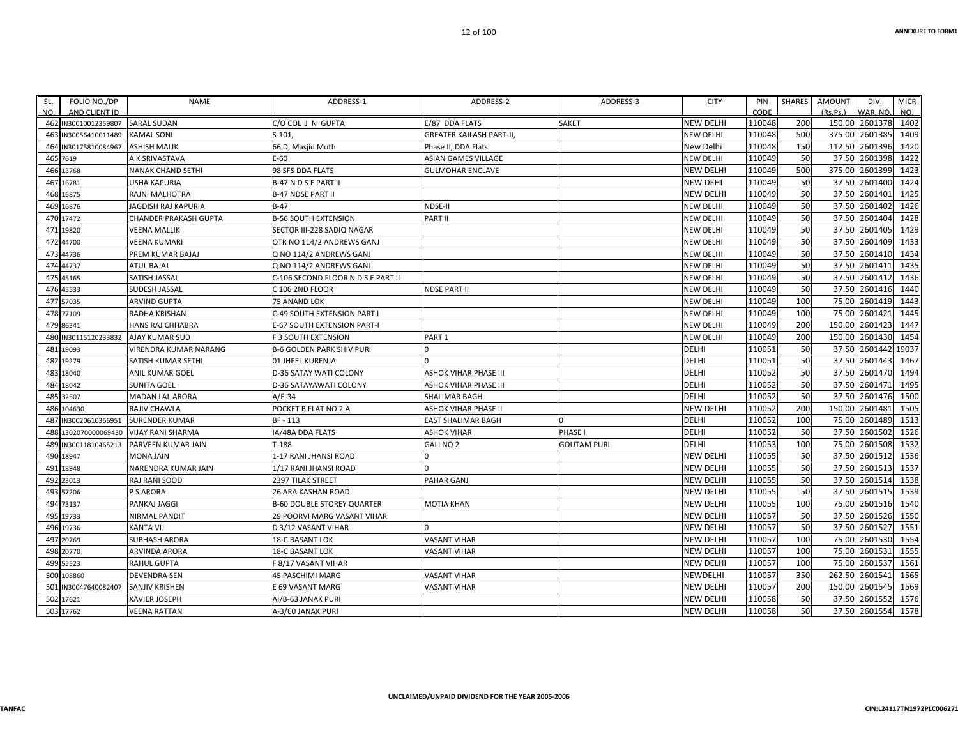| SL. | FOLIO NO./DP         | NAME                     | ADDRESS-1                          | ADDRESS-2                | ADDRESS-3          | <b>CITY</b>      | PIN    | <b>SHARES</b> | <b>AMOUNT</b> | DIV.                | <b>MICR</b> |
|-----|----------------------|--------------------------|------------------------------------|--------------------------|--------------------|------------------|--------|---------------|---------------|---------------------|-------------|
| NO. | AND CLIENT ID        |                          |                                    |                          |                    |                  | CODE   |               | (Rs.Ps.)      | VAR. NO.            | NO.         |
|     | 462 IN30010012359807 | <b>SARAL SUDAN</b>       | C/O COL J N GUPTA                  | E/87 DDA FLATS           | <b>SAKET</b>       | <b>NEW DELHI</b> | 110048 | 200           |               | 150.00 2601378 1402 |             |
|     | 463 IN30056410011489 | <b>KAMAL SONI</b>        | $S-101.$                           | GREATER KAILASH PART-II, |                    | <b>NEW DELHI</b> | 110048 | 500           | 375.00        | 2601385             | 1409        |
|     | 464 IN30175810084967 | <b>ASHISH MALIK</b>      | 66 D, Masjid Moth                  | Phase II, DDA Flats      |                    | New Delhi        | 110048 | 150           | 112.50        | 2601396             | 1420        |
|     | 465 7619             | A K SRIVASTAVA           | $E-60$                             | ASIAN GAMES VILLAGE      |                    | <b>NEW DELHI</b> | 110049 | 50            | 37.50         | 2601398             | 1422        |
|     | 466 13768            | <b>NANAK CHAND SETHI</b> | 98 SFS DDA FLATS                   | <b>GULMOHAR ENCLAVE</b>  |                    | <b>NEW DELHI</b> | 110049 | 500           | 375.00        | 2601399             | 1423        |
|     | 467 16781            | <b>USHA KAPURIA</b>      | <b>B-47 N D S E PART II</b>        |                          |                    | <b>NEW DEHI</b>  | 110049 | 50            | 37.50         | 2601400             | 1424        |
|     | 468 16875            | RAJNI MALHOTRA           | <b>B-47 NDSE PART II</b>           |                          |                    | <b>NEW DELHI</b> | 110049 | 50            | 37.50         | 2601401             | 1425        |
|     | 469 16876            | JAGDISH RAJ KAPURIA      | $B-47$                             | NDSE-II                  |                    | <b>NEW DELHI</b> | 110049 | 50            | 37.50         | 2601402             | 1426        |
|     | 470 17472            | CHANDER PRAKASH GUPTA    | <b>B-56 SOUTH EXTENSION</b>        | PART II                  |                    | <b>NEW DELHI</b> | 110049 | 50            | 37.50         | 2601404             | 1428        |
|     | 471 19820            | VEENA MALLIK             | SECTOR III-228 SADIQ NAGAR         |                          |                    | <b>NEW DELHI</b> | 110049 | 50            |               | 37.50 2601405       | 1429        |
|     | 472 44700            | VEENA KUMARI             | QTR NO 114/2 ANDREWS GANJ          |                          |                    | <b>NEW DELHI</b> | 110049 | 50            | 37.50         | 2601409             | 1433        |
|     | 473 44736            | PREM KUMAR BAJAJ         | Q NO 114/2 ANDREWS GANJ            |                          |                    | <b>NEW DELHI</b> | 110049 | 50            | 37.50         | 2601410             | 1434        |
|     | 474 44737            | ATUL BAJAJ               | Q NO 114/2 ANDREWS GANJ            |                          |                    | <b>NEW DELHI</b> | 110049 | 50            | 37.50         | 2601411             | 1435        |
|     | 475 45165            | SATISH JASSAL            | C-106 SECOND FLOOR N D S E PART II |                          |                    | <b>NEW DELHI</b> | 110049 | 50            |               | 37.50 2601412       | 1436        |
|     | 476 45533            | SUDESH JASSAL            | C 106 2ND FLOOR                    | NDSE PART II             |                    | <b>NEW DELHI</b> | 110049 | 50            | 37.50         | 2601416             | 1440        |
|     | 477 57035            | ARVIND GUPTA             | 75 ANAND LOK                       |                          |                    | <b>NEW DELHI</b> | 110049 | 100           | 75.00         | 2601419             | 1443        |
|     | 478 77109            | RADHA KRISHAN            | C-49 SOUTH EXTENSION PART I        |                          |                    | <b>NEW DELHI</b> | 110049 | 100           | 75.00         | 2601421             | 1445        |
|     | 479 86341            | HANS RAJ CHHABRA         | E-67 SOUTH EXTENSION PART-I        |                          |                    | <b>NEW DELHI</b> | 110049 | 200           | 150.00        | 2601423             | 1447        |
|     | 480 IN30115120233832 | <b>AJAY KUMAR SUD</b>    | F 3 SOUTH EXTENSION                | PART 1                   |                    | <b>NEW DELHI</b> | 110049 | 200           | 150.00        | 2601430             | 1454        |
|     | 481 19093            | VIRENDRA KUMAR NARANG    | B-6 GOLDEN PARK SHIV PURI          | 0                        |                    | <b>DELHI</b>     | 110051 | 50            |               | 37.50 2601442 19037 |             |
|     | 482 19279            | SATISH KUMAR SETHI       | 01 JHEEL KURENJA                   |                          |                    | <b>DELHI</b>     | 110051 | 50            | 37.50         | 2601443             | 1467        |
|     | 483 18040            | ANIL KUMAR GOEL          | D-36 SATAY WATI COLONY             | ASHOK VIHAR PHASE III    |                    | <b>DELHI</b>     | 110052 | 50            | 37.50         | 2601470             | 1494        |
|     | 484 18042            | <b>SUNITA GOEL</b>       | D-36 SATAYAWATI COLONY             | ASHOK VIHAR PHASE III    |                    | <b>DELHI</b>     | 110052 | 50            |               | 37.50 2601471       | 1495        |
|     | 485 32507            | MADAN LAL ARORA          | $A/E-34$                           | SHALIMAR BAGH            |                    | <b>DELHI</b>     | 110052 | 50            | 37.50         | 2601476             | 1500        |
|     | 486 104630           | RAJIV CHAWLA             | POCKET B FLAT NO 2 A               | ASHOK VIHAR PHASE II     |                    | <b>NEW DELHI</b> | 110052 | 200           | 150.00        | 2601481             | 1505        |
|     | 487 IN30020610366951 | <b>SURENDER KUMAR</b>    | BF - 113                           | EAST SHALIMAR BAGH       |                    | <b>DELHI</b>     | 110052 | 100           | 75.00         | 2601489             | 1513        |
|     | 488 1302070000069430 | <b>VIJAY RANI SHARMA</b> | IA/48A DDA FLATS                   | <b>ASHOK VIHAR</b>       | PHASE I            | <b>DELHI</b>     | 110052 | 50            | 37.50         | 2601502             | 1526        |
|     | 489 IN30011810465213 | PARVEEN KUMAR JAIN       | $T-188$                            | GALI NO 2                | <b>GOUTAM PURI</b> | <b>DELHI</b>     | 110053 | 100           | 75.00         | 2601508             | 1532        |
|     | 490 18947            | MONA JAIN                | 1-17 RANI JHANSI ROAD              |                          |                    | <b>NEW DELHI</b> | 110055 | 50            | 37.50         | 2601512             | 1536        |
|     | 491 18948            | NARENDRA KUMAR JAIN      | 1/17 RANI JHANSI ROAD              |                          |                    | <b>NEW DELHI</b> | 110055 | 50            |               | 37.50 2601513       | 1537        |
|     | 492 23013            | RAJ RANI SOOD            | 2397 TILAK STREET                  | PAHAR GANJ               |                    | <b>NEW DELHI</b> | 110055 | 50            | 37.50         | 2601514             | 1538        |
|     | 493 57206            | P S ARORA                | <b>26 ARA KASHAN ROAD</b>          |                          |                    | <b>NEW DELHI</b> | 110055 | 50            | 37.50         | 2601515             | 1539        |
|     | 494 73137            | PANKAJ JAGGI             | <b>B-60 DOUBLE STOREY QUARTER</b>  | MOTIA KHAN               |                    | <b>NEW DELHI</b> | 110055 | 100           | 75.00         | 2601516             | 1540        |
|     | 495 19733            | <b>NIRMAL PANDIT</b>     | <b>29 POORVI MARG VASANT VIHAR</b> |                          |                    | <b>NEW DELHI</b> | 110057 | 50            | 37.50         | 2601526             | 1550        |
|     | 496 19736            | KANTA VIJ                | D 3/12 VASANT VIHAR                |                          |                    | <b>NEW DELHI</b> | 110057 | 50            | 37.50         | 2601527             | 1551        |
|     | 497 20769            | SUBHASH ARORA            | <b>18-C BASANT LOK</b>             | VASANT VIHAR             |                    | <b>NEW DELHI</b> | 110057 | 100           | 75.00         | 2601530             | 1554        |
|     | 498 20770            | ARVINDA ARORA            | 18-C BASANT LOK                    | VASANT VIHAR             |                    | <b>NEW DELHI</b> | 110057 | 100           | 75.00         | 2601531             | 1555        |
|     | 499 55523            | RAHUL GUPTA              | F 8/17 VASANT VIHAR                |                          |                    | <b>NEW DELHI</b> | 110057 | 100           | 75.00         | 2601537             | 1561        |
|     | 500 108860           | DEVENDRA SEN             | 45 PASCHIMI MARG                   | <b>VASANT VIHAR</b>      |                    | NEWDELHI         | 110057 | 350           | 262.50        | 2601541             | 1565        |
|     | 501 IN30047640082407 | SANJIV KRISHEN           | E 69 VASANT MARG                   | VASANT VIHAR             |                    | <b>NEW DELHI</b> | 110057 | 200           | 150.00        | 2601545             | 1569        |
|     | 502 17621            | <b>XAVIER JOSEPH</b>     | AI/B-63 JANAK PURI                 |                          |                    | <b>NEW DELHI</b> | 110058 | 50            | 37.50         | 2601552             | 1576        |
|     | 503 17762            | VEENA RATTAN             | A-3/60 JANAK PURI                  |                          |                    | <b>NEW DELHI</b> | 110058 | 50            |               | 37.50 2601554       | 1578        |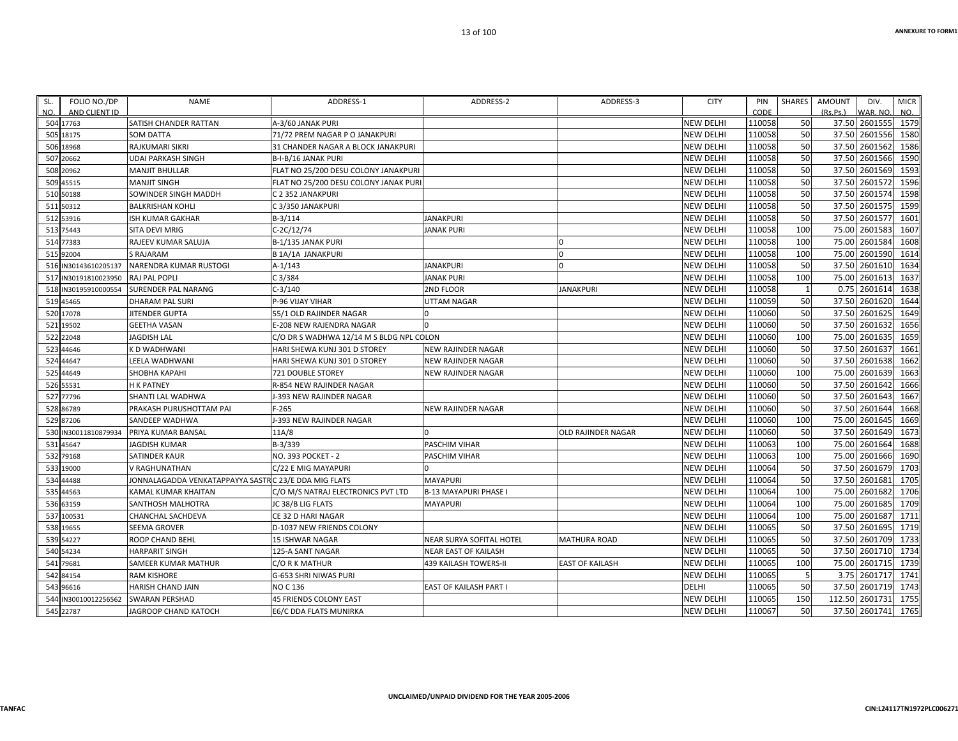| SL. | FOLIO NO./DP<br>AND CLIENT ID | <b>NAME</b>                                           | ADDRESS-1                                | ADDRESS-2                    | ADDRESS-3                 | <b>CITY</b>      | PIN<br>CODE | SHARES       | AMOUNT<br>(Rs, Ps) | DIV.<br>WAR. NO. | <b>MICR</b><br>NO. |
|-----|-------------------------------|-------------------------------------------------------|------------------------------------------|------------------------------|---------------------------|------------------|-------------|--------------|--------------------|------------------|--------------------|
| NO. | 504 17763                     | SATISH CHANDER RATTAN                                 | A-3/60 JANAK PURI                        |                              |                           | <b>NEW DELHI</b> | 110058      | 50           |                    | 37.50 2601555    | 1579               |
|     | 505 18175                     | <b>SOM DATTA</b>                                      | 71/72 PREM NAGAR P O JANAKPURI           |                              |                           | NEW DELHI        | 110058      | 50           |                    | 37.50 2601556    | 1580               |
|     | 506 18968                     | RAJKUMARI SIKRI                                       | 31 CHANDER NAGAR A BLOCK JANAKPURI       |                              |                           | <b>NEW DELHI</b> | 110058      | 50           |                    | 37.50 2601562    | 1586               |
|     | 507 20662                     | <b>UDAI PARKASH SINGH</b>                             | B-I-B/16 JANAK PURI                      |                              |                           | NEW DELHI        | 110058      | 50           |                    | 37.50 2601566    | 1590               |
|     | 508 20962                     | <b>MANJIT BHULLAR</b>                                 | FLAT NO 25/200 DESU COLONY JANAKPURI     |                              |                           | NEW DELHI        | 110058      | 50           |                    | 37.50 2601569    | 1593               |
|     | 509 45515                     | <b>MANJIT SINGH</b>                                   | FLAT NO 25/200 DESU COLONY JANAK PUR     |                              |                           | <b>NEW DELHI</b> | 110058      | 50           |                    | 37.50 2601572    | 1596               |
|     | 510 50188                     | SOWINDER SINGH MADDH                                  | C 2 352 JANAKPURI                        |                              |                           | <b>NEW DELHI</b> | 110058      | 50           |                    | 37.50 2601574    | 1598               |
|     | 511 50312                     | <b>BALKRISHAN KOHLI</b>                               | C 3/350 JANAKPURI                        |                              |                           | NEW DELHI        | 110058      | 50           |                    | 37.50 2601575    | 1599               |
|     | 512 53916                     | ISH KUMAR GAKHAR                                      | B-3/114                                  | <b>JANAKPURI</b>             |                           | NEW DELHI        | 110058      | 50           |                    | 37.50 2601577    | 1601               |
|     | 513 75443                     | SITA DEVI MRIG                                        | C-2C/12/74                               | <b>JANAK PURI</b>            |                           | NEW DELHI        | 110058      | 100          |                    | 75.00 2601583    | 1607               |
|     | 514 77383                     | RAJEEV KUMAR SALUJA                                   | B-1/135 JANAK PURI                       |                              |                           | NEW DELHI        | 110058      | 100          |                    | 75.00 2601584    | 1608               |
|     | 515 92004                     | <b>S RAJARAM</b>                                      | <b>B 1A/1A JANAKPURI</b>                 |                              | $\Omega$                  | NEW DELHI        | 110058      | 100          |                    | 75.00 2601590    | 1614               |
|     | 516 IN30143610205137          | NARENDRA KUMAR RUSTOGI                                | A-1/143                                  | <b>JANAKPURI</b>             | $\Omega$                  | NEW DELHI        | 110058      | 50           |                    | 37.50 2601610    | 1634               |
|     | 517 IN30191810023950          | <b>RAJ PAL POPLI</b>                                  | C3/384                                   | <b>JANAK PURI</b>            |                           | NEW DELHI        | 110058      | 100          |                    | 75.00 2601613    | 1637               |
|     | 518 IN30195910000554          | <b>SURENDER PAL NARANG</b>                            | $C-3/140$                                | 2ND FLOOR                    | <b>JANAKPURI</b>          | <b>NEW DELHI</b> | 110058      | $\mathbf{1}$ |                    | 0.75 2601614     | 1638               |
|     | 519 45465                     | <b>DHARAM PAL SURI</b>                                | <b>P-96 VIJAY VIHAR</b>                  | <b>UTTAM NAGAR</b>           |                           | NEW DELHI        | 110059      | 50           |                    | 37.50 2601620    | 1644               |
|     | 520 17078                     | <b>JITENDER GUPTA</b>                                 | 55/1 OLD RAJINDER NAGAR                  | U                            |                           | NEW DELHI        | 110060      | 50           |                    | 37.50 2601625    | 1649               |
|     | 521 19502                     | <b>GEETHA VASAN</b>                                   | E-208 NEW RAJENDRA NAGAR                 |                              |                           | NEW DELHI        | 110060      | 50           |                    | 37.50 2601632    | 1656               |
|     | 522 22048                     | <b>JAGDISH LAL</b>                                    | C/O DR S WADHWA 12/14 M S BLDG NPL COLON |                              |                           | <b>NEW DELHI</b> | 110060      | 100          |                    | 75.00 2601635    | 1659               |
|     | 523 44646                     | K D WADHWANI                                          | HARI SHEWA KUNJ 301 D STOREY             | NEW RAJINDER NAGAR           |                           | NEW DELHI        | 110060      | 50           |                    | 37.50 2601637    | 1661               |
|     | 524 44647                     | LEELA WADHWANI                                        | HARI SHEWA KUNJ 301 D STOREY             | NEW RAJINDER NAGAR           |                           | NEW DELHI        | 110060      | 50           |                    | 37.50 2601638    | 1662               |
|     | 525 44649                     | <b>SHOBHA KAPAHI</b>                                  | 721 DOUBLE STOREY                        | NEW RAJINDER NAGAR           |                           | NEW DELHI        | 110060      | 100          |                    | 75.00 2601639    | 1663               |
|     | 526 55531                     | <b>H K PATNEY</b>                                     | R-854 NEW RAJINDER NAGAR                 |                              |                           | NEW DELHI        | 110060      | 50           |                    | 37.50 2601642    | 1666               |
|     | 527 77796                     | SHANTI LAL WADHWA                                     | -393 NEW RAJINDER NAGAR                  |                              |                           | NEW DELHI        | 110060      | 50           |                    | 37.50 2601643    | 1667               |
|     | 528 86789                     | PRAKASH PURUSHOTTAM PAI                               | $F - 265$                                | <b>NEW RAJINDER NAGAR</b>    |                           | NEW DELHI        | 110060      | 50           |                    | 37.50 2601644    | 1668               |
|     | 529 87206                     | SANDEEP WADHWA                                        | -393 NEW RAJINDER NAGAR                  |                              |                           | NEW DELHI        | 110060      | 100          |                    | 75.00 2601645    | 1669               |
|     | 530 IN30011810879934          | <b>PRIYA KUMAR BANSAL</b>                             | 11A/8                                    | U                            | <b>OLD RAJINDER NAGAR</b> | NEW DELHI        | 110060      | 50           |                    | 37.50 2601649    | 1673               |
|     | 531 45647                     | <b>JAGDISH KUMAR</b>                                  | B-3/339                                  | PASCHIM VIHAR                |                           | <b>NEW DELHI</b> | 110063      | 100          |                    | 75.00 2601664    | 1688               |
|     | 532 79168                     | SATINDER KAUR                                         | NO. 393 POCKET - 2                       | PASCHIM VIHAR                |                           | NEW DELHI        | 110063      | 100          |                    | 75.00 2601666    | 1690               |
|     | 533 19000                     | V RAGHUNATHAN                                         | C/22 E MIG MAYAPURI                      |                              |                           | NEW DELHI        | 110064      | 50           |                    | 37.50 2601679    | 1703               |
|     | 534 44488                     | JONNALAGADDA VENKATAPPAYYA SASTR C 23/E DDA MIG FLATS |                                          | <b>MAYAPURI</b>              |                           | NEW DELHI        | 110064      | 50           |                    | 37.50 2601681    | 1705               |
|     | 535 44563                     | KAMAL KUMAR KHAITAN                                   | C/O M/S NATRAJ ELECTRONICS PVT LTD       | <b>B-13 MAYAPURI PHASE I</b> |                           | NEW DELHI        | 110064      | 100          |                    | 75.00 2601682    | 1706               |
|     | 536 63159                     | SANTHOSH MALHOTRA                                     | JC 38/B LIG FLATS                        | <b>MAYAPURI</b>              |                           | NEW DELHI        | 110064      | 100          |                    | 75.00 2601685    | 1709               |
|     | 537 100531                    | CHANCHAL SACHDEVA                                     | CE 32 D HARI NAGAR                       |                              |                           | NEW DELHI        | 110064      | 100          |                    | 75.00 2601687    | 1711               |
|     | 538 19655                     | SEEMA GROVER                                          | D-1037 NEW FRIENDS COLONY                |                              |                           | NEW DELHI        | 110065      | 50           |                    | 37.50 2601695    | 1719               |
|     | 539 54227                     | ROOP CHAND BEHL                                       | <b>15 ISHWAR NAGAR</b>                   | NEAR SURYA SOFITAL HOTEL     | <b>MATHURA ROAD</b>       | NEW DELHI        | 110065      | 50           |                    | 37.50 2601709    | 1733               |
|     | 540 54234                     | <b>HARPARIT SINGH</b>                                 | 125-A SANT NAGAR                         | NEAR EAST OF KAILASH         |                           | NEW DELHI        | 110065      | 50           |                    | 37.50 2601710    | 1734               |
|     | 541 79681                     | SAMEER KUMAR MATHUR                                   | C/O R K MATHUR                           | <b>439 KAILASH TOWERS-II</b> | <b>EAST OF KAILASH</b>    | NEW DELHI        | 110065      | 100          |                    | 75.00 2601715    | 1739               |
|     | 542 84154                     | <b>RAM KISHORE</b>                                    | G-653 SHRI NIWAS PURI                    |                              |                           | NEW DELHI        | 110065      | 5            |                    | 3.75 2601717     | 1741               |
|     | 543 96616                     | HARISH CHAND JAIN                                     | NO C 136                                 | EAST OF KAILASH PART I       |                           | DELHI            | 110065      | 50           |                    | 37.50 2601719    | 1743               |
|     | 544 IN30010012256562          | <b>SWARAN PERSHAD</b>                                 | <b>45 FRIENDS COLONY EAST</b>            |                              |                           | NEW DELHI        | 110065      | 150          |                    | 112.50 2601731   | 1755               |
|     | 545 22787                     | JAGROOP CHAND KATOCH                                  | E6/C DDA FLATS MUNIRKA                   |                              |                           | NEW DELHI        | 110067      | 50           |                    | 37.50 2601741    | 1765               |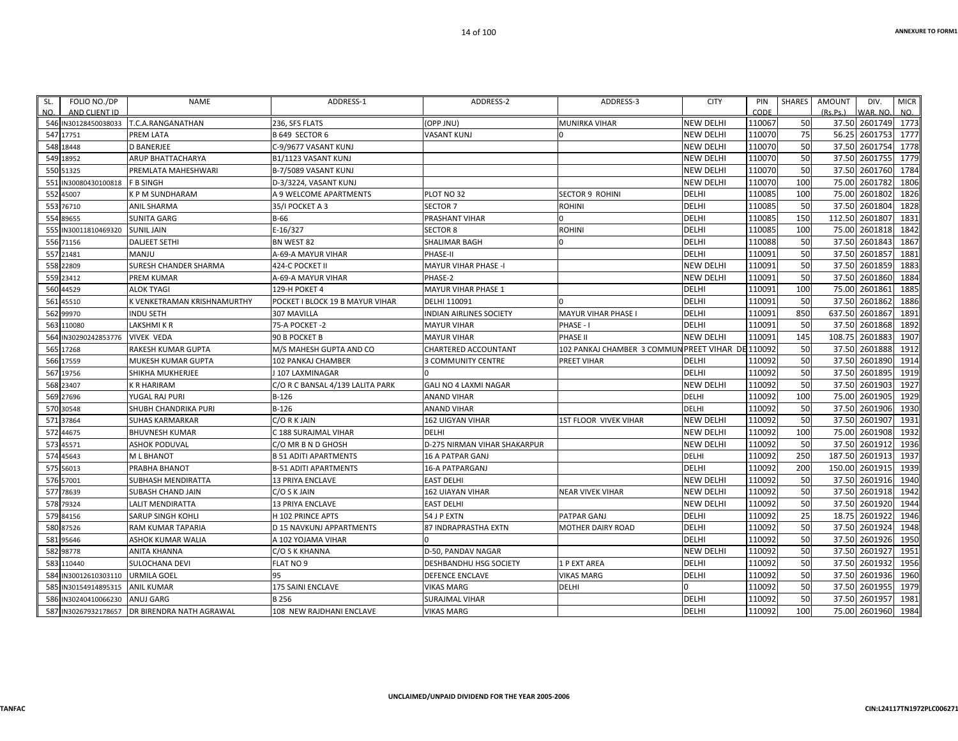| SL.       | FOLIO NO./DP         | <b>NAME</b>                  | ADDRESS-1                        | ADDRESS-2                      | ADDRESS-3                                         | <b>CITY</b>      | PIN    | <b>SHARES</b> | AMOUNT             | DIV.     | <b>MICR</b> |
|-----------|----------------------|------------------------------|----------------------------------|--------------------------------|---------------------------------------------------|------------------|--------|---------------|--------------------|----------|-------------|
| NO.       | AND CLIENT ID        |                              |                                  |                                |                                                   |                  | CODE   |               | (Rs.Ps.)           | WAR. NO. | NO.         |
|           | 546 IN30128450038033 | T.C.A.RANGANATHAN            | 236, SFS FLATS                   | (OPP JNU)                      | MUNIRKA VIHAR                                     | <b>NEW DELHI</b> | 110067 | 50            | 37.50 2601749 1773 |          |             |
| 547 17751 |                      | PREM LATA                    | B 649 SECTOR 6                   | VASANT KUNJ                    |                                                   | <b>NEW DELHI</b> | 110070 | 75            | 56.25 2601753      |          | 1777        |
| 548 18448 |                      | <b>D BANERJEE</b>            | C-9/9677 VASANT KUNJ             |                                |                                                   | <b>NEW DELHI</b> | 110070 | 50            | 37.50 2601754      |          | 1778        |
| 549 18952 |                      | ARUP BHATTACHARYA            | B1/1123 VASANT KUNJ              |                                |                                                   | <b>NEW DELHI</b> | 110070 | 50            | 37.50 2601755      |          | 1779        |
| 550 51325 |                      | PREMLATA MAHESHWARI          | B-7/5089 VASANT KUNJ             |                                |                                                   | <b>NEW DELHI</b> | 110070 | 50            | 37.50              | 2601760  | 1784        |
|           | 551 IN30080430100818 | F B SINGH                    | D-3/3224, VASANT KUNJ            |                                |                                                   | <b>NEW DELHI</b> | 110070 | 100           | 75.00              | 2601782  | 1806        |
| 552 45007 |                      | K P M SUNDHARAM              | A 9 WELCOME APARTMENTS           | PLOT NO 32                     | <b>SECTOR 9 ROHINI</b>                            | <b>DELHI</b>     | 110085 | 100           | 75.00              | 2601802  | 1826        |
| 553 76710 |                      | <b>ANIL SHARMA</b>           | 35/I POCKET A 3                  | <b>SECTOR 7</b>                | ROHINI                                            | <b>DELHI</b>     | 110085 | 50            | 37.50              | 2601804  | 1828        |
| 554 89655 |                      | <b>SUNITA GARG</b>           | $B-66$                           | PRASHANT VIHAR                 | $\Omega$                                          | <b>DELHI</b>     | 110085 | 150           | 112.50 2601807     |          | 1831        |
|           | 555 IN30011810469320 | <b>SUNIL JAIN</b>            | E-16/327                         | <b>SECTOR 8</b>                | ROHINI                                            | <b>DELHI</b>     | 110085 | 100           | 75.00 2601818      |          | 1842        |
| 556 71156 |                      | <b>DALJEET SETHI</b>         | BN WEST 82                       | SHALIMAR BAGH                  |                                                   | <b>DELHI</b>     | 110088 | 50            | 37.50              | 2601843  | 1867        |
| 557 21481 |                      | MANJU                        | A-69-A MAYUR VIHAR               | PHASE-II                       |                                                   | <b>DELHI</b>     | 110091 | 50            | 37.50              | 2601857  | 1881        |
| 558 22809 |                      | <b>SURESH CHANDER SHARMA</b> | 424-C POCKET II                  | <b>MAYUR VIHAR PHASE -I</b>    |                                                   | <b>NEW DELHI</b> | 110091 | 50            | 37.50              | 2601859  | 1883        |
| 559 23412 |                      | <b>PREM KUMAR</b>            | A-69-A MAYUR VIHAR               | PHASE-2                        |                                                   | <b>NEW DELHI</b> | 110091 | 50            | 37.50 2601860      |          | 1884        |
| 560 44529 |                      | ALOK TYAGI                   | 129-H POKET 4                    | MAYUR VIHAR PHASE 1            |                                                   | <b>DELHI</b>     | 110091 | 100           | 75.00              | 2601861  | 1885        |
| 561 45510 |                      | K VENKETRAMAN KRISHNAMURTHY  | POCKET I BLOCK 19 B MAYUR VIHAR  | DELHI 110091                   |                                                   | <b>DELHI</b>     | 110091 | 50            | 37.50 2601862      |          | 1886        |
| 562 99970 |                      | <b>INDU SETH</b>             | 307 MAVILLA                      | <b>INDIAN AIRLINES SOCIETY</b> | MAYUR VIHAR PHASE I                               | <b>DELHI</b>     | 110091 | 850           | 637.50 2601867     |          | 1891        |
|           | 563 110080           | LAKSHMI K R                  | 75-A POCKET -2                   | <b>MAYUR VIHAR</b>             | PHASE - I                                         | DELHI            | 110091 | 50            | 37.50              | 2601868  | 1892        |
|           | 564 IN30290242853776 | <b>VIVEK VEDA</b>            | 90 B POCKET B                    | <b>MAYUR VIHAR</b>             | PHASE II                                          | <b>NEW DELHI</b> | 110091 | 145           | 108.75             | 2601883  | 1907        |
| 565 17268 |                      | RAKESH KUMAR GUPTA           | M/S MAHESH GUPTA AND CO          | CHARTERED ACCOUNTANT           | 102 PANKAJ CHAMBER 3 COMMUN PREET VIHAR DE 110092 |                  |        | 50            | 37.50              | 2601888  | 1912        |
| 566 17559 |                      | <b>MUKESH KUMAR GUPTA</b>    | <b>102 PANKAJ CHAMBER</b>        | <b>3 COMMUNITY CENTRE</b>      | PREET VIHAR                                       | <b>DELHI</b>     | 110092 | 50            | 37.50 2601890      |          | 1914        |
| 567 19756 |                      | SHIKHA MUKHERJEE             | 107 LAXMINAGAR                   |                                |                                                   | DELHI            | 110092 | 50            | 37.50              | 2601895  | 1919        |
| 568 23407 |                      | <b>K R HARIRAM</b>           | C/O R C BANSAL 4/139 LALITA PARK | GALI NO 4 LAXMI NAGAR          |                                                   | <b>NEW DELHI</b> | 110092 | 50            | 37.50 2601903      |          | 1927        |
| 569 27696 |                      | YUGAL RAJ PURI               | $B-126$                          | <b>ANAND VIHAR</b>             |                                                   | <b>DELHI</b>     | 110092 | 100           | 75.00              | 2601905  | 1929        |
| 570 30548 |                      | SHUBH CHANDRIKA PURI         | $B-126$                          | <b>ANAND VIHAR</b>             |                                                   | <b>DELHI</b>     | 110092 | 50            | 37.50              | 2601906  | 1930        |
| 571 37864 |                      | <b>SUHAS KARMARKAR</b>       | C/ORKJAIN                        | 162 UIGYAN VIHAR               | <b>1ST FLOOR VIVEK VIHAR</b>                      | <b>NEW DELHI</b> | 110092 | 50            | 37.50 2601907      |          | 1931        |
| 572 44675 |                      | <b>BHUVNESH KUMAR</b>        | C 188 SURAJMAL VIHAR             | DELHI                          |                                                   | <b>NEW DELHI</b> | 110092 | 100           | 75.00              | 2601908  | 1932        |
| 573 45571 |                      | <b>ASHOK PODUVAL</b>         | C/O MR B N D GHOSH               | D-275 NIRMAN VIHAR SHAKARPUR   |                                                   | <b>NEW DELHI</b> | 110092 | 50            | 37.50 2601912      |          | 1936        |
| 574 45643 |                      | M L BHANOT                   | <b>B 51 ADITI APARTMENTS</b>     | 16 A PATPAR GANJ               |                                                   | <b>DELHI</b>     | 110092 | 250           | 187.50             | 2601913  | 1937        |
| 575 56013 |                      | PRABHA BHANOT                | <b>B-51 ADITI APARTMENTS</b>     | <b>16-A PATPARGANJ</b>         |                                                   | <b>DELHI</b>     | 110092 | 200           | 150.00 2601915     |          | 1939        |
| 576 57001 |                      | SUBHASH MENDIRATTA           | 13 PRIYA ENCLAVE                 | <b>EAST DELHI</b>              |                                                   | <b>NEW DELHI</b> | 110092 | 50            | 37.50              | 2601916  | 1940        |
| 577 78639 |                      | <b>SUBASH CHAND JAIN</b>     | C/O S K JAIN                     | <b>162 UIAYAN VIHAR</b>        | <b>NEAR VIVEK VIHAR</b>                           | <b>NEW DELHI</b> | 110092 | 50            | 37.50              | 2601918  | 1942        |
| 578 79324 |                      | <b>LALIT MENDIRATTA</b>      | <b>13 PRIYA ENCLAVE</b>          | <b>EAST DELHI</b>              |                                                   | <b>NEW DELHI</b> | 110092 | 50            | 37.50 2601920      |          | 1944        |
| 579 84156 |                      | <b>SARUP SINGH KOHLI</b>     | H 102 PRINCE APTS                | 54 J P EXTN                    | PATPAR GANJ                                       | <b>DELHI</b>     | 110092 | 25            | 18.75 2601922      |          | 1946        |
| 580 87526 |                      | RAM KUMAR TAPARIA            | D 15 NAVKUNJ APPARTMENTS         | 87 INDRAPRASTHA EXTN           | MOTHER DAIRY ROAD                                 | <b>DELHI</b>     | 110092 | 50            | 37.50 2601924      |          | 1948        |
| 581 95646 |                      | ASHOK KUMAR WALIA            | A 102 YOJAMA VIHAR               |                                |                                                   | <b>DELHI</b>     | 110092 | 50            | 37.50              | 2601926  | 1950        |
| 582 98778 |                      | ANITA KHANNA                 | C/O S K KHANNA                   | D-50, PANDAV NAGAR             |                                                   | <b>NEW DELHI</b> | 110092 | 50            | 37.50              | 2601927  | 1951        |
|           | 583 110440           | <b>SULOCHANA DEVI</b>        | FLAT NO 9                        | <b>DESHBANDHU HSG SOCIETY</b>  | 1 P EXT AREA                                      | <b>DELHI</b>     | 110092 | 50            | 37.50 2601932      |          | 1956        |
|           | 584 IN30012610303110 | <b>URMILA GOEL</b>           | 95                               | <b>DEFENCE ENCLAVE</b>         | <b>VIKAS MARG</b>                                 | <b>DELHI</b>     | 110092 | 50            | 37.50              | 2601936  | 1960        |
|           | 585 IN30154914895315 | <b>ANIL KUMAR</b>            | <b>175 SAINI ENCLAVE</b>         | <b>VIKAS MARG</b>              | <b>DELHI</b>                                      | $\Omega$         | 110092 | 50            | 37.50 2601955      |          | 1979        |
|           | 586 IN30240410066230 | ANUJ GARG                    | <b>B256</b>                      | <b>SURAJMAL VIHAR</b>          |                                                   | <b>DELHI</b>     | 110092 | 50            | 37.50              | 2601957  | 1981        |
|           |                      |                              |                                  |                                |                                                   |                  |        |               |                    |          |             |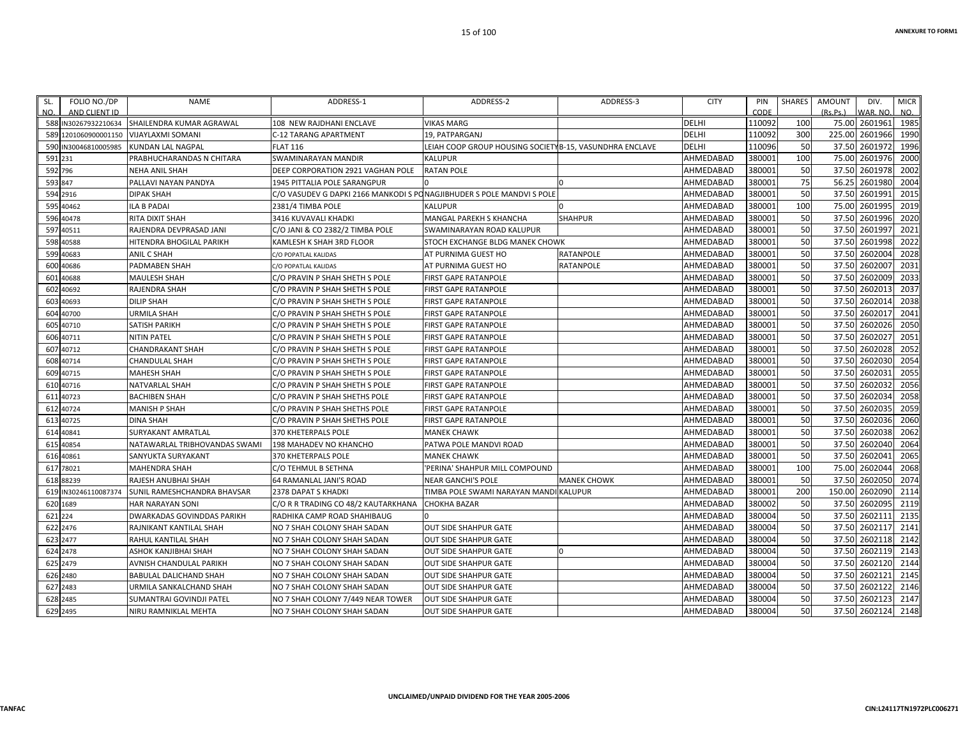| FOLIO NO./DP<br>SL.<br>AND CLIENT ID<br>NO. | <b>NAME</b>                       | ADDRESS-1                                                             | ADDRESS-2                                               | ADDRESS-3          | <b>CITY</b>  | PIN<br>CODE | <b>SHARES</b> | <b>AMOUNT</b><br>(Rs.Ps.) | DIV.<br>WAR. NO | <b>MICR</b><br>NO. |
|---------------------------------------------|-----------------------------------|-----------------------------------------------------------------------|---------------------------------------------------------|--------------------|--------------|-------------|---------------|---------------------------|-----------------|--------------------|
| 588 IN30267932210634                        | SHAILENDRA KUMAR AGRAWAL          | 108 NEW RAJDHANI ENCLAVE                                              | <b>VIKAS MARG</b>                                       |                    | <b>DELHI</b> | 110092      | 100           | 75.00                     | 2601961         | 1985               |
| 1201060900001150<br>589                     | <b>VIJAYLAXMI SOMANI</b>          | <b>C-12 TARANG APARTMENT</b>                                          | 19. PATPARGANJ                                          |                    | <b>DELHI</b> | 110092      | 300           | 225.00                    | 2601966         | 1990               |
| 590<br>IN30046810005985                     | KUNDAN LAL NAGPAL                 | <b>FLAT 116</b>                                                       | LEIAH COOP GROUP HOUSING SOCIETYB-15, VASUNDHRA ENCLAVE |                    | DELHI        | 110096      | 50            | 37.50                     | 2601972         | 1996               |
| 591 231                                     | PRABHUCHARANDAS N CHITARA         | SWAMINARAYAN MANDIR                                                   | <b>KALUPUR</b>                                          |                    | AHMEDABAD    | 380001      | 100           | 75.00                     | 2601976         | 2000               |
| 592 796                                     | <b>NEHA ANIL SHAH</b>             | DEEP CORPORATION 2921 VAGHAN POLE                                     | <b>RATAN POLE</b>                                       |                    | AHMEDABAD    | 380001      | 50            | 37.50                     | 2601978         | 2002               |
| 593 847                                     | PALLAVI NAYAN PANDYA              | 1945 PITTALIA POLE SARANGPUR                                          |                                                         | $\Omega$           | AHMEDABAD    | 380001      | 75            | 56.25                     | 2601980         | 2004               |
| 594 2916                                    | <b>DIPAK SHAH</b>                 | C/O VASUDEV G DAPKI 2166 MANKODI S PONAGJIBHUDER S POLE MANDVI S POLE |                                                         |                    | AHMEDABAD    | 380001      | 50            | 37.50                     | 2601991         | 2015               |
| 595<br>40462                                | <b>ILA B PADAI</b>                | 2381/4 TIMBA POLE                                                     | <b>KALUPUR</b>                                          |                    | AHMEDABAD    | 380001      | 100           | 75.00                     | 2601995         | 2019               |
| 596 40478                                   | RITA DIXIT SHAH                   | 3416 KUVAVALI KHADKI                                                  | MANGAL PAREKH S KHANCHA                                 | <b>SHAHPUR</b>     | AHMEDABAD    | 380001      | 50            | 37.50                     | 2601996         | 2020               |
| 597<br>40511                                | RAJENDRA DEVPRASAD JANI           | C/O JANI & CO 2382/2 TIMBA POLE                                       | SWAMINARAYAN ROAD KALUPUR                               |                    | AHMEDABAD    | 380001      | 50            | 37.50                     | 2601997         | 2021               |
| 598<br>40588                                | HITENDRA BHOGILAL PARIKH          | KAMLESH K SHAH 3RD FLOOR                                              | STOCH EXCHANGE BLDG MANEK CHOWK                         |                    | AHMEDABAD    | 380001      | 50            | 37.50                     | 2601998         | 2022               |
| 599<br>40683                                | ANIL C SHAH                       | C/O POPATLAL KALIDAS                                                  | AT PURNIMA GUEST HO                                     | <b>RATANPOLE</b>   | AHMEDABAD    | 380001      | 50            | 37.50                     | 2602004         | 2028               |
| 40686<br>600                                | PADMABEN SHAH                     | C/O POPATLAL KALIDAS                                                  | AT PURNIMA GUEST HO                                     | <b>RATANPOLE</b>   | AHMEDABAD    | 380001      | 50            | 37.50                     | 2602007         | 2031               |
| 40688<br>601                                | MAULESH SHAH                      | C/O PRAVIN P SHAH SHETH S POLE                                        | FIRST GAPE RATANPOLE                                    |                    | AHMEDABAD    | 380001      | 50            | 37.50                     | 2602009         | 2033               |
| 602<br>40692                                | RAJENDRA SHAH                     | C/O PRAVIN P SHAH SHETH S POLE                                        | FIRST GAPE RATANPOLE                                    |                    | AHMEDABAD    | 380001      | 50            | 37.50                     | 2602013         | 2037               |
| 603<br>40693                                | <b>DILIP SHAH</b>                 | C/O PRAVIN P SHAH SHETH S POLE                                        | <b>FIRST GAPE RATANPOLE</b>                             |                    | AHMEDABAD    | 380001      | 50            | 37.50                     | 2602014         | 2038               |
| 604<br>40700                                | <b>URMILA SHAH</b>                | C/O PRAVIN P SHAH SHETH S POLE                                        | <b>FIRST GAPE RATANPOLE</b>                             |                    | AHMEDABAD    | 380001      | 50            | 37.50                     | 260201          | 2041               |
| 605<br>40710                                | <b>SATISH PARIKH</b>              | C/O PRAVIN P SHAH SHETH S POLE                                        | FIRST GAPE RATANPOLE                                    |                    | AHMEDABAD    | 380001      | 50            | 37.50                     | 2602026         | 2050               |
| 40711<br>606                                | <b>NITIN PATEL</b>                | C/O PRAVIN P SHAH SHETH S POLE                                        | <b>FIRST GAPE RATANPOLE</b>                             |                    | AHMEDABAD    | 380001      | 50            | 37.50                     | 2602027         | 2051               |
| 40712<br>607                                | <b>CHANDRAKANT SHAH</b>           | C/O PRAVIN P SHAH SHETH S POLE                                        | <b>FIRST GAPE RATANPOLE</b>                             |                    | AHMEDABAD    | 380001      | 50            | 37.50                     | 2602028         | 2052               |
| 608<br>40714                                | <b>CHANDULAL SHAH</b>             | C/O PRAVIN P SHAH SHETH S POLE                                        | FIRST GAPE RATANPOLE                                    |                    | AHMEDABAD    | 380001      | 50            | 37.50                     | 2602030         | 2054               |
| 40715<br>609                                | <b>MAHESH SHAH</b>                | C/O PRAVIN P SHAH SHETH S POLE                                        | <b>FIRST GAPE RATANPOLE</b>                             |                    | AHMEDABAD    | 380001      | 50            | 37.50                     | 2602031         | 2055               |
| 40716<br>610                                | NATVARLAL SHAH                    | C/O PRAVIN P SHAH SHETH S POLE                                        | FIRST GAPE RATANPOLE                                    |                    | AHMEDABAD    | 380001      | 50            | 37.50                     | 2602032         | 2056               |
| 611<br>40723                                | <b>BACHIBEN SHAH</b>              | C/O PRAVIN P SHAH SHETHS POLE                                         | <b>FIRST GAPE RATANPOLE</b>                             |                    | AHMEDABAD    | 380001      | 50            | 37.50                     | 2602034         | 2058               |
| 612<br>40724                                | MANISH P SHAH                     | C/O PRAVIN P SHAH SHETHS POLE                                         | <b>FIRST GAPE RATANPOLE</b>                             |                    | AHMEDABAD    | 380001      | 50            | 37.50                     | 2602035         | 2059               |
| 40725<br>613                                | <b>DINA SHAH</b>                  | C/O PRAVIN P SHAH SHETHS POLE                                         | FIRST GAPE RATANPOLE                                    |                    | AHMEDABAD    | 380001      | 50            | 37.50                     | 2602036         | 2060               |
| 614<br>40841                                | SURYAKANT AMRATLAL                | 370 KHETERPALS POLE                                                   | <b>MANEK CHAWK</b>                                      |                    | AHMEDABAD    | 380001      | 50            | 37.50                     | 2602038         | 2062               |
| 615 40854                                   | NATAWARLAL TRIBHOVANDAS SWAMI     | 198 MAHADEV NO KHANCHO                                                | PATWA POLE MANDVI ROAD                                  |                    | AHMEDABAD    | 380001      | 50            | 37.50                     | 2602040         | 2064               |
| 40861<br>616                                | SANYUKTA SURYAKANT                | 370 KHETERPALS POLE                                                   | <b>MANEK CHAWK</b>                                      |                    | AHMEDABAD    | 380001      | 50            | 37.50                     | 2602041         | 2065               |
| 617<br>78021                                | <b>MAHENDRA SHAH</b>              | C/O TEHMUL B SETHNA                                                   | 'PERINA' SHAHPUR MILL COMPOUND                          |                    | AHMEDABAD    | 380001      | 100           | 75.00                     | 2602044         | 2068               |
| 618 88239                                   | RAJESH ANUBHAI SHAH               | 64 RAMANLAL JANI'S ROAD                                               | <b>NEAR GANCHI'S POLE</b>                               | <b>MANEK CHOWK</b> | AHMEDABAD    | 380001      | 50            | 37.50                     | 2602050         | 2074               |
| IN30246110087374<br>619                     | SUNIL RAMESHCHANDRA BHAVSAR       | 2378 DAPAT S KHADKI                                                   | TIMBA POLE SWAMI NARAYAN MANDI KALUPUR                  |                    | AHMEDABAD    | 380001      | 200           | 150.00                    | 2602090         | 2114               |
| 620 1689                                    | <b>HAR NARAYAN SONI</b>           | C/O R R TRADING CO 48/2 KAUTARKHANA                                   | <b>CHOKHA BAZAR</b>                                     |                    | AHMEDABAD    | 380002      | 50            | 37.50                     | 2602095         | 2119               |
| 621 224                                     | <b>DWARKADAS GOVINDDAS PARIKH</b> | RADHIKA CAMP ROAD SHAHIBAUG                                           |                                                         |                    | AHMEDABAD    | 380004      | 50            | 37.50                     | 2602111         | 2135               |
| 622 2476                                    | RAJNIKANT KANTILAL SHAH           | NO 7 SHAH COLONY SHAH SADAN                                           | <b>OUT SIDE SHAHPUR GATE</b>                            |                    | AHMEDABAD    | 380004      | 50            | 37.50                     | 2602117         | 2141               |
| 623 2477                                    | RAHUL KANTILAL SHAH               | NO 7 SHAH COLONY SHAH SADAN                                           | <b>OUT SIDE SHAHPUR GATE</b>                            |                    | AHMEDABAD    | 380004      | 50            | 37.50                     | 2602118         | 2142               |
| 624 2478                                    | ASHOK KANJIBHAI SHAH              | NO 7 SHAH COLONY SHAH SADAN                                           | <b>OUT SIDE SHAHPUR GATE</b>                            | 0                  | AHMEDABAD    | 380004      | 50            |                           | 37.50 2602119   | 2143               |
| 625 2479                                    | AVNISH CHANDULAL PARIKH           | NO 7 SHAH COLONY SHAH SADAN                                           | <b>OUT SIDE SHAHPUR GATE</b>                            |                    | AHMEDABAD    | 380004      | 50            | 37.50                     | 2602120         | 2144               |
| 626 2480                                    | BABULAL DALICHAND SHAH            | NO 7 SHAH COLONY SHAH SADAN                                           | <b>OUT SIDE SHAHPUR GATE</b>                            |                    | AHMEDABAD    | 380004      | 50            | 37.50                     | 2602121         | 2145               |
| 627 2483                                    | URMILA SANKALCHAND SHAH           | NO 7 SHAH COLONY SHAH SADAN                                           | <b>OUT SIDE SHAHPUR GATE</b>                            |                    | AHMEDABAD    | 380004      | 50            |                           | 37.50 2602122   | 2146               |
| 628 2485                                    | SUMANTRAI GOVINDJI PATEL          | NO 7 SHAH COLONY 7/449 NEAR TOWER                                     | <b>OUT SIDE SHAHPUR GATE</b>                            |                    | AHMEDABAD    | 380004      | 50            | 37.50                     | 2602123         | 2147               |
| 629 2495                                    | NIRU RAMNIKLAL MEHTA              | NO 7 SHAH COLONY SHAH SADAN                                           | <b>OUT SIDE SHAHPUR GATE</b>                            |                    | AHMEDABAD    | 380004      | 50            |                           | 37.50 2602124   | 2148               |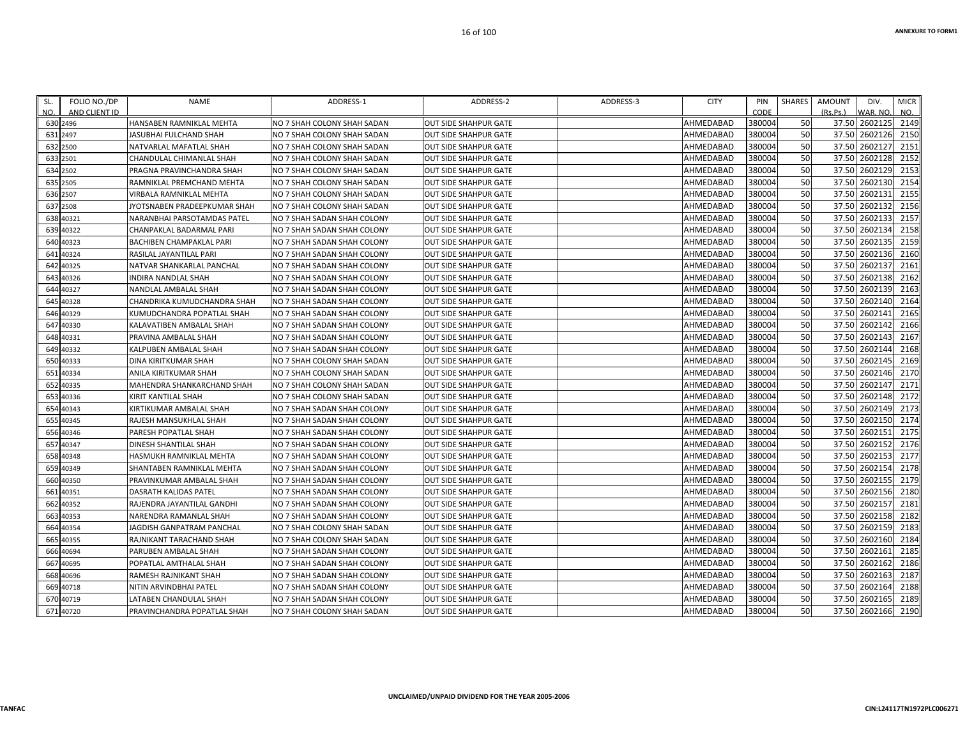| SL.<br>NO. | FOLIO NO./DP<br>AND CLIENT ID | <b>NAME</b>                  | ADDRESS-1                   | ADDRESS-2                     | ADDRESS-3 | <b>CITY</b> | PIN<br>CODE | SHARES | <b>AMOUNT</b><br>(Rs.Ps.) | DIV.<br>VAR. NO. | <b>MICR</b><br>NO. |
|------------|-------------------------------|------------------------------|-----------------------------|-------------------------------|-----------|-------------|-------------|--------|---------------------------|------------------|--------------------|
|            | 630 2496                      | HANSABEN RAMNIKLAL MEHTA     | NO 7 SHAH COLONY SHAH SADAN | <b>OUT SIDE SHAHPUR GATE</b>  |           | AHMEDABAD   | 380004      | 50     | 37.50 2602125 2149        |                  |                    |
|            | 631 2497                      | JASUBHAI FULCHAND SHAH       | NO 7 SHAH COLONY SHAH SADAN | <b>JOUT SIDE SHAHPUR GATE</b> |           | AHMEDABAD   | 380004      | 50     | 37.50                     | 2602126          | 2150               |
|            | 632 2500                      | NATVARLAL MAFATLAL SHAH      | NO 7 SHAH COLONY SHAH SADAN | <b>OUT SIDE SHAHPUR GATE</b>  |           | AHMEDABAD   | 380004      | 50     | 37.50 2602127             |                  | 2151               |
|            | 633 2501                      | CHANDULAL CHIMANLAL SHAH     | NO 7 SHAH COLONY SHAH SADAN | <b>OUT SIDE SHAHPUR GATE</b>  |           | AHMEDABAD   | 380004      | 50     | 37.50                     | 2602128          | 2152               |
|            | 634 2502                      | PRAGNA PRAVINCHANDRA SHAH    | NO 7 SHAH COLONY SHAH SADAN | <b>OUT SIDE SHAHPUR GATE</b>  |           | AHMEDABAD   | 380004      | 50     | 37.50                     | 2602129          | 2153               |
|            | 635 2505                      | RAMNIKLAL PREMCHAND MEHTA    | NO 7 SHAH COLONY SHAH SADAN | <b>OUT SIDE SHAHPUR GATE</b>  |           | AHMEDABAD   | 380004      | 50     | 37.50 2602130             |                  | 2154               |
|            | 636 2507                      | VIRBALA RAMNIKLAL MEHTA      | NO 7 SHAH COLONY SHAH SADAN | <b>OUT SIDE SHAHPUR GATE</b>  |           | AHMEDABAD   | 380004      | 50     | 37.50                     | 2602131          | 2155               |
|            | 637 2508                      | JYOTSNABEN PRADEEPKUMAR SHAH | NO 7 SHAH COLONY SHAH SADAN | <b>OUT SIDE SHAHPUR GATE</b>  |           | AHMEDABAD   | 380004      | 50     | 37.50                     | 2602132          | 2156               |
|            | 638 40321                     | NARANBHAI PARSOTAMDAS PATEL  | NO 7 SHAH SADAN SHAH COLONY | <b>OUT SIDE SHAHPUR GATE</b>  |           | AHMEDABAD   | 380004      | 50     | 37.50 2602133             |                  | 2157               |
|            | 639 40322                     | CHANPAKLAL BADARMAL PARI     | NO 7 SHAH SADAN SHAH COLONY | <b>OUT SIDE SHAHPUR GATE</b>  |           | AHMEDABAD   | 380004      | 50     | 37.50                     | 2602134          | 2158               |
|            | 640 40323                     | BACHIBEN CHAMPAKLAL PARI     | NO 7 SHAH SADAN SHAH COLONY | <b>OUT SIDE SHAHPUR GATE</b>  |           | AHMEDABAD   | 380004      | 50     | 37.50                     | 2602135          | 2159               |
|            | 641 40324                     | RASILAL JAYANTILAL PARI      | NO 7 SHAH SADAN SHAH COLONY | <b>OUT SIDE SHAHPUR GATE</b>  |           | AHMEDABAD   | 380004      | 50     | 37.50                     | 2602136          | 2160               |
|            | 642 40325                     | NATVAR SHANKARLAL PANCHAL    | NO 7 SHAH SADAN SHAH COLONY | <b>OUT SIDE SHAHPUR GATE</b>  |           | AHMEDABAD   | 380004      | 50     | 37.50                     | 2602137          | 2161               |
|            | 643 40326                     | INDIRA NANDLAL SHAH          | NO 7 SHAH SADAN SHAH COLONY | <b>OUT SIDE SHAHPUR GATE</b>  |           | AHMEDABAD   | 380004      | 50     | 37.50 2602138             |                  | 2162               |
|            | 644 40327                     | NANDLAL AMBALAL SHAH         | NO 7 SHAH SADAN SHAH COLONY | <b>OUT SIDE SHAHPUR GATE</b>  |           | AHMEDABAD   | 380004      | 50     | 37.50                     | 2602139          | 2163               |
|            | 645 40328                     | CHANDRIKA KUMUDCHANDRA SHAH  | NO 7 SHAH SADAN SHAH COLONY | <b>OUT SIDE SHAHPUR GATE</b>  |           | AHMEDABAD   | 380004      | 50     | 37.50 2602140             |                  | 2164               |
|            | 646 40329                     | KUMUDCHANDRA POPATLAL SHAH   | NO 7 SHAH SADAN SHAH COLONY | <b>OUT SIDE SHAHPUR GATE</b>  |           | AHMEDABAD   | 380004      | 50     | 37.50                     | 2602141          | 2165               |
|            | 647 40330                     | KALAVATIBEN AMBALAL SHAH     | NO 7 SHAH SADAN SHAH COLONY | <b>OUT SIDE SHAHPUR GATE</b>  |           | AHMEDABAD   | 380004      | 50     | 37.50                     | 2602142          | 2166               |
|            | 648 40331                     | PRAVINA AMBALAL SHAH         | NO 7 SHAH SADAN SHAH COLONY | <b>OUT SIDE SHAHPUR GATE</b>  |           | AHMEDABAD   | 380004      | 50     | 37.50 2602143             |                  | 2167               |
|            | 649 40332                     | KALPUBEN AMBALAL SHAH        | NO 7 SHAH SADAN SHAH COLONY | <b>OUT SIDE SHAHPUR GATE</b>  |           | AHMEDABAD   | 380004      | 50     | 37.50                     | 2602144          | 2168               |
|            | 650 40333                     | DINA KIRITKUMAR SHAH         | NO 7 SHAH COLONY SHAH SADAN | <b>OUT SIDE SHAHPUR GATE</b>  |           | AHMEDABAD   | 380004      | 50     | 37.50                     | 2602145          | 2169               |
|            | 651 40334                     | ANILA KIRITKUMAR SHAH        | NO 7 SHAH COLONY SHAH SADAN | <b>OUT SIDE SHAHPUR GATE</b>  |           | AHMEDABAD   | 380004      | 50     | 37.50 2602146             |                  | 2170               |
|            | 652 40335                     | MAHENDRA SHANKARCHAND SHAH   | NO 7 SHAH COLONY SHAH SADAN | <b>OUT SIDE SHAHPUR GATE</b>  |           | AHMEDABAD   | 380004      | 50     | 37.50                     | 2602147          | 2171               |
|            | 653 40336                     | KIRIT KANTILAL SHAH          | NO 7 SHAH COLONY SHAH SADAN | <b>OUT SIDE SHAHPUR GATE</b>  |           | AHMEDABAD   | 380004      | 50     | 37.50                     | 2602148          | 2172               |
|            | 654 40343                     | KIRTIKUMAR AMBALAL SHAH      | NO 7 SHAH SADAN SHAH COLONY | <b>OUT SIDE SHAHPUR GATE</b>  |           | AHMEDABAD   | 380004      | 50     | 37.50 2602149             |                  | 2173               |
|            | 655 40345                     | RAJESH MANSUKHLAL SHAH       | NO 7 SHAH SADAN SHAH COLONY | <b>OUT SIDE SHAHPUR GATE</b>  |           | AHMEDABAD   | 380004      | 50     | 37.50                     | 2602150          | 2174               |
|            | 656 40346                     | PARESH POPATLAL SHAH         | NO 7 SHAH SADAN SHAH COLONY | <b>OUT SIDE SHAHPUR GATE</b>  |           | AHMEDABAD   | 380004      | 50     | 37.50                     | 2602151          | 2175               |
|            | 657 40347                     | DINESH SHANTILAL SHAH        | NO 7 SHAH SADAN SHAH COLONY | <b>OUT SIDE SHAHPUR GATE</b>  |           | AHMEDABAD   | 380004      | 50     | 37.50                     | 2602152          | 2176               |
|            | 658 40348                     | HASMUKH RAMNIKLAL MEHTA      | NO 7 SHAH SADAN SHAH COLONY | OUT SIDE SHAHPUR GATE         |           | AHMEDABAD   | 380004      | 50     | 37.50                     | 2602153          | 2177               |
|            | 659 40349                     | SHANTABEN RAMNIKLAL MEHTA    | NO 7 SHAH SADAN SHAH COLONY | <b>OUT SIDE SHAHPUR GATE</b>  |           | AHMEDABAD   | 380004      | 50     | 37.50                     | 2602154          | 2178               |
|            | 660 40350                     | PRAVINKUMAR AMBALAL SHAH     | NO 7 SHAH SADAN SHAH COLONY | <b>OUT SIDE SHAHPUR GATE</b>  |           | AHMEDABAD   | 380004      | 50     | 37.50                     | 2602155          | 2179               |
|            | 661 40351                     | DASRATH KALIDAS PATEL        | NO 7 SHAH SADAN SHAH COLONY | OUT SIDE SHAHPUR GATE         |           | AHMEDABAD   | 380004      | 50     | 37.50                     | 2602156          | 2180               |
|            | 662 40352                     | RAJENDRA JAYANTILAL GANDHI   | NO 7 SHAH SADAN SHAH COLONY | <b>OUT SIDE SHAHPUR GATE</b>  |           | AHMEDABAD   | 380004      | 50     | 37.50                     | 2602157          | 2181               |
|            | 663 40353                     | NARENDRA RAMANLAL SHAH       | NO 7 SHAH SADAN SHAH COLONY | <b>OUT SIDE SHAHPUR GATE</b>  |           | AHMEDABAD   | 380004      | 50     | 37.50                     | 2602158          | 2182               |
|            | 664 40354                     | JAGDISH GANPATRAM PANCHAL    | NO 7 SHAH COLONY SHAH SADAN | <b>OUT SIDE SHAHPUR GATE</b>  |           | AHMEDABAD   | 380004      | 50     | 37.50 2602159             |                  | 2183               |
|            | 665 40355                     | RAJNIKANT TARACHAND SHAH     | NO 7 SHAH COLONY SHAH SADAN | <b>OUT SIDE SHAHPUR GATE</b>  |           | AHMEDABAD   | 380004      | 50     | 37.50                     | 2602160          | 2184               |
|            | 666 40694                     | PARUBEN AMBALAL SHAH         | NO 7 SHAH SADAN SHAH COLONY | <b>OUT SIDE SHAHPUR GATE</b>  |           | AHMEDABAD   | 380004      | 50     | 37.50                     | 2602161          | 2185               |
|            | 667 40695                     | POPATLAL AMTHALAL SHAH       | NO 7 SHAH SADAN SHAH COLONY | <b>OUT SIDE SHAHPUR GATE</b>  |           | AHMEDABAD   | 380004      | 50     | 37.50 2602162             |                  | 2186               |
|            | 668 40696                     | RAMESH RAJNIKANT SHAH        | NO 7 SHAH SADAN SHAH COLONY | <b>OUT SIDE SHAHPUR GATE</b>  |           | AHMEDABAD   | 380004      | 50     | 37.50                     | 2602163          | 2187               |
|            | 669 40718                     | NITIN ARVINDBHAI PATEL       | NO 7 SHAH SADAN SHAH COLONY | <b>OUT SIDE SHAHPUR GATE</b>  |           | AHMEDABAD   | 380004      | 50     | 37.50                     | 2602164          | 2188               |
|            | 670 40719                     | LATABEN CHANDULAL SHAH       | NO 7 SHAH SADAN SHAH COLONY | <b>OUT SIDE SHAHPUR GATE</b>  |           | AHMEDABAD   | 380004      | 50     | 37.50 2602165             |                  | 2189               |
|            | 671 40720                     | PRAVINCHANDRA POPATLAL SHAH  | NO 7 SHAH COLONY SHAH SADAN | <b>OUT SIDE SHAHPUR GATE</b>  |           | AHMEDABAD   | 380004      | 50     | 37.50                     | 2602166          | 2190               |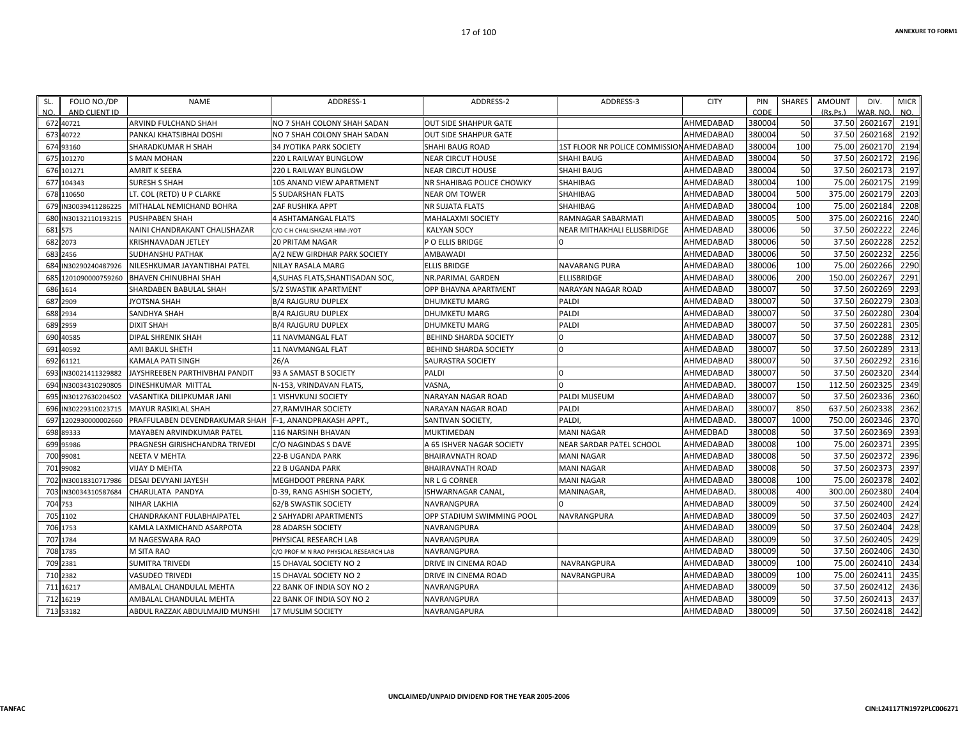| SL.     | FOLIO NO./DP         | NAME                           | ADDRESS-1                              | ADDRESS-2                    | ADDRESS-3                      | <b>CITY</b> | PIN    | SHARES | AMOUNT   | DIV.           | <b>MICR</b> |
|---------|----------------------|--------------------------------|----------------------------------------|------------------------------|--------------------------------|-------------|--------|--------|----------|----------------|-------------|
| NO.     | AND CLIENT ID        |                                |                                        |                              |                                |             | CODE   |        | (Rs.Ps.) | WAR, NO.       | NO.         |
|         | 672 40721            | ARVIND FULCHAND SHAH           | NO 7 SHAH COLONY SHAH SADAN            | <b>OUT SIDE SHAHPUR GATE</b> |                                | AHMEDABAD   | 380004 | 50     |          | 37.50 2602167  | 2191        |
|         | 673 40722            | PANKAJ KHATSIBHAI DOSHI        | NO 7 SHAH COLONY SHAH SADAN            | <b>OUT SIDE SHAHPUR GATE</b> |                                | AHMEDABAD   | 380004 | 50     |          | 37.50 2602168  | 2192        |
|         | 674 93160            | SHARADKUMAR H SHAH             | 34 JYOTIKA PARK SOCIETY                | SHAHI BAUG ROAD              | 1ST FLOOR NR POLICE COMMISSION | AHMEDABAD   | 380004 | 100    | 75.00    | 2602170        | 2194        |
|         | 675 101270           | S MAN MOHAN                    | 220 L RAILWAY BUNGLOW                  | NEAR CIRCUT HOUSE            | <b>SHAHI BAUG</b>              | AHMEDABAD   | 380004 | 50     |          | 37.50 2602172  | 2196        |
|         | 676 101271           | <b>AMRIT K SEERA</b>           | 220 L RAILWAY BUNGLOW                  | <b>NEAR CIRCUT HOUSE</b>     | <b>SHAHI BAUG</b>              | AHMEDABAD   | 380004 | 50     |          | 37.50 2602173  | 2197        |
|         | 677 104343           | <b>SURESH S SHAH</b>           | 105 ANAND VIEW APARTMENT               | NR SHAHIBAG POLICE CHOWKY    | SHAHIBAG                       | AHMEDABAD   | 380004 | 100    |          | 75.00 2602175  | 2199        |
|         | 678 110650           | LT. COL (RETD) U P CLARKE      | <b>5 SUDARSHAN FLATS</b>               | <b>NEAR OM TOWER</b>         | SHAHIBAG                       | AHMEDABAD   | 380004 | 500    |          | 375.00 2602179 | 2203        |
|         | 679 IN30039411286225 | MITHALAL NEMICHAND BOHRA       | <b>2AF RUSHIKA APPT</b>                | <b>NR SUJATA FLATS</b>       | SHAHIBAG                       | AHMEDABAD   | 380004 | 100    |          | 75.00 2602184  | 2208        |
|         | 680 IN30132110193215 | <b>PUSHPABEN SHAH</b>          | 4 ASHTAMANGAL FLATS                    | <b>MAHALAXMI SOCIETY</b>     | RAMNAGAR SABARMATI             | AHMEDABAD   | 380005 | 500    | 375.00   | 2602216        | 2240        |
| 681 575 |                      | NAINI CHANDRAKANT CHALISHAZAR  | C/O C H CHALISHAZAR HIM-JYOT           | <b>KALYAN SOCY</b>           | NEAR MITHAKHALI ELLISBRIDGE    | AHMEDABAD   | 380006 | 50     |          | 37.50 2602222  | 2246        |
|         | 682 2073             | KRISHNAVADAN JETLEY            | 20 PRITAM NAGAR                        | P O ELLIS BRIDGE             |                                | AHMEDABAD   | 380006 | 50     |          | 37.50 2602228  | 2252        |
|         | 683 2456             | <b>SUDHANSHU PATHAK</b>        | A/2 NEW GIRDHAR PARK SOCIETY           | AMBAWADI                     |                                | AHMEDABAD   | 380006 | 50     |          | 37.50 2602232  | 2256        |
| 684     | IN30290240487926     | NILESHKUMAR JAYANTIBHAI PATEL  | NILAY RASALA MARG                      | <b>ELLIS BRIDGE</b>          | <b>NAVARANG PURA</b>           | AHMEDABAD   | 380006 | 100    | 75.00    | 2602266        | 2290        |
|         | 685 1201090000759260 | <b>BHAVEN CHINUBHAI SHAH</b>   | 4,SUHAS FLATS,SHANTISADAN SOC,         | NR.PARIMAL GARDEN            | <b>ELLISBRIDGE</b>             | AHMEDABAD   | 380006 | 200    |          | 150.00 2602267 | 2291        |
|         | 686 1614             | SHARDABEN BABULAL SHAH         | S/2 SWASTIK APARTMENT                  | OPP BHAVNA APARTMENT         | NARAYAN NAGAR ROAD             | AHMEDABAD   | 380007 | 50     |          | 37.50 2602269  | 2293        |
|         | 687 2909             | <b>JYOTSNA SHAH</b>            | <b>B/4 RAJGURU DUPLEX</b>              | DHUMKETU MARG                | PALDI                          | AHMEDABAD   | 380007 | 50     |          | 37.50 2602279  | 2303        |
|         | 688 2934             | SANDHYA SHAH                   | <b>B/4 RAJGURU DUPLEX</b>              | DHUMKETU MARG                | PALDI                          | AHMEDABAD   | 380007 | 50     |          | 37.50 2602280  | 2304        |
|         | 689 2959             | <b>DIXIT SHAH</b>              | <b>B/4 RAJGURU DUPLEX</b>              | DHUMKETU MARG                | PALDI                          | AHMEDABAD   | 380007 | 50     |          | 37.50 2602281  | 2305        |
|         | 690 40585            | <b>DIPAL SHRENIK SHAH</b>      | 11 NAVMANGAL FLAT                      | <b>BEHIND SHARDA SOCIETY</b> |                                | AHMEDABAD   | 380007 | 50     |          | 37.50 2602288  | 2312        |
|         | 691 40592            | AMI BAKUL SHETH                | 11 NAVMANGAL FLAT                      | <b>BEHIND SHARDA SOCIETY</b> | n                              | AHMEDABAD   | 380007 | 50     |          | 37.50 2602289  | 2313        |
|         | 692 61121            | KAMALA PATI SINGH              | 26/A                                   | SAURASTRA SOCIETY            |                                | AHMEDABAD   | 380007 | 50     |          | 37.50 2602292  | 2316        |
|         | 693 IN30021411329882 | JAYSHREEBEN PARTHIVBHAI PANDIT | 93 A SAMAST B SOCIETY                  | PALDI                        |                                | AHMEDABAD   | 380007 | 50     |          | 37.50 2602320  | 2344        |
| 694     | N30034310290805      | DINESHKUMAR MITTAL             | N-153, VRINDAVAN FLATS,                | VASNA,                       |                                | AHMEDABAD   | 380007 | 150    | 112.50   | 2602325        | 2349        |
|         | 695 IN30127630204502 | VASANTIKA DILIPKUMAR JANI      | 1 VISHVKUNJ SOCIETY                    | NARAYAN NAGAR ROAD           | PALDI MUSEUM                   | AHMEDABAD   | 380007 | 50     |          | 37.50 2602336  | 2360        |
|         | 696 IN30229310023715 | <b>MAYUR RASIKLAL SHAH</b>     | 27, RAMVIHAR SOCIETY                   | NARAYAN NAGAR ROAD           | PALDI                          | AHMEDABAD   | 380007 | 850    |          | 637.50 2602338 | 2362        |
| 697     | 1202930000002660     | PRAFFULABEN DEVENDRAKUMAR SHAH | F-1, ANANDPRAKASH APPT.                | SANTIVAN SOCIETY,            | <b>PALDI</b>                   | AHMEDABAD   | 380007 | 1000   | 750.00   | 2602346        | 2370        |
|         | 698 89333            | MAYABEN ARVINDKUMAR PATEL      | 116 NARSINH BHAVAN                     | MUKTIMEDAN                   | <b>MANI NAGAR</b>              | AHMEDBAD    | 380008 | 50     |          | 37.50 2602369  | 2393        |
|         | 699 95986            | PRAGNESH GIRISHCHANDRA TRIVEDI | C/O NAGINDAS S DAVE                    | A 65 ISHVER NAGAR SOCIETY    | NEAR SARDAR PATEL SCHOOL       | AHMEDABAD   | 380008 | 100    | 75.00    | 2602371        | 2395        |
|         | 700 99081            | <b>NEETA V MEHTA</b>           | 22-B UGANDA PARK                       | <b>BHAIRAVNATH ROAD</b>      | <b>MANI NAGAR</b>              | AHMEDABAD   | 380008 | 50     |          | 37.50 2602372  | 2396        |
|         | 701 99082            | <b>VIJAY D MEHTA</b>           | 22 B UGANDA PARK                       | <b>BHAIRAVNATH ROAD</b>      | <b>MANI NAGAR</b>              | AHMEDABAD   | 380008 | 50     |          | 37.50 2602373  | 2397        |
|         | 702 IN30018310717986 | <b>DESAI DEVYANI JAYESH</b>    | MEGHDOOT PRERNA PARK                   | NR L G CORNER                | <b>MANI NAGAR</b>              | AHMEDABAD   | 380008 | 100    |          | 75.00 2602378  | 2402        |
|         | 703 IN30034310587684 | CHARULATA PANDYA               | D-39, RANG ASHISH SOCIETY,             | ISHWARNAGAR CANAL            | MANINAGAR                      | AHMEDABAD   | 380008 | 400    | 300.00   | 2602380        | 2404        |
| 704 753 |                      | <b>NIHAR LAKHIA</b>            | <b>62/B SWASTIK SOCIETY</b>            | NAVRANGPURA                  |                                | AHMEDABAD   | 380009 | 50     | 37.50    | 2602400        | 2424        |
|         | 705 1102             | CHANDRAKANT FULABHAIPATEL      | 2 SAHYADRI APARTMENTS                  | OPP STADIUM SWIMMING POOL    | NAVRANGPURA                    | AHMEDABAD   | 380009 | 50     |          | 37.50 2602403  | 2427        |
|         | 706 1753             | KAMLA LAXMICHAND ASARPOTA      | <b>28 ADARSH SOCIETY</b>               | NAVRANGPURA                  |                                | AHMEDABAD   | 380009 | 50     |          | 37.50 2602404  | 2428        |
|         | 707 1784             | M NAGESWARA RAO                | PHYSICAL RESEARCH LAB                  | NAVRANGPURA                  |                                | AHMEDABAD   | 380009 | 50     |          | 37.50 2602405  | 2429        |
|         | 708 1785             | M SITA RAO                     | C/O PROF M N RAO PHYSICAL RESEARCH LAB | NAVRANGPURA                  |                                | AHMEDABAD   | 380009 | 50     |          | 37.50 2602406  | 2430        |
|         | 709 2381             | <b>SUMITRA TRIVEDI</b>         | 15 DHAVAL SOCIETY NO 2                 | DRIVE IN CINEMA ROAD         | NAVRANGPURA                    | AHMEDABAD   | 380009 | 100    |          | 75.00 2602410  | 2434        |
|         | 710 2382             | <b>VASUDEO TRIVEDI</b>         | 15 DHAVAL SOCIETY NO 2                 | DRIVE IN CINEMA ROAD         | NAVRANGPURA                    | AHMEDABAD   | 380009 | 100    |          | 75.00 2602411  | 2435        |
|         | 711 16217            | AMBALAL CHANDULAL MEHTA        | 22 BANK OF INDIA SOY NO 2              | NAVRANGPURA                  |                                | AHMEDABAD   | 380009 | 50     |          | 37.50 2602412  | 2436        |
|         | 712 16219            | AMBALAL CHANDULAL MEHTA        | 22 BANK OF INDIA SOY NO 2              | NAVRANGPURA                  |                                | AHMEDABAD   | 380009 | 50     |          | 37.50 2602413  | 2437        |
|         | 713 53182            | ABDUL RAZZAK ABDULMAJID MUNSHI | <b>17 MUSLIM SOCIETY</b>               | NAVRANGAPURA                 |                                | AHMEDABAD   | 380009 | 50     |          | 37.50 2602418  | 2442        |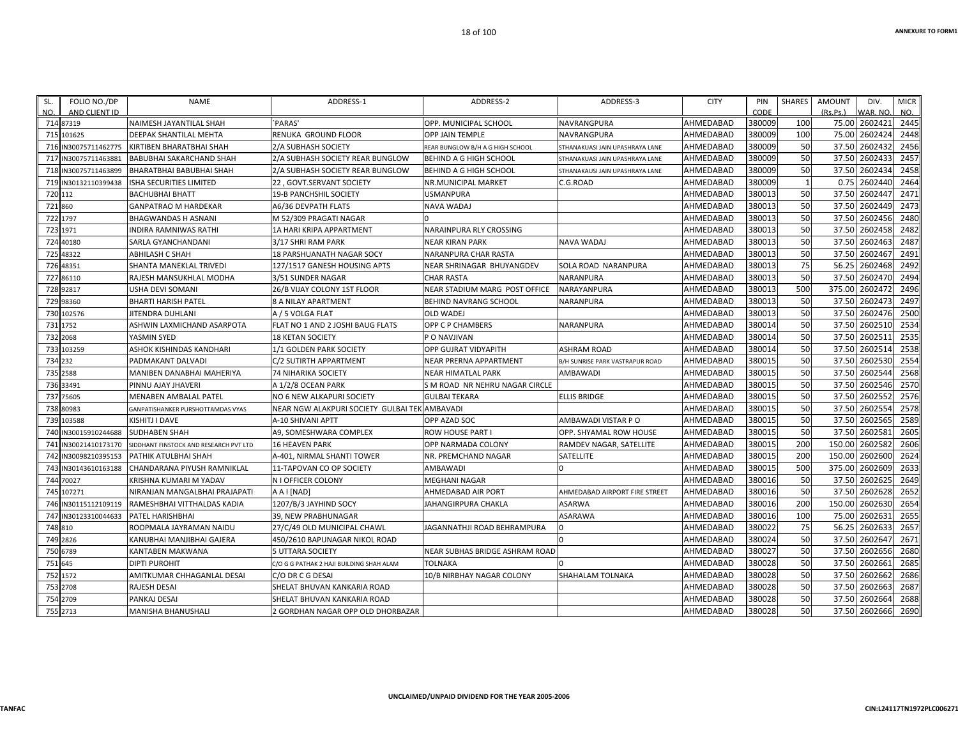| SL.      | FOLIO NO./DP         | <b>NAME</b>                            | ADDRESS-1                                     | ADDRESS-2                        | ADDRESS-3                       | <b>CITY</b> | PIN    | SHARES | <b>AMOUNT</b> | DIV.          | <b>MICR</b> |
|----------|----------------------|----------------------------------------|-----------------------------------------------|----------------------------------|---------------------------------|-------------|--------|--------|---------------|---------------|-------------|
| NO.      | AND CLIENT ID        |                                        |                                               |                                  |                                 |             | CODE   |        | (Rs.Ps.)      | WAR. NO.      | NO.         |
|          | 714 87319            | NAIMESH JAYANTILAL SHAH                | `PARAS'                                       | OPP. MUNICIPAL SCHOOL            | NAVRANGPURA                     | AHMEDABAD   | 380009 | 100    |               | 75.00 2602421 | 2445        |
|          | 715 101625           | DEEPAK SHANTILAL MEHTA                 | RENUKA GROUND FLOOR                           | <b>OPP JAIN TEMPLE</b>           | NAVRANGPURA                     | AHMEDABAD   | 380009 | 100    | 75.00         | 2602424       | 2448        |
|          | 716 IN30075711462775 | KIRTIBEN BHARATBHAI SHAH               | 2/A SUBHASH SOCIETY                           | REAR BUNGLOW B/H A G HIGH SCHOOL | STHANAKUASI JAIN UPASHRAYA LANE | AHMEDABAD   | 380009 | 50     | 37.50         | 2602432       | 2456        |
|          | 717 IN30075711463881 | BABUBHAI SAKARCHAND SHAH               | 2/A SUBHASH SOCIETY REAR BUNGLOW              | BEHIND A G HIGH SCHOOL           | STHANAKUASI JAIN UPASHRAYA LANE | AHMEDABAD   | 380009 | 50     | 37.50         | 2602433       | 2457        |
|          | 718 IN30075711463899 | BHARATBHAI BABUBHAI SHAH               | 2/A SUBHASH SOCIETY REAR BUNGLOW              | BEHIND A G HIGH SCHOOL           | STHANAKAUSI JAIN UPASHRAYA LANE | AHMEDABAD   | 380009 | 50     | 37.50         | 2602434       | 2458        |
|          | 719 IN30132110399438 | ISHA SECURITIES LIMITED                | 22, GOVT.SERVANT SOCIETY                      | NR.MUNICIPAL MARKET              | C.G.ROAD                        | AHMEDABAD   | 380009 |        | 0.75          | 2602440       | 2464        |
| 720 112  |                      | <b>BACHUBHAI BHATT</b>                 | <b>19-B PANCHSHIL SOCIETY</b>                 | <b>USMANPURA</b>                 |                                 | AHMEDABAD   | 380013 | 50     | 37.50         | 2602447       | 2471        |
| 721 860  |                      | <b>GANPATRAO M HARDEKAR</b>            | A6/36 DEVPATH FLATS                           | <b>NAVA WADAJ</b>                |                                 | AHMEDABAD   | 380013 | 50     | 37.50         | 2602449       | 2473        |
| 722 1797 |                      | <b>BHAGWANDAS H ASNANI</b>             | M 52/309 PRAGATI NAGAR                        |                                  |                                 | AHMEDABAD   | 380013 | 50     | 37.50         | 2602456       | 2480        |
| 723 1971 |                      | <b>INDIRA RAMNIWAS RATHI</b>           | 1A HARI KRIPA APPARTMENT                      | NARAINPURA RLY CROSSING          |                                 | AHMEDABAD   | 380013 | 50     |               | 37.50 2602458 | 2482        |
|          | 724 40180            | SARLA GYANCHANDANI                     | 3/17 SHRI RAM PARK                            | <b>NEAR KIRAN PARK</b>           | NAVA WADAJ                      | AHMEDABAD   | 380013 | 50     | 37.50         | 2602463       | 2487        |
|          | 725 48322            | <b>ABHILASH C SHAH</b>                 | 18 PARSHUANATH NAGAR SOCY                     | NARANPURA CHAR RASTA             |                                 | AHMEDABAD   | 380013 | 50     | 37.50         | 2602467       | 2491        |
|          | 726 48351            | SHANTA MANEKLAL TRIVEDI                | 127/1517 GANESH HOUSING APTS                  | NEAR SHRINAGAR BHUYANGDEV        | SOLA ROAD NARANPURA             | AHMEDABAD   | 380013 | 75     | 56.25         | 2602468       | 2492        |
|          | 727 86110            | RAJESH MANSUKHLAL MODHA                | 3/51 SUNDER NAGAR                             | <b>CHAR RASTA</b>                | NARANPURA                       | AHMEDABAD   | 380013 | 50     | 37.50         | 2602470       | 2494        |
|          | 728 92817            | USHA DEVI SOMANI                       | 26/B VIJAY COLONY 1ST FLOOR                   | NEAR STADIUM MARG POST OFFICE    | NARAYANPURA                     | AHMEDABAD   | 380013 | 500    | 375.00        | 2602472       | 2496        |
|          | 729 98360            | <b>BHARTI HARISH PATEL</b>             | <b>8 A NILAY APARTMENT</b>                    | <b>BEHIND NAVRANG SCHOOL</b>     | NARANPURA                       | AHMEDABAD   | 380013 | 50     | 37.50         | 2602473       | 2497        |
|          | 730 102576           | JITENDRA DUHLANI                       | A / 5 VOLGA FLAT                              | <b>OLD WADEJ</b>                 |                                 | AHMEDABAD   | 380013 | 50     | 37.50         | 2602476       | 2500        |
| 731 1752 |                      | ASHWIN LAXMICHAND ASARPOTA             | FLAT NO 1 AND 2 JOSHI BAUG FLATS              | OPP C P CHAMBERS                 | NARANPURA                       | AHMEDABAD   | 380014 | 50     | 37.50         | 2602510       | 2534        |
| 732 2068 |                      | YASMIN SYED                            | <b>18 KETAN SOCIETY</b>                       | P O NAVJIVAN                     |                                 | AHMEDABAD   | 380014 | 50     | 37.50         | 2602511       | 2535        |
|          | 733 103259           | ASHOK KISHINDAS KANDHARI               | 1/1 GOLDEN PARK SOCIETY                       | <b>OPP GUJRAT VIDYAPITH</b>      | <b>ASHRAM ROAD</b>              | AHMEDABAD   | 380014 | 50     | 37.50         | 2602514       | 2538        |
| 734 232  |                      | PADMAKANT DALVADI                      | C/2 SUTIRTH APPARTMENT                        | <b>NEAR PRERNA APPARTMENT</b>    | B/H SUNRISE PARK VASTRAPUR ROAD | AHMEDABAD   | 380015 | 50     | 37.50         | 2602530       | 2554        |
| 735 2588 |                      | MANIBEN DANABHAI MAHERIYA              | <b>74 NIHARIKA SOCIETY</b>                    | <b>NEAR HIMATLAL PARK</b>        | AMBAWADI                        | AHMEDABAD   | 380015 | 50     | 37.50         | 2602544       | 2568        |
|          | 736 33491            | PINNU AJAY JHAVERI                     | A 1/2/8 OCEAN PARK                            | S M ROAD NR NEHRU NAGAR CIRCLE   |                                 | AHMEDABAD   | 380015 | 50     | 37.50         | 2602546       | 2570        |
|          | 737 75605            | MENABEN AMBALAL PATEL                  | NO 6 NEW ALKAPURI SOCIETY                     | <b>GULBAI TEKARA</b>             | <b>ELLIS BRIDGE</b>             | AHMEDABAD   | 380015 | 50     | 37.50         | 2602552       | 2576        |
|          | 738 80983            | GANPATISHANKER PURSHOTTAMDAS VYAS      | NEAR NGW ALAKPURI SOCIETY GULBAI TEK AMBAVADI |                                  |                                 | AHMEDABAD   | 380015 | 50     | 37.50         | 2602554       | 2578        |
|          | 739 103588           | KISHITJ I DAVE                         | A-10 SHIVANI APTT                             | OPP AZAD SOC                     | AMBAWADI VISTAR P O             | AHMEDABAD   | 380015 | 50     | 37.50         | 2602565       | 2589        |
|          | 740 IN30015910244688 | <b>SUDHABEN SHAH</b>                   | A9, SOMESHWARA COMPLEX                        | ROW HOUSE PART I                 | OPP. SHYAMAL ROW HOUSE          | AHMEDABAD   | 380015 | 50     | 37.50         | 2602581       | 2605        |
|          | 741 IN30021410173170 | SIDDHANT FINSTOCK AND RESEARCH PVT LTD | <b>16 HEAVEN PARK</b>                         | OPP NARMADA COLONY               | RAMDEV NAGAR, SATELLITE         | AHMEDABAD   | 380015 | 200    | 150.00        | 2602582       | 2606        |
| 742      | IN30098210395153     | PATHIK ATULBHAI SHAH                   | A-401, NIRMAL SHANTI TOWER                    | NR. PREMCHAND NAGAR              | SATELLITE                       | AHMEDABAD   | 380015 | 200    | 150.00        | 2602600       | 2624        |
|          | 743 IN30143610163188 | CHANDARANA PIYUSH RAMNIKLAL            | 11-TAPOVAN CO OP SOCIETY                      | AMBAWADI                         |                                 | AHMEDABAD   | 380015 | 500    | 375.00        | 2602609       | 2633        |
|          | 744 70027            | KRISHNA KUMARI M YADAV                 | N I OFFICER COLONY                            | <b>MEGHANI NAGAR</b>             |                                 | AHMEDABAD   | 380016 | 50     | 37.50         | 2602625       | 2649        |
|          | 745 107271           | NIRANJAN MANGALBHAI PRAJAPATI          | A A I [NAD]                                   | AHMEDABAD AIR PORT               | AHMEDABAD AIRPORT FIRE STREET   | AHMEDABAD   | 380016 | 50     | 37.50         | 2602628       | 2652        |
|          | 746 IN30115112109119 | RAMESHBHAI VITTHALDAS KADIA            | 1207/B/3 JAYHIND SOCY                         | JAHANGIRPURA CHAKLA              | ASARWA                          | AHMEDABAD   | 380016 | 200    | 150.00        | 2602630       | 2654        |
|          | 747 IN30123310044633 | PATEL HARISHBHAI                       | 39, NEW PRABHUNAGAR                           |                                  | ASARAWA                         | AHMEDABAD   | 380016 | 100    | 75.00         | 2602631       | 2655        |
| 748 810  |                      | ROOPMALA JAYRAMAN NAIDU                | 27/C/49 OLD MUNICIPAL CHAWL                   | JAGANNATHJI ROAD BEHRAMPURA      |                                 | AHMEDABAD   | 380022 | 75     | 56.25         | 2602633       | 2657        |
| 749 2826 |                      | KANUBHAI MANJIBHAI GAJERA              | 450/2610 BAPUNAGAR NIKOL ROAD                 |                                  |                                 | AHMEDABAD   | 380024 | 50     | 37.50         | 2602647       | 2671        |
| 750 6789 |                      | KANTABEN MAKWANA                       | 5 UTTARA SOCIETY                              | NEAR SUBHAS BRIDGE ASHRAM ROAD   |                                 | AHMEDABAD   | 380027 | 50     | 37.50         | 2602656       | 2680        |
| 751 645  |                      | <b>DIPTI PUROHIT</b>                   | C/O G G PATHAK 2 HAJI BUILDING SHAH ALAM      | <b>TOLNAKA</b>                   |                                 | AHMEDABAD   | 380028 | 50     | 37.50         | 2602661       | 2685        |
| 752 1572 |                      | AMITKUMAR CHHAGANLAL DESAI             | C/O DR C G DESAI                              | 10/B NIRBHAY NAGAR COLONY        | SHAHALAM TOLNAKA                | AHMEDABAD   | 380028 | 50     | 37.50         | 2602662       | 2686        |
|          | 753 2708             | RAJESH DESAI                           | SHELAT BHUVAN KANKARIA ROAD                   |                                  |                                 | AHMEDABAD   | 380028 | 50     | 37.50         | 2602663       | 2687        |
| 754 2709 |                      | PANKAJ DESAI                           | SHELAT BHUVAN KANKARIA ROAD                   |                                  |                                 | AHMEDABAD   | 380028 | 50     | 37.50         | 2602664       | 2688        |
| 755 2713 |                      | MANISHA BHANUSHALI                     | 2 GORDHAN NAGAR OPP OLD DHORBAZAR             |                                  |                                 | AHMEDABAD   | 380028 | 50     |               | 37.50 2602666 | 2690        |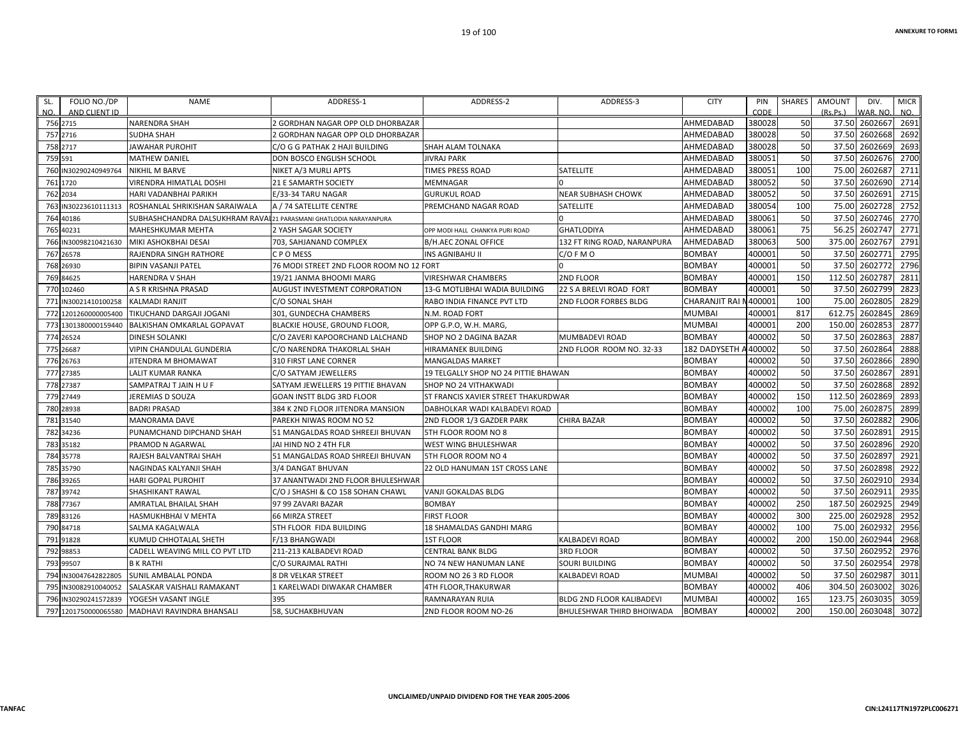| SL.<br>NO. | FOLIO NO./DP<br>AND CLIENT ID | <b>NAME</b>                                                        | ADDRESS-1                                | ADDRESS-2                            | ADDRESS-3                        | <b>CITY</b>          | PIN<br>CODE | <b>SHARES</b> | <b>AMOUNT</b><br>(Rs.Ps.) | DIV.<br>VAR. NO | <b>MICR</b><br>NO. |
|------------|-------------------------------|--------------------------------------------------------------------|------------------------------------------|--------------------------------------|----------------------------------|----------------------|-------------|---------------|---------------------------|-----------------|--------------------|
|            | 756 2715                      | <b>NARENDRA SHAH</b>                                               | 2 GORDHAN NAGAR OPP OLD DHORBAZAR        |                                      |                                  | AHMEDABAD            | 380028      | 50            | 37.50                     | 2602667         | 2691               |
|            | 757 2716                      | <b>SUDHA SHAH</b>                                                  | 2 GORDHAN NAGAR OPP OLD DHORBAZAR        |                                      |                                  | AHMEDABAD            | 380028      | 50            | 37.50                     | 2602668         | 2692               |
|            | 758 2717                      | <b>JAWAHAR PUROHIT</b>                                             | C/O G G PATHAK 2 HAJI BUILDING           | <b>SHAH ALAM TOLNAKA</b>             |                                  | AHMEDABAD            | 380028      | 50            | 37.50                     | 2602669         | 2693               |
|            | 759 591                       | <b>MATHEW DANIEL</b>                                               | DON BOSCO ENGLISH SCHOOL                 | <b>JIVRAJ PARK</b>                   |                                  | AHMEDABAD            | 380051      | 50            | 37.50                     | 2602676         | 2700               |
|            | 760 IN30290240949764          | <b>NIKHIL M BARVE</b>                                              | NIKET A/3 MURLI APTS                     | TIMES PRESS ROAD                     | SATELLITE                        | AHMEDABAD            | 380051      | 100           | 75.00                     | 2602687         | 2711               |
|            | 761 1720                      | <b>VIRENDRA HIMATLAL DOSHI</b>                                     | <b>21 E SAMARTH SOCIETY</b>              | <b>MEMNAGAR</b>                      |                                  | AHMEDABAD            | 380052      | 50            | 37.50                     | 2602690         | 2714               |
|            | 762 2034                      | HARI VADANBHAI PARIKH                                              | E/33-34 TARU NAGAR                       | <b>GURUKUL ROAD</b>                  | <b>NEAR SUBHASH CHOWK</b>        | AHMEDABAD            | 380052      | 50            | 37.50                     | 2602691         | 2715               |
|            | 763 IN30223610111313          | ROSHANLAL SHRIKISHAN SARAIWALA                                     | A / 74 SATELLITE CENTRE                  | PREMCHAND NAGAR ROAD                 | <b>SATELLITE</b>                 | AHMEDABAD            | 380054      | 100           | 75.00                     | 2602728         | 2752               |
|            | 764 40186                     | SUBHASHCHANDRA DALSUKHRAM RAVAL 21 PARASMANI GHATLODIA NARAYANPURA |                                          |                                      |                                  | AHMEDABAD            | 380061      | 50            | 37.50                     | 2602746         | 2770               |
|            | 765 40231                     | MAHESHKUMAR MEHTA                                                  | 2 YASH SAGAR SOCIETY                     | OPP MODI HALL CHANKYA PURI ROAD      | <b>GHATLODIYA</b>                | AHMEDABAD            | 380061      | 75            | 56.25                     | 2602747         | 2771               |
|            | 766 IN30098210421630          | MIKI ASHOKBHAI DESAI                                               | 703, SAHJANAND COMPLEX                   | <b>B/H.AEC ZONAL OFFICE</b>          | 132 FT RING ROAD, NARANPURA      | AHMEDABAD            | 380063      | 500           | 375.00                    | 2602767         | 2791               |
|            | 767 26578                     | RAJENDRA SINGH RATHORE                                             | C P O MESS                               | INS AGNIBAHU II                      | $C/O$ F M O                      | <b>BOMBAY</b>        | 400001      | 50            | 37.50                     | 2602771         | 2795               |
|            | 768 26930                     | <b>BIPIN VASANJI PATEL</b>                                         | 76 MODI STREET 2ND FLOOR ROOM NO 12 FORT |                                      |                                  | <b>BOMBAY</b>        | 400001      | 50            | 37.50                     | 2602772         | 2796               |
|            | 769 84625                     | <b>HARENDRA V SHAH</b>                                             | 19/21 JANMA BHOOMI MARG                  | <b>VIRESHWAR CHAMBERS</b>            | 2ND FLOOR                        | <b>BOMBAY</b>        | 400001      | 150           | 112.50                    | 2602787         | 2811               |
|            | 770 102460                    | A S R KRISHNA PRASAD                                               | <b>AUGUST INVESTMENT CORPORATION</b>     | 13-G MOTLIBHAI WADIA BUILDING        | 22 S A BRELVI ROAD FORT          | <b>BOMBAY</b>        | 400001      | 50            | 37.50                     | 2602799         | 2823               |
|            | 771 IN30021410100258          | <b>KALMADI RANJIT</b>                                              | C/O SONAL SHAH                           | RABO INDIA FINANCE PVT LTD           | <b>2ND FLOOR FORBES BLDG</b>     | <b>CHARANJIT RAI</b> | N400001     | 100           | 75.00                     | 2602805         | 2829               |
|            | 772 1201260000005400          | TIKUCHAND DARGAJI JOGANI                                           | 301, GUNDECHA CHAMBERS                   | N.M. ROAD FORT                       |                                  | <b>MUMBAI</b>        | 400001      | 817           | 612.75                    | 2602845         | 2869               |
|            | 773 1301380000159440          | <b>BALKISHAN OMKARLAL GOPAVAT</b>                                  | <b>BLACKIE HOUSE, GROUND FLOOR</b>       | OPP G.P.O, W.H. MARG,                |                                  | <b>MUMBAI</b>        | 400001      | 200           | 150.00                    | 2602853         | 2877               |
|            | 774 26524                     | <b>DINESH SOLANKI</b>                                              | C/O ZAVERI KAPOORCHAND LALCHAND          | SHOP NO 2 DAGINA BAZAR               | MUMBADEVI ROAD                   | <b>BOMBAY</b>        | 400002      | 50            | 37.50                     | 2602863         | 2887               |
|            | 775 26687                     | VIPIN CHANDULAL GUNDERIA                                           | C/O NARENDRA THAKORLAL SHAH              | HIRAMANEK BUILDING                   | 2ND FLOOR ROOM NO. 32-33         | 182 DADYSETH         | A400002     | 50            | 37.50                     | 2602864         | 2888               |
|            | 776 26763                     | JITENDRA M BHOMAWAT                                                | 310 FIRST LANE CORNER                    | <b>MANGALDAS MARKET</b>              |                                  | <b>BOMBAY</b>        | 400002      | 50            | 37.50                     | 2602866         | 2890               |
|            | 777 27385                     | LALIT KUMAR RANKA                                                  | C/O SATYAM JEWELLERS                     | 19 TELGALLY SHOP NO 24 PITTIE BHAWAN |                                  | <b>BOMBAY</b>        | 400002      | 50            | 37.50                     | 2602867         | 2891               |
|            | 778 27387                     | SAMPATRAJ T JAIN H U F                                             | SATYAM JEWELLERS 19 PITTIE BHAVAN        | <b>SHOP NO 24 VITHAKWADI</b>         |                                  | <b>BOMBAY</b>        | 400002      | 50            | 37.50                     | 2602868         | 2892               |
|            | 779 27449                     | JEREMIAS D SOUZA                                                   | <b>GOAN INSTT BLDG 3RD FLOOR</b>         | ST FRANCIS XAVIER STREET THAKURDWAR  |                                  | <b>BOMBAY</b>        | 400002      | 150           | 112.50                    | 2602869         | 2893               |
|            | 780 28938                     | <b>BADRI PRASAD</b>                                                | 384 K 2ND FLOOR JITENDRA MANSION         | DABHOLKAR WADI KALBADEVI ROAD        |                                  | <b>BOMBAY</b>        | 400002      | 100           | 75.00                     | 2602875         | 2899               |
|            | 781 31540                     | <b>MANORAMA DAVE</b>                                               | PAREKH NIWAS ROOM NO 52                  | 2ND FLOOR 1/3 GAZDER PARK            | CHIRA BAZAR                      | <b>BOMBAY</b>        | 400002      | 50            | 37.50                     | 2602882         | 2906               |
|            | 782 34236                     | PUNAMCHAND DIPCHAND SHAH                                           | 51 MANGALDAS ROAD SHREEJI BHUVAN         | 5TH FLOOR ROOM NO 8                  |                                  | BOMBAY               | 400002      | 50            | 37.50                     | 2602891         | 2915               |
|            | 783 35182                     | PRAMOD N AGARWAL                                                   | JAI HIND NO 2 4TH FLR                    | WEST WING BHULESHWAR                 |                                  | <b>BOMBAY</b>        | 400002      | 50            | 37.50                     | 2602896         | 2920               |
|            | 784 35778                     | RAJESH BALVANTRAI SHAH                                             | 51 MANGALDAS ROAD SHREEJI BHUVAN         | 5TH FLOOR ROOM NO 4                  |                                  | <b>BOMBAY</b>        | 400002      | 50            | 37.50                     | 260289          | 2921               |
|            | 785 35790                     | NAGINDAS KALYANJI SHAH                                             | 3/4 DANGAT BHUVAN                        | 22 OLD HANUMAN 1ST CROSS LANE        |                                  | <b>BOMBAY</b>        | 400002      | 50            | 37.50                     | 2602898         | 2922               |
|            | 786 39265                     | <b>HARI GOPAL PUROHIT</b>                                          | 37 ANANTWADI 2ND FLOOR BHULESHWAR        |                                      |                                  | <b>BOMBAY</b>        | 400002      | 50            | 37.50                     | 2602910         | 2934               |
|            | 787 39742                     | SHASHIKANT RAWAL                                                   | C/O J SHASHI & CO 158 SOHAN CHAWL        | VANJI GOKALDAS BLDG                  |                                  | <b>BOMBAY</b>        | 400002      | 50            | 37.50                     | 2602913         | 2935               |
|            | 788 77367                     | AMRATLAL BHAILAL SHAH                                              | 97 99 ZAVARI BAZAR                       | <b>BOMBAY</b>                        |                                  | <b>BOMBAY</b>        | 400002      | 250           | 187.50                    | 2602925         | 2949               |
|            | 789 83126                     | HASMUKHBHAI V MEHTA                                                | <b>66 MIRZA STREET</b>                   | <b>FIRST FLOOR</b>                   |                                  | <b>BOMBAY</b>        | 400002      | 300           | 225.00                    | 2602928         | 2952               |
|            | 790 84718                     | SALMA KAGALWALA                                                    | <b>5TH FLOOR FIDA BUILDING</b>           | <b>18 SHAMALDAS GANDHI MARG</b>      |                                  | <b>BOMBAY</b>        | 400002      | 100           | 75.00                     | 2602932         | 2956               |
|            | 791 91828                     | KUMUD CHHOTALAL SHETH                                              | F/13 BHANGWADI                           | <b>1ST FLOOR</b>                     | KALBADEVI ROAD                   | <b>BOMBAY</b>        | 400002      | 200           | 150.00                    | 2602944         | 2968               |
|            | 792 98853                     | CADELL WEAVING MILL CO PVT LTD                                     | 211-213 KALBADEVI ROAD                   | <b>CENTRAL BANK BLDG</b>             | <b>3RD FLOOR</b>                 | <b>BOMBAY</b>        | 400002      | 50            | 37.50                     | 2602952         | 2976               |
|            | 793 99507                     | <b>B K RATHI</b>                                                   | C/O SURAJMAL RATHI                       | NO 74 NEW HANUMAN LANE               | <b>SOURI BUILDING</b>            | <b>BOMBAY</b>        | 400002      | 50            | 37.50                     | 2602954         | 2978               |
|            | 794 IN30047642822805          | <b>SUNIL AMBALAL PONDA</b>                                         | <b>8 DR VELKAR STREET</b>                | ROOM NO 26 3 RD FLOOR                | <b>KALBADEVI ROAD</b>            | <b>MUMBAI</b>        | 400002      | 50            | 37.50                     | 2602987         | 3011               |
|            | 795 IN30082910040052          | SALASKAR VAISHALI RAMAKANT                                         | 1 KARELWADI DIWAKAR CHAMBER              | 4TH FLOOR,THAKURWAR                  |                                  | <b>BOMBAY</b>        | 400002      | 406           | 304.50                    | 2603002         | 3026               |
|            | 796 IN30290241572839          | YOGESH VASANT INGLE                                                | 395                                      | RAMNARAYAN RUIA                      | <b>BLDG 2ND FLOOR KALIBADEVI</b> | <b>MUMBAI</b>        | 400002      | 165           | 123.75                    | 2603035         | 3059               |
|            | 797 1201750000065580          | MADHAVI RAVINDRA BHANSALI                                          | 58, SUCHAKBHUVAN                         | 2ND FLOOR ROOM NO-26                 | <b>BHULESHWAR THIRD BHOIWADA</b> | <b>BOMBAY</b>        | 400002      | 200           | 150.00                    | 2603048         | 3072               |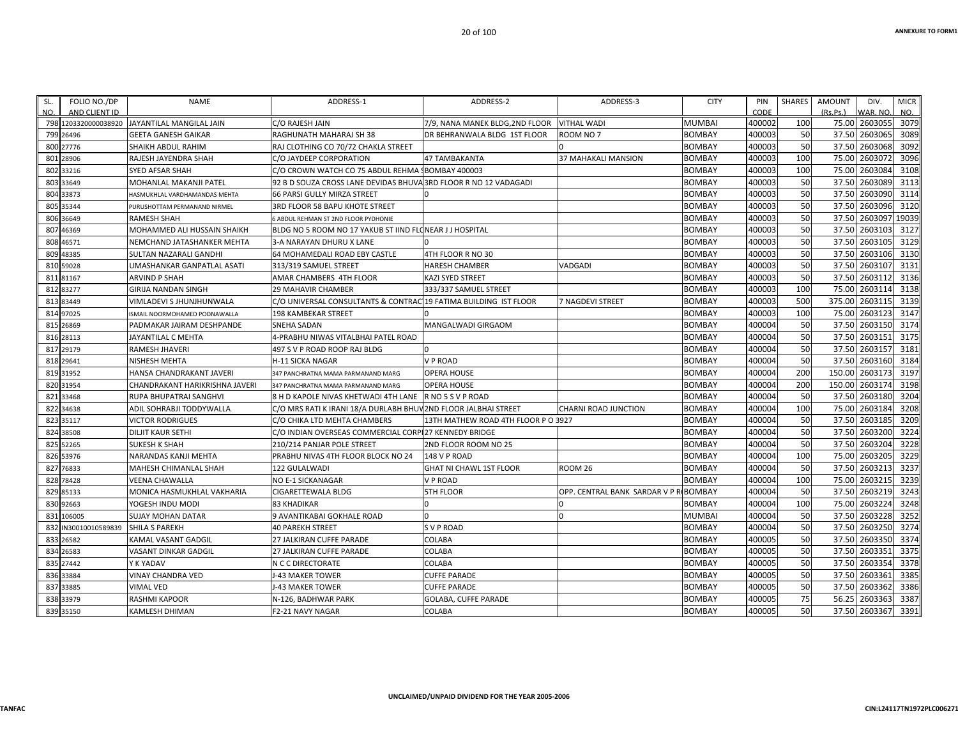| FOLIO NO./DP<br>SL.<br>AND CLIENT ID<br>NO. | <b>NAME</b>                                   | ADDRESS-1                                                        | ADDRESS-2                           | ADDRESS-3                      | <b>CITY</b>   | PIN<br>CODE | <b>SHARES</b> | <b>AMOUNT</b><br>(Rs, Ps.) | DIV.<br>WAR, NO | <b>MICR</b><br>NO. |
|---------------------------------------------|-----------------------------------------------|------------------------------------------------------------------|-------------------------------------|--------------------------------|---------------|-------------|---------------|----------------------------|-----------------|--------------------|
|                                             | 798 1203320000038920 JAYANTILAL MANGILAL JAIN | C/O RAJESH JAIN                                                  | 7/9, NANA MANEK BLDG, 2ND FLOOR     | <b>VITHAL WADI</b>             | <b>MUMBAI</b> | 400002      | 100           | 75.00                      | 2603055         | 3079               |
| 799<br>26496                                | <b>GEETA GANESH GAIKAR</b>                    | RAGHUNATH MAHARAJ SH 38                                          | DR BEHRANWALA BLDG 1ST FLOOR        | ROOM NO 7                      | <b>BOMBAY</b> | 400003      | 50            | 37.50                      | 2603065         | 3089               |
| 800 27776                                   | SHAIKH ABDUL RAHIM                            | RAJ CLOTHING CO 70/72 CHAKLA STREET                              |                                     |                                | <b>BOMBAY</b> | 400003      | 50            | 37.50                      | 2603068         | 3092               |
| 28906<br>801                                | RAJESH JAYENDRA SHAH                          | C/O JAYDEEP CORPORATION                                          | <b>47 TAMBAKANTA</b>                | <b>37 MAHAKALI MANSION</b>     | <b>BOMBAY</b> | 400003      | 100           | 75.00                      | 2603072         | 3096               |
| 802<br>33216                                | <b>SYED AFSAR SHAH</b>                        | C/O CROWN WATCH CO 75 ABDUL REHMA                                | <b>BOMBAY 400003</b>                |                                | <b>BOMBAY</b> | 400003      | 100           | 75.00                      | 2603084         | 3108               |
| 803<br>33649                                | MOHANLAL MAKANJI PATEL                        | 92 B D SOUZA CROSS LANE DEVIDAS BHUVA 3RD FLOOR R NO 12 VADAGADI |                                     |                                | <b>BOMBAY</b> | 400003      | 50            | 37.50                      | 2603089         | 3113               |
| 804<br>33873                                | HASMUKHLAL VARDHAMANDAS MEHTA                 | 66 PARSI GULLY MIRZA STREET                                      |                                     |                                | <b>BOMBAY</b> | 400003      | 50            | 37.50                      | 2603090         | 3114               |
| 805<br>35344                                | PURUSHOTTAM PERMANAND NIRMEL                  | 3RD FLOOR 58 BAPU KHOTE STREET                                   |                                     |                                | <b>BOMBAY</b> | 400003      | 50            | 37.50                      | 2603096         | 3120               |
| 806<br>36649                                | <b>RAMESH SHAH</b>                            | 6 ABDUL REHMAN ST 2ND FLOOR PYDHONIE                             |                                     |                                | <b>BOMBAY</b> | 400003      | 50            | 37.50                      | 2603097         | 19039              |
| 807<br>46369                                | <b>MOHAMMED ALI HUSSAIN SHAIKH</b>            | BLDG NO 5 ROOM NO 17 YAKUB ST IIND FLONEAR JJ HOSPITAL           |                                     |                                | <b>BOMBAY</b> | 400003      | 50            | 37.50                      | 2603103         | 3127               |
| 808<br>46571                                | NEMCHAND JATASHANKER MEHTA                    | 3-A NARAYAN DHURU X LANE                                         |                                     |                                | <b>BOMBAY</b> | 400003      | 50            | 37.50                      | 2603105         | 3129               |
| 48385<br>809                                | <b>SULTAN NAZARALI GANDHI</b>                 | 64 MOHAMEDALI ROAD EBY CASTLE                                    | 4TH FLOOR R NO 30                   |                                | <b>BOMBAY</b> | 400003      | 50            | 37.50                      | 2603106         | 3130               |
| 810<br>59028                                | <b>UMASHANKAR GANPATLAL ASATI</b>             | 313/319 SAMUEL STREET                                            | <b>HARESH CHAMBER</b>               | <b>VADGADI</b>                 | <b>BOMBAY</b> | 400003      | 50            | 37.50                      | 2603107         | 3131               |
| 811<br>81167                                | <b>ARVIND P SHAH</b>                          | AMAR CHAMBERS 4TH FLOOR                                          | <b>KAZI SYED STREET</b>             |                                | <b>BOMBAY</b> | 400003      | 50            | 37.50                      | 2603112         | 3136               |
| 812<br>83277                                | <b>GIRIJA NANDAN SINGH</b>                    | 29 MAHAVIR CHAMBER                                               | 333/337 SAMUEL STREET               |                                | <b>BOMBAY</b> | 400003      | 100           | 75.00                      | 2603114         | 3138               |
| 83449<br>813                                | VIMLADEVI S JHUNJHUNWALA                      | C/O UNIVERSAL CONSULTANTS & CONTRAC 19 FATIMA BUILDING IST FLOOR |                                     | 7 NAGDEVI STREET               | <b>BOMBAY</b> | 400003      | 500           | 375.00                     | 2603115         | 3139               |
| 97025<br>814                                | ISMAIL NOORMOHAMED POONAWALLA                 | 198 KAMBEKAR STREET                                              |                                     |                                | <b>BOMBAY</b> | 400003      | 100           | 75.00                      | 2603123         | 3147               |
| 815<br>26869                                | PADMAKAR JAIRAM DESHPANDE                     | <b>SNEHA SADAN</b>                                               | MANGALWADI GIRGAOM                  |                                | <b>BOMBAY</b> | 400004      | 50            | 37.50                      | 2603150         | 3174               |
| 816 28113                                   | JAYANTILAL C MEHTA                            | 4-PRABHU NIWAS VITALBHAI PATEL ROAD                              |                                     |                                | <b>BOMBAY</b> | 400004      | 50            | 37.50                      | 2603151         | 3175               |
| 29179<br>817                                | <b>RAMESH JHAVERI</b>                         | 497 S V P ROAD ROOP RAJ BLDG                                     |                                     |                                | <b>BOMBAY</b> | 400004      | 50            | 37.50                      | 2603157         | 3181               |
| 818 29641                                   | <b>NISHESH MEHTA</b>                          | <b>H-11 SICKA NAGAR</b>                                          | <b>VP ROAD</b>                      |                                | <b>BOMBAY</b> | 400004      | 50            | 37.50                      | 2603160         | 3184               |
| 819 31952                                   | HANSA CHANDRAKANT JAVERI                      | 347 PANCHRATNA MAMA PARMANAND MARG                               | <b>OPERA HOUSE</b>                  |                                | <b>BOMBAY</b> | 400004      | 200           | 150.00                     | 2603173         | 3197               |
| 31954<br>820                                | CHANDRAKANT HARIKRISHNA JAVERI                | 347 PANCHRATNA MAMA PARMANAND MARG                               | <b>OPERA HOUSE</b>                  |                                | <b>BOMBAY</b> | 400004      | 200           | 150.00                     | 2603174         | 3198               |
| 821<br>33468                                | RUPA BHUPATRAI SANGHVI                        | 8 H D KAPOLE NIVAS KHETWADI 4TH LANE                             | RNO 5 S V P ROAD                    |                                | <b>BOMBAY</b> | 400004      | 50            | 37.50                      | 2603180         | 3204               |
| 822 34638                                   | ADIL SOHRABJI TODDYWALLA                      | C/O MRS RATI K IRANI 18/A DURLABH BHUV 2ND FLOOR JALBHAI STREET  |                                     | <b>CHARNI ROAD JUNCTION</b>    | <b>BOMBAY</b> | 400004      | 100           | 75.00                      | 2603184         | 3208               |
| 35117<br>823                                | <b>VICTOR RODRIGUES</b>                       | C/O CHIKA LTD MEHTA CHAMBERS                                     | 13TH MATHEW ROAD 4TH FLOOR P O 3927 |                                | <b>BOMBAY</b> | 400004      | 50            | 37.50                      | 2603185         | 3209               |
| 824<br>38508                                | <b>DILJIT KAUR SETHI</b>                      | C/O INDIAN OVERSEAS COMMERCIAL CORPI27 KENNEDY BRIDGE            |                                     |                                | <b>BOMBAY</b> | 400004      | 50            | 37.50                      | 2603200         | 3224               |
| 825<br>52265                                | <b>SUKESH K SHAH</b>                          | 210/214 PANJAR POLE STREET                                       | 2ND FLOOR ROOM NO 25                |                                | <b>BOMBAY</b> | 400004      | 50            | 37.50                      | 2603204         | 3228               |
| 826 53976                                   | NARANDAS KANJI MEHTA                          | PRABHU NIVAS 4TH FLOOR BLOCK NO 24                               | <b>148 V P ROAD</b>                 |                                | <b>BOMBAY</b> | 400004      | 100           | 75.00                      | 2603205         | 3229               |
| 827<br>76833                                | <b>MAHESH CHIMANLAL SHAH</b>                  | 122 GULALWADI                                                    | GHAT NI CHAWL 1ST FLOOR             | ROOM <sub>26</sub>             | <b>BOMBAY</b> | 400004      | 50            | 37.50                      | 2603213         | 3237               |
| 828<br>78428                                | VEENA CHAWALLA                                | <b>NO E-1 SICKANAGAR</b>                                         | <b>VP ROAD</b>                      |                                | <b>BOMBAY</b> | 400004      | 100           | 75.00                      | 2603215         | 3239               |
| 85133<br>829                                | MONICA HASMUKHLAL VAKHARIA                    | CIGARETTEWALA BLDG                                               | <b>5TH FLOOR</b>                    | OPP. CENTRAL BANK SARDAR V P R | <b>BOMBAY</b> | 400004      | 50            | 37.50                      | 2603219         | 3243               |
| 830<br>92663                                | YOGESH INDU MODI                              | <b>83 KHADIKAR</b>                                               |                                     |                                | <b>BOMBAY</b> | 400004      | 100           | 75.00                      | 2603224         | 3248               |
| 106005<br>831                               | <b>SUJAY MOHAN DATAR</b>                      | 9 AVANTIKABAI GOKHALE ROAD                                       | n                                   | $\Omega$                       | <b>MUMBAI</b> | 400004      | 50            | 37.50                      | 2603228         | 3252               |
| IN30010010589839<br>832                     | <b>SHILA S PAREKH</b>                         | <b>40 PAREKH STREET</b>                                          | <b>SVP ROAD</b>                     |                                | <b>BOMBAY</b> | 400004      | 50            | 37.50                      | 2603250         | 3274               |
| 833<br>26582                                | KAMAL VASANT GADGIL                           | 27 JALKIRAN CUFFE PARADE                                         | COLABA                              |                                | <b>BOMBAY</b> | 400005      | 50            | 37.50                      | 2603350         | 3374               |
| 26583<br>834                                | VASANT DINKAR GADGIL                          | 27 JALKIRAN CUFFE PARADE                                         | COLABA                              |                                | <b>BOMBAY</b> | 400005      | 50            | 37.50                      | 2603351         | 3375               |
| 835 27442                                   | Y K YADAV                                     | N C C DIRECTORATE                                                | <b>COLABA</b>                       |                                | <b>BOMBAY</b> | 400005      | 50            | 37.50                      | 2603354         | 3378               |
| 836 33884                                   | VINAY CHANDRA VED                             | J-43 MAKER TOWER                                                 | <b>CUFFE PARADE</b>                 |                                | <b>BOMBAY</b> | 400005      | 50            | 37.50                      | 2603361         | 3385               |
| 837<br>33885                                | <b>VIMAL VED</b>                              | J-43 MAKER TOWER                                                 | <b>CUFFE PARADE</b>                 |                                | <b>BOMBAY</b> | 400005      | 50            | 37.50                      | 2603362         | 3386               |
| 838 33979                                   | <b>RASHMI KAPOOR</b>                          | N-126. BADHWAR PARK                                              | <b>GOLABA, CUFFE PARADE</b>         |                                | <b>BOMBAY</b> | 400005      | 75            | 56.25                      | 2603363         | 3387               |
| 839 35150                                   | <b>KAMLESH DHIMAN</b>                         | F2-21 NAVY NAGAR                                                 | COLABA                              |                                | <b>BOMBAY</b> | 400005      | 50            |                            | 37.50 2603367   | 3391               |
|                                             |                                               |                                                                  |                                     |                                |               |             |               |                            |                 |                    |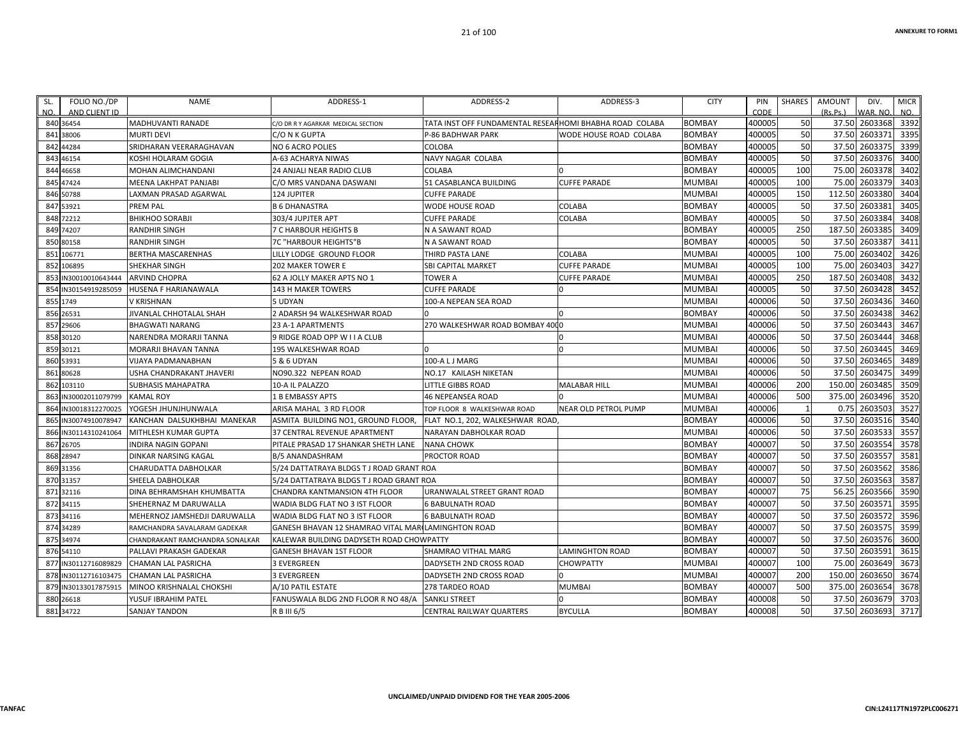| 400005<br>50<br>37.50 2603368<br>3392<br>840 36454<br><b>MADHUVANTI RANADE</b><br>TATA INST OFF FUNDAMENTAL RESEARHOMI BHABHA ROAD COLABA<br><b>BOMBAY</b><br>C/O DR R Y AGARKAR MEDICAL SECTION<br>400005<br>50<br>2603371<br>3395<br>37.50<br>38006<br><b>MURTI DEVI</b><br>WODE HOUSE ROAD COLABA<br><b>BOMBAY</b><br>841<br>C/O N K GUPTA<br>P-86 BADHWAR PARK<br>50<br>37.50<br>3399<br><b>BOMBAY</b><br>400005<br>2603375<br>44284<br>SRIDHARAN VEERARAGHAVAN<br><b>NO 6 ACRO POLIES</b><br><b>COLOBA</b><br>842<br>50<br>3400<br>400005<br>37.50<br>2603376<br>NAVY NAGAR COLABA<br><b>BOMBAY</b><br>46154<br>KOSHI HOLARAM GOGIA<br>A-63 ACHARYA NIWAS<br>843<br>400005<br>100<br>75.00<br>2603378<br>3402<br>COLABA<br>46658<br>MOHAN ALIMCHANDANI<br>24 ANJALI NEAR RADIO CLUB<br><b>BOMBAY</b><br>844<br>3403<br>400005<br>100<br>75.00<br>2603379<br>47424<br>51 CASABLANCA BUILDING<br><b>CUFFE PARADE</b><br>MUMBAI<br>845<br>MEENA LAKHPAT PANJABI<br>C/O MRS VANDANA DASWANI<br>3404<br>400005<br>150<br>112.50<br>2603380<br>124 JUPITER<br><b>MUMBAI</b><br>50788<br>LAXMAN PRASAD AGARWAL<br><b>CUFFE PARADE</b><br>846<br>400005<br>50<br>260338<br>3405<br>COLABA<br>37.50<br>53921<br><b>PREM PAL</b><br><b>B 6 DHANASTRA</b><br>WODE HOUSE ROAD<br><b>BOMBAY</b><br>84<br>50<br>3408<br>400005<br>37.50<br>2603384<br>72212<br><b>BOMBAY</b><br>848<br><b>BHIKHOO SORABJI</b><br>303/4 JUPJTER APT<br><b>CUFFE PARADE</b><br><b>COLABA</b><br>3409<br>250<br>2603385<br><b>BOMBAY</b><br>400005<br>187.50<br>74207<br>7 C HARBOUR HEIGHTS B<br>N A SAWANT ROAD<br><b>RANDHIR SINGH</b><br>849<br>400005<br>50<br>2603387<br>3411<br>37.50<br>80158<br><b>RANDHIR SINGH</b><br>7C "HARBOUR HEIGHTS"B<br>N A SAWANT ROAD<br><b>BOMBAY</b><br>850<br>3426<br>400005<br>100<br>75.00<br>2603402<br>851<br>106771<br><b>BERTHA MASCARENHAS</b><br>LILLY LODGE GROUND FLOOR<br>THIRD PASTA LANE<br><b>COLABA</b><br><b>MUMBAI</b><br>3427<br><b>MUMBAI</b><br>400005<br>100<br>75.00<br>2603403<br>SHEKHAR SINGH<br><b>CUFFE PARADE</b><br>852<br>106895<br><b>202 MAKER TOWER E</b><br><b>SBI CAPITAL MARKET</b><br>3432<br>400005<br>250<br>187.50<br>2603408<br><b>TOWER A</b><br><b>MUMBAI</b><br>IN30010010643444<br><b>ARVIND CHOPRA</b><br>62 A JOLLY MAKER APTS NO 1<br><b>CUFFE PARADE</b><br>853<br>3452<br>400005<br>50<br>37.50<br>2603428<br>IN30154919285059<br><b>MUMBAI</b><br>854<br><b>HUSENA F HARIANAWALA</b><br>143 H MAKER TOWERS<br><b>CUFFE PARADE</b><br>$\Omega$<br>400006<br>50<br>2603436<br>3460<br>37.50<br>5 UDYAN<br>100-A NEPEAN SEA ROAD<br><b>MUMBAI</b><br>855 1749<br>V KRISHNAN<br>50<br>3462<br>400006<br>37.50<br>2603438<br>856 26531<br>JIVANLAL CHHOTALAL SHAH<br>2 ADARSH 94 WALKESHWAR ROAD<br><b>BOMBAY</b><br>400006<br>50<br>37.50<br>2603443<br>3467<br>857<br>270 WALKESHWAR ROAD BOMBAY 4000<br><b>MUMBAI</b><br>29606<br><b>BHAGWATI NARANG</b><br>23 A-1 APARTMENTS<br>50<br>3468<br>400006<br>2603444<br>37.50<br>858 30120<br>9 RIDGE ROAD OPP W I I A CLUB<br>$\Omega$<br><b>MUMBAI</b><br>NARENDRA MORARJI TANNA<br>50<br>$\Omega$<br>400006<br>37.50<br>2603445<br>3469<br><b>MUMBAI</b><br>859<br>30121<br>195 WALKESHWAR ROAD<br>MORARJI BHAVAN TANNA<br>50<br>37.50<br>400006<br>2603465<br>860<br>53931<br><b>VIJAYA PADMANABHAN</b><br>5 & 6 UDYAN<br>100-A L J MARG<br><b>MUMBAI</b><br>50<br>3499<br>37.50<br>2603475<br>400006<br>80628<br>NO90.322 NEPEAN ROAD<br>NO.17 KAILASH NIKETAN<br><b>MUMBAI</b><br>861<br>USHA CHANDRAKANT JHAVERI<br>3509<br>400006<br>200<br>150.00<br>2603485<br>103110<br><b>SUBHASIS MAHAPATRA</b><br>10-A IL PALAZZO<br>LITTLE GIBBS ROAD<br><b>MALABAR HILL</b><br><b>MUMBAI</b><br>862<br>500<br>3520<br>400006<br>375.00<br>2603496<br>N30002011079799<br><b>KAMAL ROY</b><br>1 B EMBASSY APTS<br><b>46 NEPEANSEA ROAD</b><br><b>MUMBAI</b><br>863<br>3527<br>2603503<br>400006<br>0.75<br>YOGESH JHUNJHUNWALA<br>ARISA MAHAL 3 RD FLOOR<br><b>NEAR OLD PETROL PUMP</b><br><b>MUMBAI</b><br>864<br>IN30018312270025<br>TOP FLOOR 8 WALKESHWAR ROAD<br>50<br>2603516<br>3540<br>400006<br>37.50<br><b>BOMBAY</b><br>IN30074910078947<br>KANCHAN DALSUKHBHAI MANEKAR<br>ASMITA BUILDING NO1, GROUND FLOOR,<br>FLAT NO.1, 202, WALKESHWAR ROAD<br>865<br>400006<br>50<br>2603533<br>3557<br>37.50<br><b>MUMBAI</b><br>866<br>N30114310241064<br>MITHLESH KUMAR GUPTA<br>37 CENTRAL REVENUE APARTMENT<br>NARAYAN DABHOLKAR ROAD<br>3578<br>50<br>37.50<br><b>BOMBAY</b><br>400007<br>2603554<br>867<br>26705<br><b>INDIRA NAGIN GOPANI</b><br>PITALE PRASAD 17 SHANKAR SHETH LANE<br><b>NANA CHOWK</b><br>3581<br>400007<br>50<br>37.50<br>260355<br><b>BOMBAY</b><br>868 28947<br><b>DINKAR NARSING KAGAL</b><br><b>B/5 ANANDASHRAM</b><br><b>PROCTOR ROAD</b><br>3586<br>400007<br>50<br>2603562<br>37.50<br>869 31356<br>5/24 DATTATRAYA BLDGS T J ROAD GRANT ROA<br><b>BOMBAY</b><br>CHARUDATTA DABHOLKAR<br>3587<br>400007<br>50<br>37.50<br>2603563<br>870<br>31357<br><b>BOMBAY</b><br><b>SHEELA DABHOLKAR</b><br>5/24 DATTATRAYA BLDGS T J ROAD GRANT ROA<br>3590<br>400007<br>75<br>56.25<br>2603566<br>URANWALAL STREET GRANT ROAD<br><b>BOMBAY</b><br>871 32116<br>DINA BEHRAMSHAH KHUMBATTA<br><b>CHANDRA KANTMANSION 4TH FLOOR</b><br>50<br>3595<br>400007<br>260357<br>37.50<br>872 34115<br><b>BOMBAY</b><br>SHEHERNAZ M DARUWALLA<br>WADIA BLDG FLAT NO 3 IST FLOOR<br><b>6 BABULNATH ROAD</b><br>3596<br>400007<br>50<br>37.50<br>2603572<br>873 34116<br>MEHERNOZ JAMSHEDJI DARUWALLA<br>WADIA BLDG FLAT NO 3 IST FLOOR<br><b>BOMBAY</b><br><b>6 BABULNATH ROAD</b><br>50<br>3599<br><b>BOMBAY</b><br>400007<br>37.50<br>2603575<br>GANESH BHAVAN 12 SHAMRAO VITAL MARI LAMINGHTON ROAD<br>874<br>34289<br>RAMCHANDRA SAVALARAM GADEKAR<br>50<br>3600<br>400007<br>37.50<br>2603576<br>34974<br><b>BOMBAY</b><br>KALEWAR BUILDING DADYSETH ROAD CHOWPATTY<br>875<br>CHANDRAKANT RAMCHANDRA SONALKAR<br>3615<br>400007<br>50<br>37.50<br>2603591<br>876<br>54110<br>PALLAVI PRAKASH GADEKAR<br><b>GANESH BHAVAN 1ST FLOOR</b><br><b>SHAMRAO VITHAL MARG</b><br><b>LAMINGHTON ROAD</b><br><b>BOMBAY</b><br>3673<br><b>MUMBAI</b><br>400007<br>100<br>75.00<br>2603649<br>IN30112716089829<br><b>CHAMAN LAL PASRICHA</b><br><b>3 EVERGREEN</b><br>DADYSETH 2ND CROSS ROAD<br><b>CHOWPATTY</b><br>877<br>400007<br>200<br>150.00<br>2603650<br>3674<br><b>MUMBAI</b><br><b>3 EVERGREEN</b><br>DADYSETH 2ND CROSS ROAD<br>IN30112716103475<br><b>CHAMAN LAL PASRICHA</b><br>878<br>375.00<br>2603654<br>3678<br>400007<br>500<br>879<br>N30133017875915<br>MINOO KRISHNALAL CHOKSHI<br>A/10 PATIL ESTATE<br>278 TARDEO ROAD<br><b>MUMBAI</b><br><b>BOMBAY</b><br>50<br>3703<br>400008<br>37.50<br>2603679<br><b>BOMBAY</b><br>880 26618<br><b>/USUF IBRAHIM PATEL</b><br>FANUSWALA BLDG 2ND FLOOR R NO 48/A<br><b>SANKLI STREET</b><br>$\Omega$<br>400008<br>50<br>37.50 2603693<br>881 34722<br><b>BYCULLA</b><br><b>BOMBAY</b><br><b>SANJAY TANDON</b><br>R B III 6/5<br><b>CENTRAL RAILWAY QUARTERS</b> | FOLIO NO./DP<br>SL.<br>NO.<br>AND CLIENT ID | <b>NAME</b> | ADDRESS-1 | ADDRESS-2 | ADDRESS-3 | <b>CITY</b> | PIN<br>CODE | <b>SHARES</b> | <b>AMOUNT</b><br>(Rs, Ps.) | DIV.<br>WAR, NO | <b>MICR</b><br>NO. |
|-------------------------------------------------------------------------------------------------------------------------------------------------------------------------------------------------------------------------------------------------------------------------------------------------------------------------------------------------------------------------------------------------------------------------------------------------------------------------------------------------------------------------------------------------------------------------------------------------------------------------------------------------------------------------------------------------------------------------------------------------------------------------------------------------------------------------------------------------------------------------------------------------------------------------------------------------------------------------------------------------------------------------------------------------------------------------------------------------------------------------------------------------------------------------------------------------------------------------------------------------------------------------------------------------------------------------------------------------------------------------------------------------------------------------------------------------------------------------------------------------------------------------------------------------------------------------------------------------------------------------------------------------------------------------------------------------------------------------------------------------------------------------------------------------------------------------------------------------------------------------------------------------------------------------------------------------------------------------------------------------------------------------------------------------------------------------------------------------------------------------------------------------------------------------------------------------------------------------------------------------------------------------------------------------------------------------------------------------------------------------------------------------------------------------------------------------------------------------------------------------------------------------------------------------------------------------------------------------------------------------------------------------------------------------------------------------------------------------------------------------------------------------------------------------------------------------------------------------------------------------------------------------------------------------------------------------------------------------------------------------------------------------------------------------------------------------------------------------------------------------------------------------------------------------------------------------------------------------------------------------------------------------------------------------------------------------------------------------------------------------------------------------------------------------------------------------------------------------------------------------------------------------------------------------------------------------------------------------------------------------------------------------------------------------------------------------------------------------------------------------------------------------------------------------------------------------------------------------------------------------------------------------------------------------------------------------------------------------------------------------------------------------------------------------------------------------------------------------------------------------------------------------------------------------------------------------------------------------------------------------------------------------------------------------------------------------------------------------------------------------------------------------------------------------------------------------------------------------------------------------------------------------------------------------------------------------------------------------------------------------------------------------------------------------------------------------------------------------------------------------------------------------------------------------------------------------------------------------------------------------------------------------------------------------------------------------------------------------------------------------------------------------------------------------------------------------------------------------------------------------------------------------------------------------------------------------------------------------------------------------------------------------------------------------------------------------------------------------------------------------------------------------------------------------------------------------------------------------------------------------------------------------------------------------------------------------------------------------------------------------------------------------------------------------------------------------------------------------------------------------------------------------------------------------------------------------------------------------------------------------------------------------------------------------------------------------------------------------------------------------------------------------------------------------------------------------------------------------------------------------------------------------------------------------------------------------------------------------------------------------------------------------------------------------------------------------------------------------------------------------------------------------------------------------------------------------------------------------------------------------------------------------------------------------------------------------------------------------------------------------------------------------------------------------------------------------------------------------------------------------------------------------------------------------------------------------------------------------------------------------------------------------------------------------------------------------------------------------------------------------------------------------------------------|---------------------------------------------|-------------|-----------|-----------|-----------|-------------|-------------|---------------|----------------------------|-----------------|--------------------|
|                                                                                                                                                                                                                                                                                                                                                                                                                                                                                                                                                                                                                                                                                                                                                                                                                                                                                                                                                                                                                                                                                                                                                                                                                                                                                                                                                                                                                                                                                                                                                                                                                                                                                                                                                                                                                                                                                                                                                                                                                                                                                                                                                                                                                                                                                                                                                                                                                                                                                                                                                                                                                                                                                                                                                                                                                                                                                                                                                                                                                                                                                                                                                                                                                                                                                                                                                                                                                                                                                                                                                                                                                                                                                                                                                                                                                                                                                                                                                                                                                                                                                                                                                                                                                                                                                                                                                                                                                                                                                                                                                                                                                                                                                                                                                                                                                                                                                                                                                                                                                                                                                                                                                                                                                                                                                                                                                                                                                                                                                                                                                                                                                                                                                                                                                                                                                                                                                                                                                                                                                                                                                                                                                                                                                                                                                                                                                                                                                                                                                                                                                                                                                                                                                                                                                                                                                                                                                                                                                                                                                                           |                                             |             |           |           |           |             |             |               |                            |                 |                    |
|                                                                                                                                                                                                                                                                                                                                                                                                                                                                                                                                                                                                                                                                                                                                                                                                                                                                                                                                                                                                                                                                                                                                                                                                                                                                                                                                                                                                                                                                                                                                                                                                                                                                                                                                                                                                                                                                                                                                                                                                                                                                                                                                                                                                                                                                                                                                                                                                                                                                                                                                                                                                                                                                                                                                                                                                                                                                                                                                                                                                                                                                                                                                                                                                                                                                                                                                                                                                                                                                                                                                                                                                                                                                                                                                                                                                                                                                                                                                                                                                                                                                                                                                                                                                                                                                                                                                                                                                                                                                                                                                                                                                                                                                                                                                                                                                                                                                                                                                                                                                                                                                                                                                                                                                                                                                                                                                                                                                                                                                                                                                                                                                                                                                                                                                                                                                                                                                                                                                                                                                                                                                                                                                                                                                                                                                                                                                                                                                                                                                                                                                                                                                                                                                                                                                                                                                                                                                                                                                                                                                                                           |                                             |             |           |           |           |             |             |               |                            |                 |                    |
|                                                                                                                                                                                                                                                                                                                                                                                                                                                                                                                                                                                                                                                                                                                                                                                                                                                                                                                                                                                                                                                                                                                                                                                                                                                                                                                                                                                                                                                                                                                                                                                                                                                                                                                                                                                                                                                                                                                                                                                                                                                                                                                                                                                                                                                                                                                                                                                                                                                                                                                                                                                                                                                                                                                                                                                                                                                                                                                                                                                                                                                                                                                                                                                                                                                                                                                                                                                                                                                                                                                                                                                                                                                                                                                                                                                                                                                                                                                                                                                                                                                                                                                                                                                                                                                                                                                                                                                                                                                                                                                                                                                                                                                                                                                                                                                                                                                                                                                                                                                                                                                                                                                                                                                                                                                                                                                                                                                                                                                                                                                                                                                                                                                                                                                                                                                                                                                                                                                                                                                                                                                                                                                                                                                                                                                                                                                                                                                                                                                                                                                                                                                                                                                                                                                                                                                                                                                                                                                                                                                                                                           |                                             |             |           |           |           |             |             |               |                            |                 |                    |
|                                                                                                                                                                                                                                                                                                                                                                                                                                                                                                                                                                                                                                                                                                                                                                                                                                                                                                                                                                                                                                                                                                                                                                                                                                                                                                                                                                                                                                                                                                                                                                                                                                                                                                                                                                                                                                                                                                                                                                                                                                                                                                                                                                                                                                                                                                                                                                                                                                                                                                                                                                                                                                                                                                                                                                                                                                                                                                                                                                                                                                                                                                                                                                                                                                                                                                                                                                                                                                                                                                                                                                                                                                                                                                                                                                                                                                                                                                                                                                                                                                                                                                                                                                                                                                                                                                                                                                                                                                                                                                                                                                                                                                                                                                                                                                                                                                                                                                                                                                                                                                                                                                                                                                                                                                                                                                                                                                                                                                                                                                                                                                                                                                                                                                                                                                                                                                                                                                                                                                                                                                                                                                                                                                                                                                                                                                                                                                                                                                                                                                                                                                                                                                                                                                                                                                                                                                                                                                                                                                                                                                           |                                             |             |           |           |           |             |             |               |                            |                 |                    |
|                                                                                                                                                                                                                                                                                                                                                                                                                                                                                                                                                                                                                                                                                                                                                                                                                                                                                                                                                                                                                                                                                                                                                                                                                                                                                                                                                                                                                                                                                                                                                                                                                                                                                                                                                                                                                                                                                                                                                                                                                                                                                                                                                                                                                                                                                                                                                                                                                                                                                                                                                                                                                                                                                                                                                                                                                                                                                                                                                                                                                                                                                                                                                                                                                                                                                                                                                                                                                                                                                                                                                                                                                                                                                                                                                                                                                                                                                                                                                                                                                                                                                                                                                                                                                                                                                                                                                                                                                                                                                                                                                                                                                                                                                                                                                                                                                                                                                                                                                                                                                                                                                                                                                                                                                                                                                                                                                                                                                                                                                                                                                                                                                                                                                                                                                                                                                                                                                                                                                                                                                                                                                                                                                                                                                                                                                                                                                                                                                                                                                                                                                                                                                                                                                                                                                                                                                                                                                                                                                                                                                                           |                                             |             |           |           |           |             |             |               |                            |                 |                    |
|                                                                                                                                                                                                                                                                                                                                                                                                                                                                                                                                                                                                                                                                                                                                                                                                                                                                                                                                                                                                                                                                                                                                                                                                                                                                                                                                                                                                                                                                                                                                                                                                                                                                                                                                                                                                                                                                                                                                                                                                                                                                                                                                                                                                                                                                                                                                                                                                                                                                                                                                                                                                                                                                                                                                                                                                                                                                                                                                                                                                                                                                                                                                                                                                                                                                                                                                                                                                                                                                                                                                                                                                                                                                                                                                                                                                                                                                                                                                                                                                                                                                                                                                                                                                                                                                                                                                                                                                                                                                                                                                                                                                                                                                                                                                                                                                                                                                                                                                                                                                                                                                                                                                                                                                                                                                                                                                                                                                                                                                                                                                                                                                                                                                                                                                                                                                                                                                                                                                                                                                                                                                                                                                                                                                                                                                                                                                                                                                                                                                                                                                                                                                                                                                                                                                                                                                                                                                                                                                                                                                                                           |                                             |             |           |           |           |             |             |               |                            |                 |                    |
|                                                                                                                                                                                                                                                                                                                                                                                                                                                                                                                                                                                                                                                                                                                                                                                                                                                                                                                                                                                                                                                                                                                                                                                                                                                                                                                                                                                                                                                                                                                                                                                                                                                                                                                                                                                                                                                                                                                                                                                                                                                                                                                                                                                                                                                                                                                                                                                                                                                                                                                                                                                                                                                                                                                                                                                                                                                                                                                                                                                                                                                                                                                                                                                                                                                                                                                                                                                                                                                                                                                                                                                                                                                                                                                                                                                                                                                                                                                                                                                                                                                                                                                                                                                                                                                                                                                                                                                                                                                                                                                                                                                                                                                                                                                                                                                                                                                                                                                                                                                                                                                                                                                                                                                                                                                                                                                                                                                                                                                                                                                                                                                                                                                                                                                                                                                                                                                                                                                                                                                                                                                                                                                                                                                                                                                                                                                                                                                                                                                                                                                                                                                                                                                                                                                                                                                                                                                                                                                                                                                                                                           |                                             |             |           |           |           |             |             |               |                            |                 |                    |
|                                                                                                                                                                                                                                                                                                                                                                                                                                                                                                                                                                                                                                                                                                                                                                                                                                                                                                                                                                                                                                                                                                                                                                                                                                                                                                                                                                                                                                                                                                                                                                                                                                                                                                                                                                                                                                                                                                                                                                                                                                                                                                                                                                                                                                                                                                                                                                                                                                                                                                                                                                                                                                                                                                                                                                                                                                                                                                                                                                                                                                                                                                                                                                                                                                                                                                                                                                                                                                                                                                                                                                                                                                                                                                                                                                                                                                                                                                                                                                                                                                                                                                                                                                                                                                                                                                                                                                                                                                                                                                                                                                                                                                                                                                                                                                                                                                                                                                                                                                                                                                                                                                                                                                                                                                                                                                                                                                                                                                                                                                                                                                                                                                                                                                                                                                                                                                                                                                                                                                                                                                                                                                                                                                                                                                                                                                                                                                                                                                                                                                                                                                                                                                                                                                                                                                                                                                                                                                                                                                                                                                           |                                             |             |           |           |           |             |             |               |                            |                 |                    |
|                                                                                                                                                                                                                                                                                                                                                                                                                                                                                                                                                                                                                                                                                                                                                                                                                                                                                                                                                                                                                                                                                                                                                                                                                                                                                                                                                                                                                                                                                                                                                                                                                                                                                                                                                                                                                                                                                                                                                                                                                                                                                                                                                                                                                                                                                                                                                                                                                                                                                                                                                                                                                                                                                                                                                                                                                                                                                                                                                                                                                                                                                                                                                                                                                                                                                                                                                                                                                                                                                                                                                                                                                                                                                                                                                                                                                                                                                                                                                                                                                                                                                                                                                                                                                                                                                                                                                                                                                                                                                                                                                                                                                                                                                                                                                                                                                                                                                                                                                                                                                                                                                                                                                                                                                                                                                                                                                                                                                                                                                                                                                                                                                                                                                                                                                                                                                                                                                                                                                                                                                                                                                                                                                                                                                                                                                                                                                                                                                                                                                                                                                                                                                                                                                                                                                                                                                                                                                                                                                                                                                                           |                                             |             |           |           |           |             |             |               |                            |                 |                    |
|                                                                                                                                                                                                                                                                                                                                                                                                                                                                                                                                                                                                                                                                                                                                                                                                                                                                                                                                                                                                                                                                                                                                                                                                                                                                                                                                                                                                                                                                                                                                                                                                                                                                                                                                                                                                                                                                                                                                                                                                                                                                                                                                                                                                                                                                                                                                                                                                                                                                                                                                                                                                                                                                                                                                                                                                                                                                                                                                                                                                                                                                                                                                                                                                                                                                                                                                                                                                                                                                                                                                                                                                                                                                                                                                                                                                                                                                                                                                                                                                                                                                                                                                                                                                                                                                                                                                                                                                                                                                                                                                                                                                                                                                                                                                                                                                                                                                                                                                                                                                                                                                                                                                                                                                                                                                                                                                                                                                                                                                                                                                                                                                                                                                                                                                                                                                                                                                                                                                                                                                                                                                                                                                                                                                                                                                                                                                                                                                                                                                                                                                                                                                                                                                                                                                                                                                                                                                                                                                                                                                                                           |                                             |             |           |           |           |             |             |               |                            |                 |                    |
|                                                                                                                                                                                                                                                                                                                                                                                                                                                                                                                                                                                                                                                                                                                                                                                                                                                                                                                                                                                                                                                                                                                                                                                                                                                                                                                                                                                                                                                                                                                                                                                                                                                                                                                                                                                                                                                                                                                                                                                                                                                                                                                                                                                                                                                                                                                                                                                                                                                                                                                                                                                                                                                                                                                                                                                                                                                                                                                                                                                                                                                                                                                                                                                                                                                                                                                                                                                                                                                                                                                                                                                                                                                                                                                                                                                                                                                                                                                                                                                                                                                                                                                                                                                                                                                                                                                                                                                                                                                                                                                                                                                                                                                                                                                                                                                                                                                                                                                                                                                                                                                                                                                                                                                                                                                                                                                                                                                                                                                                                                                                                                                                                                                                                                                                                                                                                                                                                                                                                                                                                                                                                                                                                                                                                                                                                                                                                                                                                                                                                                                                                                                                                                                                                                                                                                                                                                                                                                                                                                                                                                           |                                             |             |           |           |           |             |             |               |                            |                 |                    |
|                                                                                                                                                                                                                                                                                                                                                                                                                                                                                                                                                                                                                                                                                                                                                                                                                                                                                                                                                                                                                                                                                                                                                                                                                                                                                                                                                                                                                                                                                                                                                                                                                                                                                                                                                                                                                                                                                                                                                                                                                                                                                                                                                                                                                                                                                                                                                                                                                                                                                                                                                                                                                                                                                                                                                                                                                                                                                                                                                                                                                                                                                                                                                                                                                                                                                                                                                                                                                                                                                                                                                                                                                                                                                                                                                                                                                                                                                                                                                                                                                                                                                                                                                                                                                                                                                                                                                                                                                                                                                                                                                                                                                                                                                                                                                                                                                                                                                                                                                                                                                                                                                                                                                                                                                                                                                                                                                                                                                                                                                                                                                                                                                                                                                                                                                                                                                                                                                                                                                                                                                                                                                                                                                                                                                                                                                                                                                                                                                                                                                                                                                                                                                                                                                                                                                                                                                                                                                                                                                                                                                                           |                                             |             |           |           |           |             |             |               |                            |                 |                    |
|                                                                                                                                                                                                                                                                                                                                                                                                                                                                                                                                                                                                                                                                                                                                                                                                                                                                                                                                                                                                                                                                                                                                                                                                                                                                                                                                                                                                                                                                                                                                                                                                                                                                                                                                                                                                                                                                                                                                                                                                                                                                                                                                                                                                                                                                                                                                                                                                                                                                                                                                                                                                                                                                                                                                                                                                                                                                                                                                                                                                                                                                                                                                                                                                                                                                                                                                                                                                                                                                                                                                                                                                                                                                                                                                                                                                                                                                                                                                                                                                                                                                                                                                                                                                                                                                                                                                                                                                                                                                                                                                                                                                                                                                                                                                                                                                                                                                                                                                                                                                                                                                                                                                                                                                                                                                                                                                                                                                                                                                                                                                                                                                                                                                                                                                                                                                                                                                                                                                                                                                                                                                                                                                                                                                                                                                                                                                                                                                                                                                                                                                                                                                                                                                                                                                                                                                                                                                                                                                                                                                                                           |                                             |             |           |           |           |             |             |               |                            |                 |                    |
|                                                                                                                                                                                                                                                                                                                                                                                                                                                                                                                                                                                                                                                                                                                                                                                                                                                                                                                                                                                                                                                                                                                                                                                                                                                                                                                                                                                                                                                                                                                                                                                                                                                                                                                                                                                                                                                                                                                                                                                                                                                                                                                                                                                                                                                                                                                                                                                                                                                                                                                                                                                                                                                                                                                                                                                                                                                                                                                                                                                                                                                                                                                                                                                                                                                                                                                                                                                                                                                                                                                                                                                                                                                                                                                                                                                                                                                                                                                                                                                                                                                                                                                                                                                                                                                                                                                                                                                                                                                                                                                                                                                                                                                                                                                                                                                                                                                                                                                                                                                                                                                                                                                                                                                                                                                                                                                                                                                                                                                                                                                                                                                                                                                                                                                                                                                                                                                                                                                                                                                                                                                                                                                                                                                                                                                                                                                                                                                                                                                                                                                                                                                                                                                                                                                                                                                                                                                                                                                                                                                                                                           |                                             |             |           |           |           |             |             |               |                            |                 |                    |
|                                                                                                                                                                                                                                                                                                                                                                                                                                                                                                                                                                                                                                                                                                                                                                                                                                                                                                                                                                                                                                                                                                                                                                                                                                                                                                                                                                                                                                                                                                                                                                                                                                                                                                                                                                                                                                                                                                                                                                                                                                                                                                                                                                                                                                                                                                                                                                                                                                                                                                                                                                                                                                                                                                                                                                                                                                                                                                                                                                                                                                                                                                                                                                                                                                                                                                                                                                                                                                                                                                                                                                                                                                                                                                                                                                                                                                                                                                                                                                                                                                                                                                                                                                                                                                                                                                                                                                                                                                                                                                                                                                                                                                                                                                                                                                                                                                                                                                                                                                                                                                                                                                                                                                                                                                                                                                                                                                                                                                                                                                                                                                                                                                                                                                                                                                                                                                                                                                                                                                                                                                                                                                                                                                                                                                                                                                                                                                                                                                                                                                                                                                                                                                                                                                                                                                                                                                                                                                                                                                                                                                           |                                             |             |           |           |           |             |             |               |                            |                 |                    |
|                                                                                                                                                                                                                                                                                                                                                                                                                                                                                                                                                                                                                                                                                                                                                                                                                                                                                                                                                                                                                                                                                                                                                                                                                                                                                                                                                                                                                                                                                                                                                                                                                                                                                                                                                                                                                                                                                                                                                                                                                                                                                                                                                                                                                                                                                                                                                                                                                                                                                                                                                                                                                                                                                                                                                                                                                                                                                                                                                                                                                                                                                                                                                                                                                                                                                                                                                                                                                                                                                                                                                                                                                                                                                                                                                                                                                                                                                                                                                                                                                                                                                                                                                                                                                                                                                                                                                                                                                                                                                                                                                                                                                                                                                                                                                                                                                                                                                                                                                                                                                                                                                                                                                                                                                                                                                                                                                                                                                                                                                                                                                                                                                                                                                                                                                                                                                                                                                                                                                                                                                                                                                                                                                                                                                                                                                                                                                                                                                                                                                                                                                                                                                                                                                                                                                                                                                                                                                                                                                                                                                                           |                                             |             |           |           |           |             |             |               |                            |                 |                    |
|                                                                                                                                                                                                                                                                                                                                                                                                                                                                                                                                                                                                                                                                                                                                                                                                                                                                                                                                                                                                                                                                                                                                                                                                                                                                                                                                                                                                                                                                                                                                                                                                                                                                                                                                                                                                                                                                                                                                                                                                                                                                                                                                                                                                                                                                                                                                                                                                                                                                                                                                                                                                                                                                                                                                                                                                                                                                                                                                                                                                                                                                                                                                                                                                                                                                                                                                                                                                                                                                                                                                                                                                                                                                                                                                                                                                                                                                                                                                                                                                                                                                                                                                                                                                                                                                                                                                                                                                                                                                                                                                                                                                                                                                                                                                                                                                                                                                                                                                                                                                                                                                                                                                                                                                                                                                                                                                                                                                                                                                                                                                                                                                                                                                                                                                                                                                                                                                                                                                                                                                                                                                                                                                                                                                                                                                                                                                                                                                                                                                                                                                                                                                                                                                                                                                                                                                                                                                                                                                                                                                                                           |                                             |             |           |           |           |             |             |               |                            |                 |                    |
|                                                                                                                                                                                                                                                                                                                                                                                                                                                                                                                                                                                                                                                                                                                                                                                                                                                                                                                                                                                                                                                                                                                                                                                                                                                                                                                                                                                                                                                                                                                                                                                                                                                                                                                                                                                                                                                                                                                                                                                                                                                                                                                                                                                                                                                                                                                                                                                                                                                                                                                                                                                                                                                                                                                                                                                                                                                                                                                                                                                                                                                                                                                                                                                                                                                                                                                                                                                                                                                                                                                                                                                                                                                                                                                                                                                                                                                                                                                                                                                                                                                                                                                                                                                                                                                                                                                                                                                                                                                                                                                                                                                                                                                                                                                                                                                                                                                                                                                                                                                                                                                                                                                                                                                                                                                                                                                                                                                                                                                                                                                                                                                                                                                                                                                                                                                                                                                                                                                                                                                                                                                                                                                                                                                                                                                                                                                                                                                                                                                                                                                                                                                                                                                                                                                                                                                                                                                                                                                                                                                                                                           |                                             |             |           |           |           |             |             |               |                            |                 |                    |
|                                                                                                                                                                                                                                                                                                                                                                                                                                                                                                                                                                                                                                                                                                                                                                                                                                                                                                                                                                                                                                                                                                                                                                                                                                                                                                                                                                                                                                                                                                                                                                                                                                                                                                                                                                                                                                                                                                                                                                                                                                                                                                                                                                                                                                                                                                                                                                                                                                                                                                                                                                                                                                                                                                                                                                                                                                                                                                                                                                                                                                                                                                                                                                                                                                                                                                                                                                                                                                                                                                                                                                                                                                                                                                                                                                                                                                                                                                                                                                                                                                                                                                                                                                                                                                                                                                                                                                                                                                                                                                                                                                                                                                                                                                                                                                                                                                                                                                                                                                                                                                                                                                                                                                                                                                                                                                                                                                                                                                                                                                                                                                                                                                                                                                                                                                                                                                                                                                                                                                                                                                                                                                                                                                                                                                                                                                                                                                                                                                                                                                                                                                                                                                                                                                                                                                                                                                                                                                                                                                                                                                           |                                             |             |           |           |           |             |             |               |                            |                 |                    |
|                                                                                                                                                                                                                                                                                                                                                                                                                                                                                                                                                                                                                                                                                                                                                                                                                                                                                                                                                                                                                                                                                                                                                                                                                                                                                                                                                                                                                                                                                                                                                                                                                                                                                                                                                                                                                                                                                                                                                                                                                                                                                                                                                                                                                                                                                                                                                                                                                                                                                                                                                                                                                                                                                                                                                                                                                                                                                                                                                                                                                                                                                                                                                                                                                                                                                                                                                                                                                                                                                                                                                                                                                                                                                                                                                                                                                                                                                                                                                                                                                                                                                                                                                                                                                                                                                                                                                                                                                                                                                                                                                                                                                                                                                                                                                                                                                                                                                                                                                                                                                                                                                                                                                                                                                                                                                                                                                                                                                                                                                                                                                                                                                                                                                                                                                                                                                                                                                                                                                                                                                                                                                                                                                                                                                                                                                                                                                                                                                                                                                                                                                                                                                                                                                                                                                                                                                                                                                                                                                                                                                                           |                                             |             |           |           |           |             |             |               |                            |                 |                    |
|                                                                                                                                                                                                                                                                                                                                                                                                                                                                                                                                                                                                                                                                                                                                                                                                                                                                                                                                                                                                                                                                                                                                                                                                                                                                                                                                                                                                                                                                                                                                                                                                                                                                                                                                                                                                                                                                                                                                                                                                                                                                                                                                                                                                                                                                                                                                                                                                                                                                                                                                                                                                                                                                                                                                                                                                                                                                                                                                                                                                                                                                                                                                                                                                                                                                                                                                                                                                                                                                                                                                                                                                                                                                                                                                                                                                                                                                                                                                                                                                                                                                                                                                                                                                                                                                                                                                                                                                                                                                                                                                                                                                                                                                                                                                                                                                                                                                                                                                                                                                                                                                                                                                                                                                                                                                                                                                                                                                                                                                                                                                                                                                                                                                                                                                                                                                                                                                                                                                                                                                                                                                                                                                                                                                                                                                                                                                                                                                                                                                                                                                                                                                                                                                                                                                                                                                                                                                                                                                                                                                                                           |                                             |             |           |           |           |             |             |               |                            |                 | 3489               |
|                                                                                                                                                                                                                                                                                                                                                                                                                                                                                                                                                                                                                                                                                                                                                                                                                                                                                                                                                                                                                                                                                                                                                                                                                                                                                                                                                                                                                                                                                                                                                                                                                                                                                                                                                                                                                                                                                                                                                                                                                                                                                                                                                                                                                                                                                                                                                                                                                                                                                                                                                                                                                                                                                                                                                                                                                                                                                                                                                                                                                                                                                                                                                                                                                                                                                                                                                                                                                                                                                                                                                                                                                                                                                                                                                                                                                                                                                                                                                                                                                                                                                                                                                                                                                                                                                                                                                                                                                                                                                                                                                                                                                                                                                                                                                                                                                                                                                                                                                                                                                                                                                                                                                                                                                                                                                                                                                                                                                                                                                                                                                                                                                                                                                                                                                                                                                                                                                                                                                                                                                                                                                                                                                                                                                                                                                                                                                                                                                                                                                                                                                                                                                                                                                                                                                                                                                                                                                                                                                                                                                                           |                                             |             |           |           |           |             |             |               |                            |                 |                    |
|                                                                                                                                                                                                                                                                                                                                                                                                                                                                                                                                                                                                                                                                                                                                                                                                                                                                                                                                                                                                                                                                                                                                                                                                                                                                                                                                                                                                                                                                                                                                                                                                                                                                                                                                                                                                                                                                                                                                                                                                                                                                                                                                                                                                                                                                                                                                                                                                                                                                                                                                                                                                                                                                                                                                                                                                                                                                                                                                                                                                                                                                                                                                                                                                                                                                                                                                                                                                                                                                                                                                                                                                                                                                                                                                                                                                                                                                                                                                                                                                                                                                                                                                                                                                                                                                                                                                                                                                                                                                                                                                                                                                                                                                                                                                                                                                                                                                                                                                                                                                                                                                                                                                                                                                                                                                                                                                                                                                                                                                                                                                                                                                                                                                                                                                                                                                                                                                                                                                                                                                                                                                                                                                                                                                                                                                                                                                                                                                                                                                                                                                                                                                                                                                                                                                                                                                                                                                                                                                                                                                                                           |                                             |             |           |           |           |             |             |               |                            |                 |                    |
|                                                                                                                                                                                                                                                                                                                                                                                                                                                                                                                                                                                                                                                                                                                                                                                                                                                                                                                                                                                                                                                                                                                                                                                                                                                                                                                                                                                                                                                                                                                                                                                                                                                                                                                                                                                                                                                                                                                                                                                                                                                                                                                                                                                                                                                                                                                                                                                                                                                                                                                                                                                                                                                                                                                                                                                                                                                                                                                                                                                                                                                                                                                                                                                                                                                                                                                                                                                                                                                                                                                                                                                                                                                                                                                                                                                                                                                                                                                                                                                                                                                                                                                                                                                                                                                                                                                                                                                                                                                                                                                                                                                                                                                                                                                                                                                                                                                                                                                                                                                                                                                                                                                                                                                                                                                                                                                                                                                                                                                                                                                                                                                                                                                                                                                                                                                                                                                                                                                                                                                                                                                                                                                                                                                                                                                                                                                                                                                                                                                                                                                                                                                                                                                                                                                                                                                                                                                                                                                                                                                                                                           |                                             |             |           |           |           |             |             |               |                            |                 |                    |
|                                                                                                                                                                                                                                                                                                                                                                                                                                                                                                                                                                                                                                                                                                                                                                                                                                                                                                                                                                                                                                                                                                                                                                                                                                                                                                                                                                                                                                                                                                                                                                                                                                                                                                                                                                                                                                                                                                                                                                                                                                                                                                                                                                                                                                                                                                                                                                                                                                                                                                                                                                                                                                                                                                                                                                                                                                                                                                                                                                                                                                                                                                                                                                                                                                                                                                                                                                                                                                                                                                                                                                                                                                                                                                                                                                                                                                                                                                                                                                                                                                                                                                                                                                                                                                                                                                                                                                                                                                                                                                                                                                                                                                                                                                                                                                                                                                                                                                                                                                                                                                                                                                                                                                                                                                                                                                                                                                                                                                                                                                                                                                                                                                                                                                                                                                                                                                                                                                                                                                                                                                                                                                                                                                                                                                                                                                                                                                                                                                                                                                                                                                                                                                                                                                                                                                                                                                                                                                                                                                                                                                           |                                             |             |           |           |           |             |             |               |                            |                 |                    |
|                                                                                                                                                                                                                                                                                                                                                                                                                                                                                                                                                                                                                                                                                                                                                                                                                                                                                                                                                                                                                                                                                                                                                                                                                                                                                                                                                                                                                                                                                                                                                                                                                                                                                                                                                                                                                                                                                                                                                                                                                                                                                                                                                                                                                                                                                                                                                                                                                                                                                                                                                                                                                                                                                                                                                                                                                                                                                                                                                                                                                                                                                                                                                                                                                                                                                                                                                                                                                                                                                                                                                                                                                                                                                                                                                                                                                                                                                                                                                                                                                                                                                                                                                                                                                                                                                                                                                                                                                                                                                                                                                                                                                                                                                                                                                                                                                                                                                                                                                                                                                                                                                                                                                                                                                                                                                                                                                                                                                                                                                                                                                                                                                                                                                                                                                                                                                                                                                                                                                                                                                                                                                                                                                                                                                                                                                                                                                                                                                                                                                                                                                                                                                                                                                                                                                                                                                                                                                                                                                                                                                                           |                                             |             |           |           |           |             |             |               |                            |                 |                    |
|                                                                                                                                                                                                                                                                                                                                                                                                                                                                                                                                                                                                                                                                                                                                                                                                                                                                                                                                                                                                                                                                                                                                                                                                                                                                                                                                                                                                                                                                                                                                                                                                                                                                                                                                                                                                                                                                                                                                                                                                                                                                                                                                                                                                                                                                                                                                                                                                                                                                                                                                                                                                                                                                                                                                                                                                                                                                                                                                                                                                                                                                                                                                                                                                                                                                                                                                                                                                                                                                                                                                                                                                                                                                                                                                                                                                                                                                                                                                                                                                                                                                                                                                                                                                                                                                                                                                                                                                                                                                                                                                                                                                                                                                                                                                                                                                                                                                                                                                                                                                                                                                                                                                                                                                                                                                                                                                                                                                                                                                                                                                                                                                                                                                                                                                                                                                                                                                                                                                                                                                                                                                                                                                                                                                                                                                                                                                                                                                                                                                                                                                                                                                                                                                                                                                                                                                                                                                                                                                                                                                                                           |                                             |             |           |           |           |             |             |               |                            |                 |                    |
|                                                                                                                                                                                                                                                                                                                                                                                                                                                                                                                                                                                                                                                                                                                                                                                                                                                                                                                                                                                                                                                                                                                                                                                                                                                                                                                                                                                                                                                                                                                                                                                                                                                                                                                                                                                                                                                                                                                                                                                                                                                                                                                                                                                                                                                                                                                                                                                                                                                                                                                                                                                                                                                                                                                                                                                                                                                                                                                                                                                                                                                                                                                                                                                                                                                                                                                                                                                                                                                                                                                                                                                                                                                                                                                                                                                                                                                                                                                                                                                                                                                                                                                                                                                                                                                                                                                                                                                                                                                                                                                                                                                                                                                                                                                                                                                                                                                                                                                                                                                                                                                                                                                                                                                                                                                                                                                                                                                                                                                                                                                                                                                                                                                                                                                                                                                                                                                                                                                                                                                                                                                                                                                                                                                                                                                                                                                                                                                                                                                                                                                                                                                                                                                                                                                                                                                                                                                                                                                                                                                                                                           |                                             |             |           |           |           |             |             |               |                            |                 |                    |
|                                                                                                                                                                                                                                                                                                                                                                                                                                                                                                                                                                                                                                                                                                                                                                                                                                                                                                                                                                                                                                                                                                                                                                                                                                                                                                                                                                                                                                                                                                                                                                                                                                                                                                                                                                                                                                                                                                                                                                                                                                                                                                                                                                                                                                                                                                                                                                                                                                                                                                                                                                                                                                                                                                                                                                                                                                                                                                                                                                                                                                                                                                                                                                                                                                                                                                                                                                                                                                                                                                                                                                                                                                                                                                                                                                                                                                                                                                                                                                                                                                                                                                                                                                                                                                                                                                                                                                                                                                                                                                                                                                                                                                                                                                                                                                                                                                                                                                                                                                                                                                                                                                                                                                                                                                                                                                                                                                                                                                                                                                                                                                                                                                                                                                                                                                                                                                                                                                                                                                                                                                                                                                                                                                                                                                                                                                                                                                                                                                                                                                                                                                                                                                                                                                                                                                                                                                                                                                                                                                                                                                           |                                             |             |           |           |           |             |             |               |                            |                 |                    |
|                                                                                                                                                                                                                                                                                                                                                                                                                                                                                                                                                                                                                                                                                                                                                                                                                                                                                                                                                                                                                                                                                                                                                                                                                                                                                                                                                                                                                                                                                                                                                                                                                                                                                                                                                                                                                                                                                                                                                                                                                                                                                                                                                                                                                                                                                                                                                                                                                                                                                                                                                                                                                                                                                                                                                                                                                                                                                                                                                                                                                                                                                                                                                                                                                                                                                                                                                                                                                                                                                                                                                                                                                                                                                                                                                                                                                                                                                                                                                                                                                                                                                                                                                                                                                                                                                                                                                                                                                                                                                                                                                                                                                                                                                                                                                                                                                                                                                                                                                                                                                                                                                                                                                                                                                                                                                                                                                                                                                                                                                                                                                                                                                                                                                                                                                                                                                                                                                                                                                                                                                                                                                                                                                                                                                                                                                                                                                                                                                                                                                                                                                                                                                                                                                                                                                                                                                                                                                                                                                                                                                                           |                                             |             |           |           |           |             |             |               |                            |                 |                    |
|                                                                                                                                                                                                                                                                                                                                                                                                                                                                                                                                                                                                                                                                                                                                                                                                                                                                                                                                                                                                                                                                                                                                                                                                                                                                                                                                                                                                                                                                                                                                                                                                                                                                                                                                                                                                                                                                                                                                                                                                                                                                                                                                                                                                                                                                                                                                                                                                                                                                                                                                                                                                                                                                                                                                                                                                                                                                                                                                                                                                                                                                                                                                                                                                                                                                                                                                                                                                                                                                                                                                                                                                                                                                                                                                                                                                                                                                                                                                                                                                                                                                                                                                                                                                                                                                                                                                                                                                                                                                                                                                                                                                                                                                                                                                                                                                                                                                                                                                                                                                                                                                                                                                                                                                                                                                                                                                                                                                                                                                                                                                                                                                                                                                                                                                                                                                                                                                                                                                                                                                                                                                                                                                                                                                                                                                                                                                                                                                                                                                                                                                                                                                                                                                                                                                                                                                                                                                                                                                                                                                                                           |                                             |             |           |           |           |             |             |               |                            |                 |                    |
|                                                                                                                                                                                                                                                                                                                                                                                                                                                                                                                                                                                                                                                                                                                                                                                                                                                                                                                                                                                                                                                                                                                                                                                                                                                                                                                                                                                                                                                                                                                                                                                                                                                                                                                                                                                                                                                                                                                                                                                                                                                                                                                                                                                                                                                                                                                                                                                                                                                                                                                                                                                                                                                                                                                                                                                                                                                                                                                                                                                                                                                                                                                                                                                                                                                                                                                                                                                                                                                                                                                                                                                                                                                                                                                                                                                                                                                                                                                                                                                                                                                                                                                                                                                                                                                                                                                                                                                                                                                                                                                                                                                                                                                                                                                                                                                                                                                                                                                                                                                                                                                                                                                                                                                                                                                                                                                                                                                                                                                                                                                                                                                                                                                                                                                                                                                                                                                                                                                                                                                                                                                                                                                                                                                                                                                                                                                                                                                                                                                                                                                                                                                                                                                                                                                                                                                                                                                                                                                                                                                                                                           |                                             |             |           |           |           |             |             |               |                            |                 |                    |
|                                                                                                                                                                                                                                                                                                                                                                                                                                                                                                                                                                                                                                                                                                                                                                                                                                                                                                                                                                                                                                                                                                                                                                                                                                                                                                                                                                                                                                                                                                                                                                                                                                                                                                                                                                                                                                                                                                                                                                                                                                                                                                                                                                                                                                                                                                                                                                                                                                                                                                                                                                                                                                                                                                                                                                                                                                                                                                                                                                                                                                                                                                                                                                                                                                                                                                                                                                                                                                                                                                                                                                                                                                                                                                                                                                                                                                                                                                                                                                                                                                                                                                                                                                                                                                                                                                                                                                                                                                                                                                                                                                                                                                                                                                                                                                                                                                                                                                                                                                                                                                                                                                                                                                                                                                                                                                                                                                                                                                                                                                                                                                                                                                                                                                                                                                                                                                                                                                                                                                                                                                                                                                                                                                                                                                                                                                                                                                                                                                                                                                                                                                                                                                                                                                                                                                                                                                                                                                                                                                                                                                           |                                             |             |           |           |           |             |             |               |                            |                 |                    |
|                                                                                                                                                                                                                                                                                                                                                                                                                                                                                                                                                                                                                                                                                                                                                                                                                                                                                                                                                                                                                                                                                                                                                                                                                                                                                                                                                                                                                                                                                                                                                                                                                                                                                                                                                                                                                                                                                                                                                                                                                                                                                                                                                                                                                                                                                                                                                                                                                                                                                                                                                                                                                                                                                                                                                                                                                                                                                                                                                                                                                                                                                                                                                                                                                                                                                                                                                                                                                                                                                                                                                                                                                                                                                                                                                                                                                                                                                                                                                                                                                                                                                                                                                                                                                                                                                                                                                                                                                                                                                                                                                                                                                                                                                                                                                                                                                                                                                                                                                                                                                                                                                                                                                                                                                                                                                                                                                                                                                                                                                                                                                                                                                                                                                                                                                                                                                                                                                                                                                                                                                                                                                                                                                                                                                                                                                                                                                                                                                                                                                                                                                                                                                                                                                                                                                                                                                                                                                                                                                                                                                                           |                                             |             |           |           |           |             |             |               |                            |                 |                    |
|                                                                                                                                                                                                                                                                                                                                                                                                                                                                                                                                                                                                                                                                                                                                                                                                                                                                                                                                                                                                                                                                                                                                                                                                                                                                                                                                                                                                                                                                                                                                                                                                                                                                                                                                                                                                                                                                                                                                                                                                                                                                                                                                                                                                                                                                                                                                                                                                                                                                                                                                                                                                                                                                                                                                                                                                                                                                                                                                                                                                                                                                                                                                                                                                                                                                                                                                                                                                                                                                                                                                                                                                                                                                                                                                                                                                                                                                                                                                                                                                                                                                                                                                                                                                                                                                                                                                                                                                                                                                                                                                                                                                                                                                                                                                                                                                                                                                                                                                                                                                                                                                                                                                                                                                                                                                                                                                                                                                                                                                                                                                                                                                                                                                                                                                                                                                                                                                                                                                                                                                                                                                                                                                                                                                                                                                                                                                                                                                                                                                                                                                                                                                                                                                                                                                                                                                                                                                                                                                                                                                                                           |                                             |             |           |           |           |             |             |               |                            |                 |                    |
|                                                                                                                                                                                                                                                                                                                                                                                                                                                                                                                                                                                                                                                                                                                                                                                                                                                                                                                                                                                                                                                                                                                                                                                                                                                                                                                                                                                                                                                                                                                                                                                                                                                                                                                                                                                                                                                                                                                                                                                                                                                                                                                                                                                                                                                                                                                                                                                                                                                                                                                                                                                                                                                                                                                                                                                                                                                                                                                                                                                                                                                                                                                                                                                                                                                                                                                                                                                                                                                                                                                                                                                                                                                                                                                                                                                                                                                                                                                                                                                                                                                                                                                                                                                                                                                                                                                                                                                                                                                                                                                                                                                                                                                                                                                                                                                                                                                                                                                                                                                                                                                                                                                                                                                                                                                                                                                                                                                                                                                                                                                                                                                                                                                                                                                                                                                                                                                                                                                                                                                                                                                                                                                                                                                                                                                                                                                                                                                                                                                                                                                                                                                                                                                                                                                                                                                                                                                                                                                                                                                                                                           |                                             |             |           |           |           |             |             |               |                            |                 |                    |
|                                                                                                                                                                                                                                                                                                                                                                                                                                                                                                                                                                                                                                                                                                                                                                                                                                                                                                                                                                                                                                                                                                                                                                                                                                                                                                                                                                                                                                                                                                                                                                                                                                                                                                                                                                                                                                                                                                                                                                                                                                                                                                                                                                                                                                                                                                                                                                                                                                                                                                                                                                                                                                                                                                                                                                                                                                                                                                                                                                                                                                                                                                                                                                                                                                                                                                                                                                                                                                                                                                                                                                                                                                                                                                                                                                                                                                                                                                                                                                                                                                                                                                                                                                                                                                                                                                                                                                                                                                                                                                                                                                                                                                                                                                                                                                                                                                                                                                                                                                                                                                                                                                                                                                                                                                                                                                                                                                                                                                                                                                                                                                                                                                                                                                                                                                                                                                                                                                                                                                                                                                                                                                                                                                                                                                                                                                                                                                                                                                                                                                                                                                                                                                                                                                                                                                                                                                                                                                                                                                                                                                           |                                             |             |           |           |           |             |             |               |                            |                 |                    |
|                                                                                                                                                                                                                                                                                                                                                                                                                                                                                                                                                                                                                                                                                                                                                                                                                                                                                                                                                                                                                                                                                                                                                                                                                                                                                                                                                                                                                                                                                                                                                                                                                                                                                                                                                                                                                                                                                                                                                                                                                                                                                                                                                                                                                                                                                                                                                                                                                                                                                                                                                                                                                                                                                                                                                                                                                                                                                                                                                                                                                                                                                                                                                                                                                                                                                                                                                                                                                                                                                                                                                                                                                                                                                                                                                                                                                                                                                                                                                                                                                                                                                                                                                                                                                                                                                                                                                                                                                                                                                                                                                                                                                                                                                                                                                                                                                                                                                                                                                                                                                                                                                                                                                                                                                                                                                                                                                                                                                                                                                                                                                                                                                                                                                                                                                                                                                                                                                                                                                                                                                                                                                                                                                                                                                                                                                                                                                                                                                                                                                                                                                                                                                                                                                                                                                                                                                                                                                                                                                                                                                                           |                                             |             |           |           |           |             |             |               |                            |                 |                    |
|                                                                                                                                                                                                                                                                                                                                                                                                                                                                                                                                                                                                                                                                                                                                                                                                                                                                                                                                                                                                                                                                                                                                                                                                                                                                                                                                                                                                                                                                                                                                                                                                                                                                                                                                                                                                                                                                                                                                                                                                                                                                                                                                                                                                                                                                                                                                                                                                                                                                                                                                                                                                                                                                                                                                                                                                                                                                                                                                                                                                                                                                                                                                                                                                                                                                                                                                                                                                                                                                                                                                                                                                                                                                                                                                                                                                                                                                                                                                                                                                                                                                                                                                                                                                                                                                                                                                                                                                                                                                                                                                                                                                                                                                                                                                                                                                                                                                                                                                                                                                                                                                                                                                                                                                                                                                                                                                                                                                                                                                                                                                                                                                                                                                                                                                                                                                                                                                                                                                                                                                                                                                                                                                                                                                                                                                                                                                                                                                                                                                                                                                                                                                                                                                                                                                                                                                                                                                                                                                                                                                                                           |                                             |             |           |           |           |             |             |               |                            |                 |                    |
|                                                                                                                                                                                                                                                                                                                                                                                                                                                                                                                                                                                                                                                                                                                                                                                                                                                                                                                                                                                                                                                                                                                                                                                                                                                                                                                                                                                                                                                                                                                                                                                                                                                                                                                                                                                                                                                                                                                                                                                                                                                                                                                                                                                                                                                                                                                                                                                                                                                                                                                                                                                                                                                                                                                                                                                                                                                                                                                                                                                                                                                                                                                                                                                                                                                                                                                                                                                                                                                                                                                                                                                                                                                                                                                                                                                                                                                                                                                                                                                                                                                                                                                                                                                                                                                                                                                                                                                                                                                                                                                                                                                                                                                                                                                                                                                                                                                                                                                                                                                                                                                                                                                                                                                                                                                                                                                                                                                                                                                                                                                                                                                                                                                                                                                                                                                                                                                                                                                                                                                                                                                                                                                                                                                                                                                                                                                                                                                                                                                                                                                                                                                                                                                                                                                                                                                                                                                                                                                                                                                                                                           |                                             |             |           |           |           |             |             |               |                            |                 |                    |
|                                                                                                                                                                                                                                                                                                                                                                                                                                                                                                                                                                                                                                                                                                                                                                                                                                                                                                                                                                                                                                                                                                                                                                                                                                                                                                                                                                                                                                                                                                                                                                                                                                                                                                                                                                                                                                                                                                                                                                                                                                                                                                                                                                                                                                                                                                                                                                                                                                                                                                                                                                                                                                                                                                                                                                                                                                                                                                                                                                                                                                                                                                                                                                                                                                                                                                                                                                                                                                                                                                                                                                                                                                                                                                                                                                                                                                                                                                                                                                                                                                                                                                                                                                                                                                                                                                                                                                                                                                                                                                                                                                                                                                                                                                                                                                                                                                                                                                                                                                                                                                                                                                                                                                                                                                                                                                                                                                                                                                                                                                                                                                                                                                                                                                                                                                                                                                                                                                                                                                                                                                                                                                                                                                                                                                                                                                                                                                                                                                                                                                                                                                                                                                                                                                                                                                                                                                                                                                                                                                                                                                           |                                             |             |           |           |           |             |             |               |                            |                 |                    |
|                                                                                                                                                                                                                                                                                                                                                                                                                                                                                                                                                                                                                                                                                                                                                                                                                                                                                                                                                                                                                                                                                                                                                                                                                                                                                                                                                                                                                                                                                                                                                                                                                                                                                                                                                                                                                                                                                                                                                                                                                                                                                                                                                                                                                                                                                                                                                                                                                                                                                                                                                                                                                                                                                                                                                                                                                                                                                                                                                                                                                                                                                                                                                                                                                                                                                                                                                                                                                                                                                                                                                                                                                                                                                                                                                                                                                                                                                                                                                                                                                                                                                                                                                                                                                                                                                                                                                                                                                                                                                                                                                                                                                                                                                                                                                                                                                                                                                                                                                                                                                                                                                                                                                                                                                                                                                                                                                                                                                                                                                                                                                                                                                                                                                                                                                                                                                                                                                                                                                                                                                                                                                                                                                                                                                                                                                                                                                                                                                                                                                                                                                                                                                                                                                                                                                                                                                                                                                                                                                                                                                                           |                                             |             |           |           |           |             |             |               |                            |                 | 3717               |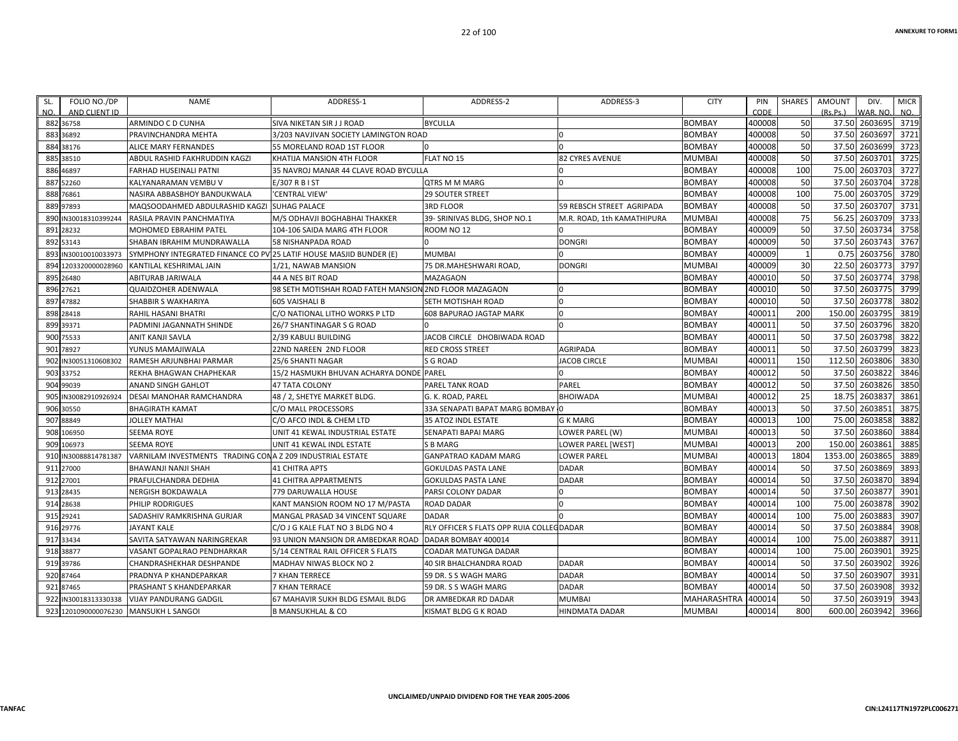| FOLIO NO./DP<br>SL.<br>AND CLIENT ID<br>NO. | <b>NAME</b>                                                        | ADDRESS-1                                              | ADDRESS-2                                 | ADDRESS-3                  | <b>CITY</b>   | PIN<br>CODE | <b>SHARES</b> | <b>AMOUNT</b><br>(Rs.Ps.) | DIV.<br>WAR, NO | <b>MICR</b><br>NO. |
|---------------------------------------------|--------------------------------------------------------------------|--------------------------------------------------------|-------------------------------------------|----------------------------|---------------|-------------|---------------|---------------------------|-----------------|--------------------|
| 882 36758                                   | <b>ARMINDO C D CUNHA</b>                                           | SIVA NIKETAN SIR J J ROAD                              | <b>BYCULLA</b>                            |                            | <b>BOMBAY</b> | 400008      | 50            |                           | 37.50 2603695   | 3719               |
| 36892<br>883                                | PRAVINCHANDRA MEHTA                                                | 3/203 NAVJIVAN SOCIETY LAMINGTON ROAD                  |                                           |                            | <b>BOMBAY</b> | 400008      | 50            | 37.50                     | 2603697         | 3721               |
| 38176<br>884                                | <b>ALICE MARY FERNANDES</b>                                        | 55 MORELAND ROAD 1ST FLOOR                             | n                                         | $\Omega$                   | <b>BOMBAY</b> | 400008      | 50            | 37.50                     | 2603699         | 3723               |
| 885<br>38510                                | ABDUL RASHID FAKHRUDDIN KAGZI                                      | KHATIJA MANSION 4TH FLOOR                              | FLAT NO 15                                | <b>82 CYRES AVENUE</b>     | <b>MUMBAI</b> | 400008      | 50            | 37.50                     | 2603701         | 3725               |
| 46897<br>886                                | FARHAD HUSEINALI PATNI                                             | 35 NAVROJ MANAR 44 CLAVE ROAD BYCULLA                  |                                           |                            | <b>BOMBAY</b> | 400008      | 100           | 75.00                     | 2603703         | 3727               |
| 887<br>52260                                | KALYANARAMAN VEMBU V                                               | E/307 R B I ST                                         | <b>OTRS M M MARG</b>                      | $\Omega$                   | <b>BOMBAY</b> | 400008      | 50            | 37.50                     | 2603704         | 3728               |
| 888<br>76861                                | NASIRA ABBASBHOY BANDUKWALA                                        | 'CENTRAL VIEW'                                         | <b>29 SOUTER STREET</b>                   |                            | <b>BOMBAY</b> | 400008      | 100           | 75.00                     | 2603705         | 3729               |
| 889<br>97893                                | MAQSOODAHMED ABDULRASHID KAGZI                                     | <b>SUHAG PALACE</b>                                    | <b>3RD FLOOR</b>                          | 59 REBSCH STREET AGRIPADA  | <b>BOMBAY</b> | 400008      | 50            | 37.50                     | 2603707         | 3731               |
| 890<br>IN30018310399244                     | RASILA PRAVIN PANCHMATIYA                                          | M/S ODHAVJI BOGHABHAI THAKKER                          | 39- SRINIVAS BLDG, SHOP NO.1              | M.R. ROAD, 1th KAMATHIPURA | <b>MUMBAI</b> | 400008      | 75            | 56.25                     | 2603709         | 3733               |
| 28232<br>891                                | <b>MOHOMED EBRAHIM PATEL</b>                                       | 104-106 SAIDA MARG 4TH FLOOR                           | ROOM NO <sub>12</sub>                     |                            | <b>BOMBAY</b> | 400009      | 50            | 37.50                     | 2603734         | 3758               |
| 892<br>53143                                | SHABAN IBRAHIM MUNDRAWALLA                                         | 58 NISHANPADA ROAD                                     |                                           | <b>DONGRI</b>              | <b>BOMBAY</b> | 400009      | 50            | 37.50                     | 2603743         | 3767               |
| IN30010010033973<br>893                     | SYMPHONY INTEGRATED FINANCE CO PV 25 LATIF HOUSE MASJID BUNDER (E) |                                                        | <b>MUMBAI</b>                             | $\Omega$                   | <b>BOMBAY</b> | 400009      | $\mathbf{1}$  | 0.75                      | 2603756         | 3780               |
| 894<br>1203320000028960                     | KANTILAL KESHRIMAL JAIN                                            | 1/21, NAWAB MANSION                                    | 75 DR.MAHESHWARI ROAD,                    | <b>DONGRI</b>              | <b>MUMBAI</b> | 400009      | 30            | 22.50                     | 2603773         | 3797               |
| 895<br>26480                                | <b>ABITURAB JARIWALA</b>                                           | 44 A NES BIT ROAD                                      | <b>MAZAGAON</b>                           |                            | <b>BOMBAY</b> | 400010      | 50            | 37.50                     | 2603774         | 3798               |
| 27621<br>896                                | <b>QUAIDZOHER ADENWALA</b>                                         | 98 SETH MOTISHAH ROAD FATEH MANSION 2ND FLOOR MAZAGAON |                                           | $\Omega$                   | <b>BOMBAY</b> | 400010      | 50            | 37.50                     | 2603775         | 3799               |
| 47882<br>897                                | SHABBIR S WAKHARIYA                                                | 605 VAISHALI B                                         | SETH MOTISHAH ROAD                        | $\Omega$                   | <b>BOMBAY</b> | 400010      | 50            | 37.50                     | 2603778         | 3802               |
| 898<br>28418                                | <b>RAHIL HASANI BHATRI</b>                                         | C/O NATIONAL LITHO WORKS P LTD                         | <b>608 BAPURAO JAGTAP MARK</b>            | $\Omega$                   | <b>BOMBAY</b> | 400011      | 200           | 150.00                    | 2603795         | 3819               |
| 899<br>39371                                | PADMINI JAGANNATH SHINDE                                           | 26/7 SHANTINAGAR S G ROAD                              |                                           | $\Omega$                   | <b>BOMBAY</b> | 400011      | 50            | 37.50                     | 2603796         | 3820               |
| 900<br>75533                                | ANIT KANJI SAVLA                                                   | 2/39 KABULI BUILDING                                   | JACOB CIRCLE DHOBIWADA ROAD               |                            | <b>BOMBAY</b> | 400011      | 50            | 37.50                     | 2603798         | 3822               |
| 78927<br>901                                | YUNUS MAMAJIWALA                                                   | 22ND NAREEN 2ND FLOOR                                  | <b>RED CROSS STREET</b>                   | <b>AGRIPADA</b>            | <b>BOMBAY</b> | 400011      | 50            | 37.50                     | 2603799         | 3823               |
| N30051310608302<br>902                      | RAMESH ARJUNBHAI PARMAR                                            | 25/6 SHANTI NAGAR                                      | S G ROAD                                  | <b>JACOB CIRCLE</b>        | <b>MUMBAI</b> | 400011      | 150           | 112.50                    | 2603806         | 3830               |
| 903<br>33752                                | REKHA BHAGWAN CHAPHEKAR                                            | 15/2 HASMUKH BHUVAN ACHARYA DONDE PAREL                |                                           | <sup>o</sup>               | <b>BOMBAY</b> | 400012      | 50            | 37.50                     | 2603822         | 3846               |
| 904<br>99039                                | ANAND SINGH GAHLOT                                                 | <b>47 TATA COLONY</b>                                  | PAREL TANK ROAD                           | PAREL                      | <b>BOMBAY</b> | 400012      | 50            | 37.50                     | 2603826         | 3850               |
| 905<br>N30082910926924                      | DESAI MANOHAR RAMCHANDRA                                           | 48 / 2, SHETYE MARKET BLDG.                            | G. K. ROAD, PAREL                         | <b>BHOIWADA</b>            | <b>MUMBAI</b> | 400012      | 25            | 18.75                     | 2603837         | 3861               |
| 30550<br>906                                | <b>BHAGIRATH KAMAT</b>                                             | C/O MALL PROCESSORS                                    | 33A SENAPATI BAPAT MARG BOMBAY 0          |                            | <b>BOMBAY</b> | 400013      | 50            | 37.50                     | 2603851         | 3875               |
| 907<br>88849                                | <b>JOLLEY MATHAI</b>                                               | C/O AFCO INDL & CHEM LTD                               | <b>35 ATOZ INDL ESTATE</b>                | <b>G K MARG</b>            | <b>BOMBAY</b> | 400013      | 100           | 75.00                     | 2603858         | 3882               |
| 106950<br>908                               | <b>SEEMA ROYE</b>                                                  | UNIT 41 KEWAL INDUSTRIAL ESTATE                        | SENAPATI BAPAI MARG                       | LOWER PAREL (W)            | <b>MUMBAI</b> | 400013      | 50            | 37.50                     | 2603860         | 3884               |
| 106973<br>909                               | <b>SEEMA ROYE</b>                                                  | UNIT 41 KEWAL INDL ESTATE                              | S B MARG                                  | LOWER PAREL [WEST]         | <b>MUMBAI</b> | 400013      | 200           | 150.00                    | 2603861         | 3885               |
| IN30088814781387<br>910                     | VARNILAM INVESTMENTS TRADING CONA Z 209 INDUSTRIAL ESTATE          |                                                        | <b>GANPATRAO KADAM MARG</b>               | <b>LOWER PAREL</b>         | <b>MUMBAI</b> | 400013      | 1804          | 1353.00                   | 2603865         | 3889               |
| 27000<br>911                                | BHAWANJI NANJI SHAH                                                | <b>41 CHITRA APTS</b>                                  | <b>GOKULDAS PASTA LANE</b>                | <b>DADAR</b>               | <b>BOMBAY</b> | 400014      | 50            | 37.50                     | 2603869         | 3893               |
| 912<br>27001                                | PRAFULCHANDRA DEDHIA                                               | <b>41 CHITRA APPARTMENTS</b>                           | <b>GOKULDAS PASTA LANE</b>                | <b>DADAR</b>               | <b>BOMBAY</b> | 400014      | 50            | 37.50                     | 2603870         | 3894               |
| 913<br>28435                                | <b>NERGISH BOKDAWALA</b>                                           | 779 DARUWALLA HOUSE                                    | PARSI COLONY DADAR                        |                            | <b>BOMBAY</b> | 400014      | 50            | 37.50                     | 2603877         | 3901               |
| 914<br>28638                                | PHILIP RODRIGUES                                                   | KANT MANSION ROOM NO 17 M/PASTA                        | <b>ROAD DADAR</b>                         | $\Omega$                   | <b>BOMBAY</b> | 400014      | 100           | 75.00                     | 2603878         | 3902               |
| 915 29241                                   | SADASHIV RAMKRISHNA GURJAR                                         | MANGAL PRASAD 34 VINCENT SQUARE                        | <b>DADAR</b>                              | $\Omega$                   | <b>BOMBAY</b> | 400014      | 100           | 75.00                     | 2603883         | 3907               |
| 916 29776                                   | <b>JAYANT KALE</b>                                                 | C/O J G KALE FLAT NO 3 BLDG NO 4                       | RLY OFFICER S FLATS OPP RUIA COLLEC DADAR |                            | <b>BOMBAY</b> | 400014      | 50            | 37.50                     | 2603884         | 3908               |
| 917<br>33434                                | SAVITA SATYAWAN NARINGREKAR                                        | 93 UNION MANSION DR AMBEDKAR ROAD                      | DADAR BOMBAY 400014                       |                            | <b>BOMBAY</b> | 400014      | 100           | 75.00                     | 260388          | 3911               |
| 918 38877                                   | VASANT GOPALRAO PENDHARKAR                                         | 5/14 CENTRAL RAIL OFFICER S FLATS                      | <b>COADAR MATUNGA DADAR</b>               |                            | <b>BOMBAY</b> | 400014      | 100           | 75.00                     | 2603901         | 3925               |
| 39786<br>919                                | <b>CHANDRASHEKHAR DESHPANDE</b>                                    | <b>MADHAV NIWAS BLOCK NO 2</b>                         | <b>40 SIR BHALCHANDRA ROAD</b>            | <b>DADAR</b>               | <b>BOMBAY</b> | 400014      | 50            | 37.50                     | 2603902         | 3926               |
| 87464<br>920                                | PRADNYA P KHANDEPARKAR                                             | <b>7 KHAN TERRECE</b>                                  | 59 DR. S S WAGH MARG                      | <b>DADAR</b>               | <b>BOMBAY</b> | 400014      | 50            | 37.50                     | 2603907         | 3931               |
| 921<br>87465                                | PRASHANT S KHANDEPARKAR                                            | <b>7 KHAN TERRACE</b>                                  | 59 DR. S S WAGH MARG                      | <b>DADAR</b>               | <b>BOMBAY</b> | 400014      | 50            | 37.50                     | 2603908         | 3932               |
| 922<br>N30018313330338                      | <b>VIJAY PANDURANG GADGIL</b>                                      | 67 MAHAVIR SUKH BLDG ESMAIL BLDG                       | DR AMBEDKAR RD DADAR                      | <b>MUMBAI</b>              | MAHARASHTRA   | 400014      | 50            | 37.50                     | 2603919         | 3943               |
| 923 1201090000076230 MANSUKH L SANGOI       |                                                                    | <b>B MANSUKHLAL &amp; CO</b>                           | KISMAT BLDG G K ROAD                      | <b>HINDMATA DADAR</b>      | <b>MUMBAI</b> | 400014      | 800           | 600.00                    | 2603942         | 3966               |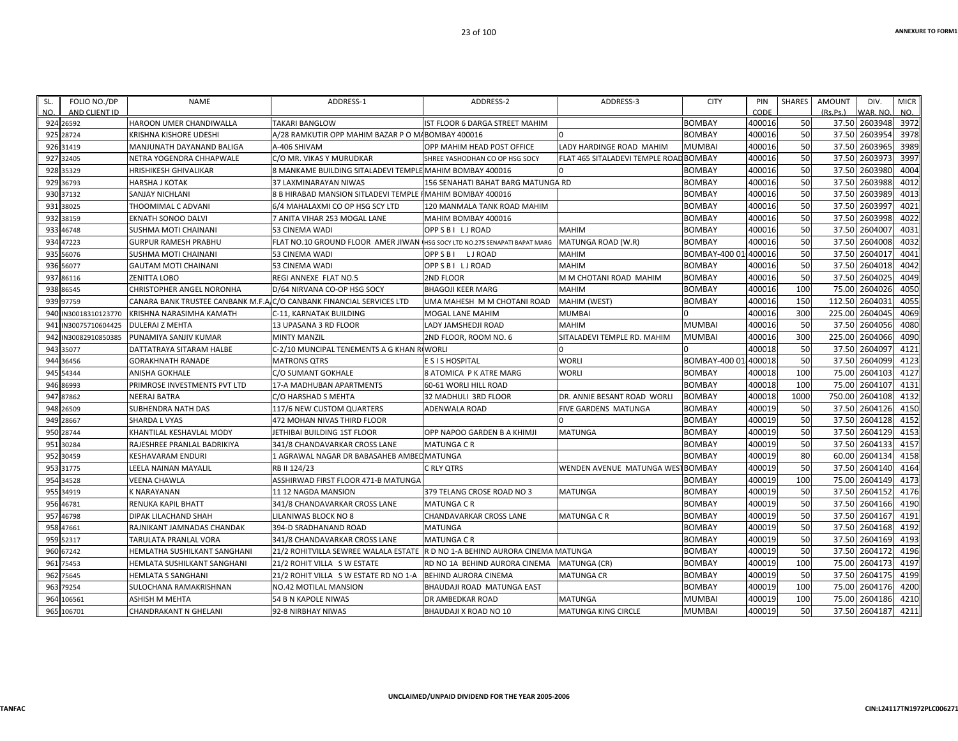| SL. | FOLIO NO./DP         | <b>NAME</b>                                                          | ADDRESS-1                                                                   | ADDRESS-2                               | ADDRESS-3                       | <b>CITY</b>          | PIN    | SHARES | <b>AMOUNT</b> | DIV.     | <b>MICR</b> |
|-----|----------------------|----------------------------------------------------------------------|-----------------------------------------------------------------------------|-----------------------------------------|---------------------------------|----------------------|--------|--------|---------------|----------|-------------|
| NO. | AND CLIENT ID        |                                                                      |                                                                             |                                         |                                 |                      | CODE   |        | (Rs.Ps.)      | WAR. NO. | NO.         |
|     | 924 26592            | <b>HAROON UMER CHANDIWALLA</b>                                       | <b>TAKARI BANGLOW</b>                                                       | IST FLOOR 6 DARGA STREET MAHIM          |                                 | <b>BOMBAY</b>        | 400016 | 50     | 37.50         | 2603948  | 3972        |
|     | 925 28724            | <b>KRISHNA KISHORE UDESHI</b>                                        | A/28 RAMKUTIR OPP MAHIM BAZAR P O MABOMBAY 400016                           |                                         |                                 | <b>BOMBAY</b>        | 400016 | 50     | 37.50         | 2603954  | 3978        |
|     | 926 31419            | MANJUNATH DAYANAND BALIGA                                            | A-406 SHIVAM                                                                | OPP MAHIM HEAD POST OFFICE              | LADY HARDINGE ROAD MAHIM        | <b>MUMBAI</b>        | 400016 | 50     | 37.50         | 2603965  | 3989        |
|     | 927 32405            | NETRA YOGENDRA CHHAPWALE                                             | C/O MR. VIKAS Y MURUDKAR                                                    | SHREE YASHODHAN CO OP HSG SOCY          | FLAT 465 SITALADEVI TEMPLE ROAD | <b>BOMBAY</b>        | 400016 | 50     | 37.50         | 2603973  | 3997        |
|     | 928 35329            | <b>HRISHIKESH GHIVALIKAR</b>                                         | 8 MANKAME BUILDING SITALADEVI TEMPLE MAHIM BOMBAY 400016                    |                                         |                                 | <b>BOMBAY</b>        | 400016 | 50     | 37.50         | 2603980  | 4004        |
|     | 929 36793            | <b>HARSHA J KOTAK</b>                                                | 37 LAXMINARAYAN NIWAS                                                       | 156 SENAHATI BAHAT BARG MATUNGA RD      |                                 | <b>BOMBAY</b>        | 400016 | 50     | 37.50         | 2603988  | 4012        |
|     | 930 37132            | <b>SANJAY NICHLANI</b>                                               | 8 B HIRABAD MANSION SITLADEVI TEMPLE I MAHIM BOMBAY 400016                  |                                         |                                 | <b>BOMBAY</b>        | 400016 | 50     | 37.50         | 2603989  | 4013        |
|     | 931 38025            | THOOMIMAL C ADVANI                                                   | 6/4 MAHALAXMI CO OP HSG SCY LTD                                             | 120 MANMALA TANK ROAD MAHIM             |                                 | <b>BOMBAY</b>        | 400016 | 50     | 37.50         | 2603997  | 4021        |
|     | 932 38159            | <b>EKNATH SONOO DALVI</b>                                            | 7 ANITA VIHAR 253 MOGAL LANE                                                | MAHIM BOMBAY 400016                     |                                 | <b>BOMBAY</b>        | 400016 | 50     | 37.50         | 2603998  | 4022        |
|     | 933 46748            | SUSHMA MOTI CHAINANI                                                 | 53 CINEMA WADI                                                              | OPP S B I L J ROAD                      | <b>MAHIM</b>                    | <b>BOMBAY</b>        | 400016 | 50     | 37.50         | 2604007  | 4031        |
|     | 934 47223            | <b>GURPUR RAMESH PRABHU</b>                                          | FLAT NO.10 GROUND FLOOR AMER JIWAN IHSG SOCY LTD NO.275 SENAPATI BAPAT MARG |                                         | MATUNGA ROAD (W.R)              | <b>BOMBAY</b>        | 400016 | 50     | 37.50         | 2604008  | 4032        |
|     | 935 56076            | SUSHMA MOTI CHAINANI                                                 | 53 CINEMA WADI                                                              | OPP S B I L J ROAD                      | <b>MAHIM</b>                    | <b>BOMBAY-4000</b>   | 400016 | 50     | 37.50         | 2604017  | 4041        |
|     | 936 56077            | <b>GAUTAM MOTI CHAINANI</b>                                          | 53 CINEMA WADI                                                              | OPP S B I L J ROAD                      | <b>MAHIM</b>                    | <b>BOMBAY</b>        | 400016 | 50     | 37.50         | 2604018  | 4042        |
|     | 937 86116            | <b>ZENITTA LOBO</b>                                                  | REGI ANNEXE FLAT NO.5                                                       | <b>2ND FLOOR</b>                        | M M CHOTANI ROAD MAHIM          | BOMBAY               | 400016 | 50     | 37.50         | 2604025  | 4049        |
|     | 938 86545            | <b>CHRISTOPHER ANGEL NORONHA</b>                                     | D/64 NIRVANA CO-OP HSG SOCY                                                 | <b>BHAGOJI KEER MARG</b>                | <b>MAHIM</b>                    | <b>BOMBAY</b>        | 400016 | 100    | 75.00         | 2604026  | 4050        |
|     | 939 97759            | CANARA BANK TRUSTEE CANBANK M.F.A.C/O CANBANK FINANCIAL SERVICES LTD |                                                                             | UMA MAHESH M M CHOTANI ROAD             | MAHIM (WEST)                    | <b>BOMBAY</b>        | 400016 | 150    | 112.50        | 260403   | 4055        |
|     | 940 IN30018310123770 | KRISHNA NARASIMHA KAMATH                                             | C-11, KARNATAK BUILDING                                                     | <b>MOGAL LANE MAHIM</b>                 | <b>MUMBAI</b>                   |                      | 400016 | 300    | 225.00        | 2604045  | 4069        |
|     | 941 IN30075710604425 | <b>DULERAI Z MEHTA</b>                                               | 13 UPASANA 3 RD FLOOR                                                       | LADY JAMSHEDJI ROAD                     | <b>MAHIM</b>                    | MUMBAI               | 400016 | 50     | 37.50         | 2604056  | 4080        |
|     | 942 IN30082910850385 | PUNAMIYA SANJIV KUMAR                                                | <b>MINTY MANZIL</b>                                                         | 2ND FLOOR, ROOM NO. 6                   | SITALADEVI TEMPLE RD. MAHIM     | MUMBAI               | 400016 | 300    | 225.00        | 2604066  | 4090        |
|     | 943 35077            | DATTATRAYA SITARAM HALBE                                             | C-2/10 MUNCIPAL TENEMENTS A G KHAN RIWORLI                                  |                                         |                                 |                      | 400018 | 50     | 37.50         | 2604097  | 4121        |
|     | 944 36456            | <b>GORAKHNATH RANADE</b>                                             | <b>MATRONS QTRS</b>                                                         | E S I S HOSPITAL                        | WORLI                           | BOMBAY-400 01/400018 |        | 50     | 37.50         | 2604099  | 4123        |
|     | 945 54344            | <b>ANISHA GOKHALE</b>                                                | C/O SUMANT GOKHALE                                                          | 8 ATOMICA P K ATRE MARG                 | <b>WORLI</b>                    | <b>BOMBAY</b>        | 400018 | 100    | 75.00         | 2604103  | 4127        |
|     | 946 86993            | PRIMROSE INVESTMENTS PVT LTD                                         | 17-A MADHUBAN APARTMENTS                                                    | 60-61 WORLI HILL ROAD                   |                                 | <b>BOMBAY</b>        | 400018 | 100    | 75.00         | 2604107  | 4131        |
|     | 947 87862            | <b>NEERAJ BATRA</b>                                                  | C/O HARSHAD S MEHTA                                                         | 32 MADHULI 3RD FLOOR                    | DR. ANNIE BESANT ROAD WORLI     | <b>BOMBAY</b>        | 400018 | 1000   | 750.00        | 2604108  | 4132        |
|     | 948 26509            | <b>SUBHENDRA NATH DAS</b>                                            | 117/6 NEW CUSTOM QUARTERS                                                   | ADENWALA ROAD                           | FIVE GARDENS MATUNGA            | <b>BOMBAY</b>        | 400019 | 50     | 37.50         | 2604126  | 4150        |
|     | 949 28667            | SHARDA L VYAS                                                        | 472 MOHAN NIVAS THIRD FLOOR                                                 |                                         |                                 | <b>BOMBAY</b>        | 400019 | 50     | 37.50         | 2604128  | 4152        |
|     | 950 28744            | KHANTILAL KESHAVLAL MODY                                             | JETHIBAI BUILDING 1ST FLOOR                                                 | OPP NAPOO GARDEN B A KHIMJI             | <b>MATUNGA</b>                  | <b>BOMBAY</b>        | 400019 | 50     | 37.50         | 2604129  | 4153        |
|     | 951 30284            | RAJESHREE PRANLAL BADRIKIYA                                          | 341/8 CHANDAVARKAR CROSS LANE                                               | <b>MATUNGA C R</b>                      |                                 | BOMBAY               | 400019 | 50     | 37.50         | 2604133  | 4157        |
|     | 952 30459            | <b>KESHAVARAM ENDURI</b>                                             | 1 AGRAWAL NAGAR DR BABASAHEB AMBEL MATUNGA                                  |                                         |                                 | <b>BOMBAY</b>        | 400019 | 80     | 60.00         | 2604134  | 4158        |
|     | 953 31775            | LEELA NAINAN MAYALIL                                                 | RB II 124/23                                                                | C RLY OTRS                              | WENDEN AVENUE MATUNGA WES       | <b>BOMBAY</b>        | 400019 | 50     | 37.50         | 2604140  | 4164        |
|     | 954 34528            | <b>VEENA CHAWLA</b>                                                  | ASSHIRWAD FIRST FLOOR 471-B MATUNGA                                         |                                         |                                 | <b>BOMBAY</b>        | 400019 | 100    | 75.00         | 2604149  | 4173        |
|     | 955 34919            | <b>K NARAYANAN</b>                                                   | 11 12 NAGDA MANSION                                                         | 379 TELANG CROSE ROAD NO 3              | <b>MATUNGA</b>                  | <b>BOMBAY</b>        | 400019 | 50     | 37.50         | 2604152  | 4176        |
|     | 956 46781            | <b>RENUKA KAPIL BHATT</b>                                            | 341/8 CHANDAVARKAR CROSS LANE                                               | <b>MATUNGA C R</b>                      |                                 | <b>BOMBAY</b>        | 400019 | 50     | 37.50         | 2604166  | 4190        |
|     | 957 46798            | <b>DIPAK LILACHAND SHAH</b>                                          | LILANIWAS BLOCK NO 8                                                        | <b>CHANDAVARKAR CROSS LANE</b>          | <b>MATUNGA C R</b>              | BOMBAY               | 400019 | 50     | 37.50         | 2604167  | 4191        |
|     | 958 47661            | RAJNIKANT JAMNADAS CHANDAK                                           | 394-D SRADHANAND ROAD                                                       | <b>MATUNGA</b>                          |                                 | <b>BOMBAY</b>        | 400019 | 50     | 37.50         | 2604168  | 4192        |
|     | 959 52317            | <b>TARULATA PRANLAL VORA</b>                                         | 341/8 CHANDAVARKAR CROSS LANE                                               | <b>MATUNGA C R</b>                      |                                 | <b>BOMBAY</b>        | 400019 | 50     | 37.50         | 2604169  | 4193        |
|     | 960 67242            | HEMLATHA SUSHILKANT SANGHANI                                         | 21/2 ROHITVILLA SEWREE WALALA ESTATE                                        | R D NO 1-A BEHIND AURORA CINEMA MATUNGA |                                 | <b>BOMBAY</b>        | 400019 | 50     | 37.50         | 2604172  | 4196        |
|     | 961 75453            | HEMLATA SUSHILKANT SANGHANI                                          | 21/2 ROHIT VILLA S W ESTATE                                                 | RD NO 1A BEHIND AURORA CINEMA           | <b>MATUNGA (CR)</b>             | <b>BOMBAY</b>        | 400019 | 100    | 75.00         | 2604173  | 4197        |
|     | 962 75645            | <b>HEMLATA S SANGHANI</b>                                            | 21/2 ROHIT VILLA S W ESTATE RD NO 1-A                                       | <b>BEHIND AURORA CINEMA</b>             | <b>MATUNGA CR</b>               | BOMBAY               | 400019 | 50     | 37.50         | 2604175  | 4199        |
|     | 963 79254            | SULOCHANA RAMAKRISHNAN                                               | NO.42 MOTILAL MANSION                                                       | BHAUDAJI ROAD MATUNGA EAST              |                                 | BOMBAY               | 400019 | 100    | 75.00         | 2604176  | 4200        |
|     | 964 106561           | <b>ASHISH M MEHTA</b>                                                | 54 B N KAPOLE NIWAS                                                         | DR AMBEDKAR ROAD                        | <b>MATUNGA</b>                  | MUMBAI               | 400019 | 100    | 75.00         | 2604186  | 4210        |
|     | 965 106701           | <b>CHANDRAKANT N GHELANI</b>                                         | 92-8 NIRBHAY NIWAS                                                          | BHAUDAJI X ROAD NO 10                   | MATUNGA KING CIRCLE             | MUMBAI               | 400019 | 50     | 37.50         | 2604187  | 4211        |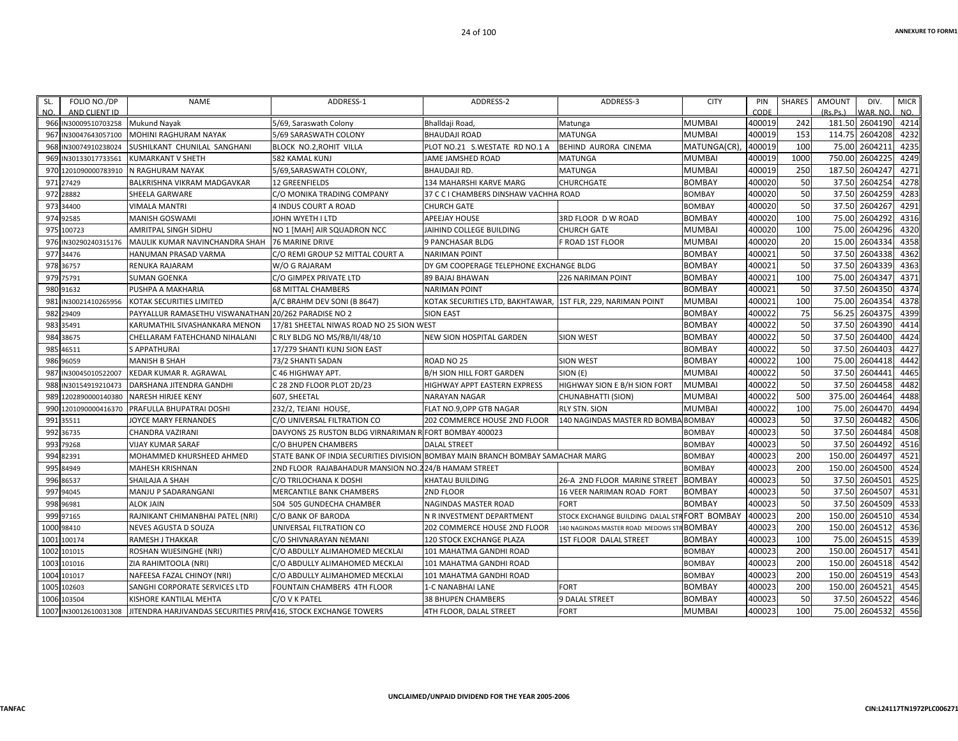| SL.<br>NO. | FOLIO NO./DP<br>AND CLIENT ID | <b>NAME</b>                                                    | ADDRESS-1                                              | ADDRESS-2                                                    | ADDRESS-3                          | <b>CITY</b>        | PIN<br><b>CODE</b> | SHARES    | <b>AMOUNT</b><br>(Rs.Ps.) | DIV.<br>WAR. NO. | <b>MICR</b><br>NO. |
|------------|-------------------------------|----------------------------------------------------------------|--------------------------------------------------------|--------------------------------------------------------------|------------------------------------|--------------------|--------------------|-----------|---------------------------|------------------|--------------------|
|            | 966 IN30009510703258          | <b>Mukund Nayak</b>                                            | 5/69, Saraswath Colony                                 | Bhalldaji Road,                                              | Matunga                            | <b>MUMBAI</b>      | 400019             | 242       |                           | 181.50 2604190   | 4214               |
|            | 967 IN30047643057100          | MOHINI RAGHURAM NAYAK                                          | 5/69 SARASWATH COLONY                                  | <b>BHAUDAJI ROAD</b>                                         | MATUNGA                            | MUMBAI             | 400019             | 153       | 114.75                    | 2604208          | 4232               |
|            | 968 IN30074910238024          | SUSHILKANT CHUNILAL SANGHANI                                   | BLOCK NO.2,ROHIT VILLA                                 | PLOT NO.21 S.WESTATE RD NO.1 A                               | BEHIND AURORA CINEMA               | MATUNGA(CR)        | 400019             | 100       | 75.00                     | 260421           | 4235               |
|            | 969 IN30133017733561          | <b>KUMARKANT V SHETH</b>                                       | 582 KAMAL KUNJ                                         | JAME JAMSHED ROAD                                            | MATUNGA                            | MUMBAI             | 400019             | 1000      | 750.00                    | 2604225          | 4249               |
|            | 970 1201090000783910          | N RAGHURAM NAYAK                                               | 5/69, SARASWATH COLONY,                                | <b>BHAUDAJI RD.</b>                                          | <b>MATUNGA</b>                     | MUMBAI             | 400019             | 250       | 187.50                    | 2604247          | 4271               |
|            | 971 27429                     | BALKRISHNA VIKRAM MADGAVKAR                                    | 12 GREENFIELDS                                         | 134 MAHARSHI KARVE MARG                                      | CHURCHGATE                         | <b>BOMBAY</b>      | 400020             | 50        | 37.50                     | 2604254          | 4278               |
|            | 972 28882                     | SHEELA GARWARE                                                 | C/O MONIKA TRADING COMPANY                             | 37 C C I CHAMBERS DINSHAW VACHHA ROAD                        |                                    | <b>BOMBAY</b>      | 400020             | 50        | 37.50                     | 2604259          | 4283               |
|            | 973 34400                     | <b>VIMALA MANTRI</b>                                           | 4 INDUS COURT A ROAD                                   | <b>CHURCH GATE</b>                                           |                                    | <b>BOMBAY</b>      | 400020             | 50        | 37.50                     | 2604267          | 4291               |
|            | 974 92585                     | <b>MANISH GOSWAMI</b>                                          | JOHN WYETH I LTD                                       | <b>APEEJAY HOUSE</b>                                         | 3RD FLOOR D W ROAD                 | <b>BOMBAY</b>      | 400020             | 100       | 75.00                     | 2604292          | 4316               |
|            | 975 100723                    | <b>AMRITPAL SINGH SIDHU</b>                                    | NO 1 [MAH] AIR SQUADRON NCC                            | JAIHIND COLLEGE BUILDING                                     | <b>CHURCH GATE</b>                 | MUMBAI             | 400020             | 100       | 75.00                     | 2604296          | 4320               |
|            | 976 IN30290240315176          | MAULIK KUMAR NAVINCHANDRA SHAH                                 | <b>76 MARINE DRIVE</b>                                 | 9 PANCHASAR BLDG                                             | F ROAD 1ST FLOOR                   | MUMBAI             | 400020             | 20        | 15.00                     | 2604334          | 4358               |
|            | 977 34476                     | HANUMAN PRASAD VARMA                                           | C/O REMI GROUP 52 MITTAL COURT A                       | <b>NARIMAN POINT</b>                                         |                                    | <b>BOMBAY</b>      | 400021             | 50        | 37.50                     | 2604338          | 4362               |
|            | 978 36757                     | <b>RENUKA RAJARAM</b>                                          | W/O G RAJARAM                                          | DY GM COOPERAGE TELEPHONE EXCHANGE BLDG                      |                                    | <b>BOMBAY</b>      | 400021             | 50        | 37.50                     | 2604339          | 4363               |
|            | 979 75791                     | <b>SUMAN GOENKA</b>                                            | C/O GIMPEX PRIVATE LTD                                 | 89 BAJAJ BHAWAN                                              | <b>226 NARIMAN POINT</b>           | BOMBAY             | 400021             | 100       | 75.00                     | 2604347          | 4371               |
|            | 980 91632                     | PUSHPA A MAKHARIA                                              | <b>68 MITTAL CHAMBERS</b>                              | <b>NARIMAN POINT</b>                                         |                                    | <b>BOMBAY</b>      | 400021             | 50        | 37.50                     | 2604350          | 4374               |
|            | 981 IN30021410265956          | KOTAK SECURITIES LIMITED                                       | A/C BRAHM DEV SONI (B 8647)                            | KOTAK SECURITIES LTD, BAKHTAWAR, 1ST FLR, 229, NARIMAN POINT |                                    | MUMBAI             | 400021             | 100       | 75.00                     | 2604354          | 4378               |
|            | 982 29409                     | PAYYALLUR RAMASETHU VISWANATHAN 20/262 PARADISE NO 2           |                                                        | <b>SION EAST</b>                                             |                                    | <b>BOMBAY</b>      | 400022             | 75        | 56.25                     | 2604375          | 4399               |
|            | 983 35491                     | KARUMATHIL SIVASHANKARA MENON                                  | 17/81 SHEETAL NIWAS ROAD NO 25 SION WEST               |                                                              |                                    | <b>BOMBAY</b>      | 400022             | 50        | 37.50                     | 2604390          | 4414               |
|            | 984 38675                     | CHELLARAM FATEHCHAND NIHALANI                                  | C RLY BLDG NO MS/RB/II/48/10                           | NEW SION HOSPITAL GARDEN                                     | <b>SION WEST</b>                   | BOMBAY             | 400022             | 50        | 37.50                     | 2604400          | 4424               |
|            | 985 46511                     | <b>S APPATHURAI</b>                                            | 17/279 SHANTI KUNJ SION EAST                           |                                                              |                                    | BOMBAY             | 400022             | 50        | 37.50                     | 2604403          | 4427               |
|            | 986 96059                     | <b>MANISH B SHAH</b>                                           | 73/2 SHANTI SADAN                                      | ROAD NO 25                                                   | <b>SION WEST</b>                   | <b>BOMBAY</b>      | 400022             | 100       | 75.00                     | 2604418          | 4442               |
|            | 987 IN30045010522007          | <b>KEDAR KUMAR R. AGRAWAL</b>                                  | C 46 HIGHWAY APT.                                      | <b>B/H SION HILL FORT GARDEN</b>                             | SION (E)                           | <b>MUMBAI</b>      | 400022             | 50        | 37.50                     | 2604441          | 4465               |
|            | 988 IN30154919210473          | DARSHANA JITENDRA GANDHI                                       | C 28 2ND FLOOR PLOT 2D/23                              | HIGHWAY APPT EASTERN EXPRESS                                 | HIGHWAY SION E B/H SION FORT       | <b>MUMBAI</b>      | 400022             | <b>50</b> | 37.50                     | 2604458          | 4482               |
|            | 989 1202890000140380          | <b>NARESH HIRJEE KENY</b>                                      | 607, SHEETAL                                           | <b>NARAYAN NAGAR</b>                                         | CHUNABHATTI (SION)                 | MUMBAI             | 400022             | 500       | 375.00                    | 2604464          | 4488               |
|            | 990 1201090000416370          | PRAFULLA BHUPATRAI DOSHI                                       | 232/2, TEJANI HOUSE,                                   | FLAT NO.9, OPP GTB NAGAR                                     | RLY STN. SION                      | <b>MUMBAI</b>      | 400022             | 100       | 75.00                     | 2604470          | 4494               |
|            | 991 35511                     | JOYCE MARY FERNANDES                                           | C/O UNIVERSAL FILTRATION CO                            | 202 COMMERCE HOUSE 2ND FLOOR                                 | 140 NAGINDAS MASTER RD BOMBA       | <b>BOMBAY</b>      | 400023             | 50        | 37.50                     | 2604482          | 4506               |
|            | 992 36735                     | <b>CHANDRA VAZIRANI</b>                                        | DAVYONS 25 RUSTON BLDG VIRNARIMAN R FORT BOMBAY 400023 |                                                              |                                    | <b>BOMBAY</b>      | 400023             | 50        | 37.50                     | 2604484          | 4508               |
|            | 993 79268                     | <b>VIJAY KUMAR SARAF</b>                                       | C/O BHUPEN CHAMBERS                                    | <b>DALAL STREET</b>                                          |                                    | <b>BOMBAY</b>      | 400023             | 50        | 37.50                     | 2604492          | 4516               |
|            | 994 82391                     | MOHAMMED KHURSHEED AHMED                                       | STATE BANK OF INDIA SECURITIES DIVISION                | <b>BOMBAY MAIN BRANCH BOMBAY SAMACHAR MARG</b>               |                                    | <b>BOMBAY</b>      | 400023             | 200       | 150.00                    | 2604497          | 4521               |
|            | 995 84949                     | <b>MAHESH KRISHNAN</b>                                         | 2ND FLOOR RAJABAHADUR MANSION NO.224/B HAMAM STREET    |                                                              |                                    | <b>BOMBAY</b>      | 400023             | 200       | 150.00                    | 2604500          | 4524               |
|            | 996 86537                     | SHAILAJA A SHAH                                                | C/O TRILOCHANA K DOSHI                                 | KHATAU BUILDING                                              | 26-A 2ND FLOOR MARINE STREET       | <b>BOMBAY</b>      | 400023             | 50        | 37.50                     | 2604501          | 4525               |
|            | 997 94045                     | MANJU P SADARANGANI                                            | MERCANTILE BANK CHAMBERS                               | 2ND FLOOR                                                    | 16 VEER NARIMAN ROAD FORT          | <b>BOMBAY</b>      | 400023             | 50        | 37.50                     | 2604507          | 4531               |
|            | 998 96981                     | <b>ALOK JAIN</b>                                               | 504 505 GUNDECHA CHAMBER                               | NAGINDAS MASTER ROAD                                         | <b>FORT</b>                        | BOMBAY             | 400023             | 50        | 37.50                     | 2604509          | 4533               |
|            | 999 97165                     | RAJNIKANT CHIMANBHAI PATEL (NRI)                               | C/O BANK OF BARODA                                     | N R INVESTMENT DEPARTMENT                                    | STOCK EXCHANGE BUILDING DALAL STF  | <b>FORT BOMBAY</b> | 400023             | 200       | 150.00                    | 2604510          | 4534               |
| 1000 98410 |                               | <b>NEVES AGUSTA D SOUZA</b>                                    | UNIVERSAL FILTRATION CO                                | 202 COMMERCE HOUSE 2ND FLOOR                                 | 140 NAGINDAS MASTER ROAD MEDOWS ST | <b>BOMBAY</b>      | 400023             | 200       | 150.00                    | 2604512          | 4536               |
|            | 1001 100174                   | <b>RAMESH J THAKKAR</b>                                        | C/O SHIVNARAYAN NEMANI                                 | <b>120 STOCK EXCHANGE PLAZA</b>                              | 1ST FLOOR DALAL STREET             | <b>BOMBAY</b>      | 400023             | 100       | 75.00                     | 2604515          | 4539               |
|            | 1002 101015                   | ROSHAN WIJESINGHE (NRI)                                        | C/O ABDULLY ALIMAHOMED MECKLAI                         | 101 MAHATMA GANDHI ROAD                                      |                                    | <b>BOMBAY</b>      | 400023             | 200       | 150.00                    | 2604517          | 4541               |
|            | 1003 101016                   | ZIA RAHIMTOOLA (NRI)                                           | C/O ABDULLY ALIMAHOMED MECKLAI                         | 101 MAHATMA GANDHI ROAD                                      |                                    | <b>BOMBAY</b>      | 400023             | 200       | 150.00                    | 2604518          | 4542               |
| 1004       | 101017                        | NAFEESA FAZAL CHINOY (NRI)                                     | C/O ABDULLY ALIMAHOMED MECKLAI                         | 101 MAHATMA GANDHI ROAD                                      |                                    | <b>BOMBAY</b>      | 400023             | 200       | 150.00                    | 2604519          | 4543               |
|            | 1005 102603                   | SANGHI CORPORATE SERVICES LTD                                  | FOUNTAIN CHAMBERS 4TH FLOOR                            | 1-C NANABHAI LANE                                            | <b>FORT</b>                        | BOMBAY             | 400023             | 200       | 150.00                    | 2604521          | 4545               |
|            | 1006 103504                   | KISHORE KANTILAL MEHTA                                         | C/O V K PATEL                                          | <b>38 BHUPEN CHAMBERS</b>                                    | 9 DALAL STREET                     | <b>BOMBAY</b>      | 400023             | 50        | 37.50                     | 2604522          | 4546               |
|            | 1007 IN30012610031308         | JITENDRA HARJIVANDAS SECURITIES PRIV416, STOCK EXCHANGE TOWERS |                                                        | 4TH FLOOR, DALAL STREET                                      | <b>FORT</b>                        | MUMBAI             | 400023             | 100       | 75.00                     | 2604532          | 4556               |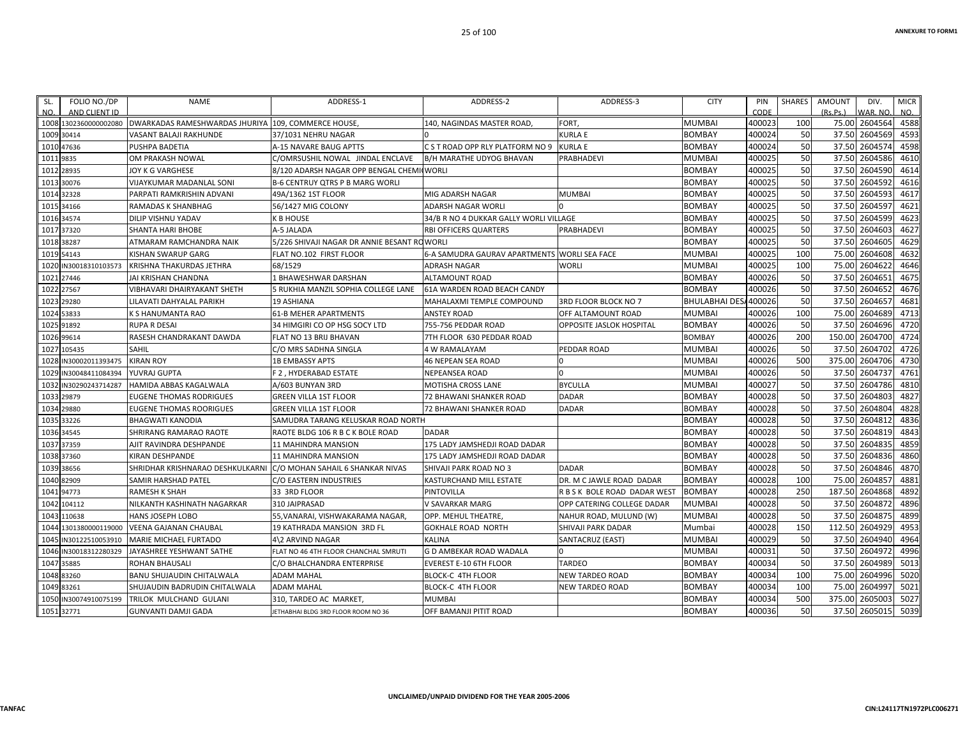| SL.       | FOLIO NO./DP          | <b>NAME</b>                                        | ADDRESS-1                                   | ADDRESS-2                                    | ADDRESS-3                    | <b>CITY</b>          | PIN    | SHARES | AMOUNT   | DIV.          | <b>MICR</b> |
|-----------|-----------------------|----------------------------------------------------|---------------------------------------------|----------------------------------------------|------------------------------|----------------------|--------|--------|----------|---------------|-------------|
| NO.       | AND CLIENT ID         |                                                    |                                             |                                              |                              |                      | CODE   |        | (Rs.Ps.) | VAR. NO       | NO.         |
|           | 1008 1302360000002080 | DWARKADAS RAMESHWARDAS JHURIYA 109, COMMERCE HOUSE |                                             | 140, NAGINDAS MASTER ROAD,                   | <b>FORT</b>                  | <b>MUMBAI</b>        | 400023 | 100    | 75.00    | 2604564       | 4588        |
|           | 1009 30414            | <b>VASANT BALAJI RAKHUNDE</b>                      | 37/1031 NEHRU NAGAR                         |                                              | KURLA E                      | <b>BOMBAY</b>        | 400024 | 50     | 37.50    | 2604569       | 4593        |
|           | 1010 47636            | <b>PUSHPA BADETIA</b>                              | A-15 NAVARE BAUG APTTS                      | C S T ROAD OPP RLY PLATFORM NO 9             | KURLA E                      | <b>BOMBAY</b>        | 400024 | 50     | 37.50    | 2604574       | 4598        |
| 1011 9835 |                       | OM PRAKASH NOWAL                                   | C/OMRSUSHIL NOWAL JINDAL ENCLAVE            | <b>B/H MARATHE UDYOG BHAVAN</b>              | PRABHADEVI                   | <b>MUMBAI</b>        | 400025 | 50     | 37.50    | 2604586       | 4610        |
|           | 1012 28935            | <b>JOY K G VARGHESE</b>                            | 8/120 ADARSH NAGAR OPP BENGAL CHEMI WORLI   |                                              |                              | <b>BOMBAY</b>        | 400025 | 50     | 37.50    | 2604590       | 4614        |
|           | 1013 30076            | VIJAYKUMAR MADANLAL SONI                           | <b>B-6 CENTRUY QTRS P B MARG WORLI</b>      |                                              |                              | <b>BOMBAY</b>        | 400025 | 50     | 37.50    | 2604592       | 4616        |
|           | 1014 32328            | PARPATI RAMKRISHIN ADVANI                          | 49A/1362 1ST FLOOR                          | MIG ADARSH NAGAR                             | MUMBAI                       | <b>BOMBAY</b>        | 400025 | 50     | 37.50    | 2604593       | 4617        |
|           | 1015 34166            | RAMADAS K SHANBHAG                                 | 56/1427 MIG COLONY                          | ADARSH NAGAR WORLI                           |                              | <b>BOMBAY</b>        | 400025 | 50     | 37.50    | 2604597       | 4621        |
|           | 1016 34574            | DILIP VISHNU YADAV                                 | <b>K B HOUSE</b>                            | 34/B R NO 4 DUKKAR GALLY WORLI VILLAGE       |                              | <b>BOMBAY</b>        | 400025 | 50     | 37.50    | 2604599       | 4623        |
|           | 1017 37320            | <b>SHANTA HARI BHOBE</b>                           | A-5 JALADA                                  | RBI OFFICERS QUARTERS                        | <b>PRABHADEVI</b>            | <b>BOMBAY</b>        | 400025 | 50     |          | 37.50 2604603 | 4627        |
|           | 1018 38287            | ATMARAM RAMCHANDRA NAIK                            | 5/226 SHIVAJI NAGAR DR ANNIE BESANT ROWORLI |                                              |                              | <b>BOMBAY</b>        | 400025 | 50     | 37.50    | 2604605       | 4629        |
|           | 1019 54143            | <b>KISHAN SWARUP GARG</b>                          | FLAT NO.102 FIRST FLOOR                     | 6-A SAMUDRA GAURAV APARTMENTS WORLI SEA FACE |                              | <b>MUMBAI</b>        | 400025 | 100    | 75.00    | 2604608       | 4632        |
|           | 1020 IN30018310103573 | KRISHNA THAKURDAS JETHRA                           | 68/1529                                     | ADRASH NAGAR                                 | <b>WORLI</b>                 | <b>MUMBAI</b>        | 400025 | 100    |          | 75.00 2604622 | 4646        |
|           | 1021 27446            | <b>JAI KRISHAN CHANDNA</b>                         | L BHAWESHWAR DARSHAN                        | ALTAMOUNT ROAD                               |                              | <b>BOMBAY</b>        | 400026 | 50     | 37.50    | 2604651       | 4675        |
|           | 1022 27567            | <b>VIBHAVARI DHAIRYAKANT SHETH</b>                 | 5 RUKHIA MANZIL SOPHIA COLLEGE LANE         | 61A WARDEN ROAD BEACH CANDY                  |                              | <b>BOMBAY</b>        | 400026 | 50     | 37.50    | 2604652       | 4676        |
|           | 1023 29280            | LILAVATI DAHYALAL PARIKH                           | <b>19 ASHIANA</b>                           | MAHALAXMI TEMPLE COMPOUND                    | 3RD FLOOR BLOCK NO 7         | BHULABHAI DES/400026 |        | 50     | 37.50    | 2604657       | 4681        |
|           | 1024 53833            | K S HANUMANTA RAO                                  | <b>61-B MEHER APARTMENTS</b>                | ANSTEY ROAD                                  | OFF ALTAMOUNT ROAD           | <b>MUMBAI</b>        | 400026 | 100    | 75.00    | 2604689       | 4713        |
|           | 1025 91892            | <b>RUPA R DESAI</b>                                | 34 HIMGIRI CO OP HSG SOCY LTD               | 755-756 PEDDAR ROAD                          | OPPOSITE JASLOK HOSPITAL     | <b>BOMBAY</b>        | 400026 | 50     | 37.50    | 2604696       | 4720        |
|           | 1026 99614            | RASESH CHANDRAKANT DAWDA                           | <b>FLAT NO 13 BRIJ BHAVAN</b>               | 7TH FLOOR 630 PEDDAR ROAD                    |                              | <b>BOMBAY</b>        | 400026 | 200    | 150.00   | 2604700       | 4724        |
|           | 1027 105435           | SAHIL                                              | C/O MRS SADHNA SINGLA                       | 4 W RAMALAYAM                                | PEDDAR ROAD                  | <b>MUMBAI</b>        | 400026 | 50     | 37.50    | 2604702       | 4726        |
|           | 1028 IN30002011393475 | <b>KIRAN ROY</b>                                   | <b>1B EMBASSY APTS</b>                      | <b>46 NEPEAN SEA ROAD</b>                    |                              | <b>MUMBAI</b>        | 400026 | 500    | 375.00   | 2604706       | 4730        |
| 1029      | IN30048411084394      | YUVRAJ GUPTA                                       | F 2, HYDERABAD ESTATE                       | NEPEANSEA ROAD                               |                              | <b>MUMBAI</b>        | 400026 | 50     | 37.50    | 2604737       | 4761        |
|           | 1032 IN30290243714287 | <b>HAMIDA ABBAS KAGALWALA</b>                      | A/603 BUNYAN 3RD                            | MOTISHA CROSS LANE                           | <b>BYCULLA</b>               | <b>MUMBAI</b>        | 400027 | 50     | 37.50    | 2604786       | 4810        |
|           | 1033 29879            | <b>EUGENE THOMAS RODRIGUES</b>                     | <b>GREEN VILLA 1ST FLOOR</b>                | 72 BHAWANI SHANKER ROAD                      | <b>DADAR</b>                 | <b>BOMBAY</b>        | 400028 | 50     | 37.50    | 2604803       | 4827        |
|           | 1034 29880            | <b>EUGENE THOMAS ROORIGUES</b>                     | <b>GREEN VILLA 1ST FLOOR</b>                | 72 BHAWANI SHANKER ROAD                      | <b>DADAR</b>                 | <b>BOMBAY</b>        | 400028 | 50     | 37.50    | 2604804       | 4828        |
|           | 1035 33226            | <b>BHAGWATI KANODIA</b>                            | SAMUDRA TARANG KELUSKAR ROAD NORTH          |                                              |                              | <b>BOMBAY</b>        | 400028 | 50     | 37.50    | 2604812       | 4836        |
|           | 1036 34545            | SHRIRANG RAMARAO RAOTE                             | RAOTE BLDG 106 R B C K BOLE ROAD            | <b>DADAR</b>                                 |                              | <b>BOMBAY</b>        | 400028 | 50     | 37.50    | 2604819       | 4843        |
|           | 1037 37359            | AJIT RAVINDRA DESHPANDE                            | 11 MAHINDRA MANSION                         | 175 LADY JAMSHEDJI ROAD DADAR                |                              | <b>BOMBAY</b>        | 400028 | 50     | 37.50    | 2604835       | 4859        |
|           | 1038 37360            | KIRAN DESHPANDE                                    | <b>11 MAHINDRA MANSION</b>                  | 175 LADY JAMSHEDJI ROAD DADAR                |                              | <b>BOMBAY</b>        | 400028 | 50     | 37.50    | 2604836       | 4860        |
|           | 1039 38656            | SHRIDHAR KRISHNARAO DESHKULKARNI                   | C/O MOHAN SAHAIL 6 SHANKAR NIVAS            | SHIVAJI PARK ROAD NO 3                       | <b>DADAR</b>                 | <b>BOMBAY</b>        | 400028 | 50     | 37.50    | 2604846       | 4870        |
|           | 1040 82909            | SAMIR HARSHAD PATEL                                | C/O EASTERN INDUSTRIES                      | KASTURCHAND MILL ESTATE                      | DR. M C JAWLE ROAD DADAR     | <b>BOMBAY</b>        | 400028 | 100    | 75.00    | 2604857       | 4881        |
|           | 1041 94773            | <b>RAMESH K SHAH</b>                               | 33 3RD FLOOR                                | PINTOVILLA                                   | R B S K BOLE ROAD DADAR WEST | <b>BOMBAY</b>        | 400028 | 250    | 187.50   | 2604868       | 4892        |
|           | 1042 104112           | NILKANTH KASHINATH NAGARKAR                        | 310 JAIPRASAD                               | V SAVARKAR MARG                              | OPP CATERING COLLEGE DADAR   | <b>MUMBAI</b>        | 400028 | 50     |          | 37.50 2604872 | 4896        |
|           | 1043 110638           | <b>HANS JOSEPH LOBO</b>                            | 55, VANARAI, VISHWAKARAMA NAGAR,            | OPP. MEHUL THEATRE,                          | NAHUR ROAD, MULUND (W)       | <b>MUMBAI</b>        | 400028 | 50     | 37.50    | 2604875       | 4899        |
|           | 1044 1301380000119000 | <b>VEENA GAJANAN CHAUBAL</b>                       | 19 KATHRADA MANSION 3RD FL                  | <b>GOKHALE ROAD NORTH</b>                    | SHIVAJI PARK DADAR           | Mumbai               | 400028 | 150    | 112.50   | 2604929       | 4953        |
|           | 1045 IN30122510053910 | MARIE MICHAEL FURTADO                              | 4\2 ARVIND NAGAR                            | <b>KALINA</b>                                | SANTACRUZ (EAST)             | <b>MUMBAI</b>        | 400029 | 50     | 37.50    | 2604940       | 4964        |
|           | 1046 IN30018312280329 | JAYASHREE YESHWANT SATHE                           | FLAT NO 46 4TH FLOOR CHANCHAL SMRUTI        | G D AMBEKAR ROAD WADALA                      |                              | <b>MUMBAI</b>        | 400031 | 50     | 37.50    | 2604972       | 4996        |
|           | 1047 35885            | <b>ROHAN BHAUSALI</b>                              | C/O BHALCHANDRA ENTERPRISE                  | <b>EVEREST E-10 6TH FLOOR</b>                | <b>TARDEO</b>                | <b>BOMBAY</b>        | 400034 | 50     | 37.50    | 2604989       | 5013        |
|           | 1048 83260            | <b>BANU SHUJAUDIN CHITALWALA</b>                   | <b>ADAM MAHAL</b>                           | <b>BLOCK-C 4TH FLOOR</b>                     | <b>NEW TARDEO ROAD</b>       | <b>BOMBAY</b>        | 400034 | 100    | 75.00    | 2604996       | 5020        |
|           | 1049 83261            | SHUJAUDIN BADRUDIN CHITALWALA                      | <b>ADAM MAHAL</b>                           | BLOCK-C 4TH FLOOR                            | NEW TARDEO ROAD              | <b>BOMBAY</b>        | 400034 | 100    | 75.00    | 2604997       | 5021        |
|           | 1050 IN30074910075199 | <b>TRILOK MULCHAND GULANI</b>                      | 310, TARDEO AC MARKET                       | <b>MUMBAI</b>                                |                              | <b>BOMBAY</b>        | 400034 | 500    | 375.00   | 2605003       | 5027        |
|           | 1051 32771            | <b>GUNVANTI DAMJI GADA</b>                         | JETHABHAI BLDG 3RD FLOOR ROOM NO 36         | OFF BAMANJI PITIT ROAD                       |                              | <b>BOMBAY</b>        | 400036 | 50     |          | 37.50 2605015 | 5039        |
|           |                       |                                                    |                                             |                                              |                              |                      |        |        |          |               |             |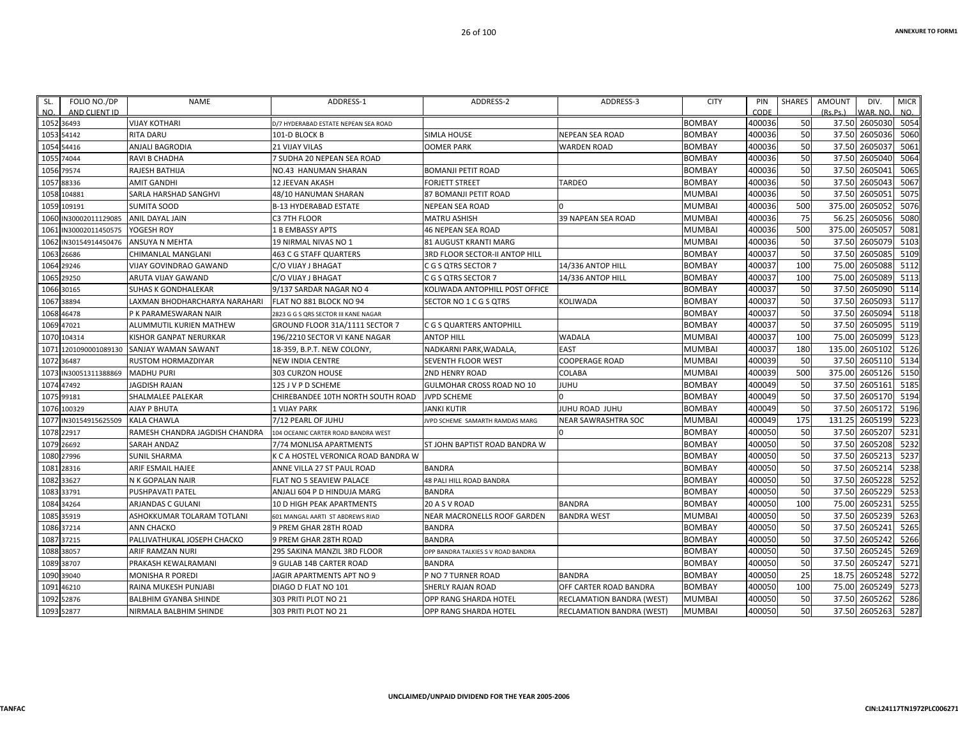| SL.  | FOLIO NO./DP          | <b>NAME</b>                    | ADDRESS-1                            | ADDRESS-2                          | ADDRESS-3                        | <b>CITY</b>   | PIN    | SHARES     | AMOUNT   | DIV.          | <b>MICR</b> |
|------|-----------------------|--------------------------------|--------------------------------------|------------------------------------|----------------------------------|---------------|--------|------------|----------|---------------|-------------|
| NO.  | AND CLIENT ID         |                                |                                      |                                    |                                  |               | CODE   |            | (Rs.Ps.) | WAR. NO.      | NO.         |
|      | 1052 36493            | <b>VIJAY KOTHARI</b>           | D/7 HYDERABAD ESTATE NEPEAN SEA ROAD |                                    |                                  | <b>BOMBAY</b> | 400036 | 50         |          | 37.50 2605030 | 5054        |
|      | 1053 54142            | <b>RITA DARU</b>               | 101-D BLOCK B                        | <b>SIMLA HOUSE</b>                 | NEPEAN SEA ROAD                  | <b>BOMBAY</b> | 400036 | 50         | 37.50    | 2605036       | 5060        |
|      | 1054 54416            | ANJALI BAGRODIA                | <b>21 VIJAY VILAS</b>                | <b>OOMER PARK</b>                  | WARDEN ROAD                      | <b>BOMBAY</b> | 400036 | 50         | 37.50    | 260503        | 5061        |
|      | 1055 74044            | RAVI B CHADHA                  | 7 SUDHA 20 NEPEAN SEA ROAD           |                                    |                                  | <b>BOMBAY</b> | 400036 | 50         | 37.50    | 2605040       | 5064        |
|      | 1056 79574            | RAJESH BATHIJA                 | NO.43 HANUMAN SHARAN                 | <b>BOMANJI PETIT ROAD</b>          |                                  | <b>BOMBAY</b> | 400036 | 50         | 37.50    | 2605041       | 5065        |
|      | 1057 88336            | <b>AMIT GANDHI</b>             | 12 JEEVAN AKASH                      | <b>FORJETT STREET</b>              | TARDEO                           | <b>BOMBAY</b> | 400036 | 50         | 37.50    | 2605043       | 5067        |
|      | 1058 104881           | SARLA HARSHAD SANGHVI          | 48/10 HANUMAN SHARAN                 | 87 BOMANJI PETIT ROAD              |                                  | MUMBAI        | 400036 | 50         | 37.50    | 2605051       | 5075        |
| 1059 | 109191                | <b>SUMITA SOOD</b>             | <b>B-13 HYDERABAD ESTATE</b>         | <b>NEPEAN SEA ROAD</b>             |                                  | <b>MUMBAI</b> | 400036 | 500        | 375.00   | 2605052       | 5076        |
| 1060 | N30002011129085       | ANIL DAYAL JAIN                | C3 7TH FLOOR                         | <b>MATRU ASHISH</b>                | 39 NAPEAN SEA ROAD               | <b>MUMBAI</b> | 400036 | 75         | 56.25    | 2605056       | 5080        |
| 1061 | IN30002011450575      | YOGESH ROY                     | 1 B EMBASSY APTS                     | <b>46 NEPEAN SEA ROAD</b>          |                                  | <b>MUMBAI</b> | 400036 | 500        | 375.00   | 2605057       | 5081        |
|      | 1062 IN30154914450476 | ANSUYA N MEHTA                 | 19 NIRMAL NIVAS NO 1                 | 81 AUGUST KRANTI MARG              |                                  | MUMBAI        | 400036 | 50         | 37.50    | 2605079       | 5103        |
|      | 1063 26686            | CHIMANLAL MANGLANI             | 463 C G STAFF QUARTERS               | 3RD FLOOR SECTOR-II ANTOP HILL     |                                  | <b>BOMBAY</b> | 400037 | 50         | 37.50    | 2605085       | 5109        |
|      | 1064 29246            | VIJAY GOVINDRAO GAWAND         | C/O VIJAY J BHAGAT                   | C G S QTRS SECTOR 7                | 14/336 ANTOP HILL                | <b>BOMBAY</b> | 400037 | 100        | 75.00    | 2605088       | 5112        |
|      | 1065 29250            | ARUTA VIJAY GAWAND             | C/O VIJAY J BHAGAT                   | C G S QTRS SECTOR 7                | 14/336 ANTOP HILL                | <b>BOMBAY</b> | 400037 | 100        | 75.00    | 2605089       | 5113        |
|      | 1066 30165            | <b>SUHAS K GONDHALEKAR</b>     | 9/137 SARDAR NAGAR NO 4              | KOLIWADA ANTOPHILL POST OFFICE     |                                  | <b>BOMBAY</b> | 400037 | 50         | 37.50    | 2605090       | 5114        |
|      | 1067 38894            | LAXMAN BHODHARCHARYA NARAHARI  | FLAT NO 881 BLOCK NO 94              | SECTOR NO 1 C G S QTRS             | KOLIWADA                         | <b>BOMBAY</b> | 400037 | 50         | 37.50    | 2605093       | 5117        |
|      | 1068 46478            | P K PARAMESWARAN NAIR          | 2823 G G S ORS SECTOR III KANE NAGAR |                                    |                                  | <b>BOMBAY</b> | 400037 | 50         | 37.50    | 2605094       | 5118        |
|      | 1069 47021            | ALUMMUTIL KURIEN MATHEW        | GROUND FLOOR 31A/1111 SECTOR 7       | C G S QUARTERS ANTOPHILL           |                                  | <b>BOMBAY</b> | 400037 | 50         | 37.50    | 2605095       | 5119        |
|      | 1070 104314           | KISHOR GANPAT NERURKAR         | 196/2210 SECTOR VI KANE NAGAR        | <b>ANTOP HILL</b>                  | WADALA                           | <b>MUMBAI</b> | 400037 | 100        | 75.00    | 2605099       | 5123        |
|      | 1071 1201090001089130 | SANJAY WAMAN SAWANT            | 18-359, B.P.T. NEW COLONY,           | NADKARNI PARK, WADALA,             | <b>EAST</b>                      | <b>MUMBAI</b> | 400037 | 180        | 135.00   | 2605102       | 5126        |
|      | 1072 36487            | <b>RUSTOM HORMAZDIYAR</b>      | <b>NEW INDIA CENTRE</b>              | SEVENTH FLOOR WEST                 | COOPERAGE ROAD                   | <b>MUMBAI</b> | 400039 | 50         | 37.50    | 2605110       | 5134        |
|      | 1073 IN30051311388869 | <b>MADHU PURI</b>              | 303 CURZON HOUSE                     | <b>2ND HENRY ROAD</b>              | COLABA                           | <b>MUMBAI</b> | 400039 | <b>500</b> | 375.00   | 2605126       | 5150        |
|      | 1074 47492            | <b>JAGDISH RAJAN</b>           | 125 J V P D SCHEME                   | GULMOHAR CROSS ROAD NO 10          | JUHU                             | <b>BOMBAY</b> | 400049 | 50         | 37.50    | 2605161       | 5185        |
|      | 1075 99181            | SHALMALEE PALEKAR              | CHIREBANDEE 10TH NORTH SOUTH ROAD    | <b>JVPD SCHEME</b>                 |                                  | <b>BOMBAY</b> | 400049 | 50         | 37.50    | 2605170       | 5194        |
|      | 1076 100329           | AJAY P BHUTA                   | <b>1 VIJAY PARK</b>                  | <b>JANKI KUTIR</b>                 | JUHU ROAD JUHU                   | <b>BOMBAY</b> | 400049 | 50         | 37.50    | 2605172       | 5196        |
|      | 1077 IN30154915625509 | <b>KALA CHAWLA</b>             | 7/12 PEARL OF JUHU                   | IVPD SCHEME SAMARTH RAMDAS MARG    | <b>NEAR SAWRASHTRA SOC</b>       | <b>MUMBAI</b> | 400049 | 175        | 131.25   | 2605199       | 5223        |
|      | 1078 22917            | RAMESH CHANDRA JAGDISH CHANDRA | 104 OCEANIC CARTER ROAD BANDRA WEST  |                                    |                                  | <b>BOMBAY</b> | 400050 | 50         | 37.50    | 2605207       | 5231        |
|      | 1079 26692            | SARAH ANDAZ                    | 7/74 MONLISA APARTMENTS              | ST JOHN BAPTIST ROAD BANDRA W      |                                  | <b>BOMBAY</b> | 400050 | 50         | 37.50    | 2605208       | 5232        |
|      | 1080 27996            | <b>SUNIL SHARMA</b>            | K C A HOSTEL VERONICA ROAD BANDRA W  |                                    |                                  | <b>BOMBAY</b> | 400050 | 50         | 37.50    | 2605213       | 5237        |
|      | 1081 28316            | ARIF ESMAIL HAJEE              | ANNE VILLA 27 ST PAUL ROAD           | <b>BANDRA</b>                      |                                  | <b>BOMBAY</b> | 400050 | 50         | 37.50    | 2605214       | 5238        |
|      | 1082 33627            | N K GOPALAN NAIR               | FLAT NO 5 SEAVIEW PALACE             | 48 PALI HILL ROAD BANDRA           |                                  | <b>BOMBAY</b> | 400050 | 50         | 37.50    | 2605228       | 5252        |
|      | 1083 33791            | PUSHPAVATI PATEL               | ANJALI 604 P D HINDUJA MARG          | <b>BANDRA</b>                      |                                  | <b>BOMBAY</b> | 400050 | 50         | 37.50    | 2605229       | 5253        |
|      | 1084 34264            | ARJANDAS C GULANI              | 10 D HIGH PEAK APARTMENTS            | 20 A S V ROAD                      | <b>BANDRA</b>                    | <b>BOMBAY</b> | 400050 | 100        | 75.00    | 2605231       | 5255        |
|      | 1085 35919            | ASHOKKUMAR TOLARAM TOTLANI     | 601 MANGAL AARTI ST ABDREWS RIAD     | NEAR MACRONELLS ROOF GARDEN        | <b>BANDRA WEST</b>               | <b>MUMBAI</b> | 400050 | 50         | 37.50    | 2605239       | 5263        |
|      | 1086 37214            | ANN CHACKO                     | 9 PREM GHAR 28TH ROAD                | <b>BANDRA</b>                      |                                  | <b>BOMBAY</b> | 400050 | 50         | 37.50    | 2605241       | 5265        |
|      | 1087 37215            | PALLIVATHUKAL JOSEPH CHACKO    | 9 PREM GHAR 28TH ROAD                | <b>BANDRA</b>                      |                                  | <b>BOMBAY</b> | 400050 | 50         | 37.50    | 2605242       | 5266        |
|      | 1088 38057            | ARIF RAMZAN NURI               | 295 SAKINA MANZIL 3RD FLOOR          | OPP BANDRA TALKIES S V ROAD BANDRA |                                  | <b>BOMBAY</b> | 400050 | 50         | 37.50    | 2605245       | 5269        |
|      | 1089 38707            | PRAKASH KEWALRAMANI            | 9 GULAB 14B CARTER ROAD              | <b>BANDRA</b>                      |                                  | <b>BOMBAY</b> | 400050 | 50         | 37.50    | 2605247       | 5271        |
|      | 1090 39040            | <b>MONISHA R POREDI</b>        | JAGIR APARTMENTS APT NO 9            | P NO 7 TURNER ROAD                 | <b>BANDRA</b>                    | <b>BOMBAY</b> | 400050 | 25         | 18.75    | 2605248       | 5272        |
|      | 1091 46210            | RAINA MUKESH PUNJABI           | DIAGO D FLAT NO 101                  | SHERLY RAJAN ROAD                  | OFF CARTER ROAD BANDRA           | <b>BOMBAY</b> | 400050 | 100        | 75.00    | 2605249       | 5273        |
|      | 1092 52876            | BALBHIM GYANBA SHINDE          | 303 PRITI PLOT NO 21                 | OPP RANG SHARDA HOTEL              | RECLAMATION BANDRA (WEST)        | <b>MUMBAI</b> | 400050 | 50         | 37.50    | 2605262       | 5286        |
|      | 1093 52877            | NIRMALA BALBHIM SHINDE         | 303 PRITI PLOT NO 21                 | OPP RANG SHARDA HOTEL              | <b>RECLAMATION BANDRA (WEST)</b> | <b>MUMBAI</b> | 400050 | 50         |          | 37.50 2605263 | 5287        |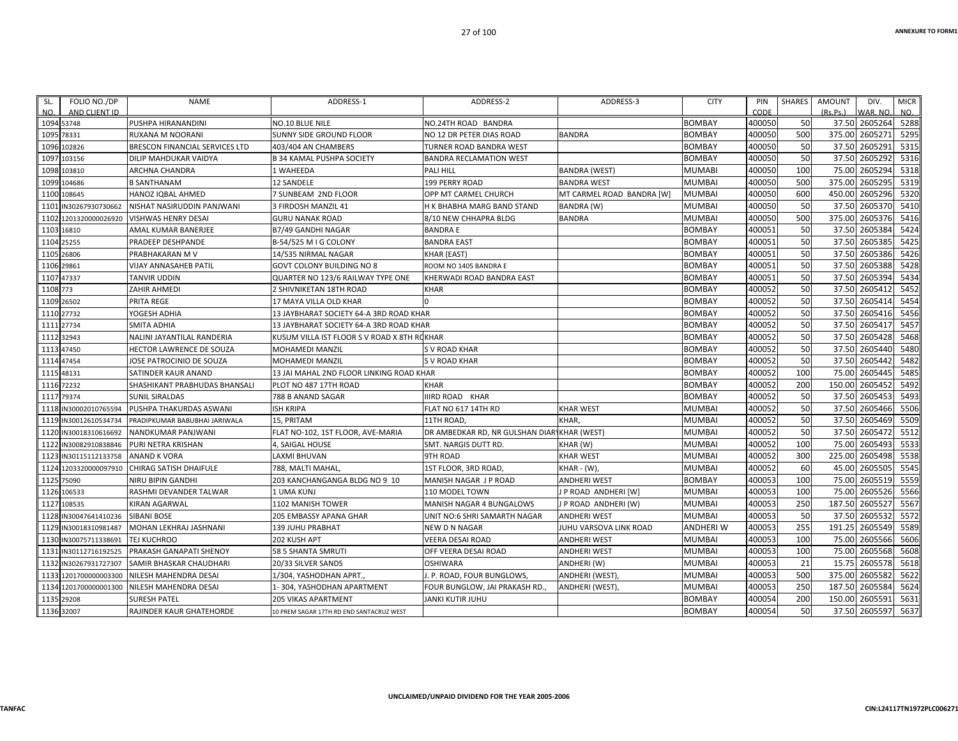| NO.<br>AND CLIENT ID<br>CODE<br>(Rs.Ps.)<br>WAR, NO.<br>NO.<br><b>BOMBAY</b><br>400050<br>50<br>37.50 2605264 5288<br>1094 53748<br>PUSHPA HIRANANDINI<br>NO.10 BLUE NILE<br>NO.24TH ROAD BANDRA<br>500<br>375.00 2605271<br>5295<br>400050<br>1095<br>78331<br>RUXANA M NOORANI<br>SUNNY SIDE GROUND FLOOR<br>NO 12 DR PETER DIAS ROAD<br><b>BANDRA</b><br><b>BOMBAY</b><br>400050<br>50<br>37.50 2605291<br>5315<br><b>BOMBAY</b><br>102826<br>BRESCON FINANCIAL SERVICES LTD<br>1096<br>403/404 AN CHAMBERS<br>TURNER ROAD BANDRA WEST<br>400050<br>50<br>37.50 2605292<br>5316<br><b>BOMBAY</b><br>1097<br>103156<br>DILIP MAHDUKAR VAIDYA<br><b>B 34 KAMAL PUSHPA SOCIETY</b><br><b>BANDRA RECLAMATION WEST</b><br>100<br>2605294<br>5318<br><b>MUMABI</b><br>400050<br>75.00<br>103810<br>ARCHNA CHANDRA<br>1 WAHEEDA<br><b>PALI HILL</b><br><b>BANDRA (WEST)</b><br>1098<br>2605295<br>5319<br>400050<br>500<br>375.00<br>1099<br>104686<br><b>B SANTHANAM</b><br><b>12 SANDELE</b><br>199 PERRY ROAD<br><b>BANDRA WEST</b><br><b>MUMBAI</b><br>5320<br>600<br>450.00 2605296<br>400050<br>108645<br>7 SUNBEAM 2ND FLOOR<br>OPP MT CARMEL CHURCH<br>MT CARMEL ROAD BANDRA [W]<br><b>MUMBAI</b><br>1100<br>HANOZ IQBAL AHMED<br>50<br>37.50 2605370<br>5410<br>400050<br>3 FIRDOSH MANZIL 41<br><b>MUMBAI</b><br>IN30267930730662<br>NISHAT NASIRUDDIN PANJWANI<br>H K BHABHA MARG BAND STAND<br>BANDRA (W)<br>1101<br>2605376<br>5416<br><b>MUMBAI</b><br>400050<br>500<br>375.00<br>1102<br><b>VISHWAS HENRY DESAI</b><br><b>GURU NANAK ROAD</b><br>8/10 NEW CHHAPRA BLDG<br><b>BANDRA</b><br>1201320000026920<br>50<br>37.50 2605384<br>5424<br><b>BOMBAY</b><br>400051<br><b>BANDRA E</b><br>1103 16810<br>AMAL KUMAR BANERJEE<br>B7/49 GANDHI NAGAR<br>50<br>37.50 2605385<br>5425<br><b>BOMBAY</b><br>400051<br>25255<br>PRADEEP DESHPANDE<br>B-54/525 M I G COLONY<br><b>BANDRA EAST</b><br>1104<br>50<br>37.50 2605386<br>5426<br>400051<br>1105<br>26806<br>PRABHAKARAN M V<br>KHAR (EAST)<br><b>BOMBAY</b><br>14/535 NIRMAL NAGAR<br>37.50 2605388<br>5428<br>400051<br>50<br><b>BOMBAY</b><br>1106 29861<br>VIJAY ANNASAHEB PATIL<br>GOVT COLONY BUILDING NO 8<br>ROOM NO 1405 BANDRA E<br>50<br>37.50<br>2605394<br>5434<br><b>BOMBAY</b><br>400051<br>1107 47337<br><b>TANVIR UDDIN</b><br>QUARTER NO 123/6 RAILWAY TYPE ONE<br>KHERWADI ROAD BANDRA EAST<br>50<br>37.50<br>2605412<br>5452<br><b>BOMBAY</b><br>400052<br>ZAHIR AHMEDI<br>1108 773<br>2 SHIVNIKETAN 18TH ROAD<br><b>KHAR</b><br>37.50 2605414<br>400052<br>50<br>5454<br>1109 26502<br>PRITA REGE<br><b>BOMBAY</b><br>17 MAYA VILLA OLD KHAR<br>50<br>2605416<br>5456<br>400052<br>37.50<br><b>BOMBAY</b><br>1110 27732<br>YOGESH ADHIA<br>13 JAYBHARAT SOCIETY 64-A 3RD ROAD KHAR<br>50<br>37.50 2605417<br>5457<br>400052<br>1111 27734<br>SMITA ADHIA<br>13 JAYBHARAT SOCIETY 64-A 3RD ROAD KHAR<br><b>BOMBAY</b><br>50<br>5468<br>400052<br>37.50<br>2605428<br>1112 32943<br>KUSUM VILLA IST FLOOR S V ROAD X 8TH ROKHAR<br><b>BOMBAY</b><br>NALINI JAYANTILAL RANDERIA<br>50<br>37.50 2605440<br>5480<br>400052<br><b>BOMBAY</b><br>1113 47450<br><b>HECTOR LAWRENCE DE SOUZA</b><br>MOHAMEDI MANZIL<br><b>SV ROAD KHAR</b><br>50<br>37.50 2605442<br>5482<br><b>BOMBAY</b><br>400052<br>1114<br>47454<br>JOSE PATROCINIO DE SOUZA<br>MOHAMEDI MANZIL<br><b>SV ROAD KHAR</b><br>100<br>2605445<br>5485<br>1115<br>13 JAI MAHAL 2ND FLOOR LINKING ROAD KHAR<br><b>BOMBAY</b><br>400052<br>75.00<br>48131<br>SATINDER KAUR ANAND<br>150.00 2605452<br>400052<br>200<br>5492<br>1116 72232<br><b>KHAR</b><br><b>BOMBAY</b><br>SHASHIKANT PRABHUDAS BHANSALI<br>PLOT NO 487 17TH ROAD<br>2605453<br>5493<br>400052<br>50<br>37.50<br>IIIRD ROAD KHAR<br><b>BOMBAY</b><br>1117 79374<br><b>SUNIL SIRALDAS</b><br>788 B ANAND SAGAR |
|------------------------------------------------------------------------------------------------------------------------------------------------------------------------------------------------------------------------------------------------------------------------------------------------------------------------------------------------------------------------------------------------------------------------------------------------------------------------------------------------------------------------------------------------------------------------------------------------------------------------------------------------------------------------------------------------------------------------------------------------------------------------------------------------------------------------------------------------------------------------------------------------------------------------------------------------------------------------------------------------------------------------------------------------------------------------------------------------------------------------------------------------------------------------------------------------------------------------------------------------------------------------------------------------------------------------------------------------------------------------------------------------------------------------------------------------------------------------------------------------------------------------------------------------------------------------------------------------------------------------------------------------------------------------------------------------------------------------------------------------------------------------------------------------------------------------------------------------------------------------------------------------------------------------------------------------------------------------------------------------------------------------------------------------------------------------------------------------------------------------------------------------------------------------------------------------------------------------------------------------------------------------------------------------------------------------------------------------------------------------------------------------------------------------------------------------------------------------------------------------------------------------------------------------------------------------------------------------------------------------------------------------------------------------------------------------------------------------------------------------------------------------------------------------------------------------------------------------------------------------------------------------------------------------------------------------------------------------------------------------------------------------------------------------------------------------------------------------------------------------------------------------------------------------------------------------------------------------------------------------------------------------------------------------------------------------------------------------------------------------------------------------------------------------------------------------------------------------------------------------------------------------------------------------------------------------------------------------------------------------------------------------------------------------------------------------------------------------------------------------------------------------------------------------------------------------|
|                                                                                                                                                                                                                                                                                                                                                                                                                                                                                                                                                                                                                                                                                                                                                                                                                                                                                                                                                                                                                                                                                                                                                                                                                                                                                                                                                                                                                                                                                                                                                                                                                                                                                                                                                                                                                                                                                                                                                                                                                                                                                                                                                                                                                                                                                                                                                                                                                                                                                                                                                                                                                                                                                                                                                                                                                                                                                                                                                                                                                                                                                                                                                                                                                                                                                                                                                                                                                                                                                                                                                                                                                                                                                                                                                                                                                        |
|                                                                                                                                                                                                                                                                                                                                                                                                                                                                                                                                                                                                                                                                                                                                                                                                                                                                                                                                                                                                                                                                                                                                                                                                                                                                                                                                                                                                                                                                                                                                                                                                                                                                                                                                                                                                                                                                                                                                                                                                                                                                                                                                                                                                                                                                                                                                                                                                                                                                                                                                                                                                                                                                                                                                                                                                                                                                                                                                                                                                                                                                                                                                                                                                                                                                                                                                                                                                                                                                                                                                                                                                                                                                                                                                                                                                                        |
|                                                                                                                                                                                                                                                                                                                                                                                                                                                                                                                                                                                                                                                                                                                                                                                                                                                                                                                                                                                                                                                                                                                                                                                                                                                                                                                                                                                                                                                                                                                                                                                                                                                                                                                                                                                                                                                                                                                                                                                                                                                                                                                                                                                                                                                                                                                                                                                                                                                                                                                                                                                                                                                                                                                                                                                                                                                                                                                                                                                                                                                                                                                                                                                                                                                                                                                                                                                                                                                                                                                                                                                                                                                                                                                                                                                                                        |
|                                                                                                                                                                                                                                                                                                                                                                                                                                                                                                                                                                                                                                                                                                                                                                                                                                                                                                                                                                                                                                                                                                                                                                                                                                                                                                                                                                                                                                                                                                                                                                                                                                                                                                                                                                                                                                                                                                                                                                                                                                                                                                                                                                                                                                                                                                                                                                                                                                                                                                                                                                                                                                                                                                                                                                                                                                                                                                                                                                                                                                                                                                                                                                                                                                                                                                                                                                                                                                                                                                                                                                                                                                                                                                                                                                                                                        |
|                                                                                                                                                                                                                                                                                                                                                                                                                                                                                                                                                                                                                                                                                                                                                                                                                                                                                                                                                                                                                                                                                                                                                                                                                                                                                                                                                                                                                                                                                                                                                                                                                                                                                                                                                                                                                                                                                                                                                                                                                                                                                                                                                                                                                                                                                                                                                                                                                                                                                                                                                                                                                                                                                                                                                                                                                                                                                                                                                                                                                                                                                                                                                                                                                                                                                                                                                                                                                                                                                                                                                                                                                                                                                                                                                                                                                        |
|                                                                                                                                                                                                                                                                                                                                                                                                                                                                                                                                                                                                                                                                                                                                                                                                                                                                                                                                                                                                                                                                                                                                                                                                                                                                                                                                                                                                                                                                                                                                                                                                                                                                                                                                                                                                                                                                                                                                                                                                                                                                                                                                                                                                                                                                                                                                                                                                                                                                                                                                                                                                                                                                                                                                                                                                                                                                                                                                                                                                                                                                                                                                                                                                                                                                                                                                                                                                                                                                                                                                                                                                                                                                                                                                                                                                                        |
|                                                                                                                                                                                                                                                                                                                                                                                                                                                                                                                                                                                                                                                                                                                                                                                                                                                                                                                                                                                                                                                                                                                                                                                                                                                                                                                                                                                                                                                                                                                                                                                                                                                                                                                                                                                                                                                                                                                                                                                                                                                                                                                                                                                                                                                                                                                                                                                                                                                                                                                                                                                                                                                                                                                                                                                                                                                                                                                                                                                                                                                                                                                                                                                                                                                                                                                                                                                                                                                                                                                                                                                                                                                                                                                                                                                                                        |
|                                                                                                                                                                                                                                                                                                                                                                                                                                                                                                                                                                                                                                                                                                                                                                                                                                                                                                                                                                                                                                                                                                                                                                                                                                                                                                                                                                                                                                                                                                                                                                                                                                                                                                                                                                                                                                                                                                                                                                                                                                                                                                                                                                                                                                                                                                                                                                                                                                                                                                                                                                                                                                                                                                                                                                                                                                                                                                                                                                                                                                                                                                                                                                                                                                                                                                                                                                                                                                                                                                                                                                                                                                                                                                                                                                                                                        |
|                                                                                                                                                                                                                                                                                                                                                                                                                                                                                                                                                                                                                                                                                                                                                                                                                                                                                                                                                                                                                                                                                                                                                                                                                                                                                                                                                                                                                                                                                                                                                                                                                                                                                                                                                                                                                                                                                                                                                                                                                                                                                                                                                                                                                                                                                                                                                                                                                                                                                                                                                                                                                                                                                                                                                                                                                                                                                                                                                                                                                                                                                                                                                                                                                                                                                                                                                                                                                                                                                                                                                                                                                                                                                                                                                                                                                        |
|                                                                                                                                                                                                                                                                                                                                                                                                                                                                                                                                                                                                                                                                                                                                                                                                                                                                                                                                                                                                                                                                                                                                                                                                                                                                                                                                                                                                                                                                                                                                                                                                                                                                                                                                                                                                                                                                                                                                                                                                                                                                                                                                                                                                                                                                                                                                                                                                                                                                                                                                                                                                                                                                                                                                                                                                                                                                                                                                                                                                                                                                                                                                                                                                                                                                                                                                                                                                                                                                                                                                                                                                                                                                                                                                                                                                                        |
|                                                                                                                                                                                                                                                                                                                                                                                                                                                                                                                                                                                                                                                                                                                                                                                                                                                                                                                                                                                                                                                                                                                                                                                                                                                                                                                                                                                                                                                                                                                                                                                                                                                                                                                                                                                                                                                                                                                                                                                                                                                                                                                                                                                                                                                                                                                                                                                                                                                                                                                                                                                                                                                                                                                                                                                                                                                                                                                                                                                                                                                                                                                                                                                                                                                                                                                                                                                                                                                                                                                                                                                                                                                                                                                                                                                                                        |
|                                                                                                                                                                                                                                                                                                                                                                                                                                                                                                                                                                                                                                                                                                                                                                                                                                                                                                                                                                                                                                                                                                                                                                                                                                                                                                                                                                                                                                                                                                                                                                                                                                                                                                                                                                                                                                                                                                                                                                                                                                                                                                                                                                                                                                                                                                                                                                                                                                                                                                                                                                                                                                                                                                                                                                                                                                                                                                                                                                                                                                                                                                                                                                                                                                                                                                                                                                                                                                                                                                                                                                                                                                                                                                                                                                                                                        |
|                                                                                                                                                                                                                                                                                                                                                                                                                                                                                                                                                                                                                                                                                                                                                                                                                                                                                                                                                                                                                                                                                                                                                                                                                                                                                                                                                                                                                                                                                                                                                                                                                                                                                                                                                                                                                                                                                                                                                                                                                                                                                                                                                                                                                                                                                                                                                                                                                                                                                                                                                                                                                                                                                                                                                                                                                                                                                                                                                                                                                                                                                                                                                                                                                                                                                                                                                                                                                                                                                                                                                                                                                                                                                                                                                                                                                        |
|                                                                                                                                                                                                                                                                                                                                                                                                                                                                                                                                                                                                                                                                                                                                                                                                                                                                                                                                                                                                                                                                                                                                                                                                                                                                                                                                                                                                                                                                                                                                                                                                                                                                                                                                                                                                                                                                                                                                                                                                                                                                                                                                                                                                                                                                                                                                                                                                                                                                                                                                                                                                                                                                                                                                                                                                                                                                                                                                                                                                                                                                                                                                                                                                                                                                                                                                                                                                                                                                                                                                                                                                                                                                                                                                                                                                                        |
|                                                                                                                                                                                                                                                                                                                                                                                                                                                                                                                                                                                                                                                                                                                                                                                                                                                                                                                                                                                                                                                                                                                                                                                                                                                                                                                                                                                                                                                                                                                                                                                                                                                                                                                                                                                                                                                                                                                                                                                                                                                                                                                                                                                                                                                                                                                                                                                                                                                                                                                                                                                                                                                                                                                                                                                                                                                                                                                                                                                                                                                                                                                                                                                                                                                                                                                                                                                                                                                                                                                                                                                                                                                                                                                                                                                                                        |
|                                                                                                                                                                                                                                                                                                                                                                                                                                                                                                                                                                                                                                                                                                                                                                                                                                                                                                                                                                                                                                                                                                                                                                                                                                                                                                                                                                                                                                                                                                                                                                                                                                                                                                                                                                                                                                                                                                                                                                                                                                                                                                                                                                                                                                                                                                                                                                                                                                                                                                                                                                                                                                                                                                                                                                                                                                                                                                                                                                                                                                                                                                                                                                                                                                                                                                                                                                                                                                                                                                                                                                                                                                                                                                                                                                                                                        |
|                                                                                                                                                                                                                                                                                                                                                                                                                                                                                                                                                                                                                                                                                                                                                                                                                                                                                                                                                                                                                                                                                                                                                                                                                                                                                                                                                                                                                                                                                                                                                                                                                                                                                                                                                                                                                                                                                                                                                                                                                                                                                                                                                                                                                                                                                                                                                                                                                                                                                                                                                                                                                                                                                                                                                                                                                                                                                                                                                                                                                                                                                                                                                                                                                                                                                                                                                                                                                                                                                                                                                                                                                                                                                                                                                                                                                        |
|                                                                                                                                                                                                                                                                                                                                                                                                                                                                                                                                                                                                                                                                                                                                                                                                                                                                                                                                                                                                                                                                                                                                                                                                                                                                                                                                                                                                                                                                                                                                                                                                                                                                                                                                                                                                                                                                                                                                                                                                                                                                                                                                                                                                                                                                                                                                                                                                                                                                                                                                                                                                                                                                                                                                                                                                                                                                                                                                                                                                                                                                                                                                                                                                                                                                                                                                                                                                                                                                                                                                                                                                                                                                                                                                                                                                                        |
|                                                                                                                                                                                                                                                                                                                                                                                                                                                                                                                                                                                                                                                                                                                                                                                                                                                                                                                                                                                                                                                                                                                                                                                                                                                                                                                                                                                                                                                                                                                                                                                                                                                                                                                                                                                                                                                                                                                                                                                                                                                                                                                                                                                                                                                                                                                                                                                                                                                                                                                                                                                                                                                                                                                                                                                                                                                                                                                                                                                                                                                                                                                                                                                                                                                                                                                                                                                                                                                                                                                                                                                                                                                                                                                                                                                                                        |
|                                                                                                                                                                                                                                                                                                                                                                                                                                                                                                                                                                                                                                                                                                                                                                                                                                                                                                                                                                                                                                                                                                                                                                                                                                                                                                                                                                                                                                                                                                                                                                                                                                                                                                                                                                                                                                                                                                                                                                                                                                                                                                                                                                                                                                                                                                                                                                                                                                                                                                                                                                                                                                                                                                                                                                                                                                                                                                                                                                                                                                                                                                                                                                                                                                                                                                                                                                                                                                                                                                                                                                                                                                                                                                                                                                                                                        |
|                                                                                                                                                                                                                                                                                                                                                                                                                                                                                                                                                                                                                                                                                                                                                                                                                                                                                                                                                                                                                                                                                                                                                                                                                                                                                                                                                                                                                                                                                                                                                                                                                                                                                                                                                                                                                                                                                                                                                                                                                                                                                                                                                                                                                                                                                                                                                                                                                                                                                                                                                                                                                                                                                                                                                                                                                                                                                                                                                                                                                                                                                                                                                                                                                                                                                                                                                                                                                                                                                                                                                                                                                                                                                                                                                                                                                        |
|                                                                                                                                                                                                                                                                                                                                                                                                                                                                                                                                                                                                                                                                                                                                                                                                                                                                                                                                                                                                                                                                                                                                                                                                                                                                                                                                                                                                                                                                                                                                                                                                                                                                                                                                                                                                                                                                                                                                                                                                                                                                                                                                                                                                                                                                                                                                                                                                                                                                                                                                                                                                                                                                                                                                                                                                                                                                                                                                                                                                                                                                                                                                                                                                                                                                                                                                                                                                                                                                                                                                                                                                                                                                                                                                                                                                                        |
|                                                                                                                                                                                                                                                                                                                                                                                                                                                                                                                                                                                                                                                                                                                                                                                                                                                                                                                                                                                                                                                                                                                                                                                                                                                                                                                                                                                                                                                                                                                                                                                                                                                                                                                                                                                                                                                                                                                                                                                                                                                                                                                                                                                                                                                                                                                                                                                                                                                                                                                                                                                                                                                                                                                                                                                                                                                                                                                                                                                                                                                                                                                                                                                                                                                                                                                                                                                                                                                                                                                                                                                                                                                                                                                                                                                                                        |
|                                                                                                                                                                                                                                                                                                                                                                                                                                                                                                                                                                                                                                                                                                                                                                                                                                                                                                                                                                                                                                                                                                                                                                                                                                                                                                                                                                                                                                                                                                                                                                                                                                                                                                                                                                                                                                                                                                                                                                                                                                                                                                                                                                                                                                                                                                                                                                                                                                                                                                                                                                                                                                                                                                                                                                                                                                                                                                                                                                                                                                                                                                                                                                                                                                                                                                                                                                                                                                                                                                                                                                                                                                                                                                                                                                                                                        |
|                                                                                                                                                                                                                                                                                                                                                                                                                                                                                                                                                                                                                                                                                                                                                                                                                                                                                                                                                                                                                                                                                                                                                                                                                                                                                                                                                                                                                                                                                                                                                                                                                                                                                                                                                                                                                                                                                                                                                                                                                                                                                                                                                                                                                                                                                                                                                                                                                                                                                                                                                                                                                                                                                                                                                                                                                                                                                                                                                                                                                                                                                                                                                                                                                                                                                                                                                                                                                                                                                                                                                                                                                                                                                                                                                                                                                        |
| 50<br>2605466<br><b>MUMBAI</b><br>400052<br>37.50<br>5506<br>IN30002010765594<br>PUSHPA THAKURDAS ASWANI<br>ISH KRIPA<br><b>KHAR WEST</b><br>1118<br><b>FLAT NO 617 14TH RD</b>                                                                                                                                                                                                                                                                                                                                                                                                                                                                                                                                                                                                                                                                                                                                                                                                                                                                                                                                                                                                                                                                                                                                                                                                                                                                                                                                                                                                                                                                                                                                                                                                                                                                                                                                                                                                                                                                                                                                                                                                                                                                                                                                                                                                                                                                                                                                                                                                                                                                                                                                                                                                                                                                                                                                                                                                                                                                                                                                                                                                                                                                                                                                                                                                                                                                                                                                                                                                                                                                                                                                                                                                                                        |
| 5509<br>400052<br>50<br>37.50 2605469<br>15. PRITAM<br>11TH ROAD.<br>KHAR.<br><b>MUMBAI</b><br>1119<br>N30012610534734<br>PRADIPKUMAR BABUBHAI JARIWALA                                                                                                                                                                                                                                                                                                                                                                                                                                                                                                                                                                                                                                                                                                                                                                                                                                                                                                                                                                                                                                                                                                                                                                                                                                                                                                                                                                                                                                                                                                                                                                                                                                                                                                                                                                                                                                                                                                                                                                                                                                                                                                                                                                                                                                                                                                                                                                                                                                                                                                                                                                                                                                                                                                                                                                                                                                                                                                                                                                                                                                                                                                                                                                                                                                                                                                                                                                                                                                                                                                                                                                                                                                                                |
| 5512<br>50<br>37.50<br>2605472<br><b>MUMBAI</b><br>400052<br>1120<br>FLAT NO-102, 1ST FLOOR, AVE-MARIA<br>DR AMBEDKAR RD, NR GULSHAN DIARY<br>KHAR (WEST)<br>NANDKUMAR PANJWANI<br>IN30018310616692                                                                                                                                                                                                                                                                                                                                                                                                                                                                                                                                                                                                                                                                                                                                                                                                                                                                                                                                                                                                                                                                                                                                                                                                                                                                                                                                                                                                                                                                                                                                                                                                                                                                                                                                                                                                                                                                                                                                                                                                                                                                                                                                                                                                                                                                                                                                                                                                                                                                                                                                                                                                                                                                                                                                                                                                                                                                                                                                                                                                                                                                                                                                                                                                                                                                                                                                                                                                                                                                                                                                                                                                                    |
| 5533<br>100<br>75.00 2605493<br><b>MUMBAI</b><br>400052<br>IN30082910838846<br>PURI NETRA KRISHAN<br>4, SAIGAL HOUSE<br>SMT. NARGIS DUTT RD.<br>KHAR (W)<br>1122                                                                                                                                                                                                                                                                                                                                                                                                                                                                                                                                                                                                                                                                                                                                                                                                                                                                                                                                                                                                                                                                                                                                                                                                                                                                                                                                                                                                                                                                                                                                                                                                                                                                                                                                                                                                                                                                                                                                                                                                                                                                                                                                                                                                                                                                                                                                                                                                                                                                                                                                                                                                                                                                                                                                                                                                                                                                                                                                                                                                                                                                                                                                                                                                                                                                                                                                                                                                                                                                                                                                                                                                                                                       |
| 5538<br>400052<br>300<br>225.00<br>2605498<br><b>MUMBAI</b><br>1123<br>IN30115112133758<br><b>ANAND K VORA</b><br>LAXMI BHUVAN<br><b>9TH ROAD</b><br>KHAR WEST                                                                                                                                                                                                                                                                                                                                                                                                                                                                                                                                                                                                                                                                                                                                                                                                                                                                                                                                                                                                                                                                                                                                                                                                                                                                                                                                                                                                                                                                                                                                                                                                                                                                                                                                                                                                                                                                                                                                                                                                                                                                                                                                                                                                                                                                                                                                                                                                                                                                                                                                                                                                                                                                                                                                                                                                                                                                                                                                                                                                                                                                                                                                                                                                                                                                                                                                                                                                                                                                                                                                                                                                                                                         |
| 400052<br>60<br>45.00<br>2605505<br>5545<br><b>MUMBAI</b><br>1124 1203320000097910<br><b>CHIRAG SATISH DHAIFULE</b><br>1ST FLOOR, 3RD ROAD,<br>KHAR - (W),<br>788, MALTI MAHAL,                                                                                                                                                                                                                                                                                                                                                                                                                                                                                                                                                                                                                                                                                                                                                                                                                                                                                                                                                                                                                                                                                                                                                                                                                                                                                                                                                                                                                                                                                                                                                                                                                                                                                                                                                                                                                                                                                                                                                                                                                                                                                                                                                                                                                                                                                                                                                                                                                                                                                                                                                                                                                                                                                                                                                                                                                                                                                                                                                                                                                                                                                                                                                                                                                                                                                                                                                                                                                                                                                                                                                                                                                                        |
| 2605519<br>5559<br><b>BOMBAY</b><br>400053<br>100<br>75.00<br>1125<br><b>NIRU BIPIN GANDHI</b><br>203 KANCHANGANGA BLDG NO 9 10<br>MANISH NAGAR J P ROAD<br>ANDHERI WEST<br>75090                                                                                                                                                                                                                                                                                                                                                                                                                                                                                                                                                                                                                                                                                                                                                                                                                                                                                                                                                                                                                                                                                                                                                                                                                                                                                                                                                                                                                                                                                                                                                                                                                                                                                                                                                                                                                                                                                                                                                                                                                                                                                                                                                                                                                                                                                                                                                                                                                                                                                                                                                                                                                                                                                                                                                                                                                                                                                                                                                                                                                                                                                                                                                                                                                                                                                                                                                                                                                                                                                                                                                                                                                                      |
| 100<br>75.00<br>2605526<br>5566<br><b>MUMBAI</b><br>400053<br>1126<br>106533<br>RASHMI DEVANDER TALWAR<br>1 UMA KUNJ<br>110 MODEL TOWN<br>J P ROAD ANDHERI [W]                                                                                                                                                                                                                                                                                                                                                                                                                                                                                                                                                                                                                                                                                                                                                                                                                                                                                                                                                                                                                                                                                                                                                                                                                                                                                                                                                                                                                                                                                                                                                                                                                                                                                                                                                                                                                                                                                                                                                                                                                                                                                                                                                                                                                                                                                                                                                                                                                                                                                                                                                                                                                                                                                                                                                                                                                                                                                                                                                                                                                                                                                                                                                                                                                                                                                                                                                                                                                                                                                                                                                                                                                                                         |
| 187.50 2605527<br>5567<br>400053<br>250<br>1127<br>108535<br><b>KIRAN AGARWAL</b><br>1102 MANISH TOWER<br>MANISH NAGAR 4 BUNGALOWS<br>J P ROAD ANDHERI (W)<br><b>MUMBAI</b>                                                                                                                                                                                                                                                                                                                                                                                                                                                                                                                                                                                                                                                                                                                                                                                                                                                                                                                                                                                                                                                                                                                                                                                                                                                                                                                                                                                                                                                                                                                                                                                                                                                                                                                                                                                                                                                                                                                                                                                                                                                                                                                                                                                                                                                                                                                                                                                                                                                                                                                                                                                                                                                                                                                                                                                                                                                                                                                                                                                                                                                                                                                                                                                                                                                                                                                                                                                                                                                                                                                                                                                                                                            |
| 5572<br>400053<br>50<br>37.50 2605532<br><b>MUMBAI</b><br>IN30047641410236<br><b>SIBANI BOSE</b><br>205 EMBASSY APANA GHAR<br>UNIT NO:6 SHRI SAMARTH NAGAR<br><b>ANDHERI WEST</b><br>1128                                                                                                                                                                                                                                                                                                                                                                                                                                                                                                                                                                                                                                                                                                                                                                                                                                                                                                                                                                                                                                                                                                                                                                                                                                                                                                                                                                                                                                                                                                                                                                                                                                                                                                                                                                                                                                                                                                                                                                                                                                                                                                                                                                                                                                                                                                                                                                                                                                                                                                                                                                                                                                                                                                                                                                                                                                                                                                                                                                                                                                                                                                                                                                                                                                                                                                                                                                                                                                                                                                                                                                                                                              |
| 400053<br>255<br>191.25 2605549<br>5589<br><b>ANDHERIW</b><br>IN30018310981487<br>MOHAN LEKHRAJ JASHNANI<br><b>139 JUHU PRABHAT</b><br>NEW D N NAGAR<br>JUHU VARSOVA LINK ROAD<br>1129                                                                                                                                                                                                                                                                                                                                                                                                                                                                                                                                                                                                                                                                                                                                                                                                                                                                                                                                                                                                                                                                                                                                                                                                                                                                                                                                                                                                                                                                                                                                                                                                                                                                                                                                                                                                                                                                                                                                                                                                                                                                                                                                                                                                                                                                                                                                                                                                                                                                                                                                                                                                                                                                                                                                                                                                                                                                                                                                                                                                                                                                                                                                                                                                                                                                                                                                                                                                                                                                                                                                                                                                                                 |
| 400053<br>100<br>75.00<br>2605566<br>5606<br>1130<br><b>MUMBAI</b><br>N30075711338691<br><b>TEJ KUCHROO</b><br>202 KUSH APT<br><b>VEERA DESAI ROAD</b><br>ANDHERI WEST                                                                                                                                                                                                                                                                                                                                                                                                                                                                                                                                                                                                                                                                                                                                                                                                                                                                                                                                                                                                                                                                                                                                                                                                                                                                                                                                                                                                                                                                                                                                                                                                                                                                                                                                                                                                                                                                                                                                                                                                                                                                                                                                                                                                                                                                                                                                                                                                                                                                                                                                                                                                                                                                                                                                                                                                                                                                                                                                                                                                                                                                                                                                                                                                                                                                                                                                                                                                                                                                                                                                                                                                                                                 |
| 100<br>75.00 2605568<br>5608<br><b>MUMBAI</b><br>400053<br>1131<br>PRAKASH GANAPATI SHENOY<br>OFF VEERA DESAI ROAD<br>ANDHERI WEST<br>IN30112716192525<br>58 5 SHANTA SMRUTI                                                                                                                                                                                                                                                                                                                                                                                                                                                                                                                                                                                                                                                                                                                                                                                                                                                                                                                                                                                                                                                                                                                                                                                                                                                                                                                                                                                                                                                                                                                                                                                                                                                                                                                                                                                                                                                                                                                                                                                                                                                                                                                                                                                                                                                                                                                                                                                                                                                                                                                                                                                                                                                                                                                                                                                                                                                                                                                                                                                                                                                                                                                                                                                                                                                                                                                                                                                                                                                                                                                                                                                                                                           |
| 21<br>2605578<br>5618<br><b>MUMBAI</b><br>400053<br>15.75<br>IN30267931727307<br>SAMIR BHASKAR CHAUDHARI<br>20/33 SILVER SANDS<br><b>OSHIWARA</b><br>ANDHERI (W)<br>1132                                                                                                                                                                                                                                                                                                                                                                                                                                                                                                                                                                                                                                                                                                                                                                                                                                                                                                                                                                                                                                                                                                                                                                                                                                                                                                                                                                                                                                                                                                                                                                                                                                                                                                                                                                                                                                                                                                                                                                                                                                                                                                                                                                                                                                                                                                                                                                                                                                                                                                                                                                                                                                                                                                                                                                                                                                                                                                                                                                                                                                                                                                                                                                                                                                                                                                                                                                                                                                                                                                                                                                                                                                               |
| 2605582<br>5622<br><b>MUMBAI</b><br>400053<br>500<br>375.00<br>1133<br>1201700000003300<br>NILESH MAHENDRA DESAI<br>1/304, YASHODHAN APRT.<br>J. P. ROAD, FOUR BUNGLOWS,<br>ANDHERI (WEST),                                                                                                                                                                                                                                                                                                                                                                                                                                                                                                                                                                                                                                                                                                                                                                                                                                                                                                                                                                                                                                                                                                                                                                                                                                                                                                                                                                                                                                                                                                                                                                                                                                                                                                                                                                                                                                                                                                                                                                                                                                                                                                                                                                                                                                                                                                                                                                                                                                                                                                                                                                                                                                                                                                                                                                                                                                                                                                                                                                                                                                                                                                                                                                                                                                                                                                                                                                                                                                                                                                                                                                                                                            |
| 250<br>187.50 2605584<br>5624<br>400053<br>1201700000001300<br>NILESH MAHENDRA DESAI<br><b>MUMBAI</b><br>1134<br>1- 304, YASHODHAN APARTMENT<br>FOUR BUNGLOW, JAI PRAKASH RD.<br>ANDHERI (WEST)                                                                                                                                                                                                                                                                                                                                                                                                                                                                                                                                                                                                                                                                                                                                                                                                                                                                                                                                                                                                                                                                                                                                                                                                                                                                                                                                                                                                                                                                                                                                                                                                                                                                                                                                                                                                                                                                                                                                                                                                                                                                                                                                                                                                                                                                                                                                                                                                                                                                                                                                                                                                                                                                                                                                                                                                                                                                                                                                                                                                                                                                                                                                                                                                                                                                                                                                                                                                                                                                                                                                                                                                                        |
| 5631<br>400054<br>200<br>150.00<br>2605591<br><b>BOMBAY</b><br>1135 29208<br><b>SURESH PATEL</b><br>JANKI KUTIR JUHU<br>205 VIKAS APARTMENT                                                                                                                                                                                                                                                                                                                                                                                                                                                                                                                                                                                                                                                                                                                                                                                                                                                                                                                                                                                                                                                                                                                                                                                                                                                                                                                                                                                                                                                                                                                                                                                                                                                                                                                                                                                                                                                                                                                                                                                                                                                                                                                                                                                                                                                                                                                                                                                                                                                                                                                                                                                                                                                                                                                                                                                                                                                                                                                                                                                                                                                                                                                                                                                                                                                                                                                                                                                                                                                                                                                                                                                                                                                                            |
| 50<br>400054<br>37.50 2605597<br>5637<br><b>BOMBAY</b><br>1136 32007<br>RAJINDER KAUR GHATEHORDE<br>10 PREM SAGAR 17TH RD END SANTACRUZ WEST                                                                                                                                                                                                                                                                                                                                                                                                                                                                                                                                                                                                                                                                                                                                                                                                                                                                                                                                                                                                                                                                                                                                                                                                                                                                                                                                                                                                                                                                                                                                                                                                                                                                                                                                                                                                                                                                                                                                                                                                                                                                                                                                                                                                                                                                                                                                                                                                                                                                                                                                                                                                                                                                                                                                                                                                                                                                                                                                                                                                                                                                                                                                                                                                                                                                                                                                                                                                                                                                                                                                                                                                                                                                           |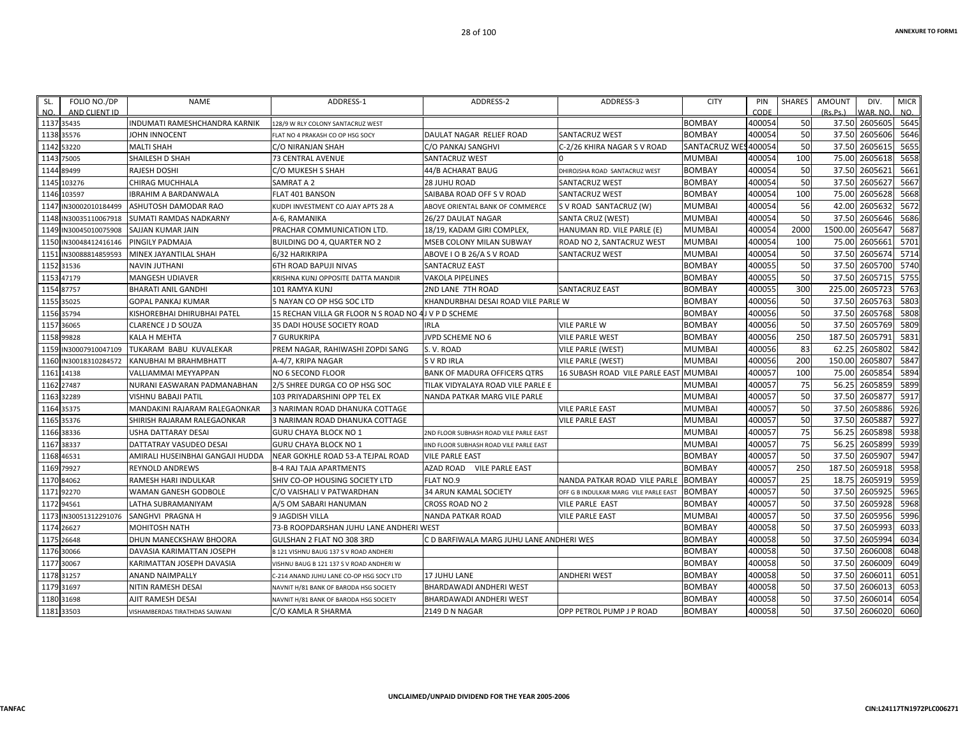| FOLIO NO./DP<br>SL.<br>NO.<br>AND CLIENT ID | <b>NAME</b>                          | ADDRESS-1                                | ADDRESS-2                                | ADDRESS-3                             | <b>CITY</b>          | PIN<br>CODE | <b>SHARES</b> | <b>AMOUNT</b><br>(Rs, Ps.) | DIV.<br>WAR, NO | <b>MICR</b><br>NO. |
|---------------------------------------------|--------------------------------------|------------------------------------------|------------------------------------------|---------------------------------------|----------------------|-------------|---------------|----------------------------|-----------------|--------------------|
| 1137 35435                                  | <b>INDUMATI RAMESHCHANDRA KARNIK</b> | 128/9 W RLY COLONY SANTACRUZ WEST        |                                          |                                       | <b>BOMBAY</b>        | 400054      | 50            | 37.50                      | 2605605         | 5645               |
| 1138<br>35576                               | JOHN INNOCENT                        | FLAT NO 4 PRAKASH CO OP HSG SOCY         | DAULAT NAGAR RELIEF ROAD                 | <b>SANTACRUZ WEST</b>                 | <b>BOMBAY</b>        | 400054      | 50            | 37.50                      | 2605606         | 5646               |
| 1142 53220                                  | <b>MALTI SHAH</b>                    | C/O NIRANJAN SHAH                        | C/O PANKAJ SANGHVI                       | C-2/26 KHIRA NAGAR S V ROAD           | <b>SANTACRUZ WES</b> | 400054      | 50            | 37.50                      | 2605615         | 5655               |
| 75005<br>1143                               | SHAILESH D SHAH                      | <b>73 CENTRAL AVENUE</b>                 | SANTACRUZ WEST                           |                                       | <b>MUMBAI</b>        | 400054      | 100           | 75.00                      | 2605618         | 5658               |
| 1144<br>89499                               | RAJESH DOSHI                         | C/O MUKESH S SHAH                        | 44/B ACHARAT BAUG                        | DHIROJSHA ROAD SANTACRUZ WEST         | <b>BOMBAY</b>        | 400054      | 50            | 37.50                      | 2605621         | 5661               |
| 1145 103276                                 | CHIRAG MUCHHALA                      | SAMRAT A 2                               | <b>28 JUHU ROAD</b>                      | SANTACRUZ WEST                        | <b>BOMBAY</b>        | 400054      | 50            | 37.50                      | 2605627         | 5667               |
| 1146 103597                                 | <b>IBRAHIM A BARDANWALA</b>          | <b>FLAT 401 BANSON</b>                   | SAIBABA ROAD OFF S V ROAD                | <b>SANTACRUZ WEST</b>                 | <b>BOMBAY</b>        | 400054      | 100           | 75.00                      | 2605628         | 5668               |
| 114<br>N30002010184499                      | ASHUTOSH DAMODAR RAO                 | KUDPI INVESTMENT CO AJAY APTS 28 A       | ABOVE ORIENTAL BANK OF COMMERCE          | S V ROAD SANTACRUZ (W)                | <b>MUMBAI</b>        | 400054      | 56            | 42.00                      | 2605632         | 5672               |
| 1148 IN30035110067918                       | <b>SUMATI RAMDAS NADKARNY</b>        | A-6. RAMANIKA                            | 26/27 DAULAT NAGAR                       | <b>SANTA CRUZ (WEST)</b>              | <b>MUMBAI</b>        | 400054      | 50            | 37.50                      | 2605646         | 5686               |
| 1149<br>IN30045010075908                    | <b>SAJJAN KUMAR JAIN</b>             | PRACHAR COMMUNICATION LTD.               | 18/19, KADAM GIRI COMPLEX,               | HANUMAN RD. VILE PARLE (E)            | <b>MUMBAI</b>        | 400054      | 2000          | 1500.00                    | 2605647         | 5687               |
| 1150<br>N30048412416146                     | PINGILY PADMAJA                      | BUILDING DO 4, QUARTER NO 2              | MSEB COLONY MILAN SUBWAY                 | ROAD NO 2, SANTACRUZ WEST             | <b>MUMBAI</b>        | 400054      | 100           | 75.00                      | 2605661         | 5701               |
| 1151<br>IN30088814859593                    | MINEX JAYANTILAL SHAH                | 6/32 HARIKRIPA                           | ABOVE I O B 26/A S V ROAD                | SANTACRUZ WEST                        | <b>MUMBAI</b>        | 400054      | 50            | 37.50                      | 2605674         | 5714               |
| 1152 31536                                  | <b>NAVIN JUTHANI</b>                 | 6TH ROAD BAPUJI NIVAS                    | <b>SANTACRUZ EAST</b>                    |                                       | <b>BOMBAY</b>        | 400055      | 50            | 37.50                      | 2605700         | 5740               |
| 1153<br>47179                               | <b>MANGESH UDIAVER</b>               | KRISHNA KUNJ OPPOSITE DATTA MANDIR       | <b>VAKOLA PIPELINES</b>                  |                                       | <b>BOMBAY</b>        | 400055      | 50            | 37.50                      | 2605715         | 5755               |
| 87757<br>1154                               | <b>BHARATI ANIL GANDHI</b>           | 101 RAMYA KUNJ                           | 2ND LANE 7TH ROAD                        | <b>SANTACRUZ EAST</b>                 | <b>BOMBAY</b>        | 400055      | 300           | 225.00                     | 2605723         | 5763               |
| 1155 35025                                  | <b>GOPAL PANKAJ KUMAR</b>            | 5 NAYAN CO OP HSG SOC LTD                | KHANDURBHAI DESAI ROAD VILE PARLE W      |                                       | <b>BOMBAY</b>        | 400056      | 50            | 37.50                      | 2605763         | 5803               |
| 1156 35794                                  | KISHOREBHAI DHIRUBHAI PATEL          | 15 RECHAN VILLA GR FLOOR N S ROAD NO     | 4J V P D SCHEME                          |                                       | <b>BOMBAY</b>        | 400056      | 50            | 37.50                      | 2605768         | 5808               |
| 1157<br>36065                               | <b>CLARENCE J D SOUZA</b>            | 35 DADI HOUSE SOCIETY ROAD               | <b>IRLA</b>                              | <b>VILE PARLE W</b>                   | <b>BOMBAY</b>        | 400056      | 50            | 37.50                      | 2605769         | 5809               |
| 1158<br>99828                               | <b>KALA H MEHTA</b>                  | <b>7 GURUKRIPA</b>                       | JVPD SCHEME NO 6                         | <b>VILE PARLE WEST</b>                | <b>BOMBAY</b>        | 400056      | 250           | 187.50                     | 2605791         | 5831               |
| 1159<br>IN30007910047109                    | TUKARAM BABU KUVALEKAR               | PREM NAGAR, RAHIWASHI ZOPDI SANG         | S.V. ROAD                                | <b>VILE PARLE (WEST)</b>              | <b>MUMBAI</b>        | 400056      | 83            | 62.25                      | 2605802         | 5842               |
| IN30018310284572<br>1160                    | KANUBHAI M BRAHMBHATT                | A-4/7, KRIPA NAGAR                       | S V RD IRLA                              | <b>VILE PARLE (WEST)</b>              | <b>MUMBAI</b>        | 400056      | 200           | 150.00                     | 2605807         | 5847               |
| 1161 14138                                  | VALLIAMMAI MEYYAPPAN                 | <b>NO 6 SECOND FLOOR</b>                 | <b>BANK OF MADURA OFFICERS QTRS</b>      | 16 SUBASH ROAD VILE PARLE EAST        | <b>MUMBAI</b>        | 400057      | 100           | 75.00                      | 260585          | 5894               |
| 27487<br>1162                               | NURANI EASWARAN PADMANABHAN          | 2/5 SHREE DURGA CO OP HSG SOC            | TILAK VIDYALAYA ROAD VILE PARLE E        |                                       | <b>MUMBAI</b>        | 400057      | 75            | 56.25                      | 2605859         | 5899               |
| 32289<br>1163                               | VISHNU BABAJI PATIL                  | 103 PRIYADARSHINI OPP TEL EX             | NANDA PATKAR MARG VILE PARLE             |                                       | <b>MUMBAI</b>        | 400057      | 50            | 37.50                      | 2605877         | 5917               |
| 1164<br>35375                               | MANDAKINI RAJARAM RALEGAONKAR        | 3 NARIMAN ROAD DHANUKA COTTAGE           |                                          | <b>VILE PARLE EAST</b>                | <b>MUMBAI</b>        | 400057      | 50            | 37.50                      | 2605886         | 5926               |
| 1165<br>35376                               | SHIRISH RAJARAM RALEGAONKAR          | 3 NARIMAN ROAD DHANUKA COTTAGE           |                                          | <b>VILE PARLE EAST</b>                | <b>MUMBAI</b>        | 400057      | 50            | 37.50                      | 2605887         | 5927               |
| 1166 38336                                  | <b>USHA DATTARAY DESAI</b>           | <b>GURU CHAYA BLOCK NO 1</b>             | 2ND FLOOR SUBHASH ROAD VILE PARLE EAST   |                                       | <b>MUMBAI</b>        | 400057      | 75            | 56.25                      | 2605898         | 5938               |
| 38337<br>1167                               | DATTATRAY VASUDEO DESAI              | GURU CHAYA BLOCK NO 1                    | IIND FLOOR SUBHASH ROAD VILE PARLE EAST  |                                       | <b>MUMBAI</b>        | 400057      | 75            | 56.25                      | 2605899         | 5939               |
| 46531<br>1168                               | AMIRALI HUSEINBHAI GANGAJI HUDDA     | NEAR GOKHLE ROAD 53-A TEJPAL ROAD        | <b>VILE PARLE EAST</b>                   |                                       | <b>BOMBAY</b>        | 400057      | 50            | 37.50                      | 2605907         | 5947               |
| 1169 79927                                  | <b>REYNOLD ANDREWS</b>               | <b>B-4 RAJ TAJA APARTMENTS</b>           | AZAD ROAD VILE PARLE EAST                |                                       | <b>BOMBAY</b>        | 400057      | 250           | 187.50                     | 2605918         | 5958               |
| 1170 84062                                  | RAMESH HARI INDULKAR                 | SHIV CO-OP HOUSING SOCIETY LTD           | FLAT NO.9                                | NANDA PATKAR ROAD VILE PARLE          | <b>BOMBAY</b>        | 400057      | 25            | 18.75                      | 2605919         | 5959               |
| 92270<br>1171                               | WAMAN GANESH GODBOLE                 | C/O VAISHALI V PATWARDHAN                | <b>34 ARUN KAMAL SOCIETY</b>             | OFF G B INDULKAR MARG VILE PARLE EAST | <b>BOMBAY</b>        | 400057      | 50            | 37.50                      | 2605925         | 5965               |
| 1172<br>94561                               | LATHA SUBRAMANIYAM                   | A/5 OM SABARI HANUMAN                    | CROSS ROAD NO 2                          | <b>VILE PARLE EAST</b>                | <b>BOMBAY</b>        | 400057      | 50            | 37.50                      | 2605928         | 5968               |
| 1173<br>IN30051312291076                    | <b>SANGHVI PRAGNA H</b>              | 9 JAGDISH VILLA                          | <b>NANDA PATKAR ROAD</b>                 | <b>VILE PARLE EAST</b>                | <b>MUMBAI</b>        | 400057      | 50            | 37.50                      | 2605956         | 5996               |
| 1174<br>26627                               | MOHITOSH NATH                        | 73-B ROOPDARSHAN JUHU LANE ANDHERI WEST  |                                          |                                       | <b>BOMBAY</b>        | 400058      | 50            | 37.50                      | 2605993         | 6033               |
| 1175<br>26648                               | DHUN MANECKSHAW BHOORA               | GULSHAN 2 FLAT NO 308 3RD                | C D BARFIWALA MARG JUHU LANE ANDHERI WES |                                       | <b>BOMBAY</b>        | 400058      | 50            | 37.50                      | 2605994         | 6034               |
| 1176 30066                                  | DAVASIA KARIMATTAN JOSEPH            | B 121 VISHNU BAUG 137 S V ROAD ANDHERI   |                                          |                                       | <b>BOMBAY</b>        | 400058      | 50            | 37.50                      | 2606008         | 6048               |
| 30067<br>1177                               | KARIMATTAN JOSEPH DAVASIA            | VISHNU BAUG B 121 137 S V ROAD ANDHERI W |                                          |                                       | <b>BOMBAY</b>        | 400058      | 50            | 37.50                      | 2606009         | 6049               |
| 1178<br>31257                               | <b>ANAND NAIMPALLY</b>               | C-214 ANAND JUHU LANE CO-OP HSG SOCY LTD | <b>17 JUHU LANE</b>                      | <b>ANDHERI WEST</b>                   | <b>BOMBAY</b>        | 400058      | 50            | 37.50                      | 2606011         | 6051               |
| 1179 31697                                  | NITIN RAMESH DESAI                   | NAVNIT H/81 BANK OF BARODA HSG SOCIETY   | BHARDAWADI ANDHERI WEST                  |                                       | <b>BOMBAY</b>        | 400058      | 50            | 37.50                      | 2606013         | 6053               |
| 1180 31698                                  | AJIT RAMESH DESAI                    | NAVNIT H/81 BANK OF BARODA HSG SOCIETY   | BHARDAWADI ANDHERI WEST                  |                                       | <b>BOMBAY</b>        | 400058      | 50            | 37.50                      | 2606014         | 6054               |
| 1181 33503                                  | VISHAMBERDAS TIRATHDAS SAJWANI       | C/O KAMLA R SHARMA                       | 2149 D N NAGAR                           | OPP PETROL PUMP J P ROAD              | <b>BOMBAY</b>        | 400058      | 50            |                            | 37.50 2606020   | 6060               |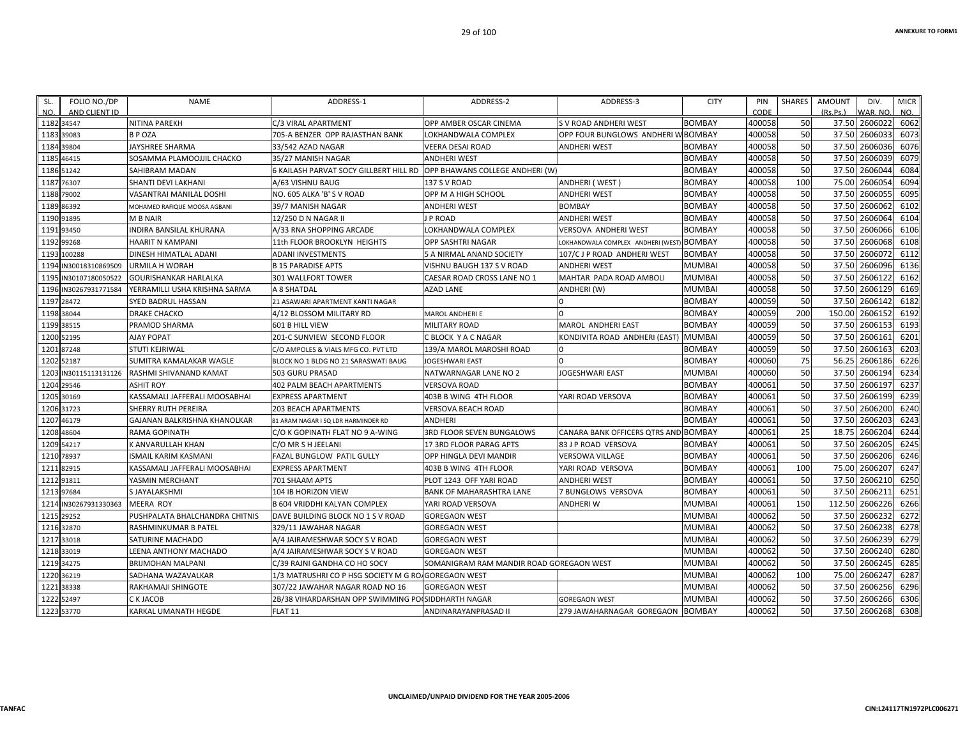| SL.  | FOLIO NO./DP          | <b>NAME</b>                    | ADDRESS-1                                            | ADDRESS-2                                | ADDRESS-3                                | <b>CITY</b>   | PIN    | SHARES | <b>AMOUNT</b> | DIV.          | <b>MICR</b> |
|------|-----------------------|--------------------------------|------------------------------------------------------|------------------------------------------|------------------------------------------|---------------|--------|--------|---------------|---------------|-------------|
| NO.  | AND CLIENT ID         |                                |                                                      |                                          |                                          |               | CODE   |        | (Rs.Ps.)      | WAR. NO.      | NO.         |
|      | 1182 34547            | NITINA PAREKH                  | C/3 VIRAL APARTMENT                                  | OPP AMBER OSCAR CINEMA                   | S V ROAD ANDHERI WEST                    | <b>BOMBAY</b> | 400058 | 50     |               | 37.50 2606022 | 6062        |
|      | 1183 39083            | B P OZA                        | 705-A BENZER OPP RAJASTHAN BANK                      | LOKHANDWALA COMPLEX                      | OPP FOUR BUNGLOWS ANDHERI W BOMBAY       |               | 400058 | 50     | 37.50         | 2606033       | 6073        |
|      | 1184 39804            | JAYSHREE SHARMA                | 33/542 AZAD NAGAR                                    | VEERA DESAI ROAD                         | ANDHERI WEST                             | <b>BOMBAY</b> | 400058 | 50     | 37.50         | 2606036       | 6076        |
|      | 1185 46415            | SOSAMMA PLAMOOJJIL CHACKO      | 35/27 MANISH NAGAR                                   | ANDHERI WEST                             |                                          | <b>BOMBAY</b> | 400058 | 50     | 37.50         | 2606039       | 6079        |
|      | 1186 51242            | SAHIBRAM MADAN                 | 6 KAILASH PARVAT SOCY GILLBERT HILL RD               | OPP BHAWANS COLLEGE ANDHERI (W)          |                                          | <b>BOMBAY</b> | 400058 | 50     | 37.50         | 2606044       | 6084        |
|      | 1187 76307            | SHANTI DEVI LAKHANI            | A/63 VISHNU BAUG                                     | 137 S V ROAD                             | ANDHERI ( WEST )                         | <b>BOMBAY</b> | 400058 | 100    | 75.00         | 2606054       | 6094        |
|      | 1188 79002            | VASANTRAI MANILAL DOSHI        | NO. 605 ALKA 'B' S V ROAD                            | OPP M A HIGH SCHOOL                      | ANDHERI WEST                             | <b>BOMBAY</b> | 400058 | 50     | 37.50         | 2606055       | 6095        |
|      | 1189 86392            | MOHAMED RAFIQUE MOOSA AGBANI   | 39/7 MANISH NAGAR                                    | ANDHERI WEST                             | <b>BOMBAY</b>                            | <b>BOMBAY</b> | 400058 | 50     | 37.50         | 2606062       | 6102        |
|      | 1190 91895            | M B NAIR                       | 12/250 D N NAGAR II                                  | J P ROAD                                 | <b>ANDHERI WEST</b>                      | <b>BOMBAY</b> | 400058 | 50     | 37.50         | 2606064       | 6104        |
|      | 1191 93450            | INDIRA BANSILAL KHURANA        | A/33 RNA SHOPPING ARCADE                             | LOKHANDWALA COMPLEX                      | VERSOVA ANDHERI WEST                     | <b>BOMBAY</b> | 400058 | 50     | 37.50         | 2606066       | 6106        |
|      | 1192 99268            | HAARIT N KAMPANI               | 11th FLOOR BROOKLYN HEIGHTS                          | OPP SASHTRI NAGAR                        | OKHANDWALA COMPLEX ANDHERI (WEST) BOMBAY |               | 400058 | 50     | 37.50         | 2606068       | 6108        |
|      | 1193 100288           | DINESH HIMATLAL ADANI          | <b>ADANI INVESTMENTS</b>                             | 5 A NIRMAL ANAND SOCIETY                 | 107/C J P ROAD ANDHERI WEST              | <b>BOMBAY</b> | 400058 | 50     | 37.50         | 2606072       | 6112        |
|      | 1194 IN30018310869509 | URMILA H WORAH                 | <b>B 15 PARADISE APTS</b>                            | VISHNU BAUGH 137 S V ROAD                | <b>ANDHERI WEST</b>                      | <b>MUMBAI</b> | 400058 | 50     | 37.50         | 2606096       | 6136        |
| 1195 | IN30107180050522      | <b>GOURISHANKAR HARLALKA</b>   | 301 WALLFORT TOWER                                   | CAESAR ROAD CROSS LANE NO 1              | MAHTAR PADA ROAD AMBOLI                  | <b>MUMBAI</b> | 400058 | 50     | 37.50         | 2606122       | 6162        |
|      | 1196 IN30267931771584 | YERRAMILLI USHA KRISHNA SARMA  | A 8 SHATDAL                                          | <b>AZAD LANE</b>                         | ANDHERI (W)                              | <b>MUMBAI</b> | 400058 | 50     | 37.50         | 2606129       | 6169        |
|      | 1197 28472            | SYED BADRUL HASSAN             | 21 ASAWARI APARTMENT KANTI NAGAR                     |                                          |                                          | <b>BOMBAY</b> | 400059 | 50     | 37.50         | 2606142       | 6182        |
|      | 1198 38044            | <b>DRAKE CHACKO</b>            | 4/12 BLOSSOM MILITARY RD                             | MAROL ANDHERI E                          |                                          | <b>BOMBAY</b> | 400059 | 200    | 150.00        | 2606152       | 6192        |
|      | 1199 38515            | PRAMOD SHARMA                  | 601 B HILL VIEW                                      | MILITARY ROAD                            | MAROL ANDHERI EAST                       | <b>BOMBAY</b> | 400059 | 50     | 37.50         | 2606153       | 6193        |
|      | 1200 52195            | <b>AJAY POPAT</b>              | 201-C SUNVIEW SECOND FLOOR                           | C BLOCK Y A C NAGAR                      | KONDIVITA ROAD ANDHERI (EAST)            | <b>MUMBA</b>  | 400059 | 50     | 37.50         | 2606161       | 6201        |
|      | 1201 87248            | STUTI KEJRIWAL                 | C/O AMPOLES & VIALS MFG CO. PVT LTD                  | 139/A MAROL MAROSHI ROAD                 |                                          | <b>BOMBAY</b> | 400059 | 50     | 37.50         | 2606163       | 6203        |
|      | 1202 52187            | SUMITRA KAMALAKAR WAGLE        | BLOCK NO 1 BLDG NO 21 SARASWATI BAUG                 | JOGESHWARI EAST                          |                                          | <b>BOMBAY</b> | 400060 | 75     | 56.25         | 2606186       | 6226        |
| 1203 | IN30115113131126      | RASHMI SHIVANAND KAMAT         | 503 GURU PRASAD                                      | NATWARNAGAR LANE NO 2                    | JOGESHWARI EAST                          | <b>MUMBAI</b> | 400060 | 50     | 37.50         | 2606194       | 6234        |
|      | 1204 29546            | <b>ASHIT ROY</b>               | 402 PALM BEACH APARTMENTS                            | <b>VERSOVA ROAD</b>                      |                                          | <b>BOMBAY</b> | 400061 | 50     | 37.50         | 2606197       | 6237        |
|      | 1205 30169            | KASSAMALI JAFFERALI MOOSABHAI  | <b>EXPRESS APARTMENT</b>                             | 403B B WING 4TH FLOOR                    | YARI ROAD VERSOVA                        | <b>BOMBAY</b> | 400061 | 50     | 37.50         | 2606199       | 6239        |
|      | 1206 31723            | SHERRY RUTH PEREIRA            | <b>203 BEACH APARTMENTS</b>                          | VERSOVA BEACH ROAD                       |                                          | <b>BOMBAY</b> | 400061 | 50     | 37.50         | 2606200       | 6240        |
|      | 1207 46179            | GAJANAN BALKRISHNA KHANOLKAR   | 81 ARAM NAGAR I SQ LDR HARMINDER RD                  | <b>ANDHERI</b>                           |                                          | <b>BOMBAY</b> | 400061 | 50     | 37.50         | 2606203       | 6243        |
|      | 1208 48604            | RAMA GOPINATH                  | C/O K GOPINATH FLAT NO 9 A-WING                      | 3RD FLOOR SEVEN BUNGALOWS                | CANARA BANK OFFICERS QTRS AND BOMBAY     |               | 400061 | 25     | 18.75         | 2606204       | 6244        |
|      | 1209 54217            | K ANVARULLAH KHAN              | C/O MR S H JEELANI                                   | 17 3RD FLOOR PARAG APTS                  | 83 J P ROAD VERSOVA                      | <b>BOMBAY</b> | 400061 | 50     | 37.50         | 2606205       | 6245        |
|      | 1210 78937            | ISMAIL KARIM KASMANI           | FAZAL BUNGLOW PATIL GULLY                            | OPP HINGLA DEVI MANDIR                   | <b>VERSOWA VILLAGE</b>                   | <b>BOMBAY</b> | 400061 | 50     | 37.50         | 2606206       | 6246        |
|      | 1211 82915            | KASSAMALI JAFFERALI MOOSABHAI  | <b>EXPRESS APARTMENT</b>                             | 403B B WING 4TH FLOOR                    | YARI ROAD VERSOVA                        | <b>BOMBAY</b> | 400061 | 100    | 75.00         | 2606207       | 6247        |
|      | 1212 91811            | YASMIN MERCHANT                | 701 SHAAM APTS                                       | PLOT 1243 OFF YARI ROAD                  | ANDHERI WEST                             | <b>BOMBAY</b> | 400061 | 50     | 37.50         | 2606210       | 6250        |
|      | 1213 97684            | S JAYALAKSHMI                  | 104 IB HORIZON VIEW                                  | <b>BANK OF MAHARASHTRA LANE</b>          | 7 BUNGLOWS VERSOVA                       | <b>BOMBAY</b> | 400061 | 50     | 37.50         | 2606211       | 6251        |
|      | 1214 IN30267931330363 | <b>MEERA ROY</b>               | <b>B 604 VRIDDHI KALYAN COMPLEX</b>                  | YARI ROAD VERSOVA                        | ANDHERI W                                | <b>MUMBAI</b> | 400061 | 150    | 112.50        | 2606226       | 6266        |
|      | 1215 29252            | PUSHPALATA BHALCHANDRA CHITNIS | DAVE BUILDING BLOCK NO 1 S V ROAD                    | <b>GOREGAON WEST</b>                     |                                          | <b>MUMBAI</b> | 400062 | 50     | 37.50         | 2606232       | 6272        |
|      | 1216 32870            | RASHMINKUMAR B PATEL           | 329/11 JAWAHAR NAGAR                                 | <b>GOREGAON WEST</b>                     |                                          | <b>MUMBAI</b> | 400062 | 50     | 37.50         | 2606238       | 6278        |
|      | 1217 33018            | SATURINE MACHADO               | A/4 JAIRAMESHWAR SOCY S V ROAD                       | <b>GOREGAON WEST</b>                     |                                          | <b>MUMBAI</b> | 400062 | 50     | 37.50         | 2606239       | 6279        |
|      | 1218 33019            | LEENA ANTHONY MACHADO          | A/4 JAIRAMESHWAR SOCY S V ROAD                       | GOREGAON WEST                            |                                          | <b>MUMBAI</b> | 400062 | 50     | 37.50         | 2606240       | 6280        |
|      | 1219 34275            | BRIJMOHAN MALPANI              | C/39 RAJNI GANDHA CO HO SOCY                         | SOMANIGRAM RAM MANDIR ROAD GOREGAON WEST |                                          | <b>MUMBAI</b> | 400062 | 50     | 37.50         | 2606245       | 6285        |
|      | 1220 36219            | SADHANA WAZAVALKAR             | 1/3 MATRUSHRI CO P HSG SOCIETY M G ROJ GOREGAON WEST |                                          |                                          | <b>MUMBAI</b> | 400062 | 100    | 75.00         | 2606247       | 6287        |
|      | 1221 38338            | RAKHAMAJI SHINGOTE             | 307/22 JAWAHAR NAGAR ROAD NO 16                      | <b>GOREGAON WEST</b>                     |                                          | <b>MUMBAI</b> | 400062 | 50     | 37.50         | 2606256       | 6296        |
|      | 1222 52497            | C K JACOB                      | 2B/38 VIHARDARSHAN OPP SWIMMING PO                   | SIDDHARTH NAGAR                          | <b>GOREGAON WEST</b>                     | <b>MUMBAI</b> | 400062 | 50     | 37.50         | 2606266       | 6306        |
|      | 1223 53770            | KARKAL UMANATH HEGDE           | FLAT <sub>11</sub>                                   | ANDINARAYANPRASAD II                     | 279 JAWAHARNAGAR GOREGAON BOMBAY         |               | 400062 | 50     |               | 37.50 2606268 | 6308        |
|      |                       |                                |                                                      |                                          |                                          |               |        |        |               |               |             |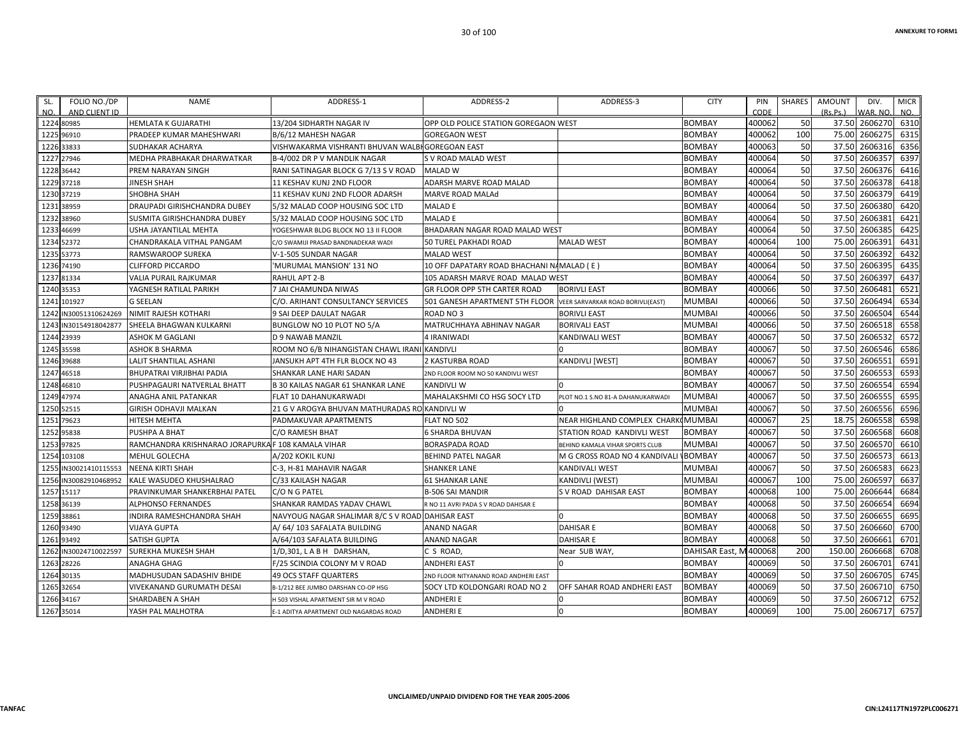| SL.<br>FOLIO NO./DP<br>NO.<br>AND CLIENT ID | <b>NAME</b>                                        | ADDRESS-1                                        | ADDRESS-2                                 | ADDRESS-3                                | <b>CITY</b>   | PIN<br>CODE | <b>SHARES</b> | <b>AMOUNT</b><br>(Rs.Ps.) | DIV.<br>VAR, NO | <b>MICR</b><br>NO. |
|---------------------------------------------|----------------------------------------------------|--------------------------------------------------|-------------------------------------------|------------------------------------------|---------------|-------------|---------------|---------------------------|-----------------|--------------------|
| 1224 80985                                  | <b>HEMLATA K GUJARATHI</b>                         | 13/204 SIDHARTH NAGAR IV                         | OPP OLD POLICE STATION GOREGAON WEST      |                                          | <b>BOMBAY</b> | 400062      | 50            | 37.50                     | 2606270         | 6310               |
| 1225<br>96910                               | PRADEEP KUMAR MAHESHWARI                           | B/6/12 MAHESH NAGAR                              | <b>GOREGAON WEST</b>                      |                                          | <b>BOMBAY</b> | 400062      | 100           | 75.00                     | 2606275         | 6315               |
| 1226 33833                                  | SUDHAKAR ACHARYA                                   | VISHWAKARMA VISHRANTI BHUVAN WALBI GOREGOAN EAST |                                           |                                          | <b>BOMBAY</b> | 400063      | 50            | 37.50                     | 2606316         | 6356               |
| 27946<br>1227                               | MEDHA PRABHAKAR DHARWATKAR                         | B-4/002 DR P V MANDLIK NAGAR                     | S V ROAD MALAD WEST                       |                                          | <b>BOMBAY</b> | 400064      | 50            | 37.50                     | 260635          | 6397               |
| 1228<br>36442                               | PREM NARAYAN SINGH                                 | RANI SATINAGAR BLOCK G 7/13 S V ROAD             | <b>MALAD W</b>                            |                                          | <b>BOMBAY</b> | 400064      | 50            | 37.50                     | 2606376         | 6416               |
| 1229 37218                                  | JINESH SHAH                                        | 11 KESHAV KUNJ 2ND FLOOR                         | ADARSH MARVE ROAD MALAD                   |                                          | <b>BOMBAY</b> | 400064      | 50            | 37.50                     | 2606378         | 6418               |
| 1230<br>37219                               | SHOBHA SHAH                                        | 11 KESHAV KUNJ 2ND FLOOR ADARSH                  | MARVE ROAD MALAd                          |                                          | <b>BOMBAY</b> | 400064      | 50            | 37.50                     | 2606379         | 6419               |
| 1231<br>38959                               | DRAUPADI GIRISHCHANDRA DUBEY                       | 5/32 MALAD COOP HOUSING SOC LTD                  | MALAD E                                   |                                          | <b>BOMBAY</b> | 400064      | 50            | 37.50                     | 2606380         | 6420               |
| 38960<br>1232                               | SUSMITA GIRISHCHANDRA DUBEY                        | 5/32 MALAD COOP HOUSING SOC LTD                  | <b>MALAD E</b>                            |                                          | <b>BOMBAY</b> | 400064      | 50            | 37.50                     | 2606381         | 6421               |
| 46699<br>1233                               | USHA JAYANTILAL MEHTA                              | YOGESHWAR BLDG BLOCK NO 13 II FLOOR              | BHADARAN NAGAR ROAD MALAD WEST            |                                          | <b>BOMBAY</b> | 400064      | 50            | 37.50                     | 2606385         | 6425               |
| 1234<br>52372                               | CHANDRAKALA VITHAL PANGAM                          | C/O SWAMIJI PRASAD BANDNADEKAR WADI              | <b>50 TUREL PAKHADI ROAD</b>              | <b>MALAD WEST</b>                        | <b>BOMBAY</b> | 400064      | 100           | 75.00                     | 2606391         | 6431               |
| 53773<br>1235                               | RAMSWAROOP SUREKA                                  | V-1-505 SUNDAR NAGAR                             | <b>MALAD WEST</b>                         |                                          | <b>BOMBAY</b> | 400064      | 50            | 37.50                     | 2606392         | 6432               |
| 1236 74190                                  | <b>CLIFFORD PICCARDO</b>                           | 'MURUMAL MANSION' 131 NO                         | 10 OFF DAPATARY ROAD BHACHANI NAMALAD (E) |                                          | <b>BOMBAY</b> | 400064      | 50            | 37.50                     | 2606395         | 6435               |
| 81334<br>1237                               | <b>VALIA PURAIL RAJKUMAR</b>                       | RAHUL APT 2-B                                    | 105 ADARSH MARVE ROAD MALAD WEST          |                                          | <b>BOMBAY</b> | 400064      | 50            | 37.50                     | 2606397         | 6437               |
| 1240 35353                                  | YAGNESH RATILAL PARIKH                             | 7 JAI CHAMUNDA NIWAS                             | <b>GR FLOOR OPP 5TH CARTER ROAD</b>       | <b>BORIVLI EAST</b>                      | <b>BOMBAY</b> | 400066      | 50            | 37.50                     | 2606481         | 6521               |
| 1241<br>101927                              | <b>G SEELAN</b>                                    | C/O. ARIHANT CONSULTANCY SERVICES                | 501 GANESH APARTMENT 5TH FLOOR            | <b>VEER SARVARKAR ROAD BORIVLI(EAST)</b> | <b>MUMBAI</b> | 400066      | 50            | 37.50                     | 2606494         | 6534               |
| IN30051310624269<br>1242                    | NIMIT RAJESH KOTHARI                               | 9 SAI DEEP DAULAT NAGAR                          | ROAD NO3                                  | <b>BORIVLI EAST</b>                      | <b>MUMBAI</b> | 400066      | 50            | 37.50                     | 2606504         | 6544               |
| 1243<br>IN30154918042877                    | SHEELA BHAGWAN KULKARNI                            | BUNGLOW NO 10 PLOT NO 5/A                        | MATRUCHHAYA ABHINAV NAGAR                 | <b>BORIVALI EAST</b>                     | <b>MUMBAI</b> | 400066      | 50            | 37.50                     | 2606518         | 6558               |
| 1244<br>23939                               | ASHOK M GAGLANI                                    | D 9 NAWAB MANZIL                                 | 4 IRANIWADI                               | KANDIWALI WEST                           | <b>BOMBAY</b> | 400067      | 50            | 37.50                     | 2606532         | 6572               |
| 35598<br>1245                               | ASHOK B SHARMA                                     | ROOM NO 6/B NIHANGISTAN CHAWL IRAN               | <b>KANDIVLI</b>                           |                                          | <b>BOMBAY</b> | 400067      | 50            | 37.50                     | 2606546         | 6586               |
| 1246 39688                                  | LALIT SHANTILAL ASHANI                             | JANSUKH APT 4TH FLR BLOCK NO 43                  | <b>2 KASTURBA ROAD</b>                    | <b>KANDIVLI [WEST]</b>                   | <b>BOMBAY</b> | 400067      | 50            | 37.50                     | 260655          | 6591               |
| 1247<br>46518                               | BHUPATRAI VIRJIBHAI PADIA                          | SHANKAR LANE HARI SADAN                          | 2ND FLOOR ROOM NO 50 KANDIVLI WEST        |                                          | <b>BOMBAY</b> | 400067      | 50            | 37.50                     | 2606553         | 6593               |
| 46810<br>1248                               | PUSHPAGAURI NATVERLAL BHATT                        | B 30 KAILAS NAGAR 61 SHANKAR LANE                | <b>KANDIVLI W</b>                         |                                          | <b>BOMBAY</b> | 400067      | 50            | 37.50                     | 2606554         | 6594               |
| 1249<br>47974                               | ANAGHA ANIL PATANKAR                               | <b>FLAT 10 DAHANUKARWADI</b>                     | MAHALAKSHMI CO HSG SOCY LTD               | PLOT NO.1 S.NO 81-A DAHANUKARWADI        | <b>MUMBAI</b> | 400067      | 50            | 37.50                     | 2606555         | 6595               |
| 1250<br>52515                               | <b>GIRISH ODHAVJI MALKAN</b>                       | 21 G V AROGYA BHUVAN MATHURADAS RO KANDIVLI W    |                                           |                                          | <b>MUMBAI</b> | 400067      | 50            | 37.50                     | 2606556         | 6596               |
| 79623<br>1251                               | <b>HITESH MEHTA</b>                                | PADMAKUVAR APARTMENTS                            | FLAT NO 502                               | <b>NEAR HIGHLAND COMPLEX CHARK</b>       | <b>MUMBAI</b> | 400067      | 25            | 18.75                     | 2606558         | 6598               |
| 1252<br>95838                               | PUSHPA A BHAT                                      | C/O RAMESH BHAT                                  | <b>6 SHARDA BHUVAN</b>                    | STATION ROAD KANDIVLI WEST               | <b>BOMBAY</b> | 400067      | 50            | 37.50                     | 2606568         | 6608               |
| 97825<br>1253                               | RAMCHANDRA KRISHNARAO JORAPURKA F 108 KAMALA VIHAR |                                                  | <b>BORASPADA ROAD</b>                     | BEHIND KAMALA VIHAR SPORTS CLUB          | <b>MUMBAI</b> | 400067      | 50            | 37.50                     | 2606570         | 6610               |
| 103108<br>1254                              | MEHUL GOLECHA                                      | A/202 KOKIL KUNJ                                 | <b>BEHIND PATEL NAGAR</b>                 | M G CROSS ROAD NO 4 KANDIVALI            | <b>BOMBAY</b> | 400067      | 50            | 37.50                     | 2606573         | 6613               |
| 125<br>N30021410115553                      | <b>NEENA KIRTI SHAH</b>                            | C-3. H-81 MAHAVIR NAGAR                          | <b>SHANKER LANE</b>                       | <b>KANDIVALI WEST</b>                    | <b>MUMBAI</b> | 400067      | 50            | 37.50                     | 2606583         | 6623               |
| 1256 IN30082910468952                       | KALE WASUDEO KHUSHALRAO                            | C/33 KAILASH NAGAR                               | <b>61 SHANKAR LANE</b>                    | <b>KANDIVLI (WEST)</b>                   | <b>MUMBAI</b> | 400067      | 100           | 75.00                     | 2606597         | 6637               |
| 1257<br>15117                               | PRAVINKUMAR SHANKERBHAI PATEL                      | C/O N G PATEL                                    | <b>B-506 SAI MANDIR</b>                   | S V ROAD DAHISAR EAST                    | <b>BOMBAY</b> | 400068      | 100           | 75.00                     | 2606644         | 6684               |
| 1258<br>36139                               | <b>ALPHONSO FERNANDES</b>                          | SHANKAR RAMDAS YADAV CHAWL                       | R NO 11 AVRI PADA S V ROAD DAHISAR E      |                                          | <b>BOMBAY</b> | 400068      | 50            | 37.50                     | 2606654         | 6694               |
| 1259<br>38861                               | INDIRA RAMESHCHANDRA SHAH                          | NAVYOUG NAGAR SHALIMAR 8/C S V ROAD DAHISAR EAST |                                           | $\Omega$                                 | <b>BOMBAY</b> | 400068      | 50            | 37.50                     | 2606655         | 6695               |
| 1260<br>93490                               | <b>VIJAYA GUPTA</b>                                | A/ 64/ 103 SAFALATA BUILDING                     | <b>ANAND NAGAR</b>                        | <b>DAHISARE</b>                          | <b>BOMBAY</b> | 400068      | 50            | 37.50                     | 2606660         | 6700               |
| 1261<br>93492                               | <b>SATISH GUPTA</b>                                | A/64/103 SAFALATA BUILDING                       | <b>ANAND NAGAR</b>                        | <b>DAHISAR E</b>                         | <b>BOMBAY</b> | 400068      | 50            | 37.50                     | 2606661         | 6701               |
| IN30024710022597<br>1262                    | SUREKHA MUKESH SHAH                                | 1/D,301, LABH DARSHAN                            | C S ROAD                                  | Near SUB WAY,                            | DAHISAR East, | M400068     | 200           | 150.00                    | 2606668         | 6708               |
| 1263<br>28226                               | ANAGHA GHAG                                        | F/25 SCINDIA COLONY M V ROAD                     | <b>ANDHERI EAST</b>                       |                                          | <b>BOMBAY</b> | 400069      | 50            | 37.50                     | 2606701         | 6741               |
| 1264<br>30135                               | MADHUSUDAN SADASHIV BHIDE                          | <b>49 OCS STAFF QUARTERS</b>                     | 2ND FLOOR NITYANAND ROAD ANDHERI EAST     |                                          | <b>BOMBAY</b> | 400069      | 50            | 37.50                     | 2606705         | 6745               |
| 1265 32654                                  | VIVEKANAND GURUMATH DESAI                          | B-1/212 BEE JUMBO DARSHAN CO-OP HSG              | SOCY LTD KOLDONGARI ROAD NO 2             | OFF SAHAR ROAD ANDHERI EAST              | <b>BOMBAY</b> | 400069      | 50            | 37.50                     | 2606710         | 6750               |
| 1266 34167                                  | SHARDABEN A SHAH                                   | H 503 VISHAL APARTMENT SIR M V ROAD              | <b>ANDHERIE</b>                           |                                          | <b>BOMBAY</b> | 400069      | 50            | 37.50                     | 2606712         | 6752               |
| 1267 35014                                  | YASH PAL MALHOTRA                                  | E-1 ADITYA APARTMENT OLD NAGARDAS ROAD           | <b>ANDHERI E</b>                          | $\Omega$                                 | <b>BOMBAY</b> | 400069      | 100           |                           | 75.00 2606717   | 6757               |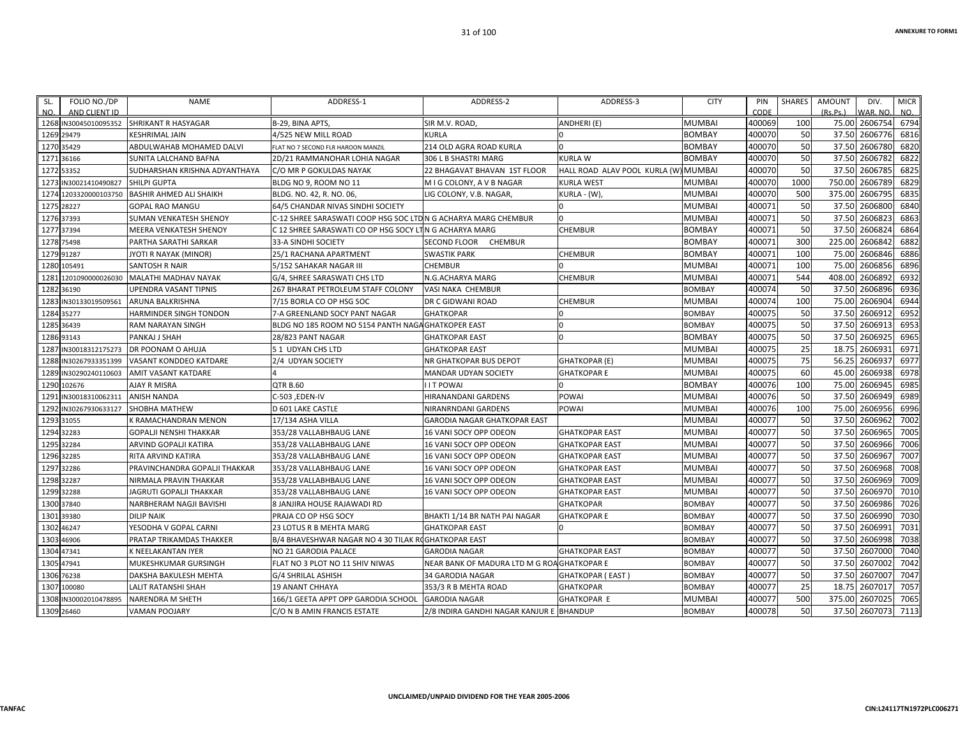| FOLIO NO./DP<br>SL.<br>AND CLIENT ID<br>NO. | <b>NAME</b>                   | ADDRESS-1                                                     | ADDRESS-2                                   | ADDRESS-3                     | <b>CITY</b>   | PIN<br>CODE | <b>SHARES</b> | <b>AMOUNT</b><br>(Rs, Ps.) | DIV.<br>WAR, NO | <b>MICR</b><br>NO. |
|---------------------------------------------|-------------------------------|---------------------------------------------------------------|---------------------------------------------|-------------------------------|---------------|-------------|---------------|----------------------------|-----------------|--------------------|
| 1268 IN30045010095352                       | <b>SHRIKANT R HASYAGAR</b>    | B-29, BINA APTS                                               | SIR M.V. ROAD,                              | ANDHERI (E)                   | <b>MUMBAI</b> | 400069      | 100           | 75.00                      | 2606754         | 6794               |
| 1269<br>29479                               | <b>KESHRIMAL JAIN</b>         | 4/525 NEW MILL ROAD                                           | <b>KURLA</b>                                |                               | <b>BOMBAY</b> | 400070      | 50            | 37.50                      | 2606776         | 6816               |
| 1270 35429                                  | ABDULWAHAB MOHAMED DALVI      | FLAT NO 7 SECOND FLR HAROON MANZIL                            | 214 OLD AGRA ROAD KURLA                     | <sup>0</sup>                  | <b>BOMBAY</b> | 400070      | 50            | 37.50                      | 2606780         | 6820               |
| 1271<br>36166                               | SUNITA LALCHAND BAFNA         | 2D/21 RAMMANOHAR LOHIA NAGAR                                  | 306 L B SHASTRI MARG                        | <b>KURLA W</b>                | <b>BOMBAY</b> | 400070      | 50            | 37.50                      | 2606782         | 6822               |
| 1272<br>53352                               | SUDHARSHAN KRISHNA ADYANTHAYA | C/O MR P GOKULDAS NAYAK                                       | 22 BHAGAVAT BHAVAN 1ST FLOOR                | HALL ROAD ALAV POOL KURLA (W) | <b>MUMBAI</b> | 400070      | 50            | 37.50                      | 2606785         | 6825               |
| IN30021410490827<br>1273                    | <b>SHILPI GUPTA</b>           | BLDG NO 9, ROOM NO 11                                         | M I G COLONY, A V B NAGAR                   | <b>KURLA WEST</b>             | <b>MUMBAI</b> | 400070      | 1000          | 750.00                     | 2606789         | 6829               |
| 1274<br>1203320000103750                    | BASHIR AHMED ALI SHAIKH       | BLDG. NO. 42, R. NO. 06                                       | LIG COLONY, V.B. NAGAR                      | KURLA - (W),                  | <b>MUMBAI</b> | 400070      | 500           | 375.00                     | 2606795         | 6835               |
| 1275<br>28227                               | <b>GOPAL RAO MANGU</b>        | 64/5 CHANDAR NIVAS SINDHI SOCIETY                             |                                             |                               | <b>MUMBAI</b> | 400071      | 50            | 37.50                      | 2606800         | 6840               |
| 1276 37393                                  | SUMAN VENKATESH SHENOY        | C-12 SHREE SARASWATI COOP HSG SOC LTDN G ACHARYA MARG CHEMBUR |                                             | $\Omega$                      | <b>MUMBAI</b> | 400071      | 50            | 37.50                      | 2606823         | 6863               |
| 37394<br>1277                               | <b>MEERA VENKATESH SHENOY</b> | C 12 SHREE SARASWATI CO OP HSG SOCY LTN G ACHARYA MARG        |                                             | <b>CHEMBUR</b>                | <b>BOMBAY</b> | 400071      | 50            | 37.50                      | 2606824         | 6864               |
| 1278<br>75498                               | PARTHA SARATHI SARKAR         | 33-A SINDHI SOCIETY                                           | SECOND FLOOR<br>CHEMBUR                     |                               | <b>BOMBAY</b> | 400071      | 300           | 225.00                     | 260684          | 6882               |
| 1279<br>91287                               | JYOTI R NAYAK (MINOR)         | 25/1 RACHANA APARTMENT                                        | <b>SWASTIK PARK</b>                         | <b>CHEMBUR</b>                | <b>BOMBAY</b> | 400071      | 100           | 75.00                      | 2606846         | 6886               |
| 1280 105491                                 | <b>SANTOSH R NAIR</b>         | 5/152 SAHAKAR NAGAR III                                       | <b>CHEMBUR</b>                              |                               | <b>MUMBAI</b> | 400071      | 100           | 75.00                      | 2606856         | 6896               |
| 128<br>1201090000026030                     | MALATHI MADHAV NAYAK          | G/4. SHREE SARASWATI CHS LTD                                  | N.G.ACHARYA MARG                            | <b>CHEMBUR</b>                | <b>MUMBAI</b> | 400071      | 544           | 408.00                     | 2606892         | 6932               |
| 1282 36190                                  | UPENDRA VASANT TIPNIS         | 267 BHARAT PETROLEUM STAFF COLONY                             | VASI NAKA CHEMBUR                           |                               | <b>BOMBAY</b> | 400074      | 50            | 37.50                      | 2606896         | 6936               |
| 1283<br>IN30133019509561                    | <b>ARUNA BALKRISHNA</b>       | 7/15 BORLA CO OP HSG SOC                                      | DR C GIDWANI ROAD                           | <b>CHEMBUR</b>                | <b>MUMBAI</b> | 400074      | 100           | 75.00                      | 2606904         | 6944               |
| 1284<br>35277                               | HARMINDER SINGH TONDON        | 7-A GREENLAND SOCY PANT NAGAR                                 | <b>GHATKOPAR</b>                            | $\Omega$                      | <b>BOMBAY</b> | 400075      | 50            | 37.50                      | 260691          | 6952               |
| 1285 36439                                  | RAM NARAYAN SINGH             | BLDG NO 185 ROOM NO 5154 PANTH NAGA GHATKOPER EAST            |                                             | 0                             | <b>BOMBAY</b> | 400075      | 50            | 37.50                      | 2606913         | 6953               |
| 1286 93143                                  | PANKAJ J SHAH                 | 28/823 PANT NAGAR                                             | <b>GHATKOPAR EAST</b>                       |                               | <b>BOMBAY</b> | 400075      | 50            | 37.50                      | 2606925         | 6965               |
| 128<br>IN30018312175273                     | <b>DR POONAM O AHUJA</b>      | 51 UDYAN CHS LTD                                              | <b>GHATKOPAR EAST</b>                       |                               | <b>MUMBAI</b> | 400075      | 25            | 18.75                      | 260693          | 6971               |
| 1288<br>IN30267933351399                    | VASANT KONDDEO KATDARE        | 2/4 UDYAN SOCIETY                                             | NR GHATKOPAR BUS DEPOT                      | <b>GHATKOPAR (E)</b>          | <b>MUMBAI</b> | 400075      | 75            | 56.25                      | 2606937         | 6977               |
| 1289<br>IN30290240110603                    | <b>AMIT VASANT KATDARE</b>    |                                                               | <b>MANDAR UDYAN SOCIETY</b>                 | <b>GHATKOPARE</b>             | <b>MUMBAI</b> | 400075      | 60            | 45.00                      | 2606938         | 6978               |
| 1290<br>102676                              | <b>AJAY R MISRA</b>           | <b>QTR B.60</b>                                               | <b>I I T POWAI</b>                          |                               | <b>BOMBAY</b> | 400076      | 100           | 75.00                      | 2606945         | 6985               |
| 1291<br>IN30018310062311                    | <b>ANISH NANDA</b>            | C-503, EDEN-IV                                                | HIRANANDANI GARDENS                         | POWAI                         | <b>MUMBAI</b> | 400076      | 50            | 37.50                      | 2606949         | 6989               |
| 1292<br>IN30267930633127                    | SHOBHA MATHEW                 | D 601 LAKE CASTLE                                             | NIRANRNDANI GARDENS                         | <b>POWAI</b>                  | <b>MUMBAI</b> | 400076      | 100           | 75.00                      | 2606956         | 6996               |
| 1293<br>31055                               | K RAMACHANDRAN MENON          | 17/134 ASHA VILLA                                             | <b>GARODIA NAGAR GHATKOPAR EAST</b>         |                               | <b>MUMBAI</b> | 400077      | 50            | 37.50                      | 2606962         | 7002               |
| 1294<br>32283                               | <b>GOPALJI NENSHI THAKKAR</b> | 353/28 VALLABHBAUG LANE                                       | 16 VANI SOCY OPP ODEON                      | <b>GHATKOPAR EAST</b>         | <b>MUMBAI</b> | 400077      | 50            | 37.50                      | 2606965         | 7005               |
| 32284<br>1295                               | ARVIND GOPALJI KATIRA         | 353/28 VALLABHBAUG LANE                                       | 16 VANI SOCY OPP ODEON                      | <b>GHATKOPAR EAST</b>         | <b>MUMBAI</b> | 400077      | 50            | 37.50                      | 2606966         | 7006               |
| 32285<br>1296                               | <b>RITA ARVIND KATIRA</b>     | 353/28 VALLABHBAUG LANE                                       | 16 VANI SOCY OPP ODEON                      | <b>GHATKOPAR EAST</b>         | <b>MUMBAI</b> | 400077      | 50            | 37.50                      | 2606967         | 7007               |
| 1297<br>32286                               | PRAVINCHANDRA GOPALJI THAKKAR | 353/28 VALLABHBAUG LANE                                       | 16 VANI SOCY OPP ODEON                      | <b>GHATKOPAR EAST</b>         | <b>MUMBAI</b> | 400077      | 50            | 37.50                      | 2606968         | 7008               |
| 1298 32287                                  | NIRMALA PRAVIN THAKKAR        | 353/28 VALLABHBAUG LANE                                       | 16 VANI SOCY OPP ODEON                      | <b>GHATKOPAR EAST</b>         | <b>MUMBAI</b> | 400077      | 50            | 37.50                      | 2606969         | 7009               |
| 1299 32288                                  | JAGRUTI GOPALJI THAKKAR       | 353/28 VALLABHBAUG LANE                                       | 16 VANI SOCY OPP ODEON                      | <b>GHATKOPAR EAST</b>         | <b>MUMBAI</b> | 400077      | 50            | 37.50                      | 2606970         | 7010               |
| 1300 37840                                  | NARBHERAM NAGJI BAVISHI       | 8 JANJIRA HOUSE RAJAWADI RD                                   |                                             | <b>GHATKOPAR</b>              | <b>BOMBAY</b> | 400077      | 50            | 37.50                      | 2606986         | 7026               |
| 1301 39380                                  | <b>DILIP NAIK</b>             | PRAJA CO OP HSG SOCY                                          | BHAKTI 1/14 BR NATH PAI NAGAR               | <b>GHATKOPARE</b>             | <b>BOMBAY</b> | 400077      | 50            | 37.50                      | 2606990         | 7030               |
| 46247<br>1302                               | YESODHA V GOPAL CARNI         | 23 LOTUS R B MEHTA MARG                                       | <b>GHATKOPAR EAST</b>                       | $\Omega$                      | <b>BOMBAY</b> | 400077      | 50            | 37.50                      | 2606991         | 7031               |
| 1303<br>46906                               | PRATAP TRIKAMDAS THAKKER      | B/4 BHAVESHWAR NAGAR NO 4 30 TILAK ROGHATKOPAR EAST           |                                             |                               | <b>BOMBAY</b> | 400077      | 50            | 37.50                      | 2606998         | 7038               |
| 47341<br>1304                               | K NEELAKANTAN IYER            | NO 21 GARODIA PALACE                                          | <b>GARODIA NAGAR</b>                        | <b>GHATKOPAR EAST</b>         | <b>BOMBAY</b> | 400077      | 50            | 37.50                      | 2607000         | 7040               |
| 47941<br>1305                               | MUKESHKUMAR GURSINGH          | FLAT NO 3 PLOT NO 11 SHIV NIWAS                               | NEAR BANK OF MADURA LTD M G ROA GHATKOPAR E |                               | <b>BOMBAY</b> | 400077      | 50            | 37.50                      | 2607002         | 7042               |
| 1306<br>76238                               | DAKSHA BAKULESH MEHTA         | G/4 SHRILAL ASHISH                                            | 34 GARODIA NAGAR                            | <b>GHATKOPAR (EAST)</b>       | <b>BOMBAY</b> | 400077      | 50            | 37.50                      | 2607007         | 7047               |
| 100080<br>1307                              | LALIT RATANSHI SHAH           | <b>19 ANANT CHHAYA</b>                                        | 353/3 R B MEHTA ROAD                        | <b>GHATKOPAR</b>              | <b>BOMBAY</b> | 400077      | 25            | 18.75                      | 260701          | 7057               |
| 1308<br>IN30002010478895                    | <b>NARENDRA M SHETH</b>       | 166/1 GEETA APPT OPP GARODIA SCHOOL                           | <b>GARODIA NAGAR</b>                        | <b>GHATKOPAR E</b>            | <b>MUMBAI</b> | 400077      | 500           | 375.00                     | 2607025         | 7065               |
| 1309 26460                                  | <b>VAMAN POOJARY</b>          | C/O N B AMIN FRANCIS ESTATE                                   | 2/8 INDIRA GANDHI NAGAR KANJUR E BHANDUP    |                               | <b>BOMBAY</b> | 400078      | 50            |                            | 37.50 2607073   | 7113               |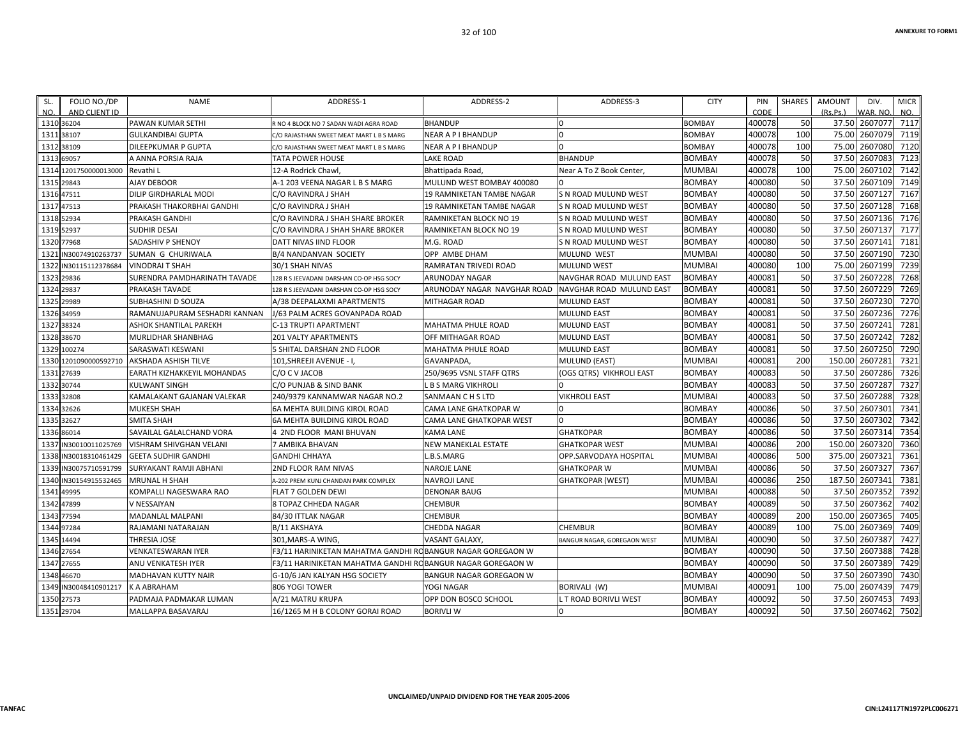| SL.        | FOLIO NO./DP          | <b>NAME</b>                   | ADDRESS-1                                                  | ADDRESS-2                        | ADDRESS-3                   | <b>CITY</b>   | PIN    | SHARES | <b>AMOUNT</b> | DIV.          | <b>MICR</b> |
|------------|-----------------------|-------------------------------|------------------------------------------------------------|----------------------------------|-----------------------------|---------------|--------|--------|---------------|---------------|-------------|
| NO.        | AND CLIENT ID         |                               |                                                            |                                  |                             |               | CODE   |        | (Rs.Ps.)      | WAR. NO       | NO.         |
| 1310 36204 |                       | <b>PAWAN KUMAR SETHI</b>      | R NO 4 BLOCK NO 7 SADAN WADI AGRA ROAD                     | <b>BHANDUP</b>                   |                             | <b>BOMBAY</b> | 400078 | 50     | 37.50         | 2607077       | 7117        |
| 1311 38107 |                       | <b>GULKANDIBAI GUPTA</b>      | C/O RAJASTHAN SWEET MEAT MART L B S MARG                   | NEAR A P I BHANDUP               |                             | <b>BOMBAY</b> | 400078 | 100    | 75.00         | 2607079       | 7119        |
| 1312 38109 |                       | DILEEPKUMAR P GUPTA           | C/O RAJASTHAN SWEET MEAT MART L B S MARG                   | NEAR A P I BHANDUP               |                             | <b>BOMBAY</b> | 400078 | 100    | 75.00         | 2607080       | 7120        |
| 1313 69057 |                       | A ANNA PORSIA RAJA            | TATA POWER HOUSE                                           | LAKE ROAD                        | <b>BHANDUP</b>              | <b>BOMBAY</b> | 400078 | 50     | 37.50         | 2607083       | 7123        |
|            | 1314 1201750000013000 | Revathi L                     | 12-A Rodrick Chawl,                                        | Bhattipada Road,                 | Near A To Z Book Center,    | <b>MUMBAI</b> | 400078 | 100    | 75.00         | 2607102       | 7142        |
| 1315 29843 |                       | AJAY DEBOOR                   | A-1 203 VEENA NAGAR L B S MARG                             | MULUND WEST BOMBAY 400080        |                             | <b>BOMBAY</b> | 400080 | 50     | 37.50         | 2607109       | 7149        |
| 1316 47511 |                       | DILIP GIRDHARLAL MODI         | C/O RAVINDRA J SHAH                                        | 19 RAMNIKETAN TAMBE NAGAR        | S N ROAD MULUND WEST        | <b>BOMBAY</b> | 400080 | 50     | 37.50         | 2607127       | 7167        |
| 1317 47513 |                       | PRAKASH THAKORBHAI GANDHI     | C/O RAVINDRA J SHAH                                        | <b>19 RAMNIKETAN TAMBE NAGAR</b> | S N ROAD MULUND WEST        | <b>BOMBAY</b> | 400080 | 50     | 37.50         | 2607128       | 7168        |
| 1318 52934 |                       | <b>PRAKASH GANDHI</b>         | C/O RAVINDRA J SHAH SHARE BROKER                           | RAMNIKETAN BLOCK NO 19           | S N ROAD MULUND WEST        | <b>BOMBAY</b> | 400080 | 50     | 37.50         | 2607136       | 7176        |
| 1319 52937 |                       | SUDHIR DESAI                  | C/O RAVINDRA J SHAH SHARE BROKER                           | RAMNIKETAN BLOCK NO 19           | S N ROAD MULUND WEST        | <b>BOMBAY</b> | 400080 | 50     |               | 37.50 2607137 | 7177        |
| 1320 77968 |                       | SADASHIV P SHENOY             | DATT NIVAS IIND FLOOR                                      | M.G. ROAD                        | S N ROAD MULUND WEST        | <b>BOMBAY</b> | 400080 | 50     | 37.50         | 2607141       | 7181        |
|            | 1321 IN30074910263737 | SUMAN G CHURIWALA             | <b>B/4 NANDANVAN SOCIETY</b>                               | OPP AMBE DHAM                    | MULUND WEST                 | <b>MUMBAI</b> | 400080 | 50     | 37.50         | 2607190       | 7230        |
|            | 1322 IN30115112378684 | <b>VINODRAIT SHAH</b>         | 30/1 SHAH NIVAS                                            | RAMRATAN TRIVEDI ROAD            | <b>MULUND WEST</b>          | <b>MUMBAI</b> | 400080 | 100    | 75.00         | 2607199       | 7239        |
| 1323 29836 |                       | SURENDRA PAMDHARINATH TAVADE  | 128 R S JEEVADANI DARSHAN CO-OP HSG SOCY                   | ARUNODAY NAGAR                   | NAVGHAR ROAD MULUND EAST    | <b>BOMBAY</b> | 400081 | 50     | 37.50         | 2607228       | 7268        |
| 1324 29837 |                       | <b>PRAKASH TAVADE</b>         | 128 R S JEEVADANI DARSHAN CO-OP HSG SOCY                   | ARUNODAY NAGAR NAVGHAR ROAD      | NAVGHAR ROAD MULUND EAST    | <b>BOMBAY</b> | 400081 | 50     | 37.50         | 2607229       | 7269        |
| 1325 29989 |                       | <b>SUBHASHINI D SOUZA</b>     | A/38 DEEPALAXMI APARTMENTS                                 | <b>MITHAGAR ROAD</b>             | <b>MULUND EAST</b>          | <b>BOMBAY</b> | 400081 | 50     | 37.50         | 2607230       | 7270        |
| 1326 34959 |                       | RAMANUJAPURAM SESHADRI KANNAN | J/63 PALM ACRES GOVANPADA ROAD                             |                                  | <b>MULUND EAST</b>          | <b>BOMBAY</b> | 400081 | 50     | 37.50         | 2607236       | 7276        |
| 1327 38324 |                       | ASHOK SHANTILAL PAREKH        | C-13 TRUPTI APARTMENT                                      | MAHATMA PHULE ROAD               | <b>MULUND EAST</b>          | <b>BOMBAY</b> | 400081 | 50     | 37.50         | 2607241       | 7281        |
| 1328 38670 |                       | MURLIDHAR SHANBHAG            | 201 VALTY APARTMENTS                                       | OFF MITHAGAR ROAD                | <b>MULUND EAST</b>          | <b>BOMBAY</b> | 400081 | 50     | 37.50         | 2607242       | 7282        |
|            | 1329 100274           | SARASWATI KESWANI             | 5 SHITAL DARSHAN 2ND FLOOR                                 | MAHATMA PHULE ROAD               | <b>MULUND EAST</b>          | <b>BOMBAY</b> | 400081 | 50     |               | 37.50 2607250 | 7290        |
|            | 1330 1201090000592710 | <b>AKSHADA ASHISH TILVE</b>   | 101, SHREEJI AVENUE - I,                                   | GAVANPADA,                       | <b>MULUND (EAST)</b>        | <b>MUMBAI</b> | 400081 | 200    | 150.00        | 2607281       | 7321        |
| 1331 27639 |                       | EARATH KIZHAKKEYIL MOHANDAS   | C/O C V JACOB                                              | 250/9695 VSNL STAFF QTRS         | (OGS QTRS) VIKHROLI EAST    | <b>BOMBAY</b> | 400083 | 50     | 37.50         | 2607286       | 7326        |
| 1332 30744 |                       | KULWANT SINGH                 | C/O PUNJAB & SIND BANK                                     | L B S MARG VIKHROLI              |                             | <b>BOMBAY</b> | 400083 | 50     | 37.50         | 2607287       | 7327        |
| 1333 32808 |                       | KAMALAKANT GAJANAN VALEKAR    | 240/9379 KANNAMWAR NAGAR NO.2                              | SANMAAN C H S LTD                | VIKHROLI EAST               | <b>MUMBAI</b> | 400083 | 50     | 37.50         | 2607288       | 7328        |
| 1334 32626 |                       | MUKESH SHAH                   | 6A MEHTA BUILDING KIROL ROAD                               | CAMA LANE GHATKOPAR W            |                             | <b>BOMBAY</b> | 400086 | 50     | 37.50         | 2607301       | 7341        |
| 1335 32627 |                       | <b>SMITA SHAH</b>             | 6A MEHTA BUILDING KIROL ROAD                               | CAMA LANE GHATKOPAR WEST         | $\Omega$                    | <b>BOMBAY</b> | 400086 | 50     |               | 37.50 2607302 | 7342        |
| 1336 86014 |                       | SAVAILAL GALALCHAND VORA      | 1 2ND FLOOR MANI BHUVAN                                    | KAMA LANE                        | <b>GHATKOPAR</b>            | <b>BOMBAY</b> | 400086 | 50     | 37.50         | 2607314       | 7354        |
|            | 1337 IN30010011025769 | VISHRAM SHIVGHAN VELANI       | 7 AMBIKA BHAVAN                                            | NEW MANEKLAL ESTATE              | <b>GHATKOPAR WEST</b>       | <b>MUMBAI</b> | 400086 | 200    | 150.00        | 2607320       | 7360        |
|            | 1338 IN30018310461429 | <b>GEETA SUDHIR GANDHI</b>    | <b>GANDHI CHHAYA</b>                                       | L.B.S.MARG                       | OPP.SARVODAYA HOSPITAL      | <b>MUMBAI</b> | 400086 | 500    | 375.00        | 2607321       | 7361        |
|            | 1339 IN30075710591799 | SURYAKANT RAMJI ABHANI        | 2ND FLOOR RAM NIVAS                                        | NAROJE LANE                      | <b>GHATKOPAR W</b>          | <b>MUMBAI</b> | 400086 | 50     | 37.50         | 2607327       | 7367        |
|            | 1340 IN30154915532465 | <b>MRUNAL H SHAH</b>          | A-202 PREM KUNJ CHANDAN PARK COMPLEX                       | NAVROJI LANE                     | <b>GHATKOPAR (WEST)</b>     | <b>MUMBAI</b> | 400086 | 250    | 187.50        | 2607341       | 7381        |
| 1341 49995 |                       | KOMPALLI NAGESWARA RAO        | <b>FLAT 7 GOLDEN DEWI</b>                                  | <b>DENONAR BAUG</b>              |                             | <b>MUMBAI</b> | 400088 | 50     | 37.50         | 2607352       | 7392        |
| 1342 47899 |                       | V NESSAIYAN                   | 8 TOPAZ CHHEDA NAGAR                                       | CHEMBUR                          |                             | <b>BOMBAY</b> | 400089 | 50     |               | 37.50 2607362 | 7402        |
| 1343 77594 |                       | MADANLAL MALPANI              | 84/30 ITTLAK NAGAR                                         | CHEMBUR                          |                             | <b>BOMBAY</b> | 400089 | 200    | 150.00        | 2607365       | 7405        |
| 1344 97284 |                       | RAJAMANI NATARAJAN            | B/11 AKSHAYA                                               | CHEDDA NAGAR                     | <b>CHEMBUR</b>              | <b>BOMBAY</b> | 400089 | 100    | 75.00         | 2607369       | 7409        |
| 1345 14494 |                       | THRESIA JOSE                  | 301,MARS-A WING,                                           | VASANT GALAXY.                   | BANGUR NAGAR, GOREGAON WEST | <b>MUMBAI</b> | 400090 | 50     | 37.50         | 2607387       | 7427        |
| 1346 27654 |                       | VENKATESWARAN IYER            | F3/11 HARINIKETAN MAHATMA GANDHI ROBANGUR NAGAR GOREGAON W |                                  |                             | <b>BOMBAY</b> | 400090 | 50     | 37.50         | 2607388       | 7428        |
| 1347 27655 |                       | ANU VENKATESH IYER            | F3/11 HARINIKETAN MAHATMA GANDHI ROBANGUR NAGAR GOREGAON W |                                  |                             | <b>BOMBAY</b> | 400090 | 50     | 37.50         | 2607389       | 7429        |
| 1348 46670 |                       | MADHAVAN KUTTY NAIR           | G-10/6 JAN KALYAN HSG SOCIETY                              | BANGUR NAGAR GOREGAON W          |                             | <b>BOMBAY</b> | 400090 | 50     |               | 37.50 2607390 | 7430        |
|            | 1349 IN30048410901217 | K A ABRAHAM                   | 806 YOGI TOWER                                             | YOGI NAGAR                       | BORIVALI (W)                | <b>MUMBAI</b> | 400091 | 100    | 75.00         | 2607439       | 7479        |
| 1350 27573 |                       | PADMAJA PADMAKAR LUMAN        | A/21 MATRU KRUPA                                           | OPP DON BOSCO SCHOOL             | T ROAD BORIVLI WEST         | <b>BOMBAY</b> | 400092 | 50     | 37.50         | 2607453       | 7493        |
| 1351 29704 |                       | MALLAPPA BASAVARAJ            | 16/1265 M H B COLONY GORAI ROAD                            | <b>BORIVLI W</b>                 |                             | <b>BOMBAY</b> | 400092 | 50     |               | 37.50 2607462 | 7502        |
|            |                       |                               |                                                            |                                  |                             |               |        |        |               |               |             |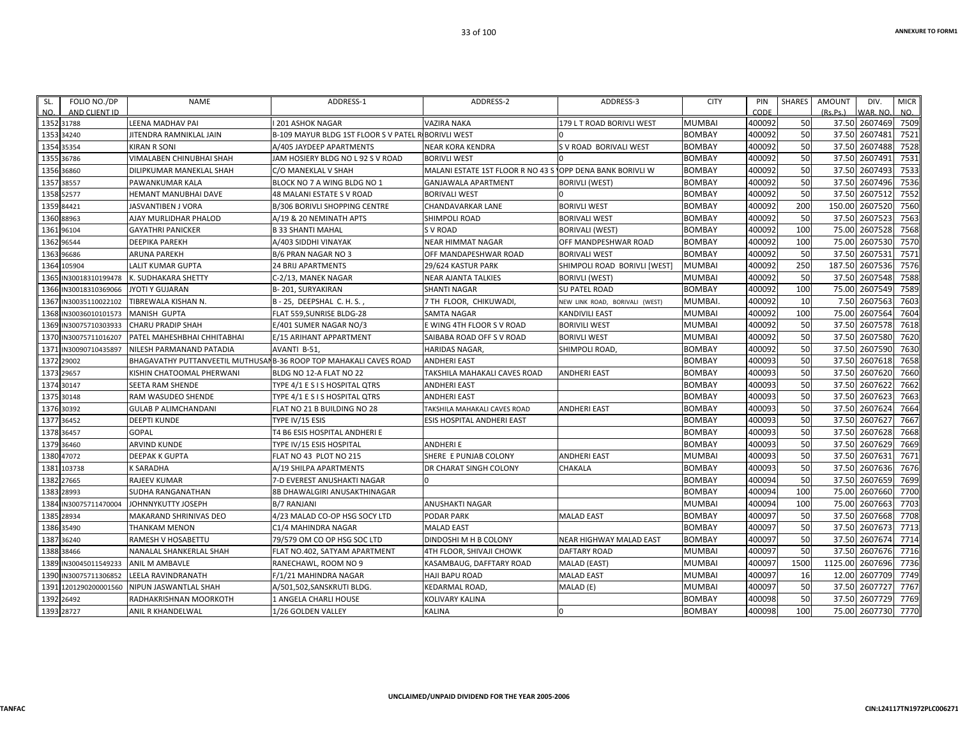| SL.        | FOLIO NO./DP                | <b>NAME</b>                                                        | ADDRESS-1                              | ADDRESS-2                                                 | ADDRESS-3                      | <b>CITY</b>   | PIN            | SHARES | <b>AMOUNT</b> | DIV.                      | <b>MICR</b> |
|------------|-----------------------------|--------------------------------------------------------------------|----------------------------------------|-----------------------------------------------------------|--------------------------------|---------------|----------------|--------|---------------|---------------------------|-------------|
| NO.        | AND CLIENT ID<br>1352 31788 | LEENA MADHAV PAI                                                   | <b>1201 ASHOK NAGAR</b>                | <b>VAZIRA NAKA</b>                                        | 179 L T ROAD BORIVLI WEST      | <b>MUMBAI</b> | CODE<br>400092 | 50     | (Rs, Ps)      | WAR. NO.<br>37.50 2607469 | NO.<br>7509 |
| 1353 34240 |                             | JITENDRA RAMNIKLAL JAIN                                            | B-109 MAYUR BLDG 1ST FLOOR S V PATEL R | <b>BORIVLI WEST</b>                                       |                                | <b>BOMBAY</b> | 400092         | 50     |               | 37.50 2607481             | 7521        |
| 1354 35354 |                             | <b>KIRAN R SONI</b>                                                | A/405 JAYDEEP APARTMENTS               | <b>NEAR KORA KENDRA</b>                                   | S V ROAD BORIVALI WEST         | <b>BOMBAY</b> | 400092         | 50     |               | 37.50 2607488             | 7528        |
| 1355 36786 |                             | VIMALABEN CHINUBHAI SHAH                                           | JAM HOSIERY BLDG NO L 92 S V ROAD      | <b>BORIVLI WEST</b>                                       |                                | <b>BOMBAY</b> | 400092         | 50     |               | 37.50 2607491             | 7531        |
| 1356 36860 |                             | DILIPKUMAR MANEKLAL SHAH                                           | C/O MANEKLAL V SHAH                    | MALANI ESTATE 1ST FLOOR R NO 43 S OPP DENA BANK BORIVLI W |                                | <b>BOMBAY</b> | 400092         | 50     |               | 37.50 2607493             | 7533        |
| 1357 38557 |                             | PAWANKUMAR KALA                                                    | BLOCK NO 7 A WING BLDG NO 1            | <b>GANJAWALA APARTMENT</b>                                | <b>BORIVLI (WEST)</b>          | <b>BOMBAY</b> | 400092         | 50     |               | 37.50 2607496             | 7536        |
| 1358 52577 |                             | <b>HEMANT MANUBHAI DAVE</b>                                        | 48 MALANI ESTATE S V ROAD              | <b>BORIVALI WEST</b>                                      |                                | <b>BOMBAY</b> | 400092         | 50     |               | 37.50 2607512             | 7552        |
| 1359 84421 |                             | JASVANTIBEN J VORA                                                 | <b>B/306 BORIVLI SHOPPING CENTRE</b>   | CHANDAVARKAR LANE                                         | <b>BORIVLI WEST</b>            | <b>BOMBAY</b> | 400092         | 200    | 150.00        | 2607520                   | 7560        |
| 1360 88963 |                             | AJAY MURLIDHAR PHALOD                                              | A/19 & 20 NEMINATH APTS                | SHIMPOLI ROAD                                             | <b>BORIVALI WEST</b>           | <b>BOMBAY</b> | 400092         | 50     | 37.50         | 2607523                   | 7563        |
| 1361 96104 |                             | <b>GAYATHRI PANICKER</b>                                           | <b>B 33 SHANTI MAHAL</b>               | <b>SV ROAD</b>                                            | <b>BORIVALI (WEST)</b>         | <b>BOMBAY</b> | 400092         | 100    | 75.00         | 2607528                   | 7568        |
| 1362 96544 |                             | <b>DEEPIKA PAREKH</b>                                              | A/403 SIDDHI VINAYAK                   | <b>NEAR HIMMAT NAGAR</b>                                  | OFF MANDPESHWAR ROAD           | <b>BOMBAY</b> | 400092         | 100    |               | 75.00 2607530             | 7570        |
| 1363 96686 |                             | <b>ARUNA PAREKH</b>                                                | B/6 PRAN NAGAR NO 3                    | OFF MANDAPESHWAR ROAD                                     | <b>BORIVALI WEST</b>           | <b>BOMBAY</b> | 400092         | 50     |               | 37.50 2607531             | 7571        |
|            | 1364 105904                 | <b>LALIT KUMAR GUPTA</b>                                           | <b>24 BRIJ APARTMENTS</b>              | 29/624 KASTUR PARK                                        | SHIMPOLI ROAD BORIVLI [WEST]   | <b>MUMBAI</b> | 400092         | 250    | 187.50        | 2607536                   | 7576        |
|            | 1365 IN30018310199478       | K. SUDHAKARA SHETTY                                                | C-2/13, MANEK NAGAR                    | NEAR AJANTA TALKIES                                       | <b>BORIVLI (WEST)</b>          | <b>MUMBAI</b> | 400092         | 50     |               | 37.50 2607548             | 7588        |
|            | 1366 IN30018310369066       | <b>JYOTI Y GUJARAN</b>                                             | B-201, SURYAKIRAN                      | <b>SHANTI NAGAR</b>                                       | <b>SU PATEL ROAD</b>           | <b>BOMBAY</b> | 400092         | 100    | 75.00         | 2607549                   | 7589        |
| 1367       | IN30035110022102            | TIBREWALA KISHAN N.                                                | B - 25, DEEPSHAL C. H. S.              | 7 TH FLOOR, CHIKUWADI,                                    | NEW LINK ROAD, BORIVALI (WEST) | MUMBAI.       | 400092         | 10     |               | 7.50 2607563              | 7603        |
|            | 1368 IN30036010101573       | <b>MANISH GUPTA</b>                                                | FLAT 559, SUNRISE BLDG-28              | <b>SAMTA NAGAR</b>                                        | <b>KANDIVILI EAST</b>          | <b>MUMBAI</b> | 400092         | 100    |               | 75.00 2607564             | 7604        |
|            | 1369 IN30075710303933       | <b>CHARU PRADIP SHAH</b>                                           | E/401 SUMER NAGAR NO/3                 | E WING 4TH FLOOR S V ROAD                                 | <b>BORIVILI WEST</b>           | <b>MUMBAI</b> | 400092         | 50     | 37.50         | 2607578                   | 7618        |
|            | 1370 IN30075711016207       | PATEL MAHESHBHAI CHHITABHAI                                        | E/15 ARIHANT APPARTMENT                | SAIBABA ROAD OFF S V ROAD                                 | <b>BORIVLI WEST</b>            | <b>MUMBAI</b> | 400092         | 50     |               | 37.50 2607580             | 7620        |
|            | 1371 IN30090710435897       | NILESH PARMANAND PATADIA                                           | AVANTI B-51.                           | <b>HARIDAS NAGAR,</b>                                     | SHIMPOLI ROAD,                 | <b>BOMBAY</b> | 400092         | 50     |               | 37.50 2607590             | 7630        |
| 1372 29002 |                             | BHAGAVATHY PUTTANVEETIL MUTHUSAI B-36 ROOP TOP MAHAKALI CAVES ROAD |                                        | <b>ANDHERI EAST</b>                                       |                                | <b>BOMBAY</b> | 400093         | 50     |               | 37.50 2607618             | 7658        |
| 1373 29657 |                             | KISHIN CHATOOMAL PHERWANI                                          | BLDG NO 12-A FLAT NO 22                | TAKSHILA MAHAKALI CAVES ROAD                              | <b>ANDHERI EAST</b>            | <b>BOMBAY</b> | 400093         | 50     |               | 37.50 2607620             | 7660        |
| 1374 30147 |                             | SEETA RAM SHENDE                                                   | TYPE 4/1 E S I S HOSPITAL QTRS         | <b>ANDHERI EAST</b>                                       |                                | <b>BOMBAY</b> | 400093         | 50     | 37.50         | 2607622                   | 7662        |
| 1375 30148 |                             | RAM WASUDEO SHENDE                                                 | TYPE 4/1 E S I S HOSPITAL QTRS         | <b>ANDHERI EAST</b>                                       |                                | <b>BOMBAY</b> | 400093         | 50     |               | 37.50 2607623             | 7663        |
| 1376 30392 |                             | <b>GULAB P ALIMCHANDANI</b>                                        | FLAT NO 21 B BUILDING NO 28            | TAKSHILA MAHAKALI CAVES ROAD                              | <b>ANDHERI EAST</b>            | <b>BOMBAY</b> | 400093         | 50     | 37.50         | 2607624                   | 7664        |
| 1377 36452 |                             | <b>DEEPTI KUNDE</b>                                                | TYPE IV/15 ESIS                        | <b>ESIS HOSPITAL ANDHERI EAST</b>                         |                                | <b>BOMBAY</b> | 400093         | 50     | 37.50         | 2607627                   | 7667        |
| 1378 36457 |                             | <b>GOPAL</b>                                                       | T4 B6 ESIS HOSPITAL ANDHERI E          |                                                           |                                | <b>BOMBAY</b> | 400093         | 50     |               | 37.50 2607628             | 7668        |
| 1379 36460 |                             | ARVIND KUNDE                                                       | TYPE IV/15 ESIS HOSPITAL               | <b>ANDHERI E</b>                                          |                                | <b>BOMBAY</b> | 400093         | 50     |               | 37.50 2607629             | 7669        |
|            | 1380 47072                  | <b>DEEPAK K GUPTA</b>                                              | FLAT NO 43 PLOT NO 215                 | SHERE E PUNJAB COLONY                                     | <b>ANDHERI EAST</b>            | <b>MUMBAI</b> | 400093         | 50     |               | 37.50 2607631             | 7671        |
|            | 1381 103738                 | K SARADHA                                                          | A/19 SHILPA APARTMENTS                 | DR CHARAT SINGH COLONY                                    | CHAKALA                        | <b>BOMBAY</b> | 400093         | 50     |               | 37.50 2607636             | 7676        |
| 1382 27665 |                             | <b>RAJEEV KUMAR</b>                                                | 7-D EVEREST ANUSHAKTI NAGAR            |                                                           |                                | <b>BOMBAY</b> | 400094         | 50     |               | 37.50 2607659             | 7699        |
|            | 1383 28993                  | SUDHA RANGANATHAN                                                  | 8B DHAWALGIRI ANUSAKTHINAGAR           |                                                           |                                | <b>BOMBAY</b> | 400094         | 100    |               | 75.00 2607660             | 7700        |
|            | 1384 IN30075711470004       | JOHNNYKUTTY JOSEPH                                                 | <b>B/7 RANJANI</b>                     | <b>ANUSHAKTI NAGAR</b>                                    |                                | <b>MUMBAI</b> | 400094         | 100    | 75.00         | 2607663                   | 7703        |
| 1385 28934 |                             | MAKARAND SHRINIVAS DEO                                             | 4/23 MALAD CO-OP HSG SOCY LTD          | PODAR PARK                                                | <b>MALAD EAST</b>              | <b>BOMBAY</b> | 400097         | 50     |               | 37.50 2607668             | 7708        |
| 1386 35490 |                             | <b>THANKAM MENON</b>                                               | C1/4 MAHINDRA NAGAR                    | <b>MALAD EAST</b>                                         |                                | <b>BOMBAY</b> | 400097         | 50     | 37.50         | 2607673                   | 7713        |
| 1387 36240 |                             | RAMESH V HOSABETTU                                                 | 79/579 OM CO OP HSG SOC LTD            | DINDOSHI M H B COLONY                                     | <b>NEAR HIGHWAY MALAD EAST</b> | <b>BOMBAY</b> | 400097         | 50     |               | 37.50 2607674             | 7714        |
| 1388 38466 |                             | NANALAL SHANKERLAL SHAH                                            | FLAT NO.402, SATYAM APARTMENT          | 4TH FLOOR, SHIVAJI CHOWK                                  | <b>DAFTARY ROAD</b>            | <b>MUMBAI</b> | 400097         | 50     |               | 37.50 2607676             | 7716        |
|            | 1389 IN30045011549233       | <b>ANIL M AMBAVLE</b>                                              | RANECHAWL, ROOM NO 9                   | KASAMBAUG, DAFFTARY ROAD                                  | <b>MALAD (EAST)</b>            | <b>MUMBAI</b> | 400097         | 1500   | 1125.00       | 2607696                   | 7736        |
|            | 1390 IN30075711306852       | LEELA RAVINDRANATH                                                 | F/1/21 MAHINDRA NAGAR                  | <b>HAJI BAPU ROAD</b>                                     | <b>MALAD EAST</b>              | <b>MUMBAI</b> | 400097         | 16     | 12.00         | 2607709                   | 7749        |
|            | 1391 1201290200001560       | NIPUN JASWANTLAL SHAH                                              | A/501,502,SANSKRUTI BLDG.              | KEDARMAL ROAD,                                            | MALAD (E)                      | <b>MUMBAI</b> | 400097         | 50     |               | 37.50 2607727             | 7767        |
| 1392 26492 |                             | RADHAKRISHNAN MOORKOTH                                             | 1 ANGELA CHARLI HOUSE                  | KOLIVARY KALINA                                           |                                | <b>BOMBAY</b> | 400098         | 50     |               | 37.50 2607729             | 7769        |
| 1393 28727 |                             | ANIL R KHANDELWAL                                                  | 1/26 GOLDEN VALLEY                     | <b>KALINA</b>                                             |                                | <b>BOMBAY</b> | 400098         | 100    |               | 75.00 2607730             | 7770        |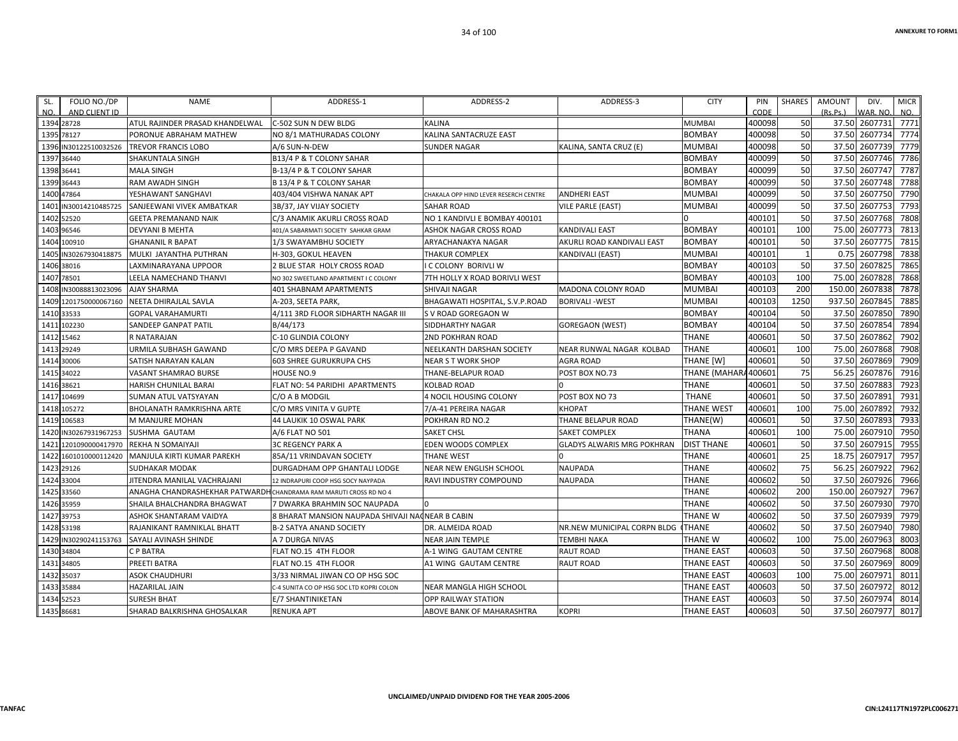| SL.  | FOLIO NO./DP          | NAME                                                              | ADDRESS-1                                        | ADDRESS-2                             | ADDRESS-3                         | <b>CITY</b>         | PIN    | SHARES       | AMOUNT   | DIV.          | <b>MICR</b>  |
|------|-----------------------|-------------------------------------------------------------------|--------------------------------------------------|---------------------------------------|-----------------------------------|---------------------|--------|--------------|----------|---------------|--------------|
| NO.  | AND CLIENT ID         |                                                                   |                                                  |                                       |                                   |                     | CODE   |              | (Rs.Ps.) | WAR. NO.      | NO.          |
|      | 1394 28728            | ATUL RAJINDER PRASAD KHANDELWAL                                   | IC-502 SUN N DEW BLDG                            | <b>KALINA</b>                         |                                   | MUMBAI              | 400098 | 50           |          | 37.50 2607731 | 7771         |
|      | 1395 78127            | PORONUE ABRAHAM MATHEW                                            | NO 8/1 MATHURADAS COLONY                         | KALINA SANTACRUZE EAST                |                                   | <b>BOMBAY</b>       | 400098 | 50           |          | 37.50 2607734 | 7774         |
|      | 1396 IN30122510032526 | TREVOR FRANCIS LOBO                                               | A/6 SUN-N-DEW                                    | <b>SUNDER NAGAR</b>                   | KALINA, SANTA CRUZ (E)            | MUMBAI              | 400098 | 50           | 37.50    | 2607739       | 7779         |
|      | 1397 36440            | SHAKUNTALA SINGH                                                  | B13/4 P & T COLONY SAHAR                         |                                       |                                   | BOMBAY              | 400099 | 50<br>50     | 37.50    | 2607746       | 7786<br>7787 |
|      | 1398 36441            | <b>MALA SINGH</b>                                                 | B-13/4 P & T COLONY SAHAR                        |                                       |                                   | <b>BOMBAY</b>       | 400099 |              | 37.50    | 2607747       |              |
|      | 1399 36443            | RAM AWADH SINGH                                                   | B 13/4 P & T COLONY SAHAR                        |                                       |                                   | <b>BOMBAY</b>       | 400099 | 50           | 37.50    | 2607748       | 7788         |
|      | 1400 47864            | YESHAWANT SANGHAVI                                                | 403/404 VISHWA NANAK APT                         | CHAKALA OPP HIND LEVER RESERCH CENTRE | <b>ANDHERI EAST</b>               | MUMBAI              | 400099 | 50           |          | 37.50 2607750 | 7790         |
|      | 1401 IN30014210485725 | SANJEEWANI VIVEK AMBATKAR                                         | 3B/37, JAY VIJAY SOCIETY                         | <b>SAHAR ROAD</b>                     | <b>VILE PARLE (EAST)</b>          | MUMBAI              | 400099 | 50           | 37.50    | 2607753       | 7793         |
|      | 1402 52520            | <b>GEETA PREMANAND NAIK</b>                                       | C/3 ANAMIK AKURLI CROSS ROAD                     | NO 1 KANDIVLI E BOMBAY 400101         |                                   |                     | 400101 | 50           | 37.50    | 2607768       | 7808         |
|      | 1403 96546            | DEVYANI B MEHTA                                                   | 401/A SABARMATI SOCIETY SAHKAR GRAM              | <b>ASHOK NAGAR CROSS ROAD</b>         | <b>KANDIVALI EAST</b>             | <b>BOMBAY</b>       | 400101 | 100          | 75.00    | 2607773       | 7813         |
|      | 1404 100910           | <b>GHANANIL R BAPAT</b>                                           | 1/3 SWAYAMBHU SOCIETY                            | ARYACHANAKYA NAGAR                    | AKURLI ROAD KANDIVALI EAST        | <b>BOMBAY</b>       | 400101 | 50           | 37.50    | 2607775       | 7815         |
|      | 1405 IN30267930418875 | MULKI JAYANTHA PUTHRAN                                            | H-303, GOKUL HEAVEN                              | <b>THAKUR COMPLEX</b>                 | <b>KANDIVALI (EAST)</b>           | MUMBAI              | 400101 | $\mathbf{1}$ | 0.75     | 2607798       | 7838         |
|      | 1406 38016            | LAXMINARAYANA UPPOOR                                              | 2 BLUE STAR HOLY CROSS ROAD                      | <b>I C COLONY BORIVLI W</b>           |                                   | BOMBAY              | 400103 | 50           | 37.50    | 2607825       | 7865         |
|      | 1407 78501            | LEELA NAMECHAND THANVI                                            | NO 302 SWEETLAND APARTMENT I C COLONY            | 7TH HOLLY X ROAD BORIVLI WEST         |                                   | BOMBAY              | 400103 | 100          | 75.00    | 2607828       | 7868         |
|      | 1408 IN30088813023096 | <b>AJAY SHARMA</b>                                                | 401 SHABNAM APARTMENTS                           | SHIVAJI NAGAR                         | MADONA COLONY ROAD                | <b>MUMBAI</b>       | 400103 | 200          | 150.00   | 2607838       | 7878         |
|      | 1409 1201750000067160 | NEETA DHIRAJLAL SAVLA                                             | A-203, SEETA PARK,                               | BHAGAWATI HOSPITAL, S.V.P.ROAD        | <b>BORIVALI-WEST</b>              | MUMBAI              | 400103 | 1250         | 937.50   | 2607845       | 7885         |
|      | 1410 33533            | <b>GOPAL VARAHAMURTI</b>                                          | 4/111 3RD FLOOR SIDHARTH NAGAR III               | S V ROAD GOREGAON W                   |                                   | <b>BOMBAY</b>       | 400104 | 50           | 37.50    | 2607850       | 7890         |
|      | 1411 102230           | SANDEEP GANPAT PATIL                                              | B/44/173                                         | <b>SIDDHARTHY NAGAR</b>               | <b>GOREGAON (WEST)</b>            | <b>BOMBAY</b>       | 400104 | 50           | 37.50    | 2607854       | 7894         |
|      | 1412 15462            | R NATARAJAN                                                       | C-10 GLINDIA COLONY                              | <b>2ND POKHRAN ROAD</b>               |                                   | <b>THANE</b>        | 400601 | 50           | 37.50    | 2607862       | 7902         |
|      | 1413 29249            | URMILA SUBHASH GAWAND                                             | C/O MRS DEEPA P GAVAND                           | NEELKANTH DARSHAN SOCIETY             | NEAR RUNWAL NAGAR KOLBAD          | <b>THANE</b>        | 400601 | 100          | 75.00    | 2607868       | 7908         |
|      | 1414 30006            | SATISH NARAYAN KALAN                                              | 603 SHREE GURUKRUPA CHS                          | <b>NEAR S T WORK SHOP</b>             | <b>AGRA ROAD</b>                  | THANE [W]           | 400601 | 50           | 37.50    | 2607869       | 7909         |
|      | 1415 34022            | VASANT SHAMRAO BURSE                                              | HOUSE NO.9                                       | THANE-BELAPUR ROAD                    | POST BOX NO.73                    | THANE (MAHARA400601 |        | 75           | 56.25    | 2607876       | 7916         |
|      | 1416 38621            | HARISH CHUNILAL BARAI                                             | FLAT NO: 54 PARIDHI APARTMENTS                   | <b>KOLBAD ROAD</b>                    |                                   | <b>THANE</b>        | 400601 | 50           |          | 37.50 2607883 | 7923         |
|      | 1417 104699           | SUMAN ATUL VATSYAYAN                                              | C/O A B MODGIL                                   | 4 NOCIL HOUSING COLONY                | POST BOX NO 73                    | <b>THANE</b>        | 400601 | 50           |          | 37.50 2607891 | 7931         |
|      | 1418 105272           | BHOLANATH RAMKRISHNA ARTE                                         | C/O MRS VINITA V GUPTE                           | 7/A-41 PEREIRA NAGAR                  | <b>KHOPAT</b>                     | THANE WEST          | 400601 | 100          | 75.00    | 2607892       | 7932         |
|      | 1419 106583           | M MANJURE MOHAN                                                   | 44 LAUKIK 10 OSWAL PARK                          | POKHRAN RD NO.2                       | THANE BELAPUR ROAD                | THANE(W)            | 400601 | 50           | 37.50    | 2607893       | 7933         |
|      | 1420 IN30267931967253 | SUSHMA GAUTAM                                                     | A/6 FLAT NO 501                                  | <b>SAKET CHSL</b>                     | SAKET COMPLEX                     | THANA               | 400601 | 100          | 75.00    | 2607910       | 7950         |
|      | 1421 1201090000417970 | <b>REKHA N SOMAIYAJI</b>                                          | <b>3C REGENCY PARK A</b>                         | EDEN WOODS COMPLEX                    | <b>GLADYS ALWARIS MRG POKHRAN</b> | <b>DIST THANE</b>   | 400601 | 50           | 37.50    | 2607915       | 7955         |
| 1422 | 1601010000112420      | MANJULA KIRTI KUMAR PAREKH                                        | 85A/11 VRINDAVAN SOCIETY                         | <b>THANE WEST</b>                     |                                   | <b>THANE</b>        | 400601 | 25           | 18.75    | 2607917       | 7957         |
|      | 1423 29126            | <b>SUDHAKAR MODAK</b>                                             | DURGADHAM OPP GHANTALI LODGE                     | <b>NEAR NEW ENGLISH SCHOOL</b>        | <b>NAUPADA</b>                    | <b>THANE</b>        | 400602 | 75           | 56.25    | 2607922       | 7962         |
|      | 1424 33004            | JITENDRA MANILAL VACHRAJANI                                       | 12 INDRAPURI COOP HSG SOCY NAYPADA               | <b>RAVI INDUSTRY COMPOUND</b>         | <b>NAUPADA</b>                    | <b>THANE</b>        | 400602 | 50           |          | 37.50 2607926 | 7966         |
|      | 1425 33560            | ANAGHA CHANDRASHEKHAR PATWARDH CHANDRAMA RAM MARUTI CROSS RD NO 4 |                                                  |                                       |                                   | <b>THANE</b>        | 400602 | 200          | 150.00   | 2607927       | 7967         |
|      | 1426 35959            | SHAILA BHALCHANDRA BHAGWAT                                        | 7 DWARKA BRAHMIN SOC NAUPADA                     |                                       |                                   | <b>THANE</b>        | 400602 | 50           | 37.50    | 2607930       | 7970         |
|      | 1427 39753            | ASHOK SHANTARAM VAIDYA                                            | 8 BHARAT MANSION NAUPADA SHIVAJI NACNEAR B CABIN |                                       |                                   | <b>THANE W</b>      | 400602 | 50           | 37.50    | 2607939       | 7979         |
|      | 1428 53198            | RAJANIKANT RAMNIKLAL BHATT                                        | <b>B-2 SATYA ANAND SOCIETY</b>                   | <b>DR. ALMEIDA ROAD</b>               | NR.NEW MUNICIPAL CORPN BLDG       | <b>THANE</b>        | 400602 | 50           | 37.50    | 2607940       | 7980         |
|      | 1429 IN30290241153763 | SAYALI AVINASH SHINDE                                             | A 7 DURGA NIVAS                                  | <b>NEAR JAIN TEMPLE</b>               | <b>TEMBHI NAKA</b>                | THANE W             | 400602 | 100          | 75.00    | 2607963       | 8003         |
|      | 1430 34804            | C P BATRA                                                         | FLAT NO.15 4TH FLOOR                             | A-1 WING GAUTAM CENTRE                | <b>RAUT ROAD</b>                  | <b>THANE EAST</b>   | 400603 | 50           |          | 37.50 2607968 | 8008         |
|      | 1431 34805            | PREETI BATRA                                                      | FLAT NO.15 4TH FLOOR                             | A1 WING GAUTAM CENTRE                 | <b>RAUT ROAD</b>                  | THANE EAST          | 400603 | 50           | 37.50    | 2607969       | 8009         |
|      | 1432 35037            | ASOK CHAUDHURI                                                    | 3/33 NIRMAL JIWAN CO OP HSG SOC                  |                                       |                                   | <b>THANE EAST</b>   | 400603 | 100          | 75.00    | 2607971       | 8011         |
|      | 1433 35884            | HAZARILAL JAIN                                                    | C-4 SUNITA CO OP HSG SOC LTD KOPRI COLON         | NEAR MANGLA HIGH SCHOOL               |                                   | THANE EAST          | 400603 | 50           | 37.50    | 2607972       | 8012         |
|      | 1434 52523            | <b>SURESH BHAT</b>                                                | E/7 SHANTINIKETAN                                | <b>OPP RAILWAY STATION</b>            |                                   | THANE EAST          | 400603 | 50           | 37.50    | 2607974       | 8014         |
|      | 1435 86681            | SHARAD BALKRISHNA GHOSALKAR                                       | <b>RENUKA APT</b>                                | ABOVE BANK OF MAHARASHTRA             | <b>KOPRI</b>                      | <b>THANE EAST</b>   | 400603 | 50           |          | 37.50 2607977 | 8017         |
|      |                       |                                                                   |                                                  |                                       |                                   |                     |        |              |          |               |              |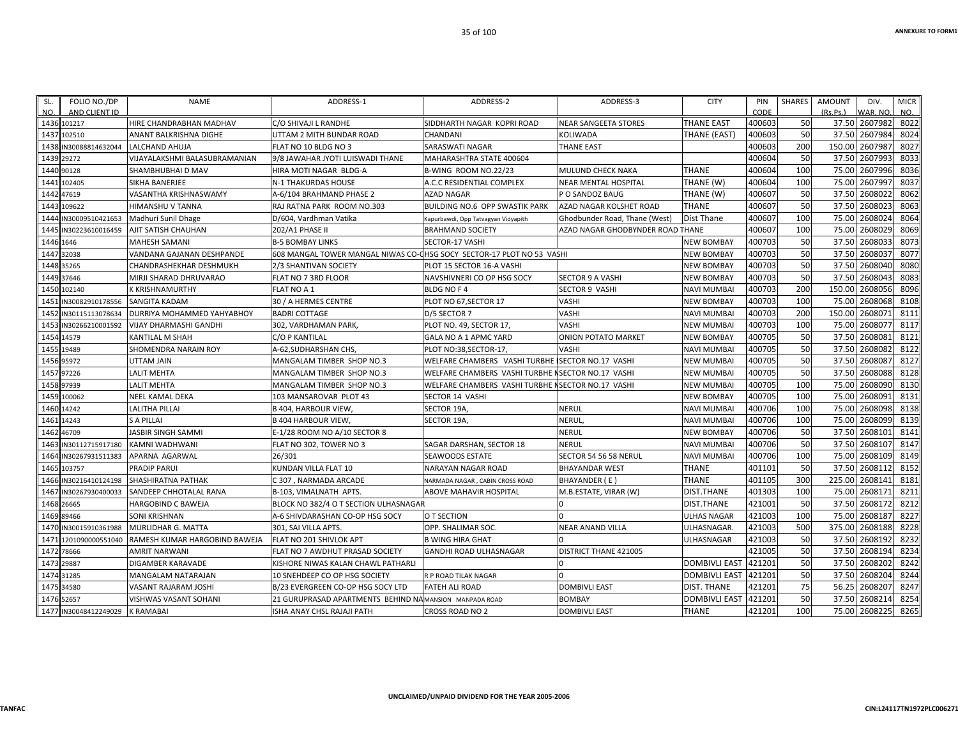| FOLIO NO./DP<br>SL.<br>NO.<br>AND CLIENT ID | <b>NAME</b>                   | ADDRESS-1                                                             | ADDRESS-2                                          | ADDRESS-3                        | <b>CITY</b>          | PIN<br>CODE | <b>SHARES</b> | <b>AMOUNT</b><br>(Rs Ps) | DIV.<br>VAR, NO. | <b>MICR</b><br>NO. |
|---------------------------------------------|-------------------------------|-----------------------------------------------------------------------|----------------------------------------------------|----------------------------------|----------------------|-------------|---------------|--------------------------|------------------|--------------------|
| 1436 101217                                 | HIRE CHANDRABHAN MADHAV       | C/O SHIVAJI L RANDHE                                                  | SIDDHARTH NAGAR KOPRI ROAD                         | <b>NEAR SANGEETA STORES</b>      | <b>THANE EAST</b>    | 400603      | 50            | 37.50                    | 2607982          | 8022               |
| 1437<br>102510                              | <b>ANANT BALKRISHNA DIGHE</b> | UTTAM 2 MITH BUNDAR ROAD                                              | CHANDANI                                           | <b>KOLIWADA</b>                  | THANE (EAST)         | 400603      | 50            | 37.50                    | 2607984          | 8024               |
| 1438<br>IN30088814632044                    | LALCHAND AHUJA                | FLAT NO 10 BLDG NO 3                                                  | SARASWATI NAGAR                                    | <b>THANE EAST</b>                |                      | 400603      | 200           | 150.00                   | 2607987          | 8027               |
| 29272<br>1439                               | VIJAYALAKSHMI BALASUBRAMANIAN | 9/8 JAWAHAR JYOTI LUISWADI THANE                                      | MAHARASHTRA STATE 400604                           |                                  |                      | 400604      | 50            | 37.50                    | 2607993          | 8033               |
| 1440<br>90128                               | SHAMBHUBHAI D MAV             | HIRA MOTI NAGAR BLDG-A                                                | B-WING ROOM NO.22/23                               | <b>MULUND CHECK NAKA</b>         | THANE                | 400604      | 100           | 75.00                    | 2607996          | 8036               |
| 1441<br>102405                              | SIKHA BANERJEE                | N-1 THAKURDAS HOUSE                                                   | A.C.C RESIDENTIAL COMPLEX                          | <b>NEAR MENTAL HOSPITAL</b>      | THANE (W)            | 400604      | 100           | 75.00                    | 2607997          | 8037               |
| 47619<br>1442                               | VASANTHA KRISHNASWAMY         | A-6/104 BRAHMAND PHASE 2                                              | <b>AZAD NAGAR</b>                                  | P O SANDOZ BAUG                  | THANE (W)            | 400607      | 50            | 37.50                    | 2608022          | 8062               |
| 1443<br>109622                              | <b>HIMANSHU V TANNA</b>       | RAJ RATNA PARK ROOM NO.303                                            | <b>BUILDING NO.6 OPP SWASTIK PARK</b>              | AZAD NAGAR KOLSHET ROAD          | <b>THANE</b>         | 400607      | 50            | 37.50                    | 2608023          | 8063               |
| 1444 IN30009510421653                       | Madhuri Sunil Dhage           | D/604, Vardhman Vatika                                                | Kapurbawdi, Opp Tatvagyan Vidyapith                | Ghodbunder Road, Thane (West)    | Dist Thane           | 400607      | 100           | 75.00                    | 2608024          | 8064               |
| 1445<br>IN30223610016459                    | <b>AJIT SATISH CHAUHAN</b>    | 202/A1 PHASE II                                                       | <b>BRAHMAND SOCIETY</b>                            | AZAD NAGAR GHODBYNDER ROAD THANE |                      | 400607      | 100           | 75.00                    | 2608029          | 8069               |
| 1446 1646                                   | <b>MAHESH SAMANI</b>          | <b>B-5 BOMBAY LINKS</b>                                               | SECTOR-17 VASHI                                    |                                  | NEW BOMBAY           | 400703      | 50            | 37.50                    | 2608033          | 8073               |
| 32038<br>1447                               | VANDANA GAJANAN DESHPANDE     | 608 MANGAL TOWER MANGAL NIWAS CO-CHSG SOCY SECTOR-17 PLOT NO 53 VASHI |                                                    |                                  | <b>NEW BOMBAY</b>    | 400703      | 50            | 37.50                    | 2608037          | 8077               |
| 35265<br>1448                               | CHANDRASHEKHAR DESHMUKH       | 2/3 SHANTIVAN SOCIETY                                                 | PLOT 15 SECTOR 16-A VASHI                          |                                  | <b>NEW BOMBAY</b>    | 400703      | 50            | 37.50                    | 2608040          | 8080               |
| 37646<br>1449                               | MIRJI SHARAD DHRUVARAO        | FLAT NO 7 3RD FLOOR                                                   | NAVSHIVNERI CO OP HSG SOCY                         | <b>SECTOR 9 A VASHI</b>          | <b>NEW BOMBAY</b>    | 400703      | 50            | 37.50                    | 2608043          | 8083               |
| 1450<br>102140                              | K KRISHNAMURTHY               | FLAT NO A 1                                                           | <b>BLDG NO F4</b>                                  | <b>SECTOR 9 VASHI</b>            | NAVI MUMBAI          | 400703      | 200           | 150.00                   | 2608056          | 8096               |
| 145<br>IN30082910178556                     | <b>SANGITA KADAM</b>          | 30 / A HERMES CENTRE                                                  | PLOT NO 67, SECTOR 17                              | VASHI                            | NEW BOMBAY           | 400703      | 100           | 75.00                    | 2608068          | 8108               |
| 1452<br>IN30115113078634                    | DURRIYA MOHAMMED YAHYABHOY    | <b>BADRI COTTAGE</b>                                                  | D/5 SECTOR 7                                       | <b>VASHI</b>                     | NAVI MUMBAI          | 400703      | 200           | 150.00                   | 2608071          | 8111               |
| IN30266210001592<br>1453                    | <b>VIJAY DHARMASHI GANDHI</b> | 302, VARDHAMAN PARK                                                   | PLOT NO. 49, SECTOR 17,                            | VASHI                            | NEW MUMBAI           | 400703      | 100           | 75.00                    | 2608077          | 8117               |
| 1454<br>14579                               | KANTILAL M SHAH               | C/O P KANTILAL                                                        | GALA NO A 1 APMC YARD                              | <b>ONION POTATO MARKET</b>       | NEW BOMBAY           | 400705      | 50            | 37.50                    | 2608081          | 8121               |
| 19489<br>1455                               | SHOMENDRA NARAIN ROY          | A-62, SUDHARSHAN CHS,                                                 | PLOT NO:38, SECTOR-17,                             | VASHI                            | <b>NAVI MUMBAI</b>   | 400705      | 50            | 37.50                    | 2608082          | 8122               |
| 1456 95972                                  | <b>UTTAM JAIN</b>             | MANGALAM TIMBER SHOP NO.3                                             | WELFARE CHAMBERS VASHI TURBHE                      | <b>ISECTOR NO.17 VASHI</b>       | NEW MUMBAI           | 400705      | 50            | 37.50                    | 2608087          | 8127               |
| 97226<br>1457                               | <b>LALIT MEHTA</b>            | MANGALAM TIMBER SHOP NO.3                                             | WELFARE CHAMBERS VASHI TURBHE ISECTOR NO.17 VASHI  |                                  | NEW MUMBAI           | 400705      | 50            | 37.50                    | 2608088          | 8128               |
| 97939<br>1458                               | <b>LALIT MEHTA</b>            | MANGALAM TIMBER SHOP NO.3                                             | WELFARE CHAMBERS VASHI TURBHE I SECTOR NO.17 VASHI |                                  | NEW MUMBAI           | 400705      | 100           | 75.00                    | 2608090          | 8130               |
| 1459<br>100062                              | <b>NEEL KAMAL DEKA</b>        | 103 MANSAROVAR PLOT 43                                                | SECTOR 14 VASHI                                    |                                  | <b>NEW BOMBAY</b>    | 400705      | 100           | 75.00                    | 2608091          | 8131               |
| 1460 14242                                  | <b>LALITHA PILLAI</b>         | <b>B 404, HARBOUR VIEW,</b>                                           | SECTOR 19A,                                        | <b>NERUL</b>                     | NAVI MUMBAI          | 400706      | 100           | 75.00                    | 2608098          | 8138               |
| 14243<br>1461                               | <b>S A PILLAI</b>             | <b>B 404 HARBOUR VIEW</b>                                             | <b>SECTOR 19A</b>                                  | <b>NERUL</b>                     | NAVI MUMBAI          | 400706      | 100           | 75.00                    | 2608099          | 8139               |
| 1462<br>46709                               | <b>JASBIR SINGH SAMMI</b>     | E-1/28 ROOM NO A/10 SECTOR 8                                          |                                                    | <b>NERUL</b>                     | <b>NEW BOMBAY</b>    | 400706      | 50            | 37.50                    | 2608101          | 8141               |
| IN30112715917180<br>1463                    | KAMNI WADHWANI                | FLAT NO 302, TOWER NO 3                                               | SAGAR DARSHAN, SECTOR 18                           | NERUL                            | NAVI MUMBAI          | 400706      | 50            | 37.50                    | 2608107          | 8147               |
| 1464<br>IN30267931511383                    | APARNA AGARWAL                | 26/301                                                                | <b>SEAWOODS ESTATE</b>                             | SECTOR 54 56 58 NERUL            | NAVI MUMBAI          | 400706      | 100           | 75.00                    | 2608109          | 8149               |
| 1465<br>103757                              | <b>PRADIP PARUI</b>           | KUNDAN VILLA FLAT 10                                                  | <b>NARAYAN NAGAR ROAD</b>                          | <b>BHAYANDAR WEST</b>            | <b>THANE</b>         | 401101      | 50            | 37.50                    | 2608112          | 8152               |
| 1466 IN30216410124198                       | SHASHIRATNA PATHAK            | C 307 . NARMADA ARCADE                                                | NARMADA NAGAR, CABIN CROSS ROAD                    | BHAYANDER (E)                    | <b>THANE</b>         | 401105      | 300           | 225.00                   | 2608141          | 8181               |
| IN30267930400033<br>1467                    | SANDEEP CHHOTALAL RANA        | B-103, VIMALNATH APTS.                                                | <b>ABOVE MAHAVIR HOSPITAL</b>                      | M.B.ESTATE, VIRAR (W)            | DIST.THANE           | 401303      | 100           | 75.00                    | 2608171          | 8211               |
| 1468<br>26665                               | <b>HARGOBIND C BAWEJA</b>     | BLOCK NO 382/4 O T SECTION ULHASNAGAR                                 |                                                    |                                  | DIST.THANE           | 421001      | 50            | 37.50                    | 2608172          | 8212               |
| 1469 89466                                  | SONI KRISHNAN                 | A-6 SHIVDARASHAN CO-OP HSG SOCY                                       | O T SECTION                                        |                                  | ULHAS NAGAR          | 421003      | 100           | 75.00                    | 2608187          | 8227               |
| IN30015910361988<br>1470                    | MURLIDHAR G. MATTA            | 301, SAI VILLA APTS.                                                  | OPP. SHALIMAR SOC.                                 | <b>NEAR ANAND VILLA</b>          | ULHASNAGAR.          | 421003      | 500           | 375.00                   | 2608188          | 8228               |
| 147<br>1201090000551040                     | RAMESH KUMAR HARGOBIND BAWEJA | FLAT NO 201 SHIVLOK APT                                               | <b>B WING HIRA GHAT</b>                            |                                  | ULHASNAGAR           | 421003      | 50            | 37.50                    | 2608192          | 8232               |
| 78666<br>1472                               | <b>AMRIT NARWANI</b>          | FLAT NO 7 AWDHUT PRASAD SOCIETY                                       | <b>GANDHI ROAD ULHASNAGAR</b>                      | <b>DISTRICT THANE 421005</b>     |                      | 421005      | 50            | 37.50                    | 2608194          | 8234               |
| 1473<br>29887                               | <b>DIGAMBER KARAVADE</b>      | KISHORE NIWAS KALAN CHAWL PATHARLI                                    |                                                    |                                  | <b>DOMBIVLI EAST</b> | 421201      | 50            | 37.50                    | 2608202          | 8242               |
| 1474<br>31285                               | MANGALAM NATARAJAN            | 10 SNEHDEEP CO OP HSG SOCIETY                                         | R P ROAD TILAK NAGAR                               |                                  | <b>DOMBIVLI EAST</b> | 421201      | 50            | 37.50                    | 2608204          | 8244               |
| 1475 34580                                  | VASANT RAJARAM JOSHI          | B/23 EVERGREEN CO-OP HSG SOCY LTD                                     | <b>FATEH ALI ROAD</b>                              | <b>DOMBIVLI EAST</b>             | DIST. THANE          | 421201      | 75            | 56.25                    | 2608207          | 8247               |
| 1476 52657                                  | VISHWAS VASANT SOHANI         | 21 GURUPRASAD APARTMENTS BEHIND NAMANSION MANPADA ROAD                |                                                    | <b>BOMBAY</b>                    | <b>DOMBIVLI EAST</b> | 421201      | 50            | 37.50                    | 2608214          | 8254               |
| 1477 IN30048412249029                       | <b>K RAMABAI</b>              | ISHA ANAY CHSL RAJAJI PATH                                            | CROSS ROAD NO 2                                    | <b>DOMBIVLI EAST</b>             | THANE                | 421201      | 100           | 75.00                    | 2608225          | 8265               |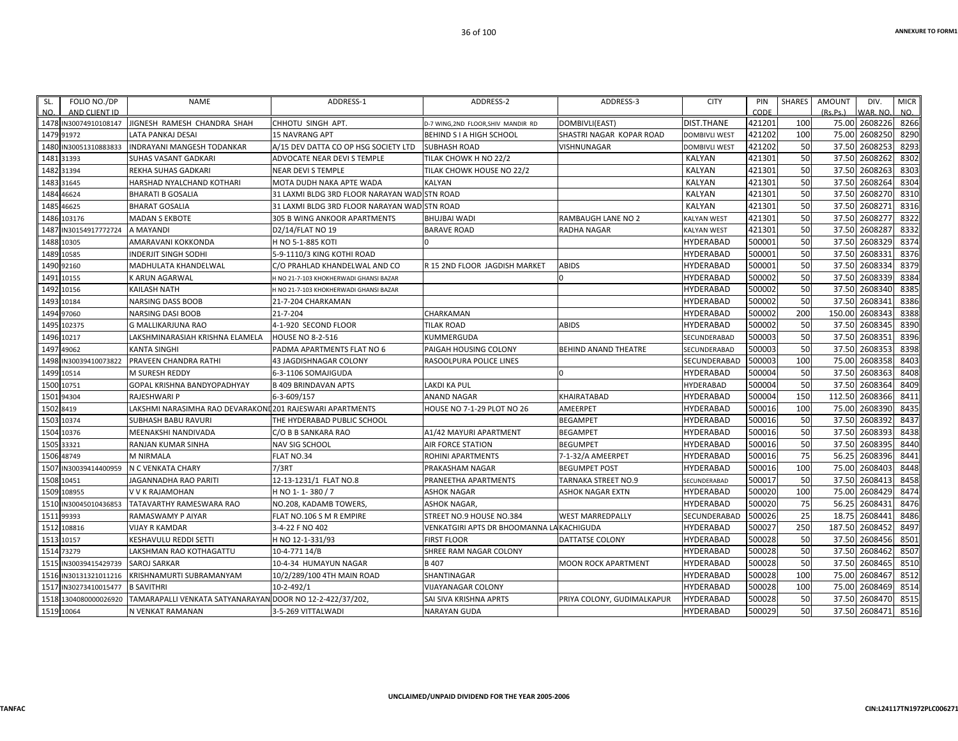| SL.  | FOLIO NO./DP          | <b>NAME</b>                                               | ADDRESS-1                                    | ADDRESS-2                                | ADDRESS-3                   | <b>CITY</b>               | PIN    | SHARES | AMOUNT   | DIV.          | <b>MICR</b> |
|------|-----------------------|-----------------------------------------------------------|----------------------------------------------|------------------------------------------|-----------------------------|---------------------------|--------|--------|----------|---------------|-------------|
| NO.  | AND CLIENT ID         |                                                           |                                              |                                          |                             |                           | CODE   |        | (Rs.Ps.) | WAR. NO.      | NO.         |
|      | 1478 IN30074910108147 | JIGNESH RAMESH CHANDRA SHAH                               | CHHOTU SINGH APT.                            | D-7 WING, 2ND FLOOR, SHIV MANDIR RD      | DOMBIVLI(EAST)              | <b>DIST.THANE</b>         | 421201 | 100    | 75.00    | 2608226       | 8266        |
|      | 1479 91972            | <b>LATA PANKAJ DESAI</b>                                  | <b>15 NAVRANG APT</b>                        | BEHIND S I A HIGH SCHOOL                 | SHASTRI NAGAR KOPAR ROAD    | DOMBIVLI WEST             | 421202 | 100    | 75.00    | 2608250       | 8290        |
|      | 1480 IN30051310883833 | INDRAYANI MANGESH TODANKAR                                | A/15 DEV DATTA CO OP HSG SOCIETY LTD         | <b>SUBHASH ROAD</b>                      | VISHNUNAGAR                 | DOMBIVLI WEST             | 421202 | 50     |          | 37.50 2608253 | 8293        |
|      | 1481 31393            | <b>SUHAS VASANT GADKARI</b>                               | ADVOCATE NEAR DEVI S TEMPLE                  | TILAK CHOWK H NO 22/2                    |                             | <b>KALYAN</b>             | 421301 | 50     |          | 37.50 2608262 | 8302        |
|      | 1482 31394            | REKHA SUHAS GADKARI                                       | <b>NEAR DEVI S TEMPLE</b>                    | TILAK CHOWK HOUSE NO 22/2                |                             | <b>KALYAN</b>             | 421301 | 50     | 37.50    | 2608263       | 8303        |
|      | 1483 31645            | HARSHAD NYALCHAND KOTHARI                                 | MOTA DUDH NAKA APTE WADA                     | KALYAN                                   |                             | <b>KALYAN</b>             | 421301 | 50     |          | 37.50 2608264 | 8304        |
|      | 1484 46624            | <b>BHARATI B GOSALIA</b>                                  | 31 LAXMI BLDG 3RD FLOOR NARAYAN WAD STN ROAD |                                          |                             | <b>KALYAN</b>             | 421301 | 50     | 37.50    | 2608270       | 8310        |
|      | 1485 46625            | <b>BHARAT GOSALIA</b>                                     | 31 LAXMI BLDG 3RD FLOOR NARAYAN WAD STN ROAD |                                          |                             | <b>KALYAN</b>             | 421301 | 50     | 37.50    | 2608271       | 8316        |
|      | 1486 103176           | <b>MADAN S EKBOTE</b>                                     | 305 B WING ANKOOR APARTMENTS                 | <b>BHUJBAI WADI</b>                      | RAMBAUGH LANE NO 2          | <b>KALYAN WEST</b>        | 421301 | 50     | 37.50    | 2608277       | 8322        |
| 1487 | IN30154917772724      | A MAYANDI                                                 | D2/14/FLAT NO 19                             | <b>BARAVE ROAD</b>                       | RADHA NAGAR                 | <b><i>KALYAN WEST</i></b> | 421301 | 50     | 37.50    | 2608287       | 8332        |
|      | 1488 10305            | AMARAVANI KOKKONDA                                        | H NO 5-1-885 KOTI                            | $\Omega$                                 |                             | HYDERABAD                 | 500001 | 50     |          | 37.50 2608329 | 8374        |
|      | 1489 10585            | <b>INDERJIT SINGH SODHI</b>                               | 5-9-1110/3 KING KOTHI ROAD                   |                                          |                             | HYDERABAD                 | 500001 | 50     | 37.50    | 2608331       | 8376        |
|      | 1490 92160            | MADHULATA KHANDELWAL                                      | C/O PRAHLAD KHANDELWAL AND CO                | R 15 2ND FLOOR JAGDISH MARKET            | <b>ABIDS</b>                | HYDERABAD                 | 500001 | 50     |          | 37.50 2608334 | 8379        |
|      | 1491 10155            | K ARUN AGARWAL                                            | H NO 21-7-103 KHOKHERWADI GHANSI BAZAR       |                                          | $\Omega$                    | HYDERABAD                 | 500002 | 50     | 37.50    | 2608339       | 8384        |
|      | 1492 10156            | KAILASH NATH                                              | H NO 21-7-103 KHOKHERWADI GHANSI BAZAR       |                                          |                             | <b>HYDERABAD</b>          | 500002 | 50     | 37.50    | 2608340       | 8385        |
|      | 1493 10184            | <b>NARSING DASS BOOB</b>                                  | 21-7-204 CHARKAMAN                           |                                          |                             | HYDERABAD                 | 500002 | 50     |          | 37.50 2608341 | 8386        |
|      | 1494 97060            | <b>NARSING DASI BOOB</b>                                  | 21-7-204                                     | CHARKAMAN                                |                             | HYDERABAD                 | 500002 | 200    | 150.00   | 2608343       | 8388        |
|      | 1495 102375           | G MALLIKARJUNA RAO                                        | 4-1-920 SECOND FLOOR                         | TILAK ROAD                               | <b>ABIDS</b>                | HYDERABAD                 | 500002 | 50     | 37.50    | 2608345       | 8390        |
|      | 1496 10217            | LAKSHMINARASIAH KRISHNA ELAMELA                           | <b>HOUSE NO 8-2-516</b>                      | KUMMERGUDA                               |                             | SECUNDERABAD              | 500003 | 50     | 37.50    | 2608351       | 8396        |
|      | 1497 49062            | <b>KANTA SINGHI</b>                                       | PADMA APARTMENTS FLAT NO 6                   | PAIGAH HOUSING COLONY                    | <b>BEHIND ANAND THEATRE</b> | SECUNDERABAD              | 500003 | 50     | 37.50    | 2608353       | 8398        |
|      | 1498 IN30039410073822 | PRAVEEN CHANDRA RATHI                                     | 43 JAGDISHNAGAR COLONY                       | RASOOLPURA POLICE LINES                  |                             | SECUNDERABAD              | 500003 | 100    | 75.00    | 2608358       | 8403        |
|      | 1499 10514            | M SURESH REDDY                                            | 6-3-1106 SOMAJIGUDA                          |                                          | <sup>0</sup>                | HYDERABAD                 | 500004 | 50     | 37.50    | 2608363       | 8408        |
|      | 1500 10751            | GOPAL KRISHNA BANDYOPADHYAY                               | <b>B 409 BRINDAVAN APTS</b>                  | <b>LAKDI KA PUL</b>                      |                             | HYDERABAD                 | 500004 | 50     |          | 37.50 2608364 | 8409        |
|      | 1501 94304            | RAJESHWARI P                                              | 6-3-609/157                                  | ANAND NAGAR                              | KHAIRATABAD                 | <b>HYDERABAD</b>          | 500004 | 150    | 112.50   | 2608366       | 8411        |
|      | 1502 8419             | LAKSHMI NARASIMHA RAO DEVARAKONI 201 RAJESWARI APARTMENTS |                                              | HOUSE NO 7-1-29 PLOT NO 26               | AMEERPET                    | <b>HYDERABAD</b>          | 500016 | 100    | 75.00    | 2608390       | 8435        |
|      | 1503 10374            | SUBHASH BABU RAVURI                                       | THE HYDERABAD PUBLIC SCHOOL                  |                                          | <b>BEGAMPET</b>             | HYDERABAD                 | 500016 | 50     |          | 37.50 2608392 | 8437        |
|      | 1504 10376            | MEENAKSHI NANDIVADA                                       | C/O B B SANKARA RAO                          | A1/42 MAYURI APARTMENT                   | <b>BEGAMPET</b>             | HYDERABAD                 | 500016 | 50     | 37.50    | 2608393       | 8438        |
|      | 1505 33321            | RANJAN KUMAR SINHA                                        | <b>NAV SIG SCHOOL</b>                        | AIR FORCE STATION                        | <b>BEGUMPET</b>             | HYDERABAD                 | 500016 | 50     | 37.50    | 2608395       | 8440        |
|      | 1506 48749            | <b>M NIRMALA</b>                                          | FLAT NO.34                                   | ROHINI APARTMENTS                        | 7-1-32/A AMEERPET           | HYDERABAD                 | 500016 | 75     | 56.25    | 2608396       | 8441        |
| 1507 | IN30039414400959      | N C VENKATA CHARY                                         | 7/3RT                                        | PRAKASHAM NAGAR                          | <b>BEGUMPET POST</b>        | HYDERABAD                 | 500016 | 100    |          | 75.00 2608403 | 8448        |
|      | 1508 10451            | JAGANNADHA RAO PARITI                                     | 12-13-1231/1 FLAT NO.8                       | PRANEETHA APARTMENTS                     | <b>TARNAKA STREET NO.9</b>  | SECUNDERABAD              | 500017 | 50     | 37.50    | 2608413       | 8458        |
|      | 1509 108955           | V V K RAJAMOHAN                                           | H NO 1-1-380/7                               | <b>ASHOK NAGAR</b>                       | <b>ASHOK NAGAR EXTN</b>     | HYDERABAD                 | 500020 | 100    | 75.00    | 2608429       | 8474        |
|      | 1510 IN30045010436853 | TATAVARTHY RAMESWARA RAO                                  | NO.208, KADAMB TOWERS,                       | <b>ASHOK NAGAR</b>                       |                             | HYDERABAD                 | 500020 | 75     | 56.25    | 2608431       | 8476        |
|      | 1511 99393            | RAMASWAMY P AIYAR                                         | FLAT NO.106 S M R EMPIRE                     | STREET NO.9 HOUSE NO.384                 | <b>WEST MARREDPALLY</b>     | SECUNDERABAD              | 500026 | 25     | 18.75    | 2608441       | 8486        |
| 1512 | 108816                | <b>VIJAY R KAMDAR</b>                                     | 3-4-22 F NO 402                              | VENKATGIRI APTS DR BHOOMANNA LAKACHIGUDA |                             | <b>HYDERABAD</b>          | 500027 | 250    | 187.50   | 2608452       | 8497        |
|      | 1513 10157            | KESHAVULU REDDI SETTI                                     | H NO 12-1-331/93                             | <b>FIRST FLOOR</b>                       | <b>DATTATSE COLONY</b>      | HYDERABAD                 | 500028 | 50     | 37.50    | 2608456       | 8501        |
|      | 1514 73279            | LAKSHMAN RAO KOTHAGATTU                                   | 10-4-771 14/B                                | SHREE RAM NAGAR COLONY                   |                             | HYDERABAD                 | 500028 | 50     |          | 37.50 2608462 | 8507        |
| 1515 | IN30039415429739      | <b>SAROJ SARKAR</b>                                       | 10-4-34 HUMAYUN NAGAR                        | B 407                                    | <b>MOON ROCK APARTMENT</b>  | HYDERABAD                 | 500028 | 50     | 37.50    | 2608465       | 8510        |
| 1516 | IN30131321011216      | KRISHNAMURTI SUBRAMANYAM                                  | 10/2/289/100 4TH MAIN ROAD                   | SHANTINAGAR                              |                             | HYDERABAD                 | 500028 | 100    | 75.00    | 2608467       | 8512        |
| 1517 | IN30273410015477      | <b>B SAVITHRI</b>                                         | $10 - 2 - 492/1$                             | VIJAYANAGAR COLONY                       |                             | HYDERABAD                 | 500028 | 100    | 75.00    | 2608469       | 8514        |
|      | 1518 1304080000026920 | TAMARAPALLI VENKATA SATYANARAYAN DOOR NO 12-2-422/37/202, |                                              | SAI SIVA KRISHNA APRTS                   | PRIYA COLONY, GUDIMALKAPUR  | <b>HYDERABAD</b>          | 500028 | 50     | 37.50    | 2608470       | 8515        |
|      | 1519 10064            | N VENKAT RAMANAN                                          | 3-5-269 VITTALWADI                           | <b>NARAYAN GUDA</b>                      |                             | HYDERABAD                 | 500029 | 50     |          | 37.50 2608471 | 8516        |
|      |                       |                                                           |                                              |                                          |                             |                           |        |        |          |               |             |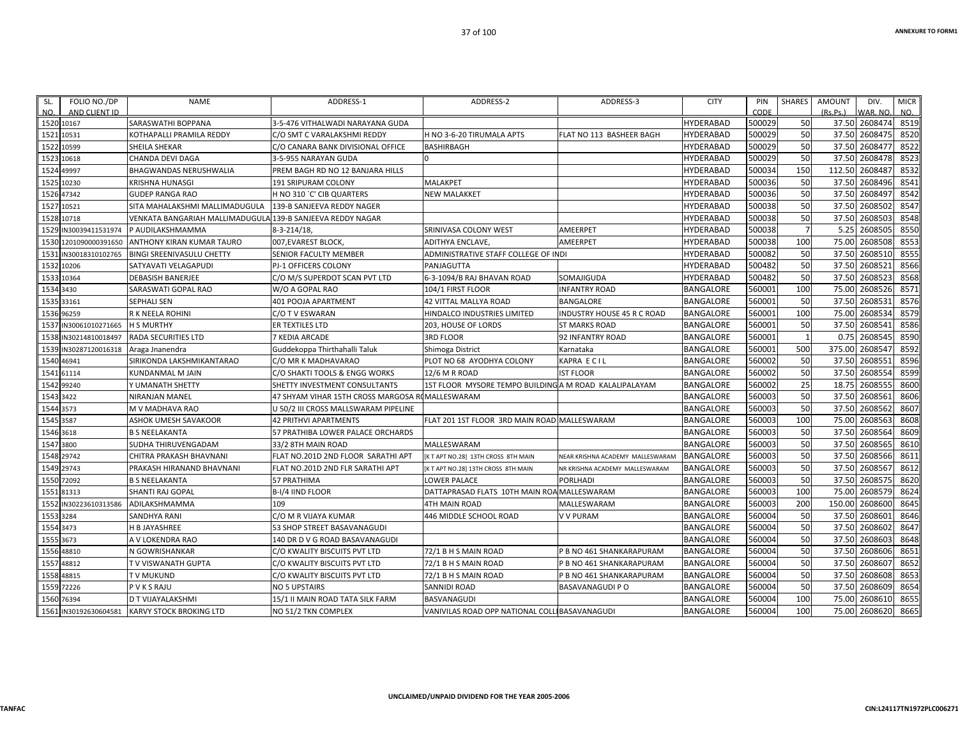| SL.       | FOLIO NO./DP          | <b>NAME</b>                                                | ADDRESS-1                            | ADDRESS-2                                             | ADDRESS-3                        | <b>CITY</b>      | PIN    | SHARES         | <b>AMOUNT</b> | DIV.          | <b>MICR</b> |
|-----------|-----------------------|------------------------------------------------------------|--------------------------------------|-------------------------------------------------------|----------------------------------|------------------|--------|----------------|---------------|---------------|-------------|
| NO.       | AND CLIENT ID         |                                                            |                                      |                                                       |                                  |                  | CODE   |                | (Rs.Ps.)      | WAR. NO.      | NO.         |
|           | 1520 10167            | <b>SARASWATHI BOPPANA</b>                                  | 3-5-476 VITHALWADI NARAYANA GUDA     |                                                       |                                  | <b>HYDERABAD</b> | 500029 | 50             |               | 37.50 2608474 | 8519        |
|           | 1521 10531            | KOTHAPALLI PRAMILA REDDY                                   | C/O SMT C VARALAKSHMI REDDY          | H NO 3-6-20 TIRUMALA APTS                             | FLAT NO 113 BASHEER BAGH         | HYDERABAD        | 500029 | 50             | 37.50         | 2608475       | 8520        |
|           | 1522 10599            | <b>SHEILA SHEKAR</b>                                       | C/O CANARA BANK DIVISIONAL OFFICE    | BASHIRBAGH                                            |                                  | <b>HYDERABAD</b> | 500029 | 50             | 37.50         | 2608477       | 8522        |
|           | 1523 10618            | <b>CHANDA DEVI DAGA</b>                                    | 3-5-955 NARAYAN GUDA                 |                                                       |                                  | HYDERABAD        | 500029 | 50             | 37.50         | 2608478       | 8523        |
|           | 1524 49997            | <b>BHAGWANDAS NERUSHWALIA</b>                              | PREM BAGH RD NO 12 BANJARA HILLS     |                                                       |                                  | HYDERABAD        | 500034 | 150            | 112.50        | 2608487       | 8532        |
|           | 1525 10230            | <b>KRISHNA HUNASGI</b>                                     | 191 SRIPURAM COLONY                  | MALAKPET                                              |                                  | <b>HYDERABAD</b> | 500036 | 50             | 37.50         | 2608496       | 8541        |
|           | 1526 47342            | <b>GUDEP RANGA RAO</b>                                     | H NO 310 `C' CIB QUARTERS            | NEW MALAKKET                                          |                                  | <b>HYDERABAD</b> | 500036 | 50             |               | 37.50 2608497 | 8542        |
|           | 1527 10521            | SITA MAHALAKSHMI MALLIMADUGULA                             | 139-B SANJEEVA REDDY NAGER           |                                                       |                                  | HYDERABAD        | 500038 | 50             | 37.50         | 2608502       | 8547        |
|           | 1528 10718            | VENKATA BANGARIAH MALLIMADUGULA 139-B SANJEEVA REDDY NAGAR |                                      |                                                       |                                  | HYDERABAD        | 500038 | 50             | 37.50         | 2608503       | 8548        |
|           | 1529 IN30039411531974 | P AUDILAKSHMAMMA                                           | $8 - 3 - 214/18$                     | SRINIVASA COLONY WEST                                 | AMEERPET                         | <b>HYDERABAD</b> | 500038 | $\overline{7}$ | 5.25          | 2608505       | 8550        |
|           | 1530 1201090000391650 | <b>ANTHONY KIRAN KUMAR TAURO</b>                           | 007, EVAREST BLOCK,                  | <b>ADITHYA ENCLAVE</b>                                | AMEERPET                         | <b>HYDERABAD</b> | 500038 | 100            | 75.00         | 2608508       | 8553        |
|           | 1531 IN30018310102765 | <b>BINGI SREENIVASULU CHETTY</b>                           | SENIOR FACULTY MEMBER                | ADMINISTRATIVE STAFF COLLEGE OF INDI                  |                                  | <b>HYDERABAD</b> | 500082 | 50             | 37.50         | 2608510       | 8555        |
|           | 1532 10206            | SATYAVATI VELAGAPUDI                                       | PJ-1 OFFICERS COLONY                 | PANJAGUTTA                                            |                                  | HYDERABAD        | 500482 | 50             | 37.50         | 2608521       | 8566        |
|           | 1533 10364            | <b>DEBASISH BANERJEE</b>                                   | C/O M/S SUPERDOT SCAN PVT LTD        | 5-3-1094/B RAJ BHAVAN ROAD                            | SOMAJIGUDA                       | HYDERABAD        | 500482 | 50             | 37.50         | 2608523       | 8568        |
| 1534 3430 |                       | SARASWATI GOPAL RAO                                        | W/O A GOPAL RAO                      | 104/1 FIRST FLOOR                                     | <b>INFANTRY ROAD</b>             | BANGALORE        | 560001 | 100            | 75.00         | 2608526       | 8571        |
|           | 1535 33161            | <b>SEPHALI SEN</b>                                         | 401 POOJA APARTMENT                  | <b>42 VITTAL MALLYA ROAD</b>                          | BANGALORE                        | BANGALORE        | 560001 | 50             | 37.50         | 2608531       | 8576        |
|           | 1536 96259            | R K NEELA ROHINI                                           | C/O T V ESWARAN                      | HINDALCO INDUSTRIES LIMITED                           | INDUSTRY HOUSE 45 R C ROAD       | BANGALORE        | 560001 | 100            | 75.00         | 2608534       | 8579        |
|           | 1537 IN30061010271665 | <b>H S MURTHY</b>                                          | ER TEXTILES LTD                      | 203, HOUSE OF LORDS                                   | <b>ST MARKS ROAD</b>             | BANGALORE        | 560001 | 50             | 37.50         | 2608541       | 8586        |
|           | 1538 IN30214810018497 | <b>RADA SECURITIES LTD</b>                                 | 7 KEDIA ARCADE                       | 3RD FLOOR                                             | 92 INFANTRY ROAD                 | BANGALORE        | 560001 |                | 0.75          | 2608545       | 8590        |
|           | 1539 IN30287120016318 | Araga Jnanendra                                            | Guddekoppa Thirthahalli Taluk        | Shimoga District                                      | Karnataka                        | BANGALORE        | 560001 | 500            | 375.00        | 2608547       | 8592        |
|           | 1540 46941            | SIRIKONDA LAKSHMIKANTARAO                                  | C/O MR K MADHAVARAO                  | PLOT NO 68 AYODHYA COLONY                             | KAPRA ECIL                       | BANGALORE        | 560002 | 50             | 37.50         | 2608553       | 8596        |
|           | 1541 61114            | KUNDANMAL M JAIN                                           | C/O SHAKTI TOOLS & ENGG WORKS        | 12/6 M R ROAD                                         | <b>IST FLOOR</b>                 | <b>BANGALORE</b> | 560002 | 50             | 37.50         | 2608554       | 8599        |
|           | 1542 99240            | Y UMANATH SHETTY                                           | SHETTY INVESTMENT CONSULTANTS        | 1ST FLOOR MYSORE TEMPO BUILDINGA M ROAD KALALIPALAYAM |                                  | BANGALORE        | 560002 | 25             | 18.75         | 2608555       | 8600        |
| 1543 3422 |                       | <b>NIRANJAN MANEL</b>                                      | 47 SHYAM VIHAR 15TH CROSS MARGOSA R  | MALLESWARAM                                           |                                  | <b>BANGALORE</b> | 560003 | 50             | 37.50         | 2608561       | 8606        |
| 1544 3573 |                       | M V MADHAVA RAO                                            | U 50/2 III CROSS MALLSWARAM PIPELINE |                                                       |                                  | BANGALORE        | 560003 | 50             | 37.50         | 2608562       | 8607        |
| 1545 3587 |                       | <b>ASHOK UMESH SAVAKOOR</b>                                | <b>42 PRITHVI APARTMENTS</b>         | FLAT 201 1ST FLOOR 3RD MAIN ROAD MALLESWARAM          |                                  | BANGALORE        | 560003 | 100            | 75.00         | 2608563       | 8608        |
| 1546 3618 |                       | <b>B S NEELAKANTA</b>                                      | 57 PRATHIBA LOWER PALACE ORCHARDS    |                                                       |                                  | BANGALORE        | 560003 | 50             | 37.50         | 2608564       | 8609        |
| 1547 3800 |                       | SUDHA THIRUVENGADAM                                        | 33/2 8TH MAIN ROAD                   | MALLESWARAM                                           |                                  | BANGALORE        | 560003 | 50             | 37.50         | 2608565       | 8610        |
|           | 1548 29742            | CHITRA PRAKASH BHAVNANI                                    | FLAT NO.201D 2ND FLOOR SARATHI APT   | [K T APT NO.28] 13TH CROSS 8TH MAIN                   | NEAR KRISHNA ACADEMY MALLESWARAM | BANGALORE        | 560003 | 50             | 37.50         | 2608566       | 8611        |
|           | 1549 29743            | PRAKASH HIRANAND BHAVNANI                                  | FLAT NO.201D 2ND FLR SARATHI APT     | K T APT NO.28] 13TH CROSS 8TH MAIN                    | NR KRISHNA ACADEMY MALLESWARAM   | BANGALORE        | 560003 | 50             | 37.50         | 2608567       | 8612        |
|           | 1550 72092            | <b>B S NEELAKANTA</b>                                      | <b>57 PRATHIMA</b>                   | LOWER PALACE                                          | PORLHADI                         | BANGALORE        | 560003 | 50             | 37.50         | 2608575       | 8620        |
|           | 1551 81313            | <b>SHANTI RAJ GOPAL</b>                                    | B-I/4 IIND FLOOR                     | DATTAPRASAD FLATS 10TH MAIN ROA MALLESWARAM           |                                  | <b>BANGALORE</b> | 560003 | 100            | 75.00         | 2608579       | 8624        |
|           | 1552 IN30223610313586 | ADILAKSHMAMMA                                              | 109                                  | 4TH MAIN ROAD                                         | MALLESWARAM                      | BANGALORE        | 560003 | 200            | 150.00        | 2608600       | 8645        |
| 1553 3284 |                       | <b>SANDHYA RANI</b>                                        | C/O M R VIJAYA KUMAR                 | 446 MIDDLE SCHOOL ROAD                                | <b>V V PURAM</b>                 | BANGALORE        | 560004 | 50             | 37.50         | 2608601       | 8646        |
| 1554 3473 |                       | <b>H B JAYASHREE</b>                                       | 53 SHOP STREET BASAVANAGUDI          |                                                       |                                  | <b>BANGALORE</b> | 560004 | 50             | 37.50         | 2608602       | 8647        |
| 1555 3673 |                       | A V LOKENDRA RAO                                           | 140 DR D V G ROAD BASAVANAGUDI       |                                                       |                                  | BANGALORE        | 560004 | 50             | 37.50         | 2608603       | 8648        |
|           | 1556 48810            | N GOWRISHANKAR                                             | C/O KWALITY BISCUITS PVT LTD         | 72/1 B H S MAIN ROAD                                  | P B NO 461 SHANKARAPURAM         | BANGALORE        | 560004 | 50             | 37.50         | 2608606       | 8651        |
|           | 1557 48812            | T V VISWANATH GUPTA                                        | C/O KWALITY BISCUITS PVT LTD         | 72/1 B H S MAIN ROAD                                  | P B NO 461 SHANKARAPURAM         | BANGALORE        | 560004 | 50             | 37.50         | 2608607       | 8652        |
|           | 1558 48815            | <b>TV MUKUND</b>                                           | C/O KWALITY BISCUITS PVT LTD         | 72/1 B H S MAIN ROAD                                  | <b>B NO 461 SHANKARAPURAM</b>    | BANGALORE        | 560004 | 50             | 37.50         | 2608608       | 8653        |
|           | 1559 72226            | P V K S RAJU                                               | <b>NO 5 UPSTAIRS</b>                 | <b>SANNIDI ROAD</b>                                   | <b>BASAVANAGUDI P O</b>          | BANGALORE        | 560004 | 50             | 37.50         | 2608609       | 8654        |
|           | 1560 76394            | D T VIJAYALAKSHMI                                          | 15/1 II MAIN ROAD TATA SILK FARM     | BASVANAGUDI                                           |                                  | BANGALORE        | 560004 | 100            | 75.00         | 2608610       | 8655        |
|           | 1561 IN30192630604581 | <b>KARVY STOCK BROKING LTD</b>                             | NO 51/2 TKN COMPLEX                  | VANIVILAS ROAD OPP NATIONAL COLLIBASAVANAGUDI         |                                  | <b>BANGALORE</b> | 560004 | 100            | 75.00         | 2608620       | 8665        |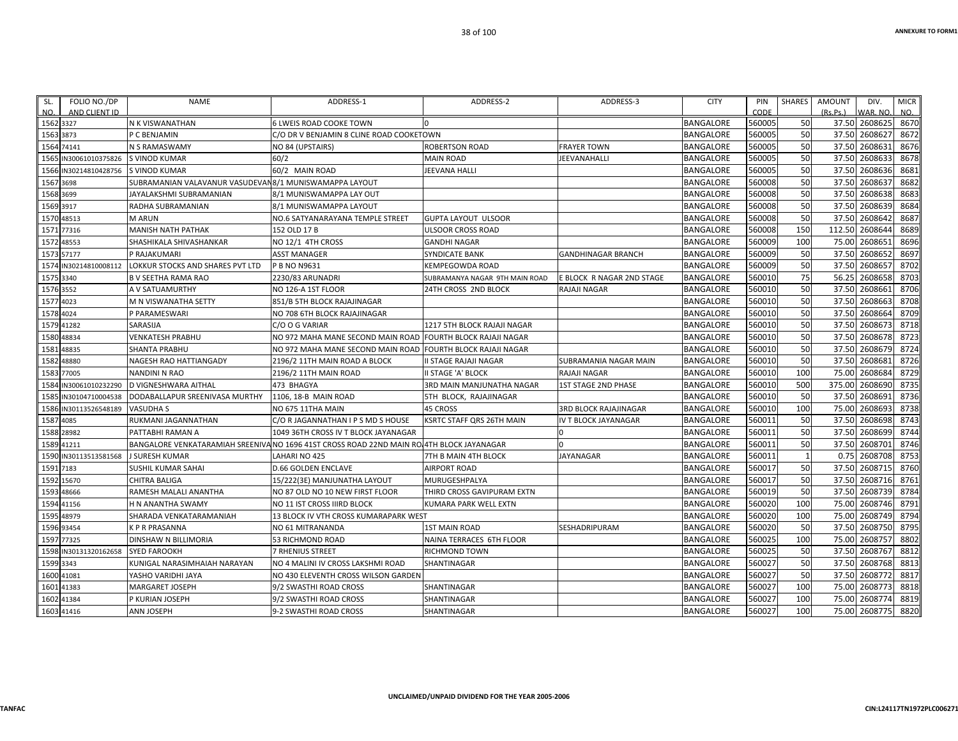| SL.<br>NO. | FOLIO NO./DP<br>AND CLIENT ID | <b>NAME</b>                                             | ADDRESS-1                                                                                | ADDRESS-2                      | ADDRESS-3                    | <b>CITY</b>      | PIN<br>CODE | SHARES       | AMOUNT<br>(Rs.Ps.) | DIV.<br>WAR, NO. | <b>MICR</b><br>NO. |
|------------|-------------------------------|---------------------------------------------------------|------------------------------------------------------------------------------------------|--------------------------------|------------------------------|------------------|-------------|--------------|--------------------|------------------|--------------------|
|            | 1562 3327                     | N K VISWANATHAN                                         | <b>6 LWEIS ROAD COOKE TOWN</b>                                                           | $\Omega$                       |                              | <b>BANGALORE</b> | 560005      | 50           |                    | 37.50 2608625    | 8670               |
| 1563       | 3873                          | P C BENJAMIN                                            | C/O DR V BENJAMIN 8 CLINE ROAD COOKETOWN                                                 |                                |                              | <b>BANGALORE</b> | 560005      | 50           |                    | 37.50 2608627    | 8672               |
| 1564       | 74141                         | N S RAMASWAMY                                           | NO 84 (UPSTAIRS)                                                                         | <b>ROBERTSON ROAD</b>          | <b>FRAYER TOWN</b>           | <b>BANGALORE</b> | 560005      | 50           |                    | 37.50 2608631    | 8676               |
| 1565       | IN30061010375826              | <b>S VINOD KUMAR</b>                                    | 60/2                                                                                     | <b>MAIN ROAD</b>               | JEEVANAHALLI                 | <b>BANGALORE</b> | 560005      | 50           | 37.50              | 2608633          | 8678               |
|            | 1566 IN30214810428756         | <b>S VINOD KUMAR</b>                                    | 60/2 MAIN ROAD                                                                           | <b>JEEVANA HALLI</b>           |                              | <b>BANGALORE</b> | 560005      | 50           |                    | 37.50 2608636    | 8681               |
| 1567       | 3698                          | SUBRAMANIAN VALAVANUR VASUDEVAN 8/1 MUNISWAMAPPA LAYOUT |                                                                                          |                                |                              | <b>BANGALORE</b> | 560008      | 50           |                    | 37.50 2608637    | 8682               |
|            | 1568 3699                     | JAYALAKSHMI SUBRAMANIAN                                 | 8/1 MUNISWAMAPPA LAY OUT                                                                 |                                |                              | <b>BANGALORE</b> | 560008      | 50           | 37.50              | 2608638          | 8683               |
|            | 1569 3917                     | RADHA SUBRAMANIAN                                       | 8/1 MUNISWAMAPPA LAYOUT                                                                  |                                |                              | <b>BANGALORE</b> | 560008      | 50           |                    | 37.50 2608639    | 8684               |
|            | 1570 48513                    | <b>M ARUN</b>                                           | NO.6 SATYANARAYANA TEMPLE STREET                                                         | <b>GUPTA LAYOUT ULSOOR</b>     |                              | <b>BANGALORE</b> | 560008      | 50           |                    | 37.50 2608642    | 8687               |
| 1571       | 77316                         | <b>MANISH NATH PATHAK</b>                               | 152 OLD 17 B                                                                             | <b>ULSOOR CROSS ROAD</b>       |                              | <b>BANGALORE</b> | 560008      | 150          |                    | 112.50 2608644   | 8689               |
|            | 1572 48553                    | SHASHIKALA SHIVASHANKAR                                 | NO 12/1 4TH CROSS                                                                        | <b>GANDHI NAGAR</b>            |                              | <b>BANGALORE</b> | 560009      | 100          |                    | 75.00 2608651    | 8696               |
|            | 1573 57177                    | P RAJAKUMARI                                            | ASST MANAGER                                                                             | <b>SYNDICATE BANK</b>          | <b>GANDHINAGAR BRANCH</b>    | <b>BANGALORE</b> | 560009      | 50           | 37.50              | 2608652          | 8697               |
| 1574       | IN30214810008112              | LOKKUR STOCKS AND SHARES PVT LTD                        | P B NO N9631                                                                             | <b>KEMPEGOWDA ROAD</b>         |                              | <b>BANGALORE</b> | 560009      | 50           |                    | 37.50 2608657    | 8702               |
|            | 1575 3340                     | <b>B V SEETHA RAMA RAO</b>                              | 2230/83 ARUNADRI                                                                         | SUBRAMANYA NAGAR 9TH MAIN ROAD | E BLOCK R NAGAR 2ND STAGE    | <b>BANGALORE</b> | 560010      | 75           |                    | 56.25 2608658    | 8703               |
|            | 1576 3552                     | A V SATUAMURTHY                                         | NO 126-A 1ST FLOOR                                                                       | 24TH CROSS 2ND BLOCK           | RAJAJI NAGAR                 | <b>BANGALORE</b> | 560010      | 50           |                    | 37.50 2608661    | 8706               |
|            | 1577 4023                     | M N VISWANATHA SETTY                                    | 851/B 5TH BLOCK RAJAJINAGAR                                                              |                                |                              | <b>BANGALORE</b> | 560010      | 50           |                    | 37.50 2608663    | 8708               |
|            | 1578 4024                     | P PARAMESWARI                                           | NO 708 6TH BLOCK RAJAJINAGAR                                                             |                                |                              | <b>BANGALORE</b> | 560010      | 50           |                    | 37.50 2608664    | 8709               |
|            | 1579 41282                    | SARASIJA                                                | C/O O G VARIAR                                                                           | 1217 5TH BLOCK RAJAJI NAGAR    |                              | <b>BANGALORE</b> | 560010      | 50           |                    | 37.50 2608673    | 8718               |
|            | 1580 48834                    | <b>VENKATESH PRABHU</b>                                 | NO 972 MAHA MANE SECOND MAIN ROAD FOURTH BLOCK RAJAJI NAGAR                              |                                |                              | <b>BANGALORE</b> | 560010      | 50           |                    | 37.50 2608678    | 8723               |
| 1581       | 48835                         | <b>SHANTA PRABHU</b>                                    | NO 972 MAHA MANE SECOND MAIN ROAD  FOURTH BLOCK RAJAJI NAGAR                             |                                |                              | <b>BANGALORE</b> | 560010      | 50           | 37.50              | 2608679          | 8724               |
| 1582       | 48880                         | NAGESH RAO HATTIANGADY                                  | 2196/2 11TH MAIN ROAD A BLOCK                                                            | II STAGE RAJAJI NAGAR          | SUBRAMANIA NAGAR MAIN        | <b>BANGALORE</b> | 560010      | 50           |                    | 37.50 2608681    | 8726               |
| 1583       | 77005                         | <b>NANDINI N RAO</b>                                    | 2196/2 11TH MAIN ROAD                                                                    | <b>II STAGE 'A' BLOCK</b>      | RAJAJI NAGAR                 | <b>BANGALORE</b> | 560010      | 100          |                    | 75.00 2608684    | 8729               |
| 1584       | IN30061010232290              | D VIGNESHWARA AITHAL                                    | 473 BHAGYA                                                                               | 3RD MAIN MANJUNATHA NAGAR      | 1ST STAGE 2ND PHASE          | <b>BANGALORE</b> | 560010      | 500          | 375.00             | 2608690          | 8735               |
| 1585       | IN30104710004538              | DODABALLAPUR SREENIVASA MURTHY                          | 1106, 18-B MAIN ROAD                                                                     | 5TH BLOCK, RAJAJINAGAR         |                              | <b>BANGALORE</b> | 560010      | 50           |                    | 37.50 2608691    | 8736               |
|            | 1586 IN30113526548189         | <b>VASUDHA S</b>                                        | NO 675 11THA MAIN                                                                        | 45 CROSS                       | <b>3RD BLOCK RAJAJINAGAR</b> | <b>BANGALORE</b> | 560010      | 100          | 75.00              | 2608693          | 8738               |
| 1587       | 4085                          | RUKMANI JAGANNATHAN                                     | C/O R JAGANNATHAN I P S MD S HOUSE                                                       | KSRTC STAFF QRS 26TH MAIN      | <b>IV T BLOCK JAYANAGAR</b>  | <b>BANGALORE</b> | 560011      | 50           |                    | 37.50 2608698    | 8743               |
|            | 1588 28982                    | PATTABHI RAMAN A                                        | 1049 36TH CROSS IV T BLOCK JAYANAGAR                                                     |                                | 0                            | <b>BANGALORE</b> | 560011      | 50           |                    | 37.50 2608699    | 8744               |
| 1589       | 41211                         |                                                         | BANGALORE VENKATARAMIAH SREENIVANO 1696 41ST CROSS ROAD 22ND MAIN ROL4TH BLOCK JAYANAGAR |                                |                              | <b>BANGALORE</b> | 560011      | 50           |                    | 37.50 2608701    | 8746               |
| 1590       | IN30113513581568              | <b>J SURESH KUMAR</b>                                   | LAHARI NO 425                                                                            | 7TH B MAIN 4TH BLOCK           | <b>JAYANAGAR</b>             | <b>BANGALORE</b> | 560011      | $\mathbf{1}$ |                    | 0.75 2608708     | 8753               |
|            | 1591 7183                     | <b>SUSHIL KUMAR SAHAI</b>                               | <b>D.66 GOLDEN ENCLAVE</b>                                                               | <b>AIRPORT ROAD</b>            |                              | <b>BANGALORE</b> | 560017      | 50           |                    | 37.50 2608715    | 8760               |
|            | 1592 15670                    | <b>CHITRA BALIGA</b>                                    | 15/222(3E) MANJUNATHA LAYOUT                                                             | MURUGESHPALYA                  |                              | <b>BANGALORE</b> | 560017      | 50           |                    | 37.50 2608716    | 8761               |
| 1593       | 48666                         | RAMESH MALALI ANANTHA                                   | NO 87 OLD NO 10 NEW FIRST FLOOR                                                          | THIRD CROSS GAVIPURAM EXTN     |                              | <b>BANGALORE</b> | 560019      | 50           | 37.50              | 2608739          | 8784               |
| 1594       | 41156                         | H N ANANTHA SWAMY                                       | NO 11 IST CROSS IIIRD BLOCK                                                              | KUMARA PARK WELL EXTN          |                              | <b>BANGALORE</b> | 560020      | 100          |                    | 75.00 2608746    | 8791               |
| 1595       | 48979                         | SHARADA VENKATARAMANIAH                                 | 13 BLOCK IV VTH CROSS KUMARAPARK WEST                                                    |                                |                              | <b>BANGALORE</b> | 560020      | 100          |                    | 75.00 2608749    | 8794               |
|            | 1596 93454                    | <b>KPRPRASANNA</b>                                      | NO 61 MITRANANDA                                                                         | <b>1ST MAIN ROAD</b>           | SESHADRIPURAM                | <b>BANGALORE</b> | 560020      | 50           |                    | 37.50 2608750    | 8795               |
| 1597       | 77325                         | <b>DINSHAW N BILLIMORIA</b>                             | <b>53 RICHMOND ROAD</b>                                                                  | NAINA TERRACES 6TH FLOOR       |                              | <b>BANGALORE</b> | 560025      | 100          | 75.00              | 2608757          | 8802               |
|            | 1598 IN30131320162658         | <b>SYED FAROOKH</b>                                     | <b>7 RHENIUS STREET</b>                                                                  | RICHMOND TOWN                  |                              | <b>BANGALORE</b> | 560025      | 50           |                    | 37.50 2608767    | 8812               |
|            | 1599 3343                     | KUNIGAL NARASIMHAIAH NARAYAN                            | NO 4 MALINI IV CROSS LAKSHMI ROAD                                                        | SHANTINAGAR                    |                              | <b>BANGALORE</b> | 560027      | 50           |                    | 37.50 2608768    | 8813               |
|            | 1600 41081                    | YASHO VARIDHI JAYA                                      | NO 430 ELEVENTH CROSS WILSON GARDEN                                                      |                                |                              | <b>BANGALORE</b> | 560027      | 50           | 37.50              | 2608772          | 8817               |
|            | 1601 41383                    | <b>MARGARET JOSEPH</b>                                  | 9/2 SWASTHI ROAD CROSS                                                                   | SHANTINAGAR                    |                              | <b>BANGALORE</b> | 560027      | 100          | 75.00              | 2608773          | 8818               |
| 1602       | 41384                         | P KURIAN JOSEPH                                         | 9/2 SWASTHI ROAD CROSS                                                                   | SHANTINAGAR                    |                              | <b>BANGALORE</b> | 560027      | 100          | 75.00              | 2608774          | 8819               |
|            | 1603 41416                    | ANN JOSEPH                                              | 9-2 SWASTHI ROAD CROSS                                                                   | SHANTINAGAR                    |                              | <b>BANGALORE</b> | 560027      | 100          |                    | 75.00 2608775    | 8820               |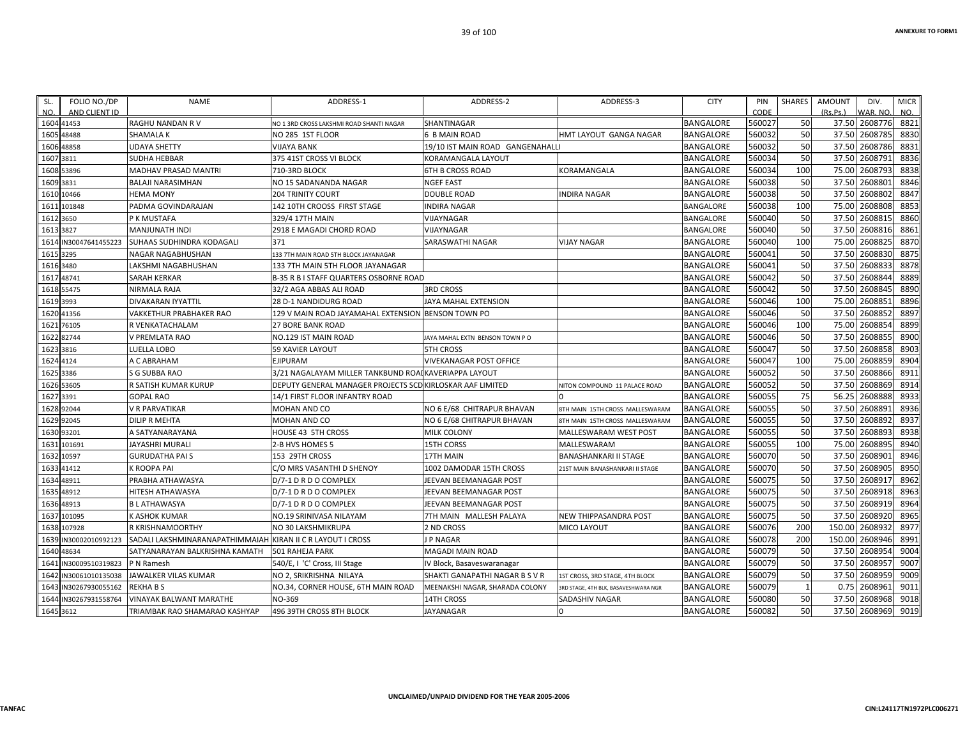| FOLIO NO./DP<br>SL.<br>NO.<br>AND CLIENT ID | <b>NAME</b>                     | ADDRESS-1                                                 | ADDRESS-2                        | ADDRESS-3                            | <b>CITY</b>      | PIN<br>CODE | <b>SHARES</b> | <b>AMOUNT</b><br>(Rs, Ps) | DIV.<br>WAR, NO | <b>MICR</b><br>NO. |
|---------------------------------------------|---------------------------------|-----------------------------------------------------------|----------------------------------|--------------------------------------|------------------|-------------|---------------|---------------------------|-----------------|--------------------|
| 1604 41453                                  | <b>RAGHU NANDAN RV</b>          | NO 1 3RD CROSS LAKSHMI ROAD SHANTI NAGAR                  | <b>SHANTINAGAR</b>               |                                      | <b>BANGALORE</b> | 560027      | 50            | 37.50                     | 2608776         | 8821               |
| 1605<br>48488                               | <b>SHAMALA K</b>                | NO 285 1ST FLOOR                                          | 6 B MAIN ROAD                    | <b>HMT LAYOUT GANGA NAGAR</b>        | <b>BANGALORE</b> | 560032      | 50            | 37.50                     | 2608785         | 8830               |
| 1606 48858                                  | <b>UDAYA SHETTY</b>             | VIJAYA BANK                                               | 19/10 IST MAIN ROAD GANGENAHALLI |                                      | <b>BANGALORE</b> | 560032      | 50            | 37.50                     | 2608786         | 8831               |
| 1607<br>3811                                | <b>SUDHA HEBBAR</b>             | 375 41ST CROSS VI BLOCK                                   | <b>KORAMANGALA LAYOUT</b>        |                                      | <b>BANGALORE</b> | 560034      | 50            | 37.50                     | 2608791         | 8836               |
| 1608<br>53896                               | MADHAV PRASAD MANTRI            | 710-3RD BLOCK                                             | <b>6TH B CROSS ROAD</b>          | KORAMANGALA                          | <b>BANGALORE</b> | 560034      | 100           | 75.00                     | 260879          | 8838               |
| 1609 3831                                   | BALAJI NARASIMHAN               | NO 15 SADANANDA NAGAR                                     | <b>NGEF EAST</b>                 |                                      | <b>BANGALORE</b> | 560038      | 50            | 37.50                     | 2608801         | 8846               |
| 10466<br>1610                               | <b>HEMA MONY</b>                | <b>204 TRINITY COURT</b>                                  | <b>DOUBLE ROAD</b>               | <b>INDIRA NAGAR</b>                  | <b>BANGALORE</b> | 560038      | 50            | 37.50                     | 2608802         | 8847               |
| 161<br>101848                               | PADMA GOVINDARAJAN              | 142 10TH CROOSS FIRST STAGE                               | <b>INDIRA NAGAR</b>              |                                      | BANGALORE        | 560038      | 100           | 75.00                     | 2608808         | 8853               |
| 1612 3650                                   | P K MUSTAFA                     | 329/4 17TH MAIN                                           | <b>VIJAYNAGAR</b>                |                                      | BANGALORE        | 560040      | 50            | 37.50                     | 2608815         | 8860               |
| 3827<br>1613                                | MANJUNATH INDI                  | 2918 E MAGADI CHORD ROAD                                  | VIJAYNAGAR                       |                                      | <b>BANGALORE</b> | 560040      | 50            | 37.50                     | 2608816         | 8861               |
| 1614<br>IN30047641455223                    | SUHAAS SUDHINDRA KODAGALI       | 371                                                       | SARASWATHI NAGAR                 | <b>VIJAY NAGAR</b>                   | <b>BANGALORE</b> | 560040      | 100           | 75.00                     | 2608825         | 8870               |
| 3295<br>1615                                | NAGAR NAGABHUSHAN               | 133 7TH MAIN ROAD 5TH BLOCK JAYANAGAR                     |                                  |                                      | <b>BANGALORE</b> | 560041      | 50            | 37.50                     | 2608830         | 8875               |
| 1616 3480                                   | LAKSHMI NAGABHUSHAN             | 133 7TH MAIN 5TH FLOOR JAYANAGAR                          |                                  |                                      | <b>BANGALORE</b> | 560041      | 50            | 37.50                     | 260883          | 8878               |
| 48741<br>1617                               | <b>SARAH KERKAR</b>             | <b>B-35 R B I STAFF QUARTERS OSBORNE ROAD</b>             |                                  |                                      | <b>BANGALORE</b> | 560042      | 50            | 37.50                     | 2608844         | 8889               |
| 55475<br>1618                               | NIRMALA RAJA                    | 32/2 AGA ABBAS ALI ROAD                                   | <b>3RD CROSS</b>                 |                                      | <b>BANGALORE</b> | 560042      | 50            | 37.50                     | 2608845         | 8890               |
| 3993<br>1619                                | <b>DIVAKARAN IYYATTIL</b>       | <b>28 D-1 NANDIDURG ROAD</b>                              | <b>JAYA MAHAL EXTENSION</b>      |                                      | <b>BANGALORE</b> | 560046      | 100           | 75.00                     | 2608851         | 8896               |
| 41356<br>1620                               | VAKKETHUR PRABHAKER RAO         | 129 V MAIN ROAD JAYAMAHAL EXTENSION BENSON TOWN PO        |                                  |                                      | <b>BANGALORE</b> | 560046      | 50            | 37.50                     | 260885          | 8897               |
| 1621<br>76105                               | R VENKATACHALAM                 | <b>27 BORE BANK ROAD</b>                                  |                                  |                                      | <b>BANGALORE</b> | 560046      | 100           | 75.00                     | 2608854         | 8899               |
| 82744<br>1622                               | V PREMLATA RAO                  | NO.129 IST MAIN ROAD                                      | AYA MAHAL EXTN BENSON TOWN PO    |                                      | <b>BANGALORE</b> | 560046      | 50            | 37.50                     | 2608855         | 8900               |
| 3816<br>1623                                | LUELLA LOBO                     | <b>59 XAVIER LAYOUT</b>                                   | <b>5TH CROSS</b>                 |                                      | <b>BANGALORE</b> | 560047      | 50            | 37.50                     | 2608858         | 8903               |
| 1624 4124                                   | A C ABRAHAM                     | <b>EJIPURAM</b>                                           | <b>VIVEKANAGAR POST OFFICE</b>   |                                      | <b>BANGALORE</b> | 560047      | 100           | 75.00                     | 2608859         | 8904               |
| 3386<br>1625                                | <b>S G SUBBA RAO</b>            | 3/21 NAGALAYAM MILLER TANKBUND ROA                        | <b>I KAVERIAPPA LAYOUT</b>       |                                      | <b>BANGALORE</b> | 560052      | 50            | 37.50                     | 2608866         | 8911               |
| 1626 53605                                  | R SATISH KUMAR KURUP            | DEPUTY GENERAL MANAGER PROJECTS SCD KIRLOSKAR AAF LIMITED |                                  | NITON COMPOUND 11 PALACE ROAD        | <b>BANGALORE</b> | 560052      | 50            | 37.50                     | 2608869         | 8914               |
| 1627<br>3391                                | <b>GOPAL RAO</b>                | 14/1 FIRST FLOOR INFANTRY ROAD                            |                                  |                                      | <b>BANGALORE</b> | 560055      | 75            | 56.25                     | 2608888         | 8933               |
| 1628<br>92044                               | V R PARVATIKAR                  | MOHAN AND CO                                              | NO 6 E/68 CHITRAPUR BHAVAN       | 8TH MAIN 15TH CROSS MALLESWARAM      | <b>BANGALORE</b> | 560055      | 50            | 37.50                     | 2608891         | 8936               |
| 92045<br>1629                               | <b>DILIP R MEHTA</b>            | MOHAN AND CO                                              | NO 6 E/68 CHITRAPUR BHAVAN       | 8TH MAIN 15TH CROSS MALLESWARAM      | <b>BANGALORE</b> | 560055      | 50            | 37.50                     | 2608892         | 8937               |
| 1630<br>93201                               | A SATYANARAYANA                 | HOUSE 43 5TH CROSS                                        | <b>MILK COLONY</b>               | <b>MALLESWARAM WEST POST</b>         | <b>BANGALORE</b> | 560055      | 50            | 37.50                     | 2608893         | 8938               |
| 1631<br>101691                              | JAYASHRI MURALI                 | 2-B HVS HOMES 5                                           | <b>15TH CORSS</b>                | MALLESWARAM                          | <b>BANGALORE</b> | 560055      | 100           | 75.00                     | 260889          | 8940               |
| 10597<br>1632                               | <b>GURUDATHA PAI S</b>          | 153 29TH CROSS                                            | 17TH MAIN                        | <b>BANASHANKARI II STAGE</b>         | <b>BANGALORE</b> | 560070      | 50            | 37.50                     | 2608901         | 8946               |
| 1633<br>41412                               | K ROOPA PAI                     | C/O MRS VASANTHI D SHENOY                                 | 1002 DAMODAR 15TH CROSS          | 21ST MAIN BANASHANKARI II STAGE      | <b>BANGALORE</b> | 560070      | 50            | 37.50                     | 2608905         | 8950               |
| 48911<br>1634                               | PRABHA ATHAWASYA                | D/7-1 D R D O COMPLEX                                     | JEEVAN BEEMANAGAR POST           |                                      | <b>BANGALORE</b> | 560075      | 50            | 37.50                     | 2608917         | 8962               |
| 48912<br>1635                               | <b>HITESH ATHAWASYA</b>         | D/7-1 D R D O COMPLEX                                     | JEEVAN BEEMANAGAR POST           |                                      | <b>BANGALORE</b> | 560075      | 50            | 37.50                     | 2608918         | 8963               |
| 48913<br>1636                               | <b>BLATHAWASYA</b>              | D/7-1 D R D O COMPLEX                                     | JEEVAN BEEMANAGAR POST           |                                      | <b>BANGALORE</b> | 560075      | 50            | 37.50                     | 2608919         | 8964               |
| 1637<br>101095                              | K ASHOK KUMAR                   | NO.19 SRINIVASA NILAYAM                                   | 7TH MAIN MALLESH PALAYA          | <b>NEW THIPPASANDRA POST</b>         | <b>BANGALORE</b> | 560075      | 50            | 37.50                     | 2608920         | 8965               |
| 107928<br>1638                              | R KRISHNAMOORTHY                | NO 30 LAKSHMIKRUPA                                        | 2 ND CROSS                       | MICO LAYOUT                          | <b>BANGALORE</b> | 560076      | 200           | 150.00                    | 2608932         | 8977               |
| IN30002010992123<br>1639                    | SADALI LAKSHMINARANAPATHIMMAIAH | KIRAN II C R LAYOUT I CROSS                               | J P NAGAR                        |                                      | <b>BANGALORE</b> | 560078      | 200           | 150.00                    | 2608946         | 8991               |
| 48634<br>1640                               | SATYANARAYAN BALKRISHNA KAMATH  | 501 RAHEJA PARK                                           | MAGADI MAIN ROAD                 |                                      | <b>BANGALORE</b> | 560079      | 50            | 37.50                     | 260895          | 9004               |
| IN30009510319823<br>164                     | P N Ramesh                      | 540/E, I 'C' Cross, III Stage                             | IV Block, Basaveswaranagar       |                                      | <b>BANGALORE</b> | 560079      | 50            | 37.50                     | 2608957         | 9007               |
| 164<br>IN30061010135038                     | JAWALKER VILAS KUMAR            | NO 2, SRIKRISHNA NILAYA                                   | SHAKTI GANAPATHI NAGAR B S V R   | 1ST CROSS, 3RD STAGE, 4TH BLOCK      | <b>BANGALORE</b> | 560079      | 50            | 37.50                     | 2608959         | 9009               |
| IN30267930055162<br>1643                    | <b>REKHABS</b>                  | NO.34, CORNER HOUSE, 6TH MAIN ROAD                        | MEENAKSHI NAGAR, SHARADA COLONY  | 3RD STAGE, 4TH BLK, BASAVESHWARA NGR | <b>BANGALORE</b> | 560079      |               | 0.75                      | 2608961         | 9011               |
| IN30267931558764<br>1644                    | VINAYAK BALWANT MARATHE         | NO-369                                                    | <b>14TH CROSS</b>                | <b>SADASHIV NAGAR</b>                | <b>BANGALORE</b> | 560080      | 50            | 37.50                     | 2608968         | 9018               |
| 1645 3612                                   | TRIAMBAK RAO SHAMARAO KASHYAP   | 496 39TH CROSS 8TH BLOCK                                  | <b>JAYANAGAR</b>                 | $\Omega$                             | <b>BANGALORE</b> | 560082      | 50            |                           | 37.50 2608969   | 9019               |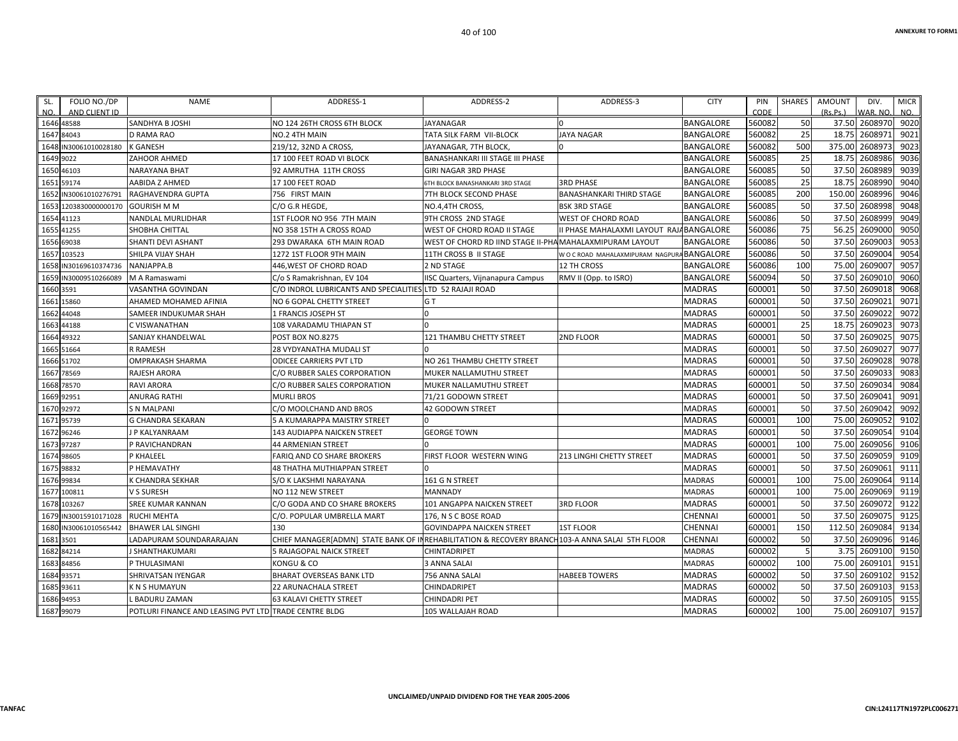| FOLIO NO./DP<br>SL.<br>NO.<br>AND CLIENT ID | <b>NAME</b>                                           | ADDRESS-1                                                                                        | ADDRESS-2                                               | ADDRESS-3                                   | <b>CITY</b>      | PIN<br>CODE | <b>SHARES</b>  | <b>AMOUNT</b><br>(Rs Ps) | DIV.<br>VAR, NO | <b>MICR</b><br>NO. |
|---------------------------------------------|-------------------------------------------------------|--------------------------------------------------------------------------------------------------|---------------------------------------------------------|---------------------------------------------|------------------|-------------|----------------|--------------------------|-----------------|--------------------|
| 1646 48588                                  | SANDHYA B JOSHI                                       | NO 124 26TH CROSS 6TH BLOCK                                                                      | <b>JAYANAGAR</b>                                        | $\Omega$                                    | <b>BANGALORE</b> | 560082      | 50             | 37.50                    | 2608970         | 9020               |
| 1647<br>84043                               | <b>D RAMA RAO</b>                                     | NO.2 4TH MAIN                                                                                    | TATA SILK FARM VII-BLOCK                                | <b>JAYA NAGAR</b>                           | BANGALORE        | 560082      | 25             | 18.75                    | 2608971         | 9021               |
| IN30061010028180<br>1648                    | <b>K GANESH</b>                                       | 219/12, 32ND A CROSS,                                                                            | JAYANAGAR, 7TH BLOCK,                                   |                                             | BANGALORE        | 560082      | 500            | 375.00                   | 2608973         | 9023               |
| 9022<br>1649                                | ZAHOOR AHMED                                          | 17 100 FEET ROAD VI BLOCK                                                                        | BANASHANKARI III STAGE III PHASE                        |                                             | BANGALORE        | 560085      | 25             | 18.75                    | 2608986         | 9036               |
| 1650<br>46103                               | <b>NARAYANA BHAT</b>                                  | 92 AMRUTHA 11TH CROSS                                                                            | GIRI NAGAR 3RD PHASE                                    |                                             | <b>BANGALORE</b> | 560085      | 50             | 37.50                    | 2608989         | 9039               |
| 59174<br>1651                               | AABIDA Z AHMED                                        | 17 100 FEET ROAD                                                                                 | 6TH BLOCK BANASHANKARI 3RD STAGE                        | <b>3RD PHASE</b>                            | BANGALORE        | 560085      | 25             | 18.75                    | 2608990         | 9040               |
| IN30061010276791<br>1652                    | RAGHAVENDRA GUPTA                                     | 756 FIRST MAIN                                                                                   | 7TH BLOCK SECOND PHASE                                  | <b>BANASHANKARI THIRD STAGE</b>             | <b>BANGALORE</b> | 560085      | 200            | 150.00                   | 2608996         | 9046               |
| 1653<br>1203830000000170                    | <b>GOURISH M M</b>                                    | C/O G.R HEGDE,                                                                                   | NO.4,4TH CROSS,                                         | <b>BSK 3RD STAGE</b>                        | BANGALORE        | 560085      | 50             | 37.50                    | 2608998         | 9048               |
| 1654 41123                                  | NANDLAL MURLIDHAR                                     | 1ST FLOOR NO 956 7TH MAIN                                                                        | 9TH CROSS 2ND STAGE                                     | WEST OF CHORD ROAD                          | BANGALORE        | 560086      | 50             | 37.50                    | 2608999         | 9049               |
| 41255<br>1655                               | SHOBHA CHITTAL                                        | NO 358 15TH A CROSS ROAD                                                                         | WEST OF CHORD ROAD II STAGE                             | I PHASE MAHALAXMI LAYOUT RAJABANGALORE      |                  | 560086      | 75             | 56.25                    | 2609000         | 905C               |
| 69038<br>1656                               | SHANTI DEVI ASHANT                                    | 293 DWARAKA 6TH MAIN ROAD                                                                        | WEST OF CHORD RD IIND STAGE II-PHAMAHALAXMIPURAM LAYOUT |                                             | BANGALORE        | 560086      | 50             | 37.50                    | 2609003         | 9053               |
| 103523<br>1657                              | SHILPA VIJAY SHAH                                     | 1272 1ST FLOOR 9TH MAIN                                                                          | 11TH CROSS B II STAGE                                   | W O C ROAD MAHALAXMIPURAM NAGPURA BANGALORE |                  | 560086      | 50             | 37.50                    | 2609004         | 9054               |
| IN30169610374736<br>1658                    | NANJAPPA.B                                            | 446, WEST OF CHORD ROAD                                                                          | 2 ND STAGE                                              | <b>12 TH CROSS</b>                          | <b>BANGALORE</b> | 560086      | 100            | 75.00                    | 2609007         | 9057               |
| 1659<br>IN30009510266089                    | M A Ramaswami                                         | C/o S Ramakrishnan, EV 104                                                                       | <b>IISC Quarters, Vijnanapura Campus</b>                | RMV II (Opp. to ISRO)                       | BANGALORE        | 560094      | 50             | 37.50                    | 2609010         | 9060               |
| 1660<br>3591                                | VASANTHA GOVINDAN                                     | C/O INDROL LUBRICANTS AND SPECIALITIES LTD 52 RAJAJI ROAD                                        |                                                         |                                             | <b>MADRAS</b>    | 600001      | 50             | 37.50                    | 2609018         | 9068               |
| 15860<br>1661                               | AHAMED MOHAMED AFINIA                                 | NO 6 GOPAL CHETTY STREET                                                                         | GT                                                      |                                             | <b>MADRAS</b>    | 600001      | 50             | 37.50                    | 2609021         | 9071               |
| 44048<br>1662                               | SAMEER INDUKUMAR SHAH                                 | 1 FRANCIS JOSEPH ST                                                                              |                                                         |                                             | <b>MADRAS</b>    | 600001      | 50             | 37.50                    | 2609022         | 9072               |
| 1663<br>44188                               | C VISWANATHAN                                         | 108 VARADAMU THIAPAN ST                                                                          |                                                         |                                             | MADRAS           | 600001      | 25             | 18.75                    | 2609023         | 9073               |
| 1664 49322                                  | SANJAY KHANDELWAL                                     | POST BOX NO.8275                                                                                 | 121 THAMBU CHETTY STREET                                | 2ND FLOOR                                   | MADRAS           | 600001      | 50             | 37.50                    | 2609025         | 9075               |
| 51664<br>1665                               | R RAMESH                                              | 28 VYDYANATHA MUDALI ST                                                                          |                                                         |                                             | <b>MADRAS</b>    | 600001      | 50             | 37.50                    | 2609027         | 9077               |
| 1666<br>51702                               | <b>OMPRAKASH SHARMA</b>                               | <b>ODICEE CARRIERS PVT LTD</b>                                                                   | NO 261 THAMBU CHETTY STREET                             |                                             | <b>MADRAS</b>    | 600001      | 50             | 37.50                    | 2609028         | 9078               |
| 78569<br>1667                               | <b>RAJESH ARORA</b>                                   | C/O RUBBER SALES CORPORATION                                                                     | <b>MUKER NALLAMUTHU STREET</b>                          |                                             | MADRAS           | 600001      | 50             | 37.50                    | 2609033         | 9083               |
| 78570<br>1668                               | <b>RAVI ARORA</b>                                     | C/O RUBBER SALES CORPORATION                                                                     | MUKER NALLAMUTHU STREET                                 |                                             | <b>MADRAS</b>    | 600001      | 50             | 37.50                    | 2609034         | 9084               |
| 1669<br>92951                               | <b>ANURAG RATHI</b>                                   | <b>MURLI BROS</b>                                                                                | 71/21 GODOWN STREET                                     |                                             | <b>MADRAS</b>    | 600001      | 50             | 37.50                    | 2609041         | 9091               |
| 92972<br>1670                               | <b>S N MALPANI</b>                                    | C/O MOOLCHAND AND BROS                                                                           | 42 GODOWN STREET                                        |                                             | <b>MADRAS</b>    | 600001      | 50             | 37.50                    | 2609042         | 9092               |
| 95739<br>1671                               | <b>G CHANDRA SEKARAN</b>                              | 5 A KUMARAPPA MAISTRY STREET                                                                     |                                                         |                                             | <b>MADRAS</b>    | 600001      | 100            | 75.00                    | 2609052         | 9102               |
| 1672<br>96246                               | J P KALYANRAAM                                        | 143 AUDIAPPA NAICKEN STREET                                                                      | <b>GEORGE TOWN</b>                                      |                                             | <b>MADRAS</b>    | 600001      | 50             | 37.50                    | 2609054         | 9104               |
| 1673 97287                                  | P RAVICHANDRAN                                        | 44 ARMENIAN STREET                                                                               |                                                         |                                             | MADRAS           | 600001      | 100            | 75.00                    | 2609056         | 9106               |
| 98605<br>1674                               | P KHALEEL                                             | FARIQ AND CO SHARE BROKERS                                                                       | FIRST FLOOR WESTERN WING                                | 213 LINGHI CHETTY STREET                    | <b>MADRAS</b>    | 600001      | 50             | 37.50                    | 2609059         | 9109               |
| 1675<br>98832                               | P HEMAVATHY                                           | 48 THATHA MUTHIAPPAN STREET                                                                      |                                                         |                                             | <b>MADRAS</b>    | 600001      | 50             | 37.50                    | 2609061         | 9111               |
| 1676 99834                                  | K CHANDRA SEKHAR                                      | S/O K LAKSHMI NARAYANA                                                                           | 161 G N STREET                                          |                                             | <b>MADRAS</b>    | 600001      | 100            | 75.00                    | 2609064         | 9114               |
| 100811<br>1677                              | V S SURESH                                            | NO 112 NEW STREET                                                                                | <b>MANNADY</b>                                          |                                             | <b>MADRAS</b>    | 600001      | 100            | 75.00                    | 2609069         | 9119               |
| 1678<br>103267                              | <b>SREE KUMAR KANNAN</b>                              | C/O GODA AND CO SHARE BROKERS                                                                    | <b>101 ANGAPPA NAICKEN STREET</b>                       | <b>3RD FLOOR</b>                            | MADRAS           | 600001      | 50             | 37.50                    | 2609072         | 9122               |
| 1679<br>IN30015910171028                    | <b>RUCHI MEHTA</b>                                    | C/O. POPULAR UMBRELLA MART                                                                       | 176, N S C BOSE ROAD                                    |                                             | CHENNAI          | 600001      | 50             | 37.50                    | 2609075         | 9125               |
| IN30061010565442<br>1680                    | <b>BHAWER LAL SINGHI</b>                              | 130                                                                                              | <b>GOVINDAPPA NAICKEN STREET</b>                        | <b>1ST FLOOR</b>                            | <b>CHENNAI</b>   | 600001      | 150            | 112.50                   | 2609084         | 9134               |
| 1681<br>3501                                | LADAPURAM SOUNDARARAJAN                               | CHIEF MANAGER[ADMN] STATE BANK OF IN REHABILITATION & RECOVERY BRANCH 103-A ANNA SALAI 5TH FLOOR |                                                         |                                             | CHENNAI          | 600002      | 50             | 37.50                    | 2609096         | 9146               |
| 1682 84214                                  | J SHANTHAKUMARI                                       | 5 RAJAGOPAL NAICK STREET                                                                         | CHINTADRIPET                                            |                                             | MADRAS           | 600002      | $\overline{5}$ | 3.75                     | 2609100         | 9150               |
| 84856<br>1683                               | P THULASIMANI                                         | KONGU & CO                                                                                       | <b>3 ANNA SALAI</b>                                     |                                             | <b>MADRAS</b>    | 600002      | 100            | 75.00                    | 2609101         | 9151               |
| 1684<br>93571                               | SHRIVATSAN IYENGAR                                    | <b>BHARAT OVERSEAS BANK LTD</b>                                                                  | 756 ANNA SALAI                                          | <b>HABEEB TOWERS</b>                        | <b>MADRAS</b>    | 600002      | 50             | 37.50                    | 2609102         | 9152               |
| 1685 93611                                  | <b>KNSHUMAYUN</b>                                     | 22 ARUNACHALA STREET                                                                             | CHINDADRIPET                                            |                                             | MADRAS           | 600002      | 50             | 37.50                    | 2609103         | 9153               |
| 1686 94953                                  | L BADURU ZAMAN                                        | <b>63 KALAVI CHETTY STREET</b>                                                                   | CHINDADRI PET                                           |                                             | <b>MADRAS</b>    | 600002      | 50             | 37.50                    | 2609105         | 9155               |
| 1687 99079                                  | POTLURI FINANCE AND LEASING PVT LTD TRADE CENTRE BLDG |                                                                                                  | 105 WALLAJAH ROAD                                       |                                             | <b>MADRAS</b>    | 600002      | 100            |                          | 75.00 2609107   | 9157               |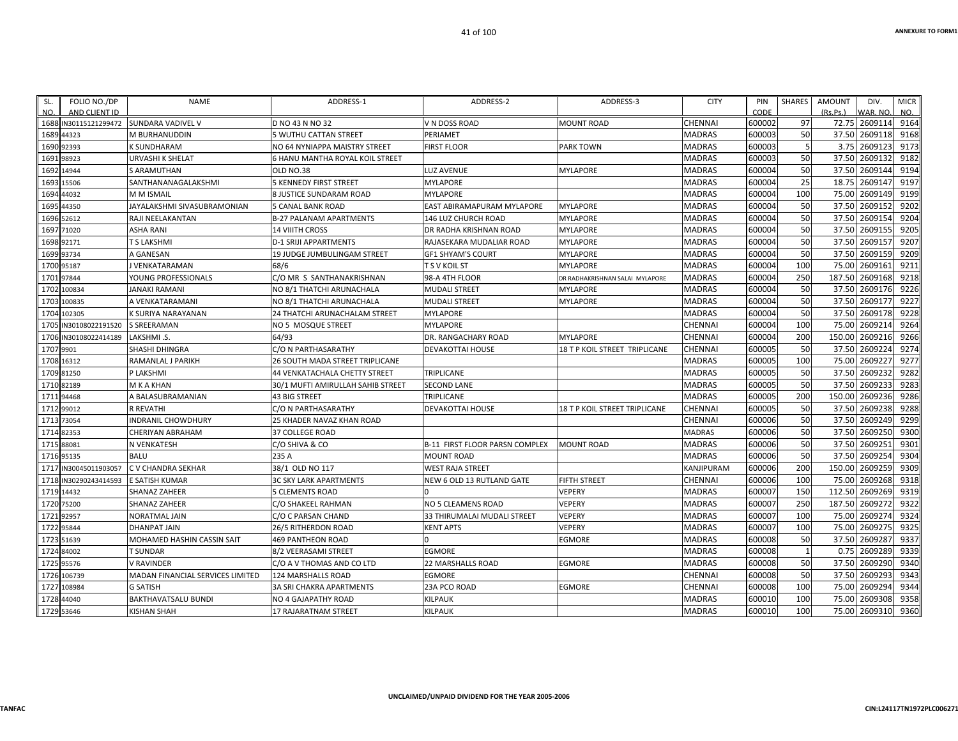| FOLIO NO./DP<br>SL.<br>AND CLIENT ID<br>NO. | <b>NAME</b>                      | ADDRESS-1                          | ADDRESS-2                             | ADDRESS-3                       | <b>CITY</b>    | PIN<br>CODE | <b>SHARES</b> | <b>AMOUNT</b><br>(Rs, Ps.) | DIV.<br>VAR. NO | <b>MICR</b><br>NO. |
|---------------------------------------------|----------------------------------|------------------------------------|---------------------------------------|---------------------------------|----------------|-------------|---------------|----------------------------|-----------------|--------------------|
| 1688 IN30115121299472                       | SUNDARA VADIVEL V                | D NO 43 N NO 32                    | V N DOSS ROAD                         | <b>MOUNT ROAD</b>               | <b>CHENNAI</b> | 600002      | 97            | 72.75                      | 2609114         | 9164               |
| 1689<br>44323                               | M BURHANUDDIN                    | <b>5 WUTHU CATTAN STREET</b>       | PERIAMET                              |                                 | <b>MADRAS</b>  | 600003      | 50            | 37.50                      | 2609118         | 9168               |
| 92393<br>1690                               | K SUNDHARAM                      | NO 64 NYNIAPPA MAISTRY STREET      | <b>FIRST FLOOR</b>                    | <b>PARK TOWN</b>                | <b>MADRAS</b>  | 600003      |               | 3.75                       | 2609123         | 9173               |
| 1691<br>98923                               | <b>URVASHI K SHELAT</b>          | 6 HANU MANTHA ROYAL KOIL STREET    |                                       |                                 | <b>MADRAS</b>  | 600003      | 50            | 37.50                      | 2609132         | 9182               |
| 1692<br>14944                               | <b>S ARAMUTHAN</b>               | OLD NO.38                          | <b>LUZ AVENUE</b>                     | <b>MYLAPORE</b>                 | <b>MADRAS</b>  | 600004      | 50            | 37.50                      | 2609144         | 9194               |
| 1693 15506                                  | SANTHANANAGALAKSHMI              | 5 KENNEDY FIRST STREET             | <b>MYLAPORE</b>                       |                                 | <b>MADRAS</b>  | 600004      | 25            | 18.75                      | 2609147         | 9197               |
| 1694<br>44032                               | M M ISMAIL                       | <b>8 JUSTICE SUNDARAM ROAD</b>     | <b>MYLAPORE</b>                       |                                 | <b>MADRAS</b>  | 600004      | 100           | 75.00                      | 2609149         | 9199               |
| 169<br>44350                                | JAYALAKSHMI SIVASUBRAMONIAN      | <b>5 CANAL BANK ROAD</b>           | EAST ABIRAMAPURAM MYLAPORE            | <b>MYLAPORE</b>                 | <b>MADRAS</b>  | 600004      | 50            | 37.50                      | 2609152         | 9202               |
| 1696 52612                                  | RAJI NEELAKANTAN                 | <b>B-27 PALANAM APARTMENTS</b>     | 146 LUZ CHURCH ROAD                   | <b>MYLAPORE</b>                 | <b>MADRAS</b>  | 600004      | 50            | 37.50                      | 2609154         | 9204               |
| 71020<br>1697                               | <b>ASHA RANI</b>                 | <b>14 VIIITH CROSS</b>             | DR RADHA KRISHNAN ROAD                | <b>MYLAPORE</b>                 | <b>MADRAS</b>  | 600004      | 50            | 37.50                      | 2609155         | 9205               |
| 1698<br>92171                               | T S LAKSHMI                      | <b>D-1 SRIJI APPARTMENTS</b>       | RAJASEKARA MUDALIAR ROAD              | <b>MYLAPORE</b>                 | <b>MADRAS</b>  | 600004      | 50            | 37.50                      | 2609157         | 9207               |
| 1699 93734                                  | A GANESAN                        | <b>19 JUDGE JUMBULINGAM STREET</b> | <b>GF1 SHYAM'S COURT</b>              | <b>MYLAPORE</b>                 | <b>MADRAS</b>  | 600004      | 50            | 37.50                      | 2609159         | 9209               |
| 1700 95187                                  | J VENKATARAMAN                   | 68/6                               | T S V KOIL ST                         | <b>MYLAPORE</b>                 | <b>MADRAS</b>  | 600004      | 100           | 75.00                      | 2609161         | 9211               |
| 97844<br>1701                               | YOUNG PROFESSIONALS              | C/O MR S SANTHANAKRISHNAN          | 98-A 4TH FLOOR                        | DR RADHAKRISHNAN SALAI MYLAPORE | <b>MADRAS</b>  | 600004      | 250           | 187.50                     | 2609168         | 9218               |
| 100834<br>1702                              | <b>JANAKI RAMANI</b>             | NO 8/1 THATCHI ARUNACHALA          | <b>MUDALI STREET</b>                  | <b>MYLAPORE</b>                 | <b>MADRAS</b>  | 600004      | 50            | 37.50                      | 2609176         | 9226               |
| 1703<br>100835                              | A VENKATARAMANI                  | NO 8/1 THATCHI ARUNACHALA          | <b>MUDALI STREET</b>                  | <b>MYLAPORE</b>                 | <b>MADRAS</b>  | 600004      | 50            | 37.50                      | 2609177         | 9227               |
| 102305<br>1704                              | K SURIYA NARAYANAN               | 24 THATCHI ARUNACHALAM STREET      | <b>MYLAPORE</b>                       |                                 | <b>MADRAS</b>  | 600004      | 50            | 37.50                      | 2609178         | 9228               |
| 1705 IN30108022191520                       | <b>S SREERAMAN</b>               | NO 5 MOSQUE STREET                 | <b>MYLAPORE</b>                       |                                 | <b>CHENNAI</b> | 600004      | 100           | 75.00                      | 2609214         | 9264               |
| 1706<br>IN30108022414189                    | LAKSHMI .S.                      | 64/93                              | DR. RANGACHARY ROAD                   | <b>MYLAPORE</b>                 | <b>CHENNAI</b> | 600004      | 200           | 150.00                     | 2609216         | 9266               |
| 1707<br>9901                                | SHASHI DHINGRA                   | C/O N PARTHASARATHY                | <b>DEVAKOTTAI HOUSE</b>               | 18 T P KOIL STREET TRIPLICANE   | <b>CHENNAI</b> | 600005      | 50            | 37.50                      | 2609224         | 9274               |
| 1708 16312                                  | RAMANLAL J PARIKH                | 26 SOUTH MADA STREET TRIPLICANE    |                                       |                                 | <b>MADRAS</b>  | 600005      | 100           | 75.00                      | 2609227         | 9277               |
| 1709 81250                                  | P LAKSHMI                        | 44 VENKATACHALA CHETTY STREET      | <b>TRIPLICANE</b>                     |                                 | <b>MADRAS</b>  | 600005      | 50            | 37.50                      | 2609232         | 9282               |
| 82189<br>1710                               | M K A KHAN                       | 30/1 MUFTI AMIRULLAH SAHIB STREET  | <b>SECOND LANE</b>                    |                                 | <b>MADRAS</b>  | 600005      | 50            | 37.50                      | 2609233         | 9283               |
| 1711<br>94468                               | A BALASUBRAMANIAN                | <b>43 BIG STREET</b>               | <b>TRIPLICANE</b>                     |                                 | <b>MADRAS</b>  | 600005      | 200           | 150.00                     | 2609236         | 9286               |
| 99012<br>1712                               | <b>R REVATHI</b>                 | C/O N PARTHASARATHY                | <b>DEVAKOTTAI HOUSE</b>               | 18 T P KOIL STREET TRIPLICANE   | CHENNAI        | 600005      | 50            | 37.50                      | 2609238         | 9288               |
| 73054<br>1713                               | <b>INDRANIL CHOWDHURY</b>        | 25 KHADER NAVAZ KHAN ROAD          |                                       |                                 | <b>CHENNAI</b> | 600006      | 50            | 37.50                      | 2609249         | 9299               |
| 1714<br>82353                               | <b>CHERIYAN ABRAHAM</b>          | 37 COLLEGE ROAD                    |                                       |                                 | <b>MADRAS</b>  | 600006      | 50            | 37.50                      | 2609250         | 9300               |
| 1715 88081                                  | N VENKATESH                      | C/O SHIVA & CO                     | <b>B-11 FIRST FLOOR PARSN COMPLEX</b> | <b>MOUNT ROAD</b>               | <b>MADRAS</b>  | 600006      | 50            | 37.50                      | 2609251         | 9301               |
| 95135<br>1716                               | <b>BALU</b>                      | 235 A                              | <b>MOUNT ROAD</b>                     |                                 | <b>MADRAS</b>  | 600006      | 50            | 37.50                      | 2609254         | 9304               |
| IN30045011903057<br>1717                    | C V CHANDRA SEKHAR               | 38/1 OLD NO 117                    | <b>WEST RAJA STREET</b>               |                                 | KANJIPURAM     | 600006      | 200           | 150.00                     | 2609259         | 9309               |
| 1718<br>IN30290243414593                    | E SATISH KUMAR                   | <b>3C SKY LARK APARTMENTS</b>      | NEW 6 OLD 13 RUTLAND GATE             | <b>FIFTH STREET</b>             | CHENNAI        | 600006      | 100           | 75.00                      | 2609268         | 9318               |
| 14432<br>1719                               | SHANAZ ZAHEER                    | <b>5 CLEMENTS ROAD</b>             |                                       | <b>VEPERY</b>                   | <b>MADRAS</b>  | 600007      | 150           | 112.50                     | 2609269         | 9319               |
| 1720<br>75200                               | <b>SHANAZ ZAHEER</b>             | C/O SHAKEEL RAHMAN                 | NO 5 CLEAMENS ROAD                    | <b>VEPERY</b>                   | <b>MADRAS</b>  | 600007      | 250           | 187.50                     | 2609272         | 9322               |
| 1721 92957                                  | <b>NORATMAL JAIN</b>             | C/O C PARSAN CHAND                 | 33 THIRUMALAI MUDALI STREET           | VEPERY                          | <b>MADRAS</b>  | 600007      | 100           | 75.00                      | 2609274         | 9324               |
| 1722 95844                                  | <b>DHANPAT JAIN</b>              | <b>26/5 RITHERDON ROAD</b>         | <b>KENT APTS</b>                      | <b>VEPERY</b>                   | <b>MADRAS</b>  | 600007      | 100           | 75.00                      | 2609275         | 9325               |
| 1723<br>51639                               | MOHAMED HASHIN CASSIN SAIT       | <b>469 PANTHEON ROAD</b>           |                                       | <b>EGMORE</b>                   | <b>MADRAS</b>  | 600008      | 50            | 37.50                      | 2609287         | 9337               |
| 1724 84002                                  | T SUNDAR                         | 8/2 VEERASAMI STREET               | <b>EGMORE</b>                         |                                 | <b>MADRAS</b>  | 600008      | -1            | 0.75                       | 2609289         | 9339               |
| 1725 95576                                  | <b>V RAVINDER</b>                | C/O A V THOMAS AND CO LTD          | <b>22 MARSHALLS ROAD</b>              | <b>EGMORE</b>                   | <b>MADRAS</b>  | 600008      | 50            | 37.50                      | 2609290         | 9340               |
| 1726<br>106739                              | MADAN FINANCIAL SERVICES LIMITED | 124 MARSHALLS ROAD                 | <b>EGMORE</b>                         |                                 | CHENNAI        | 600008      | 50            | 37.50                      | 2609293         | 9343               |
| 1727<br>108984                              | <b>G SATISH</b>                  | <b>3A SRI CHAKRA APARTMENTS</b>    | 23A PCO ROAD                          | <b>EGMORE</b>                   | CHENNAI        | 600008      | 100           | 75.00                      | 2609294         | 9344               |
| 1728<br>44040                               | <b>BAKTHAVATSALU BUNDI</b>       | <b>NO 4 GAJAPATHY ROAD</b>         | <b>KILPAUK</b>                        |                                 | <b>MADRAS</b>  | 600010      | 100           | 75.00                      | 2609308         | 9358               |
| 1729 53646                                  | <b>KISHAN SHAH</b>               | 17 RAJARATNAM STREET               | <b>KILPAUK</b>                        |                                 | <b>MADRAS</b>  | 600010      | 100           |                            | 75.00 2609310   | 9360               |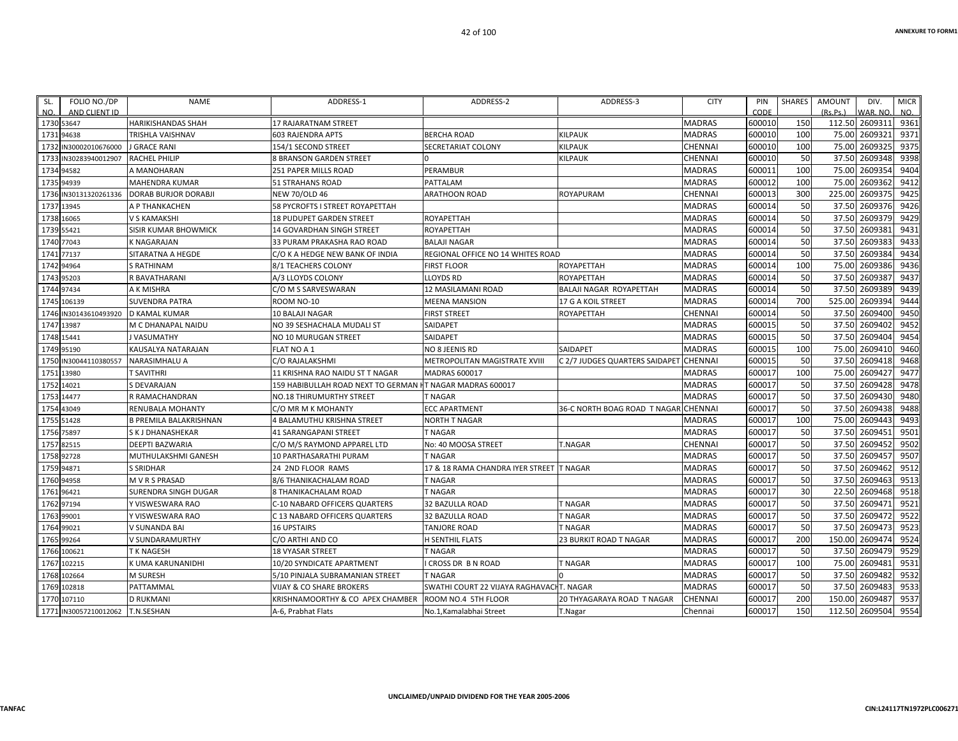| SL.        | FOLIO NO./DP          | <b>NAME</b>                   | ADDRESS-1                          | ADDRESS-2                                | ADDRESS-3                      | <b>CITY</b>    | PIN    | <b>SHARES</b> | AMOUNT   | DIV.     | <b>MICR</b> |
|------------|-----------------------|-------------------------------|------------------------------------|------------------------------------------|--------------------------------|----------------|--------|---------------|----------|----------|-------------|
| NO.        | AND CLIENT ID         |                               |                                    |                                          |                                |                | CODE   |               | (Rs.Ps.) | VAR. NO. | NO.         |
| 1730 53647 |                       | HARIKISHANDAS SHAH            | <b>17 RAJARATNAM STREET</b>        |                                          |                                | <b>MADRAS</b>  | 600010 | 150           | 112.50   | 2609311  | 9361        |
| 1731 94638 |                       | TRISHLA VAISHNAV              | <b>603 RAJENDRA APTS</b>           | <b>BERCHA ROAD</b>                       | <b>KILPAUK</b>                 | <b>MADRAS</b>  | 600010 | 100           | 75.00    | 2609321  | 9371        |
|            | 1732 IN30002010676000 | J GRACE RANI                  | 154/1 SECOND STREET                | SECRETARIAT COLONY                       | KILPAUK                        | CHENNAI        | 600010 | 100           | 75.00    | 2609325  | 9375        |
|            | 1733 IN30283940012907 | <b>RACHEL PHILIP</b>          | <b>8 BRANSON GARDEN STREET</b>     |                                          | KILPAUK                        | CHENNAI        | 600010 | 50            | 37.50    | 2609348  | 9398        |
| 1734 94582 |                       | A MANOHARAN                   | 251 PAPER MILLS ROAD               | PERAMBUR                                 |                                | <b>MADRAS</b>  | 600011 | 100           | 75.00    | 2609354  | 9404        |
| 1735 94939 |                       | MAHENDRA KUMAR                | 51 STRAHANS ROAD                   | PATTALAM                                 |                                | <b>MADRAS</b>  | 600012 | 100           | 75.00    | 2609362  | 9412        |
|            | 1736 IN30131320261336 | <b>DORAB BURJOR DORABJI</b>   | NEW 70/OLD 46                      | <b>ARATHOON ROAD</b>                     | <b>ROYAPURAM</b>               | CHENNAI        | 600013 | 300           | 225.00   | 2609375  | 9425        |
| 1737 13945 |                       | A P THANKACHEN                | 58 PYCROFTS I STREET ROYAPETTAH    |                                          |                                | <b>MADRAS</b>  | 600014 | 50            | 37.50    | 2609376  | 9426        |
| 1738 16065 |                       | V S KAMAKSHI                  | <b>18 PUDUPET GARDEN STREET</b>    | ROYAPETTAH                               |                                | <b>MADRAS</b>  | 600014 | 50            | 37.50    | 2609379  | 9429        |
| 1739 55421 |                       | SISIR KUMAR BHOWMICK          | 14 GOVARDHAN SINGH STREET          | ROYAPETTAH                               |                                | <b>MADRAS</b>  | 600014 | 50            | 37.50    | 2609381  | 9431        |
| 1740 77043 |                       | K NAGARAJAN                   | 33 PURAM PRAKASHA RAO ROAD         | <b>BALAJI NAGAR</b>                      |                                | <b>MADRAS</b>  | 600014 | 50            | 37.50    | 2609383  | 9433        |
| 1741 77137 |                       | SITARATNA A HEGDE             | C/O K A HEDGE NEW BANK OF INDIA    | REGIONAL OFFICE NO 14 WHITES ROAD        |                                | <b>MADRAS</b>  | 600014 | 50            | 37.50    | 2609384  | 9434        |
| 1742 94964 |                       | S RATHINAM                    | 8/1 TEACHERS COLONY                | <b>FIRST FLOOR</b>                       | <b>ROYAPETTAH</b>              | <b>MADRAS</b>  | 600014 | 100           | 75.00    | 2609386  | 9436        |
| 1743 95203 |                       | R BAVATHARANI                 | A/3 LLOYDS COLONY                  | <b>LLOYDS RD</b>                         | ROYAPETTAH                     | <b>MADRAS</b>  | 600014 | 50            | 37.50    | 2609387  | 9437        |
| 1744 97434 |                       | A K MISHRA                    | C/O M S SARVESWARAN                | 12 MASILAMANI ROAD                       | BALAJI NAGAR ROYAPETTAH        | <b>MADRAS</b>  | 600014 | 50            | 37.50    | 2609389  | 9439        |
|            | 1745 106139           | <b>SUVENDRA PATRA</b>         | ROOM NO-10                         | <b>MEENA MANSION</b>                     | 17 G A KOIL STREET             | <b>MADRAS</b>  | 600014 | 700           | 525.00   | 2609394  | 9444        |
|            | 1746 IN30143610493920 | <b>D KAMAL KUMAR</b>          | <b>10 BALAJI NAGAR</b>             | <b>FIRST STREET</b>                      | ROYAPETTAH                     | CHENNAI        | 600014 | 50            | 37.50    | 2609400  | 9450        |
| 1747 13987 |                       | M C DHANAPAL NAIDU            | NO 39 SESHACHALA MUDALI ST         | SAIDAPET                                 |                                | <b>MADRAS</b>  | 600015 | 50            | 37.50    | 2609402  | 9452        |
| 1748 15441 |                       | <b>VASUMATHY</b>              | NO 10 MURUGAN STREET               | SAIDAPET                                 |                                | <b>MADRAS</b>  | 600015 | 50            | 37.50    | 2609404  | 9454        |
| 1749 95190 |                       | KAUSALYA NATARAJAN            | FLAT NO A 1                        | NO 8 JEENIS RD                           | <b>SAIDAPET</b>                | <b>MADRAS</b>  | 600015 | 100           | 75.00    | 2609410  | 9460        |
|            | 1750 IN30044110380557 | <b>NARASIMHALU A</b>          | C/O RAJALAKSHMI                    | METROPOLITAN MAGISTRATE XVIII            | C 2/7 JUDGES QUARTERS SAIDAPET | <b>CHENNAI</b> | 600015 | 50            | 37.50    | 2609418  | 9468        |
| 1751 13980 |                       | T SAVITHRI                    | 11 KRISHNA RAO NAIDU ST T NAGAR    | <b>MADRAS 600017</b>                     |                                | <b>MADRAS</b>  | 600017 | 100           | 75.00    | 2609427  | 9477        |
| 1752 14021 |                       | S DEVARAJAN                   | 159 HABIBULLAH ROAD NEXT TO GERMAN | T NAGAR MADRAS 600017                    |                                | <b>MADRAS</b>  | 600017 | 50            | 37.50    | 2609428  | 9478        |
| 1753 14477 |                       | R RAMACHANDRAN                | NO.18 THIRUMURTHY STREET           | T NAGAR                                  |                                | <b>MADRAS</b>  | 600017 | 50            | 37.50    | 2609430  | 9480        |
| 1754 43049 |                       | RENUBALA MOHANTY              | C/O MR M K MOHANTY                 | <b>ECC APARTMENT</b>                     | 36-C NORTH BOAG ROAD T NAGAR   | CHENNAI        | 600017 | 50            | 37.50    | 2609438  | 9488        |
| 1755 51428 |                       | <b>B PREMILA BALAKRISHNAN</b> | 4 BALAMUTHU KRISHNA STREET         | NORTH T NAGAR                            |                                | <b>MADRAS</b>  | 600017 | 100           | 75.00    | 2609443  | 9493        |
| 1756 75897 |                       | S K J DHANASHEKAR             | <b>41 SARANGAPANI STREET</b>       | <b>T NAGAR</b>                           |                                | <b>MADRAS</b>  | 600017 | 50            | 37.50    | 2609451  | 9501        |
| 1757 82515 |                       | DEEPTI BAZWARIA               | C/O M/S RAYMOND APPAREL LTD        | No: 40 MOOSA STREET                      | <b>T.NAGAR</b>                 | CHENNAI        | 600017 | 50            | 37.50    | 2609452  | 9502        |
| 1758 92728 |                       | MUTHULAKSHMI GANESH           | 10 PARTHASARATHI PURAM             | <b>T NAGAR</b>                           |                                | <b>MADRAS</b>  | 600017 | 50            | 37.50    | 2609457  | 9507        |
| 1759 94871 |                       | <b>S SRIDHAR</b>              | 24 2ND FLOOR RAMS                  | 17 & 18 RAMA CHANDRA IYER STREET T NAGAR |                                | <b>MADRAS</b>  | 600017 | 50            | 37.50    | 2609462  | 9512        |
| 1760 94958 |                       | M V R S PRASAD                | 8/6 THANIKACHALAM ROAD             | <b>T NAGAR</b>                           |                                | <b>MADRAS</b>  | 600017 | 50            | 37.50    | 2609463  | 9513        |
| 1761 96421 |                       | SURENDRA SINGH DUGAR          | 8 THANIKACHALAM ROAD               | <b>T NAGAR</b>                           |                                | <b>MADRAS</b>  | 600017 | 30            | 22.50    | 2609468  | 9518        |
| 1762 97194 |                       | Y VISWESWARA RAO              | C-10 NABARD OFFICERS QUARTERS      | 32 BAZULLA ROAD                          | <b>T NAGAR</b>                 | <b>MADRAS</b>  | 600017 | 50            | 37.50    | 2609471  | 9521        |
| 1763 99001 |                       | Y VISWESWARA RAO              | C 13 NABARD OFFICERS QUARTERS      | 32 BAZULLA ROAD                          | T NAGAR                        | <b>MADRAS</b>  | 600017 | 50            | 37.50    | 2609472  | 9522        |
| 1764 99021 |                       | V SUNANDA BAI                 | <b>16 UPSTAIRS</b>                 | <b>TANJORE ROAD</b>                      | <b>TNAGAR</b>                  | <b>MADRAS</b>  | 600017 | 50            | 37.50    | 2609473  | 9523        |
| 1765 99264 |                       | V SUNDARAMURTHY               | C/O ARTHI AND CO                   | H SENTHIL FLATS                          | 23 BURKIT ROAD T NAGAR         | <b>MADRAS</b>  | 600017 | 200           | 150.00   | 2609474  | 9524        |
|            | 1766 100621           | <b>TK NAGESH</b>              | 18 VYASAR STREET                   | <b>T NAGAR</b>                           |                                | <b>MADRAS</b>  | 600017 | 50            | 37.50    | 2609479  | 9529        |
|            | 1767 102215           | K UMA KARUNANIDHI             | 10/20 SYNDICATE APARTMENT          | CROSS DR B N ROAD                        | T NAGAR                        | <b>MADRAS</b>  | 600017 | 100           | 75.00    | 2609481  | 9531        |
|            | 1768 102664           | <b>M SURESH</b>               | 5/10 PINJALA SUBRAMANIAN STREET    | <b>T NAGAR</b>                           | $\cap$                         | <b>MADRAS</b>  | 600017 | 50            | 37.50    | 2609482  | 9532        |
|            | 1769 102818           | PATTAMMAL                     | VIJAY & CO SHARE BROKERS           | SWATHI COURT 22 VIJAYA RAGHAVACH         | T. NAGAR                       | <b>MADRAS</b>  | 600017 | 50            | 37.50    | 2609483  | 9533        |
|            | 1770 107110           | D RUKMANI                     | KRISHNAMOORTHY & CO APEX CHAMBER   | ROOM NO.4 5TH FLOOR                      | 20 THYAGARAYA ROAD T NAGAR     | CHENNAI        | 600017 | 200           | 150.00   | 2609487  | 9537        |
|            | 1771 IN30057210012062 | <b>T.N.SESHAN</b>             | A-6, Prabhat Flats                 | No.1, Kamalabhai Street                  | T.Nagar                        | Chennai        | 600017 | 150           | 112.50   | 2609504  | 9554        |
|            |                       |                               |                                    |                                          |                                |                |        |               |          |          |             |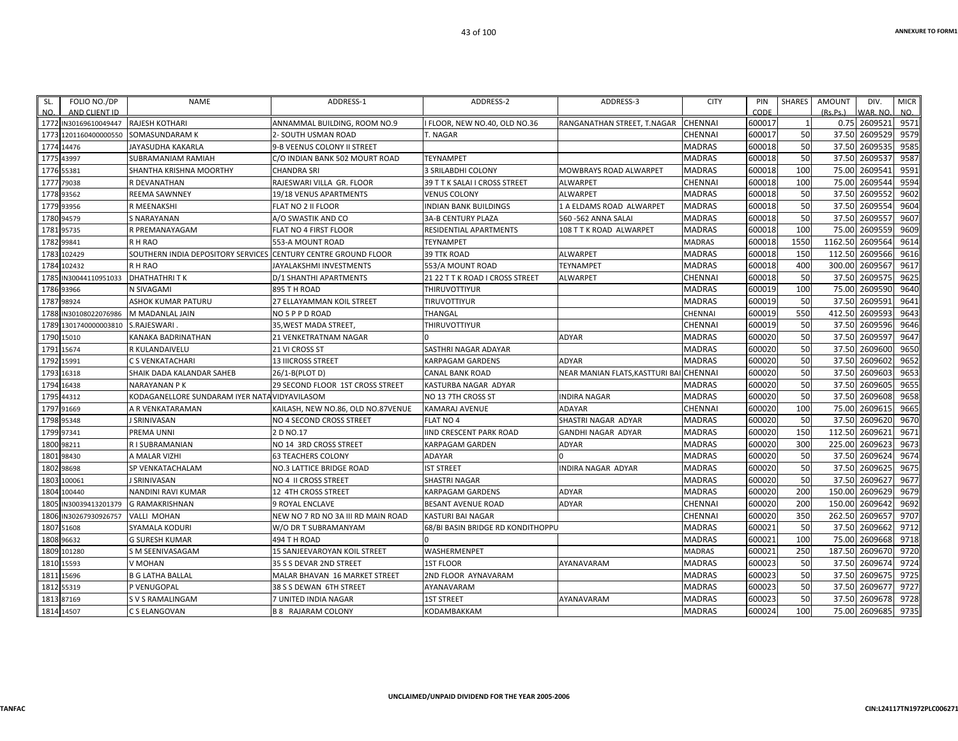| FOLIO NO./DP<br>SL.   | NAME                                          | ADDRESS-1                          | ADDRESS-2                         | ADDRESS-3                     | <b>CITY</b>    | PIN    | SHARES       | <b>AMOUNT</b> | DIV.            | <b>MICR</b> |
|-----------------------|-----------------------------------------------|------------------------------------|-----------------------------------|-------------------------------|----------------|--------|--------------|---------------|-----------------|-------------|
| NO.<br>AND CLIENT ID  |                                               |                                    |                                   |                               |                | CODE   |              | (Rs.Ps.)      | WAR. NO.        | NO.         |
| 1772 IN30169610049447 | <b>RAJESH KOTHARI</b>                         | ANNAMMAL BUILDING, ROOM NO.9       | I FLOOR, NEW NO.40, OLD NO.36     | RANGANATHAN STREET, T.NAGAR   | <b>CHENNAI</b> | 600017 | $\mathbf{1}$ |               | 0.75 2609521    | 9571        |
| 1773 1201160400000550 | SOMASUNDARAM K                                | 2- SOUTH USMAN ROAD                | T. NAGAR                          |                               | CHENNAI        | 600017 | 50           |               | 37.50 2609529   | 9579        |
| 1774 14476            | JAYASUDHA KAKARLA                             | 9-B VEENUS COLONY II STREET        |                                   |                               | <b>MADRAS</b>  | 600018 | 50           |               | 37.50 2609535   | 9585        |
| 1775 43997            | SUBRAMANIAM RAMIAH                            | C/O INDIAN BANK 502 MOURT ROAD     | <b>TEYNAMPET</b>                  |                               | <b>MADRAS</b>  | 600018 | 50           |               | 37.50 2609537   | 9587        |
| 1776 55381            | SHANTHA KRISHNA MOORTHY                       | CHANDRA SRI                        | <b>3 SRILABDHI COLONY</b>         | <b>MOWBRAYS ROAD ALWARPET</b> | <b>MADRAS</b>  | 600018 | 100          | 75.00         | 2609541         | 9591        |
| 1777 79038            | R DEVANATHAN                                  | RAJESWARI VILLA GR. FLOOR          | 39 T T K SALAI I CROSS STREET     | <b>ALWARPET</b>               | CHENNAI        | 600018 | 100          | 75.00         | 2609544         | 9594        |
| 1778 93562            | <b>REEMA SAWNNEY</b>                          | 19/18 VENUS APARTMENTS             | <b>VENUS COLONY</b>               | <b>ALWARPET</b>               | <b>MADRAS</b>  | 600018 | 50           | 37.50         | 2609552         | 9602        |
| 1779 93956            | <b>R MEENAKSHI</b>                            | FLAT NO 2 II FLOOR                 | <b>INDIAN BANK BUILDINGS</b>      | 1 A ELDAMS ROAD ALWARPET      | <b>MADRAS</b>  | 600018 | 50           |               | 37.50 2609554   | 9604        |
| 1780 94579            | <b>S NARAYANAN</b>                            | A/O SWASTIK AND CO                 | <b>3A-B CENTURY PLAZA</b>         | 560 - 562 ANNA SALAI          | <b>MADRAS</b>  | 600018 | 50           |               | 37.50 2609557   | 9607        |
| 1781 95735            | R PREMANAYAGAM                                | FLAT NO 4 FIRST FLOOR              | RESIDENTIAL APARTMENTS            | 108 T T K ROAD ALWARPET       | <b>MADRAS</b>  | 600018 | 100          |               | 75.00 2609559   | 9609        |
| 1782 99841            | R H RAO                                       | 553-A MOUNT ROAD                   | <b>TEYNAMPET</b>                  |                               | MADRAS         | 600018 | 1550         |               | 1162.50 2609564 | 9614        |
| 1783 102429           | SOUTHERN INDIA DEPOSITORY SERVICES            | <b>CENTURY CENTRE GROUND FLOOR</b> | <b>39 TTK ROAD</b>                | <b>ALWARPET</b>               | <b>MADRAS</b>  | 600018 | 150          |               | 112.50 2609566  | 9616        |
| 1784 102432           | R H RAO                                       | JAYALAKSHMI INVESTMENTS            | 553/A MOUNT ROAD                  | <b>TEYNAMPET</b>              | <b>MADRAS</b>  | 600018 | 400          | 300.00        | 2609567         | 9617        |
| 1785 IN30044110951033 | <b>DHATHATHRITK</b>                           | D/1 SHANTHI APARTMENTS             | 21 22 T T K ROAD I CROSS STREET   | <b>ALWARPET</b>               | CHENNAI        | 600018 | 50           |               | 37.50 2609575   | 9625        |
| 1786 93966            | N SIVAGAMI                                    | 895 TH ROAD                        | THIRUVOTTIYUR                     |                               | <b>MADRAS</b>  | 600019 | 100          |               | 75.00 2609590   | 9640        |
| 1787 98924            | ASHOK KUMAR PATURU                            | 27 ELLAYAMMAN KOIL STREET          | TIRUVOTTIYUR                      |                               | MADRAS         | 600019 | 50           |               | 37.50 2609591   | 9641        |
| 1788 IN30108022076986 | M MADANLAL JAIN                               | NO 5 P P D ROAD                    | THANGAL                           |                               | CHENNAI        | 600019 | 550          |               | 412.50 2609593  | 9643        |
| 1789 1301740000003810 | S.RAJESWARI                                   | 35, WEST MADA STREET,              | THIRUVOTTIYUR                     |                               | CHENNAI        | 600019 | 50           |               | 37.50 2609596   | 9646        |
| 1790 15010            | KANAKA BADRINATHAN                            | <b>21 VENKETRATNAM NAGAR</b>       |                                   | <b>ADYAR</b>                  | <b>MADRAS</b>  | 600020 | 50           |               | 37.50 2609597   | 9647        |
| 1791 15674            | R KULANDAIVELU                                | 21 VI CROSS ST                     | SASTHRI NAGAR ADAYAR              |                               | MADRAS         | 600020 | 50           |               | 37.50 2609600   | 9650        |
| 1792 15991            | C S VENKATACHARI                              | <b>13 IIICROSS STREET</b>          | KARPAGAM GARDENS                  | <b>ADYAR</b>                  | <b>MADRAS</b>  | 600020 | 50           |               | 37.50 2609602   | 9652        |
| 1793 16318            | SHAIK DADA KALANDAR SAHEB                     | 26/1-B(PLOT D)                     | <b>CANAL BANK ROAD</b>            | NEAR MANIAN FLATS.KASTTURI BA | <b>CHENNAI</b> | 600020 | 50           |               | 37.50 2609603   | 9653        |
| 1794 16438            | <b>NARAYANAN PK</b>                           | 29 SECOND FLOOR 1ST CROSS STREET   | KASTURBA NAGAR ADYAR              |                               | MADRAS         | 600020 | 50           | 37.50         | 2609605         | 9655        |
| 1795 44312            | KODAGANELLORE SUNDARAM IYER NATA VIDYAVILASOM |                                    | NO 13 7TH CROSS ST                | <b>INDIRA NAGAR</b>           | MADRAS         | 600020 | 50           |               | 37.50 2609608   | 9658        |
| 1797 91669            | A R VENKATARAMAN                              | KAILASH, NEW NO.86, OLD NO.87VENUE | <b>KAMARAJ AVENUE</b>             | <b>ADAYAR</b>                 | CHENNAI        | 600020 | 100          | 75.00         | 2609615         | 9665        |
| 1798 95348            | J SRINIVASAN                                  | NO 4 SECOND CROSS STREET           | <b>FLAT NO 4</b>                  | SHASTRI NAGAR ADYAR           | MADRAS         | 600020 | 50           |               | 37.50 2609620   | 9670        |
| 1799 97341            | PREMA UNNI                                    | 2 D NO.17                          | <b>IIND CRESCENT PARK ROAD</b>    | <b>GANDHI NAGAR ADYAR</b>     | <b>MADRAS</b>  | 600020 | 150          |               | 112.50 2609621  | 9671        |
| 1800 98211            | R I SUBRAMANIAN                               | NO 14 3RD CROSS STREET             | KARPAGAM GARDEN                   | ADYAR                         | <b>MADRAS</b>  | 600020 | 300          |               | 225.00 2609623  | 9673        |
| 1801 98430            | A MALAR VIZHI                                 | <b>63 TEACHERS COLONY</b>          | <b>ADAYAR</b>                     |                               | <b>MADRAS</b>  | 600020 | 50           | 37.50         | 2609624         | 9674        |
| 1802 98698            | SP VENKATACHALAM                              | NO.3 LATTICE BRIDGE ROAD           | <b>IST STREET</b>                 | INDIRA NAGAR ADYAR            | <b>MADRAS</b>  | 600020 | 50           |               | 37.50 2609625   | 9675        |
| 1803 100061           | J SRINIVASAN                                  | NO 4 II CROSS STREET               | SHASTRI NAGAR                     |                               | <b>MADRAS</b>  | 600020 | 50           |               | 37.50 2609627   | 9677        |
| 1804 100440           | NANDINI RAVI KUMAR                            | 12 4TH CROSS STREET                | <b>KARPAGAM GARDENS</b>           | <b>ADYAR</b>                  | <b>MADRAS</b>  | 600020 | 200          |               | 150.00 2609629  | 9679        |
| 1805 IN30039413201379 | <b>G RAMAKRISHNAN</b>                         | <b>9 ROYAL ENCLAVE</b>             | <b>BESANT AVENUE ROAD</b>         | <b>ADYAR</b>                  | <b>CHENNAI</b> | 600020 | 200          | 150.00        | 2609642         | 9692        |
| 1806 IN30267930926757 | <b>VALLI MOHAN</b>                            | NEW NO 7 RD NO 3A III RD MAIN ROAD | <b>KASTURI BAI NAGAR</b>          |                               | CHENNAI        | 600020 | 350          |               | 262.50 2609657  | 9707        |
| 1807 51608            | SYAMALA KODURI                                | W/O DR T SUBRAMANYAM               | 68/BI BASIN BRIDGE RD KONDITHOPPU |                               | <b>MADRAS</b>  | 600021 | 50           |               | 37.50 2609662   | 9712        |
| 1808 96632            | <b>G SURESH KUMAR</b>                         | 494 T H ROAD                       |                                   |                               | <b>MADRAS</b>  | 600021 | 100          | 75.00         | 2609668         | 9718        |
| 1809 101280           | S M SEENIVASAGAM                              | 15 SANJEEVAROYAN KOIL STREET       | WASHERMENPET                      |                               | MADRAS         | 600021 | 250          |               | 187.50 2609670  | 9720        |
| 1810 15593            | V MOHAN                                       | 35 S S DEVAR 2ND STREET            | <b>1ST FLOOR</b>                  | AYANAVARAM                    | MADRAS         | 600023 | 50           |               | 37.50 2609674   | 9724        |
| 1811 15696            | <b>B G LATHA BALLAL</b>                       | MALAR BHAVAN 16 MARKET STREET      | 2ND FLOOR AYNAVARAM               |                               | MADRAS         | 600023 | 50           |               | 37.50 2609675   | 9725        |
| 1812 55319            | P VENUGOPAL                                   | 38 S S DEWAN 6TH STREET            | AYANAVARAM                        |                               | <b>MADRAS</b>  | 600023 | 50           |               | 37.50 2609677   | 9727        |
| 1813 87169            | S V S RAMALINGAM                              | 7 UNITED INDIA NAGAR               | <b>1ST STREET</b>                 | AYANAVARAM                    | MADRAS         | 600023 | 50           |               | 37.50 2609678   | 9728        |
| 1814 14507            | C S ELANGOVAN                                 | <b>B 8 RAJARAM COLONY</b>          | KODAMBAKKAM                       |                               | <b>MADRAS</b>  | 600024 | 100          |               | 75.00 2609685   | 9735        |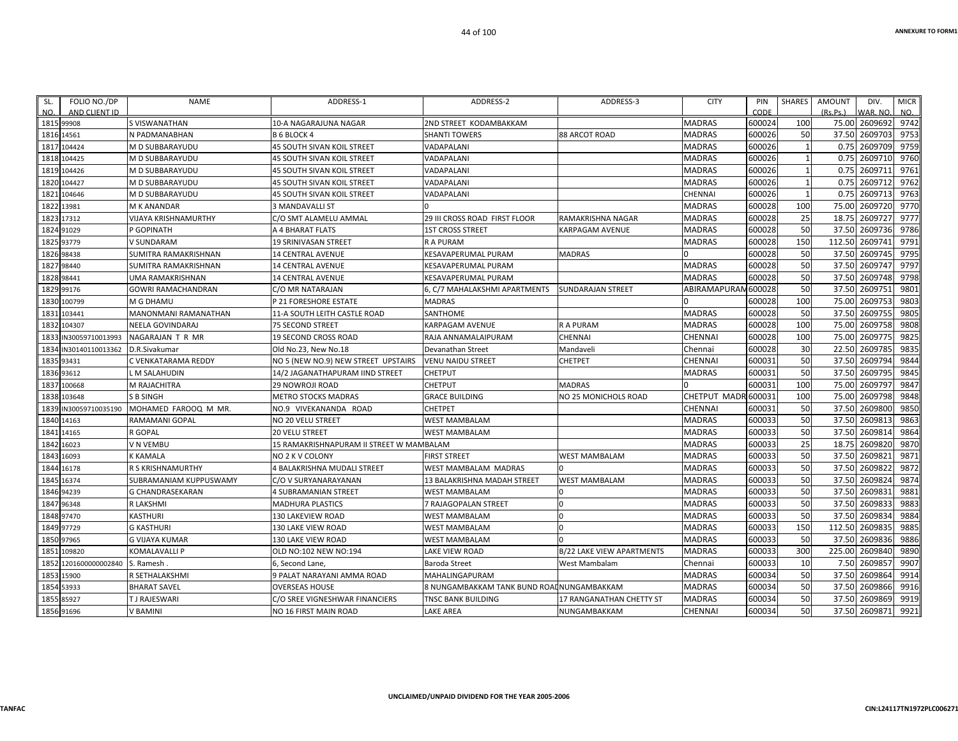| SL.  | FOLIO NO./DP     | <b>NAME</b>               | ADDRESS-1                                | ADDRESS-2                                  | ADDRESS-3                        | <b>CITY</b>         | PIN    | <b>SHARES</b> | AMOUNT   | DIV.           | <b>MICR</b> |
|------|------------------|---------------------------|------------------------------------------|--------------------------------------------|----------------------------------|---------------------|--------|---------------|----------|----------------|-------------|
| NO.  | AND CLIENT ID    |                           |                                          |                                            |                                  |                     | CODE   |               | (Rs, Ps) | WAR. NO.       | NO.         |
|      | 1815 99908       | S VISWANATHAN             | 10-A NAGARAJUNA NAGAR                    | 2ND STREET KODAMBAKKAM                     |                                  | <b>MADRAS</b>       | 600024 | 100           |          | 75.00 2609692  | 9742        |
| 1816 | 14561            | N PADMANABHAN             | <b>B 6 BLOCK 4</b>                       | <b>SHANTI TOWERS</b>                       | 88 ARCOT ROAD                    | <b>MADRAS</b>       | 600026 | 50            |          | 37.50 2609703  | 9753        |
| 1817 | 104424           | M D SUBBARAYUDU           | 45 SOUTH SIVAN KOIL STREET               | VADAPALANI                                 |                                  | <b>MADRAS</b>       | 600026 | 1             | 0.75     | 2609709        | 9759        |
| 1818 | 104425           | M D SUBBARAYUDU           | <b>45 SOUTH SIVAN KOIL STREET</b>        | VADAPALANI                                 |                                  | <b>MADRAS</b>       | 600026 | $\mathbf{1}$  |          | 0.75 2609710   | 9760        |
| 1819 | 104426           | M D SUBBARAYUDU           | <b>45 SOUTH SIVAN KOIL STREET</b>        | VADAPALANI                                 |                                  | <b>MADRAS</b>       | 600026 | $\mathbf{1}$  |          | 0.75 2609711   | 9761        |
| 1820 | 104427           | M D SUBBARAYUDU           | 45 SOUTH SIVAN KOIL STREET               | VADAPALANI                                 |                                  | <b>MADRAS</b>       | 600026 | $\mathbf{1}$  | 0.75     | 2609712        | 9762        |
| 1821 | 104646           | M D SUBBARAYUDU           | 45 SOUTH SIVAN KOIL STREET               | VADAPALANI                                 |                                  | CHENNAI             | 600026 | $\mathbf{1}$  | 0.75     | 2609713        | 9763        |
| 1822 | 13981            | <b>M K ANANDAR</b>        | <b>3 MANDAVALLI ST</b>                   |                                            |                                  | <b>MADRAS</b>       | 600028 | 100           | 75.00    | 2609720        | 9770        |
| 1823 | 17312            | VIJAYA KRISHNAMURTHY      | C/O SMT ALAMELU AMMAL                    | 29 III CROSS ROAD FIRST FLOOR              | RAMAKRISHNA NAGAR                | <b>MADRAS</b>       | 600028 | 25            |          | 18.75 2609727  | 9777        |
| 1824 | 91029            | P GOPINATH                | A 4 BHARAT FLATS                         | <b>1ST CROSS STREET</b>                    | KARPAGAM AVENUE                  | <b>MADRAS</b>       | 600028 | 50            |          | 37.50 2609736  | 9786        |
| 1825 | 93779            | <b>V SUNDARAM</b>         | 19 SRINIVASAN STREET                     | R A PURAM                                  |                                  | <b>MADRAS</b>       | 600028 | 150           | 112.50   | 2609741        | 9791        |
| 1826 | 98438            | SUMITRA RAMAKRISHNAN      | <b>14 CENTRAL AVENUE</b>                 | KESAVAPERUMAL PURAM                        | <b>MADRAS</b>                    |                     | 600028 | 50            |          | 37.50 2609745  | 9795        |
| 1827 | 98440            | SUMITRA RAMAKRISHNAN      | <b>14 CENTRAL AVENUE</b>                 | KESAVAPERUMAL PURAM                        |                                  | <b>MADRAS</b>       | 600028 | 50            |          | 37.50 2609747  | 9797        |
| 1828 | 98441            | UMA RAMAKRISHNAN          | <b>14 CENTRAL AVENUE</b>                 | KESAVAPERUMAL PURAM                        |                                  | MADRAS              | 600028 | 50            |          | 37.50 2609748  | 9798        |
| 1829 | 99176            | <b>GOWRI RAMACHANDRAN</b> | C/O MR NATARAJAN                         | 6. C/7 MAHALAKSHMI APARTMENTS              | <b>SUNDARAJAN STREET</b>         | ABIRAMAPURAI        | 600028 | 50            | 37.50    | 2609751        | 9801        |
| 1830 | 100799           | M G DHAMU                 | P 21 FORESHORE ESTATE                    | <b>MADRAS</b>                              |                                  |                     | 600028 | 100           |          | 75.00 2609753  | 9803        |
| 1831 | 103441           | MANONMANI RAMANATHAN      | 11-A SOUTH LEITH CASTLE ROAD             | SANTHOME                                   |                                  | <b>MADRAS</b>       | 600028 | 50            |          | 37.50 2609755  | 9805        |
| 1832 | 104307           | NEELA GOVINDARAJ          | <b>75 SECOND STREET</b>                  | KARPAGAM AVENUE                            | R A PURAM                        | <b>MADRAS</b>       | 600028 | 100           | 75.00    | 2609758        | 9808        |
| 1833 | N30059710013993  | NAGARAJAN T R MR          | <b>19 SECOND CROSS ROAD</b>              | RAJA ANNAMALAIPURAM                        | CHENNAI                          | CHENNAI             | 600028 | 100           | 75.00    | 2609775        | 9825        |
| 1834 | IN30140110013362 | D.R.Sivakumar             | Old No.23, New No.18                     | Devanathan Street                          | Mandaveli                        | Chennai             | 600028 | 30            |          | 22.50 2609785  | 9835        |
| 1835 | 93431            | C VENKATARAMA REDDY       | NO 5 (NEW NO.9) NEW STREET UPSTAIRS      | <b>VENU NAIDU STREET</b>                   | <b>CHETPET</b>                   | <b>CHENNAI</b>      | 600031 | 50            |          | 37.50 2609794  | 9844        |
| 1836 | 93612            | L M SALAHUDIN             | 14/2 JAGANATHAPURAM IIND STREET          | CHETPUT                                    |                                  | <b>MADRAS</b>       | 600031 | 50            | 37.50    | 2609795        | 9845        |
| 1837 | 100668           | M RAJACHITRA              | <b>29 NOWROJI ROAD</b>                   | <b>CHETPUT</b>                             | <b>MADRAS</b>                    |                     | 600031 | 100           | 75.00    | 2609797        | 9847        |
| 1838 | 103648           | <b>S B SINGH</b>          | <b>METRO STOCKS MADRAS</b>               | <b>GRACE BUILDING</b>                      | NO 25 MONICHOLS ROAD             | CHETPUT MADR 600031 |        | 100           | 75.00    | 2609798        | 9848        |
| 1839 | IN30059710035190 | MOHAMED FAROOQ M MR.      | NO.9 VIVEKANANDA ROAD                    | <b>CHETPET</b>                             |                                  | <b>CHENNAI</b>      | 600031 | 50            |          | 37.50 2609800  | 9850        |
|      | 1840 14163       | RAMAMANI GOPAL            | NO 20 VELU STREET                        | <b>WEST MAMBALAM</b>                       |                                  | <b>MADRAS</b>       | 600033 | 50            |          | 37.50 2609813  | 9863        |
| 1841 | 14165            | R GOPAL                   | <b>20 VELU STREET</b>                    | <b>WEST MAMBALAM</b>                       |                                  | <b>MADRAS</b>       | 600033 | 50            | 37.50    | 2609814        | 9864        |
| 1842 | 16023            | V N VEMBU                 | 15 RAMAKRISHNAPURAM II STREET W MAMBALAM |                                            |                                  | <b>MADRAS</b>       | 600033 | 25            | 18.75    | 2609820        | 9870        |
| 1843 | 16093            | <b>K KAMALA</b>           | NO 2 K V COLONY                          | <b>FIRST STREET</b>                        | WEST MAMBALAM                    | <b>MADRAS</b>       | 600033 | 50            |          | 37.50 2609821  | 9871        |
| 1844 | 16178            | R S KRISHNAMURTHY         | 4 BALAKRISHNA MUDALI STREET              | WEST MAMBALAM MADRAS                       |                                  | <b>MADRAS</b>       | 600033 | 50            | 37.50    | 2609822        | 9872        |
| 1845 | 16374            | SUBRAMANIAM KUPPUSWAMY    | C/O V SURYANARAYANAN                     | 13 BALAKRISHNA MADAH STREET                | <b>WEST MAMBALAM</b>             | <b>MADRAS</b>       | 600033 | 50            | 37.50    | 2609824        | 9874        |
| 1846 | 94239            | <b>G CHANDRASEKARAN</b>   | 4 SUBRAMANIAN STREET                     | <b>WEST MAMBALAM</b>                       | $\Omega$                         | <b>MADRAS</b>       | 600033 | 50            |          | 37.50 2609831  | 9881        |
| 1847 | 96348            | R LAKSHMI                 | MADHURA PLASTICS                         | 7 RAJAGOPALAN STREET                       | $\Omega$                         | <b>MADRAS</b>       | 600033 | 50            |          | 37.50 2609833  | 9883        |
|      | 1848 97470       | <b>KASTHURI</b>           | 130 LAKEVIEW ROAD                        | <b>WEST MAMBALAM</b>                       |                                  | <b>MADRAS</b>       | 600033 | 50            |          | 37.50 2609834  | 9884        |
| 1849 | 97729            | <b>G KASTHURI</b>         | <b>130 LAKE VIEW ROAD</b>                | WEST MAMBALAM                              |                                  | <b>MADRAS</b>       | 600033 | 150           | 112.50   | 2609835        | 9885        |
| 1850 | 97965            | <b>G VIJAYA KUMAR</b>     | 130 LAKE VIEW ROAD                       | WEST MAMBALAM                              |                                  | <b>MADRAS</b>       | 600033 | 50            |          | 37.50 2609836  | 9886        |
|      | 1851 109820      | <b>KOMALAVALLI P</b>      | OLD NO:102 NEW NO:194                    | LAKE VIEW ROAD                             | <b>B/22 LAKE VIEW APARTMENTS</b> | <b>MADRAS</b>       | 600033 | 300           |          | 225.00 2609840 | 9890        |
| 1852 | 1201600000002840 | S. Ramesh.                | 6, Second Lane,                          | Baroda Street                              | West Mambalam                    | Chennai             | 600033 | 10            | 7.50     | 2609857        | 9907        |
|      | 1853 15900       | R SETHALAKSHMI            | 9 PALAT NARAYANI AMMA ROAD               | MAHALINGAPURAM                             |                                  | <b>MADRAS</b>       | 600034 | 50            |          | 37.50 2609864  | 9914        |
| 1854 | 53933            | <b>BHARAT SAVEL</b>       | <b>OVERSEAS HOUSE</b>                    | 8 NUNGAMBAKKAM TANK BUND ROAI NUNGAMBAKKAM |                                  | <b>MADRAS</b>       | 600034 | 50            |          | 37.50 2609866  | 9916        |
| 1855 | 85927            | <b>TJ RAJESWARI</b>       | C/O SREE VIGNESHWAR FINANCIERS           | TNSC BANK BUILDING                         | 17 RANGANATHAN CHETTY ST         | <b>MADRAS</b>       | 600034 | 50            | 37.50    | 2609869        | 9919        |
|      | 1856 91696       | V BAMINI                  | NO 16 FIRST MAIN ROAD                    | LAKE AREA                                  | NUNGAMBAKKAM                     | <b>CHENNAI</b>      | 600034 | 50            |          | 37.50 2609871  | 9921        |
|      |                  |                           |                                          |                                            |                                  |                     |        |               |          |                |             |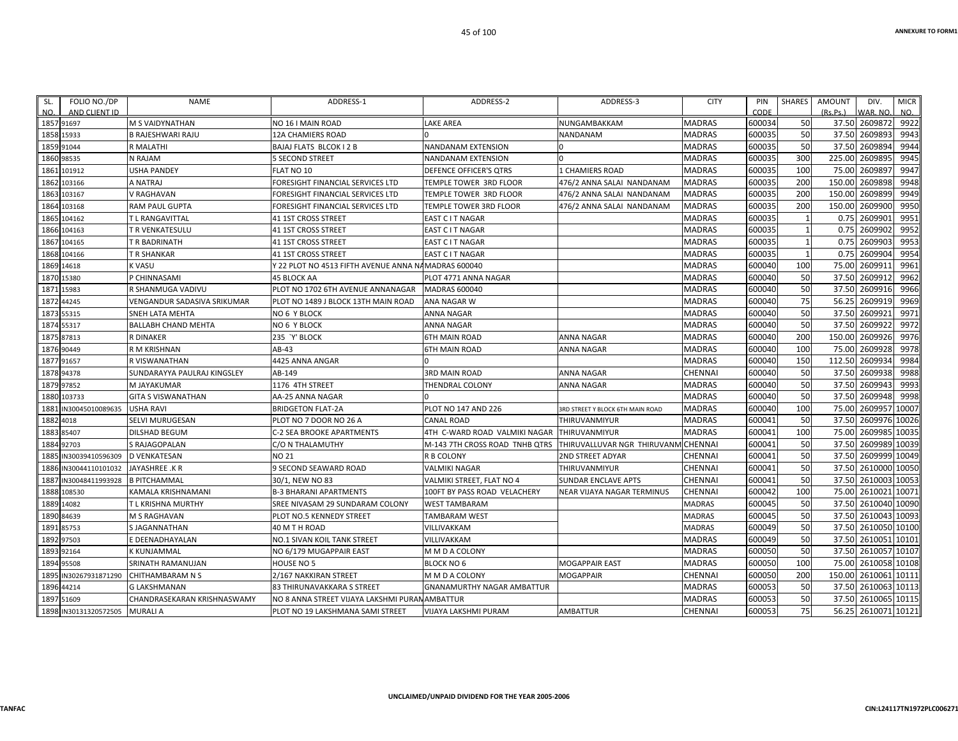| SL.<br>FOLIO NO./DP      | NAME                        | ADDRESS-1                                           | ADDRESS-2                      | ADDRESS-3                        | <b>CITY</b>    | PIN    | SHARES | <b>AMOUNT</b> | DIV.                | <b>MICR</b> |
|--------------------------|-----------------------------|-----------------------------------------------------|--------------------------------|----------------------------------|----------------|--------|--------|---------------|---------------------|-------------|
| NO.<br>AND CLIENT ID     |                             |                                                     |                                |                                  |                | CODE   |        | (Rs.Ps.)      | WAR. NO.            | NO.         |
| 1857 91697               | <b>M S VAIDYNATHAN</b>      | NO 16   MAIN ROAD                                   | <b>LAKE AREA</b>               | NUNGAMBAKKAM                     | <b>MADRAS</b>  | 600034 | 50     |               | 37.50 2609872       | 9922        |
| 1858 15933               | <b>B RAJESHWARI RAJU</b>    | 12A CHAMIERS ROAD                                   |                                | NANDANAM                         | MADRAS         | 600035 | 50     |               | 37.50 2609893       | 9943        |
| 1859 91044               | <b>R MALATHI</b>            | BAJAJ FLATS BLCOK I 2 B                             | NANDANAM EXTENSION             |                                  | MADRAS         | 600035 | 50     |               | 37.50 2609894       | 9944        |
| 1860 98535               | N RAJAM                     | <b>5 SECOND STREET</b>                              | NANDANAM EXTENSION             |                                  | MADRAS         | 600035 | 300    |               | 225.00 2609895      | 9945        |
| 1861<br>101912           | <b>USHA PANDEY</b>          | FLAT NO 10                                          | DEFENCE OFFICER'S QTRS         | <b>1 CHAMIERS ROAD</b>           | MADRAS         | 600035 | 100    |               | 75.00 2609897       | 9947        |
| 1862 103166              | A NATRAJ                    | FORESIGHT FINANCIAL SERVICES LTD                    | TEMPLE TOWER 3RD FLOOR         | 476/2 ANNA SALAI NANDANAM        | <b>MADRAS</b>  | 600035 | 200    |               | 150.00 2609898      | 9948        |
| 1863 103167              | V RAGHAVAN                  | FORESIGHT FINANCIAL SERVICES LTD                    | TEMPLE TOWER 3RD FLOOR         | 476/2 ANNA SALAI NANDANAM        | <b>MADRAS</b>  | 600035 | 200    | 150.00        | 2609899             | 9949        |
| 103168<br>1864           | <b>RAM PAUL GUPTA</b>       | FORESIGHT FINANCIAL SERVICES LTD                    | TEMPLE TOWER 3RD FLOOR         | 476/2 ANNA SALAI NANDANAM        | <b>MADRAS</b>  | 600035 | 200    | 150.00        | 2609900             | 9950        |
| 1865 104162              | T L RANGAVITTAL             | <b>41 1ST CROSS STREET</b>                          | EAST C I T NAGAR               |                                  | <b>MADRAS</b>  | 600035 |        |               | 0.75 2609901        | 9951        |
| 1866 104163              | T R VENKATESULU             | <b>41 1ST CROSS STREET</b>                          | EAST C I T NAGAR               |                                  | MADRAS         | 600035 |        |               | 0.75 2609902        | 9952        |
| 1867 104165              | T R BADRINATH               | <b>41 1ST CROSS STREET</b>                          | EAST C I T NAGAR               |                                  | MADRAS         | 600035 |        |               | 0.75 2609903        | 9953        |
| 1868 104166              | T R SHANKAR                 | 41 1ST CROSS STREET                                 | EAST C I T NAGAR               |                                  | MADRAS         | 600035 |        | 0.75          | 2609904             | 9954        |
| 1869 14618               | <b>K VASU</b>               | / 22 PLOT NO 4513 FIFTH AVENUE ANNA NAMADRAS 600040 |                                |                                  | MADRAS         | 600040 | 100    |               | 75.00 2609911       | 9961        |
| 1870 15380               | P CHINNASAMI                | 45 BLOCK AA                                         | PLOT 4771 ANNA NAGAR           |                                  | MADRAS         | 600040 | 50     |               | 37.50 2609912       | 9962        |
| 1871 15983               | R SHANMUGA VADIVU           | PLOT NO 1702 6TH AVENUE ANNANAGAR                   | <b>MADRAS 600040</b>           |                                  | MADRAS         | 600040 | 50     | 37.50         | 2609916             | 9966        |
| 1872 44245               | VENGANDUR SADASIVA SRIKUMAR | PLOT NO 1489 J BLOCK 13TH MAIN ROAD                 | ANA NAGAR W                    |                                  | MADRAS         | 600040 | 75     |               | 56.25 2609919       | 9969        |
| 1873 55315               | SNEH LATA MEHTA             | NO 6 Y BLOCK                                        | ANNA NAGAR                     |                                  | MADRAS         | 600040 | 50     |               | 37.50 2609921       | 9971        |
| 1874 55317               | <b>BALLABH CHAND MEHTA</b>  | NO 6 Y BLOCK                                        | ANNA NAGAR                     |                                  | MADRAS         | 600040 | 50     |               | 37.50 2609922       | 9972        |
| 1875 87813               | <b>R DINAKER</b>            | 235 'Y' BLOCK                                       | <b>6TH MAIN ROAD</b>           | <b>ANNA NAGAR</b>                | MADRAS         | 600040 | 200    |               | 150.00 2609926      | 9976        |
| 1876 90449               | R M KRISHNAN                | AB-43                                               | <b>6TH MAIN ROAD</b>           | ANNA NAGAR                       | MADRAS         | 600040 | 100    |               | 75.00 2609928       | 9978        |
| 1877 91657               | R VISWANATHAN               | 4425 ANNA ANGAR                                     |                                |                                  | MADRAS         | 600040 | 150    |               | 112.50 2609934      | 9984        |
| 1878 94378               | SUNDARAYYA PAULRAJ KINGSLEY | AB-149                                              | <b>3RD MAIN ROAD</b>           | <b>ANNA NAGAR</b>                | <b>CHENNAI</b> | 600040 | 50     | 37.50         | 2609938             | 9988        |
| 1879 97852               | M JAYAKUMAR                 | 1176 4TH STREET                                     | THENDRAL COLONY                | ANNA NAGAR                       | MADRAS         | 600040 | 50     |               | 37.50 2609943       | 9993        |
| 1880 103733              | <b>GITA S VISWANATHAN</b>   | AA-25 ANNA NAGAR                                    |                                |                                  | <b>MADRAS</b>  | 600040 | 50     |               | 37.50 2609948       | 9998        |
| 1881 IN30045010089635    | <b>USHA RAVI</b>            | <b>BRIDGETON FLAT-2A</b>                            | PLOT NO 147 AND 226            | 3RD STREET Y BLOCK 6TH MAIN ROAD | <b>MADRAS</b>  | 600040 | 100    |               | 75.00 2609957       | 10007       |
| 1882 4018                | SELVI MURUGESAN             | PLOT NO 7 DOOR NO 26 A                              | <b>CANAL ROAD</b>              | THIRUVANMIYUR                    | MADRAS         | 600041 | 50     |               | 37.50 2609976       | 10026       |
| 1883 85407               | DILSHAD BEGUM               | C-2 SEA BROOKE APARTMENTS                           | 4TH C-WARD ROAD VALMIKI NAGAR  | THIRUVANMIYUR                    | MADRAS         | 600041 | 100    |               | 75.00 2609985       | 10035       |
| 1884 92703               | S RAJAGOPALAN               | C/O N THALAMUTHY                                    | M-143 7TH CROSS ROAD TNHB QTRS | THIRUVALLUVAR NGR THIRUVANN      | <b>CHENNAI</b> | 600041 | 50     |               | 37.50 2609989       | 10039       |
| 1885<br>IN30039410596309 | <b>D VENKATESAN</b>         | NO 21                                               | R B COLONY                     | <b>2ND STREET ADYAR</b>          | CHENNAI        | 600041 | 50     |               | 37.50 2609999       | 10049       |
| 1886 IN30044110101032    | JAYASHREE .KR               | 9 SECOND SEAWARD ROAD                               | VALMIKI NAGAR                  | THIRUVANMIYUR                    | CHENNAI        | 600041 | 50     |               | 37.50 2610000 10050 |             |
| 1887 IN30048411993928    | <b>B PITCHAMMAL</b>         | 30/1, NEW NO 83                                     | VALMIKI STREET, FLAT NO 4      | <b>SUNDAR ENCLAVE APTS</b>       | CHENNAI        | 600041 | 50     |               | 37.50 2610003       | 10053       |
| 1888 108530              | KAMALA KRISHNAMANI          | <b>B-3 BHARANI APARTMENTS</b>                       | 100FT BY PASS ROAD VELACHERY   | NEAR VIJAYA NAGAR TERMINUS       | CHENNAI        | 600042 | 100    |               | 75.00 2610021       | 10071       |
| 1889 14082               | T L KRISHNA MURTHY          | SREE NIVASAM 29 SUNDARAM COLONY                     | WEST TAMBARAM                  |                                  | MADRAS         | 600045 | 50     |               | 37.50 2610040       | 10090       |
| 1890 84639               | <b>M S RAGHAVAN</b>         | PLOT NO.5 KENNEDY STREET                            | TAMBARAM WEST                  |                                  | <b>MADRAS</b>  | 600045 | 50     |               | 37.50 2610043       | 10093       |
| 1891 85753               | S JAGANNATHAN               | 40 M T H ROAD                                       | VILLIVAKKAM                    |                                  | MADRAS         | 600049 | 50     |               | 37.50 2610050 10100 |             |
| 1892 97503               | E DEENADHAYALAN             | NO.1 SIVAN KOIL TANK STREET                         | VILLIVAKKAM                    |                                  | MADRAS         | 600049 | 50     |               | 37.50 2610051       | 10101       |
| 1893 92164               | K KUNJAMMAL                 | NO 6/179 MUGAPPAIR EAST                             | M M D A COLONY                 |                                  | MADRAS         | 600050 | 50     |               | 37.50 2610057 10107 |             |
| 1894 95508               | SRINATH RAMANUJAN           | <b>HOUSE NO 5</b>                                   | <b>BLOCK NO 6</b>              | <b>MOGAPPAIR EAST</b>            | MADRAS         | 600050 | 100    |               | 75.00 2610058       | 10108       |
| 1895 IN30267931871290    | CHITHAMBARAM N S            | 2/167 NAKKIRAN STREET                               | M M D A COLONY                 | <b>MOGAPPAIR</b>                 | CHENNAI        | 600050 | 200    |               | 150.00 2610061      | 10111       |
| 1896 44214               | G LAKSHMANAN                | 83 THIRUNAVAKKARA S STREET                          | GNANAMURTHY NAGAR AMBATTUR     |                                  | MADRAS         | 600053 | 50     |               | 37.50 2610063       | 10113       |
| 1897 51609               | CHANDRASEKARAN KRISHNASWAMY | NO 8 ANNA STREET VIJAYA LAKSHMI PURAN AMBATTUR      |                                |                                  | MADRAS         | 600053 | 50     |               | 37.50 2610065       | 10115       |
| 1898 IN30131320572505    | <b>MURALI A</b>             | PLOT NO 19 LAKSHMANA SAMI STREET                    | VIJAYA LAKSHMI PURAM           | <b>AMBATTUR</b>                  | CHENNAI        | 600053 | 75     |               | 56.25 2610071       | 10121       |
|                          |                             |                                                     |                                |                                  |                |        |        |               |                     |             |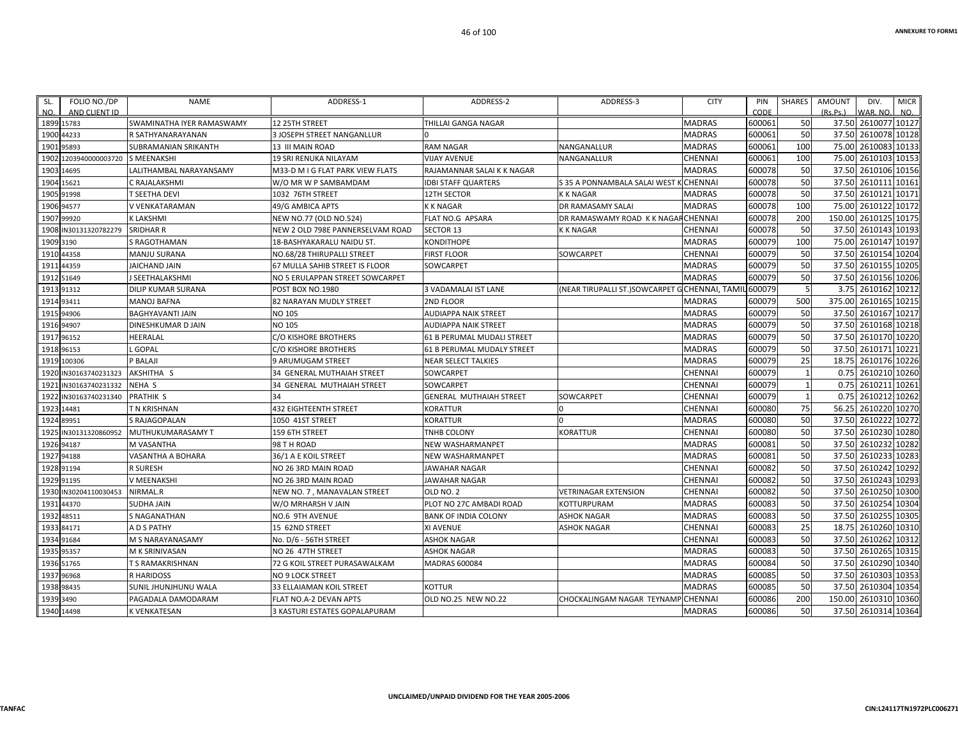| FOLIO NO./DP<br>SL.<br>AND CLIENT ID<br>NO. | <b>NAME</b>               | ADDRESS-1                         | ADDRESS-2                         | ADDRESS-3                                             | <b>CITY</b>    | PIN<br>CODE | <b>SHARES</b> | <b>AMOUNT</b><br>(Rs, Ps.) | DIV.<br>WAR, NO     | <b>MICR</b><br>NO. |
|---------------------------------------------|---------------------------|-----------------------------------|-----------------------------------|-------------------------------------------------------|----------------|-------------|---------------|----------------------------|---------------------|--------------------|
| 1899 15783                                  | SWAMINATHA IYER RAMASWAMY | 12 25TH STREET                    | <b>THILLAI GANGA NAGAR</b>        |                                                       | <b>MADRAS</b>  | 600061      | 50            |                            | 37.50 2610077 10127 |                    |
| 1900<br>44233                               | R SATHYANARAYANAN         | <b>3 JOSEPH STREET NANGANLLUR</b> |                                   |                                                       | <b>MADRAS</b>  | 600061      | 50            | 37.50                      | 2610078             | 10128              |
| 1901<br>95893                               | SUBRAMANIAN SRIKANTH      | <b>13 III MAIN ROAD</b>           | <b>RAM NAGAR</b>                  | NANGANALLUR                                           | <b>MADRAS</b>  | 600061      | 100           | 75.00                      | 2610083             | 10133              |
| 1203940000003720 S MEENAKSHI<br>1902        |                           | 19 SRI RENUKA NILAYAM             | <b>VIJAY AVENUE</b>               | NANGANALLUR                                           | <b>CHENNAI</b> | 600061      | 100           | 75.00                      | 2610103             | 10153              |
| 1903<br>14695                               | LALITHAMBAL NARAYANSAMY   | M33-D M I G FLAT PARK VIEW FLATS  | RAJAMANNAR SALAI K K NAGAR        |                                                       | <b>MADRAS</b>  | 600078      | 50            | 37.50                      | 2610106             | 10156              |
| 15621<br>1904                               | C RAJALAKSHMI             | W/O MR W P SAMBAMDAM              | <b>IDBI STAFF QUARTERS</b>        | S 35 A PONNAMBALA SALAI WEST K                        | :CHENNAI       | 600078      | 50            | 37.50                      | 2610111             | 10161              |
| 1905 91998                                  | T SEETHA DEVI             | 1032 76TH STREET                  | 12TH SECTOR                       | <b>K K NAGAR</b>                                      | <b>MADRAS</b>  | 600078      | 50            | 37.50                      | 2610121 10171       |                    |
| 1906<br>94577                               | V VENKATARAMAN            | 49/G AMBICA APTS                  | <b>KK NAGAR</b>                   | DR RAMASAMY SALAI                                     | <b>MADRAS</b>  | 600078      | 100           | 75.00                      | 2610122             | 10172              |
| 99920<br>1907                               | K LAKSHMI                 | NEW NO.77 (OLD NO.524)            | FLAT NO.G APSARA                  | DR RAMASWAMY ROAD K K NAGAF CHENNAI                   |                | 600078      | 200           | 150.00                     | 2610125             | 10175              |
| IN30131320782279<br>1908                    | <b>SRIDHAR R</b>          | NEW 2 OLD 798E PANNERSELVAM ROAD  | <b>SECTOR 13</b>                  | <b>K K NAGAR</b>                                      | <b>CHENNAI</b> | 600078      | 50            | 37.50                      | 2610143             | 10193              |
| 1909<br>3190                                | S RAGOTHAMAN              | 18-BASHYAKARALU NAIDU ST.         | <b>KONDITHOPE</b>                 |                                                       | <b>MADRAS</b>  | 600079      | 100           | 75.00                      | 2610147             | 10197              |
| 1910<br>44358                               | <b>MANJU SURANA</b>       | NO.68/28 THIRUPALLI STREET        | <b>FIRST FLOOR</b>                | SOWCARPET                                             | <b>CHENNAI</b> | 600079      | 50            | 37.50                      | 2610154             | 10204              |
| 191<br>44359                                | <b>JAICHAND JAIN</b>      | 67 MULLA SAHIB STREET IS FLOOR    | <b>SOWCARPET</b>                  |                                                       | <b>MADRAS</b>  | 600079      | 50            | 37.50                      | 2610155             | 10205              |
| 51649<br>1912                               | J SEETHALAKSHMI           | NO 5 ERULAPPAN STREET SOWCARPET   |                                   |                                                       | <b>MADRAS</b>  | 600079      | 50            | 37.50                      | 2610156             | 10206              |
| 91312<br>1913                               | <b>DILIP KUMAR SURANA</b> | POST BOX NO.1980                  | <b>3 VADAMALAI IST LANE</b>       | (NEAR TIRUPALLI ST.)SOWCARPET G CHENNAI, TAMIL 600079 |                |             | 5             | 3.75                       | 2610162             | 10212              |
| 93411<br>1914                               | <b>MANOJ BAFNA</b>        | 82 NARAYAN MUDLY STREET           | 2ND FLOOR                         |                                                       | <b>MADRAS</b>  | 600079      | 500           | 375.00                     | 2610165             | 10215              |
| 94906<br>1915                               | <b>BAGHYAVANTI JAIN</b>   | <b>NO 105</b>                     | <b>AUDIAPPA NAIK STREET</b>       |                                                       | <b>MADRAS</b>  | 600079      | 50            | 37.50                      | 2610167             | 10217              |
| 1916<br>94907                               | <b>DINESHKUMAR D JAIN</b> | <b>NO 105</b>                     | <b>AUDIAPPA NAIK STREET</b>       |                                                       | <b>MADRAS</b>  | 600079      | 50            | 37.50                      | 2610168 10218       |                    |
| 1917<br>96152                               | HEERALAL                  | C/O KISHORE BROTHERS              | <b>61 B PERUMAL MUDALI STREET</b> |                                                       | <b>MADRAS</b>  | 600079      | 50            | 37.50                      | 2610170 10220       |                    |
| 96153<br>1918                               | GOPAL                     | C/O KISHORE BROTHERS              | 61 B PERUMAL MUDALY STREET        |                                                       | <b>MADRAS</b>  | 600079      | 50            | 37.50                      | 2610171             | 10221              |
| 1919<br>100306                              | P BALAJI                  | <b>9 ARUMUGAM STREET</b>          | <b>NEAR SELECT TALKIES</b>        |                                                       | <b>MADRAS</b>  | 600079      | 25            | 18.75                      | 2610176             | 10226              |
| IN30163740231323<br>1920                    | AKSHITHA S                | 34 GENERAL MUTHAIAH STREET        | SOWCARPET                         |                                                       | CHENNAI        | 600079      |               | 0.75                       | 2610210             | 10260              |
| 1921<br>IN30163740231332                    | <b>NEHA S</b>             | 34 GENERAL MUTHAIAH STREET        | <b>SOWCARPET</b>                  |                                                       | <b>CHENNAI</b> | 600079      |               | 0.75                       | 2610211             | 10261              |
| 1922<br>IN30163740231340                    | <b>PRATHIK S</b>          | 34                                | <b>GENERAL MUTHAIAH STREET</b>    | SOWCARPET                                             | CHENNAI        | 600079      |               | 0.75                       | 2610212             | 10262              |
| 1923<br>14481                               | T N KRISHNAN              | <b>432 EIGHTEENTH STREET</b>      | <b>KORATTUR</b>                   | l O                                                   | <b>CHENNAI</b> | 600080      | 75            |                            | 56.25 2610220       | 10270              |
| 1924<br>89951                               | S RAJAGOPALAN             | 1050 41ST STREET                  | <b>KORATTUR</b>                   | $\Omega$                                              | <b>MADRAS</b>  | 600080      | 50            | 37.50                      | 2610222             | 10272              |
| 192<br>N30131320860952                      | MUTHUKUMARASAMY T         | 159 6TH STREET                    | <b>TNHB COLONY</b>                | <b>KORATTUR</b>                                       | CHENNAI        | 600080      | 50            | 37.50                      | 2610230             | 10280              |
| 1926 94187                                  | M VASANTHA                | 98 T H ROAD                       | NEW WASHARMANPET                  |                                                       | <b>MADRAS</b>  | 600081      | 50            | 37.50                      | 2610232             | 10282              |
| 1927<br>94188                               | VASANTHA A BOHARA         | 36/1 A E KOIL STREET              | NEW WASHARMANPET                  |                                                       | <b>MADRAS</b>  | 600081      | 50            | 37.50                      | 2610233             | 10283              |
| 1928<br>91194                               | <b>R SURESH</b>           | NO 26 3RD MAIN ROAD               | <b>JAWAHAR NAGAR</b>              |                                                       | <b>CHENNAI</b> | 600082      | 50            | 37.50                      | 2610242             | 10292              |
| 91195<br>1929                               | V MEENAKSHI               | NO 26 3RD MAIN ROAD               | <b>JAWAHAR NAGAR</b>              |                                                       | <b>CHENNAI</b> | 600082      | 50            | 37.50                      | 2610243             | 10293              |
| 1930<br>IN30204110030453                    | NIRMAL R                  | NEW NO. 7, MANAVALAN STREET       | OLD NO. 2                         | <b>VETRINAGAR EXTENSION</b>                           | <b>CHENNAI</b> | 600082      | 50            | 37.50                      | 2610250             | 10300              |
| 193<br>44370                                | <b>SUDHA JAIN</b>         | W/O MRHARSH V JAIN                | PLOT NO 27C AMBADI ROAD           | KOTTURPURAM                                           | <b>MADRAS</b>  | 600083      | 50            | 37.50                      | 2610254             | 10304              |
| 48511<br>1932                               | <b>S NAGANATHAN</b>       | NO.6 9TH AVENUE                   | <b>BANK OF INDIA COLONY</b>       | <b>ASHOK NAGAR</b>                                    | <b>MADRAS</b>  | 600083      | 50            | 37.50                      | 2610255             | 10305              |
| 1933<br>84171                               | A D S PATHY               | 15 62ND STREET                    | XI AVENUE                         | <b>ASHOK NAGAR</b>                                    | CHENNAI        | 600083      | 25            | 18.75                      | 2610260             | 10310              |
| 1934<br>91684                               | M S NARAYANASAMY          | No. D/6 - 56TH STREET             | <b>ASHOK NAGAR</b>                |                                                       | <b>CHENNAI</b> | 600083      | 50            | 37.50                      | 2610262             | 10312              |
| 1935 95357                                  | <b>M K SRINIVASAN</b>     | NO 26 47TH STREET                 | <b>ASHOK NAGAR</b>                |                                                       | <b>MADRAS</b>  | 600083      | 50            | 37.50                      | 2610265             | 10315              |
| 1936 51765                                  | <b>T S RAMAKRISHNAN</b>   | 72 G KOIL STREET PURASAWALKAM     | <b>MADRAS 600084</b>              |                                                       | <b>MADRAS</b>  | 600084      | 50            | 37.50                      | 2610290             | 10340              |
| 96968<br>1937                               | <b>R HARIDOSS</b>         | <b>NO 9 LOCK STREET</b>           |                                   |                                                       | <b>MADRAS</b>  | 600085      | 50            | 37.50                      | 2610303             | 10353              |
| 1938<br>98435                               | SUNIL JHUNJHUNU WALA      | 33 ELLAIAMAN KOIL STREET          | <b>KOTTUR</b>                     |                                                       | <b>MADRAS</b>  | 600085      | 50            | 37.50                      | 2610304             | 10354              |
| 1939 3490                                   | PAGADALA DAMODARAM        | <b>FLAT NO.A-2 DEVAN APTS</b>     | OLD NO.25 NEW NO.22               | CHOCKALINGAM NAGAR TEYNAME                            | <b>CHENNA</b>  | 600086      | 200           | 150.00                     | 2610310             | 10360              |
| 1940 14498                                  | <b>K VENKATESAN</b>       | 3 KASTURI ESTATES GOPALAPURAM     |                                   |                                                       | <b>MADRAS</b>  | 600086      | 50            |                            | 37.50 2610314 10364 |                    |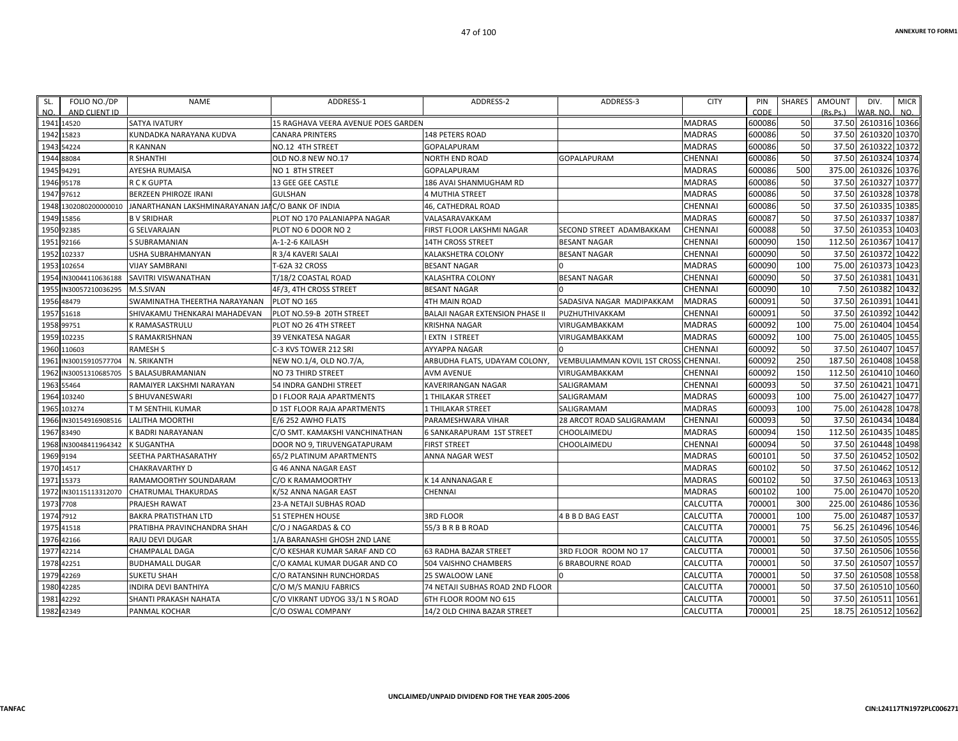| AND CLIENT ID<br>CODE<br>(Rs.Ps.)<br>WAR, NO.<br>NO.<br><b>MADRAS</b><br>600086<br>50<br>37.50 2610316 10366<br>1941 14520<br><b>SATYA IVATURY</b><br>15 RAGHAVA VEERA AVENUE POES GARDEN<br>600086<br>50<br>37.50 2610320 10370<br>1942 15823<br>148 PETERS ROAD<br><b>MADRAS</b><br>KUNDADKA NARAYANA KUDVA<br><b>CANARA PRINTERS</b><br>50<br>37.50 2610322 10372<br><b>MADRAS</b><br>600086<br>1943 54224<br><b>R KANNAN</b><br>NO.12 4TH STREET<br>GOPALAPURAM<br>50<br>37.50 2610324 10374<br><b>R SHANTHI</b><br>CHENNAI<br>600086<br>1944 88084<br>OLD NO.8 NEW NO.17<br><b>NORTH END ROAD</b><br><b>GOPALAPURAM</b><br>500<br>375.00 2610326 10376<br><b>MADRAS</b><br>600086<br>1945 94291<br>AYESHA RUMAISA<br>NO 1 8TH STREET<br>GOPALAPURAM<br>50<br>37.50 2610327 10377<br>600086<br>1946 95178<br>R C K GUPTA<br>186 AVAI SHANMUGHAM RD<br>MADRAS<br>13 GEE GEE CASTLE<br>600086<br>50<br>37.50 2610328 10378<br>1947 97612<br>BERZEEN PHIROZE IRANI<br><b>GULSHAN</b><br>MADRAS<br>4 MUTHIA STREET<br>50<br>37.50 2610335 10385<br>CHENNAI<br>600086<br>JANARTHANAN LAKSHMINARAYANAN JAI C/O BANK OF INDIA<br>46, CATHEDRAL ROAD<br>1948 1302080200000010<br>50<br>1949 15856<br>PLOT NO 170 PALANIAPPA NAGAR<br>600087<br>37.50 2610337 10387<br><b>BV SRIDHAR</b><br>VALASARAVAKKAM<br>MADRAS<br>50<br>37.50 2610353 10403<br>600088<br>1950 92385<br><b>CHENNAI</b><br><b>G SELVARAJAN</b><br>PLOT NO 6 DOOR NO 2<br>FIRST FLOOR LAKSHMI NAGAR<br>SECOND STREET ADAMBAKKAM<br>112.50 2610367 10417<br>CHENNAI<br>600090<br>150<br>1951 92166<br>S SUBRAMANIAN<br>A-1-2-6 KAILASH<br><b>BESANT NAGAR</b><br><b>14TH CROSS STREET</b><br>50<br>2610372 10422<br>600090<br>37.50<br>1952<br>102337<br><b>BESANT NAGAR</b><br>CHENNAI<br>USHA SUBRAHMANYAN<br>R 3/4 KAVERI SALAI<br>KALAKSHETRA COLONY<br>100<br>75.00 2610373 10423<br>600090<br>1953 102654<br>MADRAS<br><b>VIJAY SAMBRANI</b><br>T-62A 32 CROSS<br>BESANT NAGAR<br>50<br>37.50<br>2610381 10431<br>CHENNAI<br>600090<br>1954<br><b>BESANT NAGAR</b><br>IN30044110636188<br>SAVITRI VISWANATHAN<br>T/18/2 COASTAL ROAD<br>KALASHTRA COLONY<br>10<br>2610382 10432<br>600090<br>7.50<br>1955 IN30057210036295<br>M.S.SIVAN<br>4F/3, 4TH CROSS STREET<br>CHENNAI<br>BESANT NAGAR<br>600091<br>50<br>37.50 2610391 10441<br>1956 48479<br>SWAMINATHA THEERTHA NARAYANAN<br>PLOT NO 165<br><b>MADRAS</b><br>4TH MAIN ROAD<br>SADASIVA NAGAR MADIPAKKAM<br>50<br>37.50 2610392 10442<br>600091<br>1957 51618<br>PLOT NO.59-B 20TH STREET<br>BALAJI NAGAR EXTENSION PHASE II<br>CHENNAI<br>SHIVAKAMU THENKARAI MAHADEVAN<br>PUZHUTHIVAKKAM<br>75.00 2610404 10454<br>600092<br>100<br>K RAMASASTRULU<br>PLOT NO 26 4TH STREET<br>MADRAS<br>1958 99751<br>KRISHNA NAGAR<br>VIRUGAMBAKKAM<br>2610405 10455<br>600092<br>100<br>75.00<br>1959 102235<br>MADRAS<br>S RAMAKRISHNAN<br>39 VENKATESA NAGAR<br><b>EXTN I STREET</b><br>VIRUGAMBAKKAM<br>50<br>37.50 2610407 10457<br>600092<br><b>RAMESH S</b><br><b>CHENNAI</b><br>1960 110603<br>C-3 KVS TOWER 212 SRI<br>AYYAPPA NAGAR<br>250<br><b>CHENNAI</b><br>600092<br>187.50<br>2610408 10458<br>1961<br>IN30015910577704<br>N. SRIKANTH<br>ARBUDHA FLATS, UDAYAM COLONY,<br><b>VEMBULIAMMAN KOVIL 1ST CROSS</b><br>NEW NO.1/4, OLD NO.7/A,<br>150<br>600092<br>112.50<br>2610410 10460<br>CHENNAI<br>1962 IN30051310685705<br>S BALASUBRAMANIAN<br>NO 73 THIRD STREET<br><b>AVM AVENUE</b><br>VIRUGAMBAKKAM<br>600093<br>50<br>37.50 2610421 10471<br>1963 55464<br>CHENNAI<br>RAMAIYER LAKSHMI NARAYAN<br>54 INDRA GANDHI STREET<br>KAVERIRANGAN NAGAR<br>SALIGRAMAM<br>100<br>2610427 10477<br>600093<br>75.00<br>1964 103240<br><b>MADRAS</b><br>S BHUVANESWARI<br><b>D I FLOOR RAJA APARTMENTS</b><br>1 THILAKAR STREET<br>SALIGRAMAM<br>2610428 10478<br><b>MADRAS</b><br>600093<br>100<br>75.00<br><b>D 1ST FLOOR RAJA APARTMENTS</b><br>SALIGRAMAM<br>1965 103274<br>T M SENTHIL KUMAR<br><b>1 THILAKAR STREET</b><br>600093<br>50<br>37.50 2610434 10484<br>1966<br>IN30154916908516<br><b>LALITHA MOORTHI</b><br>E/6 252 AWHO FLATS<br>PARAMESHWARA VIHAR<br>28 ARCOT ROAD SALIGRAMAM<br><b>CHENNAI</b><br>600094<br>150<br>112.50 2610435 10485<br>MADRAS<br>1967 83490<br>K BADRI NARAYANAN<br>C/O SMT. KAMAKSHI VANCHINATHAN<br><b>6 SANKARAPURAM 1ST STREET</b><br>CHOOLAIMEDU<br>50<br>600094<br>37.50 2610448 10498<br>1968 IN30048411964342<br>CHOOLAIMEDU<br><b>CHENNAI</b><br><b>K SUGANTHA</b><br>DOOR NO 9, TIRUVENGATAPURAM<br><b>FIRST STREET</b><br>600101<br>50<br>37.50<br>2610452 10502<br>1969 9194<br>MADRAS<br>SEETHA PARTHASARATHY<br>65/2 PLATINUM APARTMENTS<br>ANNA NAGAR WEST<br>50<br>600102<br>37.50 2610462 10512<br>1970 14517<br>MADRAS<br><b>CHAKRAVARTHY D</b><br>G 46 ANNA NAGAR EAST<br>50<br>2610463 10513<br><b>MADRAS</b><br>600102<br>37.50<br>1971 15373<br>RAMAMOORTHY SOUNDARAM<br>C/O K RAMAMOORTHY<br>K 14 ANNANAGAR E<br>600102<br>100<br>2610470 10520<br>MADRAS<br>75.00<br>1972 IN30115113312070<br>CHATRUMAL THAKURDAS<br>CHENNAI<br>K/52 ANNA NAGAR EAST<br>300<br>2610486 10536<br>1973 7708<br>CALCUTTA<br>700001<br>225.00<br>PRAJESH RAWAT<br>23-A NETAJI SUBHAS ROAD<br>700001<br>100<br>75.00 2610487 10537<br>1974 7912<br>CALCUTTA<br><b>BAKRA PRATISTHAN LTD</b><br><b>51 STEPHEN HOUSE</b><br><b>3RD FLOOR</b><br>4 B B D BAG EAST<br>700001<br>75<br>56.25 2610496 10546<br>CALCUTTA<br>1975 41518<br>PRATIBHA PRAVINCHANDRA SHAH<br>C/O J NAGARDAS & CO<br>55/3 B R B B ROAD<br>700001<br>50<br>37.50<br>2610505 10555<br>1976 42166<br>CALCUTTA<br><b>RAJU DEVI DUGAR</b><br>1/A BARANASHI GHOSH 2ND LANE<br>50<br>700001<br>1977 42214<br>3RD FLOOR ROOM NO 17<br>CALCUTTA<br>CHAMPALAL DAGA<br>C/O KESHAR KUMAR SARAF AND CO<br><b>63 RADHA BAZAR STREET</b><br>50<br>37.50 2610507 10557<br>1978 42251<br>CALCUTTA<br>700001<br><b>BUDHAMALL DUGAR</b><br>C/O KAMAL KUMAR DUGAR AND CO<br>504 VAISHNO CHAMBERS<br><b>6 BRABOURNE ROAD</b><br>50<br>2610508 10558<br>CALCUTTA<br>700001<br>37.50<br>1979 42269<br><b>SUKETU SHAH</b><br>C/O RATANSINH RUNCHORDAS<br>25 SWALOOW LANE<br>50<br>1980 42285<br>C/O M/S MANJU FABRICS<br>74 NETAJI SUBHAS ROAD 2ND FLOOR<br>CALCUTTA<br>700001<br>INDIRA DEVI BANTHIYA<br>700001<br>50<br>37.50<br>2610511 10561<br>1981 42292<br>CALCUTTA<br>SHANTI PRAKASH NAHATA<br>C/O VIKRANT UDYOG 33/1 N S ROAD<br>6TH FLOOR ROOM NO 615<br>1982 42349 | SL. | FOLIO NO./DP | NAME          | ADDRESS-1         | ADDRESS-2                   | ADDRESS-3 | <b>CITY</b> | PIN    | SHARES | AMOUNT | DIV. | <b>MICR</b> |
|-------------------------------------------------------------------------------------------------------------------------------------------------------------------------------------------------------------------------------------------------------------------------------------------------------------------------------------------------------------------------------------------------------------------------------------------------------------------------------------------------------------------------------------------------------------------------------------------------------------------------------------------------------------------------------------------------------------------------------------------------------------------------------------------------------------------------------------------------------------------------------------------------------------------------------------------------------------------------------------------------------------------------------------------------------------------------------------------------------------------------------------------------------------------------------------------------------------------------------------------------------------------------------------------------------------------------------------------------------------------------------------------------------------------------------------------------------------------------------------------------------------------------------------------------------------------------------------------------------------------------------------------------------------------------------------------------------------------------------------------------------------------------------------------------------------------------------------------------------------------------------------------------------------------------------------------------------------------------------------------------------------------------------------------------------------------------------------------------------------------------------------------------------------------------------------------------------------------------------------------------------------------------------------------------------------------------------------------------------------------------------------------------------------------------------------------------------------------------------------------------------------------------------------------------------------------------------------------------------------------------------------------------------------------------------------------------------------------------------------------------------------------------------------------------------------------------------------------------------------------------------------------------------------------------------------------------------------------------------------------------------------------------------------------------------------------------------------------------------------------------------------------------------------------------------------------------------------------------------------------------------------------------------------------------------------------------------------------------------------------------------------------------------------------------------------------------------------------------------------------------------------------------------------------------------------------------------------------------------------------------------------------------------------------------------------------------------------------------------------------------------------------------------------------------------------------------------------------------------------------------------------------------------------------------------------------------------------------------------------------------------------------------------------------------------------------------------------------------------------------------------------------------------------------------------------------------------------------------------------------------------------------------------------------------------------------------------------------------------------------------------------------------------------------------------------------------------------------------------------------------------------------------------------------------------------------------------------------------------------------------------------------------------------------------------------------------------------------------------------------------------------------------------------------------------------------------------------------------------------------------------------------------------------------------------------------------------------------------------------------------------------------------------------------------------------------------------------------------------------------------------------------------------------------------------------------------------------------------------------------------------------------------------------------------------------------------------------------------------------------------------------------------------------------------------------------------------------------------------------------------------------------------------------------------------------------------------------------------------------------------------------------------------------------------------------------------------------------------------------------------------------------------------------------------------------------------------------------------------------------------------------------------------------------------------------------------------------------------------------------------------------------------------------------------------------------------------------------------------------------------------------------------------------------------------------------------------------------------------------------------------------------------------------------------------------------------------------------------------------------------------------------------|-----|--------------|---------------|-------------------|-----------------------------|-----------|-------------|--------|--------|--------|------|-------------|
|                                                                                                                                                                                                                                                                                                                                                                                                                                                                                                                                                                                                                                                                                                                                                                                                                                                                                                                                                                                                                                                                                                                                                                                                                                                                                                                                                                                                                                                                                                                                                                                                                                                                                                                                                                                                                                                                                                                                                                                                                                                                                                                                                                                                                                                                                                                                                                                                                                                                                                                                                                                                                                                                                                                                                                                                                                                                                                                                                                                                                                                                                                                                                                                                                                                                                                                                                                                                                                                                                                                                                                                                                                                                                                                                                                                                                                                                                                                                                                                                                                                                                                                                                                                                                                                                                                                                                                                                                                                                                                                                                                                                                                                                                                                                                                                                                                                                                                                                                                                                                                                                                                                                                                                                                                                                                                                                                                                                                                                                                                                                                                                                                                                                                                                                                                                                                                                                                                                                                                                                                                                                                                                                                                                                                                                                                                                                                                                                 | NO. |              |               |                   |                             |           |             |        |        |        |      |             |
|                                                                                                                                                                                                                                                                                                                                                                                                                                                                                                                                                                                                                                                                                                                                                                                                                                                                                                                                                                                                                                                                                                                                                                                                                                                                                                                                                                                                                                                                                                                                                                                                                                                                                                                                                                                                                                                                                                                                                                                                                                                                                                                                                                                                                                                                                                                                                                                                                                                                                                                                                                                                                                                                                                                                                                                                                                                                                                                                                                                                                                                                                                                                                                                                                                                                                                                                                                                                                                                                                                                                                                                                                                                                                                                                                                                                                                                                                                                                                                                                                                                                                                                                                                                                                                                                                                                                                                                                                                                                                                                                                                                                                                                                                                                                                                                                                                                                                                                                                                                                                                                                                                                                                                                                                                                                                                                                                                                                                                                                                                                                                                                                                                                                                                                                                                                                                                                                                                                                                                                                                                                                                                                                                                                                                                                                                                                                                                                                 |     |              |               |                   |                             |           |             |        |        |        |      |             |
|                                                                                                                                                                                                                                                                                                                                                                                                                                                                                                                                                                                                                                                                                                                                                                                                                                                                                                                                                                                                                                                                                                                                                                                                                                                                                                                                                                                                                                                                                                                                                                                                                                                                                                                                                                                                                                                                                                                                                                                                                                                                                                                                                                                                                                                                                                                                                                                                                                                                                                                                                                                                                                                                                                                                                                                                                                                                                                                                                                                                                                                                                                                                                                                                                                                                                                                                                                                                                                                                                                                                                                                                                                                                                                                                                                                                                                                                                                                                                                                                                                                                                                                                                                                                                                                                                                                                                                                                                                                                                                                                                                                                                                                                                                                                                                                                                                                                                                                                                                                                                                                                                                                                                                                                                                                                                                                                                                                                                                                                                                                                                                                                                                                                                                                                                                                                                                                                                                                                                                                                                                                                                                                                                                                                                                                                                                                                                                                                 |     |              |               |                   |                             |           |             |        |        |        |      |             |
|                                                                                                                                                                                                                                                                                                                                                                                                                                                                                                                                                                                                                                                                                                                                                                                                                                                                                                                                                                                                                                                                                                                                                                                                                                                                                                                                                                                                                                                                                                                                                                                                                                                                                                                                                                                                                                                                                                                                                                                                                                                                                                                                                                                                                                                                                                                                                                                                                                                                                                                                                                                                                                                                                                                                                                                                                                                                                                                                                                                                                                                                                                                                                                                                                                                                                                                                                                                                                                                                                                                                                                                                                                                                                                                                                                                                                                                                                                                                                                                                                                                                                                                                                                                                                                                                                                                                                                                                                                                                                                                                                                                                                                                                                                                                                                                                                                                                                                                                                                                                                                                                                                                                                                                                                                                                                                                                                                                                                                                                                                                                                                                                                                                                                                                                                                                                                                                                                                                                                                                                                                                                                                                                                                                                                                                                                                                                                                                                 |     |              |               |                   |                             |           |             |        |        |        |      |             |
|                                                                                                                                                                                                                                                                                                                                                                                                                                                                                                                                                                                                                                                                                                                                                                                                                                                                                                                                                                                                                                                                                                                                                                                                                                                                                                                                                                                                                                                                                                                                                                                                                                                                                                                                                                                                                                                                                                                                                                                                                                                                                                                                                                                                                                                                                                                                                                                                                                                                                                                                                                                                                                                                                                                                                                                                                                                                                                                                                                                                                                                                                                                                                                                                                                                                                                                                                                                                                                                                                                                                                                                                                                                                                                                                                                                                                                                                                                                                                                                                                                                                                                                                                                                                                                                                                                                                                                                                                                                                                                                                                                                                                                                                                                                                                                                                                                                                                                                                                                                                                                                                                                                                                                                                                                                                                                                                                                                                                                                                                                                                                                                                                                                                                                                                                                                                                                                                                                                                                                                                                                                                                                                                                                                                                                                                                                                                                                                                 |     |              |               |                   |                             |           |             |        |        |        |      |             |
|                                                                                                                                                                                                                                                                                                                                                                                                                                                                                                                                                                                                                                                                                                                                                                                                                                                                                                                                                                                                                                                                                                                                                                                                                                                                                                                                                                                                                                                                                                                                                                                                                                                                                                                                                                                                                                                                                                                                                                                                                                                                                                                                                                                                                                                                                                                                                                                                                                                                                                                                                                                                                                                                                                                                                                                                                                                                                                                                                                                                                                                                                                                                                                                                                                                                                                                                                                                                                                                                                                                                                                                                                                                                                                                                                                                                                                                                                                                                                                                                                                                                                                                                                                                                                                                                                                                                                                                                                                                                                                                                                                                                                                                                                                                                                                                                                                                                                                                                                                                                                                                                                                                                                                                                                                                                                                                                                                                                                                                                                                                                                                                                                                                                                                                                                                                                                                                                                                                                                                                                                                                                                                                                                                                                                                                                                                                                                                                                 |     |              |               |                   |                             |           |             |        |        |        |      |             |
|                                                                                                                                                                                                                                                                                                                                                                                                                                                                                                                                                                                                                                                                                                                                                                                                                                                                                                                                                                                                                                                                                                                                                                                                                                                                                                                                                                                                                                                                                                                                                                                                                                                                                                                                                                                                                                                                                                                                                                                                                                                                                                                                                                                                                                                                                                                                                                                                                                                                                                                                                                                                                                                                                                                                                                                                                                                                                                                                                                                                                                                                                                                                                                                                                                                                                                                                                                                                                                                                                                                                                                                                                                                                                                                                                                                                                                                                                                                                                                                                                                                                                                                                                                                                                                                                                                                                                                                                                                                                                                                                                                                                                                                                                                                                                                                                                                                                                                                                                                                                                                                                                                                                                                                                                                                                                                                                                                                                                                                                                                                                                                                                                                                                                                                                                                                                                                                                                                                                                                                                                                                                                                                                                                                                                                                                                                                                                                                                 |     |              |               |                   |                             |           |             |        |        |        |      |             |
|                                                                                                                                                                                                                                                                                                                                                                                                                                                                                                                                                                                                                                                                                                                                                                                                                                                                                                                                                                                                                                                                                                                                                                                                                                                                                                                                                                                                                                                                                                                                                                                                                                                                                                                                                                                                                                                                                                                                                                                                                                                                                                                                                                                                                                                                                                                                                                                                                                                                                                                                                                                                                                                                                                                                                                                                                                                                                                                                                                                                                                                                                                                                                                                                                                                                                                                                                                                                                                                                                                                                                                                                                                                                                                                                                                                                                                                                                                                                                                                                                                                                                                                                                                                                                                                                                                                                                                                                                                                                                                                                                                                                                                                                                                                                                                                                                                                                                                                                                                                                                                                                                                                                                                                                                                                                                                                                                                                                                                                                                                                                                                                                                                                                                                                                                                                                                                                                                                                                                                                                                                                                                                                                                                                                                                                                                                                                                                                                 |     |              |               |                   |                             |           |             |        |        |        |      |             |
|                                                                                                                                                                                                                                                                                                                                                                                                                                                                                                                                                                                                                                                                                                                                                                                                                                                                                                                                                                                                                                                                                                                                                                                                                                                                                                                                                                                                                                                                                                                                                                                                                                                                                                                                                                                                                                                                                                                                                                                                                                                                                                                                                                                                                                                                                                                                                                                                                                                                                                                                                                                                                                                                                                                                                                                                                                                                                                                                                                                                                                                                                                                                                                                                                                                                                                                                                                                                                                                                                                                                                                                                                                                                                                                                                                                                                                                                                                                                                                                                                                                                                                                                                                                                                                                                                                                                                                                                                                                                                                                                                                                                                                                                                                                                                                                                                                                                                                                                                                                                                                                                                                                                                                                                                                                                                                                                                                                                                                                                                                                                                                                                                                                                                                                                                                                                                                                                                                                                                                                                                                                                                                                                                                                                                                                                                                                                                                                                 |     |              |               |                   |                             |           |             |        |        |        |      |             |
|                                                                                                                                                                                                                                                                                                                                                                                                                                                                                                                                                                                                                                                                                                                                                                                                                                                                                                                                                                                                                                                                                                                                                                                                                                                                                                                                                                                                                                                                                                                                                                                                                                                                                                                                                                                                                                                                                                                                                                                                                                                                                                                                                                                                                                                                                                                                                                                                                                                                                                                                                                                                                                                                                                                                                                                                                                                                                                                                                                                                                                                                                                                                                                                                                                                                                                                                                                                                                                                                                                                                                                                                                                                                                                                                                                                                                                                                                                                                                                                                                                                                                                                                                                                                                                                                                                                                                                                                                                                                                                                                                                                                                                                                                                                                                                                                                                                                                                                                                                                                                                                                                                                                                                                                                                                                                                                                                                                                                                                                                                                                                                                                                                                                                                                                                                                                                                                                                                                                                                                                                                                                                                                                                                                                                                                                                                                                                                                                 |     |              |               |                   |                             |           |             |        |        |        |      |             |
|                                                                                                                                                                                                                                                                                                                                                                                                                                                                                                                                                                                                                                                                                                                                                                                                                                                                                                                                                                                                                                                                                                                                                                                                                                                                                                                                                                                                                                                                                                                                                                                                                                                                                                                                                                                                                                                                                                                                                                                                                                                                                                                                                                                                                                                                                                                                                                                                                                                                                                                                                                                                                                                                                                                                                                                                                                                                                                                                                                                                                                                                                                                                                                                                                                                                                                                                                                                                                                                                                                                                                                                                                                                                                                                                                                                                                                                                                                                                                                                                                                                                                                                                                                                                                                                                                                                                                                                                                                                                                                                                                                                                                                                                                                                                                                                                                                                                                                                                                                                                                                                                                                                                                                                                                                                                                                                                                                                                                                                                                                                                                                                                                                                                                                                                                                                                                                                                                                                                                                                                                                                                                                                                                                                                                                                                                                                                                                                                 |     |              |               |                   |                             |           |             |        |        |        |      |             |
|                                                                                                                                                                                                                                                                                                                                                                                                                                                                                                                                                                                                                                                                                                                                                                                                                                                                                                                                                                                                                                                                                                                                                                                                                                                                                                                                                                                                                                                                                                                                                                                                                                                                                                                                                                                                                                                                                                                                                                                                                                                                                                                                                                                                                                                                                                                                                                                                                                                                                                                                                                                                                                                                                                                                                                                                                                                                                                                                                                                                                                                                                                                                                                                                                                                                                                                                                                                                                                                                                                                                                                                                                                                                                                                                                                                                                                                                                                                                                                                                                                                                                                                                                                                                                                                                                                                                                                                                                                                                                                                                                                                                                                                                                                                                                                                                                                                                                                                                                                                                                                                                                                                                                                                                                                                                                                                                                                                                                                                                                                                                                                                                                                                                                                                                                                                                                                                                                                                                                                                                                                                                                                                                                                                                                                                                                                                                                                                                 |     |              |               |                   |                             |           |             |        |        |        |      |             |
|                                                                                                                                                                                                                                                                                                                                                                                                                                                                                                                                                                                                                                                                                                                                                                                                                                                                                                                                                                                                                                                                                                                                                                                                                                                                                                                                                                                                                                                                                                                                                                                                                                                                                                                                                                                                                                                                                                                                                                                                                                                                                                                                                                                                                                                                                                                                                                                                                                                                                                                                                                                                                                                                                                                                                                                                                                                                                                                                                                                                                                                                                                                                                                                                                                                                                                                                                                                                                                                                                                                                                                                                                                                                                                                                                                                                                                                                                                                                                                                                                                                                                                                                                                                                                                                                                                                                                                                                                                                                                                                                                                                                                                                                                                                                                                                                                                                                                                                                                                                                                                                                                                                                                                                                                                                                                                                                                                                                                                                                                                                                                                                                                                                                                                                                                                                                                                                                                                                                                                                                                                                                                                                                                                                                                                                                                                                                                                                                 |     |              |               |                   |                             |           |             |        |        |        |      |             |
|                                                                                                                                                                                                                                                                                                                                                                                                                                                                                                                                                                                                                                                                                                                                                                                                                                                                                                                                                                                                                                                                                                                                                                                                                                                                                                                                                                                                                                                                                                                                                                                                                                                                                                                                                                                                                                                                                                                                                                                                                                                                                                                                                                                                                                                                                                                                                                                                                                                                                                                                                                                                                                                                                                                                                                                                                                                                                                                                                                                                                                                                                                                                                                                                                                                                                                                                                                                                                                                                                                                                                                                                                                                                                                                                                                                                                                                                                                                                                                                                                                                                                                                                                                                                                                                                                                                                                                                                                                                                                                                                                                                                                                                                                                                                                                                                                                                                                                                                                                                                                                                                                                                                                                                                                                                                                                                                                                                                                                                                                                                                                                                                                                                                                                                                                                                                                                                                                                                                                                                                                                                                                                                                                                                                                                                                                                                                                                                                 |     |              |               |                   |                             |           |             |        |        |        |      |             |
|                                                                                                                                                                                                                                                                                                                                                                                                                                                                                                                                                                                                                                                                                                                                                                                                                                                                                                                                                                                                                                                                                                                                                                                                                                                                                                                                                                                                                                                                                                                                                                                                                                                                                                                                                                                                                                                                                                                                                                                                                                                                                                                                                                                                                                                                                                                                                                                                                                                                                                                                                                                                                                                                                                                                                                                                                                                                                                                                                                                                                                                                                                                                                                                                                                                                                                                                                                                                                                                                                                                                                                                                                                                                                                                                                                                                                                                                                                                                                                                                                                                                                                                                                                                                                                                                                                                                                                                                                                                                                                                                                                                                                                                                                                                                                                                                                                                                                                                                                                                                                                                                                                                                                                                                                                                                                                                                                                                                                                                                                                                                                                                                                                                                                                                                                                                                                                                                                                                                                                                                                                                                                                                                                                                                                                                                                                                                                                                                 |     |              |               |                   |                             |           |             |        |        |        |      |             |
|                                                                                                                                                                                                                                                                                                                                                                                                                                                                                                                                                                                                                                                                                                                                                                                                                                                                                                                                                                                                                                                                                                                                                                                                                                                                                                                                                                                                                                                                                                                                                                                                                                                                                                                                                                                                                                                                                                                                                                                                                                                                                                                                                                                                                                                                                                                                                                                                                                                                                                                                                                                                                                                                                                                                                                                                                                                                                                                                                                                                                                                                                                                                                                                                                                                                                                                                                                                                                                                                                                                                                                                                                                                                                                                                                                                                                                                                                                                                                                                                                                                                                                                                                                                                                                                                                                                                                                                                                                                                                                                                                                                                                                                                                                                                                                                                                                                                                                                                                                                                                                                                                                                                                                                                                                                                                                                                                                                                                                                                                                                                                                                                                                                                                                                                                                                                                                                                                                                                                                                                                                                                                                                                                                                                                                                                                                                                                                                                 |     |              |               |                   |                             |           |             |        |        |        |      |             |
|                                                                                                                                                                                                                                                                                                                                                                                                                                                                                                                                                                                                                                                                                                                                                                                                                                                                                                                                                                                                                                                                                                                                                                                                                                                                                                                                                                                                                                                                                                                                                                                                                                                                                                                                                                                                                                                                                                                                                                                                                                                                                                                                                                                                                                                                                                                                                                                                                                                                                                                                                                                                                                                                                                                                                                                                                                                                                                                                                                                                                                                                                                                                                                                                                                                                                                                                                                                                                                                                                                                                                                                                                                                                                                                                                                                                                                                                                                                                                                                                                                                                                                                                                                                                                                                                                                                                                                                                                                                                                                                                                                                                                                                                                                                                                                                                                                                                                                                                                                                                                                                                                                                                                                                                                                                                                                                                                                                                                                                                                                                                                                                                                                                                                                                                                                                                                                                                                                                                                                                                                                                                                                                                                                                                                                                                                                                                                                                                 |     |              |               |                   |                             |           |             |        |        |        |      |             |
|                                                                                                                                                                                                                                                                                                                                                                                                                                                                                                                                                                                                                                                                                                                                                                                                                                                                                                                                                                                                                                                                                                                                                                                                                                                                                                                                                                                                                                                                                                                                                                                                                                                                                                                                                                                                                                                                                                                                                                                                                                                                                                                                                                                                                                                                                                                                                                                                                                                                                                                                                                                                                                                                                                                                                                                                                                                                                                                                                                                                                                                                                                                                                                                                                                                                                                                                                                                                                                                                                                                                                                                                                                                                                                                                                                                                                                                                                                                                                                                                                                                                                                                                                                                                                                                                                                                                                                                                                                                                                                                                                                                                                                                                                                                                                                                                                                                                                                                                                                                                                                                                                                                                                                                                                                                                                                                                                                                                                                                                                                                                                                                                                                                                                                                                                                                                                                                                                                                                                                                                                                                                                                                                                                                                                                                                                                                                                                                                 |     |              |               |                   |                             |           |             |        |        |        |      |             |
|                                                                                                                                                                                                                                                                                                                                                                                                                                                                                                                                                                                                                                                                                                                                                                                                                                                                                                                                                                                                                                                                                                                                                                                                                                                                                                                                                                                                                                                                                                                                                                                                                                                                                                                                                                                                                                                                                                                                                                                                                                                                                                                                                                                                                                                                                                                                                                                                                                                                                                                                                                                                                                                                                                                                                                                                                                                                                                                                                                                                                                                                                                                                                                                                                                                                                                                                                                                                                                                                                                                                                                                                                                                                                                                                                                                                                                                                                                                                                                                                                                                                                                                                                                                                                                                                                                                                                                                                                                                                                                                                                                                                                                                                                                                                                                                                                                                                                                                                                                                                                                                                                                                                                                                                                                                                                                                                                                                                                                                                                                                                                                                                                                                                                                                                                                                                                                                                                                                                                                                                                                                                                                                                                                                                                                                                                                                                                                                                 |     |              |               |                   |                             |           |             |        |        |        |      |             |
|                                                                                                                                                                                                                                                                                                                                                                                                                                                                                                                                                                                                                                                                                                                                                                                                                                                                                                                                                                                                                                                                                                                                                                                                                                                                                                                                                                                                                                                                                                                                                                                                                                                                                                                                                                                                                                                                                                                                                                                                                                                                                                                                                                                                                                                                                                                                                                                                                                                                                                                                                                                                                                                                                                                                                                                                                                                                                                                                                                                                                                                                                                                                                                                                                                                                                                                                                                                                                                                                                                                                                                                                                                                                                                                                                                                                                                                                                                                                                                                                                                                                                                                                                                                                                                                                                                                                                                                                                                                                                                                                                                                                                                                                                                                                                                                                                                                                                                                                                                                                                                                                                                                                                                                                                                                                                                                                                                                                                                                                                                                                                                                                                                                                                                                                                                                                                                                                                                                                                                                                                                                                                                                                                                                                                                                                                                                                                                                                 |     |              |               |                   |                             |           |             |        |        |        |      |             |
|                                                                                                                                                                                                                                                                                                                                                                                                                                                                                                                                                                                                                                                                                                                                                                                                                                                                                                                                                                                                                                                                                                                                                                                                                                                                                                                                                                                                                                                                                                                                                                                                                                                                                                                                                                                                                                                                                                                                                                                                                                                                                                                                                                                                                                                                                                                                                                                                                                                                                                                                                                                                                                                                                                                                                                                                                                                                                                                                                                                                                                                                                                                                                                                                                                                                                                                                                                                                                                                                                                                                                                                                                                                                                                                                                                                                                                                                                                                                                                                                                                                                                                                                                                                                                                                                                                                                                                                                                                                                                                                                                                                                                                                                                                                                                                                                                                                                                                                                                                                                                                                                                                                                                                                                                                                                                                                                                                                                                                                                                                                                                                                                                                                                                                                                                                                                                                                                                                                                                                                                                                                                                                                                                                                                                                                                                                                                                                                                 |     |              |               |                   |                             |           |             |        |        |        |      |             |
|                                                                                                                                                                                                                                                                                                                                                                                                                                                                                                                                                                                                                                                                                                                                                                                                                                                                                                                                                                                                                                                                                                                                                                                                                                                                                                                                                                                                                                                                                                                                                                                                                                                                                                                                                                                                                                                                                                                                                                                                                                                                                                                                                                                                                                                                                                                                                                                                                                                                                                                                                                                                                                                                                                                                                                                                                                                                                                                                                                                                                                                                                                                                                                                                                                                                                                                                                                                                                                                                                                                                                                                                                                                                                                                                                                                                                                                                                                                                                                                                                                                                                                                                                                                                                                                                                                                                                                                                                                                                                                                                                                                                                                                                                                                                                                                                                                                                                                                                                                                                                                                                                                                                                                                                                                                                                                                                                                                                                                                                                                                                                                                                                                                                                                                                                                                                                                                                                                                                                                                                                                                                                                                                                                                                                                                                                                                                                                                                 |     |              |               |                   |                             |           |             |        |        |        |      |             |
|                                                                                                                                                                                                                                                                                                                                                                                                                                                                                                                                                                                                                                                                                                                                                                                                                                                                                                                                                                                                                                                                                                                                                                                                                                                                                                                                                                                                                                                                                                                                                                                                                                                                                                                                                                                                                                                                                                                                                                                                                                                                                                                                                                                                                                                                                                                                                                                                                                                                                                                                                                                                                                                                                                                                                                                                                                                                                                                                                                                                                                                                                                                                                                                                                                                                                                                                                                                                                                                                                                                                                                                                                                                                                                                                                                                                                                                                                                                                                                                                                                                                                                                                                                                                                                                                                                                                                                                                                                                                                                                                                                                                                                                                                                                                                                                                                                                                                                                                                                                                                                                                                                                                                                                                                                                                                                                                                                                                                                                                                                                                                                                                                                                                                                                                                                                                                                                                                                                                                                                                                                                                                                                                                                                                                                                                                                                                                                                                 |     |              |               |                   |                             |           |             |        |        |        |      |             |
|                                                                                                                                                                                                                                                                                                                                                                                                                                                                                                                                                                                                                                                                                                                                                                                                                                                                                                                                                                                                                                                                                                                                                                                                                                                                                                                                                                                                                                                                                                                                                                                                                                                                                                                                                                                                                                                                                                                                                                                                                                                                                                                                                                                                                                                                                                                                                                                                                                                                                                                                                                                                                                                                                                                                                                                                                                                                                                                                                                                                                                                                                                                                                                                                                                                                                                                                                                                                                                                                                                                                                                                                                                                                                                                                                                                                                                                                                                                                                                                                                                                                                                                                                                                                                                                                                                                                                                                                                                                                                                                                                                                                                                                                                                                                                                                                                                                                                                                                                                                                                                                                                                                                                                                                                                                                                                                                                                                                                                                                                                                                                                                                                                                                                                                                                                                                                                                                                                                                                                                                                                                                                                                                                                                                                                                                                                                                                                                                 |     |              |               |                   |                             |           |             |        |        |        |      |             |
|                                                                                                                                                                                                                                                                                                                                                                                                                                                                                                                                                                                                                                                                                                                                                                                                                                                                                                                                                                                                                                                                                                                                                                                                                                                                                                                                                                                                                                                                                                                                                                                                                                                                                                                                                                                                                                                                                                                                                                                                                                                                                                                                                                                                                                                                                                                                                                                                                                                                                                                                                                                                                                                                                                                                                                                                                                                                                                                                                                                                                                                                                                                                                                                                                                                                                                                                                                                                                                                                                                                                                                                                                                                                                                                                                                                                                                                                                                                                                                                                                                                                                                                                                                                                                                                                                                                                                                                                                                                                                                                                                                                                                                                                                                                                                                                                                                                                                                                                                                                                                                                                                                                                                                                                                                                                                                                                                                                                                                                                                                                                                                                                                                                                                                                                                                                                                                                                                                                                                                                                                                                                                                                                                                                                                                                                                                                                                                                                 |     |              |               |                   |                             |           |             |        |        |        |      |             |
|                                                                                                                                                                                                                                                                                                                                                                                                                                                                                                                                                                                                                                                                                                                                                                                                                                                                                                                                                                                                                                                                                                                                                                                                                                                                                                                                                                                                                                                                                                                                                                                                                                                                                                                                                                                                                                                                                                                                                                                                                                                                                                                                                                                                                                                                                                                                                                                                                                                                                                                                                                                                                                                                                                                                                                                                                                                                                                                                                                                                                                                                                                                                                                                                                                                                                                                                                                                                                                                                                                                                                                                                                                                                                                                                                                                                                                                                                                                                                                                                                                                                                                                                                                                                                                                                                                                                                                                                                                                                                                                                                                                                                                                                                                                                                                                                                                                                                                                                                                                                                                                                                                                                                                                                                                                                                                                                                                                                                                                                                                                                                                                                                                                                                                                                                                                                                                                                                                                                                                                                                                                                                                                                                                                                                                                                                                                                                                                                 |     |              |               |                   |                             |           |             |        |        |        |      |             |
|                                                                                                                                                                                                                                                                                                                                                                                                                                                                                                                                                                                                                                                                                                                                                                                                                                                                                                                                                                                                                                                                                                                                                                                                                                                                                                                                                                                                                                                                                                                                                                                                                                                                                                                                                                                                                                                                                                                                                                                                                                                                                                                                                                                                                                                                                                                                                                                                                                                                                                                                                                                                                                                                                                                                                                                                                                                                                                                                                                                                                                                                                                                                                                                                                                                                                                                                                                                                                                                                                                                                                                                                                                                                                                                                                                                                                                                                                                                                                                                                                                                                                                                                                                                                                                                                                                                                                                                                                                                                                                                                                                                                                                                                                                                                                                                                                                                                                                                                                                                                                                                                                                                                                                                                                                                                                                                                                                                                                                                                                                                                                                                                                                                                                                                                                                                                                                                                                                                                                                                                                                                                                                                                                                                                                                                                                                                                                                                                 |     |              |               |                   |                             |           |             |        |        |        |      |             |
|                                                                                                                                                                                                                                                                                                                                                                                                                                                                                                                                                                                                                                                                                                                                                                                                                                                                                                                                                                                                                                                                                                                                                                                                                                                                                                                                                                                                                                                                                                                                                                                                                                                                                                                                                                                                                                                                                                                                                                                                                                                                                                                                                                                                                                                                                                                                                                                                                                                                                                                                                                                                                                                                                                                                                                                                                                                                                                                                                                                                                                                                                                                                                                                                                                                                                                                                                                                                                                                                                                                                                                                                                                                                                                                                                                                                                                                                                                                                                                                                                                                                                                                                                                                                                                                                                                                                                                                                                                                                                                                                                                                                                                                                                                                                                                                                                                                                                                                                                                                                                                                                                                                                                                                                                                                                                                                                                                                                                                                                                                                                                                                                                                                                                                                                                                                                                                                                                                                                                                                                                                                                                                                                                                                                                                                                                                                                                                                                 |     |              |               |                   |                             |           |             |        |        |        |      |             |
|                                                                                                                                                                                                                                                                                                                                                                                                                                                                                                                                                                                                                                                                                                                                                                                                                                                                                                                                                                                                                                                                                                                                                                                                                                                                                                                                                                                                                                                                                                                                                                                                                                                                                                                                                                                                                                                                                                                                                                                                                                                                                                                                                                                                                                                                                                                                                                                                                                                                                                                                                                                                                                                                                                                                                                                                                                                                                                                                                                                                                                                                                                                                                                                                                                                                                                                                                                                                                                                                                                                                                                                                                                                                                                                                                                                                                                                                                                                                                                                                                                                                                                                                                                                                                                                                                                                                                                                                                                                                                                                                                                                                                                                                                                                                                                                                                                                                                                                                                                                                                                                                                                                                                                                                                                                                                                                                                                                                                                                                                                                                                                                                                                                                                                                                                                                                                                                                                                                                                                                                                                                                                                                                                                                                                                                                                                                                                                                                 |     |              |               |                   |                             |           |             |        |        |        |      |             |
|                                                                                                                                                                                                                                                                                                                                                                                                                                                                                                                                                                                                                                                                                                                                                                                                                                                                                                                                                                                                                                                                                                                                                                                                                                                                                                                                                                                                                                                                                                                                                                                                                                                                                                                                                                                                                                                                                                                                                                                                                                                                                                                                                                                                                                                                                                                                                                                                                                                                                                                                                                                                                                                                                                                                                                                                                                                                                                                                                                                                                                                                                                                                                                                                                                                                                                                                                                                                                                                                                                                                                                                                                                                                                                                                                                                                                                                                                                                                                                                                                                                                                                                                                                                                                                                                                                                                                                                                                                                                                                                                                                                                                                                                                                                                                                                                                                                                                                                                                                                                                                                                                                                                                                                                                                                                                                                                                                                                                                                                                                                                                                                                                                                                                                                                                                                                                                                                                                                                                                                                                                                                                                                                                                                                                                                                                                                                                                                                 |     |              |               |                   |                             |           |             |        |        |        |      |             |
|                                                                                                                                                                                                                                                                                                                                                                                                                                                                                                                                                                                                                                                                                                                                                                                                                                                                                                                                                                                                                                                                                                                                                                                                                                                                                                                                                                                                                                                                                                                                                                                                                                                                                                                                                                                                                                                                                                                                                                                                                                                                                                                                                                                                                                                                                                                                                                                                                                                                                                                                                                                                                                                                                                                                                                                                                                                                                                                                                                                                                                                                                                                                                                                                                                                                                                                                                                                                                                                                                                                                                                                                                                                                                                                                                                                                                                                                                                                                                                                                                                                                                                                                                                                                                                                                                                                                                                                                                                                                                                                                                                                                                                                                                                                                                                                                                                                                                                                                                                                                                                                                                                                                                                                                                                                                                                                                                                                                                                                                                                                                                                                                                                                                                                                                                                                                                                                                                                                                                                                                                                                                                                                                                                                                                                                                                                                                                                                                 |     |              |               |                   |                             |           |             |        |        |        |      |             |
|                                                                                                                                                                                                                                                                                                                                                                                                                                                                                                                                                                                                                                                                                                                                                                                                                                                                                                                                                                                                                                                                                                                                                                                                                                                                                                                                                                                                                                                                                                                                                                                                                                                                                                                                                                                                                                                                                                                                                                                                                                                                                                                                                                                                                                                                                                                                                                                                                                                                                                                                                                                                                                                                                                                                                                                                                                                                                                                                                                                                                                                                                                                                                                                                                                                                                                                                                                                                                                                                                                                                                                                                                                                                                                                                                                                                                                                                                                                                                                                                                                                                                                                                                                                                                                                                                                                                                                                                                                                                                                                                                                                                                                                                                                                                                                                                                                                                                                                                                                                                                                                                                                                                                                                                                                                                                                                                                                                                                                                                                                                                                                                                                                                                                                                                                                                                                                                                                                                                                                                                                                                                                                                                                                                                                                                                                                                                                                                                 |     |              |               |                   |                             |           |             |        |        |        |      |             |
|                                                                                                                                                                                                                                                                                                                                                                                                                                                                                                                                                                                                                                                                                                                                                                                                                                                                                                                                                                                                                                                                                                                                                                                                                                                                                                                                                                                                                                                                                                                                                                                                                                                                                                                                                                                                                                                                                                                                                                                                                                                                                                                                                                                                                                                                                                                                                                                                                                                                                                                                                                                                                                                                                                                                                                                                                                                                                                                                                                                                                                                                                                                                                                                                                                                                                                                                                                                                                                                                                                                                                                                                                                                                                                                                                                                                                                                                                                                                                                                                                                                                                                                                                                                                                                                                                                                                                                                                                                                                                                                                                                                                                                                                                                                                                                                                                                                                                                                                                                                                                                                                                                                                                                                                                                                                                                                                                                                                                                                                                                                                                                                                                                                                                                                                                                                                                                                                                                                                                                                                                                                                                                                                                                                                                                                                                                                                                                                                 |     |              |               |                   |                             |           |             |        |        |        |      |             |
|                                                                                                                                                                                                                                                                                                                                                                                                                                                                                                                                                                                                                                                                                                                                                                                                                                                                                                                                                                                                                                                                                                                                                                                                                                                                                                                                                                                                                                                                                                                                                                                                                                                                                                                                                                                                                                                                                                                                                                                                                                                                                                                                                                                                                                                                                                                                                                                                                                                                                                                                                                                                                                                                                                                                                                                                                                                                                                                                                                                                                                                                                                                                                                                                                                                                                                                                                                                                                                                                                                                                                                                                                                                                                                                                                                                                                                                                                                                                                                                                                                                                                                                                                                                                                                                                                                                                                                                                                                                                                                                                                                                                                                                                                                                                                                                                                                                                                                                                                                                                                                                                                                                                                                                                                                                                                                                                                                                                                                                                                                                                                                                                                                                                                                                                                                                                                                                                                                                                                                                                                                                                                                                                                                                                                                                                                                                                                                                                 |     |              |               |                   |                             |           |             |        |        |        |      |             |
|                                                                                                                                                                                                                                                                                                                                                                                                                                                                                                                                                                                                                                                                                                                                                                                                                                                                                                                                                                                                                                                                                                                                                                                                                                                                                                                                                                                                                                                                                                                                                                                                                                                                                                                                                                                                                                                                                                                                                                                                                                                                                                                                                                                                                                                                                                                                                                                                                                                                                                                                                                                                                                                                                                                                                                                                                                                                                                                                                                                                                                                                                                                                                                                                                                                                                                                                                                                                                                                                                                                                                                                                                                                                                                                                                                                                                                                                                                                                                                                                                                                                                                                                                                                                                                                                                                                                                                                                                                                                                                                                                                                                                                                                                                                                                                                                                                                                                                                                                                                                                                                                                                                                                                                                                                                                                                                                                                                                                                                                                                                                                                                                                                                                                                                                                                                                                                                                                                                                                                                                                                                                                                                                                                                                                                                                                                                                                                                                 |     |              |               |                   |                             |           |             |        |        |        |      |             |
| 37.50 2610506 10556<br>37.50 2610510 10560<br>18.75 2610512 10562                                                                                                                                                                                                                                                                                                                                                                                                                                                                                                                                                                                                                                                                                                                                                                                                                                                                                                                                                                                                                                                                                                                                                                                                                                                                                                                                                                                                                                                                                                                                                                                                                                                                                                                                                                                                                                                                                                                                                                                                                                                                                                                                                                                                                                                                                                                                                                                                                                                                                                                                                                                                                                                                                                                                                                                                                                                                                                                                                                                                                                                                                                                                                                                                                                                                                                                                                                                                                                                                                                                                                                                                                                                                                                                                                                                                                                                                                                                                                                                                                                                                                                                                                                                                                                                                                                                                                                                                                                                                                                                                                                                                                                                                                                                                                                                                                                                                                                                                                                                                                                                                                                                                                                                                                                                                                                                                                                                                                                                                                                                                                                                                                                                                                                                                                                                                                                                                                                                                                                                                                                                                                                                                                                                                                                                                                                                               |     |              |               |                   |                             |           |             |        |        |        |      |             |
|                                                                                                                                                                                                                                                                                                                                                                                                                                                                                                                                                                                                                                                                                                                                                                                                                                                                                                                                                                                                                                                                                                                                                                                                                                                                                                                                                                                                                                                                                                                                                                                                                                                                                                                                                                                                                                                                                                                                                                                                                                                                                                                                                                                                                                                                                                                                                                                                                                                                                                                                                                                                                                                                                                                                                                                                                                                                                                                                                                                                                                                                                                                                                                                                                                                                                                                                                                                                                                                                                                                                                                                                                                                                                                                                                                                                                                                                                                                                                                                                                                                                                                                                                                                                                                                                                                                                                                                                                                                                                                                                                                                                                                                                                                                                                                                                                                                                                                                                                                                                                                                                                                                                                                                                                                                                                                                                                                                                                                                                                                                                                                                                                                                                                                                                                                                                                                                                                                                                                                                                                                                                                                                                                                                                                                                                                                                                                                                                 |     |              |               |                   |                             |           |             |        |        |        |      |             |
|                                                                                                                                                                                                                                                                                                                                                                                                                                                                                                                                                                                                                                                                                                                                                                                                                                                                                                                                                                                                                                                                                                                                                                                                                                                                                                                                                                                                                                                                                                                                                                                                                                                                                                                                                                                                                                                                                                                                                                                                                                                                                                                                                                                                                                                                                                                                                                                                                                                                                                                                                                                                                                                                                                                                                                                                                                                                                                                                                                                                                                                                                                                                                                                                                                                                                                                                                                                                                                                                                                                                                                                                                                                                                                                                                                                                                                                                                                                                                                                                                                                                                                                                                                                                                                                                                                                                                                                                                                                                                                                                                                                                                                                                                                                                                                                                                                                                                                                                                                                                                                                                                                                                                                                                                                                                                                                                                                                                                                                                                                                                                                                                                                                                                                                                                                                                                                                                                                                                                                                                                                                                                                                                                                                                                                                                                                                                                                                                 |     |              |               |                   |                             |           |             |        |        |        |      |             |
|                                                                                                                                                                                                                                                                                                                                                                                                                                                                                                                                                                                                                                                                                                                                                                                                                                                                                                                                                                                                                                                                                                                                                                                                                                                                                                                                                                                                                                                                                                                                                                                                                                                                                                                                                                                                                                                                                                                                                                                                                                                                                                                                                                                                                                                                                                                                                                                                                                                                                                                                                                                                                                                                                                                                                                                                                                                                                                                                                                                                                                                                                                                                                                                                                                                                                                                                                                                                                                                                                                                                                                                                                                                                                                                                                                                                                                                                                                                                                                                                                                                                                                                                                                                                                                                                                                                                                                                                                                                                                                                                                                                                                                                                                                                                                                                                                                                                                                                                                                                                                                                                                                                                                                                                                                                                                                                                                                                                                                                                                                                                                                                                                                                                                                                                                                                                                                                                                                                                                                                                                                                                                                                                                                                                                                                                                                                                                                                                 |     |              |               |                   |                             |           |             |        |        |        |      |             |
|                                                                                                                                                                                                                                                                                                                                                                                                                                                                                                                                                                                                                                                                                                                                                                                                                                                                                                                                                                                                                                                                                                                                                                                                                                                                                                                                                                                                                                                                                                                                                                                                                                                                                                                                                                                                                                                                                                                                                                                                                                                                                                                                                                                                                                                                                                                                                                                                                                                                                                                                                                                                                                                                                                                                                                                                                                                                                                                                                                                                                                                                                                                                                                                                                                                                                                                                                                                                                                                                                                                                                                                                                                                                                                                                                                                                                                                                                                                                                                                                                                                                                                                                                                                                                                                                                                                                                                                                                                                                                                                                                                                                                                                                                                                                                                                                                                                                                                                                                                                                                                                                                                                                                                                                                                                                                                                                                                                                                                                                                                                                                                                                                                                                                                                                                                                                                                                                                                                                                                                                                                                                                                                                                                                                                                                                                                                                                                                                 |     |              |               |                   |                             |           |             |        |        |        |      |             |
|                                                                                                                                                                                                                                                                                                                                                                                                                                                                                                                                                                                                                                                                                                                                                                                                                                                                                                                                                                                                                                                                                                                                                                                                                                                                                                                                                                                                                                                                                                                                                                                                                                                                                                                                                                                                                                                                                                                                                                                                                                                                                                                                                                                                                                                                                                                                                                                                                                                                                                                                                                                                                                                                                                                                                                                                                                                                                                                                                                                                                                                                                                                                                                                                                                                                                                                                                                                                                                                                                                                                                                                                                                                                                                                                                                                                                                                                                                                                                                                                                                                                                                                                                                                                                                                                                                                                                                                                                                                                                                                                                                                                                                                                                                                                                                                                                                                                                                                                                                                                                                                                                                                                                                                                                                                                                                                                                                                                                                                                                                                                                                                                                                                                                                                                                                                                                                                                                                                                                                                                                                                                                                                                                                                                                                                                                                                                                                                                 |     |              |               |                   |                             |           |             |        |        |        |      |             |
|                                                                                                                                                                                                                                                                                                                                                                                                                                                                                                                                                                                                                                                                                                                                                                                                                                                                                                                                                                                                                                                                                                                                                                                                                                                                                                                                                                                                                                                                                                                                                                                                                                                                                                                                                                                                                                                                                                                                                                                                                                                                                                                                                                                                                                                                                                                                                                                                                                                                                                                                                                                                                                                                                                                                                                                                                                                                                                                                                                                                                                                                                                                                                                                                                                                                                                                                                                                                                                                                                                                                                                                                                                                                                                                                                                                                                                                                                                                                                                                                                                                                                                                                                                                                                                                                                                                                                                                                                                                                                                                                                                                                                                                                                                                                                                                                                                                                                                                                                                                                                                                                                                                                                                                                                                                                                                                                                                                                                                                                                                                                                                                                                                                                                                                                                                                                                                                                                                                                                                                                                                                                                                                                                                                                                                                                                                                                                                                                 |     |              |               |                   |                             |           |             |        |        |        |      |             |
|                                                                                                                                                                                                                                                                                                                                                                                                                                                                                                                                                                                                                                                                                                                                                                                                                                                                                                                                                                                                                                                                                                                                                                                                                                                                                                                                                                                                                                                                                                                                                                                                                                                                                                                                                                                                                                                                                                                                                                                                                                                                                                                                                                                                                                                                                                                                                                                                                                                                                                                                                                                                                                                                                                                                                                                                                                                                                                                                                                                                                                                                                                                                                                                                                                                                                                                                                                                                                                                                                                                                                                                                                                                                                                                                                                                                                                                                                                                                                                                                                                                                                                                                                                                                                                                                                                                                                                                                                                                                                                                                                                                                                                                                                                                                                                                                                                                                                                                                                                                                                                                                                                                                                                                                                                                                                                                                                                                                                                                                                                                                                                                                                                                                                                                                                                                                                                                                                                                                                                                                                                                                                                                                                                                                                                                                                                                                                                                                 |     |              | PANMAL KOCHAR | C/O OSWAL COMPANY | 14/2 OLD CHINA BAZAR STREET |           | CALCUTTA    | 700001 | 25     |        |      |             |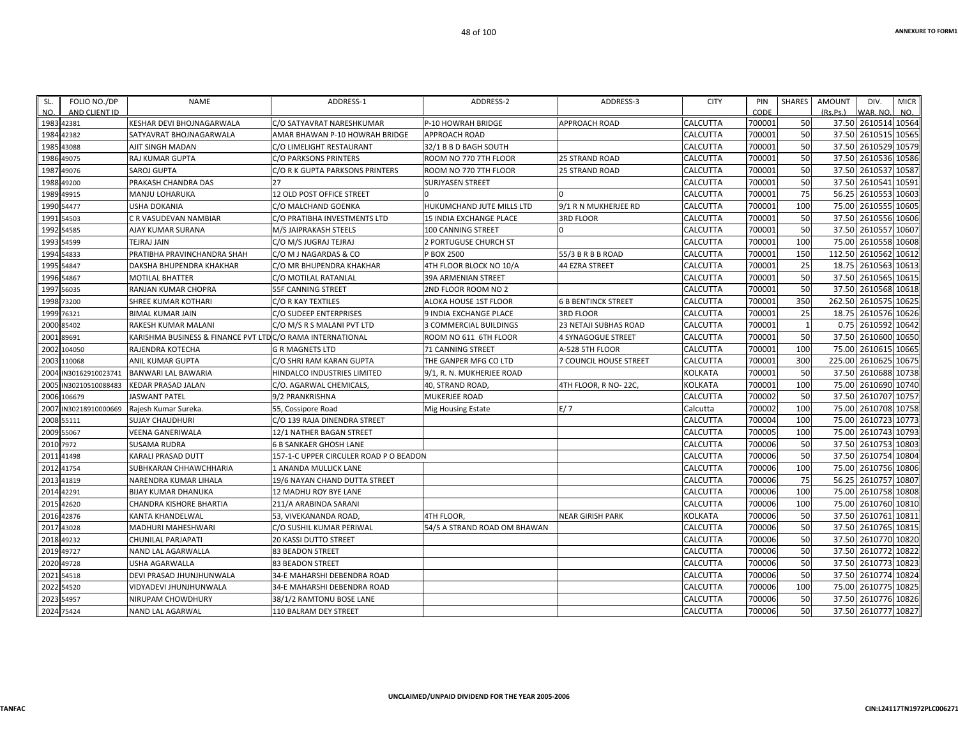| FOLIO NO./DP<br>SL.<br>NO.<br>AND CLIENT ID | <b>NAME</b>                                                | ADDRESS-1                              | ADDRESS-2                      | ADDRESS-3                     | <b>CITY</b>     | PIN<br>CODE | <b>SHARES</b> | <b>AMOUNT</b><br>(Rs.Ps.) | DIV.<br>WAR. NO     | <b>MICR</b><br>NO. |
|---------------------------------------------|------------------------------------------------------------|----------------------------------------|--------------------------------|-------------------------------|-----------------|-------------|---------------|---------------------------|---------------------|--------------------|
| 1983 42381                                  | <b>KESHAR DEVI BHOJNAGARWALA</b>                           | C/O SATYAVRAT NARESHKUMAR              | P-10 HOWRAH BRIDGE             | <b>APPROACH ROAD</b>          | <b>CALCUTTA</b> | 700001      | 50            |                           | 37.50 2610514 10564 |                    |
| 1984<br>42382                               | SATYAVRAT BHOJNAGARWALA                                    | AMAR BHAWAN P-10 HOWRAH BRIDGE         | <b>APPROACH ROAD</b>           |                               | CALCUTTA        | 700001      | 50            | 37.50                     | 2610515             | 10565              |
| 1985<br>43088                               | AJIT SINGH MADAN                                           | C/O LIMELIGHT RESTAURANT               | 32/1 B B D BAGH SOUTH          |                               | CALCUTTA        | 700001      | 50            |                           | 37.50 2610529       | 10579              |
| 49075<br>1986                               | RAJ KUMAR GUPTA                                            | C/O PARKSONS PRINTERS                  | ROOM NO 770 7TH FLOOR          | <b>25 STRAND ROAD</b>         | CALCUTTA        | 700001      | 50            | 37.50                     | 2610536             | 10586              |
| 1987<br>49076                               | SAROJ GUPTA                                                | C/O R K GUPTA PARKSONS PRINTERS        | ROOM NO 770 7TH FLOOR          | <b>25 STRAND ROAD</b>         | CALCUTTA        | 700001      | 50            | 37.50                     | 2610537             | 10587              |
| 49200<br>1988                               | PRAKASH CHANDRA DAS                                        | 27                                     | <b>SURJYASEN STREET</b>        |                               | CALCUTTA        | 700001      | 50            | 37.50                     | 2610541             | 10591              |
| 1989<br>49915                               | MANJU LOHARUKA                                             | 12 OLD POST OFFICE STREET              |                                |                               | CALCUTTA        | 700001      | 75            | 56.25                     | 2610553             | 10603              |
| 1990<br>54477                               | <b>USHA DOKANIA</b>                                        | C/O MALCHAND GOENKA                    | HUKUMCHAND JUTE MILLS LTD      | 9/1 R N MUKHERJEE RD          | CALCUTTA        | 700001      | 100           | 75.00                     | 2610555             | 10605              |
| 54503<br>1991                               | C R VASUDEVAN NAMBIAR                                      | C/O PRATIBHA INVESTMENTS LTD           | <b>15 INDIA EXCHANGE PLACE</b> | <b>3RD FLOOR</b>              | <b>CALCUTTA</b> | 700001      | 50            | 37.50                     | 2610556             | 10606              |
| 54585<br>1992                               | AJAY KUMAR SURANA                                          | M/S JAIPRAKASH STEELS                  | <b>100 CANNING STREET</b>      |                               | CALCUTTA        | 700001      | 50            | 37.50                     | 2610557             | 10607              |
| 1993<br>54599                               | TEJRAJ JAIN                                                | C/O M/S JUGRAJ TEJRAJ                  | 2 PORTUGUSE CHURCH ST          |                               | CALCUTTA        | 700001      | 100           | 75.00                     | 2610558             | 10608              |
| 1994<br>54833                               | PRATIBHA PRAVINCHANDRA SHAH                                | C/O M J NAGARDAS & CO                  | P BOX 2500                     | 55/3 B R B B ROAD             | CALCUTTA        | 700001      | 150           | 112.50                    | 2610562             | 10612              |
| 1995<br>54847                               | DAKSHA BHUPENDRA KHAKHAR                                   | C/O MR BHUPENDRA KHAKHAR               | 4TH FLOOR BLOCK NO 10/A        | 44 EZRA STREET                | CALCUTTA        | 700001      | 25            | 18.75                     | 2610563             | 10613              |
| 54867<br>1996                               | <b>MOTILAL BHATTER</b>                                     | C/O MOTILAL RATANLAL                   | <b>39A ARMENIAN STREET</b>     |                               | CALCUTTA        | 700001      | 50            | 37.50                     | 2610565             | 10615              |
| 56035<br>1997                               | RANJAN KUMAR CHOPRA                                        | 55F CANNING STREET                     | 2ND FLOOR ROOM NO 2            |                               | <b>CALCUTTA</b> | 700001      | 50            | 37.50                     | 2610568 10618       |                    |
| 73200<br>1998                               | SHREE KUMAR KOTHARI                                        | C/O R KAY TEXTILES                     | ALOKA HOUSE 1ST FLOOR          | <b>6 B BENTINCK STREET</b>    | CALCUTTA        | 700001      | 350           | 262.50                    | 2610575             | 10625              |
| 1999<br>76321                               | <b>BIMAL KUMAR JAIN</b>                                    | C/O SUDEEP ENTERPRISES                 | 9 INDIA EXCHANGE PLACE         | <b>3RD FLOOR</b>              | CALCUTTA        | 700001      | 25            | 18.75                     | 2610576             | 10626              |
| 2000<br>85402                               | RAKESH KUMAR MALANI                                        | C/O M/S R S MALANI PVT LTD             | <b>3 COMMERCIAL BUILDINGS</b>  | <b>23 NETAJI SUBHAS ROAD</b>  | <b>CALCUTTA</b> | 700001      | $\mathbf{1}$  | 0.75                      | 2610592 10642       |                    |
| 89691<br>2001                               | KARISHMA BUSINESS & FINANCE PVT LTD C/O RAMA INTERNATIONAL |                                        | ROOM NO 611 6TH FLOOR          | 4 SYNAGOGUE STREET            | CALCUTTA        | 700001      | 50            |                           | 37.50 2610600 10650 |                    |
| 104050<br>2002                              | RAJENDRA KOTECHA                                           | <b>G R MAGNETS LTD</b>                 | <b>71 CANNING STREET</b>       | A-528 5TH FLOOR               | CALCUTTA        | 700001      | 100           | 75.00                     | 2610615             | 10665              |
| 2003<br>110068                              | <b>ANIL KUMAR GUPTA</b>                                    | C/O SHRI RAM KARAN GUPTA               | THE GANPER MFG CO LTD          | <b>7 COUNCIL HOUSE STREET</b> | CALCUTTA        | 700001      | 300           | 225.00                    | 2610625             | 10675              |
| 2004<br>IN30162910023741                    | <b>BANWARI LAL BAWARIA</b>                                 | HINDALCO INDUSTRIES LIMITED            | 9/1, R. N. MUKHERJEE ROAD      |                               | <b>KOLKATA</b>  | 700001      | 50            | 37.50                     | 2610688 10738       |                    |
| 2005<br>IN30210510088483                    | <b>KEDAR PRASAD JALAN</b>                                  | C/O. AGARWAL CHEMICALS                 | 40, STRAND ROAD,               | 4TH FLOOR, R NO-22C,          | <b>KOLKATA</b>  | 700001      | 100           | 75.00                     | 2610690             | 10740              |
| 2006<br>106679                              | <b>JASWANT PATEL</b>                                       | 9/2 PRANKRISHNA                        | MUKERJEE ROAD                  |                               | CALCUTTA        | 700002      | 50            | 37.50                     | 2610707             | 10757              |
| IN30218910000669<br>2007                    | Rajesh Kumar Sureka.                                       | 55, Cossipore Road                     | Mig Housing Estate             | E/7                           | Calcutta        | 700002      | 100           | 75.00                     | 2610708 10758       |                    |
| 2008<br>55111                               | <b>SUJAY CHAUDHURI</b>                                     | C/O 139 RAJA DINENDRA STREET           |                                |                               | CALCUTTA        | 700004      | 100           | 75.00                     | 2610723             | 10773              |
| 2009<br>55067                               | VEENA GANERIWALA                                           | 12/1 NATHER BAGAN STREET               |                                |                               | CALCUTTA        | 700005      | 100           | 75.00                     | 2610743             | 10793              |
| 7972<br>2010                                | <b>SUSAMA RUDRA</b>                                        | <b>6 B SANKAER GHOSH LANE</b>          |                                |                               | CALCUTTA        | 700006      | 50            | 37.50                     | 2610753             | 10803              |
| 2011<br>41498                               | KARALI PRASAD DUTT                                         | 157-1-C UPPER CIRCULER ROAD P O BEADON |                                |                               | <b>CALCUTTA</b> | 700006      | 50            | 37.50                     | 2610754             | 10804              |
| 2012<br>41754                               | SUBHKARAN CHHAWCHHARIA                                     | 1 ANANDA MULLICK LANE                  |                                |                               | CALCUTTA        | 700006      | 100           | 75.00                     | 2610756             | 10806              |
| 41819<br>2013                               | NARENDRA KUMAR LIHALA                                      | 19/6 NAYAN CHAND DUTTA STREET          |                                |                               | CALCUTTA        | 700006      | 75            | 56.25                     | 2610757             | 10807              |
| 42291<br>2014                               | <b>BIJAY KUMAR DHANUKA</b>                                 | <b>12 MADHU ROY BYE LANE</b>           |                                |                               | CALCUTTA        | 700006      | 100           | 75.00                     | 2610758 10808       |                    |
| 201<br>42620                                | CHANDRA KISHORE BHARTIA                                    | 211/A ARABINDA SARANI                  |                                |                               | CALCUTTA        | 700006      | 100           | 75.00                     | 2610760             | 10810              |
| 42876<br>2016                               | KANTA KHANDELWAL                                           | 53, VIVEKANANDA ROAD,                  | 4TH FLOOR,                     | <b>NEAR GIRISH PARK</b>       | <b>KOLKATA</b>  | 700006      | 50            | 37.50                     | 2610761             | 10811              |
| 43028<br>2017                               | <b>MADHURI MAHESHWARI</b>                                  | C/O SUSHIL KUMAR PERIWAL               | 54/5 A STRAND ROAD OM BHAWAN   |                               | CALCUTTA        | 700006      | 50            | 37.50                     | 2610765             | 10815              |
| 49232<br>2018                               | <b>CHUNILAL PARJAPATI</b>                                  | 20 KASSI DUTTO STREET                  |                                |                               | CALCUTTA        | 700006      | 50            | 37.50                     | 2610770             | 10820              |
| 2019<br>49727                               | NAND LAL AGARWALLA                                         | <b>83 BEADON STREET</b>                |                                |                               | CALCUTTA        | 700006      | 50            | 37.50                     | 2610772             | 10822              |
| 2020<br>49728                               | <b>USHA AGARWALLA</b>                                      | <b>83 BEADON STREET</b>                |                                |                               | CALCUTTA        | 700006      | 50            | 37.50                     | 2610773             | 10823              |
| 54518<br>2021                               | DEVI PRASAD JHUNJHUNWALA                                   | 34-E MAHARSHI DEBENDRA ROAD            |                                |                               | <b>CALCUTTA</b> | 700006      | 50            | 37.50                     | 2610774             | 10824              |
| 2022<br>54520                               | VIDYADEVI JHUNJHUNWALA                                     | 34-E MAHARSHI DEBENDRA ROAD            |                                |                               | <b>CALCUTTA</b> | 700006      | 100           | 75.00                     | 2610775             | 10825              |
| 2023<br>54957                               | <b>NIRUPAM CHOWDHURY</b>                                   | 38/1/2 RAMTONU BOSE LANE               |                                |                               | CALCUTTA        | 700006      | 50            | 37.50                     | 2610776             | 10826              |
| 2024 75424                                  | NAND LAL AGARWAL                                           | 110 BALRAM DEY STREET                  |                                |                               | CALCUTTA        | 700006      | 50            |                           | 37.50 2610777 10827 |                    |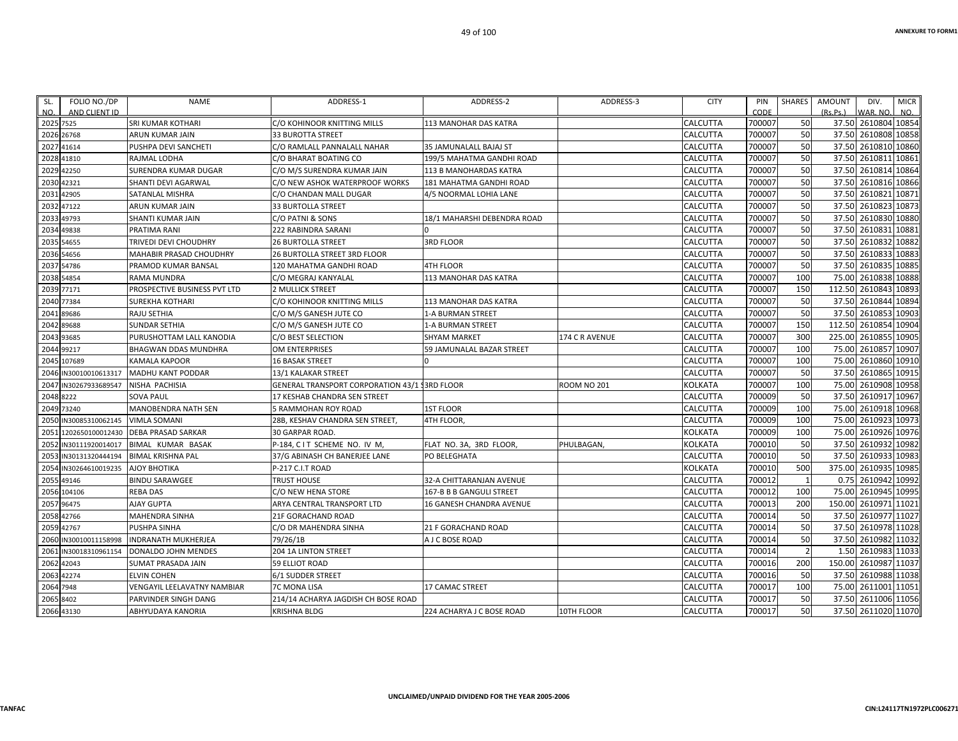| SL. | FOLIO NO./DP          | NAME                           | ADDRESS-1                                            | ADDRESS-2                    | ADDRESS-3          | <b>CITY</b> | PIN    | <b>SHARES</b>  | <b>AMOUNT</b> | DIV.                 | <b>MICR</b> |
|-----|-----------------------|--------------------------------|------------------------------------------------------|------------------------------|--------------------|-------------|--------|----------------|---------------|----------------------|-------------|
| NO. | AND CLIENT ID         |                                |                                                      |                              |                    |             | CODE   |                | (Rs.Ps.)      | WAR, NO.             | NO.         |
|     | 2025 7525             | <b>SRI KUMAR KOTHARI</b>       | C/O KOHINOOR KNITTING MILLS                          | <b>113 MANOHAR DAS KATRA</b> |                    | CALCUTTA    | 700007 | 50             |               | 37.50 2610804 10854  |             |
|     | 2026 26768            | ARUN KUMAR JAIN                | 33 BUROTTA STREET                                    |                              |                    | CALCUTTA    | 700007 | 50             |               | 37.50 2610808 10858  |             |
|     | 2027 41614            | PUSHPA DEVI SANCHETI           | C/O RAMLALL PANNALALL NAHAR                          | 35 JAMUNALALL BAJAJ ST       |                    | CALCUTTA    | 700007 | 50             |               | 37.50 2610810        | 10860       |
|     | 2028 41810            | RAJMAL LODHA                   | C/O BHARAT BOATING CO                                | 199/5 MAHATMA GANDHI ROAD    |                    | CALCUTTA    | 700007 | 50             |               | 37.50 2610811        | 10861       |
|     | 2029 42250            | SURENDRA KUMAR DUGAR           | C/O M/S SURENDRA KUMAR JAIN                          | 113 B MANOHARDAS KATRA       |                    | CALCUTTA    | 700007 | 50             |               | 37.50 2610814        | 10864       |
|     | 2030 42321            | SHANTI DEVI AGARWAL            | C/O NEW ASHOK WATERPROOF WORKS                       | 181 MAHATMA GANDHI ROAD      |                    | CALCUTTA    | 700007 | 50             |               | 37.50 2610816 10866  |             |
|     | 2031 42905            | SATANLAL MISHRA                | C/O CHANDAN MALL DUGAR                               | 4/5 NOORMAL LOHIA LANE       |                    | CALCUTTA    | 700007 | 50             |               | 37.50 2610821        | 10871       |
|     | 2032 47122            | ARUN KUMAR JAIN                | <b>33 BURTOLLA STREET</b>                            |                              |                    | CALCUTTA    | 700007 | 50             |               | 37.50 2610823        | 10873       |
|     | 2033 49793            | SHANTI KUMAR JAIN              | C/O PATNI & SONS                                     | 18/1 MAHARSHI DEBENDRA ROAD  |                    | CALCUTTA    | 700007 | 50             |               | 37.50 2610830 10880  |             |
|     | 2034 49838            | PRATIMA RANI                   | 222 RABINDRA SARANI                                  |                              |                    | CALCUTTA    | 700007 | 50             |               | 37.50 2610831        | 10881       |
|     | 2035 54655            | TRIVEDI DEVI CHOUDHRY          | <b>26 BURTOLLA STREET</b>                            | <b>3RD FLOOR</b>             |                    | CALCUTTA    | 700007 | 50             |               | 37.50 2610832        | 10882       |
|     | 2036 54656            | <b>MAHABIR PRASAD CHOUDHRY</b> | 26 BURTOLLA STREET 3RD FLOOR                         |                              |                    | CALCUTTA    | 700007 | 50             |               | 37.50 2610833 10883  |             |
|     | 2037 54786            | PRAMOD KUMAR BANSAL            | 120 MAHATMA GANDHI ROAD                              | 4TH FLOOR                    |                    | CALCUTTA    | 700007 | 50             |               | 37.50 2610835        | 10885       |
|     | 2038 54854            | RAMA MUNDRA                    | C/O MEGRAJ KANYALAL                                  | 113 MANOHAR DAS KATRA        |                    | CALCUTTA    | 700007 | 100            |               | 75.00 2610838 10888  |             |
|     | 2039 77171            | PROSPECTIVE BUSINESS PVT LTD   | <b>2 MULLICK STREET</b>                              |                              |                    | CALCUTTA    | 700007 | 150            |               | 112.50 2610843       | 10893       |
|     | 2040 77384            | <b>SUREKHA KOTHARI</b>         | C/O KOHINOOR KNITTING MILLS                          | <b>113 MANOHAR DAS KATRA</b> |                    | CALCUTTA    | 700007 | 50             |               | 37.50 2610844        | 10894       |
|     | 2041 89686            | <b>RAJU SETHIA</b>             | C/O M/S GANESH JUTE CO                               | 1-A BURMAN STREET            |                    | CALCUTTA    | 700007 | 50             |               | 37.50 2610853 10903  |             |
|     | 2042 89688            | <b>SUNDAR SETHIA</b>           | C/O M/S GANESH JUTE CO                               | <b>1-A BURMAN STREET</b>     |                    | CALCUTTA    | 700007 | 150            |               | 112.50 2610854 10904 |             |
|     | 2043 93685            | PURUSHOTTAM LALL KANODIA       | C/O BEST SELECTION                                   | SHYAM MARKET                 | 174 C R AVENUE     | CALCUTTA    | 700007 | 300            | 225.00        | 2610855              | 10905       |
|     | 2044 99217            | BHAGWAN DDAS MUNDHRA           | <b>OM ENTERPRISES</b>                                | 59 JAMUNALAL BAZAR STREET    |                    | CALCUTTA    | 700007 | 100            |               | 75.00 2610857 10907  |             |
|     | 2045 107689           | <b>KAMALA KAPOOR</b>           | <b>16 BASAK STREET</b>                               |                              |                    | CALCUTTA    | 700007 | 100            |               | 75.00 2610860 10910  |             |
|     | 2046 IN30010010613317 | <b>MADHU KANT PODDAR</b>       | 13/1 KALAKAR STREET                                  |                              |                    | CALCUTTA    | 700007 | 50             |               | 37.50 2610865 10915  |             |
|     | 2047 IN30267933689547 | NISHA PACHISIA                 | <b>GENERAL TRANSPORT CORPORATION 43/1 13RD FLOOR</b> |                              | <b>ROOM NO 201</b> | KOLKATA     | 700007 | 100            |               | 75.00 2610908 10958  |             |
|     | 2048 8222             | <b>SOVA PAUL</b>               | 17 KESHAB CHANDRA SEN STREET                         |                              |                    | CALCUTTA    | 700009 | 50             |               | 37.50 2610917        | 10967       |
|     | 2049 73240            | <b>MANOBENDRA NATH SEN</b>     | 5 RAMMOHAN ROY ROAD                                  | <b>1ST FLOOR</b>             |                    | CALCUTTA    | 700009 | 100            |               | 75.00 2610918 10968  |             |
|     | 2050 IN30085310062145 | <b>VIMLA SOMANI</b>            | 28B, KESHAV CHANDRA SEN STREET                       | 4TH FLOOR,                   |                    | CALCUTTA    | 700009 | 100            |               | 75.00 2610923        | 10973       |
|     | 2051 1202650100012430 | <b>DEBA PRASAD SARKAR</b>      | 30 GARPAR ROAD.                                      |                              |                    | KOLKATA     | 700009 | 100            |               | 75.00 2610926        | 10976       |
|     | 2052 IN30111920014017 | BIMAL KUMAR BASAK              | P-184, CIT SCHEME NO. IV M,                          | FLAT NO. 3A, 3RD FLOOR,      | PHULBAGAN          | KOLKATA     | 700010 | 50             |               | 37.50 2610932        | 10982       |
|     | 2053 IN30131320444194 | <b>BIMAL KRISHNA PAL</b>       | 37/G ABINASH CH BANERJEE LANE                        | PO BELEGHATA                 |                    | CALCUTTA    | 700010 | 50             |               | 37.50 2610933        | 10983       |
|     | 2054 IN30264610019235 | <b>AJOY BHOTIKA</b>            | P-217 C.I.T ROAD                                     |                              |                    | KOLKATA     | 700010 | 500            |               | 375.00 2610935 10985 |             |
|     | 2055 49146            | <b>BINDU SARAWGEE</b>          | <b>TRUST HOUSE</b>                                   | 32-A CHITTARANJAN AVENUE     |                    | CALCUTTA    | 700012 | 1              |               | 0.75 2610942 10992   |             |
|     | 2056 104106           | <b>REBA DAS</b>                | C/O NEW HENA STORE                                   | 167-B B B GANGULI STREET     |                    | CALCUTTA    | 700012 | 100            |               | 75.00 2610945        | 10995       |
|     | 2057 96475            | <b>AJAY GUPTA</b>              | ARYA CENTRAL TRANSPORT LTD                           | 16 GANESH CHANDRA AVENUE     |                    | CALCUTTA    | 700013 | 200            |               | 150.00 2610971       | 11021       |
|     | 2058 42766            | MAHENDRA SINHA                 | <b>21F GORACHAND ROAD</b>                            |                              |                    | CALCUTTA    | 700014 | 50             |               | 37.50 2610977 11027  |             |
|     | 2059 42767            | PUSHPA SINHA                   | C/O DR MAHENDRA SINHA                                | 21 F GORACHAND ROAD          |                    | CALCUTTA    | 700014 | 50             |               | 37.50 2610978 11028  |             |
|     | 2060 IN30010011158998 | <b>INDRANATH MUKHERJEA</b>     | 79/26/1B                                             | A J C BOSE ROAD              |                    | CALCUTTA    | 700014 | 50             |               | 37.50 2610982 11032  |             |
|     | 2061 IN30018310961154 | DONALDO JOHN MENDES            | <b>204 1A LINTON STREET</b>                          |                              |                    | CALCUTTA    | 700014 | $\overline{2}$ |               | 1.50 2610983 11033   |             |
|     | 2062 42043            | SUMAT PRASADA JAIN             | <b>59 ELLIOT ROAD</b>                                |                              |                    | CALCUTTA    | 700016 | 200            |               | 150.00 2610987 11037 |             |
|     | 2063 42274            | <b>ELVIN COHEN</b>             | 6/1 SUDDER STREET                                    |                              |                    | CALCUTTA    | 700016 | 50             |               | 37.50 2610988 11038  |             |
|     | 2064 7948             | VENGAYIL LEELAVATNY NAMBIAR    | <b>7C MONA LISA</b>                                  | 17 CAMAC STREET              |                    | CALCUTTA    | 700017 | 100            |               | 75.00 2611001        | 11051       |
|     | 2065 8402             | PARVINDER SINGH DANG           | 214/14 ACHARYA JAGDISH CH BOSE ROAD                  |                              |                    | CALCUTTA    | 700017 | 50             |               | 37.50 2611006 11056  |             |
|     | 2066 43130            | ABHYUDAYA KANORIA              | <b>KRISHNA BLDG</b>                                  | 224 ACHARYA J C BOSE ROAD    | 10TH FLOOR         | CALCUTTA    | 700017 | 50             |               | 37.50 2611020 11070  |             |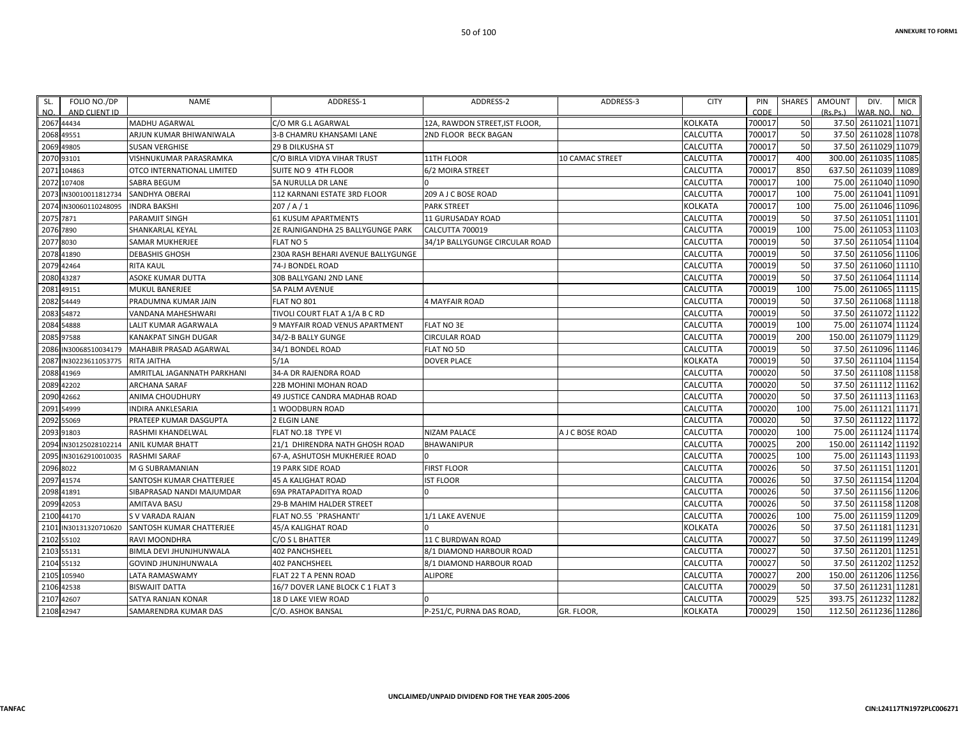| SL.        | FOLIO NO./DP          | NAME                           | ADDRESS-1                          | ADDRESS-2                      | ADDRESS-3              | <b>CITY</b>    | PIN    | SHARES | AMOUNT<br>DIV.          | <b>MICR</b> |
|------------|-----------------------|--------------------------------|------------------------------------|--------------------------------|------------------------|----------------|--------|--------|-------------------------|-------------|
| NO.        | AND CLIENT ID         |                                |                                    |                                |                        |                | CODE   |        | (Rs.Ps.)<br>WAR, NO.    | NO.         |
| 2067 44434 |                       | <b>MADHU AGARWAL</b>           | C/O MR G.L AGARWAL                 | 12A, RAWDON STREET, IST FLOOR, |                        | <b>KOLKATA</b> | 700017 | 50     | 2611021 11071<br>37.50  |             |
| 2068 49551 |                       | ARJUN KUMAR BHIWANIWALA        | 3-B CHAMRU KHANSAMI LANE           | <b>2ND FLOOR BECK BAGAN</b>    |                        | CALCUTTA       | 700017 | 50     | 37.50 2611028 11078     |             |
| 2069 49805 |                       | <b>SUSAN VERGHISE</b>          | <b>29 B DILKUSHA ST</b>            |                                |                        | CALCUTTA       | 700017 | 50     | 37.50<br>2611029 11079  |             |
| 2070 93101 |                       | VISHNUKUMAR PARASRAMKA         | C/O BIRLA VIDYA VIHAR TRUST        | 11TH FLOOR                     | <b>10 CAMAC STREET</b> | CALCUTTA       | 700017 | 400    | 300.00<br>2611035 11085 |             |
|            | 2071 104863           | OTCO INTERNATIONAL LIMITED     | SUITE NO 9 4TH FLOOR               | 6/2 MOIRA STREET               |                        | CALCUTTA       | 700017 | 850    | 637.50<br>2611039 11089 |             |
|            | 2072 107408           | <b>SABRA BEGUM</b>             | 5A NURULLA DR LANE                 |                                |                        | CALCUTTA       | 700017 | 100    | 2611040 11090<br>75.00  |             |
|            | 2073 IN30010011812734 | SANDHYA OBERAI                 | 112 KARNANI ESTATE 3RD FLOOR       | 209 A J C BOSE ROAD            |                        | CALCUTTA       | 700017 | 100    | 2611041 11091<br>75.00  |             |
|            | 2074 IN30060110248095 | <b>INDRA BAKSHI</b>            | 207/A/1                            | <b>PARK STREET</b>             |                        | <b>KOLKATA</b> | 700017 | 100    | 75.00<br>2611046 11096  |             |
| 2075 7871  |                       | PARAMJIT SINGH                 | <b>61 KUSUM APARTMENTS</b>         | 11 GURUSADAY ROAD              |                        | CALCUTTA       | 700019 | 50     | 37.50<br>2611051 11101  |             |
| 2076 7890  |                       | SHANKARLAL KEYAL               | 2E RAJNIGANDHA 25 BALLYGUNGE PARK  | CALCUTTA 700019                |                        | CALCUTTA       | 700019 | 100    | 2611053 11103<br>75.00  |             |
| 2077 8030  |                       | <b>SAMAR MUKHERJEE</b>         | <b>FLAT NO 5</b>                   | 34/1P BALLYGUNGE CIRCULAR ROAD |                        | CALCUTTA       | 700019 | 50     | 37.50<br>2611054 11104  |             |
| 2078 41890 |                       | <b>DEBASHIS GHOSH</b>          | 230A RASH BEHARI AVENUE BALLYGUNGE |                                |                        | CALCUTTA       | 700019 | 50     | 2611056 11106<br>37.50  |             |
| 2079 42464 |                       | <b>RITA KAUL</b>               | 74-J BONDEL ROAD                   |                                |                        | CALCUTTA       | 700019 | 50     | 37.50 2611060 11110     |             |
| 2080 43287 |                       | ASOKE KUMAR DUTTA              | 30B BALLYGANJ 2ND LANE             |                                |                        | CALCUTTA       | 700019 | 50     | 2611064 11114<br>37.50  |             |
| 2081 49151 |                       | MUKUL BANERJEE                 | <b>5A PALM AVENUE</b>              |                                |                        | CALCUTTA       | 700019 | 100    | 75.00<br>2611065 11115  |             |
| 2082 54449 |                       | PRADUMNA KUMAR JAIN            | FLAT NO 801                        | 4 MAYFAIR ROAD                 |                        | CALCUTTA       | 700019 | 50     | 2611068 11118<br>37.50  |             |
| 2083 54872 |                       | VANDANA MAHESHWARI             | TIVOLI COURT FLAT A 1/A B C RD     |                                |                        | CALCUTTA       | 700019 | 50     | 37.50 2611072 11122     |             |
| 2084 54888 |                       | LALIT KUMAR AGARWALA           | 9 MAYFAIR ROAD VENUS APARTMENT     | <b>FLAT NO 3E</b>              |                        | CALCUTTA       | 700019 | 100    | 75.00<br>2611074 11124  |             |
| 2085 97588 |                       | KANAKPAT SINGH DUGAR           | 34/2-B BALLY GUNGE                 | <b>CIRCULAR ROAD</b>           |                        | CALCUTTA       | 700019 | 200    | 2611079 11129<br>150.00 |             |
|            | 2086 IN30068510034179 | MAHABIR PRASAD AGARWAL         | 34/1 BONDEL ROAD                   | FLAT NO 5D                     |                        | CALCUTTA       | 700019 | 50     | 37.50 2611096 11146     |             |
|            | 2087 IN30223611053775 | RITA JAITHA                    | 5/1A                               | <b>DOVER PLACE</b>             |                        | <b>KOLKATA</b> | 700019 | 50     | 37.50<br>2611104 11154  |             |
| 2088 41969 |                       | AMRITLAL JAGANNATH PARKHANI    | 34-A DR RAJENDRA ROAD              |                                |                        | CALCUTTA       | 700020 | 50     | 2611108 11158<br>37.50  |             |
| 2089 42202 |                       | ARCHANA SARAF                  | 22B MOHINI MOHAN ROAD              |                                |                        | CALCUTTA       | 700020 | 50     | 37.50<br>2611112 11162  |             |
|            | 2090 42662            | ANIMA CHOUDHURY                | 49 JUSTICE CANDRA MADHAB ROAD      |                                |                        | CALCUTTA       | 700020 | 50     | 37.50<br>2611113 11163  |             |
| 2091 54999 |                       | INDIRA ANKLESARIA              | 1 WOODBURN ROAD                    |                                |                        | CALCUTTA       | 700020 | 100    | 2611121 11171<br>75.00  |             |
| 2092 55069 |                       | PRATEEP KUMAR DASGUPTA         | 2 ELGIN LANE                       |                                |                        | CALCUTTA       | 700020 | 50     | 37.50<br>2611122 11172  |             |
| 2093 91803 |                       | RASHMI KHANDELWAL              | FLAT NO.18 TYPE VI                 | <b>NIZAM PALACE</b>            | A J C BOSE ROAD        | CALCUTTA       | 700020 | 100    | 75.00<br>2611124 11174  |             |
|            | 2094 IN30125028102214 | <b>ANIL KUMAR BHATT</b>        | 21/1 DHIRENDRA NATH GHOSH ROAD     | <b>BHAWANIPUR</b>              |                        | CALCUTTA       | 700025 | 200    | 150.00<br>2611142 11192 |             |
|            | 2095 IN30162910010035 | RASHMI SARAF                   | 67-A, ASHUTOSH MUKHERJEE ROAD      | $\mathbf 0$                    |                        | CALCUTTA       | 700025 | 100    | 75.00<br>2611143 11193  |             |
| 2096 8022  |                       | M G SUBRAMANIAN                | <b>19 PARK SIDE ROAD</b>           | <b>FIRST FLOOR</b>             |                        | CALCUTTA       | 700026 | 50     | 37.50 2611151 11201     |             |
| 2097 41574 |                       | SANTOSH KUMAR CHATTERJEE       | <b>45 A KALIGHAT ROAD</b>          | <b>IST FLOOR</b>               |                        | CALCUTTA       | 700026 | 50     | 37.50<br>2611154 11204  |             |
| 2098 41891 |                       | SIBAPRASAD NANDI MAJUMDAR      | 69A PRATAPADITYA ROAD              |                                |                        | CALCUTTA       | 700026 | 50     | 37.50<br>2611156 11206  |             |
| 2099 42053 |                       | AMITAVA BASU                   | 29-B MAHIM HALDER STREET           |                                |                        | CALCUTTA       | 700026 | 50     | 37.50 2611158 11208     |             |
| 2100 44170 |                       | S V VARADA RAJAN               | FLAT NO.55 `PRASHANTI`             | 1/1 LAKE AVENUE                |                        | CALCUTTA       | 700026 | 100    | 2611159 11209<br>75.00  |             |
|            | 2101 IN30131320710620 | SANTOSH KUMAR CHATTERJEE       | 45/A KALIGHAT ROAD                 |                                |                        | KOLKATA        | 700026 | 50     | 2611181 11231<br>37.50  |             |
| 2102 55102 |                       | RAVI MOONDHRA                  | C/O S L BHATTER                    | <b>11 C BURDWAN ROAD</b>       |                        | CALCUTTA       | 700027 | 50     | 37.50 2611199 11249     |             |
| 2103 55131 |                       | <b>BIMLA DEVI JHUNJHUNWALA</b> | <b>402 PANCHSHEEL</b>              | 8/1 DIAMOND HARBOUR ROAD       |                        | CALCUTTA       | 700027 | 50     | 2611201 11251<br>37.50  |             |
| 2104 55132 |                       | GOVIND JHUNJHUNWALA            | 402 PANCHSHEEL                     | 8/1 DIAMOND HARBOUR ROAD       |                        | CALCUTTA       | 700027 | 50     | 37.50 2611202 11252     |             |
|            | 2105 105940           | LATA RAMASWAMY                 | FLAT 22 T A PENN ROAD              | <b>ALIPORE</b>                 |                        | CALCUTTA       | 700027 | 200    | 2611206 11256<br>150.00 |             |
| 2106 42538 |                       | <b>BISWAJIT DATTA</b>          | 16/7 DOVER LANE BLOCK C 1 FLAT 3   |                                |                        | CALCUTTA       | 700029 | 50     | 37.50 2611231 11281     |             |
| 2107 42607 |                       | SATYA RANJAN KONAR             | 18 D LAKE VIEW ROAD                |                                |                        | CALCUTTA       | 700029 | 525    | 2611232 11282<br>393.75 |             |
| 2108 42947 |                       | SAMARENDRA KUMAR DAS           | C/O. ASHOK BANSAL                  | P-251/C, PURNA DAS ROAD        | GR. FLOOR.             | <b>KOLKATA</b> | 700029 | 150    | 112.50 2611236 11286    |             |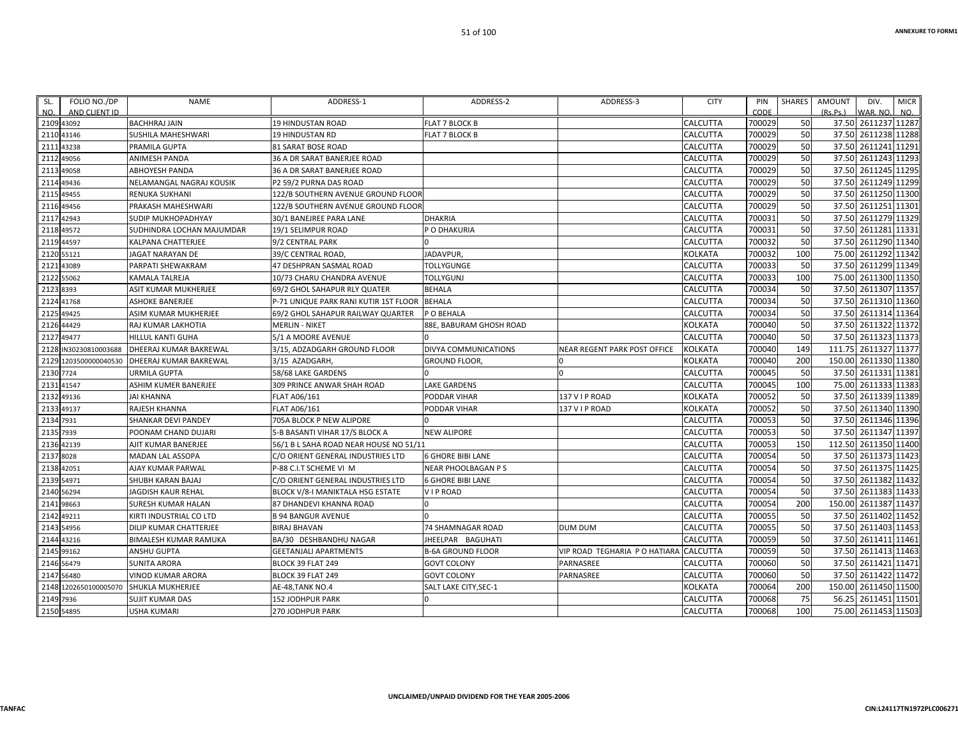| SL.        | FOLIO NO./DP                | <b>NAME</b>                            | ADDRESS-1                                                     | ADDRESS-2                      | ADDRESS-3                     | <b>CITY</b>          | PIN              | SHARES    | AMOUNT   | DIV.                                       | <b>MICR</b> |
|------------|-----------------------------|----------------------------------------|---------------------------------------------------------------|--------------------------------|-------------------------------|----------------------|------------------|-----------|----------|--------------------------------------------|-------------|
| NO.        | AND CLIENT ID<br>2109 43092 | <b>BACHHRAJ JAIN</b>                   | <b>19 HINDUSTAN ROAD</b>                                      | <b>FLAT 7 BLOCK B</b>          |                               | CALCUTTA             | CODE<br>700029   | 50        | (Rs, Ps) | WAR. NO.<br>37.50 2611237 11287            | NO.         |
|            |                             |                                        |                                                               |                                |                               |                      | 700029           | 50        |          | 37.50 2611238 11288                        |             |
|            | 2110 43146                  | <b>SUSHILA MAHESHWARI</b>              | <b>19 HINDUSTAN RD</b>                                        | <b>FLAT 7 BLOCK B</b>          |                               | CALCUTTA             | 700029           | 50        |          | 37.50 2611241 11291                        |             |
| 2112 49056 | 2111 43238                  | PRAMILA GUPTA                          | 81 SARAT BOSE ROAD                                            |                                |                               | CALCUTTA             | 700029           | 50        |          | 37.50 2611243 11293                        |             |
|            |                             | ANIMESH PANDA<br><b>ABHOYESH PANDA</b> | 36 A DR SARAT BANERJEE ROAD<br>36 A DR SARAT BANERJEE ROAD    |                                |                               | CALCUTTA<br>CALCUTTA | 700029           | 50        |          | 37.50 2611245 11295                        |             |
|            | 2113 49058                  | NELAMANGAL NAGRAJ KOUSIK               | P2 59/2 PURNA DAS ROAD                                        |                                |                               | CALCUTTA             | 700029           | 50        |          | 37.50 2611249 11299                        |             |
|            | 2114 49436                  |                                        |                                                               |                                |                               |                      | 700029           | 50        |          | 37.50 2611250 11300                        |             |
| 2115 49455 | 2116 49456                  | RENUKA SUKHANI                         | 122/B SOUTHERN AVENUE GROUND FLOOR                            |                                |                               | CALCUTTA<br>CALCUTTA | 700029           | 50        |          | 37.50 2611251                              | 11301       |
|            | 2117 42943                  | PRAKASH MAHESHWARI                     | 122/B SOUTHERN AVENUE GROUND FLOOR<br>30/1 BANEJREE PARA LANE | <b>DHAKRIA</b>                 |                               | CALCUTTA             | 700031           | 50        |          | 37.50 2611279 11329                        |             |
|            |                             | SUDIP MUKHOPADHYAY                     |                                                               |                                |                               |                      | 700031           | 50        |          | 37.50 2611281 11331                        |             |
|            | 2118 49572                  | SUDHINDRA LOCHAN MAJUMDAR              | 19/1 SELIMPUR ROAD                                            | P O DHAKURIA                   |                               | CALCUTTA             |                  |           |          | 37.50 2611290 11340                        |             |
|            | 2119 44597                  | KALPANA CHATTERJEE                     | 9/2 CENTRAL PARK                                              |                                |                               | CALCUTTA             | 700032<br>700032 | 50<br>100 |          | 75.00 2611292 11342                        |             |
|            | 2120 55121                  | JAGAT NARAYAN DE                       | 39/C CENTRAL ROAD                                             | JADAVPUR,<br><b>TOLLYGUNGE</b> |                               | KOLKATA              | 700033           | 50        |          | 37.50 2611299 11349                        |             |
|            | 2121 43089                  | PARPATI SHEWAKRAM                      | 47 DESHPRAN SASMAL ROAD                                       |                                |                               | CALCUTTA             |                  |           |          |                                            |             |
|            | 2122 55062                  | KAMALA TALREJA                         | 10/73 CHARU CHANDRA AVENUE                                    | <b>TOLLYGUNJ</b>               |                               | CALCUTTA             | 700033           | 100<br>50 |          | 75.00 2611300 11350<br>37.50 2611307 11357 |             |
| 2123 8393  |                             | ASIT KUMAR MUKHERJEE                   | 59/2 GHOL SAHAPUR RLY QUATER                                  | <b>BEHALA</b>                  |                               | CALCUTTA             | 700034           |           |          |                                            |             |
|            | 2124 41768                  | <b>ASHOKE BANERJEE</b>                 | P-71 UNIQUE PARK RANI KUTIR 1ST FLOOR                         | <b>BEHALA</b>                  |                               | CALCUTTA             | 700034           | 50        |          | 37.50 2611310 11360                        |             |
| 2125 49425 |                             | ASIM KUMAR MUKHERJEE                   | 69/2 GHOL SAHAPUR RAILWAY QUARTER                             | P O BEHALA                     |                               | CALCUTTA             | 700034           | 50        |          | 37.50 2611314 11364                        |             |
|            | 2126 44429                  | RAJ KUMAR LAKHOTIA                     | <b>MERLIN - NIKET</b>                                         | 88E, BABURAM GHOSH ROAD        |                               | KOLKATA              | 700040           | 50        |          | 37.50 2611322 11372                        |             |
|            | 2127 49477                  | HILLUL KANTI GUHA                      | 5/1 A MOORE AVENUE                                            |                                |                               | CALCUTTA             | 700040           | 50        |          | 37.50 2611323 11373                        |             |
|            | 2128 IN30230810003688       | DHEERAJ KUMAR BAKREWAL                 | 3/15, ADZADGARH GROUND FLOOR                                  | DIVYA COMMUNICATIONS           | NEAR REGENT PARK POST OFFICE  | KOLKATA              | 700040           | 149       |          | 111.75 2611327 11377                       |             |
|            | 2129 1203500000040530       | <b>DHEERAJ KUMAR BAKREWAL</b>          | 3/15 AZADGARH                                                 | <b>GROUND FLOOR,</b>           |                               | KOLKATA              | 700040           | 200       |          | 150.00 2611330 11380                       |             |
| 2130 7724  |                             | <b>URMILA GUPTA</b>                    | 58/68 LAKE GARDENS                                            |                                |                               | CALCUTTA             | 700045           | 50        |          | 37.50 2611331                              | 11381       |
|            | 2131 41547                  | ASHIM KUMER BANERJEE                   | 309 PRINCE ANWAR SHAH ROAD                                    | <b>LAKE GARDENS</b>            |                               | CALCUTTA             | 700045           | 100       |          | 75.00 2611333 11383                        |             |
|            | 2132 49136                  | <b>JAI KHANNA</b>                      | FLAT A06/161                                                  | PODDAR VIHAR                   | 137 V I P ROAD                | KOLKATA              | 700052           | 50        |          | 37.50 2611339 11389                        |             |
|            | 2133 49137                  | RAJESH KHANNA                          | FLAT A06/161                                                  | PODDAR VIHAR                   | 137 V I P ROAD                | KOLKATA              | 700052           | 50        |          | 37.50 2611340 11390                        |             |
| 2134 7931  |                             | SHANKAR DEVI PANDEY                    | 705A BLOCK P NEW ALIPORE                                      |                                |                               | CALCUTTA             | 700053           | 50        |          | 37.50 2611346 11396                        |             |
| 2135 7939  |                             | POONAM CHAND DUJARI                    | 5-B BASANTI VIHAR 17/S BLOCK A                                | <b>NEW ALIPORE</b>             |                               | CALCUTTA             | 700053           | 50        |          | 37.50 2611347 11397                        |             |
|            | 2136 42139                  | AJIT KUMAR BANERJEE                    | 56/1 B L SAHA ROAD NEAR HOUSE NO 51/11                        |                                |                               | CALCUTTA             | 700053           | 150       |          | 112.50 2611350 11400                       |             |
| 2137 8028  |                             | MADAN LAL ASSOPA                       | C/O ORIENT GENERAL INDUSTRIES LTD                             | <b>6 GHORE BIBI LANE</b>       |                               | CALCUTTA             | 700054           | 50        |          | 37.50 2611373 11423                        |             |
| 2138 42051 |                             | AJAY KUMAR PARWAL                      | P-88 C.I.T SCHEME VI M                                        | NEAR PHOOLBAGAN P S            |                               | CALCUTTA             | 700054           | 50        |          | 37.50 2611375 11425                        |             |
|            | 2139 54971                  | SHUBH KARAN BAJAJ                      | C/O ORIENT GENERAL INDUSTRIES LTD                             | <b>6 GHORE BIBI LANE</b>       |                               | CALCUTTA             | 700054           | 50        |          | 37.50 2611382 11432                        |             |
| 2140 56294 |                             | JAGDISH KAUR REHAL                     | BLOCK V/8-I MANIKTALA HSG ESTATE                              | VIP ROAD                       |                               | CALCUTTA             | 700054           | 50        |          | 37.50 2611383 11433                        |             |
|            | 2141 98663                  | SURESH KUMAR HALAN                     | 87 DHANDEVI KHANNA ROAD                                       |                                |                               | CALCUTTA             | 700054           | 200       |          | 150.00 2611387 11437                       |             |
|            | 2142 49211                  | KIRTI INDUSTRIAL CO LTD                | <b>B 94 BANGUR AVENUE</b>                                     |                                |                               | CALCUTTA             | 700055           | 50        |          | 37.50 2611402 11452                        |             |
|            | 2143 54956                  | <b>DILIP KUMAR CHATTERJEE</b>          | <b>BIRAJ BHAVAN</b>                                           | <b>74 SHAMNAGAR ROAD</b>       | <b>DUM DUM</b>                | CALCUTTA             | 700055           | 50        |          | 37.50 2611403 11453                        |             |
|            | 2144 43216                  | BIMALESH KUMAR RAMUKA                  | BA/30 DESHBANDHU NAGAR                                        | JHEELPAR BAGUHATI              |                               | CALCUTTA             | 700059           | 50        |          | 37.50 2611411 11461                        |             |
|            | 2145 99162                  | <b>ANSHU GUPTA</b>                     | <b>GEETANJALI APARTMENTS</b>                                  | <b>B-6A GROUND FLOOR</b>       | VIP ROAD TEGHARIA P O HATIARA | <b>CALCUTTA</b>      | 700059           | 50        |          | 37.50 2611413 11463                        |             |
|            | 2146 56479                  | <b>SUNITA ARORA</b>                    | BLOCK 39 FLAT 249                                             | <b>GOVT COLONY</b>             | PARNASREE                     | CALCUTTA             | 700060           | 50        |          | 37.50 2611421 11471                        |             |
|            | 2147 56480                  | VINOD KUMAR ARORA                      | BLOCK 39 FLAT 249                                             | <b>GOVT COLONY</b>             | PARNASREE                     | CALCUTTA             | 700060           | 50        |          | 37.50 2611422 11472                        |             |
|            | 2148 1202650100005070       | SHUKLA MUKHERJEE                       | AE-48,TANK NO.4                                               | SALT LAKE CITY, SEC-1          |                               | KOLKATA              | 700064           | 200       |          | 150.00 2611450 11500                       |             |
| 2149 7936  |                             | SUJIT KUMAR DAS                        | <b>152 JODHPUR PARK</b>                                       |                                |                               | CALCUTTA             | 700068           | 75        |          | 56.25 2611451 11501                        |             |
| 2150 54895 |                             | <b>USHA KUMARI</b>                     | 270 JODHPUR PARK                                              |                                |                               | CALCUTTA             | 700068           | 100       |          | 75.00 2611453 11503                        |             |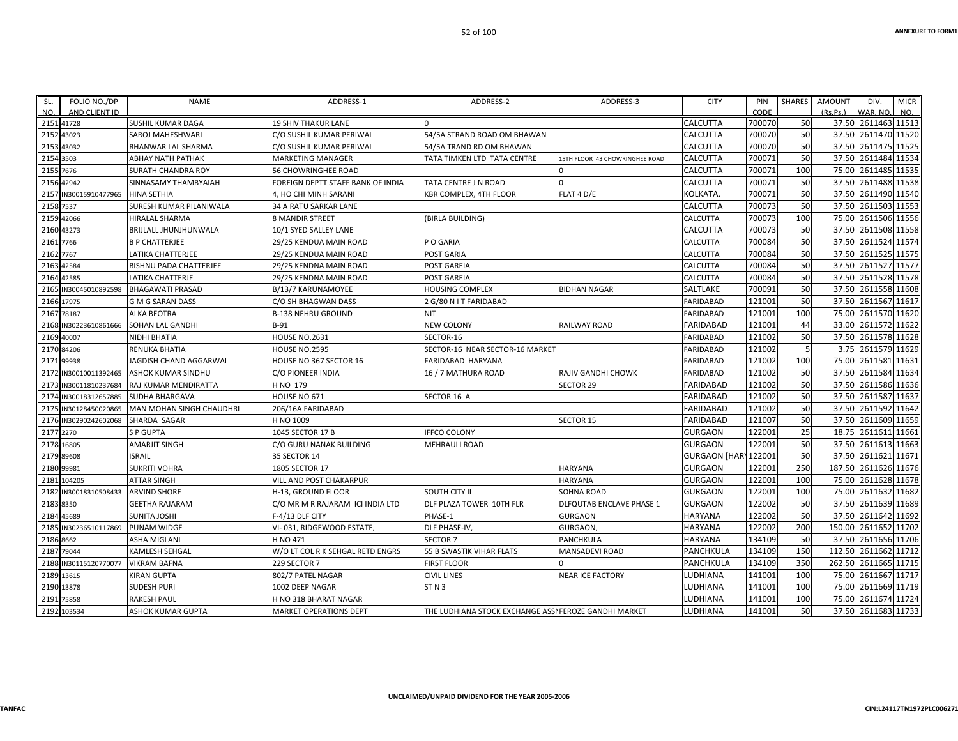| SL.<br>NO. | FOLIO NO./DP<br>AND CLIENT ID | <b>NAME</b>               | ADDRESS-1                         | ADDRESS-2                                             | ADDRESS-3                             | <b>CITY</b>          | PIN<br>CODE | SHARES | <b>AMOUNT</b><br>(Rs.Ps.) | DIV.<br><b>MICR</b><br>WAR, NO.<br>NO. |
|------------|-------------------------------|---------------------------|-----------------------------------|-------------------------------------------------------|---------------------------------------|----------------------|-------------|--------|---------------------------|----------------------------------------|
|            | 2151 41728                    | <b>SUSHIL KUMAR DAGA</b>  | <b>19 SHIV THAKUR LANE</b>        |                                                       |                                       | CALCUTTA             | 700070      | 50     | 37.50                     | 2611463 11513                          |
|            | 2152 43023                    | SAROJ MAHESHWARI          | C/O SUSHIL KUMAR PERIWAL          | 54/5A STRAND ROAD OM BHAWAN                           |                                       | CALCUTTA             | 700070      | 50     |                           | 37.50 2611470 11520                    |
|            | 2153 43032                    | BHANWAR LAL SHARMA        | C/O SUSHIL KUMAR PERIWAL          | 54/5A TRAND RD OM BHAWAN                              |                                       | CALCUTTA             | 700070      | 50     | 37.50                     | 2611475 11525                          |
|            | 2154 3503                     | <b>ABHAY NATH PATHAK</b>  | <b>MARKETING MANAGER</b>          | TATA TIMKEN LTD TATA CENTRE                           | <b>ISTH FLOOR 43 CHOWRINGHEE ROAD</b> | CALCUTTA             | 700071      | 50     | 37.50                     | 2611484 11534                          |
|            | 2155 7676                     | <b>SURATH CHANDRA ROY</b> | 56 CHOWRINGHEE ROAD               |                                                       |                                       | CALCUTTA             | 700071      | 100    | 75.00                     | 2611485 11535                          |
|            | 2156 42942                    | SINNASAMY THAMBYAIAH      | FOREIGN DEPTT STAFF BANK OF INDIA | TATA CENTRE J N ROAD                                  | $\Omega$                              | CALCUTTA             | 700071      | 50     | 37.50                     | 2611488 11538                          |
|            | 2157 IN30015910477965         | <b>HINA SETHIA</b>        | 4, HO CHI MINH SARANI             | KBR COMPLEX, 4TH FLOOR                                | FLAT 4 D/E                            | KOLKATA.             | 700071      | 50     | 37.50                     | 2611490 11540                          |
|            | 2158 7537                     | SURESH KUMAR PILANIWALA   | 34 A RATU SARKAR LANE             |                                                       |                                       | CALCUTTA             | 700073      | 50     | 37.50                     | 2611503 11553                          |
|            | 2159 42066                    | <b>HIRALAL SHARMA</b>     | <b>8 MANDIR STREET</b>            | (BIRLA BUILDING)                                      |                                       | CALCUTTA             | 700073      | 100    | 75.00                     | 2611506 11556                          |
|            | 2160 43273                    | BRIJLALL JHUNJHUNWALA     | 10/1 SYED SALLEY LANE             |                                                       |                                       | CALCUTTA             | 700073      | 50     | 37.50                     | 2611508 11558                          |
|            | 2161 7766                     | <b>B P CHATTERJEE</b>     | 29/25 KENDUA MAIN ROAD            | P O GARIA                                             |                                       | CALCUTTA             | 700084      | 50     | 37.50                     | 2611524 11574                          |
|            | 2162 7767                     | LATIKA CHATTERJEE         | 29/25 KENDUA MAIN ROAD            | POST GARIA                                            |                                       | CALCUTTA             | 700084      | 50     | 37.50                     | 2611525 11575                          |
|            | 2163 42584                    | BISHNU PADA CHATTERJEE    | 29/25 KENDNA MAIN ROAD            | POST GAREIA                                           |                                       | CALCUTTA             | 700084      | 50     | 37.50                     | 2611527 11577                          |
|            | 2164 42585                    | <b>LATIKA CHATTERJE</b>   | 29/25 KENDNA MAIN ROAD            | POST GAREIA                                           |                                       | CALCUTTA             | 700084      | 50     | 37.50                     | 2611528 11578                          |
|            | 2165 IN30045010892598         | <b>BHAGAWATI PRASAD</b>   | B/13/7 KARUNAMOYEE                | <b>HOUSING COMPLEX</b>                                | <b>BIDHAN NAGAR</b>                   | SALTLAKE             | 700091      | 50     | 37.50                     | 2611558 11608                          |
|            | 2166 17975                    | <b>G M G SARAN DASS</b>   | C/O SH BHAGWAN DASS               | 2 G/80 N I T FARIDABAD                                |                                       | <b>FARIDABAD</b>     | 121001      | 50     | 37.50                     | 2611567 11617                          |
|            | 2167 78187                    | <b>ALKA BEOTRA</b>        | <b>B-138 NEHRU GROUND</b>         | <b>NIT</b>                                            |                                       | <b>FARIDABAD</b>     | 121001      | 100    | 75.00                     | 2611570 11620                          |
|            | 2168 IN30223610861666         | SOHAN LAL GANDHI          | $B-91$                            | <b>NEW COLONY</b>                                     | <b>RAILWAY ROAD</b>                   | FARIDABAD            | 121001      | 44     | 33.00                     | 2611572 11622                          |
|            | 2169 40007                    | NIDHI BHATIA              | <b>HOUSE NO.2631</b>              | SECTOR-16                                             |                                       | <b>FARIDABAD</b>     | 121002      | 50     | 37.50                     | 2611578 11628                          |
|            | 2170 84206                    | RENUKA BHATIA             | <b>HOUSE NO.2595</b>              | SECTOR-16 NEAR SECTOR-16 MARKET                       |                                       | FARIDABAD            | 121002      |        | 3.75                      | 2611579 11629                          |
|            | 2171 99938                    | JAGDISH CHAND AGGARWAL    | HOUSE NO 367 SECTOR 16            | FARIDABAD HARYANA                                     |                                       | FARIDABAD            | 121002      | 100    | 75.00                     | 2611581 11631                          |
|            | 2172 IN30010011392465         | <b>ASHOK KUMAR SINDHU</b> | C/O PIONEER INDIA                 | 16 / 7 MATHURA ROAD                                   | RAJIV GANDHI CHOWK                    | <b>FARIDABAD</b>     | 121002      | 50     | 37.50                     | 2611584 11634                          |
|            | 2173 IN30011810237684         | RAJ KUMAR MENDIRATTA      | H NO 179                          |                                                       | <b>SECTOR 29</b>                      | FARIDABAD            | 121002      | 50     | 37.50                     | 2611586 11636                          |
|            | 2174 IN30018312657885         | <b>SUDHA BHARGAVA</b>     | HOUSE NO 671                      | SECTOR 16 A                                           |                                       | FARIDABAD            | 121002      | 50     |                           | 37.50 2611587 11637                    |
|            | 2175 IN30128450020865         | MAN MOHAN SINGH CHAUDHRI  | 206/16A FARIDABAD                 |                                                       |                                       | <b>FARIDABAD</b>     | 121002      | 50     | 37.50                     | 2611592 11642                          |
|            | 2176 IN30290242602068         | SHARDA SAGAR              | H NO 1009                         |                                                       | <b>SECTOR 15</b>                      | FARIDABAD            | 121007      | 50     | 37.50                     | 2611609 11659                          |
|            | 2177 2270                     | <b>SP GUPTA</b>           | 1045 SECTOR 17 B                  | <b>IFFCO COLONY</b>                                   |                                       | <b>GURGAON</b>       | 122001      | 25     | 18.75                     | 2611611 11661                          |
|            | 2178 16805                    | <b>AMARJIT SINGH</b>      | C/O GURU NANAK BUILDING           | MEHRAULI ROAD                                         |                                       | <b>GURGAON</b>       | 122001      | 50     | 37.50                     | 2611613 11663                          |
|            | 2179 89608                    | <b>ISRAIL</b>             | 35 SECTOR 14                      |                                                       |                                       | GURGAON [HAR] 122001 |             | 50     | 37.50                     | 2611621 11671                          |
|            | 2180 99981                    | <b>SUKRITI VOHRA</b>      | 1805 SECTOR 17                    |                                                       | <b>HARYANA</b>                        | <b>GURGAON</b>       | 122001      | 250    | 187.50                    | 2611626 11676                          |
|            | 2181 104205                   | ATTAR SINGH               | VILL AND POST CHAKARPUR           |                                                       | HARYANA                               | <b>GURGAON</b>       | 122001      | 100    |                           | 75.00 2611628 11678                    |
|            | 2182 IN30018310508433         | <b>ARVIND SHORE</b>       | H-13, GROUND FLOOR                | SOUTH CITY II                                         | <b>SOHNA ROAD</b>                     | <b>GURGAON</b>       | 122001      | 100    | 75.00                     | 2611632 11682                          |
|            | 2183 8350                     | <b>GEETHA RAJARAM</b>     | C/O MR M R RAJARAM ICI INDIA LTD  | DLF PLAZA TOWER 10TH FLR                              | DLFQUTAB ENCLAVE PHASE 1              | <b>GURGAON</b>       | 122002      | 50     | 37.50                     | 2611639 11689                          |
|            | 2184 45689                    | <b>SUNITA JOSHI</b>       | F-4/13 DLF CITY                   | PHASE-1                                               | <b>GURGAON</b>                        | <b>HARYANA</b>       | 122002      | 50     |                           | 37.50 2611642 11692                    |
|            | 2185 IN30236510117869         | <b>PUNAM WIDGE</b>        | VI-031, RIDGEWOOD ESTATE,         | DLF PHASE-IV,                                         | GURGAON,                              | HARYANA              | 122002      | 200    | 150.00                    | 2611652 11702                          |
|            | 2186 8662                     | ASHA MIGLANI              | H NO 471                          | SECTOR <sub>7</sub>                                   | PANCHKULA                             | HARYANA              | 134109      | 50     | 37.50                     | 2611656 11706                          |
|            | 2187 79044                    | KAMLESH SEHGAL            | W/O LT COL R K SEHGAL RETD ENGRS  | 55 B SWASTIK VIHAR FLATS                              | MANSADEVI ROAD                        | PANCHKULA            | 134109      | 150    | 112.50                    | 2611662 11712                          |
|            | 2188 IN30115120770077         | <b>VIKRAM BAFNA</b>       | 229 SECTOR 7                      | <b>FIRST FLOOR</b>                                    |                                       | PANCHKULA            | 134109      | 350    | 262.50                    | 2611665 11715                          |
|            | 2189 13615                    | <b>KIRAN GUPTA</b>        | 802/7 PATEL NAGAR                 | <b>CIVIL LINES</b>                                    | <b>NEAR ICE FACTORY</b>               | LUDHIANA             | 141001      | 100    | 75.00                     | 2611667 11717                          |
|            | 2190 13878                    | <b>SUDESH PURI</b>        | 1002 DEEP NAGAR                   | ST <sub>N</sub> 3                                     |                                       | LUDHIANA             | 141001      | 100    | 75.00                     | 2611669 11719                          |
|            | 2191 75858                    | RAKESH PAUL               | H NO 318 BHARAT NAGAR             |                                                       |                                       | LUDHIANA             | 141001      | 100    | 75.00                     | 2611674 11724                          |
|            | 2192 103534                   | <b>ASHOK KUMAR GUPTA</b>  | <b>MARKET OPERATIONS DEPT</b>     | THE LUDHIANA STOCK EXCHANGE ASSI FEROZE GANDHI MARKET |                                       | LUDHIANA             | 141001      | 50     |                           | 37.50 2611683 11733                    |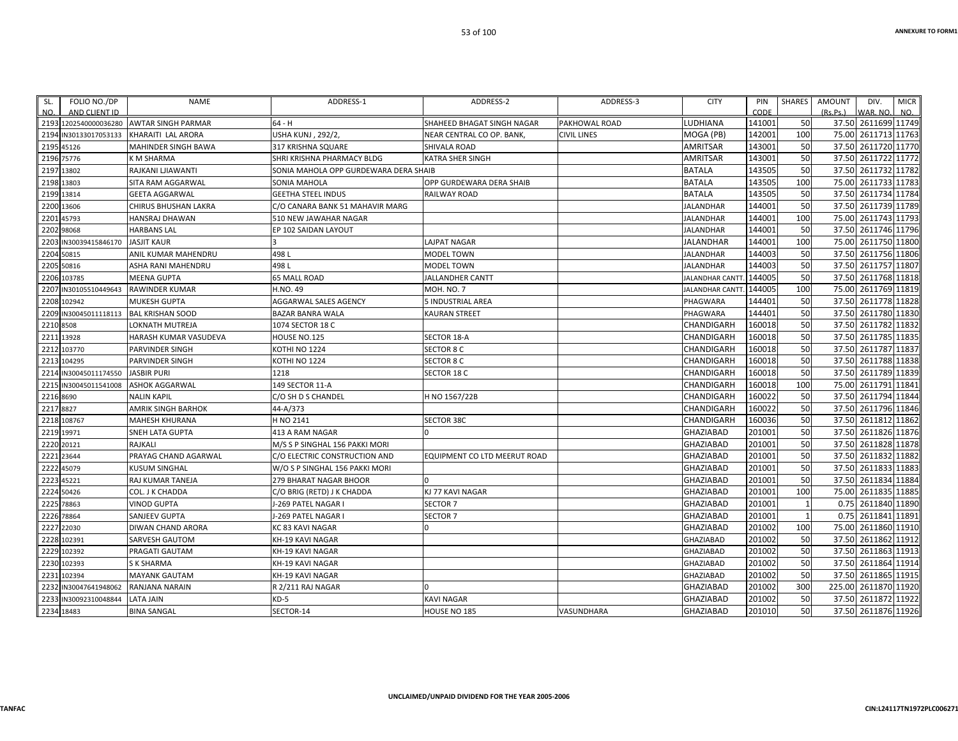| SL.       | FOLIO NO./DP          | <b>NAME</b>               | ADDRESS-1                             | ADDRESS-2                    | ADDRESS-3          | <b>CITY</b>            | PIN    | SHARES | AMOUNT<br>DIV.       | <b>MICR</b>   |
|-----------|-----------------------|---------------------------|---------------------------------------|------------------------------|--------------------|------------------------|--------|--------|----------------------|---------------|
| NO.       | AND CLIENT ID         |                           |                                       |                              |                    |                        | CODE   |        | (Rs.Ps.)<br>WAR. NO. | NO.           |
|           | 2193 1202540000036280 | <b>AWTAR SINGH PARMAR</b> | $64 - H$                              | SHAHEED BHAGAT SINGH NAGAR   | PAKHOWAL ROAD      | <b>LUDHIANA</b>        | 141001 | 50     | 37.50 2611699 11749  |               |
|           | 2194 IN30133017053133 | KHARAITI LAL ARORA        | <b>USHA KUNJ, 292/2,</b>              | NEAR CENTRAL CO OP. BANK,    | <b>CIVIL LINES</b> | MOGA (PB)              | 142001 | 100    | 75.00 2611713 11763  |               |
|           | 2195 45126            | MAHINDER SINGH BAWA       | 317 KRISHNA SQUARE                    | SHIVALA ROAD                 |                    | AMRITSAR               | 143001 | 50     | 37.50 2611720 11770  |               |
|           | 2196 75776            | K M SHARMA                | SHRI KRISHNA PHARMACY BLDG            | KATRA SHER SINGH             |                    | <b>AMRITSAR</b>        | 143001 | 50     | 37.50 2611722 11772  |               |
|           | 2197 13802            | RAJKANI LJIAWANTI         | SONIA MAHOLA OPP GURDEWARA DERA SHAIB |                              |                    | <b>BATALA</b>          | 143505 | 50     | 37.50 2611732 11782  |               |
|           | 2198 13803            | SITA RAM AGGARWAL         | SONIA MAHOLA                          | OPP GURDEWARA DERA SHAIB     |                    | <b>BATALA</b>          | 143505 | 100    | 75.00 2611733 11783  |               |
|           | 2199 13814            | <b>GEETA AGGARWAL</b>     | <b>GEETHA STEEL INDUS</b>             | RAILWAY ROAD                 |                    | <b>BATALA</b>          | 143505 | 50     | 37.50 2611734 11784  |               |
|           | 2200 13606            | CHIRUS BHUSHAN LAKRA      | C/O CANARA BANK 51 MAHAVIR MARG       |                              |                    | <b>JALANDHAR</b>       | 144001 | 50     | 37.50 2611739 11789  |               |
|           | 2201 45793            | HANSRAJ DHAWAN            | 510 NEW JAWAHAR NAGAR                 |                              |                    | <b>JALANDHAR</b>       | 144001 | 100    | 75.00 2611743 11793  |               |
|           | 2202 98068            | <b>HARBANS LAL</b>        | EP 102 SAIDAN LAYOUT                  |                              |                    | <b>JALANDHAR</b>       | 144001 | 50     | 37.50 2611746 11796  |               |
| 2203      | IN30039415846170      | <b>JASJIT KAUR</b>        |                                       | LAJPAT NAGAR                 |                    | <b>JALANDHAR</b>       | 144001 | 100    | 75.00 2611750 11800  |               |
|           | 2204 50815            | ANIL KUMAR MAHENDRU       | 498L                                  | <b>MODEL TOWN</b>            |                    | <b>JALANDHAR</b>       | 144003 | 50     | 37.50 2611756 11806  |               |
|           | 2205 50816            | ASHA RANI MAHENDRU        | 498L                                  | <b>MODEL TOWN</b>            |                    | <b>JALANDHAR</b>       | 144003 | 50     | 37.50 2611757 11807  |               |
|           | 2206 103785           | <b>MEENA GUPTA</b>        | <b>65 MALL ROAD</b>                   | <b>JALLANDHER CANTT</b>      |                    | JALANDHAR CANTT.       | 144005 | 50     | 37.50 2611768 11818  |               |
|           | 2207 IN30105510449643 | RAWINDER KUMAR            | H.NO. 49                              | MOH. NO. 7                   |                    | <b>JALANDHAR CANTT</b> | 144005 | 100    | 75.00 2611769 11819  |               |
|           | 2208 102942           | <b>MUKESH GUPTA</b>       | AGGARWAL SALES AGENCY                 | 5 INDUSTRIAL AREA            |                    | PHAGWARA               | 144401 | 50     | 37.50 2611778 11828  |               |
|           | 2209 IN30045011118113 | <b>BAL KRISHAN SOOD</b>   | <b>BAZAR BANRA WALA</b>               | KAURAN STREET                |                    | PHAGWARA               | 144401 | 50     | 37.50 2611780 11830  |               |
| 2210 8508 |                       | LOKNATH MUTREJA           | 1074 SECTOR 18 C                      |                              |                    | CHANDIGARH             | 160018 | 50     | 37.50 2611782 11832  |               |
|           | 2211 13928            | HARASH KUMAR VASUDEVA     | HOUSE NO.125                          | SECTOR 18-A                  |                    | <b>CHANDIGARH</b>      | 160018 | 50     | 37.50 2611785 11835  |               |
|           | 2212 103770           | PARVINDER SINGH           | KOTHI NO 1224                         | <b>SECTOR 8 C</b>            |                    | <b>CHANDIGARH</b>      | 160018 | 50     | 37.50 2611787 11837  |               |
|           | 2213 104295           | PARVINDER SINGH           | KOTHI NO 1224                         | <b>SECTOR 8 C</b>            |                    | CHANDIGARH             | 160018 | 50     | 37.50 2611788 11838  |               |
| 2214      | IN30045011174550      | <b>JASBIR PURI</b>        | 1218                                  | SECTOR 18 C                  |                    | <b>CHANDIGARH</b>      | 160018 | 50     | 37.50 2611789 11839  |               |
|           | 2215 IN30045011541008 | <b>ASHOK AGGARWAL</b>     | 149 SECTOR 11-A                       |                              |                    | CHANDIGARH             | 160018 | 100    | 75.00 2611791 11841  |               |
| 2216 8690 |                       | <b>NALIN KAPIL</b>        | C/O SH D S CHANDEL                    | H NO 1567/22B                |                    | CHANDIGARH             | 160022 | 50     | 37.50 2611794 11844  |               |
| 2217 8827 |                       | <b>AMRIK SINGH BARHOK</b> | 44-A/373                              |                              |                    | <b>CHANDIGARH</b>      | 160022 | 50     | 37.50 2611796 11846  |               |
|           | 2218 108767           | MAHESH KHURANA            | H NO 2141                             | <b>SECTOR 38C</b>            |                    | <b>CHANDIGARH</b>      | 160036 | 50     | 37.50 2611812 11862  |               |
|           | 2219 19971            | SNEH LATA GUPTA           | 413 A RAM NAGAR                       | U                            |                    | <b>GHAZIABAD</b>       | 201001 | 50     | 37.50 2611826 11876  |               |
|           | 2220 20121            | RAJKALI                   | M/S S P SINGHAL 156 PAKKI MORI        |                              |                    | <b>GHAZIABAD</b>       | 201001 | 50     | 37.50 2611828 11878  |               |
|           | 2221 23644            | PRAYAG CHAND AGARWAL      | C/O ELECTRIC CONSTRUCTION AND         | EQUIPMENT CO LTD MEERUT ROAD |                    | <b>GHAZIABAD</b>       | 201001 | 50     | 37.50 2611832 11882  |               |
|           | 2222 45079            | <b>KUSUM SINGHAL</b>      | W/O S P SINGHAL 156 PAKKI MORI        |                              |                    | <b>GHAZIABAD</b>       | 201001 | 50     | 37.50 2611833 11883  |               |
|           | 2223 45221            | RAJ KUMAR TANEJA          | 279 BHARAT NAGAR BHOOR                | $\Omega$                     |                    | <b>GHAZIABAD</b>       | 201001 | 50     | 37.50 2611834 11884  |               |
|           | 2224 50426            | COL. J K CHADDA           | C/O BRIG (RETD) J K CHADDA            | KJ 77 KAVI NAGAR             |                    | <b>GHAZIABAD</b>       | 201001 | 100    | 75.00                | 2611835 11885 |
|           | 2225 78863            | <b>VINOD GUPTA</b>        | <b>J-269 PATEL NAGAR I</b>            | SECTOR 7                     |                    | <b>GHAZIABAD</b>       | 201001 |        | 0.75 2611840 11890   |               |
|           | 2226 78864            | SANJEEV GUPTA             | <b>J-269 PATEL NAGAR I</b>            | SECTOR 7                     |                    | <b>GHAZIABAD</b>       | 201001 |        | 0.75 2611841 11891   |               |
|           | 2227 22030            | DIWAN CHAND ARORA         | KC 83 KAVI NAGAR                      |                              |                    | <b>GHAZIABAD</b>       | 201002 | 100    | 75.00 2611860 11910  |               |
| 2228      | 102391                | SARVESH GAUTOM            | KH-19 KAVI NAGAR                      |                              |                    | <b>GHAZIABAD</b>       | 201002 | 50     | 37.50 2611862 11912  |               |
|           | 2229 102392           | PRAGATI GAUTAM            | KH-19 KAVI NAGAR                      |                              |                    | <b>GHAZIABAD</b>       | 201002 | 50     | 37.50 2611863 11913  |               |
|           | 2230 102393           | <b>S K SHARMA</b>         | KH-19 KAVI NAGAR                      |                              |                    | <b>GHAZIABAD</b>       | 201002 | 50     | 37.50 2611864 11914  |               |
| 2231      | 102394                | <b>MAYANK GAUTAM</b>      | KH-19 KAVI NAGAR                      |                              |                    | <b>GHAZIABAD</b>       | 201002 | 50     | 37.50 2611865 11915  |               |
|           | 2232 IN30047641948062 | RANJANA NARAIN            | R 2/211 RAJ NAGAR                     |                              |                    | <b>GHAZIABAD</b>       | 201002 | 300    | 225.00 2611870 11920 |               |
|           | 2233 IN30092310048844 | LATA JAIN                 | $KD-5$                                | KAVI NAGAR                   |                    | <b>GHAZIABAD</b>       | 201002 | 50     | 37.50 2611872 11922  |               |
|           | 2234 18483            | <b>BINA SANGAL</b>        | SECTOR-14                             | HOUSE NO 185                 | VASUNDHARA         | <b>GHAZIABAD</b>       | 201010 | 50     | 37.50 2611876 11926  |               |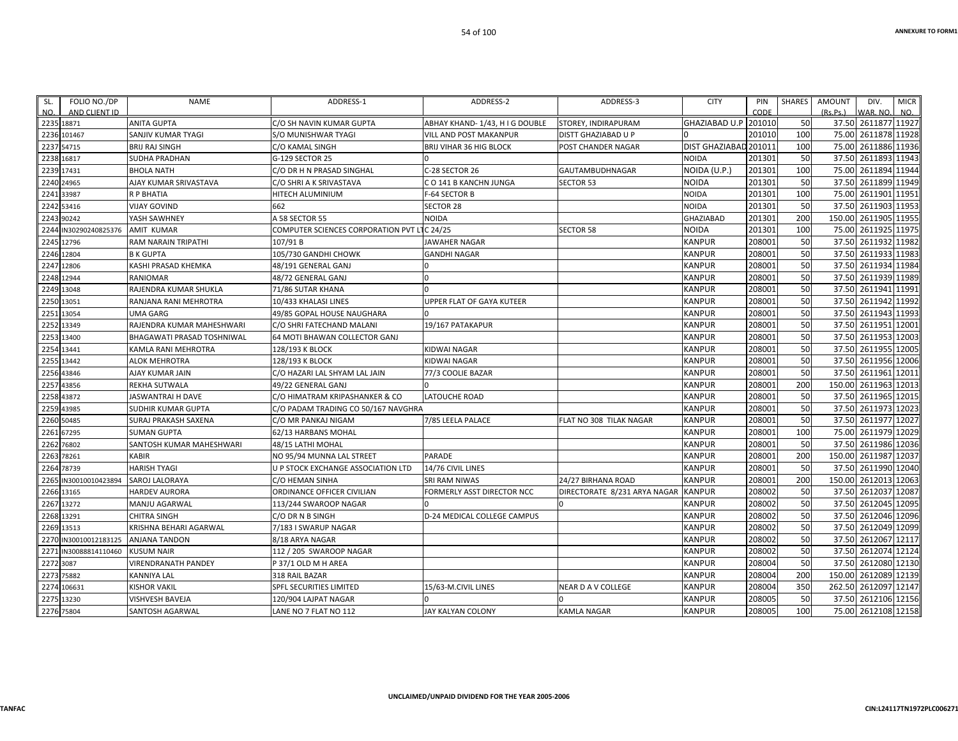| SL.        | FOLIO NO./DP          | NAME                        | ADDRESS-1                           | ADDRESS-2                       | ADDRESS-3                    | <b>CITY</b>           | PIN    | SHARES | <b>AMOUNT</b> | DIV.                 | <b>MICR</b> |
|------------|-----------------------|-----------------------------|-------------------------------------|---------------------------------|------------------------------|-----------------------|--------|--------|---------------|----------------------|-------------|
| NO.        | AND CLIENT ID         |                             |                                     |                                 |                              |                       | CODE   |        | (Rs.Ps.)      | WAR, NO.             | NO.         |
| 2235 18871 |                       | <b>ANITA GUPTA</b>          | C/O SH NAVIN KUMAR GUPTA            | ABHAY KHAND- 1/43, H I G DOUBLE | STOREY, INDIRAPURAM          | GHAZIABAD U.P 201010  |        | 50     |               | 37.50 2611877 11927  |             |
|            | 2236 101467           | SANJIV KUMAR TYAGI          | S/O MUNISHWAR TYAGI                 | VILL AND POST MAKANPUR          | DISTT GHAZIABAD U P          |                       | 201010 | 100    |               | 75.00 2611878 11928  |             |
| 2237 54715 |                       | <b>BRIJ RAJ SINGH</b>       | C/O KAMAL SINGH                     | BRIJ VIHAR 36 HIG BLOCK         | POST CHANDER NAGAR           | DIST GHAZIABAD 201011 |        | 100    |               | 75.00 2611886 11936  |             |
| 2238 16817 |                       | <b>SUDHA PRADHAN</b>        | G-129 SECTOR 25                     |                                 |                              | NOIDA                 | 201301 | 50     |               | 37.50 2611893 11943  |             |
| 2239 17431 |                       | <b>BHOLA NATH</b>           | C/O DR H N PRASAD SINGHAL           | C-28 SECTOR 26                  | <b>GAUTAMBUDHNAGAR</b>       | NOIDA (U.P.)          | 201301 | 100    |               | 75.00 2611894 11944  |             |
| 2240 24965 |                       | AJAY KUMAR SRIVASTAVA       | C/O SHRI A K SRIVASTAVA             | C O 141 B KANCHN JUNGA          | <b>SECTOR 53</b>             | <b>NOIDA</b>          | 201301 | 50     |               | 37.50 2611899 11949  |             |
| 2241 33987 |                       | R P BHATIA                  | HITECH ALUMINIUM                    | F-64 SECTOR B                   |                              | NOIDA                 | 201301 | 100    |               | 75.00 2611901        | 11951       |
| 2242 53416 |                       | <b>VIJAY GOVIND</b>         | 662                                 | <b>SECTOR 28</b>                |                              | <b>NOIDA</b>          | 201301 | 50     |               | 37.50 2611903 11953  |             |
| 2243 90242 |                       | YASH SAWHNEY                | A 58 SECTOR 55                      | NOIDA                           |                              | <b>GHAZIABAD</b>      | 201301 | 200    |               | 150.00 2611905 11955 |             |
|            | 2244 IN30290240825376 | <b>AMIT KUMAR</b>           | COMPUTER SCIENCES CORPORATION PVT L | IC 24/25                        | <b>SECTOR 58</b>             | NOIDA                 | 201301 | 100    |               | 75.00 2611925 11975  |             |
| 2245 12796 |                       | <b>RAM NARAIN TRIPATHI</b>  | 107/91B                             | <b>JAWAHER NAGAR</b>            |                              | <b>KANPUR</b>         | 208001 | 50     |               | 37.50 2611932 11982  |             |
| 2246 12804 |                       | <b>B K GUPTA</b>            | 105/730 GANDHI CHOWK                | <b>GANDHI NAGAR</b>             |                              | <b>KANPUR</b>         | 208001 | 50     |               | 37.50 2611933 11983  |             |
| 2247 12806 |                       | KASHI PRASAD KHEMKA         | 48/191 GENERAL GANJ                 | O                               |                              | KANPUR                | 208001 | 50     |               | 37.50 2611934 11984  |             |
| 2248 12944 |                       | RANIOMAR                    | 48/72 GENERAL GANJ                  | $\Omega$                        |                              | KANPUR                | 208001 | 50     |               | 37.50 2611939 11989  |             |
| 2249 13048 |                       | RAJENDRA KUMAR SHUKLA       | 71/86 SUTAR KHANA                   |                                 |                              | KANPUR                | 208001 | 50     |               | 37.50 2611941        | 11991       |
| 2250 13051 |                       | RANJANA RANI MEHROTRA       | 10/433 KHALASI LINES                | UPPER FLAT OF GAYA KUTEER       |                              | KANPUR                | 208001 | 50     |               | 37.50 2611942 11992  |             |
| 2251 13054 |                       | UMA GARG                    | 49/85 GOPAL HOUSE NAUGHARA          |                                 |                              | <b>KANPUR</b>         | 208001 | 50     |               | 37.50 2611943 11993  |             |
| 2252 13349 |                       | RAJENDRA KUMAR MAHESHWARI   | C/O SHRI FATECHAND MALANI           | 19/167 PATAKAPUR                |                              | <b>KANPUR</b>         | 208001 | 50     |               | 37.50 2611951 12001  |             |
| 2253 13400 |                       | BHAGAWATI PRASAD TOSHNIWAL  | 64 MOTI BHAWAN COLLECTOR GANJ       |                                 |                              | <b>KANPUR</b>         | 208001 | 50     |               | 37.50 2611953 12003  |             |
| 2254 13441 |                       | KAMLA RANI MEHROTRA         | 128/193 K BLOCK                     | KIDWAI NAGAR                    |                              | KANPUR                | 208001 | 50     |               | 37.50 2611955 12005  |             |
| 2255 13442 |                       | <b>ALOK MEHROTRA</b>        | 128/193 K BLOCK                     | KIDWAI NAGAR                    |                              | KANPUR                | 208001 | 50     |               | 37.50 2611956 12006  |             |
| 2256 43846 |                       | AJAY KUMAR JAIN             | C/O HAZARI LAL SHYAM LAL JAIN       | 77/3 COOLIE BAZAR               |                              | <b>KANPUR</b>         | 208001 | 50     |               | 37.50 2611961 12011  |             |
| 2257 43856 |                       | REKHA SUTWALA               | 49/22 GENERAL GANJ                  |                                 |                              | <b>KANPUR</b>         | 208001 | 200    |               | 150.00 2611963 12013 |             |
| 2258 43872 |                       | JASWANTRAI H DAVE           | C/O HIMATRAM KRIPASHANKER & CO      | LATOUCHE ROAD                   |                              | KANPUR                | 208001 | 50     |               | 37.50 2611965 12015  |             |
| 2259 43985 |                       | SUDHIR KUMAR GUPTA          | C/O PADAM TRADING CO 50/167 NAVGHRA |                                 |                              | <b>KANPUR</b>         | 208001 | 50     |               | 37.50 2611973 12023  |             |
| 2260 50485 |                       | <b>SURAJ PRAKASH SAXENA</b> | C/O MR PANKAJ NIGAM                 | 7/85 LEELA PALACE               | FLAT NO 308 TILAK NAGAR      | KANPUR                | 208001 | 50     |               | 37.50 2611977 12027  |             |
| 2261 67295 |                       | <b>SUMAN GUPTA</b>          | 62/13 HARBANS MOHAL                 |                                 |                              | KANPUR                | 208001 | 100    |               | 75.00 2611979 12029  |             |
| 2262 76802 |                       | SANTOSH KUMAR MAHESHWARI    | 48/15 LATHI MOHAL                   |                                 |                              | KANPUR                | 208001 | 50     |               | 37.50 2611986 12036  |             |
| 2263 78261 |                       | <b>KABIR</b>                | NO 95/94 MUNNA LAL STREET           | PARADE                          |                              | KANPUR                | 208001 | 200    |               | 150.00 2611987       | 12037       |
| 2264 78739 |                       | <b>HARISH TYAGI</b>         | U P STOCK EXCHANGE ASSOCIATION LTD  | 14/76 CIVIL LINES               |                              | <b>KANPUR</b>         | 208001 | 50     |               | 37.50 2611990 12040  |             |
|            | 2265 IN30010010423894 | SAROJ LALORAYA              | C/O HEMAN SINHA                     | SRI RAM NIWAS                   | 24/27 BIRHANA ROAD           | <b>KANPUR</b>         | 208001 | 200    |               | 150.00 2612013 12063 |             |
| 2266 13165 |                       | <b>HARDEV AURORA</b>        | ORDINANCE OFFICER CIVILIAN          | FORMERLY ASST DIRECTOR NCC      | DIRECTORATE 8/231 ARYA NAGAR | <b>KANPUR</b>         | 208002 | 50     |               | 37.50 2612037        | 12087       |
| 2267 13272 |                       | MANJU AGARWAL               | 113/244 SWAROOP NAGAR               | U                               | $\Omega$                     | KANPUR                | 208002 | 50     |               | 37.50 2612045 12095  |             |
| 2268 13291 |                       | <b>CHITRA SINGH</b>         | C/O DR N B SINGH                    | D-24 MEDICAL COLLEGE CAMPUS     |                              | KANPUR                | 208002 | 50     |               | 37.50 2612046 12096  |             |
| 2269 13513 |                       | KRISHNA BEHARI AGARWAL      | 7/183 I SWARUP NAGAR                |                                 |                              | KANPUR                | 208002 | 50     |               | 37.50 2612049 12099  |             |
| 2270       | IN30010012183125      | <b>ANJANA TANDON</b>        | 8/18 ARYA NAGAR                     |                                 |                              | KANPUR                | 208002 | 50     |               | 37.50 2612067 12117  |             |
|            | 2271 IN30088814110460 | <b>KUSUM NAIR</b>           | 112 / 205 SWAROOP NAGAR             |                                 |                              | KANPUR                | 208002 | 50     |               | 37.50 2612074 12124  |             |
| 2272 3087  |                       | <b>VIRENDRANATH PANDEY</b>  | P 37/1 OLD M H AREA                 |                                 |                              | <b>KANPUR</b>         | 208004 | 50     |               | 37.50 2612080 12130  |             |
| 2273 75882 |                       | KANNIYA LAL                 | 318 RAIL BAZAR                      |                                 |                              | KANPUR                | 208004 | 200    |               | 150.00 2612089 12139 |             |
|            | 2274 106631           | <b>KISHOR VAKIL</b>         | SPFL SECURITIES LIMITED             | 15/63-M.CIVIL LINES             | <b>NEAR D A V COLLEGE</b>    | KANPUR                | 208004 | 350    |               | 262.50 2612097 12147 |             |
| 2275 13230 |                       | VISHVESH BAVEJA             | 120/904 LAJPAT NAGAR                |                                 |                              | KANPUR                | 208005 | 50     |               | 37.50 2612106 12156  |             |
| 2276 75804 |                       | SANTOSH AGARWAL             | LANE NO 7 FLAT NO 112               | JAY KALYAN COLONY               | <b>KAMLA NAGAR</b>           | <b>KANPUR</b>         | 208005 | 100    |               | 75.00 2612108 12158  |             |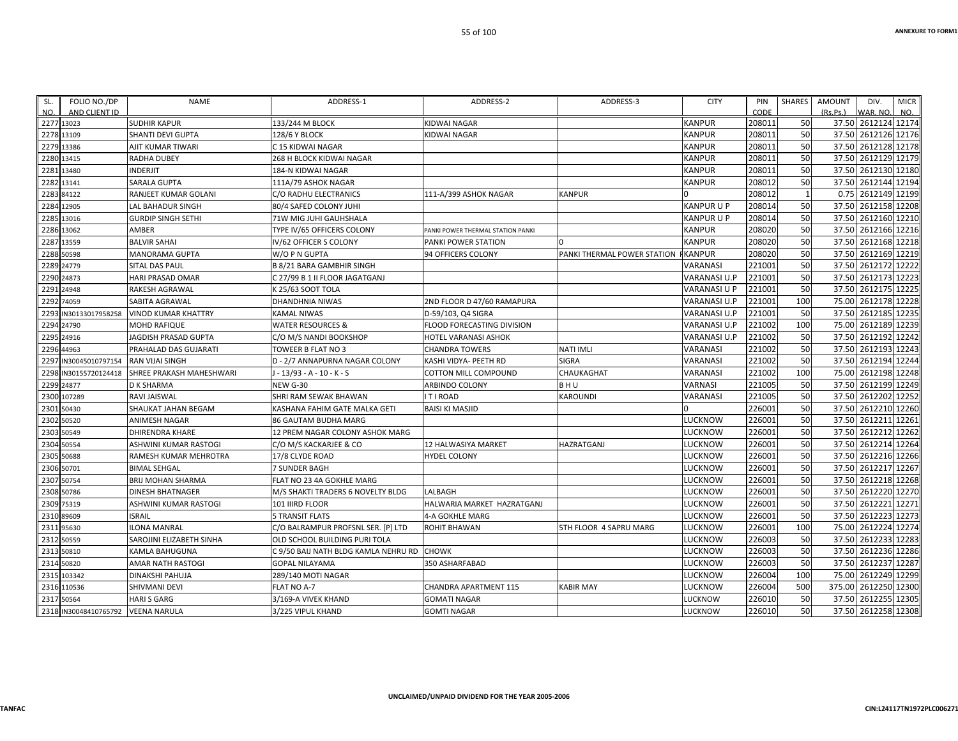| SL.  | FOLIO NO./DP          | <b>NAME</b>                 | ADDRESS-1                            | ADDRESS-2                         | ADDRESS-3                   | <b>CITY</b>   | PIN    | SHARES | AMOUNT    | DIV.                 | <b>MICR</b> |
|------|-----------------------|-----------------------------|--------------------------------------|-----------------------------------|-----------------------------|---------------|--------|--------|-----------|----------------------|-------------|
| NO.  | AND CLIENT ID         |                             |                                      |                                   |                             |               | CODE   |        | (Rs, Ps.) | WAR, NO.             | NO.         |
|      | 2277 13023            | <b>SUDHIR KAPUR</b>         | 133/244 M BLOCK                      | <b>KIDWAI NAGAR</b>               |                             | <b>KANPUR</b> | 208011 | 50     | 37.50     | 2612124 12174        |             |
| 2278 | 13109                 | SHANTI DEVI GUPTA           | 128/6 Y BLOCK                        | KIDWAI NAGAR                      |                             | KANPUR        | 208011 | 50     | 37.50     | 2612126 12176        |             |
|      | 2279 13386            | AJIT KUMAR TIWARI           | C 15 KIDWAI NAGAR                    |                                   |                             | KANPUR        | 208011 | 50     | 37.50     | 2612128 12178        |             |
|      | 2280 13415            | <b>RADHA DUBEY</b>          | 268 H BLOCK KIDWAI NAGAR             |                                   |                             | KANPUR        | 208011 | 50     | 37.50     | 2612129 12179        |             |
| 2281 | 13480                 | <b>INDERJIT</b>             | 184-N KIDWAI NAGAR                   |                                   |                             | KANPUR        | 208011 | 50     | 37.50     | 2612130 12180        |             |
|      | 2282 13141            | <b>SARALA GUPTA</b>         | 111A/79 ASHOK NAGAR                  |                                   |                             | KANPUR        | 208012 | 50     |           | 37.50 2612144 12194  |             |
| 2283 | 84122                 | RANJEET KUMAR GOLANI        | C/O RADHU ELECTRANICS                | 111-A/399 ASHOK NAGAR             | <b>KANPUR</b>               | U.            | 208012 |        | 0.75      | 2612149 12199        |             |
|      | 2284 12905            | LAL BAHADUR SINGH           | 80/4 SAFED COLONY JUHI               |                                   |                             | KANPUR U P    | 208014 | 50     | 37.50     | 2612158 12208        |             |
|      | 2285 13016            | <b>GURDIP SINGH SETHI</b>   | 71W MIG JUHI GAUHSHALA               |                                   |                             | KANPUR U P    | 208014 | 50     | 37.50     | 2612160 12210        |             |
|      | 2286 13062            | AMBER                       | TYPE IV/65 OFFICERS COLONY           | PANKI POWER THERMAL STATION PANKI |                             | KANPUR        | 208020 | 50     | 37.50     | 2612166 12216        |             |
|      | 2287 13559            | <b>BALVIR SAHAI</b>         | IV/62 OFFICER S COLONY               | PANKI POWER STATION               | $\Omega$                    | KANPUR        | 208020 | 50     |           | 37.50 2612168 12218  |             |
|      | 2288 50598            | MANORAMA GUPTA              | W/O P N GUPTA                        | 94 OFFICERS COLONY                | PANKI THERMAL POWER STATION | <b>KANPUR</b> | 208020 | 50     | 37.50     | 2612169 12219        |             |
|      | 2289 24779            | <b>SITAL DAS PAUL</b>       | B 8/21 BARA GAMBHIR SINGH            |                                   |                             | VARANASI      | 221001 | 50     |           | 37.50 2612172 12222  |             |
| 2290 | 24873                 | <b>HARI PRASAD OMAR</b>     | C 27/99 B 1 II FLOOR JAGATGANJ       |                                   |                             | VARANASI U.P  | 221001 | 50     | 37.50     | 2612173 12223        |             |
|      | 2291 24948            | RAKESH AGRAWAL              | K 25/63 SOOT TOLA                    |                                   |                             | VARANASI U P  | 221001 | 50     | 37.50     | 2612175 12225        |             |
| 2292 | 74059                 | SABITA AGRAWAL              | DHANDHNIA NIWAS                      | 2ND FLOOR D 47/60 RAMAPURA        |                             | VARANASI U.P  | 221001 | 100    | 75.00     | 2612178 12228        |             |
| 2293 | IN30133017958258      | <b>VINOD KUMAR KHATTRY</b>  | KAMAL NIWAS                          | D-59/103, Q4 SIGRA                |                             | VARANASI U.P  | 221001 | 50     | 37.50     | 2612185 12235        |             |
|      | 2294 24790            | <b>MOHD RAFIQUE</b>         | WATER RESOURCES &                    | FLOOD FORECASTING DIVISION        |                             | VARANASI U.P  | 221002 | 100    | 75.00     | 2612189 12239        |             |
| 2295 | 24916                 | <b>JAGDISH PRASAD GUPTA</b> | C/O M/S NANDI BOOKSHOP               | <b>HOTEL VARANASI ASHOK</b>       |                             | VARANASI U.P  | 221002 | 50     | 37.50     | 2612192 12242        |             |
|      | 2296 44963            | PRAHALAD DAS GUJARATI       | TOWEER B FLAT NO 3                   | <b>CHANDRA TOWERS</b>             | <b>NATI IMLI</b>            | VARANASI      | 221002 | 50     |           | 37.50 2612193 12243  |             |
| 2297 | IN30045010797154      | <b>RAN VIJAI SINGH</b>      | D - 2/7 ANNAPURNA NAGAR COLONY       | KASHI VIDYA- PEETH RD             | <b>SIGRA</b>                | VARANASI      | 221002 | 50     | 37.50     | 2612194 12244        |             |
| 2298 | IN30155720124418      | SHREE PRAKASH MAHESHWARI    | J - 13/93 - A - 10 - K - S           | <b>COTTON MILL COMPOUND</b>       | CHAUKAGHAT                  | VARANASI      | 221002 | 100    | 75.00     | 2612198 12248        |             |
|      | 2299 24877            | <b>D K SHARMA</b>           | <b>NEW G-30</b>                      | ARBINDO COLONY                    | <b>BHU</b>                  | VARNASI       | 221005 | 50     |           | 37.50 2612199 12249  |             |
|      | 2300 107289           | RAVI JAISWAL                | SHRI RAM SEWAK BHAWAN                | <b>ITIROAD</b>                    | KAROUNDI                    | VARANASI      | 221005 | 50     | 37.50     | 2612202 12252        |             |
|      | 2301 50430            | SHAUKAT JAHAN BEGAM         | KASHANA FAHIM GATE MALKA GETI        | <b>BAISI KI MASJID</b>            |                             | U             | 226001 | 50     | 37.50     | 2612210 12260        |             |
|      | 2302 50520            | <b>ANIMESH NAGAR</b>        | 86 GAUTAM BUDHA MARG                 |                                   |                             | LUCKNOW       | 226001 | 50     | 37.50     | 2612211              | 12261       |
| 2303 | 50549                 | <b>DHIRENDRA KHARE</b>      | 12 PREM NAGAR COLONY ASHOK MARG      |                                   |                             | LUCKNOW       | 226001 | 50     | 37.50     | 2612212 12262        |             |
|      | 2304 50554            | ASHWINI KUMAR RASTOGI       | C/O M/S KACKARJEE & CO               | 12 HALWASIYA MARKET               | <b>HAZRATGANJ</b>           | LUCKNOW       | 226001 | 50     |           | 37.50 2612214 12264  |             |
| 2305 | 50688                 | RAMESH KUMAR MEHROTRA       | 17/8 CLYDE ROAD                      | <b>HYDEL COLONY</b>               |                             | LUCKNOW       | 226001 | 50     | 37.50     | 2612216 12266        |             |
|      | 2306 50701            | <b>BIMAL SEHGAL</b>         | 7 SUNDER BAGH                        |                                   |                             | LUCKNOW       | 226001 | 50     |           | 37.50 2612217 12267  |             |
|      | 2307 50754            | <b>BRIJ MOHAN SHARMA</b>    | FLAT NO 23 4A GOKHLE MARG            |                                   |                             | LUCKNOW       | 226001 | 50     | 37.50     | 2612218 12268        |             |
|      | 2308 50786            | <b>DINESH BHATNAGER</b>     | M/S SHAKTI TRADERS 6 NOVELTY BLDG    | LALBAGH                           |                             | LUCKNOW       | 226001 | 50     | 37.50     | 2612220 12270        |             |
|      | 2309 75319            | ASHWINI KUMAR RASTOGI       | 101 IIIRD FLOOR                      | HALWARIA MARKET HAZRATGANJ        |                             | LUCKNOW       | 226001 | 50     |           | 37.50 2612221        | 12271       |
|      | 2310 89609            | <b>ISRAIL</b>               | <b>5 TRANSIT FLATS</b>               | 4-A GOKHLE MARG                   |                             | LUCKNOW       | 226001 | 50     | 37.50     | 2612223 12273        |             |
|      | 2311 95630            | <b>ILONA MANRAL</b>         | C/O BALRAMPUR PROFSNL SER. [P] LTD   | <b>ROHIT BHAWAN</b>               | 5TH FLOOR 4 SAPRU MARG      | LUCKNOW       | 226001 | 100    | 75.00     | 2612224 12274        |             |
|      | 2312 50559            | SAROJINI ELIZABETH SINHA    | OLD SCHOOL BUILDING PURI TOLA        |                                   |                             | LUCKNOW       | 226003 | 50     | 37.50     | 2612233 12283        |             |
|      | 2313 50810            | KAMLA BAHUGUNA              | C 9/50 BAIJ NATH BLDG KAMLA NEHRU RD | <b>CHOWK</b>                      |                             | LUCKNOW       | 226003 | 50     | 37.50     | 2612236 12286        |             |
|      | 2314 50820            | AMAR NATH RASTOGI           | GOPAL NILAYAMA                       | 350 ASHARFABAD                    |                             | LUCKNOW       | 226003 | 50     | 37.50     | 2612237 12287        |             |
| 2315 | 103342                | <b>DINAKSHI PAHUJA</b>      | 289/140 MOTI NAGAR                   |                                   |                             | LUCKNOW       | 226004 | 100    | 75.00     | 2612249 12299        |             |
| 2316 | 110536                | SHIVMANI DEVI               | FLAT NO A-7                          | CHANDRA APARTMENT 115             | <b>KABIR MAY</b>            | LUCKNOW       | 226004 | 500    |           | 375.00 2612250 12300 |             |
|      | 2317 50564            | <b>HARI S GARG</b>          | 3/169-A VIVEK KHAND                  | <b>GOMATI NAGAR</b>               |                             | LUCKNOW       | 226010 | 50     | 37.50     | 2612255 12305        |             |
|      | 2318 IN30048410765792 | <b>VEENA NARULA</b>         | 3/225 VIPUL KHAND                    | <b>GOMTI NAGAR</b>                |                             | LUCKNOW       | 226010 | 50     |           | 37.50 2612258 12308  |             |

**UNCLAIMED/UNPAID DIVIDEND FOR THE YEAR 2005‐2006**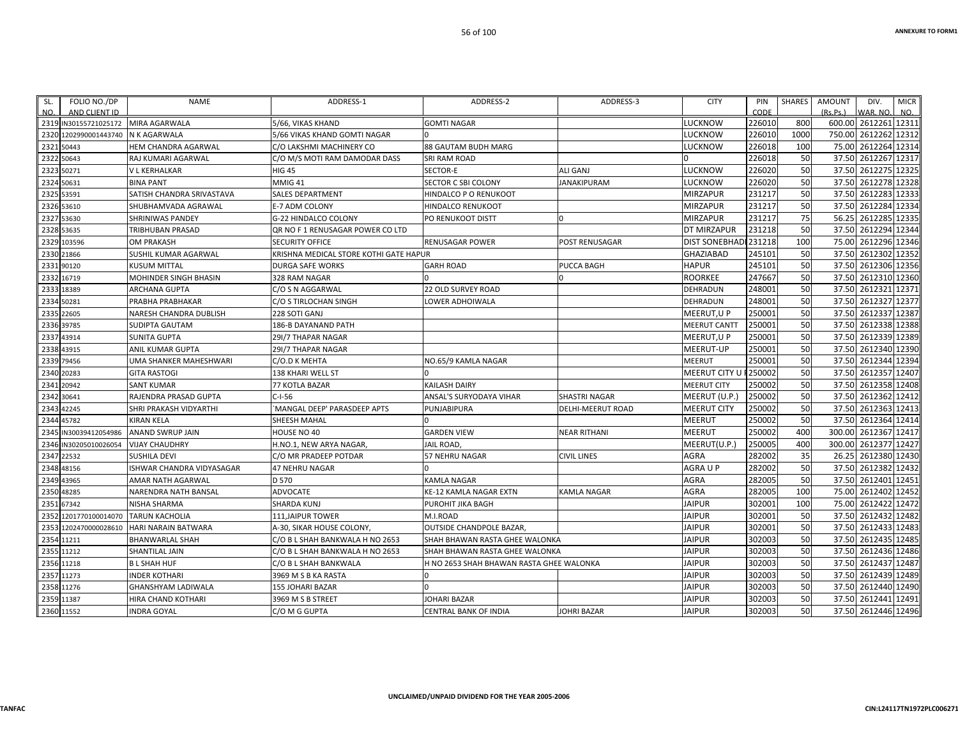| SL.  | FOLIO NO./DP                        | NAME                       | ADDRESS-1                              | ADDRESS-2                                | ADDRESS-3            | <b>CITY</b>           | PIN     | SHARES | AMOUNT   | DIV.                | <b>MICR</b> |
|------|-------------------------------------|----------------------------|----------------------------------------|------------------------------------------|----------------------|-----------------------|---------|--------|----------|---------------------|-------------|
| NO.  | AND CLIENT ID                       |                            |                                        |                                          |                      |                       | CODE    |        | (Rs.Ps.) | WAR. NO.            | NO.         |
|      | 2319 IN30155721025172 MIRA AGARWALA |                            | 5/66. VIKAS KHAND                      | <b>GOMTI NAGAR</b>                       |                      | <b>LUCKNOW</b>        | 226010  | 800    | 600.00   | 2612261 12311       |             |
| 2320 | 1202990001443740                    | N K AGARWALA               | 5/66 VIKAS KHAND GOMTI NAGAR           |                                          |                      | <b>LUCKNOW</b>        | 226010  | 1000   | 750.00   | 2612262 12312       |             |
|      | 2321 50443                          | HEM CHANDRA AGARWAL        | C/O LAKSHMI MACHINERY CO               | 88 GAUTAM BUDH MARG                      |                      | LUCKNOW               | 226018  | 100    | 75.00    | 2612264 12314       |             |
|      | 2322 50643                          | RAJ KUMARI AGARWAL         | C/O M/S MOTI RAM DAMODAR DASS          | SRI RAM ROAD                             |                      |                       | 226018  | 50     | 37.50    | 2612267 12317       |             |
| 2323 | 50271                               | V L KERHALKAR              | <b>HIG 45</b>                          | SECTOR-E                                 | <b>ALI GANJ</b>      | LUCKNOW               | 226020  | 50     | 37.50    | 2612275 12325       |             |
| 2324 | 50631                               | <b>BINA PANT</b>           | MMIG 41                                | SECTOR C SBI COLONY                      | <b>JANAKIPURAM</b>   | LUCKNOW               | 226020  | 50     | 37.50    | 2612278 12328       |             |
| 2325 | 53591                               | SATISH CHANDRA SRIVASTAVA  | <b>SALES DEPARTMENT</b>                | HINDALCO P O RENUKOOT                    |                      | <b>MIRZAPUR</b>       | 231217  | 50     | 37.50    | 2612283 12333       |             |
|      | 2326 53610                          | SHUBHAMVADA AGRAWAL        | <b>E-7 ADM COLONY</b>                  | HINDALCO RENUKOOT                        |                      | <b>MIRZAPUR</b>       | 231217  | 50     | 37.50    | 2612284 12334       |             |
| 2327 | 53630                               | <b>SHRINIWAS PANDEY</b>    | G-22 HINDALCO COLONY                   | PO RENUKOOT DISTT                        |                      | <b>MIRZAPUR</b>       | 231217  | 75     | 56.25    | 2612285 12335       |             |
|      | 2328 53635                          | TRIBHUBAN PRASAD           | QR NO F 1 RENUSAGAR POWER CO LTD       |                                          |                      | DT MIRZAPUR           | 231218  | 50     | 37.50    | 2612294 12344       |             |
| 2329 | 103596                              | <b>OM PRAKASH</b>          | <b>SECURITY OFFICE</b>                 | <b>RENUSAGAR POWER</b>                   | POST RENUSAGAR       | DIST SONEBHADI 231218 |         | 100    | 75.00    | 2612296 12346       |             |
| 2330 | 21866                               | SUSHIL KUMAR AGARWAL       | KRISHNA MEDICAL STORE KOTHI GATE HAPUR |                                          |                      | <b>GHAZIABAD</b>      | 245101  | 50     | 37.50    | 2612302 12352       |             |
|      | 2331 90120                          | <b>KUSUM MITTAL</b>        | <b>DURGA SAFE WORKS</b>                | <b>GARH ROAD</b>                         | PUCCA BAGH           | <b>HAPUR</b>          | 245101  | 50     |          | 37.50 2612306 12356 |             |
|      | 2332 16719                          | MOHINDER SINGH BHASIN      | 328 RAM NAGAR                          |                                          |                      | <b>ROORKEE</b>        | 247667  | 50     | 37.50    | 2612310 12360       |             |
| 2333 | 18389                               | <b>ARCHANA GUPTA</b>       | C/O S N AGGARWAL                       | 22 OLD SURVEY ROAD                       |                      | DEHRADUN              | 248001  | 50     | 37.50    | 2612321 12371       |             |
| 2334 | 50281                               | PRABHA PRABHAKAR           | C/O S TIRLOCHAN SINGH                  | LOWER ADHOIWALA                          |                      | DEHRADUN              | 248001  | 50     | 37.50    | 2612327 12377       |             |
| 2335 | 22605                               | NARESH CHANDRA DUBLISH     | 228 SOTI GANJ                          |                                          |                      | MEERUT, U P           | 250001  | 50     | 37.50    | 2612337 12387       |             |
| 2336 | 39785                               | SUDIPTA GAUTAM             | 186-B DAYANAND PATH                    |                                          |                      | <b>MEERUT CANTT</b>   | 250001  | 50     | 37.50    | 2612338 12388       |             |
| 2337 | 43914                               | <b>SUNITA GUPTA</b>        | 29I/7 THAPAR NAGAR                     |                                          |                      | MEERUT, U P           | 250001  | 50     | 37.50    | 2612339 12389       |             |
|      | 2338 43915                          | ANIL KUMAR GUPTA           | 29I/7 THAPAR NAGAR                     |                                          |                      | MEERUT-UP             | 250001  | 50     | 37.50    | 2612340 12390       |             |
| 2339 | 79456                               | UMA SHANKER MAHESHWARI     | C/O.D K MEHTA                          | NO.65/9 KAMLA NAGAR                      |                      | <b>MEERUT</b>         | 250001  | 50     | 37.50    | 2612344 12394       |             |
| 2340 | 20283                               | <b>GITA RASTOGI</b>        | <b>138 KHARI WELL ST</b>               |                                          |                      | <b>MEERUT CITY U</b>  | F250002 | 50     | 37.50    | 2612357 12407       |             |
|      | 2341 20942                          | <b>SANT KUMAR</b>          | <b>77 KOTLA BAZAR</b>                  | KAILASH DAIRY                            |                      | <b>MEERUT CITY</b>    | 250002  | 50     |          | 37.50 2612358 12408 |             |
| 2342 | 30641                               | RAJENDRA PRASAD GUPTA      | $C-I-56$                               | ANSAL'S SURYODAYA VIHAR                  | <b>SHASTRI NAGAR</b> | MEERUT (U.P.          | 250002  | 50     | 37.50    | 2612362 12412       |             |
| 2343 | 42245                               | SHRI PRAKASH VIDYARTHI     | 'MANGAL DEEP' PARASDEEP APTS           | PUNJABIPURA                              | DELHI-MEERUT ROAD    | <b>MEERUT CITY</b>    | 250002  | 50     | 37.50    | 2612363 12413       |             |
|      | 2344 45782                          | <b>KIRAN KELA</b>          | SHEESH MAHAL                           | 0                                        |                      | MEERUT                | 250002  | 50     |          | 37.50 2612364 12414 |             |
| 2345 | IN30039412054986                    | <b>ANAND SWRUP JAIN</b>    | HOUSE NO 40                            | <b>GARDEN VIEW</b>                       | <b>NEAR RITHANI</b>  | <b>MEERUT</b>         | 250002  | 400    | 300.00   | 2612367 12417       |             |
| 2346 | IN30205010026054                    | <b>VIJAY CHAUDHRY</b>      | H.NO.1, NEW ARYA NAGAR,                | JAIL ROAD,                               |                      | MEERUT(U.P.)          | 250005  | 400    | 300.00   | 2612377 12427       |             |
| 2347 | 22532                               | <b>SUSHILA DEVI</b>        | C/O MR PRADEEP POTDAR                  | 57 NEHRU NAGAR                           | <b>CIVIL LINES</b>   | <b>AGRA</b>           | 282002  | 35     | 26.25    | 2612380 12430       |             |
| 2348 | 48156                               | ISHWAR CHANDRA VIDYASAGAR  | <b>47 NEHRU NAGAR</b>                  |                                          |                      | AGRAUP                | 282002  | 50     | 37.50    | 2612382 12432       |             |
| 2349 | 43965                               | AMAR NATH AGARWAL          | D 570                                  | KAMLA NAGAR                              |                      | <b>AGRA</b>           | 282005  | 50     | 37.50    | 2612401 12451       |             |
| 2350 | 48285                               | NARENDRA NATH BANSAL       | <b>ADVOCATE</b>                        | KE-12 KAMLA NAGAR EXTN                   | <b>KAMLA NAGAR</b>   | <b>AGRA</b>           | 282005  | 100    | 75.00    | 2612402 12452       |             |
| 2351 | 67342                               | NISHA SHARMA               | <b>SHARDA KUNJ</b>                     | PUROHIT JIKA BAGH                        |                      | <b>JAIPUR</b>         | 302001  | 100    |          | 75.00 2612422 12472 |             |
| 2352 | 1201770100014070                    | <b>TARUN KACHOLIA</b>      | 111, JAIPUR TOWER                      | M.I.ROAD                                 |                      | <b>JAIPUR</b>         | 302001  | 50     | 37.50    | 2612432 12482       |             |
| 2353 | 1202470000028610                    | <b>HARI NARAIN BATWARA</b> | A-30, SIKAR HOUSE COLONY,              | OUTSIDE CHANDPOLE BAZAR,                 |                      | <b>JAIPUR</b>         | 302001  | 50     | 37.50    | 2612433 12483       |             |
|      | 2354 11211                          | <b>BHANWARLAL SHAH</b>     | C/O B L SHAH BANKWALA H NO 2653        | SHAH BHAWAN RASTA GHEE WALONKA           |                      | <b>JAIPUR</b>         | 302003  | 50     | 37.50    | 2612435 12485       |             |
| 2355 | 11212                               | SHANTILAL JAIN             | C/O B L SHAH BANKWALA H NO 2653        | SHAH BHAWAN RASTA GHEE WALONKA           |                      | <b>JAIPUR</b>         | 302003  | 50     | 37.50    | 2612436 12486       |             |
|      | 2356 11218                          | <b>BL SHAH HUF</b>         | C/O B L SHAH BANKWALA                  | H NO 2653 SHAH BHAWAN RASTA GHEE WALONKA |                      | <b>JAIPUR</b>         | 302003  | 50     | 37.50    | 2612437 12487       |             |
|      | 2357 11273                          | <b>INDER KOTHARI</b>       | 3969 M S B KA RASTA                    | U                                        |                      | <b>JAIPUR</b>         | 302003  | 50     |          | 37.50 2612439 12489 |             |
| 2358 | 11276                               | <b>GHANSHYAM LADIWALA</b>  | 155 JOHARI BAZAR                       |                                          |                      | <b>JAIPUR</b>         | 302003  | 50     | 37.50    | 2612440 12490       |             |
| 2359 | 11387                               | HIRA CHAND KOTHARI         | 3969 M S B STREET                      | JOHARI BAZAR                             |                      | <b>JAIPUR</b>         | 302003  | 50     | 37.50    | 2612441 12491       |             |
|      | 2360 11552                          | <b>INDRA GOYAL</b>         | C/O M G GUPTA                          | CENTRAL BANK OF INDIA                    | JOHRI BAZAR          | <b>JAIPUR</b>         | 302003  | 50     |          | 37.50 2612446 12496 |             |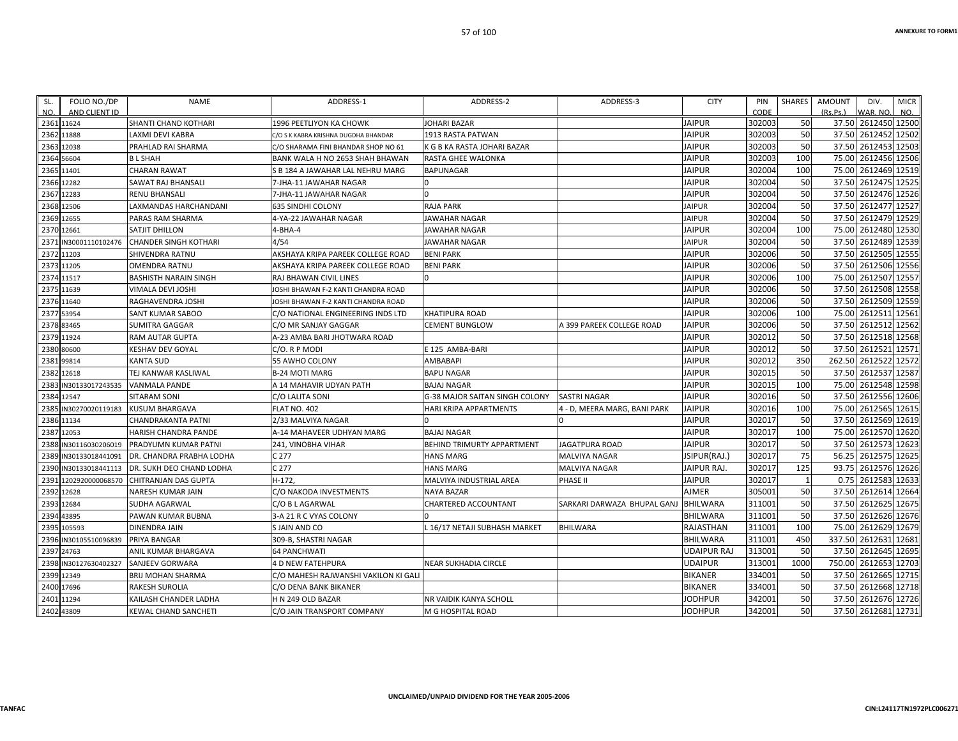| SL.  | FOLIO NO./DP     | <b>NAME</b>                  | ADDRESS-1                            | ADDRESS-2                         | ADDRESS-3                        | <b>CITY</b>        | PIN    | <b>SHARES</b> | <b>AMOUNT</b> | DIV.                 | <b>MICR</b> |
|------|------------------|------------------------------|--------------------------------------|-----------------------------------|----------------------------------|--------------------|--------|---------------|---------------|----------------------|-------------|
| NO.  | AND CLIENT ID    |                              |                                      |                                   |                                  |                    | CODE   |               | (Rs.Ps.)      | WAR. NO.             | NO.         |
|      | 2361 11624       | SHANTI CHAND KOTHARI         | 1996 PEETLIYON KA CHOWK              | JOHARI BAZAR                      |                                  | <b>JAIPUR</b>      | 302003 | 50            |               | 37.50 2612450 12500  |             |
|      | 2362 11888       | LAXMI DEVI KABRA             | C/O S K KABRA KRISHNA DUGDHA BHANDAR | 1913 RASTA PATWAN                 |                                  | <b>JAIPUR</b>      | 302003 | 50            |               | 37.50 2612452 12502  |             |
| 2363 | 12038            | PRAHLAD RAI SHARMA           | C/O SHARAMA FINI BHANDAR SHOP NO 61  | K G B KA RASTA JOHARI BAZAR       |                                  | <b>JAIPUR</b>      | 302003 | 50            |               | 37.50 2612453 12503  |             |
|      | 2364 56604       | <b>BL SHAH</b>               | BANK WALA H NO 2653 SHAH BHAWAN      | RASTA GHEE WALONKA                |                                  | JAIPUR             | 302003 | 100           |               | 75.00 2612456 12506  |             |
|      | 2365 11401       | <b>CHARAN RAWAT</b>          | S B 184 A JAWAHAR LAL NEHRU MARG     | <b>BAPUNAGAR</b>                  |                                  | <b>JAIPUR</b>      | 302004 | 100           |               | 75.00 2612469 12519  |             |
| 2366 | 12282            | SAWAT RAJ BHANSALI           | 7-JHA-11 JAWAHAR NAGAR               |                                   |                                  | <b>JAIPUR</b>      | 302004 | 50            |               | 37.50 2612475 12525  |             |
|      | 2367 12283       | <b>RENU BHANSALI</b>         | 7-JHA-11 JAWAHAR NAGAR               |                                   |                                  | <b>JAIPUR</b>      | 302004 | 50            |               | 37.50 2612476 12526  |             |
|      | 2368 12506       | LAXMANDAS HARCHANDANI        | <b>635 SINDHI COLONY</b>             | <b>RAJA PARK</b>                  |                                  | <b>JAIPUR</b>      | 302004 | 50            |               | 37.50 2612477 12527  |             |
|      | 2369 12655       | PARAS RAM SHARMA             | 4-YA-22 JAWAHAR NAGAR                | JAWAHAR NAGAR                     |                                  | <b>JAIPUR</b>      | 302004 | 50            |               | 37.50 2612479 12529  |             |
| 2370 | 12661            | <b>SATJIT DHILLON</b>        | $4-BHA-4$                            | JAWAHAR NAGAR                     |                                  | <b>JAIPUR</b>      | 302004 | 100           |               | 75.00 2612480 12530  |             |
| 2371 | IN30001110102476 | <b>CHANDER SINGH KOTHARI</b> | 4/54                                 | JAWAHAR NAGAR                     |                                  | <b>JAIPUR</b>      | 302004 | 50            |               | 37.50 2612489 12539  |             |
|      | 2372 11203       | <b>SHIVENDRA RATNU</b>       | AKSHAYA KRIPA PAREEK COLLEGE ROAD    | <b>BENI PARK</b>                  |                                  | <b>JAIPUR</b>      | 302006 | 50            |               | 37.50 2612505 12555  |             |
| 2373 | 11205            | <b>OMENDRA RATNU</b>         | AKSHAYA KRIPA PAREEK COLLEGE ROAD    | <b>BENI PARK</b>                  |                                  | <b>JAIPUR</b>      | 302006 | 50            |               | 37.50 2612506 12556  |             |
|      | 2374 11517       | <b>BASHISTH NARAIN SINGH</b> | RAJ BHAWAN CIVIL LINES               |                                   |                                  | JAIPUR             | 302006 | 100           |               | 75.00 2612507 12557  |             |
|      | 2375 11639       | VIMALA DEVI JOSHI            | JOSHI BHAWAN F-2 KANTI CHANDRA ROAD  |                                   |                                  | <b>JAIPUR</b>      | 302006 | 50            |               | 37.50 2612508 12558  |             |
| 2376 | 11640            | RAGHAVENDRA JOSHI            | JOSHI BHAWAN F-2 KANTI CHANDRA ROAD  |                                   |                                  | <b>JAIPUR</b>      | 302006 | 50            |               | 37.50 2612509 12559  |             |
|      | 2377 53954       | SANT KUMAR SABOO             | C/O NATIONAL ENGINEERING INDS LTD    | <b>KHATIPURA ROAD</b>             |                                  | <b>JAIPUR</b>      | 302006 | 100           |               | 75.00 2612511 12561  |             |
| 2378 | 83465            | <b>SUMITRA GAGGAR</b>        | C/O MR SANJAY GAGGAR                 | <b>CEMENT BUNGLOW</b>             | <b>4 399 PAREEK COLLEGE ROAD</b> | JAIPUR             | 302006 | 50            |               | 37.50 2612512 12562  |             |
|      | 2379 11924       | <b>RAM AUTAR GUPTA</b>       | A-23 AMBA BARI JHOTWARA ROAD         |                                   |                                  | <b>JAIPUR</b>      | 302012 | 50            |               | 37.50 2612518 12568  |             |
| 2380 | 80600            | <b>KESHAV DEV GOYAL</b>      | C/O. R P MODI                        | E 125 AMBA-BARI                   |                                  | <b>JAIPUR</b>      | 302012 | 50            |               | 37.50 2612521        | 12571       |
|      | 2381 99814       | <b>KANTA SUD</b>             | 55 AWHO COLONY                       | AMBABAPI                          |                                  | <b>JAIPUR</b>      | 302012 | 350           |               | 262.50 2612522       | 12572       |
| 2382 | 12618            | TEJ KANWAR KASLIWAL          | <b>B-24 MOTI MARG</b>                | <b>BAPU NAGAR</b>                 |                                  | <b>JAIPUR</b>      | 302015 | 50            |               | 37.50 2612537 12587  |             |
| 2383 | IN30133017243535 | <b>VANMALA PANDE</b>         | A 14 MAHAVIR UDYAN PATH              | <b>BAJAJ NAGAR</b>                |                                  | <b>JAIPUR</b>      | 302015 | 100           |               | 75.00 2612548 12598  |             |
|      | 2384 12547       | <b>SITARAM SONI</b>          | C/O LALITA SONI                      | G-38 MAJOR SAITAN SINGH COLONY    | <b>SASTRI NAGAR</b>              | <b>JAIPUR</b>      | 302016 | 50            |               | 37.50 2612556 12606  |             |
| 2385 | IN30270020119183 | <b>KUSUM BHARGAVA</b>        | <b>FLAT NO. 402</b>                  | HARI KRIPA APPARTMENTS            | 4 - D, MEERA MARG, BANI PARK     | <b>JAIPUR</b>      | 302016 | 100           |               | 75.00 2612565 12615  |             |
| 2386 | 11134            | CHANDRAKANTA PATNI           | 2/33 MALVIYA NAGAR                   |                                   |                                  | <b>JAIPUR</b>      | 302017 | 50            |               | 37.50 2612569 12619  |             |
| 2387 | 12053            | HARISH CHANDRA PANDE         | A-14 MAHAVEER UDHYAN MARG            | <b>BAJAJ NAGAR</b>                |                                  | <b>JAIPUR</b>      | 302017 | 100           |               | 75.00 2612570 12620  |             |
| 2388 | IN30116030206019 | PRADYUMN KUMAR PATNI         | 241, VINOBHA VIHAR                   | <b>BEHIND TRIMURTY APPARTMENT</b> | <b>JAGATPURA ROAD</b>            | <b>JAIPUR</b>      | 302017 | 50            |               | 37.50 2612573 12623  |             |
| 2389 | IN30133018441091 | DR. CHANDRA PRABHA LODHA     | C 277                                | <b>HANS MARG</b>                  | MALVIYA NAGAR                    | JSIPUR(RAJ.)       | 302017 | 75            |               | 56.25 2612575 12625  |             |
| 2390 | IN30133018441113 | DR. SUKH DEO CHAND LODHA     | C 277                                | <b>HANS MARG</b>                  | MALVIYA NAGAR                    | JAIPUR RAJ.        | 302017 | 125           |               | 93.75 2612576 12626  |             |
| 2391 | 1202920000068570 | <b>CHITRANJAN DAS GUPTA</b>  | $H-172.$                             | MALVIYA INDUSTRIAL AREA           | PHASE II                         | <b>JAIPUR</b>      | 302017 | $\mathbf{1}$  |               | 0.75 2612583 12633   |             |
|      | 2392 12628       | NARESH KUMAR JAIN            | C/O NAKODA INVESTMENTS               | <b>NAYA BAZAR</b>                 |                                  | AJMER              | 305001 | 50            |               | 37.50 2612614 12664  |             |
| 2393 | 12684            | <b>SUDHA AGARWAL</b>         | C/O B L AGARWAL                      | CHARTERED ACCOUNTANT              | SARKARI DARWAZA BHUPAL GANJ      | <b>BHILWARA</b>    | 311001 | 50            |               | 37.50 2612625 12675  |             |
| 2394 | 43895            | PAWAN KUMAR BUBNA            | 3-A 21 R C VYAS COLONY               |                                   |                                  | <b>BHILWARA</b>    | 311001 | 50            |               | 37.50 2612626 12676  |             |
| 2395 | 105593           | <b>DINENDRA JAIN</b>         | S JAIN AND CO                        | . 16/17 NETAJI SUBHASH MARKET     | <b>BHILWARA</b>                  | <b>RAJASTHAN</b>   | 311001 | 100           |               | 75.00 2612629 12679  |             |
| 2396 | IN30105510096839 | PRIYA BANGAR                 | 309-B, SHASTRI NAGAR                 |                                   |                                  | <b>BHILWARA</b>    | 311001 | 450           |               | 337.50 2612631       | 12681       |
|      | 2397 24763       | ANIL KUMAR BHARGAVA          | <b>64 PANCHWATI</b>                  |                                   |                                  | <b>UDAIPUR RAJ</b> | 313001 | 50            |               | 37.50 2612645 12695  |             |
| 2398 | IN30127630402327 | <b>SANJEEV GORWARA</b>       | <b>4 D NEW FATEHPURA</b>             | NEAR SUKHADIA CIRCLE              |                                  | <b>UDAIPUR</b>     | 313001 | 1000          |               | 750.00 2612653 12703 |             |
| 2399 | 12349            | <b>BRIJ MOHAN SHARMA</b>     | C/O MAHESH RAJWANSHI VAKILON KI GALI |                                   |                                  | <b>BIKANER</b>     | 334001 | 50            |               | 37.50 2612665 12715  |             |
| 2400 | 17696            | <b>RAKESH SUROLIA</b>        | C/O DENA BANK BIKANER                |                                   |                                  | <b>BIKANER</b>     | 334001 | 50            |               | 37.50 2612668 12718  |             |
|      | 2401 11294       | KAILASH CHANDER LADHA        | H N 249 OLD BAZAR                    | NR VAIDIK KANYA SCHOLL            |                                  | JODHPUR            | 342001 | 50            |               | 37.50 2612676 12726  |             |
|      | 2402 43809       | KEWAL CHAND SANCHETI         | C/O JAIN TRANSPORT COMPANY           | M G HOSPITAL ROAD                 |                                  | <b>JODHPUR</b>     | 342001 | 50            |               | 37.50 2612681 12731  |             |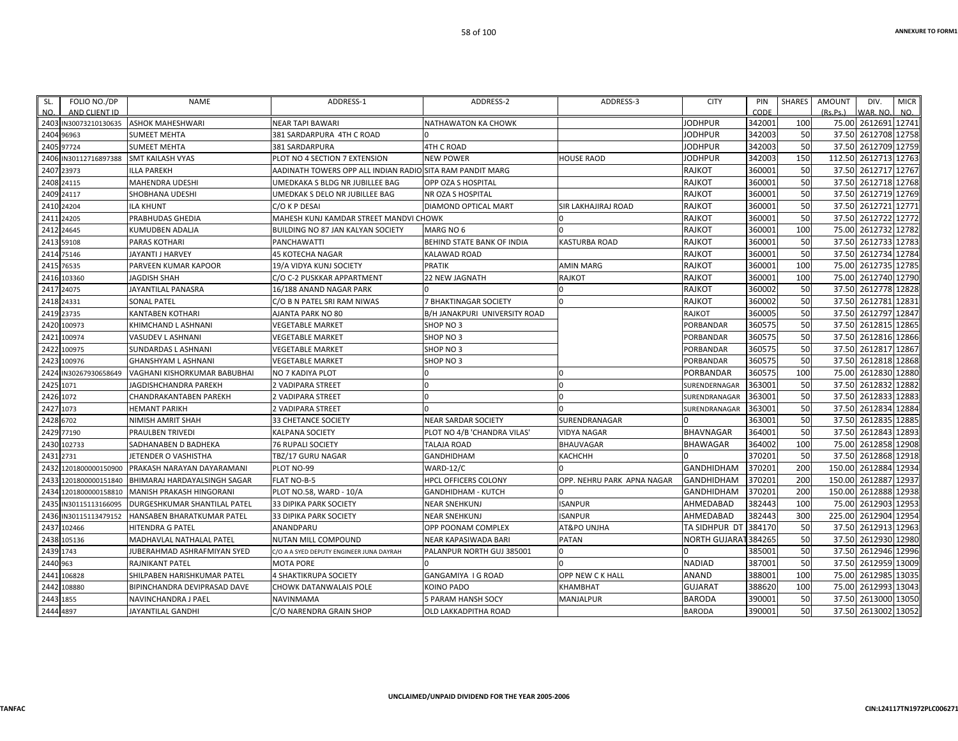| FOLIO NO./DP<br>SL.<br>AND CLIENT ID<br>NO. | <b>NAME</b>                                   | ADDRESS-1                                                 | ADDRESS-2                     | ADDRESS-3                  | <b>CITY</b>          | PIN<br>CODE | <b>SHARES</b> | <b>AMOUNT</b><br>(Rs, Ps.) | DIV.<br>WAR, NO     | <b>MICR</b><br>NO. |
|---------------------------------------------|-----------------------------------------------|-----------------------------------------------------------|-------------------------------|----------------------------|----------------------|-------------|---------------|----------------------------|---------------------|--------------------|
| 2403 IN30073210130635                       | <b>ASHOK MAHESHWARI</b>                       | <b>NEAR TAPI BAWARI</b>                                   | NATHAWATON KA CHOWK           |                            | <b>JODHPUR</b>       | 342001      | 100           | 75.00                      | 2612691 12741       |                    |
| 2404<br>96963                               | <b>SUMEET MEHTA</b>                           | 381 SARDARPURA 4TH C ROAD                                 |                               |                            | <b>JODHPUR</b>       | 342003      | 50            | 37.50                      | 2612708 12758       |                    |
| 2405 97724                                  | <b>SUMEET MEHTA</b>                           | 381 SARDARPURA                                            | <b>4TH C ROAD</b>             |                            | JODHPUR              | 342003      | 50            | 37.50                      | 2612709             | 12759              |
| 2406 IN30112716897388                       | <b>SMT KAILASH VYAS</b>                       | PLOT NO 4 SECTION 7 EXTENSION                             | <b>NEW POWER</b>              | <b>HOUSE RAOD</b>          | <b>JODHPUR</b>       | 342003      | 150           | 112.50                     | 2612713             | 12763              |
| 2407<br>23973                               | <b>ILLA PAREKH</b>                            | AADINATH TOWERS OPP ALL INDIAN RADIOLSITA RAM PANDIT MARG |                               |                            | <b>RAJKOT</b>        | 360001      | 50            | 37.50                      | 2612717 12767       |                    |
| 2408 24115                                  | <b>MAHENDRA UDESHI</b>                        | UMEDKAKA S BLDG NR JUBILLEE BAG                           | OPP OZA S HOSPITAL            |                            | <b>RAJKOT</b>        | 360001      | 50            |                            | 37.50 2612718 12768 |                    |
| 2409 24117                                  | SHOBHANA UDESHI                               | UMEDKAK S DELO NR JUBILLEE BAG                            | NR OZA S HOSPITAL             |                            | <b>RAJKOT</b>        | 360001      | 50            | 37.50                      | 2612719             | 12769              |
| 2410<br>24204                               | <b>ILA KHUNT</b>                              | C/O K P DESAI                                             | DIAMOND OPTICAL MART          | <b>SIR LAKHAJIRAJ ROAD</b> | RAJKOT               | 360001      | 50            | 37.50                      | 2612721             | 12771              |
| 24205<br>2411                               | PRABHUDAS GHEDIA                              | MAHESH KUNJ KAMDAR STREET MANDVI CHOWK                    |                               | $\Omega$                   | <b>RAJKOT</b>        | 360001      | 50            |                            | 37.50 2612722 12772 |                    |
| 24645<br>2412                               | <b>KUMUDBEN ADALIA</b>                        | <b>BUILDING NO 87 JAN KALYAN SOCIETY</b>                  | MARG NO 6                     | $\Omega$                   | <b>RAJKOT</b>        | 360001      | 100           | 75.00                      | 2612732             | 12782              |
| 2413<br>59108                               | PARAS KOTHARI                                 | PANCHAWATTI                                               | BEHIND STATE BANK OF INDIA    | <b>KASTURBA ROAD</b>       | <b>RAJKOT</b>        | 360001      | 50            | 37.50                      | 2612733             | 12783              |
| 2414 75146                                  | JAYANTI J HARVEY                              | <b>45 KOTECHA NAGAR</b>                                   | <b>KALAWAD ROAD</b>           |                            | <b>RAJKOT</b>        | 360001      | 50            | 37.50                      | 2612734 12784       |                    |
| 76535<br>2415                               | PARVEEN KUMAR KAPOOR                          | 19/A VIDYA KUNJ SOCIETY                                   | <b>PRATIK</b>                 | <b>AMIN MARG</b>           | <b>RAJKOT</b>        | 360001      | 100           | 75.00                      | 2612735             | 12785              |
| 2416 103360                                 | <b>JAGDISH SHAH</b>                           | C/O C-2 PUSKKAR APPARTMENT                                | <b>22 NEW JAGNATH</b>         | <b>RAJKOT</b>              | <b>RAJKOT</b>        | 360001      | 100           | 75.00                      | 2612740             | 12790              |
| 2417<br>24075                               | JAYANTILAL PANASRA                            | 16/188 ANAND NAGAR PARK                                   |                               | $\Omega$                   | <b>RAJKOT</b>        | 360002      | 50            | 37.50                      | 2612778 12828       |                    |
| 24331<br>2418                               | <b>SONAL PATEL</b>                            | C/O B N PATEL SRI RAM NIWAS                               | 7 BHAKTINAGAR SOCIETY         |                            | <b>RAJKOT</b>        | 360002      | 50            | 37.50                      | 2612781             | 12831              |
| 23735<br>2419                               | <b>KANTABEN KOTHARI</b>                       | AJANTA PARK NO 80                                         | B/H JANAKPURI UNIVERSITY ROAD |                            | <b>RAJKOT</b>        | 360005      | 50            | 37.50                      | 2612797             | 12847              |
| 100973<br>2420                              | KHIMCHAND L ASHNANI                           | <b>VEGETABLE MARKET</b>                                   | SHOP NO 3                     |                            | <b>PORBANDAR</b>     | 360575      | 50            | 37.50                      | 2612815             | 12865              |
| 2421<br>100974                              | VASUDEV L ASHNANI                             | VEGETABLE MARKET                                          | SHOP NO 3                     |                            | <b>PORBANDAR</b>     | 360575      | 50            | 37.50                      | 2612816             | 12866              |
| 100975<br>2422                              | <b>SUNDARDAS L ASHNANI</b>                    | <b>VEGETABLE MARKET</b>                                   | SHOP NO 3                     |                            | PORBANDAR            | 360575      | 50            | 37.50                      | 2612817             | 12867              |
| 2423<br>100976                              | <b>GHANSHYAM L ASHNANI</b>                    | <b>VEGETABLE MARKET</b>                                   | SHOP NO 3                     |                            | PORBANDAR            | 360575      | 50            | 37.50                      | 2612818             | 12868              |
| 2424<br>IN30267930658649                    | VAGHANI KISHORKUMAR BABUBHAI                  | NO 7 KADIYA PLOT                                          |                               | $\Omega$                   | PORBANDAR            | 360575      | 100           | 75.00                      | 2612830             | 12880              |
| 1071<br>2425                                | JAGDISHCHANDRA PAREKH                         | 2 VADIPARA STREET                                         |                               | $\Omega$                   | SURENDERNAGAR        | 363001      | 50            | 37.50                      | 2612832             | 12882              |
| 2426 1072                                   | <b>CHANDRAKANTABEN PAREKH</b>                 | 2 VADIPARA STREET                                         |                               | $\Omega$                   | SURENDRANAGAR        | 363001      | 50            | 37.50                      | 2612833             | 12883              |
| 2427<br>1073                                | <b>HEMANT PARIKH</b>                          | 2 VADIPARA STREET                                         |                               |                            | SURENDRANAGAR        | 363001      | 50            | 37.50                      | 2612834             | 12884              |
| 6702<br>2428                                | NIMISH AMRIT SHAH                             | 33 CHETANCE SOCIETY                                       | <b>NEAR SARDAR SOCIETY</b>    | SURENDRANAGAR              |                      | 363001      | 50            | 37.50                      | 2612835             | 12885              |
| 77190<br>2429                               | <b>PRAULBEN TRIVEDI</b>                       | <b>KALPANA SOCIETY</b>                                    | PLOT NO 4/B 'CHANDRA VILAS'   | <b>VIDYA NAGAR</b>         | <b>BHAVNAGAR</b>     | 364001      | 50            | 37.50                      | 2612843             | 12893              |
| 102733<br>2430                              | SADHANABEN D BADHEKA                          | 76 RUPALI SOCIETY                                         | <b>TALAJA ROAD</b>            | <b>BHAUVAGAR</b>           | <b>BHAWAGAR</b>      | 364002      | 100           | 75.00                      | 2612858             | 12908              |
| 2731<br>2431                                | JETENDER O VASHISTHA                          | TBZ/17 GURU NAGAR                                         | <b>GANDHIDHAM</b>             | <b>КАСНСНН</b>             |                      | 370201      | 50            | 37.50                      | 2612868             | 12918              |
| 243<br>1201800000150900                     | PRAKASH NARAYAN DAYARAMANI                    | PLOT NO-99                                                | WARD-12/C                     |                            | <b>GANDHIDHAM</b>    | 370201      | 200           | 150.00                     | 2612884             | 12934              |
| 2433                                        | 1201800000151840 BHIMARAJ HARDAYALSINGH SAGAR | FLAT NO-B-5                                               | HPCL OFFICERS COLONY          | OPP. NEHRU PARK APNA NAGAR | <b>GANDHIDHAM</b>    | 370201      | 200           | 150.00                     | 2612887             | 12937              |
| 1201800000158810<br>2434                    | MANISH PRAKASH HINGORANI                      | PLOT NO.58, WARD - 10/A                                   | <b>GANDHIDHAM - KUTCH</b>     |                            | <b>GANDHIDHAM</b>    | 370201      | 200           | 150.00                     | 2612888             | 12938              |
| 243<br>N30115113166095                      | DURGESHKUMAR SHANTILAL PATEL                  | <b>33 DIPIKA PARK SOCIETY</b>                             | <b>NEAR SNEHKUNJ</b>          | <b>ISANPUR</b>             | AHMEDABAD            | 382443      | 100           | 75.00                      | 2612903             | 12953              |
| 2436 IN30115113479152                       | <b>HANSABEN BHARATKUMAR PATEL</b>             | 33 DIPIKA PARK SOCIETY                                    | <b>NEAR SNEHKUNJ</b>          | <b>ISANPUR</b>             | AHMEDABAD            | 382443      | 300           | 225.00                     | 2612904             | 12954              |
| 102466<br>2437                              | <b>HITENDRA G PATEL</b>                       | ANANDPARU                                                 | OPP POONAM COMPLEX            | AT&PO UNJHA                | TA SIDHPUR DT        | 384170      | 50            | 37.50                      | 2612913             | 12963              |
| 2438<br>105136                              | MADHAVLAL NATHALAL PATEL                      | NUTAN MILL COMPOUND                                       | NEAR KAPASIWADA BARI          | <b>PATAN</b>               | <b>NORTH GUJARAT</b> | 384265      | 50            | 37.50                      | 2612930             | 12980              |
| 2439 1743                                   | JUBERAHMAD ASHRAFMIYAN SYED                   | C/O A A SYED DEPUTY ENGINEER JUNA DAYRAH                  | PALANPUR NORTH GUJ 385001     | 0                          |                      | 385001      | 50            |                            | 37.50 2612946       | 12996              |
| 2440 963                                    | <b>RAJNIKANT PATEL</b>                        | <b>MOTA PORE</b>                                          |                               |                            | <b>NADIAD</b>        | 387001      | 50            | 37.50                      | 2612959             | 13009              |
| 106828<br>2441                              | SHILPABEN HARISHKUMAR PATEL                   | 4 SHAKTIKRUPA SOCIETY                                     | <b>GANGAMIYA I G ROAD</b>     | OPP NEW CK HALL            | <b>ANAND</b>         | 388001      | 100           | 75.00                      | 2612985             | 13035              |
| 108880<br>2442                              | BIPINCHANDRA DEVIPRASAD DAVE                  | CHOWK DATANWALAIS POLE                                    | <b>KOINO PADO</b>             | <b>KHAMBHAT</b>            | <b>GUJARAT</b>       | 388620      | 100           | 75.00                      | 2612993             | 13043              |
| 2443<br>1855                                | NAVINCHANDRA J PAEL                           | NAVINMAMA                                                 | 5 PARAM HANSH SOCY            | <b>MANJALPUR</b>           | <b>BARODA</b>        | 390001      | 50            | 37.50                      | 2613000             | 13050              |
| 2444 4897                                   | <b>JAYANTILAL GANDHI</b>                      | C/O NARENDRA GRAIN SHOP                                   | OLD LAKKADPITHA ROAD          |                            | <b>BARODA</b>        | 390001      | 50            |                            | 37.50 2613002 13052 |                    |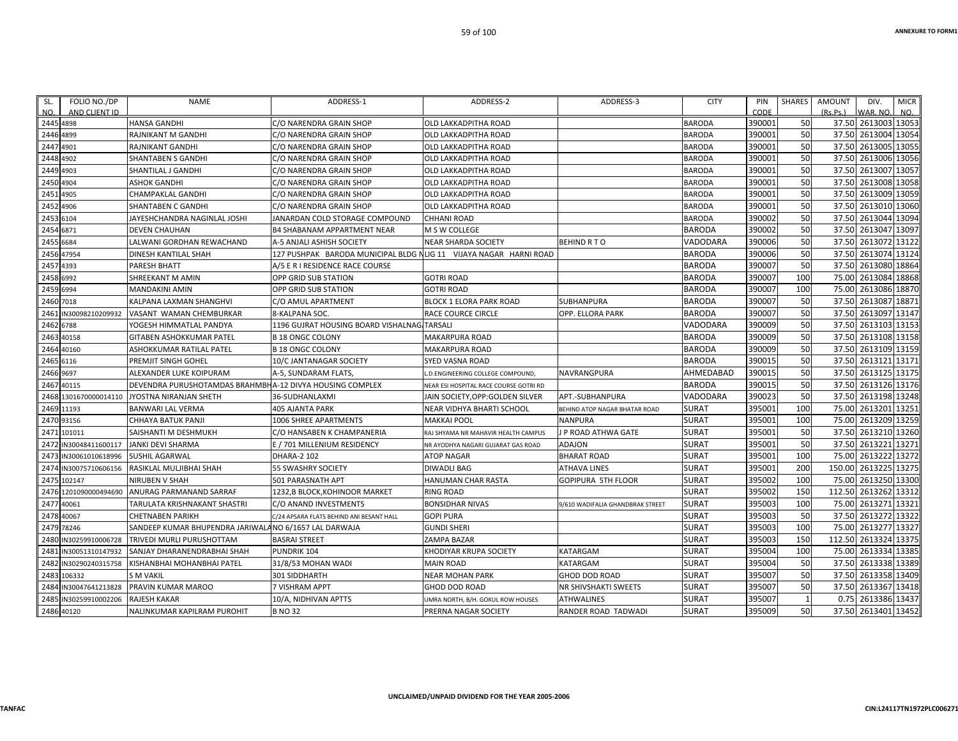| NO.                   |                  |                                                          |                                                                   | ADDRESS-2                              | ADDRESS-3                        | <b>CITY</b>   | PIN    | SHARES | <b>AMOUNT</b> | DIV.                 | <b>MICR</b> |
|-----------------------|------------------|----------------------------------------------------------|-------------------------------------------------------------------|----------------------------------------|----------------------------------|---------------|--------|--------|---------------|----------------------|-------------|
|                       | AND CLIENT ID    |                                                          |                                                                   |                                        |                                  |               | CODE   |        | (Rs.Ps.)      | WAR. NO.             | NO.         |
| 2445 4898             |                  | <b>HANSA GANDHI</b>                                      | C/O NARENDRA GRAIN SHOP                                           | OLD LAKKADPITHA ROAD                   |                                  | <b>BARODA</b> | 390001 | 50     |               | 37.50 2613003 13053  |             |
| 2446 4899             |                  | RAJNIKANT M GANDHI                                       | C/O NARENDRA GRAIN SHOP                                           | <b>OLD LAKKADPITHA ROAD</b>            |                                  | <b>BARODA</b> | 390001 | 50     | 37.50         | 2613004 13054        |             |
| 2447 4901             |                  | RAJNIKANT GANDHI                                         | C/O NARENDRA GRAIN SHOP                                           | OLD LAKKADPITHA ROAD                   |                                  | <b>BARODA</b> | 390001 | 50     | 37.50         | 2613005 13055        |             |
| 2448 4902             |                  | SHANTABEN S GANDHI                                       | C/O NARENDRA GRAIN SHOP                                           | OLD LAKKADPITHA ROAD                   |                                  | <b>BARODA</b> | 390001 | 50     |               | 37.50 2613006 13056  |             |
| 2449 4903             |                  | SHANTILAL J GANDHI                                       | C/O NARENDRA GRAIN SHOP                                           | OLD LAKKADPITHA ROAD                   |                                  | <b>BARODA</b> | 390001 | 50     | 37.50         | 2613007 13057        |             |
| 2450 4904             |                  | <b>ASHOK GANDHI</b>                                      | C/O NARENDRA GRAIN SHOP                                           | OLD LAKKADPITHA ROAD                   |                                  | <b>BARODA</b> | 390001 | 50     | 37.50         | 2613008 13058        |             |
| 2451 4905             |                  | CHAMPAKLAL GANDHI                                        | C/O NARENDRA GRAIN SHOP                                           | OLD LAKKADPITHA ROAD                   |                                  | <b>BARODA</b> | 390001 | 50     |               | 37.50 2613009 13059  |             |
| 2452 4906             |                  | <b>SHANTABEN C GANDHI</b>                                | C/O NARENDRA GRAIN SHOP                                           | OLD LAKKADPITHA ROAD                   |                                  | <b>BARODA</b> | 390001 | 50     |               | 37.50 2613010 13060  |             |
| 2453 6104             |                  | JAYESHCHANDRA NAGINLAL JOSHI                             | JANARDAN COLD STORAGE COMPOUND                                    | <b>CHHANI ROAD</b>                     |                                  | <b>BARODA</b> | 390002 | 50     | 37.50         | 2613044 13094        |             |
| 2454 6871             |                  | <b>DEVEN CHAUHAN</b>                                     | <b>B4 SHABANAM APPARTMENT NEAR</b>                                | M S W COLLEGE                          |                                  | <b>BARODA</b> | 390002 | 50     | 37.50         | 2613047 13097        |             |
| 2455 6684             |                  | LALWANI GORDHAN REWACHAND                                | A-5 ANJALI ASHISH SOCIETY                                         | NEAR SHARDA SOCIETY                    | <b>BEHIND R T O</b>              | VADODARA      | 390006 | 50     | 37.50         | 2613072 13122        |             |
| 2456 47954            |                  | DINESH KANTILAL SHAH                                     | 127 PUSHPAK BARODA MUNICIPAL BLDG NLIG 11 VIJAYA NAGAR HARNI ROAD |                                        |                                  | <b>BARODA</b> | 390006 | 50     | 37.50         | 2613074 13124        |             |
| 2457 4393             |                  | PARESH BHATT                                             | A/5 E R I RESIDENCE RACE COURSE                                   |                                        |                                  | <b>BARODA</b> | 390007 | 50     | 37.50         | 2613080 18864        |             |
| 2458 6992             |                  | SHREEKANT M AMIN                                         | OPP GRID SUB STATION                                              | <b>GOTRI ROAD</b>                      |                                  | <b>BARODA</b> | 390007 | 100    | 75.00         | 2613084 18868        |             |
| 2459 6994             |                  | <b>MANDAKINI AMIN</b>                                    | OPP GRID SUB STATION                                              | <b>GOTRI ROAD</b>                      |                                  | <b>BARODA</b> | 390007 | 100    | 75.00         | 2613086              | 18870       |
| 2460 7018             |                  | KALPANA LAXMAN SHANGHVI                                  | C/O AMUL APARTMENT                                                | BLOCK 1 ELORA PARK ROAD                | <b>SUBHANPURA</b>                | <b>BARODA</b> | 390007 | 50     | 37.50         | 2613087 18871        |             |
| 2461 IN30098210209932 |                  | VASANT WAMAN CHEMBURKAR                                  | 8-KALPANA SOC.                                                    | RACE COURCE CIRCLE                     | OPP. ELLORA PARK                 | <b>BARODA</b> | 390007 | 50     |               | 37.50 2613097 13147  |             |
| 2462 6788             |                  | YOGESH HIMMATLAL PANDYA                                  | 1196 GUJRAT HOUSING BOARD VISHALNAG TARSALI                       |                                        |                                  | VADODARA      | 390009 | 50     |               | 37.50 2613103 13153  |             |
| 2463 40158            |                  | GITABEN ASHOKKUMAR PATEL                                 | <b>B 18 ONGC COLONY</b>                                           | MAKARPURA ROAD                         |                                  | <b>BARODA</b> | 390009 | 50     | 37.50         | 2613108 13158        |             |
| 2464 40160            |                  | ASHOKKUMAR RATILAL PATEL                                 | <b>B 18 ONGC COLONY</b>                                           | MAKARPURA ROAD                         |                                  | <b>BARODA</b> | 390009 | 50     |               | 37.50 2613109 13159  |             |
| 2465 6116             |                  | PREMJIT SINGH GOHEL                                      | 10/C JANTANAGAR SOCIETY                                           | SYED VASNA ROAD                        |                                  | <b>BARODA</b> | 390015 | 50     | 37.50         | 2613121 13171        |             |
| 2466 9697             |                  | ALEXANDER LUKE KOIPURAM                                  | A-5, SUNDARAM FLATS,                                              | L.D.ENGINEERING COLLEGE COMPOUND,      | <b>NAVRANGPURA</b>               | AHMEDABAD     | 390015 | 50     | 37.50         | 2613125 13175        |             |
| 2467 40115            |                  | DEVENDRA PURUSHOTAMDAS BRAHMBHA-12 DIVYA HOUSING COMPLEX |                                                                   | NEAR ESI HOSPITAL RACE COURSE GOTRI RD |                                  | <b>BARODA</b> | 390015 | 50     |               | 37.50 2613126 13176  |             |
| 2468                  | 1301670000014110 | JYOSTNA NIRANJAN SHETH                                   | 36-SUDHANLAXMI                                                    | JAIN SOCIETY,OPP:GOLDEN SILVER         | APT.-SUBHANPURA                  | VADODARA      | 390023 | 50     | 37.50         | 2613198 13248        |             |
| 2469 11193            |                  | <b>BANWARI LAL VERMA</b>                                 | <b>405 AJANTA PARK</b>                                            | NEAR VIDHYA BHARTI SCHOOL              | BEHIND ATOP NAGAR BHATAR ROAD    | <b>SURAT</b>  | 395001 | 100    | 75.00         | 2613201 13251        |             |
| 2470 93156            |                  | CHHAYA BATUK PANJI                                       | 1006 SHREE APARTMENTS                                             | <b>MAKKAI POOL</b>                     | <b>NANPURA</b>                   | <b>SURAT</b>  | 395001 | 100    | 75.00         | 2613209 13259        |             |
| 2471 101011           |                  | SAISHANTI M DESHMUKH                                     | C/O HANSABEN K CHAMPANERIA                                        | RAJ SHYAMA NR MAHAVIR HEALTH CAMPUS    | J P ROAD ATHWA GATE              | <b>SURAT</b>  | 395001 | 50     |               | 37.50 2613210 13260  |             |
| 2472 IN30048411600117 |                  | JANKI DEVI SHARMA                                        | E / 701 MILLENIUM RESIDENCY                                       | NR AYODHYA NAGARI GUJARAT GAS ROAD     | <b>ADAJON</b>                    | <b>SURAT</b>  | 395001 | 50     | 37.50         | 2613221 13271        |             |
| 2473                  | IN30061010618996 | <b>SUSHIL AGARWAL</b>                                    | <b>DHARA-2 102</b>                                                | ATOP NAGAR                             | <b>BHARAT ROAD</b>               | <b>SURAT</b>  | 395001 | 100    | 75.00         | 2613222 13272        |             |
| 2474 IN30075710606156 |                  | RASIKLAL MULJIBHAI SHAH                                  | 55 SWASHRY SOCIETY                                                | <b>DIWADLI BAG</b>                     | <b>ATHAVA LINES</b>              | <b>SURAT</b>  | 395001 | 200    |               | 150.00 2613225 13275 |             |
| 2475 102147           |                  | <b>NIRUBEN V SHAH</b>                                    | 501 PARASNATH APT                                                 | HANUMAN CHAR RASTA                     | <b>GOPIPURA 5TH FLOOR</b>        | <b>SURAT</b>  | 395002 | 100    | 75.00         | 2613250 13300        |             |
| 2476                  | 1201090000494690 | ANURAG PARMANAND SARRAF                                  | 1232,B BLOCK,KOHINOOR MARKET                                      | <b>RING ROAD</b>                       |                                  | <b>SURAT</b>  | 395002 | 150    | 112.50        | 2613262 13312        |             |
| 2477 40061            |                  | TARULATA KRISHNAKANT SHASTRI                             | C/O ANAND INVESTMENTS                                             | <b>BONSIDHAR NIVAS</b>                 | 9/610 WADIFALIA GHANDBRAK STREET | <b>SURAT</b>  | 395003 | 100    | 75.00         | 2613271 13321        |             |
| 2478 40067            |                  | <b>CHETNABEN PARIKH</b>                                  | C/24 APSARA FLATS BEHIND ANI BESANT HALL                          | <b>GOPI PURA</b>                       |                                  | <b>SURAT</b>  | 395003 | 50     | 37.50         | 2613272 13322        |             |
| 2479<br>78246         |                  | SANDEEP KUMAR BHUPENDRA JARIWALANO 6/1657 LAL DARWAJA    |                                                                   | <b>GUNDI SHERI</b>                     |                                  | <b>SURAT</b>  | 395003 | 100    | 75.00         | 2613277 13327        |             |
| 2480 IN30259910006728 |                  | TRIVEDI MURLI PURUSHOTTAM                                | <b>BASRAI STREET</b>                                              | <b>ZAMPA BAZAR</b>                     |                                  | <b>SURAT</b>  | 395003 | 150    |               | 112.50 2613324 13375 |             |
| 2481                  | IN30051310147932 | SANJAY DHARANENDRABHAI SHAH                              | <b>PUNDRIK 104</b>                                                | KHODIYAR KRUPA SOCIETY                 | <b>KATARGAM</b>                  | <b>SURAT</b>  | 395004 | 100    | 75.00         | 2613334 13385        |             |
| 2482                  | IN30290240315758 | KISHANBHAI MOHANBHAI PATEL                               | 31/8/53 MOHAN WADI                                                | <b>MAIN ROAD</b>                       | <b>KATARGAM</b>                  | <b>SURAT</b>  | 395004 | 50     | 37.50         | 2613338 13389        |             |
| 2483<br>106332        |                  | <b>S M VAKIL</b>                                         | 301 SIDDHARTH                                                     | <b>NEAR MOHAN PARK</b>                 | <b>GHOD DOD ROAD</b>             | <b>SURAT</b>  | 395007 | 50     | 37.50         | 2613358 13409        |             |
| 2484                  | IN30047641213828 | PRAVIN KUMAR MAROO                                       | 7 VISHRAM APPT                                                    | GHOD DOD ROAD                          | NR SHIVSHAKTI SWEETS             | <b>SURAT</b>  | 395007 | 50     |               | 37.50 2613367 13418  |             |
| 2485 IN30259910002206 |                  | RAJESH KAKAR                                             | 10/A, NIDHIVAN APTTS                                              | UMRA NORTH, B/H. GOKUL ROW HOUSES      | <b>ATHWALINES</b>                | <b>SURAT</b>  | 395007 |        | 0.75          | 2613386 13437        |             |
| 2486 40120            |                  | NALINKUMAR KAPILRAM PUROHIT                              | <b>B NO 32</b>                                                    | PRERNA NAGAR SOCIETY                   | <b>RANDER ROAD TADWADI</b>       | <b>SURAT</b>  | 395009 | 50     |               | 37.50 2613401 13452  |             |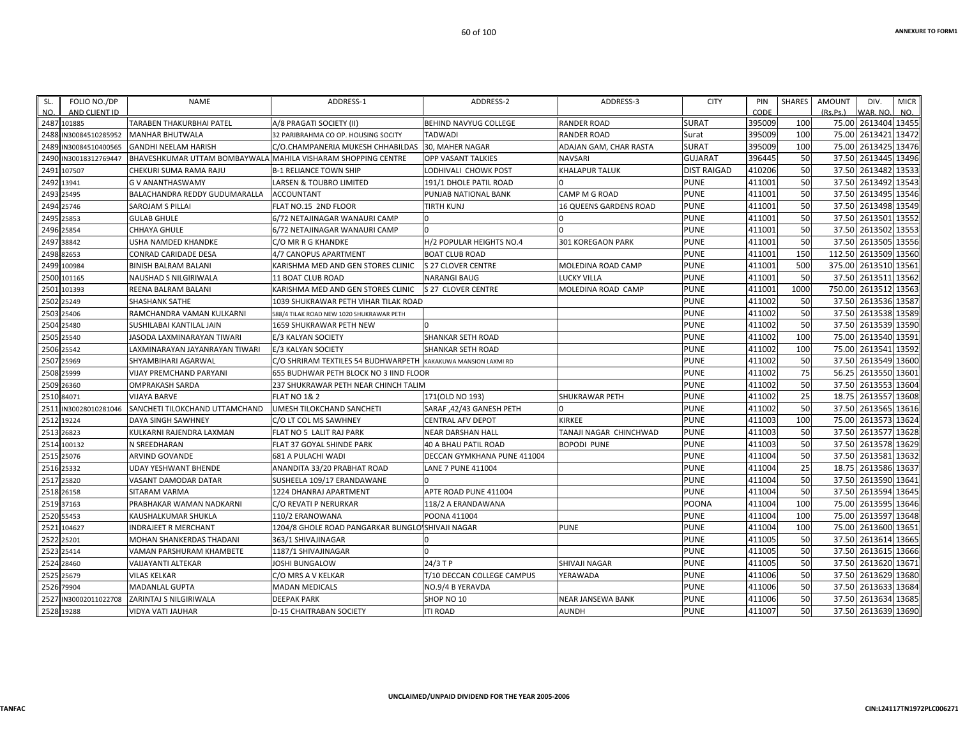| FOLIO NO./DP<br>SL.<br>AND CLIENT ID<br>NO. | <b>NAME</b>                                                   | ADDRESS-1                                                     | ADDRESS-2                    | ADDRESS-3                     | <b>CITY</b>        | PIN<br>CODE | <b>SHARES</b> | <b>AMOUNT</b><br>(Rs, Ps.) | DIV.<br>WAR, NO     | <b>MICR</b><br>NO. |
|---------------------------------------------|---------------------------------------------------------------|---------------------------------------------------------------|------------------------------|-------------------------------|--------------------|-------------|---------------|----------------------------|---------------------|--------------------|
| 2487 101885                                 | <b>TARABEN THAKURBHAI PATEL</b>                               | A/8 PRAGATI SOCIETY (II)                                      | <b>BEHIND NAVYUG COLLEGE</b> | <b>RANDER ROAD</b>            | <b>SURAT</b>       | 395009      | 100           | 75.00                      | 2613404 13455       |                    |
| 2488<br>N30084510285952                     | <b>MANHAR BHUTWALA</b>                                        | 32 PARIBRAHMA CO OP. HOUSING SOCITY                           | <b>TADWADI</b>               | <b>RANDER ROAD</b>            | Surat              | 395009      | 100           | 75.00                      | 2613421 13472       |                    |
| 2489<br>IN30084510400565                    | <b>GANDHI NEELAM HARISH</b>                                   | C/O.CHAMPANERIA MUKESH CHHABILDAS                             | <b>30. MAHER NAGAR</b>       | ADAJAN GAM, CHAR RASTA        | <b>SURAT</b>       | 395009      | 100           | 75.00                      | 2613425             | 13476              |
| IN30018312769447<br>2490                    | BHAVESHKUMAR UTTAM BOMBAYWALA MAHILA VISHARAM SHOPPING CENTRE |                                                               | <b>OPP VASANT TALKIES</b>    | <b>NAVSARI</b>                | <b>GUJARAT</b>     | 396445      | 50            | 37.50                      | 2613445 13496       |                    |
| 2491<br>107507                              | CHEKURI SUMA RAMA RAJU                                        | <b>B-1 RELIANCE TOWN SHIP</b>                                 | LODHIVALI CHOWK POST         | <b>KHALAPUR TALUK</b>         | <b>DIST RAIGAD</b> | 410206      | 50            | 37.50                      | 2613482             | 13533              |
| 2492 13941                                  | <b>G V ANANTHASWAMY</b>                                       | LARSEN & TOUBRO LIMITED                                       | 191/1 DHOLE PATIL ROAD       |                               | <b>PUNE</b>        | 411001      | 50            |                            | 37.50 2613492 13543 |                    |
| 2493<br>25495                               | BALACHANDRA REDDY GUDUMARALLA                                 | <b>ACCOUNTANT</b>                                             | PUNJAB NATIONAL BANK         | CAMP M G ROAD                 | <b>PUNE</b>        | 411001      | 50            | 37.50                      | 2613495             | 13546              |
| 2494<br>25746                               | <b>SAROJAM S PILLAI</b>                                       | FLAT NO.15 2ND FLOOR                                          | <b>TIRTH KUNJ</b>            | <b>16 QUEENS GARDENS ROAD</b> | <b>PUNE</b>        | 411001      | 50            | 37.50                      | 2613498             | 13549              |
| 2495 25853                                  | <b>GULAB GHULE</b>                                            | 6/72 NETAJINAGAR WANAURI CAMP                                 | n                            | $\Omega$                      | <b>PUNE</b>        | 411001      | 50            |                            | 37.50 2613501 13552 |                    |
| 2496 25854                                  | <b>CHHAYA GHULE</b>                                           | 6/72 NETAJINAGAR WANAURI CAMP                                 | $\Omega$                     | $\Omega$                      | <b>PUNE</b>        | 411001      | 50            | 37.50                      | 2613502 13553       |                    |
| 38842<br>2497                               | USHA NAMDED KHANDKE                                           | C/O MR R G KHANDKE                                            | H/2 POPULAR HEIGHTS NO.4     | <b>301 KOREGAON PARK</b>      | <b>PUNE</b>        | 411001      | 50            | 37.50                      | 2613505             | 13556              |
| 82653<br>2498                               | <b>CONRAD CARIDADE DESA</b>                                   | 4/7 CANOPUS APARTMENT                                         | <b>BOAT CLUB ROAD</b>        |                               | <b>PUNE</b>        | 411001      | 150           | 112.50                     | 2613509 13560       |                    |
| 100984<br>2499                              | <b>BINISH BALRAM BALANI</b>                                   | KARISHMA MED AND GEN STORES CLINIC                            | <b>S 27 CLOVER CENTRE</b>    | MOLEDINA ROAD CAMP            | <b>PUNE</b>        | 411001      | 500           | 375.00                     | 2613510             | 13561              |
| 2500<br>101165                              | NAUSHAD S NILGIRIWALA                                         | 11 BOAT CLUB ROAD                                             | <b>NARANGI BAUG</b>          | <b>LUCKY VILLA</b>            | <b>PUNE</b>        | 411001      | 50            | 37.50                      | 2613511             | 13562              |
| 2501<br>101393                              | REENA BALRAM BALANI                                           | KARISHMA MED AND GEN STORES CLINIC                            | S 27 CLOVER CENTRE           | MOLEDINA ROAD CAMP            | <b>PUNE</b>        | 411001      | 1000          | 750.00                     | 2613512             | 13563              |
| 25249<br>2502                               | SHASHANK SATHE                                                | 1039 SHUKRAWAR PETH VIHAR TILAK ROAD                          |                              |                               | <b>PUNE</b>        | 411002      | 50            | 37.50                      | 2613536             | 13587              |
| 25406<br>2503                               | RAMCHANDRA VAMAN KULKARNI                                     | 588/4 TILAK ROAD NEW 1020 SHUKRAWAR PETH                      |                              |                               | <b>PUNE</b>        | 411002      | 50            | 37.50                      | 2613538 13589       |                    |
| 25480<br>2504                               | SUSHILABAI KANTILAL JAIN                                      | 1659 SHUKRAWAR PETH NEW                                       |                              |                               | <b>PUNE</b>        | 411002      | 50            | 37.50                      | 2613539 13590       |                    |
| 2505<br>25540                               | JASODA LAXMINARAYAN TIWARI                                    | E/3 KALYAN SOCIETY                                            | <b>SHANKAR SETH ROAD</b>     |                               | <b>PUNE</b>        | 411002      | 100           | 75.00                      | 2613540             | 13591              |
| 2506 25542                                  | LAXMINARAYAN JAYANRAYAN TIWARI                                | E/3 KALYAN SOCIETY                                            | <b>SHANKAR SETH ROAD</b>     |                               | <b>PUNE</b>        | 411002      | 100           | 75.00                      | 2613541 13592       |                    |
| 2507<br>25969                               | SHYAMBIHARI AGARWAL                                           | C/O SHRIRAM TEXTILES 54 BUDHWARPETH KAKAKUWA MANSION LAXMI RD |                              |                               | <b>PUNE</b>        | 411002      | 50            | 37.50                      | 2613549 13600       |                    |
| 2508 25999                                  | VIJAY PREMCHAND PARYANI                                       | 655 BUDHWAR PETH BLOCK NO 3 IIND FLOOR                        |                              |                               | <b>PUNE</b>        | 411002      | 75            | 56.25                      | 2613550 13601       |                    |
| 26360<br>2509                               | <b>OMPRAKASH SARDA</b>                                        | 237 SHUKRAWAR PETH NEAR CHINCH TALIM                          |                              |                               | <b>PUNE</b>        | 411002      | 50            | 37.50                      | 2613553             | 13604              |
| 2510<br>84071                               | <b>VIJAYA BARVE</b>                                           | <b>FLAT NO 1&amp; 2</b>                                       | 171(OLD NO 193)              | <b>SHUKRAWAR PETH</b>         | <b>PUNE</b>        | 411002      | 25            | 18.75                      | 2613557 13608       |                    |
| 2511<br>IN30028010281046                    | SANCHETI TILOKCHAND UTTAMCHAND                                | UMESH TILOKCHAND SANCHETI                                     | SARAF, 42/43 GANESH PETH     |                               | <b>PUNE</b>        | 411002      | 50            | 37.50                      | 2613565 13616       |                    |
| 19224<br>2512                               | DAYA SINGH SAWHNEY                                            | C/O LT COL MS SAWHNEY                                         | <b>CENTRAL AFV DEPOT</b>     | <b>KIRKEE</b>                 | <b>PUNE</b>        | 411003      | 100           | 75.00                      | 2613573 13624       |                    |
| 2513<br>26823                               | KULKARNI RAJENDRA LAXMAN                                      | FLAT NO 5 LALIT RAJ PARK                                      | <b>NEAR DARSHAN HALL</b>     | TANAJI NAGAR CHINCHWAD        | <b>PUNE</b>        | 411003      | 50            | 37.50                      | 2613577 13628       |                    |
| 2514 100132                                 | N SREEDHARAN                                                  | FLAT 37 GOYAL SHINDE PARK                                     | 40 A BHAU PATIL ROAD         | <b>BOPODI PUNE</b>            | <b>PUNE</b>        | 411003      | 50            | 37.50                      | 2613578             | 13629              |
| 25076<br>2515                               | ARVIND GOVANDE                                                | 681 A PULACHI WADI                                            | DECCAN GYMKHANA PUNE 411004  |                               | <b>PUNE</b>        | 411004      | 50            | 37.50                      | 2613581             | 13632              |
| 25332<br>2516                               | <b>UDAY YESHWANT BHENDE</b>                                   | ANANDITA 33/20 PRABHAT ROAD                                   | LANE 7 PUNE 411004           |                               | <b>PUNE</b>        | 411004      | 25            | 18.75                      | 2613586             | 13637              |
| 25820<br>2517                               | VASANT DAMODAR DATAR                                          | SUSHEELA 109/17 ERANDAWANE                                    |                              |                               | <b>PUNE</b>        | 411004      | 50            | 37.50                      | 2613590             | 13641              |
| 2518<br>26158                               | SITARAM VARMA                                                 | 1224 DHANRAJ APARTMENT                                        | APTE ROAD PUNE 411004        |                               | <b>PUNE</b>        | 411004      | 50            | 37.50                      | 2613594 13645       |                    |
| 2519<br>37163                               | PRABHAKAR WAMAN NADKARNI                                      | C/O REVATI P NERURKAR                                         | 118/2 A ERANDAWANA           |                               | POONA              | 411004      | 100           | 75.00                      | 2613595             | 13646              |
| 55453<br>2520                               | KAUSHALKUMAR SHUKLA                                           | 110/2 ERANOWANA                                               | POONA 411004                 |                               | <b>PUNE</b>        | 411004      | 100           | 75.00                      | 2613597 13648       |                    |
| 2521<br>104627                              | <b>INDRAJEET R MERCHANT</b>                                   | 1204/8 GHOLE ROAD PANGARKAR BUNGLO SHIVAJI NAGAR              |                              | <b>PUNE</b>                   | <b>PUNE</b>        | 411004      | 100           | 75.00                      | 2613600             | 13651              |
| 2527<br>25201                               | MOHAN SHANKERDAS THADANI                                      | 363/1 SHIVAJINAGAR                                            |                              |                               | <b>PUNE</b>        | 411005      | 50            | 37.50                      | 2613614             | 13665              |
| 25414<br>2523                               | VAMAN PARSHURAM KHAMBETE                                      | 1187/1 SHIVAJINAGAR                                           |                              |                               | <b>PUNE</b>        | 411005      | 50            | 37.50                      | 2613615             | 13666              |
| 2524<br>28460                               | <b>VAIJAYANTI ALTEKAR</b>                                     | JOSHI BUNGALOW                                                | $24/3$ T P                   | <b>SHIVAJI NAGAR</b>          | <b>PUNE</b>        | 411005      | 50            | 37.50                      | 2613620             | 13671              |
| 2525<br>25679                               | <b>VILAS KELKAR</b>                                           | C/O MRS A V KELKAR                                            | T/10 DECCAN COLLEGE CAMPUS   | YERAWADA                      | <b>PUNE</b>        | 411006      | 50            | 37.50                      | 2613629             | 13680              |
| 2526 79904                                  | <b>MADANLAL GUPTA</b>                                         | <b>MADAN MEDICALS</b>                                         | NO.9/4 B YERAVDA             |                               | <b>PUNE</b>        | 411006      | 50            | 37.50                      | 2613633             | 13684              |
| 2527<br>IN30002011022708                    | <b>ZARINTAJ S NILGIRIWALA</b>                                 | <b>DEEPAK PARK</b>                                            | SHOP NO 10                   | <b>NEAR JANSEWA BANK</b>      | <b>PUNE</b>        | 411006      | 50            | 37.50                      | 2613634             | 13685              |
| 2528 19288                                  | VIDYA VATI JAUHAR                                             | <b>D-15 CHAITRABAN SOCIETY</b>                                | <b>ITI ROAD</b>              | <b>AUNDH</b>                  | <b>PUNE</b>        | 411007      | 50            |                            | 37.50 2613639 13690 |                    |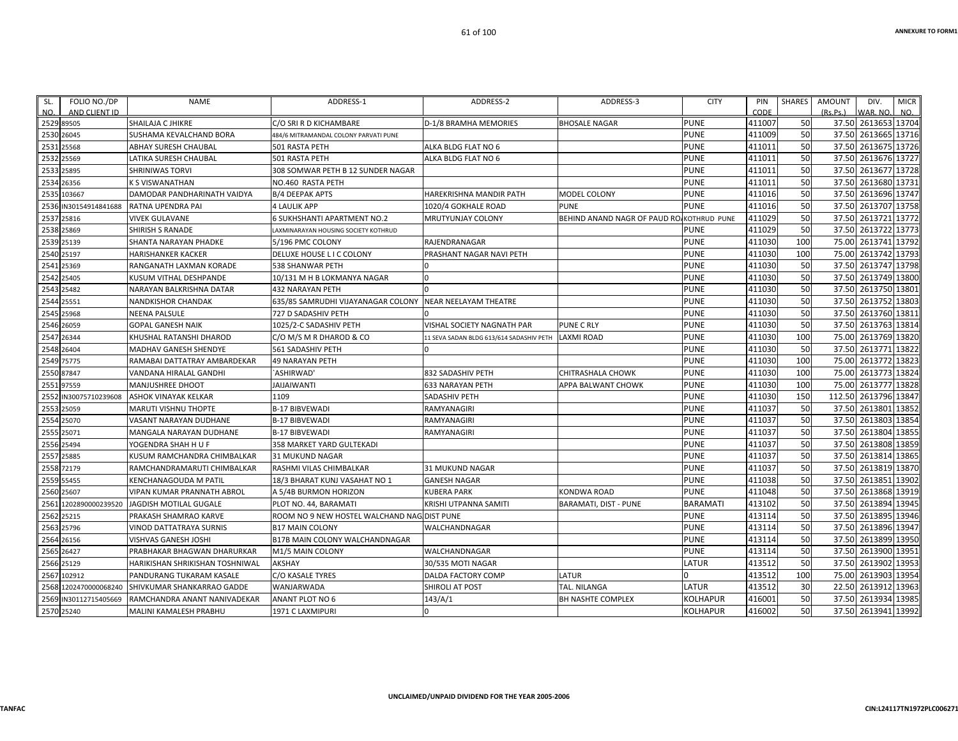| SL.        | FOLIO NO./DP          | NAME                            | ADDRESS-1                                   | ADDRESS-2                                | ADDRESS-3                                 | <b>CITY</b>     | PIN    | SHARES | AMOUNT<br>DIV.       | <b>MICR</b>   |
|------------|-----------------------|---------------------------------|---------------------------------------------|------------------------------------------|-------------------------------------------|-----------------|--------|--------|----------------------|---------------|
| NO.        | AND CLIENT ID         |                                 |                                             |                                          |                                           |                 | CODE   |        | (Rs.Ps.)<br>WAR. NO. | NO.           |
| 2529 89505 |                       | SHAILAJA C JHIKRE               | C/O SRI R D KICHAMBARE                      | <b>D-1/8 BRAMHA MEMORIES</b>             | <b>BHOSALE NAGAR</b>                      | <b>PUNE</b>     | 411007 | 50     | 37.50 2613653 13704  |               |
| 2530 26045 |                       | SUSHAMA KEVALCHAND BORA         | 484/6 MITRAMANDAL COLONY PARVATI PUNE       |                                          |                                           | <b>PUNE</b>     | 411009 | 50     | 37.50 2613665 13716  |               |
| 2531 25568 |                       | ABHAY SURESH CHAUBAL            | 501 RASTA PETH                              | ALKA BLDG FLAT NO 6                      |                                           | <b>PUNE</b>     | 411011 | 50     | 37.50                | 2613675 13726 |
| 2532 25569 |                       | LATIKA SURESH CHAUBAL           | <b>501 RASTA PETH</b>                       | ALKA BLDG FLAT NO 6                      |                                           | <b>PUNE</b>     | 411011 | 50     | 37.50                | 2613676 13727 |
| 2533 25895 |                       | <b>SHRINIWAS TORVI</b>          | 308 SOMWAR PETH B 12 SUNDER NAGAR           |                                          |                                           | <b>PUNE</b>     | 411011 | 50     | 37.50                | 2613677 13728 |
| 2534 26356 |                       | K S VISWANATHAN                 | NO.460 RASTA PETH                           |                                          |                                           | <b>PUNE</b>     | 411011 | 50     | 37.50                | 2613680 13731 |
|            | 2535 103667           | DAMODAR PANDHARINATH VAIDYA     | <b>B/4 DEEPAK APTS</b>                      | HAREKRISHNA MANDIR PATH                  | MODEL COLONY                              | <b>PUNE</b>     | 411016 | 50     | 37.50                | 2613696 13747 |
|            | 2536 IN30154914841688 | RATNA UPENDRA PAI               | <b>4 LAULIK APP</b>                         | 1020/4 GOKHALE ROAD                      | <b>PUNE</b>                               | <b>PUNE</b>     | 411016 | 50     | 37.50                | 2613707 13758 |
|            | 2537 25816            | <b>VIVEK GULAVANE</b>           | <b>6 SUKHSHANTI APARTMENT NO.2</b>          | MRUTYUNJAY COLONY                        | BEHIND ANAND NAGR OF PAUD RO KOTHRUD PUNE |                 | 411029 | 50     | 37.50                | 2613721 13772 |
| 2538 25869 |                       | SHIRISH S RANADE                | LAXMINARAYAN HOUSING SOCIETY KOTHRUD        |                                          |                                           | <b>PUNE</b>     | 411029 | 50     | 37.50                | 2613722 13773 |
| 2539 25139 |                       | SHANTA NARAYAN PHADKE           | 5/196 PMC COLONY                            | RAJENDRANAGAR                            |                                           | <b>PUNE</b>     | 411030 | 100    | 75.00                | 2613741 13792 |
| 2540 25197 |                       | <b>HARISHANKER KACKER</b>       | DELUXE HOUSE L I C COLONY                   | PRASHANT NAGAR NAVI PETH                 |                                           | <b>PUNE</b>     | 411030 | 100    | 75.00                | 2613742 13793 |
| 2541 25369 |                       | RANGANATH LAXMAN KORADE         | 538 SHANWAR PETH                            |                                          |                                           | <b>PUNE</b>     | 411030 | 50     | 37.50                | 2613747 13798 |
| 2542 25405 |                       | KUSUM VITHAL DESHPANDE          | 10/131 M H B LOKMANYA NAGAR                 | $\Omega$                                 |                                           | <b>PUNE</b>     | 411030 | 50     | 37.50                | 2613749 13800 |
| 2543 25482 |                       | NARAYAN BALKRISHNA DATAR        | 432 NARAYAN PETH                            |                                          |                                           | <b>PUNE</b>     | 411030 | 50     | 37.50                | 2613750 13801 |
| 2544 25551 |                       | <b>NANDKISHOR CHANDAK</b>       | 635/85 SAMRUDHI VIJAYANAGAR COLONY          | NEAR NEELAYAM THEATRE                    |                                           | <b>PUNE</b>     | 411030 | 50     | 37.50                | 2613752 13803 |
| 2545 25968 |                       | <b>NEENA PALSULE</b>            | 727 D SADASHIV PETH                         |                                          |                                           | <b>PUNE</b>     | 411030 | 50     | 37.50 2613760 13811  |               |
| 2546 26059 |                       | <b>GOPAL GANESH NAIK</b>        | 1025/2-C SADASHIV PETH                      | VISHAL SOCIETY NAGNATH PAR               | <b>PUNE C RLY</b>                         | <b>PUNE</b>     | 411030 | 50     | 37.50                | 2613763 13814 |
| 2547 26344 |                       | KHUSHAL RATANSHI DHAROD         | C/O M/S M R DHAROD & CO                     | 11 SEVA SADAN BLDG 613/614 SADASHIV PETH | <b>LAXMI ROAD</b>                         | <b>PUNE</b>     | 411030 | 100    | 75.00                | 2613769 13820 |
| 2548 26404 |                       | MADHAV GANESH SHENDYE           | 561 SADASHIV PETH                           | n                                        |                                           | <b>PUNE</b>     | 411030 | 50     | 37.50 2613771 13822  |               |
| 2549 75775 |                       | RAMABAI DATTATRAY AMBARDEKAR    | 49 NARAYAN PETH                             |                                          |                                           | <b>PUNE</b>     | 411030 | 100    | 75.00                | 2613772 13823 |
| 2550 87847 |                       | VANDANA HIRALAL GANDHI          | `ASHIRWAD'                                  | 832 SADASHIV PETH                        | CHITRASHALA CHOWK                         | <b>PUNE</b>     | 411030 | 100    | 75.00                | 2613773 13824 |
| 2551 97559 |                       | MANJUSHREE DHOOT                | <b>JAIJAIWANTI</b>                          | <b>633 NARAYAN PETH</b>                  | APPA BALWANT CHOWK                        | <b>PUNE</b>     | 411030 | 100    | 75.00                | 2613777 13828 |
|            | 2552 IN30075710239608 | ASHOK VINAYAK KELKAR            | 1109                                        | SADASHIV PETH                            |                                           | <b>PUNE</b>     | 411030 | 150    | 112.50               | 2613796 13847 |
| 2553 25059 |                       | MARUTI VISHNU THOPTE            | <b>B-17 BIBVEWADI</b>                       | RAMYANAGIRI                              |                                           | <b>PUNE</b>     | 411037 | 50     | 37.50                | 2613801 13852 |
| 2554 25070 |                       | VASANT NARAYAN DUDHANE          | <b>B-17 BIBVEWADI</b>                       | RAMYANAGIRI                              |                                           | <b>PUNE</b>     | 411037 | 50     | 37.50                | 2613803 13854 |
| 2555 25071 |                       | MANGALA NARAYAN DUDHANE         | <b>B-17 BIBVEWADI</b>                       | RAMYANAGIRI                              |                                           | <b>PUNE</b>     | 411037 | 50     | 37.50                | 2613804 13855 |
| 2556 25494 |                       | YOGENDRA SHAH H U F             | 358 MARKET YARD GULTEKADI                   |                                          |                                           | <b>PUNE</b>     | 411037 | 50     | 37.50                | 2613808 13859 |
| 2557 25885 |                       | KUSUM RAMCHANDRA CHIMBALKAR     | <b>31 MUKUND NAGAR</b>                      |                                          |                                           | <b>PUNE</b>     | 411037 | 50     | 37.50                | 2613814 13865 |
| 2558 72179 |                       | RAMCHANDRAMARUTI CHIMBALKAR     | RASHMI VILAS CHIMBALKAR                     | 31 MUKUND NAGAR                          |                                           | <b>PUNE</b>     | 411037 | 50     | 37.50 2613819 13870  |               |
| 2559 55455 |                       | <b>KENCHANAGOUDA M PATIL</b>    | 18/3 BHARAT KUNJ VASAHAT NO 1               | <b>GANESH NAGAR</b>                      |                                           | <b>PUNE</b>     | 411038 | 50     | 37.50                | 2613851 13902 |
| 2560 25607 |                       | VIPAN KUMAR PRANNATH ABROL      | A 5/4B BURMON HORIZON                       | <b>KUBERA PARK</b>                       | KONDWA ROAD                               | <b>PUNE</b>     | 411048 | 50     | 37.50                | 2613868 13919 |
|            | 2561 1202890000239520 | JAGDISH MOTILAL GUGALE          | PLOT NO. 44, BARAMATI                       | KRISHI UTPANNA SAMITI                    | <b>BARAMATI, DIST - PUNE</b>              | <b>BARAMATI</b> | 413102 | 50     | 37.50                | 2613894 13945 |
| 2562 25215 |                       | PRAKASH SHAMRAO KARVE           | ROOM NO 9 NEW HOSTEL WALCHAND NAG DIST PUNE |                                          |                                           | <b>PUNE</b>     | 413114 | 50     | 37.50                | 2613895 13946 |
| 2563 25796 |                       | VINOD DATTATRAYA SURNIS         | <b>B17 MAIN COLONY</b>                      | WALCHANDNAGAR                            |                                           | <b>PUNE</b>     | 413114 | 50     | 37.50                | 2613896 13947 |
| 2564 26156 |                       | VISHVAS GANESH JOSHI            | <b>B17B MAIN COLONY WALCHANDNAGAR</b>       |                                          |                                           | <b>PUNE</b>     | 413114 | 50     | 37.50                | 2613899 13950 |
| 2565 26427 |                       | PRABHAKAR BHAGWAN DHARURKAR     | M1/5 MAIN COLONY                            | WALCHANDNAGAR                            |                                           | <b>PUNE</b>     | 413114 | 50     | 37.50                | 2613900 13951 |
| 2566 25129 |                       | HARIKISHAN SHRIKISHAN TOSHNIWAL | AKSHAY                                      | 30/535 MOTI NAGAR                        |                                           | LATUR           | 413512 | 50     | 37.50                | 2613902 13953 |
|            | 2567 102912           | PANDURANG TUKARAM KASALE        | C/O KASALE TYRES                            | DALDA FACTORY COMP                       | LATUR                                     |                 | 413512 | 100    | 75.00                | 2613903 13954 |
|            | 2568 1202470000068240 | SHIVKUMAR SHANKARRAO GADDE      | WANJARWADA                                  | SHIROLI AT POST                          | TAL. NILANGA                              | LATUR           | 413512 | 30     | 22.50 2613912 13963  |               |
|            | 2569 IN30112715405669 | RAMCHANDRA ANANT NANIVADEKAR    | ANANT PLOT NO 6                             | 143/A/1                                  | <b>BH NASHTE COMPLEX</b>                  | KOLHAPUR        | 416001 | 50     | 37.50                | 2613934 13985 |
| 2570 25240 |                       | MALINI KAMALESH PRABHU          | 1971 C LAXMIPURI                            | $\Omega$                                 |                                           | <b>KOLHAPUR</b> | 416002 | 50     | 37.50 2613941 13992  |               |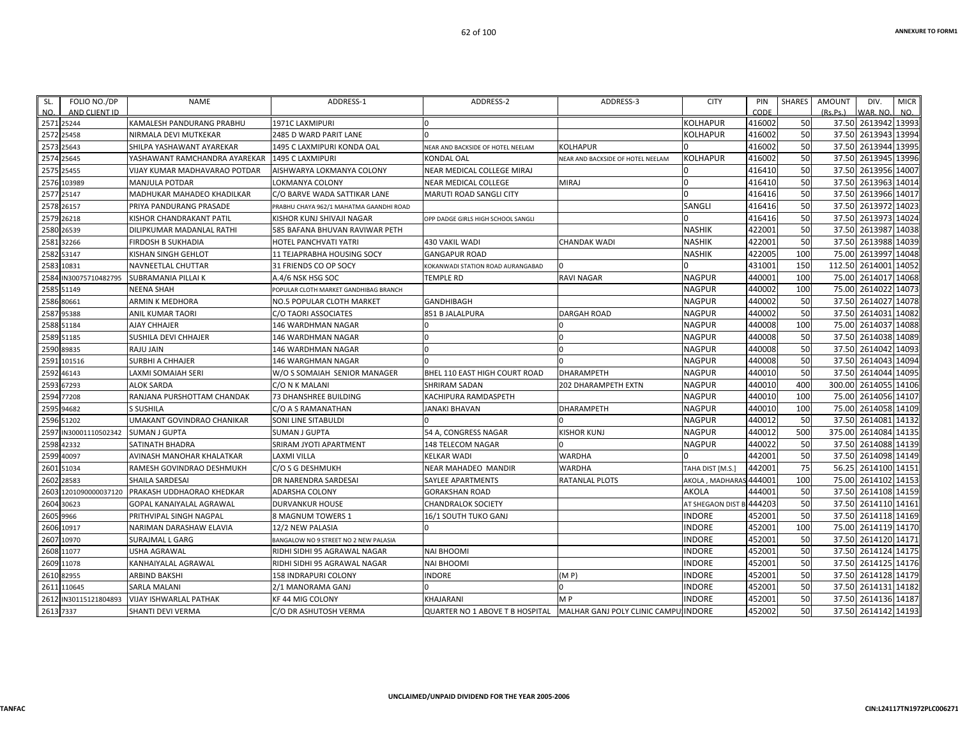| SL.       | FOLIO NO./DP          | NAME                              | ADDRESS-1                               | ADDRESS-2                          | ADDRESS-3                            | <b>CITY</b>       | PIN      | SHARES | AMOUNT   | DIV.<br><b>MICR</b> |
|-----------|-----------------------|-----------------------------------|-----------------------------------------|------------------------------------|--------------------------------------|-------------------|----------|--------|----------|---------------------|
| NO.       | AND CLIENT ID         |                                   |                                         |                                    |                                      |                   | CODE     |        | (Rs.Ps.) | WAR, NO.<br>NO.     |
|           | 2571 25244            | KAMALESH PANDURANG PRABHU         | <b>1971C LAXMIPURI</b>                  |                                    |                                      | KOLHAPUR          | 416002   | 50     |          | 37.50 2613942 13993 |
|           | 2572 25458            | NIRMALA DEVI MUTKEKAR             | 2485 D WARD PARIT LANE                  |                                    |                                      | KOLHAPUR          | 416002   | 50     |          | 37.50 2613943 13994 |
|           | 2573 25643            | SHILPA YASHAWANT AYAREKAR         | 1495 C LAXMIPURI KONDA OAL              | NEAR AND BACKSIDE OF HOTEL NEELAM  | KOLHAPUR                             |                   | 416002   | 50     |          | 37.50 2613944 13995 |
|           | 2574 25645            | YASHAWANT RAMCHANDRA AYAREKAR     | 1495 C LAXMIPURI                        | KONDAL OAL                         | NEAR AND BACKSIDE OF HOTEL NEELAM    | KOLHAPUR          | 416002   | 50     |          | 37.50 2613945 13996 |
|           | 2575 25455            | VIJAY KUMAR MADHAVARAO POTDAR     | AISHWARYA LOKMANYA COLONY               | NEAR MEDICAL COLLEGE MIRAJ         |                                      |                   | 416410   | 50     |          | 37.50 2613956 14007 |
|           | 2576 103989           | <b>MANJULA POTDAR</b>             | LOKMANYA COLONY                         | NEAR MEDICAL COLLEGE               | MIRAJ                                |                   | 416410   | 50     | 37.50    | 2613963 14014       |
|           | 2577 25147            | MADHUKAR MAHADEO KHADILKAR        | C/O BARVE WADA SATTIKAR LANE            | MARUTI ROAD SANGLI CITY            |                                      |                   | 416416   | 50     |          | 37.50 2613966 14017 |
|           | 2578 26157            | PRIYA PANDURANG PRASADE           | PRABHU CHAYA 962/1 MAHATMA GAANDHI ROAD |                                    |                                      | SANGLI            | 416416   | 50     | 37.50    | 2613972 14023       |
|           | 2579 26218            | KISHOR CHANDRAKANT PATIL          | KISHOR KUNJ SHIVAJI NAGAR               | OPP DADGE GIRLS HIGH SCHOOL SANGLI |                                      |                   | 416416   | 50     |          | 37.50 2613973 14024 |
|           | 2580 26539            | DILIPKUMAR MADANLAL RATHI         | 585 BAFANA BHUVAN RAVIWAR PETH          |                                    |                                      | NASHIK            | 422001   | 50     |          | 37.50 2613987 14038 |
|           | 2581 32266            | FIRDOSH B SUKHADIA                | HOTEL PANCHVATI YATRI                   | 430 VAKIL WADI                     | CHANDAK WADI                         | NASHIK            | 422001   | 50     |          | 37.50 2613988 14039 |
|           | 2582 53147            | KISHAN SINGH GEHLOT               | 11 TEJAPRABHA HOUSING SOCY              | <b>GANGAPUR ROAD</b>               |                                      | NASHIK            | 422005   | 100    | 75.00    | 2613997 14048       |
|           | 2583 10831            | NAVNEETLAL CHUTTAR                | 31 FRIENDS CO OP SOCY                   | KOKANWADI STATION ROAD AURANGABAD  |                                      |                   | 431001   | 150    | 112.50   | 2614001<br>14052    |
|           | 2584 IN30075710482795 | SUBRAMANIA PILLAI K               | A.4/6 NSK HSG SOC                       | TEMPLE RD                          | RAVI NAGAR                           | NAGPUR            | 440001   | 100    | 75.00    | 2614017 14068       |
|           | 2585 51149            | <b>NEENA SHAH</b>                 | POPULAR CLOTH MARKET GANDHIBAG BRANCH   |                                    |                                      | NAGPUR            | 440002   | 100    | 75.00    | 2614022 14073       |
|           | 2586 80661            | ARMIN K MEDHORA                   | NO.5 POPULAR CLOTH MARKET               | GANDHIBAGH                         |                                      | NAGPUR            | 440002   | 50     | 37.50    | 2614027 14078       |
|           | 2587 95388            | ANIL KUMAR TAORI                  | C/O TAORI ASSOCIATES                    | 851 B JALALPURA                    | <b>DARGAH ROAD</b>                   | NAGPUR            | 440002   | 50     | 37.50    | 2614031 14082       |
|           | 2588 51184            | <b>AJAY CHHAJER</b>               | <b>146 WARDHMAN NAGAR</b>               |                                    |                                      | <b>NAGPUR</b>     | 440008   | 100    | 75.00    | 2614037 14088       |
|           | 2589 51185            | SUSHILA DEVI CHHAJER              | 146 WARDHMAN NAGAR                      |                                    |                                      | NAGPUR            | 440008   | 50     | 37.50    | 2614038 14089       |
|           | 2590 89835            | <b>RAJU JAIN</b>                  | 146 WARDHMAN NAGAR                      |                                    | U                                    | NAGPUR            | 440008   | 50     |          | 37.50 2614042 14093 |
|           | 2591 101516           | SURBHI A CHHAJER                  | 146 WARGHMAN NAGAR                      |                                    |                                      | NAGPUR            | 440008   | 50     | 37.50    | 2614043 14094       |
|           | 2592 46143            | LAXMI SOMAIAH SERI                | W/O S SOMAIAH SENIOR MANAGER            | BHEL 110 EAST HIGH COURT ROAD      | DHARAMPETH                           | NAGPUR            | 440010   | 50     |          | 37.50 2614044 14095 |
|           | 2593 67293            | <b>ALOK SARDA</b>                 | C/O N K MALANI                          | SHRIRAM SADAN                      | 202 DHARAMPETH EXTN                  | NAGPUR            | 440010   | 400    | 300.00   | 2614055 14106       |
|           | 2594 77208            | RANJANA PURSHOTTAM CHANDAK        | 73 DHANSHREE BUILDING                   | KACHIPURA RAMDASPETH               |                                      | NAGPUR            | 440010   | 100    |          | 75.00 2614056 14107 |
|           | 2595 94682            | <b>S SUSHILA</b>                  | C/O A S RAMANATHAN                      | <b>JANAKI BHAVAN</b>               | DHARAMPETH                           | <b>NAGPUR</b>     | 440010   | 100    | 75.00    | 2614058 14109       |
|           | 2596 51202            | <b>UMAKANT GOVINDRAO CHANIKAR</b> | <b>SONI LINE SITABULDI</b>              |                                    |                                      | <b>NAGPUR</b>     | 440012   | 50     | 37.50    | 2614081<br>14132    |
|           | 2597 IN30001110502342 | <b>SUMAN J GUPTA</b>              | SUMAN J GUPTA                           | 54 A, CONGRESS NAGAR               | KISHOR KUNJ                          | NAGPUR            | 440012   | 500    | 375.00   | 2614084 14135       |
|           | 2598 42332            | SATINATH BHADRA                   | SRIRAM JYOTI APARTMENT                  | 148 TELECOM NAGAR                  |                                      | NAGPUR            | 440022   | 50     |          | 37.50 2614088 14139 |
|           | 2599 40097            | AVINASH MANOHAR KHALATKAR         | <b>LAXMI VILLA</b>                      | <b>KELKAR WADI</b>                 | WARDHA                               |                   | 442001   | 50     |          | 37.50 2614098 14149 |
|           | 2601 51034            | RAMESH GOVINDRAO DESHMUKH         | C/O S G DESHMUKH                        | NEAR MAHADEO MANDIR                | WARDHA                               | TAHA DIST [M.S.]  | 442001   | 75     |          | 56.25 2614100 14151 |
|           | 2602 28583            | SHAILA SARDESAI                   | DR NARENDRA SARDESAI                    | SAYLEE APARTMENTS                  | RATANLAL PLOTS                       | AKOLA, MADHARA    | s 444001 | 100    |          | 75.00 2614102 14153 |
| 2603      | 1201090000037120      | PRAKASH UDDHAORAO KHEDKAR         | ADARSHA COLONY                          | <b>GORAKSHAN ROAD</b>              |                                      | AKOLA             | 444001   | 50     | 37.50    | 2614108 14159       |
|           | 2604 30623            | GOPAL KANAIYALAL AGRAWAL          | <b>DURVANKUR HOUSE</b>                  | <b>CHANDRALOK SOCIETY</b>          |                                      | AT SHEGAON DIST E | 444203   | 50     |          | 37.50 2614110 14161 |
|           | 2605 9966             | PRITHVIPAL SINGH NAGPAL           | 8 MAGNUM TOWERS 1                       | 16/1 SOUTH TUKO GANJ               |                                      | INDORE            | 452001   | 50     | 37.50    | 2614118 14169       |
|           | 2606 10917            | NARIMAN DARASHAW ELAVIA           | 12/2 NEW PALASIA                        |                                    |                                      | INDORE            | 452001   | 100    | 75.00    | 2614119 14170       |
|           | 2607 10970            | SURAJMAL L GARG                   | BANGALOW NO 9 STREET NO 2 NEW PALASIA   |                                    |                                      | INDORE            | 452001   | 50     | 37.50    | 2614120 14171       |
|           | 2608 11077            | USHA AGRAWAL                      | RIDHI SIDHI 95 AGRAWAL NAGAR            | NAI BHOOMI                         |                                      | INDORE            | 452001   | 50     |          | 37.50 2614124 14175 |
|           | 2609 11078            | KANHAIYALAL AGRAWAL               | RIDHI SIDHI 95 AGRAWAL NAGAR            | <b>NAI BHOOMI</b>                  |                                      | <b>INDORE</b>     | 452001   | 50     |          | 37.50 2614125 14176 |
|           | 2610 82955            | <b>ARBIND BAKSHI</b>              | <b>158 INDRAPURI COLONY</b>             | <b>NDORE</b>                       | (MP)                                 | <b>INDORE</b>     | 452001   | 50     |          | 37.50 2614128 14179 |
|           | 2611 110645           | SARLA MALANI                      | 2/1 MANORAMA GANJ                       |                                    |                                      | INDORE            | 452001   | 50     | 37.50    | 2614131 14182       |
|           | 2612 IN30115121804893 | VIJAY ISHWARLAL PATHAK            | KF 44 MIG COLONY                        | KHAJARANI                          | M <sub>P</sub>                       | INDORE            | 452001   | 50     |          | 37.50 2614136 14187 |
| 2613 7337 |                       | SHANTI DEVI VERMA                 | C/O DR ASHUTOSH VERMA                   | QUARTER NO 1 ABOVE T B HOSPITAL    | MALHAR GANJ POLY CLINIC CAMPU INDORE |                   | 452002   | 50     |          | 37.50 2614142 14193 |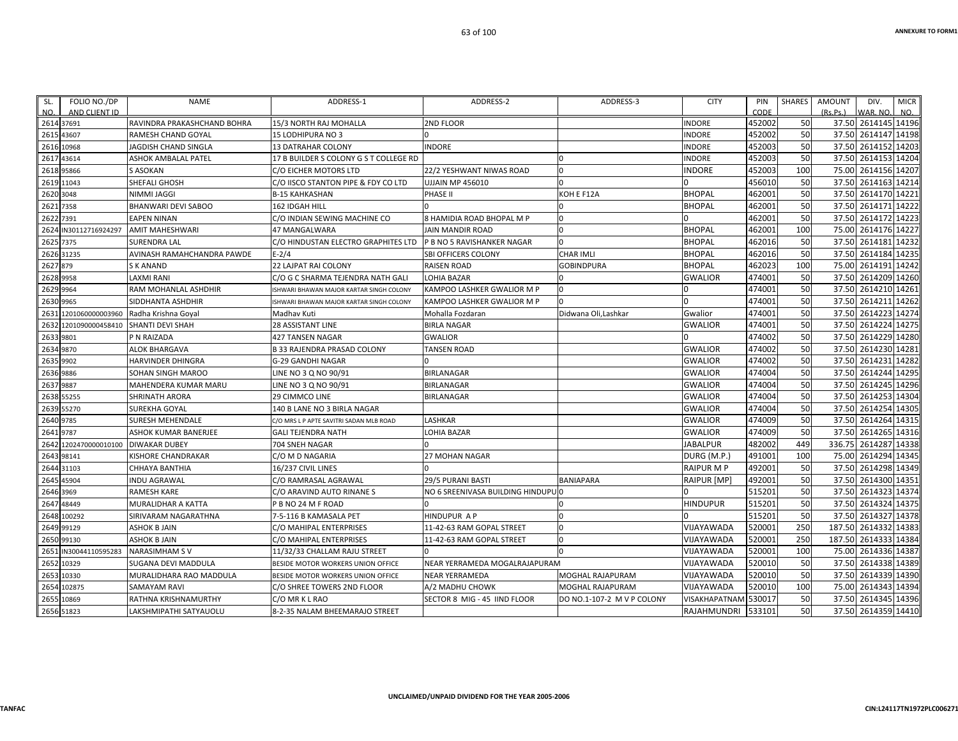| FOLIO NO./DP<br>SL.<br>AND CLIENT ID<br>NO. | <b>NAME</b>                       | ADDRESS-1                               | ADDRESS-2                         | ADDRESS-3                  | <b>CITY</b>        | PIN<br>CODE | <b>SHARES</b> | <b>AMOUNT</b><br>(Rs.Ps.) | DIV.<br>WAR, NO     | <b>MICR</b><br>NO. |
|---------------------------------------------|-----------------------------------|-----------------------------------------|-----------------------------------|----------------------------|--------------------|-------------|---------------|---------------------------|---------------------|--------------------|
| 2614 37691                                  | RAVINDRA PRAKASHCHAND BOHRA       | 15/3 NORTH RAJ MOHALLA                  | 2ND FLOOR                         |                            | <b>INDORE</b>      | 452002      | 50            |                           | 37.50 2614145 14196 |                    |
| 2615<br>43607                               | RAMESH CHAND GOYAL                | <b>15 LODHIPURA NO 3</b>                |                                   |                            | INDORE             | 452002      | 50            | 37.50                     | 2614147             | 14198              |
| 10968<br>2616                               | JAGDISH CHAND SINGLA              | <b>13 DATRAHAR COLONY</b>               | <b>INDORE</b>                     |                            | INDORE             | 452003      | 50            | 37.50                     | 2614152 14203       |                    |
| 43614<br>2617                               | ASHOK AMBALAL PATEL               | 17 B BUILDER S COLONY G S T COLLEGE RD  |                                   |                            | INDORE             | 452003      | 50            | 37.50                     | 2614153 14204       |                    |
| 2618<br>95866                               | <b>S ASOKAN</b>                   | C/O EICHER MOTORS LTD                   | 22/2 YESHWANT NIWAS ROAD          | $\Omega$                   | <b>INDORE</b>      | 452003      | 100           | 75.00                     | 2614156             | 14207              |
| 2619 11043                                  | SHEFALI GHOSH                     | C/O IISCO STANTON PIPE & FDY CO LTD     | UJJAIN MP 456010                  | $\Omega$                   |                    | 456010      | 50            | 37.50                     | 2614163 14214       |                    |
| 2620<br>3048                                | <b>NIMMI JAGGI</b>                | <b>B-15 KAHKASHAN</b>                   | PHASE II                          | KOH E F12A                 | <b>BHOPAL</b>      | 462001      | 50            | 37.50                     | 2614170 14221       |                    |
| 2621<br>7358                                | <b>BHANWARI DEVI SABOO</b>        | 162 IDGAH HILL                          |                                   |                            | <b>BHOPAL</b>      | 462001      | 50            | 37.50                     | 2614171             | 14222              |
| 7391<br>2622                                | <b>EAPEN NINAN</b>                | C/O INDIAN SEWING MACHINE CO            | 8 HAMIDIA ROAD BHOPAL M P         | 0                          |                    | 462001      | 50            | 37.50                     | 2614172 14223       |                    |
| IN30112716924297<br>2624                    | <b>AMIT MAHESHWARI</b>            | 47 MANGALWARA                           | <b>JAIN MANDIR ROAD</b>           | $\Omega$                   | <b>BHOPAL</b>      | 462001      | 100           | 75.00                     | 2614176             | 14227              |
| 2625<br>7375                                | <b>SURENDRA LAL</b>               | C/O HINDUSTAN ELECTRO GRAPHITES LTD     | P B NO 5 RAVISHANKER NAGAR        | $\Omega$                   | <b>BHOPAL</b>      | 462016      | 50            | 37.50                     | 2614181             | 14232              |
| 2626 31235                                  | AVINASH RAMAHCHANDRA PAWDE        | $E - 2/4$                               | SBI OFFICERS COLONY               | <b>CHAR IMLI</b>           | <b>BHOPAL</b>      | 462016      | 50            | 37.50                     | 2614184             | 14235              |
| 2627 879                                    | <b>SK ANAND</b>                   | <b>22 LAJPAT RAI COLONY</b>             | <b>RAISEN ROAD</b>                | <b>GOBINDPURA</b>          | <b>BHOPAL</b>      | 462023      | 100           | 75.00                     | 2614191 14242       |                    |
| 2628 9958                                   | <b>LAXMI RANI</b>                 | C/O G C SHARMA TEJENDRA NATH GALI       | LOHIA BAZAR                       |                            | <b>GWALIOR</b>     | 474001      | 50            | 37.50                     | 2614209             | 14260              |
| 2629 9964                                   | RAM MOHANLAL ASHDHIR              | SHWARI BHAWAN MAJOR KARTAR SINGH COLONY | KAMPOO LASHKER GWALIOR M P        | 0                          |                    | 474001      | 50            | 37.50                     | 2614210             | 14261              |
| 2630<br>9965                                | SIDDHANTA ASHDHIR                 | SHWARI BHAWAN MAJOR KARTAR SINGH COLONY | KAMPOO LASHKER GWALIOR M P        |                            |                    | 474001      | 50            | 37.50                     | 2614211             | 14262              |
| 1201060000003960<br>263                     | Radha Krishna Goyal               | Madhav Kuti                             | Mohalla Fozdaran                  | Didwana Oli, Lashkar       | Gwalior            | 474001      | 50            | 37.50                     | 2614223             | 14274              |
| 2632                                        | 1201090000458410 SHANTI DEVI SHAH | <b>28 ASSISTANT LINE</b>                | <b>BIRLA NAGAR</b>                |                            | <b>GWALIOR</b>     | 474001      | 50            | 37.50                     | 2614224 14275       |                    |
| 2633 9801                                   | P N RAIZADA                       | 427 TANSEN NAGAR                        | <b>GWALIOR</b>                    |                            |                    | 474002      | 50            | 37.50                     | 2614229             | 14280              |
| 9870<br>2634                                | <b>ALOK BHARGAVA</b>              | <b>B 33 RAJENDRA PRASAD COLONY</b>      | <b>TANSEN ROAD</b>                |                            | <b>GWALIOR</b>     | 474002      | 50            | 37.50                     | 2614230             | 14281              |
| 2635 9902                                   | <b>HARVINDER DHINGRA</b>          | G-29 GANDHI NAGAR                       | $\Omega$                          |                            | <b>GWALIOR</b>     | 474002      | 50            | 37.50                     | 2614231             | 14282              |
| 2636 9886                                   | SOHAN SINGH MAROO                 | LINE NO 3 Q NO 90/91                    | <b>BIRLANAGAR</b>                 |                            | <b>GWALIOR</b>     | 474004      | 50            | 37.50                     | 2614244             | 14295              |
| 9887<br>2637                                | <b>MAHENDERA KUMAR MARU</b>       | LINE NO 3 Q NO 90/91                    | <b>BIRLANAGAR</b>                 |                            | <b>GWALIOR</b>     | 474004      | 50            | 37.50                     | 2614245             | 14296              |
| 2638<br>55255                               | SHRINATH ARORA                    | 29 CIMMCO LINE                          | <b>BIRLANAGAR</b>                 |                            | <b>GWALIOR</b>     | 474004      | 50            | 37.50                     | 2614253             | 14304              |
| 2639 55270                                  | SUREKHA GOYAL                     | 140 B LANE NO 3 BIRLA NAGAR             |                                   |                            | <b>GWALIOR</b>     | 474004      | 50            | 37.50                     | 2614254             | 14305              |
| 9785<br>2640                                | SURESH MEHENDALE                  | C/O MRS L P APTE SAVITRI SADAN MLB ROAD | LASHKAR                           |                            | <b>GWALIOR</b>     | 474009      | 50            | 37.50                     | 2614264             | 14315              |
| 2641<br>9787                                | ASHOK KUMAR BANERJEE              | <b>GALI TEJENDRA NATH</b>               | LOHIA BAZAR                       |                            | <b>GWALIOR</b>     | 474009      | 50            | 37.50                     | 2614265             | 14316              |
| 1202470000010100 DIWAKAR DUBEY<br>2642      |                                   | 704 SNEH NAGAR                          |                                   |                            | JABALPUR           | 482002      | 449           | 336.75                    | 2614287             | 14338              |
| 98141<br>2643                               | KISHORE CHANDRAKAR                | C/O M D NAGARIA                         | <b>27 MOHAN NAGAR</b>             |                            | DURG (M.P.         | 491001      | 100           | 75.00                     | 2614294             | 14345              |
| 2644<br>31103                               | CHHAYA BANTHIA                    | 16/237 CIVIL LINES                      |                                   |                            | <b>RAIPUR M P</b>  | 492001      | 50            | 37.50                     | 2614298             | 14349              |
| 45904<br>2645                               | <b>INDU AGRAWAL</b>               | C/O RAMRASAL AGRAWAL                    | 29/5 PURANI BASTI                 | <b>BANIAPARA</b>           | RAIPUR [MP]        | 492001      | 50            | 37.50                     | 2614300             | 14351              |
| 2646 3969                                   | <b>RAMESH KARE</b>                | C/O ARAVIND AUTO RINANE S               | NO 6 SREENIVASA BUILDING HINDUPUO |                            |                    | 515201      | 50            | 37.50                     | 2614323 14374       |                    |
| 264<br>48449                                | MURALIDHAR A KATTA                | P B NO 24 M F ROAD                      |                                   |                            | <b>HINDUPUR</b>    | 515201      | 50            | 37.50                     | 2614324             | 14375              |
| 2648<br>100292                              | SIRIVARAM NAGARATHNA              | 7-5-116 B KAMASALA PET                  | <b>HINDUPUR AP</b>                | 0                          |                    | 515201      | 50            |                           | 37.50 2614327       | 14378              |
| 99129<br>2649                               | <b>ASHOK B JAIN</b>               | C/O MAHIPAL ENTERPRISES                 | 11-42-63 RAM GOPAL STREET         | $\Omega$                   | VIJAYAWADA         | 520001      | 250           | 187.50                    | 2614332             | 14383              |
| 2650<br>99130                               | <b>ASHOK B JAIN</b>               | C/O MAHIPAL ENTERPRISES                 | 11-42-63 RAM GOPAL STREET         | $\Omega$                   | VIJAYAWADA         | 520001      | 250           | 187.50                    | 2614333             | 14384              |
| 2651<br>IN30044110595283                    | <b>NARASIMHAM SV</b>              | 11/32/33 CHALLAM RAJU STREET            |                                   | $\Omega$                   | VIJAYAWADA         | 520001      | 100           | 75.00                     | 2614336             | 14387              |
| 2652<br>10329                               | SUGANA DEVI MADDULA               | BESIDE MOTOR WORKERS UNION OFFICE       | NEAR YERRAMEDA MOGALRAJAPURAM     |                            | VIJAYAWADA         | 520010      | 50            | 37.50                     | 2614338 14389       |                    |
| 2653<br>10330                               | MURALIDHARA RAO MADDULA           | BESIDE MOTOR WORKERS UNION OFFICE       | <b>NEAR YERRAMEDA</b>             | MOGHAL RAJAPURAM           | VIJAYAWADA         | 520010      | 50            | 37.50                     | 2614339             | 14390              |
| 102875<br>2654                              | SAMAYAM RAVI                      | C/O SHREE TOWERS 2ND FLOOR              | A/2 MADHU CHOWK                   | <b>MOGHAL RAJAPURAM</b>    | VIJAYAWADA         | 520010      | 100           | 75.00                     | 2614343             | 14394              |
| 2655<br>10869                               | RATHNA KRISHNAMURTHY              | C/O MR K L RAO                          | SECTOR 8 MIG - 45 IIND FLOOR      | DO NO.1-107-2 M V P COLONY | VISAKHAPATNAM      | 530017      | 50            | 37.50                     | 2614345             | 14396              |
| 2656 51823                                  | LAKSHMIPATHI SATYAUOLU            | 8-2-35 NALAM BHEEMARAJO STREET          |                                   |                            | <b>RAJAHMUNDRI</b> | 533101      | 50            |                           | 37.50 2614359 14410 |                    |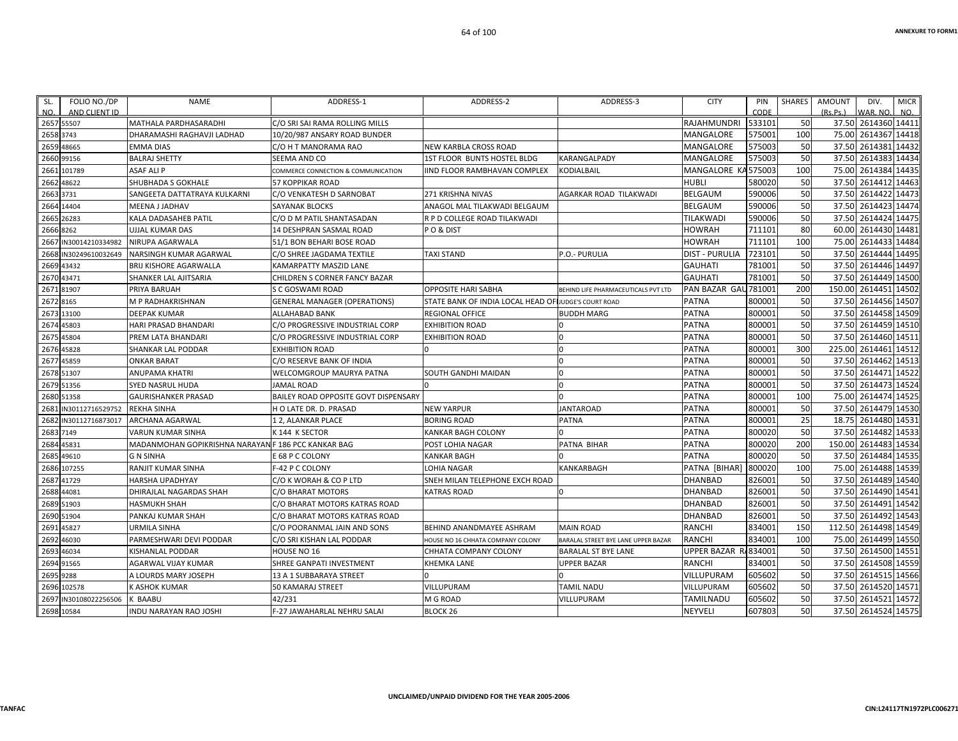| SL.<br>NO. | FOLIO NO./DP<br>AND CLIENT ID | <b>NAME</b>                                         | ADDRESS-1                                   | ADDRESS-2                                            | ADDRESS-3                           | <b>CITY</b>           | PIN<br>CODE | <b>SHARES</b> | AMOUNT<br>(Rs.Ps.) | DIV.<br>WAR. NO.    | <b>MICR</b><br>NO. |
|------------|-------------------------------|-----------------------------------------------------|---------------------------------------------|------------------------------------------------------|-------------------------------------|-----------------------|-------------|---------------|--------------------|---------------------|--------------------|
|            | 2657 55507                    | MATHALA PARDHASARADHI                               | C/O SRI SAI RAMA ROLLING MILLS              |                                                      |                                     | <b>RAJAHMUNDRI</b>    | 533101      | 50            |                    | 37.50 2614360 14411 |                    |
| 2658       | 3743                          | DHARAMASHI RAGHAVJI LADHAD                          | 10/20/987 ANSARY ROAD BUNDER                |                                                      |                                     | MANGALORE             | 575001      | 100           |                    | 75.00 2614367 14418 |                    |
| 2659       | 48665                         | <b>EMMA DIAS</b>                                    | C/O H T MANORAMA RAO                        | <b>NEW KARBLA CROSS ROAD</b>                         |                                     | MANGALORE             | 575003      | 50            | 37.50              | 2614381 14432       |                    |
| 2660       | 99156                         | <b>BALRAJ SHETTY</b>                                | SEEMA AND CO                                | 1ST FLOOR BUNTS HOSTEL BLDG                          | KARANGALPADY                        | MANGALORE             | 575003      | 50            | 37.50              | 2614383 14434       |                    |
| 2661       | 101789                        | <b>ASAF ALIP</b>                                    | COMMERCE CONNECTION & COMMUNICATION         | IIND FLOOR RAMBHAVAN COMPLEX                         | KODIALBAIL                          | MANGALORE KA575003    |             | 100           | 75.00              | 2614384 14435       |                    |
| 2662       | 48622                         | SHUBHADA S GOKHALE                                  | <b>57 KOPPIKAR ROAD</b>                     |                                                      |                                     | <b>HUBLI</b>          | 580020      | 50            | 37.50              | 2614412 14463       |                    |
| 2663       | 3731                          | SANGEETA DATTATRAYA KULKARNI                        | C/O VENKATESH D SARNOBAT                    | 271 KRISHNA NIVAS                                    | AGARKAR ROAD TILAKWADI              | <b>BELGAUM</b>        | 590006      | 50            | 37.50              | 2614422 14473       |                    |
|            | 2664 14404                    | MEENA J JADHAV                                      | <b>SAYANAK BLOCKS</b>                       | ANAGOL MAL TILAKWADI BELGAUM                         |                                     | BELGAUM               | 590006      | 50            |                    | 37.50 2614423 14474 |                    |
| 2665       | 26283                         | KALA DADASAHEB PATIL                                | C/O D M PATIL SHANTASADAN                   | R P D COLLEGE ROAD TILAKWADI                         |                                     | <b>TILAKWAD</b>       | 590006      | 50            | 37.50              | 2614424 14475       |                    |
| 2666       | 8262                          | UJJAL KUMAR DAS                                     | 14 DESHPRAN SASMAL ROAD                     | PO&DIST                                              |                                     | <b>HOWRAH</b>         | 711101      | 80            | 60.00              | 2614430             | 14481              |
| 2667       | IN30014210334982              | NIRUPA AGARWALA                                     | 51/1 BON BEHARI BOSE ROAD                   |                                                      |                                     | <b>HOWRAH</b>         | 711101      | 100           | 75.00              | 2614433 14484       |                    |
| 2668       | IN30249610032649              | NARSINGH KUMAR AGARWAL                              | C/O SHREE JAGDAMA TEXTILE                   | <b>TAXI STAND</b>                                    | P.O.- PURULIA                       | <b>DIST - PURULIA</b> | 723101      | 50            | 37.50              | 2614444 14495       |                    |
| 2669       | 43432                         | BRIJ KISHORE AGARWALLA                              | KAMARPATTY MASZID LANE                      |                                                      |                                     | <b>GAUHATI</b>        | 781001      | 50            |                    | 37.50 2614446 14497 |                    |
| 2670       | 43471                         | SHANKER LAL AJITSARIA                               | CHILDREN S CORNER FANCY BAZAR               |                                                      |                                     | <b>GAUHATI</b>        | 781001      | 50            |                    | 37.50 2614449 14500 |                    |
| 2671       | 81907                         | PRIYA BARUAH                                        | S C GOSWAMI ROAD                            | <b>OPPOSITE HARI SABHA</b>                           | BEHIND LIFE PHARMACEUTICALS PVT LTD | PAN BAZAR GAU 781001  |             | 200           | 150.00             | 2614451 14502       |                    |
| 2672       | 8165                          | M P RADHAKRISHNAN                                   | <b>GENERAL MANAGER (OPERATIONS)</b>         | STATE BANK OF INDIA LOCAL HEAD OF JUDGE'S COURT ROAD |                                     | <b>PATNA</b>          | 800001      | 50            | 37.50              | 2614456 14507       |                    |
| 2673       | 13100                         | <b>DEEPAK KUMAR</b>                                 | <b>ALLAHABAD BANK</b>                       | <b>REGIONAL OFFICE</b>                               | <b>BUDDH MARG</b>                   | <b>PATNA</b>          | 800001      | 50            |                    | 37.50 2614458 14509 |                    |
| 2674       | 45803                         | HARI PRASAD BHANDARI                                | C/O PROGRESSIVE INDUSTRIAL CORP             | <b>EXHIBITION ROAD</b>                               |                                     | <b>PATNA</b>          | 800001      | 50            |                    | 37.50 2614459 14510 |                    |
| 2675       | 45804                         | PREM LATA BHANDARI                                  | C/O PROGRESSIVE INDUSTRIAL CORP             | <b>EXHIBITION ROAD</b>                               |                                     | <b>PATNA</b>          | 800001      | 50            | 37.50              | 2614460 14511       |                    |
| 2676       | 45828                         | SHANKAR LAL PODDAR                                  | <b>EXHIBITION ROAD</b>                      | <sup>n</sup>                                         | $\Omega$                            | <b>PATNA</b>          | 800001      | 300           | 225.00             | 2614461 14512       |                    |
| 2677       | 45859                         | <b>ONKAR BARAT</b>                                  | C/O RESERVE BANK OF INDIA                   |                                                      | $\Omega$                            | <b>PATNA</b>          | 800001      | 50            |                    | 37.50 2614462 14513 |                    |
| 2678       | 51307                         | ANUPAMA KHATRI                                      | <b>WELCOMGROUP MAURYA PATNA</b>             | SOUTH GANDHI MAIDAN                                  | n                                   | <b>PATNA</b>          | 800001      | 50            |                    | 37.50 2614471 14522 |                    |
| 2679       | 51356                         | <b>SYED NASRUL HUDA</b>                             | <b>JAMAL ROAD</b>                           |                                                      | $\Omega$                            | <b>PATNA</b>          | 800001      | 50            |                    | 37.50 2614473 14524 |                    |
| 2680       | 51358                         | <b>GAURISHANKER PRASAD</b>                          | <b>BAILEY ROAD OPPOSITE GOVT DISPENSARY</b> |                                                      |                                     | <b>PATNA</b>          | 800001      | 100           | 75.00              | 2614474 14525       |                    |
| 2681       | IN30112716529752              | <b>REKHA SINHA</b>                                  | H O LATE DR. D. PRASAD                      | <b>NEW YARPUR</b>                                    | <b>JANTAROAD</b>                    | <b>PATNA</b>          | 800001      | 50            | 37.50              | 2614479 14530       |                    |
| 2682       | IN30112716873017              | ARCHANA AGARWAL                                     | 12, ALANKAR PLACE                           | <b>BORING ROAD</b>                                   | <b>PATNA</b>                        | <b>PATNA</b>          | 800001      | 25            | 18.75              | 2614480 14531       |                    |
|            | 2683 7149                     | <b>VARUN KUMAR SINHA</b>                            | K 144 K SECTOR                              | KANKAR BAGH COLONY                                   |                                     | <b>PATNA</b>          | 800020      | 50            |                    | 37.50 2614482 14533 |                    |
| 2684       | 45831                         | MADANMOHAN GOPIKRISHNA NARAYAN F 186 PCC KANKAR BAG |                                             | POST LOHIA NAGAR                                     | PATNA BIHAR                         | <b>PATNA</b>          | 800020      | 200           | 150.00             | 2614483 14534       |                    |
| 2685       | 49610                         | <b>G N SINHA</b>                                    | E 68 P C COLONY                             | <b>KANKAR BAGH</b>                                   |                                     | <b>PATNA</b>          | 800020      | 50            | 37.50              | 2614484 14535       |                    |
|            | 2686 107255                   | RANJIT KUMAR SINHA                                  | <b>F-42 P C COLONY</b>                      | LOHIA NAGAR                                          | <b>KANKARBAGH</b>                   | PATNA [BIHAR]         | 800020      | 100           |                    | 75.00 2614488 14539 |                    |
| 2687       | 41729                         | <b>HARSHA UPADHYAY</b>                              | C/O K WORAH & CO P LTD                      | SNEH MILAN TELEPHONE EXCH ROAD                       |                                     | <b>DHANBAD</b>        | 826001      | 50            |                    | 37.50 2614489       | 14540              |
| 2688       | 44081                         | DHIRAJLAL NAGARDAS SHAH                             | C/O BHARAT MOTORS                           | <b>KATRAS ROAD</b>                                   |                                     | <b>DHANBAD</b>        | 826001      | 50            | 37.50              | 2614490             | 14541              |
|            | 2689 51903                    | <b>HASMUKH SHAH</b>                                 | C/O BHARAT MOTORS KATRAS ROAD               |                                                      |                                     | <b>DHANBAD</b>        | 826001      | 50            |                    | 37.50 2614491 14542 |                    |
| 2690       | 51904                         | PANKAJ KUMAR SHAH                                   | C/O BHARAT MOTORS KATRAS ROAD               |                                                      |                                     | <b>DHANBAD</b>        | 826001      | 50            |                    | 37.50 2614492 14543 |                    |
| 2691       | 45827                         | <b>URMILA SINHA</b>                                 | C/O POORANMAL JAIN AND SONS                 | BEHIND ANANDMAYEE ASHRAM                             | <b>MAIN ROAD</b>                    | <b>RANCHI</b>         | 834001      | 150           | 112.50             | 2614498             | 14549              |
| 2692       | 46030                         | PARMESHWARI DEVI PODDAR                             | C/O SRI KISHAN LAL PODDAR                   | HOUSE NO 16 CHHATA COMPANY COLONY                    | BARALAL STREET BYE LANE UPPER BAZAR | <b>RANCHI</b>         | 834001      | 100           | 75.00              | 2614499 14550       |                    |
| 2693       | 46034                         | KISHANLAL PODDAR                                    | HOUSE NO 16                                 | CHHATA COMPANY COLONY                                | BARALAL ST BYE LANE                 | <b>UPPER BAZAR</b>    | R/834001    | 50            |                    | 37.50 2614500 14551 |                    |
|            | 2694 91565                    | AGARWAL VIJAY KUMAR                                 | SHREE GANPATI INVESTMENT                    | <b>KHEMKA LANE</b>                                   | <b>UPPER BAZAR</b>                  | <b>RANCHI</b>         | 834001      | 50            |                    | 37.50 2614508 14559 |                    |
| 2695       | 9288                          | A LOURDS MARY JOSEPH                                | 13 A 1 SUBBARAYA STREET                     |                                                      |                                     | VILLUPURAM            | 605602      | 50            |                    | 37.50 2614515 14566 |                    |
| 2696       | 102578                        | K ASHOK KUMAR                                       | <b>50 KAMARAJ STREET</b>                    | VILLUPURAM                                           | TAMIL NADU                          | VILLUPURAM            | 605602      | 50            |                    | 37.50 2614520 14571 |                    |
| 2697       | IN30108022256506              | K BAABU                                             | 42/231                                      | M G ROAD                                             | VILLUPURAM                          | <b>TAMILNADU</b>      | 605602      | 50            |                    | 37.50 2614521 14572 |                    |
|            | 2698 10584                    | INDU NARAYAN RAO JOSHI                              | F-27 JAWAHARLAL NEHRU SALAI                 | BLOCK <sub>26</sub>                                  |                                     | <b>NEYVELI</b>        | 607803      | 50            |                    | 37.50 2614524 14575 |                    |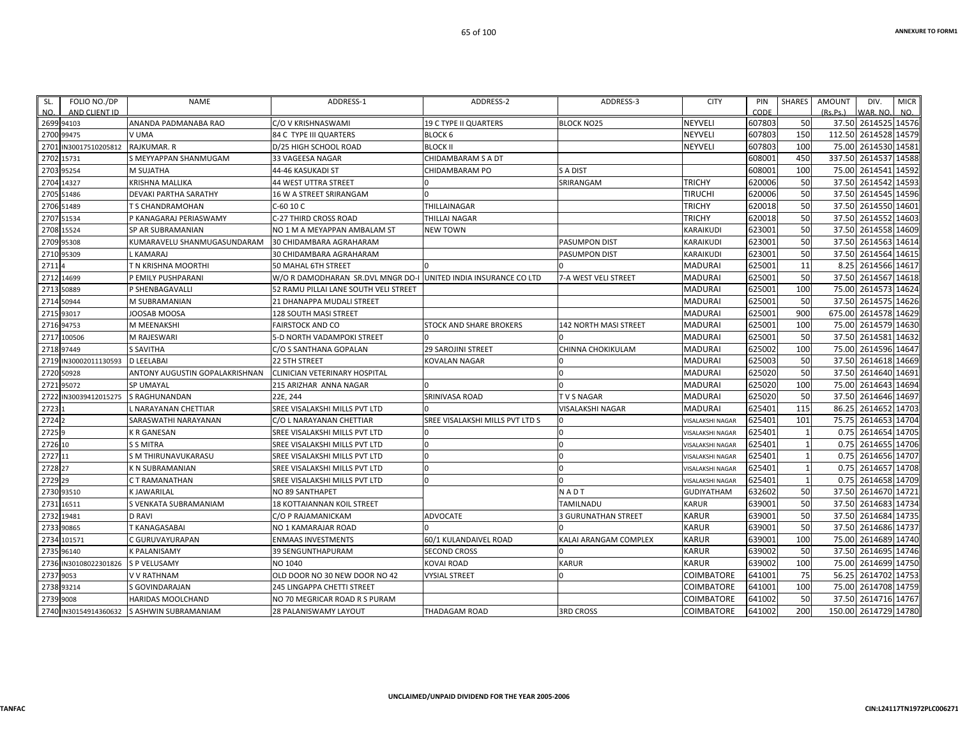| SL.<br>NO. | FOLIO NO./DP<br>AND CLIENT ID | <b>NAME</b>                    | ADDRESS-1                             | ADDRESS-2                       | ADDRESS-3                    | <b>CITY</b>             | PIN<br>CODE | SHARES | AMOUNT<br>(Rs.Ps.) | DIV.<br>WAR. NO.     | <b>MICR</b><br>NO. |
|------------|-------------------------------|--------------------------------|---------------------------------------|---------------------------------|------------------------------|-------------------------|-------------|--------|--------------------|----------------------|--------------------|
|            | 2699 94103                    | ANANDA PADMANABA RAO           | C/O V KRISHNASWAMI                    | <b>19 C TYPE II QUARTERS</b>    | <b>BLOCK NO25</b>            | <b>NEYVELI</b>          | 607803      | 50     |                    | 37.50 2614525 14576  |                    |
|            | 2700 99475                    | V UMA                          | 84 C TYPE III QUARTERS                | BLOCK 6                         |                              | <b>NEYVELI</b>          | 607803      | 150    |                    | 112.50 2614528 14579 |                    |
| 2701       | IN30017510205812              | RAJKUMAR. R                    | D/25 HIGH SCHOOL ROAD                 | <b>BLOCK II</b>                 |                              | NEYVELI                 | 607803      | 100    | 75.00              | 2614530 14581        |                    |
| 2702       | 15731                         | S MEYYAPPAN SHANMUGAM          | 33 VAGEESA NAGAR                      | CHIDAMBARAM S A DT              |                              |                         | 608001      | 450    |                    | 337.50 2614537 14588 |                    |
|            | 2703 95254                    | <b>M SUJATHA</b>               | 44-46 KASUKADI ST                     | CHIDAMBARAM PO                  | S A DIST                     |                         | 608001      | 100    |                    | 75.00 2614541 14592  |                    |
| 2704       | 14327                         | <b>KRISHNA MALLIKA</b>         | 44 WEST UTTRA STREET                  |                                 | SRIRANGAM                    | <b>TRICHY</b>           | 620006      | 50     |                    | 37.50 2614542 14593  |                    |
| 2705       | 51486                         | DEVAKI PARTHA SARATHY          | 16 W A STREET SRIRANGAM               |                                 |                              | <b>TIRUCHI</b>          | 620006      | 50     | 37.50              | 2614545              | 14596              |
|            | 2706 51489                    | <b>T S CHANDRAMOHAN</b>        | C-60 10 C                             | THILLAINAGAR                    |                              | <b>TRICHY</b>           | 620018      | 50     |                    | 37.50 2614550        | 14601              |
| 2707       | 51534                         | P KANAGARAJ PERIASWAMY         | C-27 THIRD CROSS ROAD                 | <b>THILLAI NAGAR</b>            |                              | <b>TRICHY</b>           | 620018      | 50     | 37.50              | 2614552              | 14603              |
| 2708       | 15524                         | SP AR SUBRAMANIAN              | NO 1 M A MEYAPPAN AMBALAM ST          | <b>NEW TOWN</b>                 |                              | KARAIKUDI               | 623001      | 50     | 37.50              | 2614558              | 14609              |
|            | 2709 95308                    | KUMARAVELU SHANMUGASUNDARAM    | 30 CHIDAMBARA AGRAHARAM               |                                 | PASUMPON DIST                | KARAIKUDI               | 623001      | 50     |                    | 37.50 2614563        | 14614              |
| 2710       | 95309                         | KAMARAJ                        | 30 CHIDAMBARA AGRAHARAM               |                                 | PASUMPON DIST                | KARAIKUDI               | 623001      | 50     | 37.50              | 2614564 14615        |                    |
| 2711       |                               | T N KRISHNA MOORTHI            | 50 MAHAL 6TH STREET                   |                                 |                              | <b>MADURAI</b>          | 625001      | 11     | 8.25               | 2614566              | 14617              |
| 2712       | 14699                         | P EMILY PUSHPARANI             | W/O R DAMODHARAN SR.DVL MNGR DO-I     | UNITED INDIA INSURANCE CO LTD   | 7-A WEST VELI STREET         | MADURAI                 | 625001      | 50     | 37.50              | 2614567 14618        |                    |
| 2713       | 50889                         | P SHENBAGAVALLI                | 52 RAMU PILLAI LANE SOUTH VELI STREET |                                 |                              | MADURAI                 | 625001      | 100    | 75.00              | 2614573              | 14624              |
| 2714       | 50944                         | M SUBRAMANIAN                  | 21 DHANAPPA MUDALI STREET             |                                 |                              | <b>MADURAI</b>          | 625001      | 50     | 37.50              | 2614575 14626        |                    |
|            | 2715 93017                    | JOOSAB MOOSA                   | <b>128 SOUTH MASI STREET</b>          |                                 |                              | <b>MADURAI</b>          | 625001      | 900    | 675.00             | 2614578 14629        |                    |
|            | 2716 94753                    | M MEENAKSHI                    | <b>FAIRSTOCK AND CO</b>               | STOCK AND SHARE BROKERS         | <b>142 NORTH MASI STREET</b> | <b>MADURAI</b>          | 625001      | 100    |                    | 75.00 2614579 14630  |                    |
| 2717       | 100506                        | M RAJESWARI                    | 5-D NORTH VADAMPOKI STREET            |                                 |                              | MADURAI                 | 625001      | 50     | 37.50              | 2614581              | 14632              |
|            | 2718 97449                    | <b>S SAVITHA</b>               | C/O S SANTHANA GOPALAN                | <b>29 SAROJINI STREET</b>       | CHINNA CHOKIKULAM            | MADURAI                 | 625002      | 100    | 75.00              | 2614596 14647        |                    |
| 2719       | IN30002011130593              | <b>D LEELABAI</b>              | 22 5TH STREET                         | <b>KOVALAN NAGAR</b>            | 0                            | MADURAI                 | 625003      | 50     |                    | 37.50 2614618 14669  |                    |
|            | 2720 50928                    | ANTONY AUGUSTIN GOPALAKRISHNAN | CLINICIAN VETERINARY HOSPITAL         |                                 |                              | <b>MADURAI</b>          | 625020      | 50     | 37.50              | 2614640              | 14691              |
| 2721       | 95072                         | <b>SP UMAYAL</b>               | 215 ARIZHAR ANNA NAGAR                |                                 |                              | MADURAI                 | 625020      | 100    | 75.00              | 2614643              | 14694              |
| 2722       | IN30039412015275              | <b>S RAGHUNANDAN</b>           | 22E. 244                              | SRINIVASA ROAD                  | TVS NAGAR                    | MADURAI                 | 625020      | 50     |                    | 37.50 2614646 14697  |                    |
| 2723       |                               | L NARAYANAN CHETTIAR           | SREE VISALAKSHI MILLS PVT LTD         |                                 | VISALAKSHI NAGAR             | <b>MADURAI</b>          | 625401      | 115    | 86.25              | 2614652 14703        |                    |
| 2724       |                               | SARASWATHI NARAYANAN           | C/O L NARAYANAN CHETTIAR              | SREE VISALAKSHI MILLS PVT LTD S |                              | <b>VISALAKSHI NAGAR</b> | 625401      | 101    | 75.75              | 2614653 14704        |                    |
| 27259      |                               | <b>K R GANESAN</b>             | SREE VISALAKSHI MILLS PVT LTD         |                                 |                              | <b>VISALAKSHI NAGAR</b> | 625401      |        | 0.75               | 2614654 14705        |                    |
| 2726 10    |                               | <b>S S MITRA</b>               | SREE VISALAKSHI MILLS PVT LTD         |                                 | $\Omega$                     | VISALAKSHI NAGAF        | 625401      |        | 0.75               | 2614655 14706        |                    |
| 2727 11    |                               | S M THIRUNAVUKARASU            | SREE VISALAKSHI MILLS PVT LTD         |                                 | $\Omega$                     | <b>VISALAKSHI NAGAR</b> | 625401      |        | 0.75               | 2614656              | 14707              |
| 2728 27    |                               | <b>KN SUBRAMANIAN</b>          | SREE VISALAKSHI MILLS PVT LTD         |                                 | $\Omega$                     | <b>VISALAKSHI NAGAR</b> | 625401      |        | 0.75               | 2614657 14708        |                    |
| 2729 29    |                               | C T RAMANATHAN                 | SREE VISALAKSHI MILLS PVT LTD         |                                 |                              | <b>VISALAKSHI NAGAR</b> | 625401      |        |                    | 0.75 2614658 14709   |                    |
|            | 2730 93510                    | <b>KJAWARILAL</b>              | NO 89 SANTHAPET                       |                                 | NADT                         | <b>GUDIYATHAM</b>       | 632602      | 50     | 37.50              | 2614670              | 14721              |
|            | 2731 16511                    | S VENKATA SUBRAMANIAM          | <b>18 KOTTAIANNAN KOIL STREET</b>     |                                 | <b>TAMILNADU</b>             | <b>KARUR</b>            | 639001      | 50     |                    | 37.50 2614683 14734  |                    |
| 2732       | 19481                         | <b>D RAVI</b>                  | C/O P RAJAMANICKAM                    | ADVOCATE                        | <b>3 GURUNATHAN STREET</b>   | KARUR                   | 639001      | 50     |                    | 37.50 2614684 14735  |                    |
| 2733       | 90865                         | <b>T KANAGASABAI</b>           | NO 1 KAMARAJAR ROAD                   |                                 |                              | <b>KARUR</b>            | 639001      | 50     |                    | 37.50 2614686        | 14737              |
| 2734       | 101571                        | C GURUVAYURAPAN                | <b>ENMAAS INVESTMENTS</b>             | 60/1 KULANDAIVEL ROAD           | KALAI ARANGAM COMPLEX        | <b>KARUR</b>            | 639001      | 100    | 75.00              | 2614689 14740        |                    |
| 2735       | 96140                         | <b>K PALANISAMY</b>            | 39 SENGUNTHAPURAM                     | <b>SECOND CROSS</b>             |                              | <b>KARUR</b>            | 639002      | 50     |                    | 37.50 2614695 14746  |                    |
|            | 2736 IN30108022301826         | <b>S P VELUSAMY</b>            | NO 1040                               | KOVAI ROAD                      | <b>KARUR</b>                 | <b>KARUR</b>            | 639002      | 100    | 75.00              | 2614699 14750        |                    |
| 2737       | 9053                          | <b>V V RATHNAM</b>             | OLD DOOR NO 30 NEW DOOR NO 42         | <b>VYSIAL STREET</b>            |                              | COIMBATORE              | 641001      | 75     | 56.25              | 2614702 14753        |                    |
|            | 2738 93214                    | <b>S GOVINDARAJAN</b>          | <b>245 LINGAPPA CHETTI STREET</b>     |                                 |                              | COIMBATORE              | 641001      | 100    |                    | 75.00 2614708 14759  |                    |
|            | 2739 9008                     | <b>HARIDAS MOOLCHAND</b>       | NO 70 MEGRICAR ROAD R S PURAM         |                                 |                              | COIMBATORE              | 641002      | 50     | 37.50              | 2614716 14767        |                    |
|            | 2740 IN30154914360632         | S ASHWIN SUBRAMANIAM           | <b>28 PALANISWAMY LAYOUT</b>          | THADAGAM ROAD                   | <b>3RD CROSS</b>             | COIMBATORE              | 641002      | 200    |                    | 150.00 2614729 14780 |                    |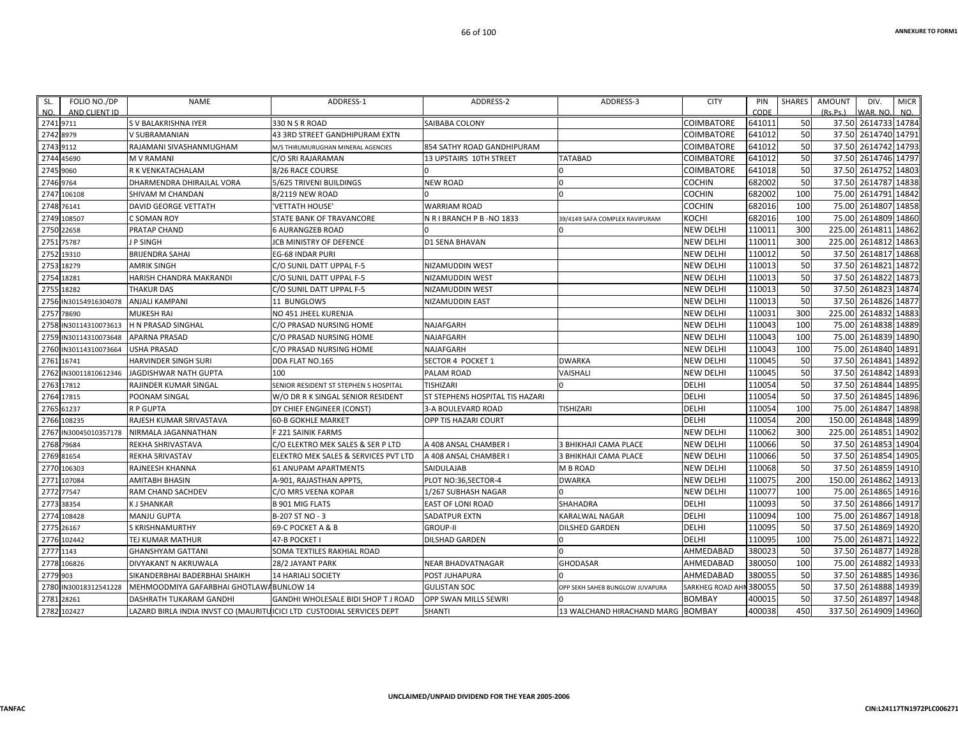| FOLIO NO./DP<br>SL.<br>AND CLIENT ID<br>NO. | <b>NAME</b>                                                           | ADDRESS-1                                  | ADDRESS-2                       | ADDRESS-3                       | <b>CITY</b>       | PIN<br>CODE | <b>SHARES</b> | <b>AMOUNT</b><br>(Rs.Ps.) | DIV.<br>WAR. NO      | <b>MICR</b><br>NO. |
|---------------------------------------------|-----------------------------------------------------------------------|--------------------------------------------|---------------------------------|---------------------------------|-------------------|-------------|---------------|---------------------------|----------------------|--------------------|
| 2741 9711                                   | S V BALAKRISHNA IYER                                                  | 330 N S R ROAD                             | SAIBABA COLONY                  |                                 | <b>COIMBATORE</b> | 641011      | 50            |                           | 37.50 2614733 14784  |                    |
| 2742<br>8979                                | V SUBRAMANIAN                                                         | <b>43 3RD STREET GANDHIPURAM EXTN</b>      |                                 |                                 | COIMBATORE        | 641012      | 50            | 37.50                     | 2614740              | 14791              |
| 2743 9112                                   | RAJAMANI SIVASHANMUGHAM                                               | M/S THIRUMURUGHAN MINERAL AGENCIES         | 854 SATHY ROAD GANDHIPURAM      |                                 | COIMBATORE        | 641012      | 50            | 37.50                     | 2614742 14793        |                    |
| 45690<br>2744                               | <b>M V RAMANI</b>                                                     | C/O SRI RAJARAMAN                          | 13 UPSTAIRS 10TH STREET         | <b>TATABAD</b>                  | COIMBATORE        | 641012      | 50            | 37.50                     | 2614746              | 14797              |
| 2745<br>9060                                | R K VENKATACHALAM                                                     | 8/26 RACE COURSE                           |                                 | $\Omega$                        | COIMBATORE        | 641018      | 50            | 37.50                     | 2614752              | 14803              |
| 2746 9764                                   | DHARMENDRA DHIRAJLAL VORA                                             | 5/625 TRIVENI BUILDINGS                    | <b>NEW ROAD</b>                 | $\Omega$                        | <b>COCHIN</b>     | 682002      | 50            | 37.50                     | 2614787              | 14838              |
| 2747<br>106108                              | SHIVAM M CHANDAN                                                      | 8/2119 NEW ROAD                            |                                 | $\Omega$                        | <b>COCHIN</b>     | 682002      | 100           | 75.00                     | 2614791              | 14842              |
| 2748<br>76141                               | <b>DAVID GEORGE VETTATH</b>                                           | 'VETTATH HOUSE'                            | <b>WARRIAM ROAD</b>             |                                 | <b>COCHIN</b>     | 682016      | 100           | 75.00                     | 2614807              | 14858              |
| 108507<br>2749                              | C SOMAN ROY                                                           | STATE BANK OF TRAVANCORE                   | N R I BRANCH P B -NO 1833       | 39/4149 SAFA COMPLEX RAVIPURAM  | косні             | 682016      | 100           | 75.00                     | 2614809              | 14860              |
| 22658<br>2750                               | PRATAP CHAND                                                          | <b>6 AURANGZEB ROAD</b>                    |                                 |                                 | <b>NEW DELHI</b>  | 110011      | 300           | 225.00                    | 2614811              | 14862              |
| 2751<br>75787                               | J P SINGH                                                             | <b>JCB MINISTRY OF DEFENCE</b>             | <b>D1 SENA BHAVAN</b>           |                                 | <b>NEW DELHI</b>  | 110011      | 300           | 225.00                    | 2614812              | 14863              |
| 2752<br>19310                               | <b>BRIJENDRA SAHAI</b>                                                | EG-68 INDAR PURI                           |                                 |                                 | <b>NEW DELHI</b>  | 110012      | 50            | 37.50                     | 2614817              | 14868              |
| 2753<br>18279                               | <b>AMRIK SINGH</b>                                                    | C/O SUNIL DATT UPPAL F-5                   | NIZAMUDDIN WEST                 |                                 | <b>NEW DELHI</b>  | 110013      | 50            | 37.50                     | 2614821              | 14872              |
| 18281<br>2754                               | HARISH CHANDRA MAKRANDI                                               | C/O SUNIL DATT UPPAL F-5                   | NIZAMUDDIN WEST                 |                                 | <b>NEW DELHI</b>  | 110013      | 50            | 37.50                     | 2614822              | 14873              |
| 2755 18282                                  | <b>THAKUR DAS</b>                                                     | C/O SUNIL DATT UPPAL F-5                   | NIZAMUDDIN WEST                 |                                 | <b>NEW DELHI</b>  | 110013      | 50            | 37.50                     | 2614823              | 14874              |
| 2756<br>IN30154916304078                    | <b>ANJALI KAMPANI</b>                                                 | 11 BUNGLOWS                                | <b>NIZAMUDDIN EAST</b>          |                                 | <b>NEW DELHI</b>  | 110013      | 50            | 37.50                     | 2614826              | 14877              |
| 78690<br>2757                               | <b>MUKESH RAI</b>                                                     | NO 451 JHEEL KURENJA                       |                                 |                                 | <b>NEW DELHI</b>  | 110031      | 300           | 225.00                    | 2614832 14883        |                    |
| 2758<br>IN30114310073613                    | <b>H N PRASAD SINGHAL</b>                                             | C/O PRASAD NURSING HOME                    | NAJAFGARH                       |                                 | <b>NEW DELHI</b>  | 110043      | 100           | 75.00                     | 2614838 14889        |                    |
| 2759<br>IN30114310073648                    | <b>APARNA PRASAD</b>                                                  | C/O PRASAD NURSING HOME                    | NAJAFGARH                       |                                 | NEW DELHI         | 110043      | 100           | 75.00                     | 2614839              | 14890              |
| 2760<br>IN30114310073664                    | <b>USHA PRASAD</b>                                                    | C/O PRASAD NURSING HOME                    | NAJAFGARH                       |                                 | <b>NEW DELHI</b>  | 110043      | 100           | 75.00                     | 2614840              | 14891              |
| 2761<br>16741                               | HARVINDER SINGH SURI                                                  | DDA FLAT NO.165                            | SECTOR 4 POCKET 1               | <b>DWARKA</b>                   | <b>NEW DELHI</b>  | 110045      | 50            | 37.50                     | 2614841              | 14892              |
| 2762<br>IN30011810612346                    | JAGDISHWAR NATH GUPTA                                                 | 100                                        | PALAM ROAD                      | VAISHALI                        | <b>NEW DELHI</b>  | 110045      | 50            | 37.50                     | 2614842              | 14893              |
| 2763<br>17812                               | RAJINDER KUMAR SINGAL                                                 | SENIOR RESIDENT ST STEPHEN S HOSPITAL      | TISHIZARI                       |                                 | <b>DELHI</b>      | 110054      | 50            | 37.50                     | 2614844              | 14895              |
| 2764<br>17815                               | POONAM SINGAL                                                         | W/O DR R K SINGAL SENIOR RESIDENT          | ST STEPHENS HOSPITAL TIS HAZARI |                                 | <b>DELHI</b>      | 110054      | 50            | 37.50                     | 2614845              | 14896              |
| 2765 61237                                  | <b>R P GUPTA</b>                                                      | DY CHIEF ENGINEER (CONST)                  | 3-A BOULEVARD ROAD              | <b>TISHIZARI</b>                | <b>DELHI</b>      | 110054      | 100           | 75.00                     | 2614847              | 14898              |
| 108235<br>2766                              | RAJESH KUMAR SRIVASTAVA                                               | <b>60-B GOKHLE MARKET</b>                  | OPP TIS HAZARI COURT            |                                 | DELHI             | 110054      | 200           | 150.00                    | 2614848              | 14899              |
| 2767<br>N30045010357178                     | NIRMALA JAGANNATHAN                                                   | F 221 SAINIK FARMS                         |                                 |                                 | <b>NEW DELHI</b>  | 110062      | 300           | 225.00                    | 2614851              | 14902              |
| 2768 79684                                  | REKHA SHRIVASTAVA                                                     | C/O ELEKTRO MEK SALES & SER P LTD          | A 408 ANSAL CHAMBER             | 3 BHIKHAJI CAMA PLACE           | <b>NEW DELHI</b>  | 110066      | 50            | 37.50                     | 2614853              | 14904              |
| 2769 81654                                  | REKHA SRIVASTAV                                                       | ELEKTRO MEK SALES & SERVICES PVT LTD       | A 408 ANSAL CHAMBER             | 3 BHIKHAJI CAMA PLACE           | <b>NEW DELHI</b>  | 110066      | 50            | 37.50                     | 2614854              | 14905              |
| 2770<br>106303                              | <b>RAJNEESH KHANNA</b>                                                | <b>61 ANUPAM APARTMENTS</b>                | <b>SAIDULAJAB</b>               | <b>M B ROAD</b>                 | <b>NEW DELHI</b>  | 110068      | 50            | 37.50                     | 2614859              | 14910              |
| 107084<br>2771                              | AMITABH BHASIN                                                        | A-901, RAJASTHAN APPTS,                    | PLOT NO:36,SECTOR-4             | <b>DWARKA</b>                   | <b>NEW DELHI</b>  | 110075      | 200           | 150.00                    | 2614862 14913        |                    |
| 2772<br>77547                               | RAM CHAND SACHDEV                                                     | C/O MRS VEENA KOPAR                        | 1/267 SUBHASH NAGAR             |                                 | <b>NEW DELHI</b>  | 110077      | 100           | 75.00                     | 2614865              | 14916              |
| 2773<br>38354                               | <b>KJ SHANKAR</b>                                                     | <b>B 901 MIG FLATS</b>                     | <b>EAST OF LONI ROAD</b>        | SHAHADRA                        | DELHI             | 110093      | 50            | 37.50                     | 2614866              | 14917              |
| 108428<br>2774                              | <b>MANJU GUPTA</b>                                                    | B-207 ST NO - 3                            | <b>SADATPUR EXTN</b>            | <b>KARALWAL NAGAR</b>           | <b>DELHI</b>      | 110094      | 100           | 75.00                     | 2614867              | 14918              |
| 2775<br>26167                               | <b>S KRISHNAMURTHY</b>                                                | 69-C POCKET A & B                          | <b>GROUP-II</b>                 | <b>DILSHED GARDEN</b>           | <b>DELHI</b>      | 110095      | 50            | 37.50                     | 2614869              | 14920              |
| 2776 102442                                 | TEJ KUMAR MATHUR                                                      | 47-B POCKET I                              | DILSHAD GARDEN                  | $\Omega$                        | <b>DELHI</b>      | 110095      | 100           | 75.00                     | 2614871              | 14922              |
| 1143<br>2777                                | <b>GHANSHYAM GATTANI</b>                                              | SOMA TEXTILES RAKHIAL ROAD                 |                                 | $\Omega$                        | AHMEDABAD         | 380023      | 50            | 37.50                     | 2614877              | 14928              |
| 2778 106826                                 | DIVYAKANT N AKRUWALA                                                  | 28/2 JAYANT PARK                           | <b>NEAR BHADVATNAGAR</b>        | <b>GHODASAR</b>                 | AHMEDABAD         | 380050      | 100           | 75.00                     | 2614882              | 14933              |
| 903<br>2779                                 | SIKANDERBHAI BADERBHAI SHAIKH                                         | <b>14 HARIALI SOCIETY</b>                  | POST JUHAPURA                   |                                 | AHMEDABAD         | 380055      | 50            | 37.50                     | 2614885              | 14936              |
| IN30018312541228<br>2780                    | MEHMOODMIYA GAFARBHAI GHOTLAWABUNLOW 14                               |                                            | <b>GULISTAN SOC</b>             | OPP SEKH SAHEB BUNGLOW JUVAPURA | SARKHEG ROAD AHN  | 380055      | 50            | 37.50                     | 2614888              | 14939              |
| 2781<br>28261                               | DASHRATH TUKARAM GANDHI                                               | <b>GANDHI WHOLESALE BIDI SHOP T J ROAD</b> | <b>OPP SWAN MILLS SEWRI</b>     |                                 | <b>BOMBAY</b>     | 400015      | 50            | 37.50                     | 2614897              | 14948              |
| 2782 102427                                 | LAZARD BIRLA INDIA INVST CO (MAURITUICICI LTD CUSTODIAL SERVICES DEPT |                                            | <b>SHANTI</b>                   | 13 WALCHAND HIRACHAND MARG      | <b>BOMBAY</b>     | 400038      | 450           |                           | 337.50 2614909 14960 |                    |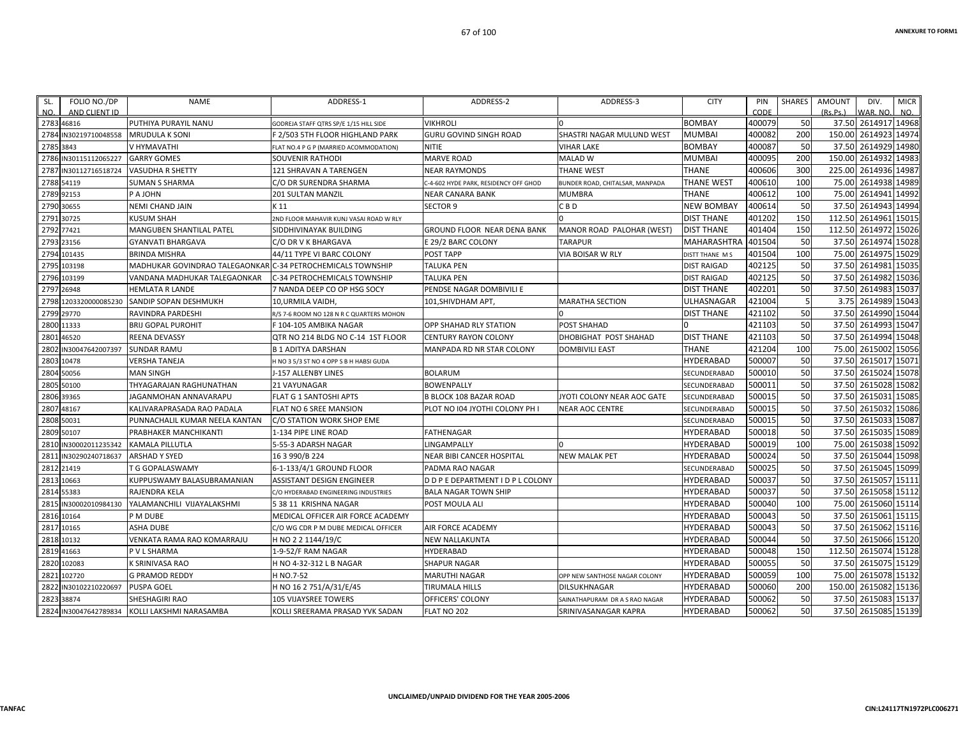| SL.<br>NO. | FOLIO NO./DP<br>AND CLIENT ID | <b>NAME</b>                                                 | ADDRESS-1                                | ADDRESS-2                             | ADDRESS-3                       | <b>CITY</b>        | PIN<br>CODE | SHARES | <b>AMOUNT</b><br>(Rs.Ps.) | DIV.<br>VAR, NO.    | <b>MICR</b><br>NO. |
|------------|-------------------------------|-------------------------------------------------------------|------------------------------------------|---------------------------------------|---------------------------------|--------------------|-------------|--------|---------------------------|---------------------|--------------------|
|            | 2783 46816                    | PUTHIYA PURAYIL NANU                                        | GODREJA STAFF QTRS SP/E 1/15 HILL SIDE   | <b>VIKHROLI</b>                       |                                 | <b>BOMBAY</b>      | 400079      | 50     |                           | 37.50 2614917 14968 |                    |
| 2784       | IN30219710048558              | <b>MRUDULA K SONI</b>                                       | F 2/503 5TH FLOOR HIGHLAND PARK          | GURU GOVIND SINGH ROAD                | SHASTRI NAGAR MULUND WEST       | <b>MUMBAI</b>      | 400082      | 200    | 150.00                    | 2614923 14974       |                    |
| 2785       | 3843                          | V HYMAVATHI                                                 | FLAT NO.4 P G P (MARRIED ACOMMODATION)   | NITIE                                 | VIHAR LAKE                      | <b>BOMBAY</b>      | 400087      | 50     | 37.50                     | 2614929 14980       |                    |
|            | 2786 IN30115112065227         | <b>GARRY GOMES</b>                                          | <b>SOUVENIR RATHODI</b>                  | <b>MARVE ROAD</b>                     | <b>MALAD W</b>                  | <b>MUMBAI</b>      | 400095      | 200    | 150.00                    | 2614932 14983       |                    |
| 2787       | IN30112716518724              | <b>VASUDHA R SHETTY</b>                                     | 121 SHRAVAN A TARENGEN                   | NEAR RAYMONDS                         | <b>THANE WEST</b>               | <b>THANE</b>       | 400606      | 300    | 225.00                    | 2614936 14987       |                    |
|            | 2788 54119                    | SUMAN S SHARMA                                              | C/O DR SURENDRA SHARMA                   | C-4-602 HYDE PARK, RESIDENCY OFF GHOD | BUNDER ROAD, CHITALSAR, MANPADA | <b>THANE WEST</b>  | 400610      | 100    | 75.00                     | 2614938 14989       |                    |
|            | 2789 92153                    | P A JOHN                                                    | 201 SULTAN MANZIL                        | NEAR CANARA BANK                      | <b>MUMBRA</b>                   | THANE              | 400612      | 100    | 75.00                     | 2614941 14992       |                    |
|            | 2790 30655                    | NEMI CHAND JAIN                                             | K 11                                     | <b>SECTOR 9</b>                       | C B D                           | <b>NEW BOMBAY</b>  | 400614      | 50     | 37.50                     | 2614943 14994       |                    |
|            | 2791 30725                    | <b>KUSUM SHAH</b>                                           | 2ND FLOOR MAHAVIR KUNJ VASAI ROAD W RLY  |                                       |                                 | <b>DIST THANE</b>  | 401202      | 150    | 112.50                    | 2614961 15015       |                    |
|            | 2792 77421                    | MANGUBEN SHANTILAL PATEL                                    | SIDDHIVINAYAK BUILDING                   | GROUND FLOOR NEAR DENA BANK           | MANOR ROAD PALOHAR (WEST)       | <b>DIST THANE</b>  | 401404      | 150    | 112.50                    | 2614972 15026       |                    |
|            | 2793 23156                    | GYANVATI BHARGAVA                                           | C/O DR V K BHARGAVA                      | E 29/2 BARC COLONY                    | <b>TARAPUR</b>                  | <b>MAHARASHTRA</b> | 401504      | 50     | 37.50                     | 2614974 15028       |                    |
|            | 2794 101435                   | <b>BRINDA MISHRA</b>                                        | 44/11 TYPE VI BARC COLONY                | POST TAPP                             | VIA BOISAR W RLY                | DISTT THANE M S    | 401504      | 100    | 75.00                     | 2614975 15029       |                    |
| 2795       | 103198                        | MADHUKAR GOVINDRAO TALEGAONKAR C-34 PETROCHEMICALS TOWNSHIP |                                          | TALUKA PEN                            |                                 | <b>DIST RAIGAD</b> | 402125      | 50     | 37.50                     | 2614981 15035       |                    |
|            | 2796 103199                   | VANDANA MADHUKAR TALEGAONKAR                                | C-34 PETROCHEMICALS TOWNSHIP             | TALUKA PEN                            |                                 | <b>DIST RAIGAD</b> | 402125      | 50     |                           | 37.50 2614982 15036 |                    |
|            | 2797 26948                    | HEMLATA R LANDE                                             | 7 NANDA DEEP CO OP HSG SOCY              | PENDSE NAGAR DOMBIVILI E              |                                 | <b>DIST THANE</b>  | 402201      | 50     | 37.50                     | 2614983 15037       |                    |
| 2798       | 1203320000085230              | SANDIP SOPAN DESHMUKH                                       | 10, URMILA VAIDH                         | 101,SHIVDHAM APT,                     | <b>MARATHA SECTION</b>          | ULHASNAGAR         | 421004      | 5      | 3.75                      | 2614989 15043       |                    |
|            | 2799 29770                    | RAVINDRA PARDESHI                                           | R/S 7-6 ROOM NO 128 N R C QUARTERS MOHON |                                       |                                 | <b>DIST THANE</b>  | 421102      | 50     |                           | 37.50 2614990 15044 |                    |
|            | 2800 11333                    | BRIJ GOPAL PUROHIT                                          | F 104-105 AMBIKA NAGAR                   | <b>OPP SHAHAD RLY STATION</b>         | <b>POST SHAHAD</b>              |                    | 421103      | 50     | 37.50                     | 2614993 15047       |                    |
| 2801       | 46520                         | REENA DEVASSY                                               | QTR NO 214 BLDG NO C-14 1ST FLOOR        | CENTURY RAYON COLONY                  | DHOBIGHAT POST SHAHAD           | <b>DIST THANE</b>  | 421103      | 50     | 37.50                     | 2614994 15048       |                    |
| 2802       | IN30047642007397              | <b>SUNDAR RAMU</b>                                          | <b>B 1 ADITYA DARSHAN</b>                | MANPADA RD NR STAR COLONY             | <b>DOMBIVILI EAST</b>           | <b>THANE</b>       | 421204      | 100    | 75.00                     | 2615002 15056       |                    |
|            | 2803 10478                    | <b>VERSHA TANEJA</b>                                        | H NO 3 5/3 ST NO 4 OPP S B H HABSI GUDA  |                                       |                                 | <b>HYDERABAD</b>   | 500007      | 50     | 37.50                     | 2615017 15071       |                    |
|            | 2804 50056                    | <b>MAN SINGH</b>                                            | J-157 ALLENBY LINES                      | <b>BOLARUM</b>                        |                                 | SECUNDERABAD       | 500010      | 50     | 37.50                     | 2615024 15078       |                    |
|            | 2805 50100                    | THYAGARAJAN RAGHUNATHAN                                     | 21 VAYUNAGAR                             | <b>BOWENPALLY</b>                     |                                 | SECUNDERABAD       | 500011      | 50     | 37.50                     | 2615028 15082       |                    |
|            | 2806 39365                    | JAGANMOHAN ANNAVARAPU                                       | FLAT G 1 SANTOSHI APTS                   | <b>B BLOCK 108 BAZAR ROAD</b>         | JYOTI COLONY NEAR AOC GATE      | SECUNDERABAD       | 500015      | 50     | 37.50                     | 2615031 15085       |                    |
|            | 2807 48167                    | KALIVARAPRASADA RAO PADALA                                  | FLAT NO 6 SREE MANSION                   | PLOT NO 104 JYOTHI COLONY PH I        | <b>NEAR AOC CENTRE</b>          | SECUNDERABAD       | 500015      | 50     | 37.50                     | 2615032 15086       |                    |
|            | 2808 50031                    | PUNNACHALIL KUMAR NEELA KANTAN                              | C/O STATION WORK SHOP EME                |                                       |                                 | SECUNDERABAD       | 500015      | 50     | 37.50                     | 2615033 15087       |                    |
|            | 2809 50107                    | PRABHAKER MANCHIKANTI                                       | 1-134 PIPE LINE ROAD                     | FATHENAGAR                            |                                 | <b>HYDERABAD</b>   | 500018      | 50     | 37.50                     | 2615035 15089       |                    |
|            | 2810 IN30002011235342         | KAMALA PILLUTLA                                             | 5-55-3 ADARSH NAGAR                      | LINGAMPALLY                           |                                 | <b>HYDERABAD</b>   | 500019      | 100    | 75.00                     | 2615038 15092       |                    |
| 2811       | N30290240718637               | ARSHAD Y SYED                                               | 16 3 990/B 224                           | NEAR BIBI CANCER HOSPITAL             | <b>NEW MALAK PET</b>            | <b>HYDERABAD</b>   | 500024      | 50     | 37.50                     | 2615044 15098       |                    |
|            | 2812 21419                    | T G GOPALASWAMY                                             | 6-1-133/4/1 GROUND FLOOR                 | PADMA RAO NAGAR                       |                                 | SECUNDERABAD       | 500025      | 50     |                           | 37.50 2615045 15099 |                    |
|            | 2813 10663                    | KUPPUSWAMY BALASUBRAMANIAN                                  | <b>ASSISTANT DESIGN ENGINEER</b>         | D D P E DEPARTMENT I D P L COLONY     |                                 | <b>HYDERABAD</b>   | 500037      | 50     | 37.50                     | 2615057 15111       |                    |
|            | 2814 55383                    | RAJENDRA KELA                                               | C/O HYDERABAD ENGINEERING INDUSTRIES     | <b>BALA NAGAR TOWN SHIP</b>           |                                 | <b>HYDERABAD</b>   | 500037      | 50     | 37.50                     | 2615058 15112       |                    |
| 2815       | IN30002010984130              | YALAMANCHILI VIJAYALAKSHMI                                  | 5 38 11 KRISHNA NAGAR                    | POST MOULA ALI                        |                                 | <b>HYDERABAD</b>   | 500040      | 100    | 75.00                     | 2615060 15114       |                    |
|            | 2816 10164                    | P M DUBE                                                    | MEDICAL OFFICER AIR FORCE ACADEMY        |                                       |                                 | <b>HYDERABAD</b>   | 500043      | 50     | 37.50                     | 2615061 15115       |                    |
|            | 2817 10165                    | <b>ASHA DUBE</b>                                            | C/O WG CDR P M DUBE MEDICAL OFFICER      | AIR FORCE ACADEMY                     |                                 | <b>HYDERABAD</b>   | 500043      | 50     | 37.50                     | 2615062 15116       |                    |
|            | 2818 10132                    | VENKATA RAMA RAO KOMARRAJU                                  | H NO 2 2 1144/19/C                       | NEW NALLAKUNTA                        |                                 | <b>HYDERABAD</b>   | 500044      | 50     |                           | 37.50 2615066 15120 |                    |
|            | 2819 41663                    | P V L SHARMA                                                | 1-9-52/F RAM NAGAR                       | HYDERABAD                             |                                 | HYDERABAD          | 500048      | 150    | 112.50                    | 2615074 15128       |                    |
| 2820       | 102083                        | K SRINIVASA RAO                                             | H NO 4-32-312 L B NAGAR                  | <b>SHAPUR NAGAR</b>                   |                                 | <b>HYDERABAD</b>   | 500055      | 50     | 37.50                     | 2615075 15129       |                    |
| 2821       | 102720                        | G PRAMOD REDDY                                              | H NO.7-52                                | MARUTHI NAGAR                         | OPP NEW SANTHOSE NAGAR COLONY   | <b>HYDERABAD</b>   | 500059      | 100    | 75.00                     | 2615078 15132       |                    |
|            | 2822 IN30102210220697         | <b>PUSPA GOEL</b>                                           | H NO 16 2 751/A/31/E/45                  | TIRUMALA HILLS                        | DILSUKHNAGAR                    | HYDERABAD          | 500060      | 200    | 150.00                    | 2615082 15136       |                    |
|            | 2823 38874                    | SHESHAGIRI RAO                                              | <b>105 VIJAYSREE TOWERS</b>              | OFFICERS' COLONY                      | SAINATHAPURAM DR A S RAO NAGAR  | <b>HYDERABAD</b>   | 500062      | 50     | 37.50                     | 2615083 15137       |                    |
|            | 2824 IN30047642789834         | KOLLI LAKSHMI NARASAMBA                                     | KOLLI SREERAMA PRASAD YVK SADAN          | FLAT NO 202                           | SRINIVASANAGAR KAPRA            | <b>HYDERABAD</b>   | 500062      | 50     |                           | 37.50 2615085 15139 |                    |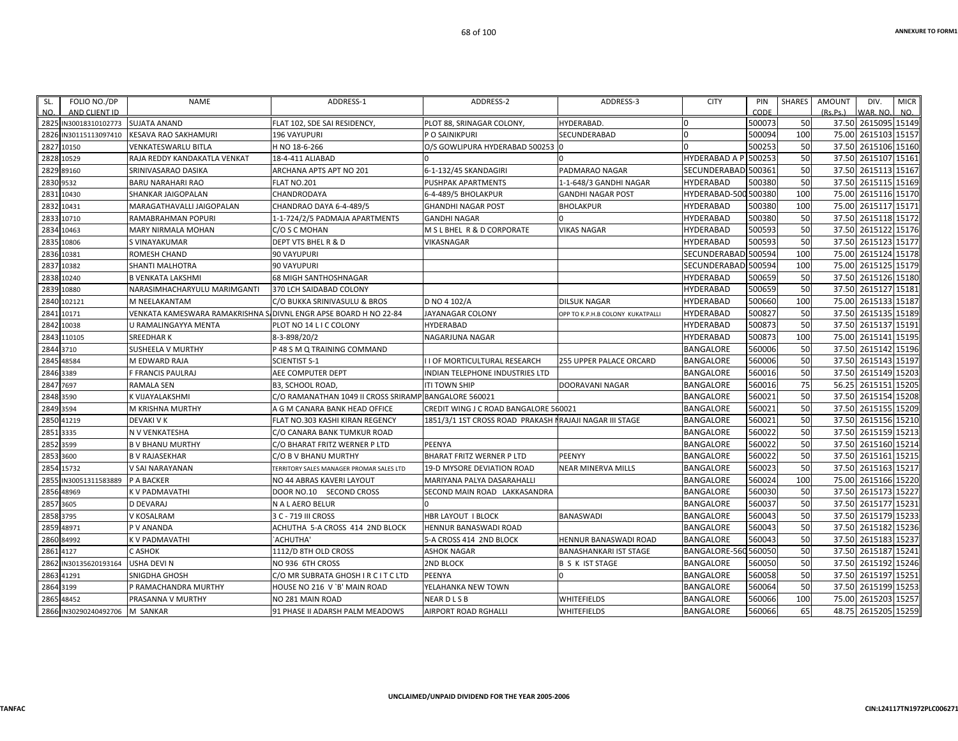| FOLIO NO./DP<br>SL.<br>AND CLIENT ID<br>NO. | <b>NAME</b>                                                      | ADDRESS-1                                             | ADDRESS-2                                                | ADDRESS-3                        | <b>CITY</b>          | PIN<br>CODE | <b>SHARES</b> | <b>AMOUNT</b><br>(Rs, Ps.) | DIV.<br>WAR. NO     | <b>MICR</b><br>NO. |
|---------------------------------------------|------------------------------------------------------------------|-------------------------------------------------------|----------------------------------------------------------|----------------------------------|----------------------|-------------|---------------|----------------------------|---------------------|--------------------|
| 2825 IN30018310102773                       | <b>SUJATA ANAND</b>                                              | FLAT 102. SDE SAI RESIDENCY.                          | PLOT 88, SRINAGAR COLONY,                                | HYDERABAD.                       |                      | 500073      | 50            |                            | 37.50 2615095 15149 |                    |
| 2826<br>N30115113097410                     | <b>KESAVA RAO SAKHAMURI</b>                                      | 196 VAYUPURI                                          | P O SAINIKPURI                                           | SECUNDERABAD                     |                      | 500094      | 100           | 75.00                      | 2615103             | 15157              |
| 2827<br>10150                               | VENKATESWARLU BITLA                                              | H NO 18-6-266                                         | O/S GOWLIPURA HYDERABAD 500253 0                         |                                  |                      | 500253      | 50            | 37.50                      | 2615106 15160       |                    |
| 10529<br>2828                               | RAJA REDDY KANDAKATLA VENKAT                                     | 18-4-411 ALIABAD                                      |                                                          |                                  | <b>HYDERABAD A P</b> | 500253      | 50            | 37.50                      | 2615107 15161       |                    |
| 2829<br>89160                               | SRINIVASARAO DASIKA                                              | ARCHANA APTS APT NO 201                               | 6-1-132/45 SKANDAGIRI                                    | PADMARAO NAGAR                   | <b>SECUNDERABAD</b>  | 500361      | 50            | 37.50                      | 2615113             | 15167              |
| 9532<br>2830                                | <b>BARU NARAHARI RAO</b>                                         | FLAT NO.201                                           | PUSHPAK APARTMENTS                                       | 1-1-648/3 GANDHI NAGAR           | <b>HYDERABAD</b>     | 500380      | 50            | 37.50                      | 2615115 15169       |                    |
| 10430<br>2831                               | <b>SHANKAR JAIGOPALAN</b>                                        | CHANDRODAYA                                           | 6-4-489/5 BHOLAKPUR                                      | <b>GANDHI NAGAR POST</b>         | HYDERABAD-500 500380 |             | 100           | 75.00                      | 2615116 15170       |                    |
| 10431<br>2832                               | MARAGATHAVALLI JAIGOPALAN                                        | CHANDRAO DAYA 6-4-489/5                               | <b>GHANDHI NAGAR POST</b>                                | <b>BHOLAKPUR</b>                 | <b>HYDERABAD</b>     | 500380      | 100           | 75.00                      | 2615117             | 15171              |
| 10710<br>2833                               | RAMABRAHMAN POPURI                                               | 1-1-724/2/5 PADMAJA APARTMENTS                        | <b>GANDHI NAGAR</b>                                      | $\Omega$                         | <b>HYDERABAD</b>     | 500380      | 50            | 37.50                      | 2615118 15172       |                    |
| 2834<br>10463                               | <b>MARY NIRMALA MOHAN</b>                                        | C/O S C MOHAN                                         | M S L BHEL R & D CORPORATE                               | <b>VIKAS NAGAR</b>               | <b>HYDERABAD</b>     | 500593      | 50            | 37.50                      | 2615122 15176       |                    |
| 10806<br>2835                               | S VINAYAKUMAR                                                    | DEPT VTS BHEL R & D                                   | VIKASNAGAR                                               |                                  | <b>HYDERABAD</b>     | 500593      | 50            | 37.50                      | 2615123 15177       |                    |
| 2836<br>10381                               | ROMESH CHAND                                                     | 90 VAYUPURI                                           |                                                          |                                  | SECUNDERABAD 500594  |             | 100           | 75.00                      | 2615124 15178       |                    |
| 283<br>10382                                | <b>SHANTI MALHOTRA</b>                                           | <b>90 VAYUPURI</b>                                    |                                                          |                                  | <b>SECUNDERABAD</b>  | 500594      | 100           | 75.00                      | 2615125 15179       |                    |
| 10240<br>2838                               | <b>B VENKATA LAKSHMI</b>                                         | 68 MIGH SANTHOSHNAGAR                                 |                                                          |                                  | <b>HYDERABAD</b>     | 500659      | 50            | 37.50                      | 2615126 15180       |                    |
| 2839<br>10880                               | NARASIMHACHARYULU MARIMGANTI                                     | 370 LCH SAIDABAD COLONY                               |                                                          |                                  | <b>HYDERABAD</b>     | 500659      | 50            | 37.50                      | 2615127 15181       |                    |
| 102121<br>2840                              | M NEELAKANTAM                                                    | C/O BUKKA SRINIVASULU & BROS                          | D NO 4 102/A                                             | <b>DILSUK NAGAR</b>              | HYDERABAD            | 500660      | 100           | 75.00                      | 2615133 15187       |                    |
| 10171<br>284                                | VENKATA KAMESWARA RAMAKRISHNA SIDIVNL ENGR APSE BOARD H NO 22-84 |                                                       | <b>JAYANAGAR COLONY</b>                                  | OPP TO K.P.H.B COLONY KUKATPALLI | <b>HYDERABAD</b>     | 500827      | 50            | 37.50                      | 2615135 15189       |                    |
| 284<br>10038                                | U RAMALINGAYYA MENTA                                             | PLOT NO 14 L I C COLONY                               | <b>HYDERABAD</b>                                         |                                  | <b>HYDERABAD</b>     | 500873      | 50            | 37.50                      | 2615137 15191       |                    |
| 2843<br>110105                              | <b>SREEDHARK</b>                                                 | 8-3-898/20/2                                          | NAGARJUNA NAGAR                                          |                                  | <b>HYDERABAD</b>     | 500873      | 100           | 75.00                      | 2615141 15195       |                    |
| 2844 3710                                   | SUSHEELA V MURTHY                                                | P 48 S M Q TRAINING COMMAND                           |                                                          |                                  | <b>BANGALORE</b>     | 560006      | 50            | 37.50                      | 2615142 15196       |                    |
| 2845<br>48584                               | M EDWARD RAJA                                                    | <b>SCIENTIST S-1</b>                                  | I OF MORTICULTURAL RESEARCH                              | <b>255 UPPER PALACE ORCARD</b>   | <b>BANGALORE</b>     | 560006      | 50            | 37.50                      | 2615143             | 15197              |
| 2846 3389                                   | F FRANCIS PAULRAJ                                                | AEE COMPUTER DEPT                                     | INDIAN TELEPHONE INDUSTRIES LTD                          |                                  | <b>BANGALORE</b>     | 560016      | 50            | 37.50                      | 2615149 15203       |                    |
| 7697<br>2847                                | <b>RAMALA SEN</b>                                                | B3, SCHOOL ROAD                                       | <b>ITI TOWN SHIP</b>                                     | DOORAVANI NAGAR                  | <b>BANGALORE</b>     | 560016      | 75            | 56.25                      | 2615151             | 15205              |
| 2848<br>3590                                | K VIJAYALAKSHMI                                                  | C/O RAMANATHAN 1049 II CROSS SRIRAMP BANGALORE 560021 |                                                          |                                  | <b>BANGALORE</b>     | 560021      | 50            | 37.50                      | 2615154             | 15208              |
| 3594<br>2849                                | M KRISHNA MURTHY                                                 | A G M CANARA BANK HEAD OFFICE                         | <b>CREDIT WING J C ROAD BANGALORE 560021</b>             |                                  | <b>BANGALORE</b>     | 560021      | 50            | 37.50                      | 2615155 15209       |                    |
| 41219<br>2850                               | <b>DEVAKI V K</b>                                                | FLAT NO.303 KASHI KIRAN REGENCY                       | 1851/3/1 1ST CROSS ROAD PRAKASH I RAJAJI NAGAR III STAGE |                                  | <b>BANGALORE</b>     | 560021      | 50            | 37.50                      | 2615156 15210       |                    |
| 2851<br>3335                                | N V VENKATESHA                                                   | C/O CANARA BANK TUMKUR ROAD                           |                                                          |                                  | <b>BANGALORE</b>     | 560022      | 50            | 37.50                      | 2615159             | 15213              |
| 2852<br>3599                                | <b>B V BHANU MURTHY</b>                                          | C/O BHARAT FRITZ WERNER P LTD                         | <b>PEENYA</b>                                            |                                  | <b>BANGALORE</b>     | 560022      | 50            | 37.50                      | 2615160 15214       |                    |
| 3600<br>2853                                | <b>B V RAJASEKHAR</b>                                            | C/O B V BHANU MURTHY                                  | <b>BHARAT FRITZ WERNER P LTD</b>                         | <b>PEENYY</b>                    | <b>BANGALORE</b>     | 560022      | 50            | 37.50                      | 2615161 15215       |                    |
| 285<br>15732                                | V SAI NARAYANAN                                                  | TERRITORY SALES MANAGER PROMAR SALES LTD              | 19-D MYSORE DEVIATION ROAD                               | <b>NEAR MINERVA MILLS</b>        | <b>BANGALORE</b>     | 560023      | 50            | 37.50                      | 2615163 15217       |                    |
| 2855<br>IN30051311583889                    | <b>P A BACKER</b>                                                | NO 44 ABRAS KAVERI LAYOUT                             | MARIYANA PALYA DASARAHALLI                               |                                  | <b>BANGALORE</b>     | 560024      | 100           | 75.00                      | 2615166 15220       |                    |
| 2856<br>48969                               | K V PADMAVATHI                                                   | DOOR NO.10 SECOND CROSS                               | SECOND MAIN ROAD LAKKASANDRA                             |                                  | <b>BANGALORE</b>     | 560030      | 50            | 37.50                      | 2615173 15227       |                    |
| 2857<br>3605                                | <b>D DEVARAJ</b>                                                 | N A L AERO BELUR                                      |                                                          |                                  | <b>BANGALORE</b>     | 560037      | 50            | 37.50                      | 2615177 15231       |                    |
| 2858<br>3795                                | V KOSALRAM                                                       | 3 C - 719 III CROSS                                   | <b>HBR LAYOUT I BLOCK</b>                                | <b>BANASWADI</b>                 | <b>BANGALORE</b>     | 560043      | 50            | 37.50                      | 2615179 15233       |                    |
| 2859<br>48971                               | P V ANANDA                                                       | ACHUTHA 5-A CROSS 414 2ND BLOCK                       | HENNUR BANASWADI ROAD                                    |                                  | <b>BANGALORE</b>     | 560043      | 50            | 37.50                      | 2615182 15236       |                    |
| 84992<br>2860                               | K V PADMAVATHI                                                   | `ACHUTHA'                                             | 5-A CROSS 414 2ND BLOCK                                  | <b>HENNUR BANASWADI ROAD</b>     | <b>BANGALORE</b>     | 560043      | 50            | 37.50                      | 2615183 15237       |                    |
| 2861<br>4127                                | C ASHOK                                                          | 1112/D 8TH OLD CROSS                                  | <b>ASHOK NAGAR</b>                                       | <b>BANASHANKARI IST STAGE</b>    | BANGALORE-560 560050 |             | 50            | 37.50                      | 2615187 15241       |                    |
| 2862<br>IN30135620193164                    | <b>USHA DEVIN</b>                                                | NO 936 6TH CROSS                                      | <b>2ND BLOCK</b>                                         | <b>B S K IST STAGE</b>           | <b>BANGALORE</b>     | 560050      | 50            | 37.50                      | 2615192 15246       |                    |
| 2863<br>41291                               | SNIGDHA GHOSH                                                    | C/O MR SUBRATA GHOSH I R C I T C LTD                  | PEENYA                                                   | $\Omega$                         | <b>BANGALORE</b>     | 560058      | 50            | 37.50                      | 2615197 15251       |                    |
| 2864<br>3199                                | P RAMACHANDRA MURTHY                                             | HOUSE NO 216 V `B' MAIN ROAD                          | YELAHANKA NEW TOWN                                       |                                  | <b>BANGALORE</b>     | 560064      | 50            | 37.50                      | 2615199             | 15253              |
| 2865<br>48452                               | PRASANNA V MURTHY                                                | NO 281 MAIN ROAD                                      | <b>NEARDLSB</b>                                          | <b>WHITEFIELDS</b>               | <b>BANGALORE</b>     | 560066      | 100           | 75.00                      | 2615203             | 15257              |
| 2866 IN30290240492706                       | M SANKAR                                                         | 91 PHASE II ADARSH PALM MEADOWS                       | AIRPORT ROAD RGHALLI                                     | <b>WHITEFIELDS</b>               | <b>BANGALORE</b>     | 560066      | 65            | 48.75                      | 2615205 15259       |                    |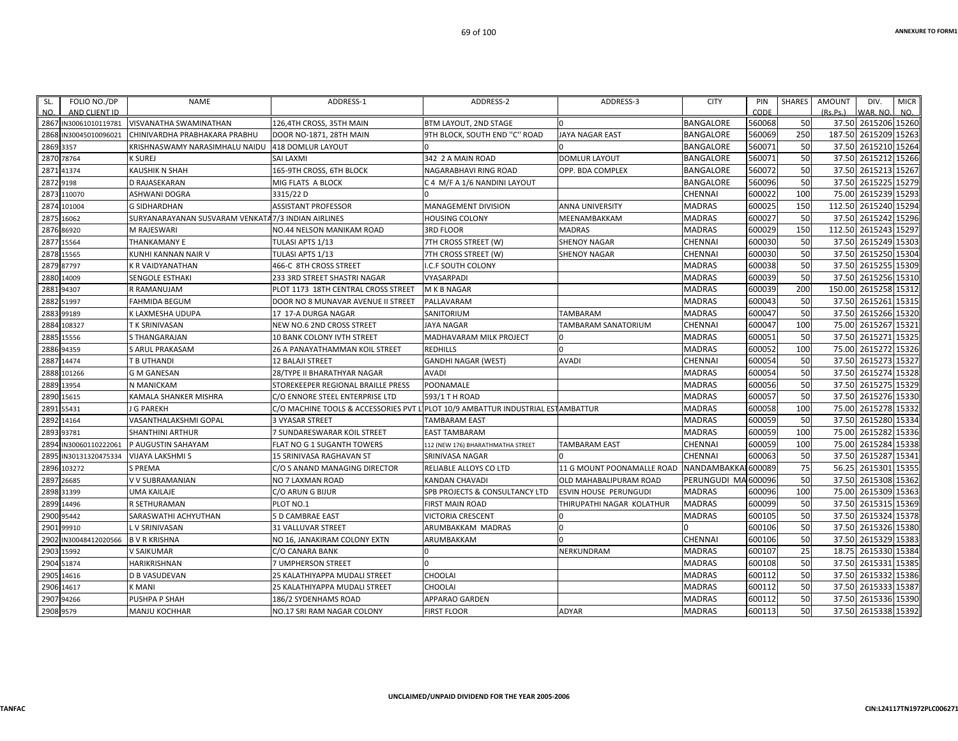| SL.  | FOLIO NO./DP                           | <b>NAME</b>                                        | ADDRESS-1                           | ADDRESS-2                                   | ADDRESS-3                  | <b>CITY</b>         | PIN            | SHARES | AMOUNT    | DIV.                            | <b>MICR</b> |
|------|----------------------------------------|----------------------------------------------------|-------------------------------------|---------------------------------------------|----------------------------|---------------------|----------------|--------|-----------|---------------------------------|-------------|
| NO.  | AND CLIENT ID<br>2867 IN30061010119781 | <b>VISVANATHA SWAMINATHAN</b>                      | 126,4TH CROSS, 35TH MAIN            | BTM LAYOUT, 2ND STAGE                       | $\Omega$                   | <b>BANGALORE</b>    | CODE<br>560068 | 50     | (Rs, Ps.) | WAR. NO.<br>37.50 2615206 15260 | NO.         |
| 2868 | IN30045010096021                       | CHINIVARDHA PRABHAKARA PRABHU                      | DOOR NO-1871, 28TH MAIN             | 9TH BLOCK, SOUTH END "C" ROAD               | <b>JAYA NAGAR EAST</b>     | <b>BANGALORE</b>    | 560069         | 250    | 187.50    | 2615209 15263                   |             |
|      | 2869 3357                              | KRISHNASWAMY NARASIMHALU NAIDU                     | 418 DOMLUR LAYOUT                   |                                             |                            | BANGALORE           | 560071         | 50     | 37.50     | 2615210 15264                   |             |
|      | 2870 78764                             | <b>K SUREJ</b>                                     | <b>SAI LAXMI</b>                    | 342 2 A MAIN ROAD                           | <b>DOMLUR LAYOUT</b>       | BANGALORE           | 560071         | 50     |           | 37.50 2615212 15266             |             |
| 2871 | 41374                                  | <b>KAUSHIK N SHAH</b>                              | 165-9TH CROSS, 6TH BLOCK            | NAGARABHAVI RING ROAD                       | OPP. BDA COMPLEX           | BANGALORE           | 560072         | 50     |           | 37.50 2615213 15267             |             |
| 2872 | 9198                                   | <b>D RAJASEKARAN</b>                               | MIG FLATS A BLOCK                   | C 4 M/F A 1/6 NANDINI LAYOUT                |                            | BANGALORE           | 560096         | 50     |           | 37.50 2615225 15279             |             |
| 2873 | 110070                                 | <b>ASHWANI DOGRA</b>                               | 3315/22 D                           |                                             |                            | CHENNAI             | 600022         | 100    | 75.00     | 2615239 15293                   |             |
| 2874 | 101004                                 | <b>G SIDHARDHAN</b>                                | <b>ASSISTANT PROFESSOR</b>          | MANAGEMENT DIVISION                         | <b>ANNA UNIVERSITY</b>     | MADRAS              | 600025         | 150    |           | 112.50 2615240 15294            |             |
| 2875 | 16062                                  | SURYANARAYANAN SUSVARAM VENKATA7/3 INDIAN AIRLINES |                                     | <b>HOUSING COLONY</b>                       | MEENAMBAKKAM               | <b>MADRAS</b>       | 600027         | 50     |           | 37.50 2615242 15296             |             |
| 2876 | 86920                                  | M RAJESWARI                                        | NO.44 NELSON MANIKAM ROAD           | <b>3RD FLOOR</b>                            | <b>MADRAS</b>              | <b>MADRAS</b>       | 600029         | 150    |           | 112.50 2615243 15297            |             |
| 2877 | 15564                                  | <b>THANKAMANY E</b>                                | TULASI APTS 1/13                    | 7TH CROSS STREET (W)                        | SHENOY NAGAR               | CHENNAI             | 600030         | 50     | 37.50     | 2615249 15303                   |             |
|      | 2878 15565                             | KUNHI KANNAN NAIR V                                | TULASI APTS 1/13                    | 7TH CROSS STREET (W)                        | <b>SHENOY NAGAR</b>        | CHENNAI             | 600030         | 50     |           | 37.50 2615250 15304             |             |
| 2879 | 87797                                  | <b>K R VAIDYANATHAN</b>                            | 466-C 8TH CROSS STREET              | I.C.F SOUTH COLONY                          |                            | MADRAS              | 600038         | 50     | 37.50     | 2615255 15309                   |             |
|      | 2880 14009                             | SENGOLE ESTHAKI                                    | 233 3RD STREET SHASTRI NAGAR        | VYASARPADI                                  |                            | <b>MADRAS</b>       | 600039         | 50     |           | 37.50 2615256 15310             |             |
| 2881 | 94307                                  | R RAMANUJAM                                        | PLOT 1173 18TH CENTRAL CROSS STREET | M K B NAGAR                                 |                            | <b>MADRAS</b>       | 600039         | 200    |           | 150.00 2615258 15312            |             |
| 2882 | 51997                                  | <b>FAHMIDA BEGUM</b>                               | DOOR NO 8 MUNAVAR AVENUE II STREET  | PALLAVARAM                                  |                            | <b>MADRAS</b>       | 600043         | 50     | 37.50     | 2615261 15315                   |             |
| 2883 | 99189                                  | K LAXMESHA UDUPA                                   | 17 17-A DURGA NAGAR                 | SANITORIUM                                  | TAMBARAM                   | MADRAS              | 600047         | 50     |           | 37.50 2615266 15320             |             |
| 2884 | 108327                                 | T K SRINIVASAN                                     | NEW NO.6 2ND CROSS STREET           | <b>JAYA NAGAR</b>                           | TAMBARAM SANATORIUM        | CHENNAI             | 600047         | 100    |           | 75.00 2615267 15321             |             |
| 2885 | 15556                                  | <b>S THANGARAJAN</b>                               | 10 BANK COLONY IVTH STREET          | MADHAVARAM MILK PROJECT                     | $\Omega$                   | <b>MADRAS</b>       | 600051         | 50     | 37.50     | 2615271 15325                   |             |
|      | 2886 94359                             | S ARUL PRAKASAM                                    | 26 A PANAYATHAMMAN KOIL STREET      | <b>REDHILLS</b>                             | l n                        | <b>MADRAS</b>       | 600052         | 100    |           | 75.00 2615272 15326             |             |
| 2887 | 14474                                  | T B UTHANDI                                        | <b>12 BALAJI STREET</b>             | <b>GANDHI NAGAR (WEST)</b>                  | <b>AVADI</b>               | CHENNAI             | 600054         | 50     |           | 37.50 2615273 15327             |             |
| 2888 | 101266                                 | <b>G M GANESAN</b>                                 | 28/TYPE II BHARATHYAR NAGAR         | <b>AVADI</b>                                |                            | <b>MADRAS</b>       | 600054         | 50     |           | 37.50 2615274 15328             |             |
| 2889 | 13954                                  | N MANICKAM                                         | STOREKEEPER REGIONAL BRAILLE PRESS  | POONAMALE                                   |                            | <b>MADRAS</b>       | 600056         | 50     |           | 37.50 2615275 15329             |             |
|      | 2890 15615                             | KAMALA SHANKER MISHRA                              | C/O ENNORE STEEL ENTERPRISE LTD     | 593/1 T H ROAD                              |                            | <b>MADRAS</b>       | 600057         | 50     |           | 37.50 2615276 15330             |             |
| 2891 | 55431                                  | J G PAREKH                                         | C/O MACHINE TOOLS & ACCESSORIES PVT | L PLOT 10/9 AMBATTUR INDUSTRIAL ESTAMBATTUR |                            | <b>MADRAS</b>       | 600058         | 100    | 75.00     | 2615278 15332                   |             |
| 2892 | 14164                                  | VASANTHALAKSHMI GOPAL                              | 3 VYASAR STREET                     | <b>TAMBARAM EAST</b>                        |                            | MADRAS              | 600059         | 50     |           | 37.50 2615280 15334             |             |
| 2893 | 93781                                  | <b>SHANTHINI ARTHUR</b>                            | 7 SUNDARESWARAR KOIL STREET         | <b>EAST TAMBARAM</b>                        |                            | MADRAS              | 600059         | 100    |           | 75.00 2615282 15336             |             |
| 2894 | IN30060110222061                       | P AUGUSTIN SAHAYAM                                 | FLAT NO G 1 SUGANTH TOWERS          | 112 (NEW 176) BHARATHMATHA STREET           | <b>TAMBARAM EAST</b>       | CHENNAI             | 600059         | 100    | 75.00     | 2615284 15338                   |             |
| 2895 | IN30131320475334                       | <b>VIJAYA LAKSHMI S</b>                            | 15 SRINIVASA RAGHAVAN ST            | SRINIVASA NAGAR                             |                            | <b>CHENNAI</b>      | 600063         | 50     | 37.50     | 2615287 15341                   |             |
|      | 2896 103272                            | <b>S PREMA</b>                                     | C/O S ANAND MANAGING DIRECTOR       | RELIABLE ALLOYS CO LTD                      | 11 G MOUNT POONAMALLE ROAD | NANDAMBAKKAI 600089 |                | 75     | 56.25     | 2615301 15355                   |             |
| 2897 | 26685                                  | V V SUBRAMANIAN                                    | NO 7 LAXMAN ROAD                    | KANDAN CHAVADI                              | OLD MAHABALIPURAM ROAD     | PERUNGUDI MA 600096 |                | 50     |           | 37.50 2615308 15362             |             |
| 2898 | 31399                                  | <b>UMA KAILAJE</b>                                 | C/O ARUN G BIJUR                    | SPB PROJECTS & CONSULTANCY LTD              | ESVIN HOUSE PERUNGUDI      | <b>MADRAS</b>       | 600096         | 100    | 75.00     | 2615309 15363                   |             |
| 2899 | 14496                                  | <b>R SETHURAMAN</b>                                | PLOT NO.1                           | <b>FIRST MAIN ROAD</b>                      | THIRUPATHI NAGAR KOLATHUR  | <b>MADRAS</b>       | 600099         | 50     |           | 37.50 2615315 15369             |             |
| 2900 | 95442                                  | SARASWATHI ACHYUTHAN                               | 5 D CAMBRAE EAST                    | <b>VICTORIA CRESCENT</b>                    | $\Omega$                   | <b>MADRAS</b>       | 600105         | 50     |           | 37.50 2615324 15378             |             |
| 2901 | 99910                                  | L V SRINIVASAN                                     | 31 VALLUVAR STREET                  | ARUMBAKKAM MADRAS                           | $\Omega$                   |                     | 600106         | 50     |           | 37.50 2615326 15380             |             |
| 2902 | IN30048412020566                       | <b>B V R KRISHNA</b>                               | NO 16, JANAKIRAM COLONY EXTN        | ARUMBAKKAM                                  |                            | CHENNAI             | 600106         | 50     |           | 37.50 2615329 15383             |             |
| 2903 | 15992                                  | <b>V SAIKUMAR</b>                                  | C/O CANARA BANK                     |                                             | NERKUNDRAM                 | <b>MADRAS</b>       | 600107         | 25     | 18.75     | 2615330 15384                   |             |
| 2904 | 51874                                  | <b>HARIKRISHNAN</b>                                | 7 UMPHERSON STREET                  |                                             |                            | MADRAS              | 600108         | 50     | 37.50     | 2615331 15385                   |             |
|      | 2905 14616                             | <b>D B VASUDEVAN</b>                               | 25 KALATHIYAPPA MUDALI STREET       | CHOOLAI                                     |                            | <b>MADRAS</b>       | 600112         | 50     |           | 37.50 2615332 15386             |             |
|      | 2906 14617                             | <b>K MANI</b>                                      | 25 KALATHIYAPPA MUDALI STREET       | <b>CHOOLAI</b>                              |                            | <b>MADRAS</b>       | 600112         | 50     |           | 37.50 2615333 15387             |             |
| 2907 | 94266                                  | PUSHPA P SHAH                                      | 186/2 SYDENHAMS ROAD                | <b>APPARAO GARDEN</b>                       |                            | MADRAS              | 600112         | 50     | 37.50     | 2615336 15390                   |             |
|      | 2908 9579                              | <b>MANJU KOCHHAR</b>                               | NO.17 SRI RAM NAGAR COLONY          | <b>FIRST FLOOR</b>                          | <b>ADYAR</b>               | <b>MADRAS</b>       | 600113         | 50     |           | 37.50 2615338 15392             |             |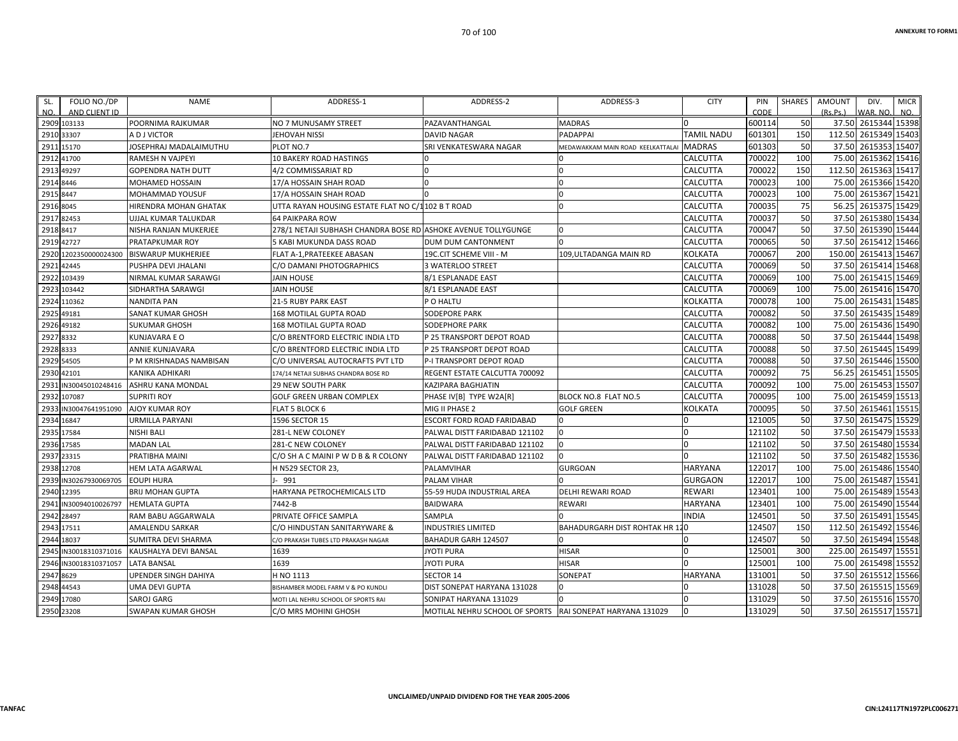| SL.        | FOLIO NO./DP          | <b>NAME</b>               | ADDRESS-1                                                     | ADDRESS-2                                                 | ADDRESS-3                            | <b>CITY</b>       | PIN    | SHARES | AMOUNT   | DIV.                 | <b>MICR</b> |
|------------|-----------------------|---------------------------|---------------------------------------------------------------|-----------------------------------------------------------|--------------------------------------|-------------------|--------|--------|----------|----------------------|-------------|
| NO.        | AND CLIENT ID         |                           |                                                               |                                                           |                                      |                   | CODE   |        | (Rs.Ps.) | WAR. NO.             | NO.         |
|            | 2909 103133           | POORNIMA RAJKUMAR         | NO 7 MUNUSAMY STREET                                          | PAZAVANTHANGAL                                            | <b>MADRAS</b>                        |                   | 600114 | 50     |          | 37.50 2615344 15398  |             |
| 2910 33307 |                       | A D J VICTOR              | JEHOVAH NISSI                                                 | <b>DAVID NAGAR</b>                                        | <b>PADAPPAI</b>                      | <b>TAMIL NADU</b> | 601301 | 150    |          | 112.50 2615349 15403 |             |
|            | 2911 15170            | JOSEPHRAJ MADALAIMUTHU    | PLOT NO.7                                                     | SRI VENKATESWARA NAGAR                                    | MEDAWAKKAM MAIN ROAD KEELKATTALAI    | <b>MADRAS</b>     | 601303 | 50     |          | 37.50 2615353 15407  |             |
|            | 2912 41700            | RAMESH N VAJPEYI          | 10 BAKERY ROAD HASTINGS                                       |                                                           |                                      | <b>CALCUTTA</b>   | 700022 | 100    |          | 75.00 2615362 15416  |             |
|            | 2913 49297            | <b>GOPENDRA NATH DUTT</b> | 4/2 COMMISSARIAT RD                                           |                                                           | $\Omega$                             | <b>CALCUTTA</b>   | 700022 | 150    |          | 112.50 2615363 15417 |             |
| 2914 8446  |                       | MOHAMED HOSSAIN           | 17/A HOSSAIN SHAH ROAD                                        | $\Omega$                                                  | $\overline{0}$                       | <b>CALCUTTA</b>   | 700023 | 100    |          | 75.00 2615366 15420  |             |
| 2915 8447  |                       | MOHAMMAD YOUSUF           | 17/A HOSSAIN SHAH ROAD                                        |                                                           |                                      | CALCUTTA          | 700023 | 100    | 75.00    | 2615367 15421        |             |
| 2916 8045  |                       | HIRENDRA MOHAN GHATAK     | UTTA RAYAN HOUSING ESTATE FLAT NO C/1102 B T ROAD             |                                                           | $\Omega$                             | <b>CALCUTTA</b>   | 700035 | 75     | 56.25    | 2615375 15429        |             |
| 2917 82453 |                       | UJJAL KUMAR TALUKDAR      | <b>64 PAIKPARA ROW</b>                                        |                                                           |                                      | <b>CALCUTTA</b>   | 700037 | 50     |          | 37.50 2615380 15434  |             |
| 2918 8417  |                       | NISHA RANJAN MUKERJEE     | 278/1 NETAJI SUBHASH CHANDRA BOSE RD ASHOKE AVENUE TOLLYGUNGE |                                                           | ın                                   | <b>CALCUTTA</b>   | 700047 | 50     |          | 37.50 2615390 15444  |             |
|            | 2919 42727            | PRATAPKUMAR ROY           | 5 KABI MUKUNDA DASS ROAD                                      | <b>DUM DUM CANTONMENT</b>                                 |                                      | <b>CALCUTTA</b>   | 700065 | 50     |          | 37.50 2615412 15466  |             |
| 2920       | 1202350000024300      | <b>BISWARUP MUKHERJEE</b> | FLAT A-1, PRATEEKEE ABASAN                                    | 19C.CIT SCHEME VIII - M                                   | 109, ULTADANGA MAIN RD               | <b>KOLKATA</b>    | 700067 | 200    | 150.00   | 2615413 15467        |             |
|            | 2921 42445            | PUSHPA DEVI JHALANI       | C/O DAMANI PHOTOGRAPHICS                                      | 3 WATERLOO STREET                                         |                                      | <b>CALCUTTA</b>   | 700069 | 50     |          | 37.50 2615414 15468  |             |
|            | 2922 103439           | NIRMAL KUMAR SARAWGI      | <b>JAIN HOUSE</b>                                             | 8/1 ESPLANADE EAST                                        |                                      | <b>CALCUTTA</b>   | 700069 | 100    |          | 75.00 2615415 15469  |             |
| 2923       | 103442                | SIDHARTHA SARAWGI         | <b>JAIN HOUSE</b>                                             | 8/1 ESPLANADE EAST                                        |                                      | <b>CALCUTTA</b>   | 700069 | 100    | 75.00    | 2615416 15470        |             |
|            | 2924 110362           | <b>NANDITA PAN</b>        | <b>21-5 RUBY PARK EAST</b>                                    | P O HALTU                                                 |                                      | <b>KOLKATTA</b>   | 700078 | 100    |          | 75.00 2615431 15485  |             |
|            | 2925 49181            | SANAT KUMAR GHOSH         | 168 MOTILAL GUPTA ROAD                                        | SODEPORE PARK                                             |                                      | <b>CALCUTTA</b>   | 700082 | 50     |          | 37.50 2615435 15489  |             |
|            | 2926 49182            | <b>SUKUMAR GHOSH</b>      | 168 MOTILAL GUPTA ROAD                                        | <b>SODEPHORE PARK</b>                                     |                                      | <b>CALCUTTA</b>   | 700082 | 100    |          | 75.00 2615436 15490  |             |
| 2927 8332  |                       | <b>KUNJAVARA E O</b>      | C/O BRENTFORD ELECTRIC INDIA LTD                              | P 25 TRANSPORT DEPOT ROAD                                 |                                      | <b>CALCUTTA</b>   | 700088 | 50     | 37.50    | 2615444              | 15498       |
| 2928 8333  |                       | ANNIE KUNJAVARA           | C/O BRENTFORD ELECTRIC INDIA LTD                              | P 25 TRANSPORT DEPOT ROAD                                 |                                      | <b>CALCUTTA</b>   | 700088 | 50     |          | 37.50 2615445 15499  |             |
|            | 2929 54505            | P M KRISHNADAS NAMBISAN   | C/O UNIVERSAL AUTOCRAFTS PVT LTD                              | P-I TRANSPORT DEPOT ROAD                                  |                                      | <b>CALCUTTA</b>   | 700088 | 50     |          | 37.50 2615446 15500  |             |
|            | 2930 42101            | KANIKA ADHIKARI           | 174/14 NETAJI SUBHAS CHANDRA BOSE RD                          | REGENT ESTATE CALCUTTA 700092                             |                                      | <b>CALCUTTA</b>   | 700092 | 75     |          | 56.25 2615451 15505  |             |
| 2931       | IN30045010248416      | ASHRU KANA MONDAL         | 29 NEW SOUTH PARK                                             | KAZIPARA BAGHJATIN                                        |                                      | <b>CALCUTTA</b>   | 700092 | 100    |          | 75.00 2615453 15507  |             |
|            | 2932 107087           | <b>SUPRITI ROY</b>        | <b>GOLF GREEN URBAN COMPLEX</b>                               | PHASE IV[B] TYPE W2A[R]                                   | BLOCK NO.8 FLAT NO.5                 | <b>CALCUTTA</b>   | 700095 | 100    |          | 75.00 2615459 15513  |             |
| 2933       | IN30047641951090      | <b>AJOY KUMAR ROY</b>     | FLAT 5 BLOCK 6                                                | MIG II PHASE 2                                            | <b>GOLF GREEN</b>                    | <b>KOLKATA</b>    | 700095 | 50     |          | 37.50 2615461 15515  |             |
| 2934 16847 |                       | <b>URMILLA PARYANI</b>    | 1596 SECTOR 15                                                | ESCORT FORD ROAD FARIDABAD                                | $\Omega$                             |                   | 121005 | 50     |          | 37.50 2615475 15529  |             |
| 2935 17584 |                       | NISHI BALI                | 281-L NEW COLONEY                                             | PALWAL DISTT FARIDABAD 121102                             | $\Omega$                             | $\Omega$          | 121102 | 50     |          | 37.50 2615479 15533  |             |
|            | 2936 17585            | <b>MADAN LAL</b>          | 281-C NEW COLONEY                                             | PALWAL DISTT FARIDABAD 121102                             | $\Omega$                             | $\Omega$          | 121102 | 50     |          | 37.50 2615480 15534  |             |
|            | 2937 23315            | PRATIBHA MAINI            | C/O SH A C MAINI P W D B & R COLONY                           | PALWAL DISTT FARIDABAD 121102                             |                                      |                   | 121102 | 50     |          | 37.50 2615482 15536  |             |
|            | 2938 12708            | <b>HEM LATA AGARWAL</b>   | H N529 SECTOR 23,                                             | PALAMVIHAR                                                | <b>GURGOAN</b>                       | <b>HARYANA</b>    | 122017 | 100    |          | 75.00 2615486 15540  |             |
|            | 2939 IN30267930069705 | <b>EOUPI HURA</b>         | I-991                                                         | PALAM VIHAR                                               |                                      | <b>GURGAON</b>    | 122017 | 100    |          | 75.00 2615487 15541  |             |
|            | 2940 12395            | <b>BRIJ MOHAN GUPTA</b>   | HARYANA PETROCHEMICALS LTD                                    | 55-59 HUDA INDUSTRIAL AREA                                | DELHI REWARI ROAD                    | <b>REWARI</b>     | 123401 | 100    | 75.00    | 2615489 15543        |             |
| 2941       | IN30094010026797      | <b>HEMLATA GUPTA</b>      | 7442-B                                                        | <b>BAIDWARA</b>                                           | <b>REWARI</b>                        | <b>HARYANA</b>    | 123401 | 100    |          | 75.00 2615490 15544  |             |
|            | 2942 28497            | RAM BABU AGGARWALA        | PRIVATE OFFICE SAMPLA                                         | SAMPLA                                                    |                                      | <b>INDIA</b>      | 124501 | 50     |          | 37.50 2615491        | 15545       |
|            | 2943 17511            | AMALENDU SARKAR           | C/O HINDUSTAN SANITARYWARE &                                  | <b>INDUSTRIES LIMITED</b>                                 | <b>BAHADURGARH DIST ROHTAK HR 12</b> |                   | 124507 | 150    |          | 112.50 2615492 15546 |             |
|            | 2944 18037            | SUMITRA DEVI SHARMA       | C/O PRAKASH TUBES LTD PRAKASH NAGAR                           | BAHADUR GARH 124507                                       |                                      |                   | 124507 | 50     | 37.50    | 2615494              | 15548       |
|            | 2945 IN30018310371016 | KAUSHALYA DEVI BANSAL     | 1639                                                          | JYOTI PURA                                                | <b>HISAR</b>                         | $\Omega$          | 125001 | 300    |          | 225.00 2615497 15551 |             |
|            | 2946 IN30018310371057 | <b>LATA BANSAL</b>        | 1639                                                          | JYOTI PURA                                                | <b>HISAR</b>                         |                   | 125001 | 100    |          | 75.00 2615498 15552  |             |
| 2947 8629  |                       | UPENDER SINGH DAHIYA      | H NO 1113                                                     | <b>SECTOR 14</b>                                          | SONEPAT                              | <b>HARYANA</b>    | 131001 | 50     | 37.50    | 2615512 15566        |             |
|            | 2948 44543            | UMA DEVI GUPTA            | BISHAMBER MODEL FARM V & PO KUNDLI                            | DIST SONEPAT HARYANA 131028                               | 0                                    |                   | 131028 | 50     |          | 37.50 2615515 15569  |             |
|            | 2949 17080            | <b>SAROJ GARG</b>         | MOTI LAL NEHRU SCHOOL OF SPORTS RAI                           | SONIPAT HARYANA 131029                                    |                                      |                   | 131029 | 50     |          | 37.50 2615516 15570  |             |
|            | 2950 23208            | SWAPAN KUMAR GHOSH        | C/O MRS MOHINI GHOSH                                          | MOTILAL NEHRU SCHOOL OF SPORTS RAI SONEPAT HARYANA 131029 |                                      | $\Omega$          | 131029 | 50     |          | 37.50 2615517 15571  |             |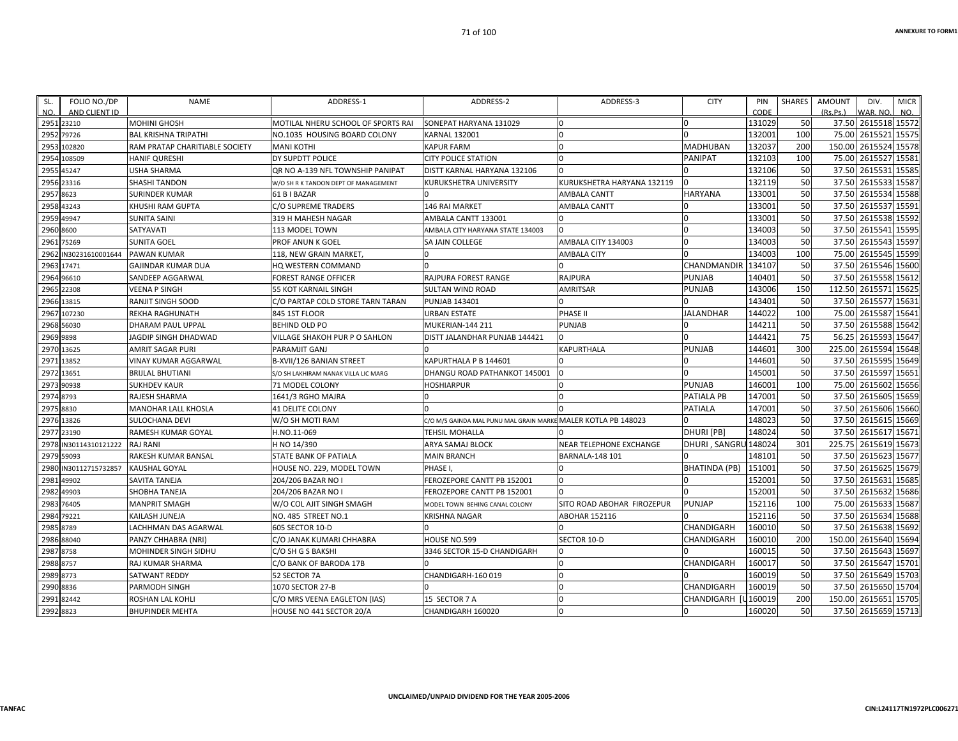| FOLIO NO./DP<br>SL.<br>AND CLIENT ID<br>NO. | <b>NAME</b>                    | ADDRESS-1                            | ADDRESS-2                                                     | ADDRESS-3                      | <b>CITY</b>          | PIN<br>CODE | <b>SHARES</b> | <b>AMOUNT</b><br>(Rs, Ps.) | DIV.<br>WAR, NO     | <b>MICR</b><br>NO. |
|---------------------------------------------|--------------------------------|--------------------------------------|---------------------------------------------------------------|--------------------------------|----------------------|-------------|---------------|----------------------------|---------------------|--------------------|
| 2951 23210                                  | <b>MOHINI GHOSH</b>            | MOTILAL NHERU SCHOOL OF SPORTS RAI   | SONEPAT HARYANA 131029                                        | $\Omega$                       |                      | 131029      | 50            |                            | 37.50 2615518 15572 |                    |
| 295<br>79726                                | <b>BAL KRISHNA TRIPATHI</b>    | NO.1035 HOUSING BOARD COLONY         | <b>KARNAL 132001</b>                                          | $\Omega$                       |                      | 132001      | 100           | 75.00                      | 2615521             | 15575              |
| 2953<br>102820                              | RAM PRATAP CHARITIABLE SOCIETY | <b>MANI KOTHI</b>                    | <b>KAPUR FARM</b>                                             | $\Omega$                       | <b>MADHUBAN</b>      | 132037      | 200           | 150.00                     | 2615524 15578       |                    |
| 108509<br>2954                              | <b>HANIF QURESHI</b>           | DY SUPDTT POLICE                     | <b>CITY POLICE STATION</b>                                    | $\Omega$                       | <b>PANIPAT</b>       | 132103      | 100           | 75.00                      | 2615527             | 15581              |
| 45247<br>295                                | <b>USHA SHARMA</b>             | QR NO A-139 NFL TOWNSHIP PANIPAT     | DISTT KARNAL HARYANA 132106                                   | $\Omega$                       |                      | 132106      | 50            | 37.50                      | 2615531             | 15585              |
| 2956 23316                                  | <b>SHASHI TANDON</b>           | W/O SH R K TANDON DEPT OF MANAGEMENT | KURUKSHETRA UNIVERSITY                                        | KURUKSHETRA HARYANA 132119     |                      | 132119      | 50            | 37.50                      | 2615533 15587       |                    |
| 2957<br>8623                                | <b>SURINDER KUMAR</b>          | 61 B I BAZAR                         |                                                               | <b>AMBALA CANTT</b>            | <b>HARYANA</b>       | 133001      | 50            | 37.50                      | 2615534 15588       |                    |
| 2958<br>43243                               | KHUSHI RAM GUPTA               | C/O SUPREME TRADERS                  | 146 RAI MARKET                                                | <b>AMBALA CANTT</b>            |                      | 133001      | 50            | 37.50                      | 2615537             | 15591              |
| 49947<br>2959                               | <b>SUNITA SAINI</b>            | 319 H MAHESH NAGAR                   | AMBALA CANTT 133001                                           | n                              | n                    | 133001      | 50            | 37.50                      | 2615538 15592       |                    |
| 2960<br>8600                                | SATYAVATI                      | 113 MODEL TOWN                       | AMBALA CITY HARYANA STATE 134003                              | $\Omega$                       |                      | 134003      | 50            | 37.50                      | 2615541             | 15595              |
| 2961<br>75269                               | <b>SUNITA GOEL</b>             | PROF ANUN K GOEL                     | SA JAIN COLLEGE                                               | AMBALA CITY 134003             |                      | 134003      | 50            | 37.50                      | 2615543             | 15597              |
| 2962<br>IN30231610001644                    | <b>PAWAN KUMAR</b>             | 118, NEW GRAIN MARKET,               | n                                                             | <b>AMBALA CITY</b>             |                      | 134003      | 100           | 75.00                      | 2615545 15599       |                    |
| 2963<br>17471                               | <b>GAJINDAR KUMAR DUA</b>      | HQ WESTERN COMMAND                   |                                                               |                                | CHANDMANDIR          | 134107      | 50            | 37.50                      | 2615546             | 15600              |
| 2964<br>96610                               | SANDEEP AGGARWAL               | <b>FOREST RANGE OFFICER</b>          | <b>RAJPURA FOREST RANGE</b>                                   | <b>RAJPURA</b>                 | <b>PUNJAB</b>        | 140401      | 50            | 37.50                      | 2615558 15612       |                    |
| 2965 22308                                  | <b>VEENA P SINGH</b>           | <b>55 KOT KARNAIL SINGH</b>          | <b>SULTAN WIND ROAD</b>                                       | AMRITSAR                       | PUNJAB               | 143006      | 150           | 112.50                     | 2615571             | 15625              |
| 2966 13815                                  | RANJIT SINGH SOOD              | C/O PARTAP COLD STORE TARN TARAN     | <b>PUNJAB 143401</b>                                          |                                |                      | 143401      | 50            | 37.50                      | 2615577             | 15631              |
| 107230<br>2967                              | <b>REKHA RAGHUNATH</b>         | 845 1ST FLOOR                        | <b>URBAN ESTATE</b>                                           | <b>PHASE II</b>                | <b>JALANDHAR</b>     | 144022      | 100           | 75.00                      | 2615587             | 15641              |
| 2968<br>56030                               | <b>DHARAM PAUL UPPAL</b>       | <b>BEHIND OLD PO</b>                 | <b>MUKERIAN-144 211</b>                                       | <b>PUNJAB</b>                  |                      | 144211      | 50            | 37.50                      | 2615588 15642       |                    |
| 2969 9898                                   | JAGDIP SINGH DHADWAD           | VILLAGE SHAKOH PUR P O SAHLON        | DISTT JALANDHAR PUNJAB 144421                                 |                                |                      | 144421      | 75            | 56.25                      | 2615593             | 15647              |
| 13625<br>2970                               | <b>AMRIT SAGAR PURI</b>        | PARAMJIT GANJ                        |                                                               | <b>KAPURTHALA</b>              | <b>PUNJAB</b>        | 144601      | 300           | 225.00                     | 2615594             | 15648              |
| 2971<br>13852                               | <b>VINAY KUMAR AGGARWAL</b>    | <b>B-XVII/126 BANIAN STREET</b>      | KAPURTHALA P B 144601                                         | $\Omega$                       |                      | 144601      | 50            | 37.50                      | 2615595             | 15649              |
| 13651<br>2972                               | <b>BRIJLAL BHUTIANI</b>        | S/O SH LAKHIRAM NANAK VILLA LIC MARG | DHANGU ROAD PATHANKOT 145001                                  | $\Omega$                       |                      | 145001      | 50            | 37.50                      | 2615597             | 15651              |
| 2973<br>90938                               | <b>SUKHDEV KAUR</b>            | <b>71 MODEL COLONY</b>               | <b>HOSHIARPUR</b>                                             | $\Omega$                       | <b>PUNJAB</b>        | 146001      | 100           | 75.00                      | 2615602             | 15656              |
| 2974<br>8793                                | RAJESH SHARMA                  | 1641/3 RGHO MAJRA                    |                                                               | $\Omega$                       | PATIALA PB           | 147001      | 50            | 37.50                      | 2615605             | 15659              |
| 8830<br>2975                                | MANOHAR LALL KHOSLA            | 41 DELITE COLONY                     |                                                               | $\Omega$                       | <b>PATIALA</b>       | 147001      | 50            |                            | 37.50 2615606 15660 |                    |
| 2976<br>13826                               | <b>SULOCHANA DEVI</b>          | W/O SH MOTI RAM                      | C/O M/S GAINDA MAL PUNU MAL GRAIN MARKE MALER KOTLA PB 148023 |                                |                      | 148023      | 50            | 37.50                      | 2615615             | 15669              |
| 297<br>23190                                | RAMESH KUMAR GOYAL             | H.NO.11-069                          | <b>TEHSIL MOHALLA</b>                                         |                                | DHURI [PB]           | 148024      | 50            | 37.50                      | 2615617             | 15671              |
| 2978<br>IN30114310121222                    | <b>RAJ RANI</b>                | H NO 14/390                          | ARYA SAMAJ BLOCK                                              | <b>NEAR TELEPHONE EXCHANGE</b> | DHURI, SANGRU        | 148024      | 301           | 225.75                     | 2615619 15673       |                    |
| 2979<br>59093                               | <b>RAKESH KUMAR BANSAL</b>     | STATE BANK OF PATIALA                | <b>MAIN BRANCH</b>                                            | <b>BARNALA-148 101</b>         |                      | 148101      | 50            | 37.50                      | 2615623             | 15677              |
| 2980<br>IN30112715732857                    | <b>KAUSHAL GOYAL</b>           | HOUSE NO. 229, MODEL TOWN            | PHASE I,                                                      |                                | <b>BHATINDA (PB)</b> | 151001      | 50            | 37.50                      | 2615625             | 15679              |
| 49902<br>2981                               | SAVITA TANEJA                  | 204/206 BAZAR NO I                   | FEROZEPORE CANTT PB 152001                                    | $\overline{0}$                 |                      | 152001      | 50            | 37.50                      | 2615631             | 15685              |
| 2982<br>49903                               | <b>SHOBHA TANEJA</b>           | 204/206 BAZAR NO                     | FEROZEPORE CANTT PB 152001                                    |                                |                      | 152001      | 50            | 37.50                      | 2615632             | 15686              |
| 2983<br>76405                               | <b>MANPRIT SMAGH</b>           | W/O COL AJIT SINGH SMAGH             | MODEL TOWN BEHING CANAL COLONY                                | SITO ROAD ABOHAR FIROZEPUR     | PUNJAP               | 152116      | 100           | 75.00                      | 2615633             | 15687              |
| 79221<br>2984                               | KAILASH JUNEJA                 | NO. 485 STREET NO.1                  | <b>KRISHNA NAGAR</b>                                          | <b>ABOHAR 152116</b>           |                      | 152116      | 50            | 37.50                      | 2615634 15688       |                    |
| 2985<br>8789                                | <b>LACHHMAN DAS AGARWAL</b>    | 605 SECTOR 10-D                      |                                                               |                                | CHANDIGARH           | 160010      | 50            | 37.50                      | 2615638             | 15692              |
| 88040<br>2986                               | PANZY CHHABRA (NRI)            | C/O JANAK KUMARI CHHABRA             | HOUSE NO.599                                                  | SECTOR 10-D                    | CHANDIGARH           | 160010      | 200           | 150.00                     | 2615640             | 15694              |
| 2987<br>8758                                | MOHINDER SINGH SIDHU           | C/O SH G S BAKSHI                    | 3346 SECTOR 15-D CHANDIGARH                                   | 0                              |                      | 160015      | 50            | 37.50                      | 2615643 15697       |                    |
| 2988<br>8757                                | <b>RAJ KUMAR SHARMA</b>        | C/O BANK OF BARODA 17B               |                                                               | $\Omega$                       | CHANDIGARH           | 160017      | 50            | 37.50                      | 2615647             | 15701              |
| 8773<br>2989                                | SATWANT REDDY                  | 52 SECTOR 7A                         | CHANDIGARH-160 019                                            | $\Omega$                       |                      | 160019      | 50            | 37.50                      | 2615649             | 15703              |
| 2990<br>8836                                | PARMODH SINGH                  | 1070 SECTOR 27-B                     |                                                               | $\Omega$                       | <b>CHANDIGARH</b>    | 160019      | 50            | 37.50                      | 2615650             | 15704              |
| 2991<br>82442                               | ROSHAN LAL KOHLI               | C/O MRS VEENA EAGLETON (IAS)         | 15 SECTOR 7 A                                                 | $\Omega$                       | CHANDIGARH           | 160019      | 200           | 150.00                     | 2615651             | 15705              |
| 2992 8823                                   | <b>BHUPINDER MEHTA</b>         | HOUSE NO 441 SECTOR 20/A             | CHANDIGARH 160020                                             | $\Omega$                       |                      | 160020      | 50            |                            | 37.50 2615659 15713 |                    |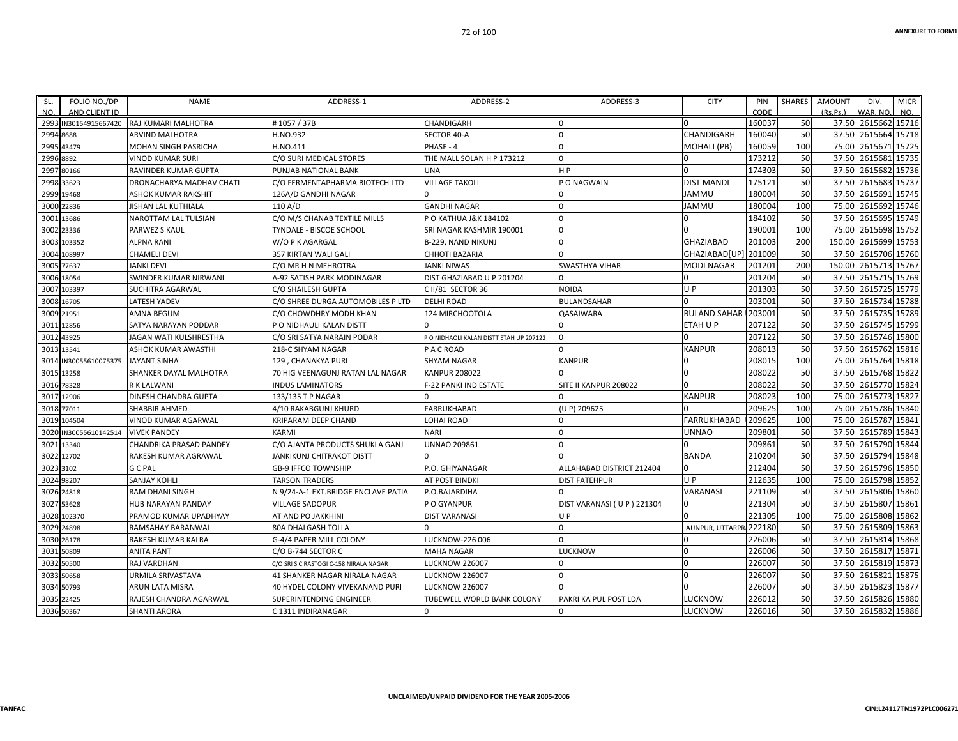| FOLIO NO./DP<br>SL.                              | <b>NAME</b>                    | ADDRESS-1                              | ADDRESS-2                              | ADDRESS-3                 | <b>CITY</b>            | PIN            | <b>SHARES</b> | <b>AMOUNT</b> | DIV.                            | <b>MICR</b> |
|--------------------------------------------------|--------------------------------|----------------------------------------|----------------------------------------|---------------------------|------------------------|----------------|---------------|---------------|---------------------------------|-------------|
| NO.<br>AND CLIENT ID<br>IN30154915667420<br>2993 | RAJ KUMARI MALHOTRA            | #1057/37B                              | CHANDIGARH                             | $\Omega$                  |                        | CODE<br>160037 | 50            | (Rs Ps)       | VAR. NO.<br>37.50 2615662 15716 | NO.         |
| 2994<br>8688                                     | <b>ARVIND MALHOTRA</b>         | H.NO.932                               | <b>SECTOR 40-A</b>                     | $\Omega$                  | CHANDIGARH             | 160040         | 50            | 37.50         | 2615664 15718                   |             |
| 43479                                            |                                |                                        | PHASE - 4                              | n                         |                        | 160059         | 100           | 75.00         | 2615671 15725                   |             |
| 2995<br>8892                                     | MOHAN SINGH PASRICHA           | H.NO.411                               |                                        | $\Omega$                  | MOHALI (PB)            | 173212         | 50            | 37.50         | 2615681                         | 15735       |
| 2996                                             | <b>VINOD KUMAR SURI</b>        | C/O SURI MEDICAL STORES                | THE MALL SOLAN H P 173212              |                           |                        |                |               |               |                                 |             |
| 2997<br>80166                                    | RAVINDER KUMAR GUPTA           | PUNJAB NATIONAL BANK                   | <b>UNA</b>                             | H <sub>P</sub>            |                        | 174303         | 50            | 37.50         | 2615682 15736                   |             |
| 2998 33623                                       | DRONACHARYA MADHAV CHATI       | C/O FERMENTAPHARMA BIOTECH LTD         | <b>VILLAGE TAKOLI</b>                  | P O NAGWAIN               | <b>DIST MANDI</b>      | 175121         | 50            |               | 37.50 2615683 15737             |             |
| 19468<br>2999                                    | ASHOK KUMAR RAKSHIT            | 126A/D GANDHI NAGAR                    |                                        |                           | JAMMU                  | 180004         | 50            | 37.50         | 2615691 15745                   |             |
| 22836<br>3000                                    | <b>JISHAN LAL KUTHIALA</b>     | 110 A/D                                | <b>GANDHI NAGAR</b>                    | $\Omega$                  | <b>UMMAL</b>           | 180004         | 100           | 75.00         | 2615692 15746                   |             |
| 13686<br>3001                                    | NAROTTAM LAL TULSIAN           | C/O M/S CHANAB TEXTILE MILLS           | P O KATHUA J&K 184102                  | $\Omega$                  |                        | 184102         | 50            |               | 37.50 2615695 15749             |             |
| 3002<br>23336                                    | PARWEZ S KAUL                  | TYNDALE - BISCOE SCHOOL                | SRI NAGAR KASHMIR 190001               | $\Omega$                  |                        | 190001         | 100           | 75.00         | 2615698 15752                   |             |
| 103352<br>3003                                   | <b>ALPNA RANI</b>              | W/O P K AGARGAL                        | B-229, NAND NIKUNJ                     | $\Omega$                  | <b>GHAZIABAD</b>       | 201003         | 200           | 150.00        | 2615699 15753                   |             |
| 108997<br>3004                                   | <b>CHAMELI DEVI</b>            | 357 KIRTAN WALI GALI                   | CHHOTI BAZARIA                         |                           | GHAZIABAD[UP] 201009   |                | 50            |               | 37.50 2615706 15760             |             |
| 3005<br>77637                                    | <b>JANKI DEVI</b>              | C/O MR H N MEHROTRA                    | <b>JANKI NIWAS</b>                     | <b>SWASTHYA VIHAR</b>     | MODI NAGAR             | 201201         | 200           | 150.00        | 2615713 15767                   |             |
| 18054<br>3006                                    | SWINDER KUMAR NIRWANI          | A-92 SATISH PARK MODINAGAR             | DIST GHAZIABAD U P 201204              |                           |                        | 201204         | 50            | 37.50         | 2615715 15769                   |             |
| 103397<br>3007                                   | <b>SUCHITRA AGARWAL</b>        | C/O SHAILESH GUPTA                     | C II/81 SECTOR 36                      | <b>NOIDA</b>              | U P                    | 201303         | 50            |               | 37.50 2615725 15779             |             |
| 16705<br>3008                                    | <b>LATESH YADEV</b>            | C/O SHREE DURGA AUTOMOBILES P LTD      | <b>DELHI ROAD</b>                      | BULANDSAHAR               |                        | 203001         | 50            | 37.50         | 2615734 15788                   |             |
| 21951<br>3009                                    | AMNA BEGUM                     | C/O CHOWDHRY MODH KHAN                 | 124 MIRCHOOTOLA                        | <b>QASAIWARA</b>          | <b>BULAND SAHAR</b>    | 203001         | 50            | 37.50         | 2615735 15789                   |             |
| 12856<br>3011                                    | SATYA NARAYAN PODDAR           | P O NIDHAULI KALAN DISTT               |                                        |                           | ETAH U P               | 207122         | 50            |               | 37.50 2615745 15799             |             |
| 43925<br>3012                                    | <b>JAGAN WATI KULSHRESTHA</b>  | C/O SRI SATYA NARAIN PODAR             | PO NIDHAOLI KALAN DISTT ETAH UP 207122 | $\Omega$                  |                        | 207122         | 50            |               | 37.50 2615746 15800             |             |
| 13541<br>3013                                    | ASHOK KUMAR AWASTHI            | 218-C SHYAM NAGAR                      | P A C ROAD                             |                           | KANPUR                 | 208013         | 50            | 37.50         | 2615762 15816                   |             |
| IN30055610075375<br>3014                         | <b>JAYANT SINHA</b>            | 129, CHANAKYA PURI                     | <b>SHYAM NAGAR</b>                     | <b>KANPUR</b>             |                        | 208015         | 100           |               | 75.00 2615764 15818             |             |
| 3015<br>13258                                    | SHANKER DAYAL MALHOTRA         | 70 HIG VEENAGUNJ RATAN LAL NAGAR       | <b>KANPUR 208022</b>                   |                           |                        | 208022         | 50            | 37.50         | 2615768 15822                   |             |
| 78328<br>3016                                    | R K LALWANI                    | <b>INDUS LAMINATORS</b>                | F-22 PANKI IND ESTATE                  | SITE II KANPUR 208022     |                        | 208022         | 50            | 37.50         | 2615770 15824                   |             |
| 12906<br>3017                                    | DINESH CHANDRA GUPTA           | 133/135 T P NAGAR                      |                                        |                           | KANPUR                 | 208023         | 100           | 75.00         | 2615773 15827                   |             |
| 3018<br>77011                                    | <b>SHABBIR AHMED</b>           | 4/10 RAKABGUNJ KHURD                   | <b>FARRUKHABAD</b>                     | (U P) 209625              |                        | 209625         | 100           | 75.00         | 2615786 15840                   |             |
| 104504<br>3019                                   | VINOD KUMAR AGARWAL            | KRIPARAM DEEP CHAND                    | LOHAI ROAD                             |                           | <b>FARRUKHABAD</b>     | 209625         | 100           | 75.00         | 2615787 15841                   |             |
| IN30055610142514<br>3020                         | <b>VIVEK PANDEY</b>            | <b>KARMI</b>                           | <b>NARI</b>                            | $\overline{0}$            | UNNAO                  | 209801         | 50            |               | 37.50 2615789 15843             |             |
| 13340<br>3021                                    | <b>CHANDRIKA PRASAD PANDEY</b> | C/O AJANTA PRODUCTS SHUKLA GANJ        | <b>UNNAO 209861</b>                    |                           |                        | 209861         | 50            | 37.50         | 2615790 15844                   |             |
| 12702<br>3022                                    | RAKESH KUMAR AGRAWAL           | <b>JANKIKUNJ CHITRAKOT DISTT</b>       |                                        |                           | <b>BANDA</b>           | 210204         | 50            |               | 37.50 2615794 15848             |             |
| 3023<br>3102                                     | <b>G C PAL</b>                 | <b>GB-9 IFFCO TOWNSHIP</b>             | P.O. GHIYANAGAR                        | ALLAHABAD DISTRICT 212404 |                        | 212404         | 50            |               | 37.50 2615796 15850             |             |
| 3024<br>98207                                    | <b>SANJAY KOHLI</b>            | <b>TARSON TRADERS</b>                  | AT POST BINDKI                         | <b>DIST FATEHPUR</b>      | U P                    | 212635         | 100           | 75.00         | 2615798 15852                   |             |
| 24818<br>3026                                    | <b>RAM DHANI SINGH</b>         | N 9/24-A-1 EXT.BRIDGE ENCLAVE PATIA    | P.O.BAJARDIHA                          |                           | VARANASI               | 221109         | 50            | 37.50         | 2615806 15860                   |             |
| 53628<br>3027                                    | HUB NARAYAN PANDAY             | <b>VILLAGE SADOPUR</b>                 | P O GYANPUR                            | DIST VARANASI (UP) 221304 |                        | 221304         | 50            |               | 37.50 2615807 15861             |             |
| 102370<br>3028                                   | PRAMOD KUMAR UPADHYAY          | AT AND PO JAKKHINI                     | <b>DIST VARANASI</b>                   | $U$ $P$                   |                        | 221305         | 100           | 75.00         | 2615808 15862                   |             |
| 24898<br>3029                                    | RAMSAHAY BARANWAL              | 80A DHALGASH TOLLA                     |                                        |                           | <b>AUNPUR, UTTARPR</b> | 222180         | 50            | 37.50         | 2615809 15863                   |             |
| 3030<br>28178                                    | RAKESH KUMAR KALRA             | G-4/4 PAPER MILL COLONY                | LUCKNOW-226 006                        | $\Omega$                  |                        | 226006         | 50            |               | 37.50 2615814 15868             |             |
| 3031<br>50809                                    | <b>ANITA PANT</b>              | C/O B-744 SECTOR C                     | MAHA NAGAR                             | LUCKNOW                   |                        | 226006         | 50            | 37.50         | 2615817 15871                   |             |
| 50500<br>3032                                    | <b>RAJ VARDHAN</b>             | C/O SRI S C RASTOGI C-158 NIRALA NAGAR | <b>LUCKNOW 226007</b>                  |                           |                        | 226007         | 50            | 37.50         | 2615819 15873                   |             |
| 3033<br>50658                                    | <b>URMILA SRIVASTAVA</b>       | <b>41 SHANKER NAGAR NIRALA NAGAR</b>   | <b>LUCKNOW 226007</b>                  | n                         |                        | 226007         | 50            | 37.50         | 2615821 15875                   |             |
| 3034 50793                                       |                                | 40 HYDEL COLONY VIVEKANAND PURI        |                                        |                           |                        | 226007         | 50            | 37.50         | 2615823 15877                   |             |
|                                                  | ARUN LATA MISRA                |                                        | <b>LUCKNOW 226007</b>                  |                           |                        |                | 50            | 37.50         |                                 |             |
| 22425<br>3035                                    | RAJESH CHANDRA AGARWAL         | <b>SUPERINTENDING ENGINEER</b>         | <b>TUBEWELL WORLD BANK COLONY</b>      | PAKRI KA PUL POST LDA     | LUCKNOW                | 226012         |               |               | 2615826 15880                   |             |
| 3036 50367                                       | <b>SHANTI ARORA</b>            | C 1311 INDIRANAGAR                     |                                        | $\Omega$                  | LUCKNOW                | 226016         | 50            |               | 37.50 2615832 15886             |             |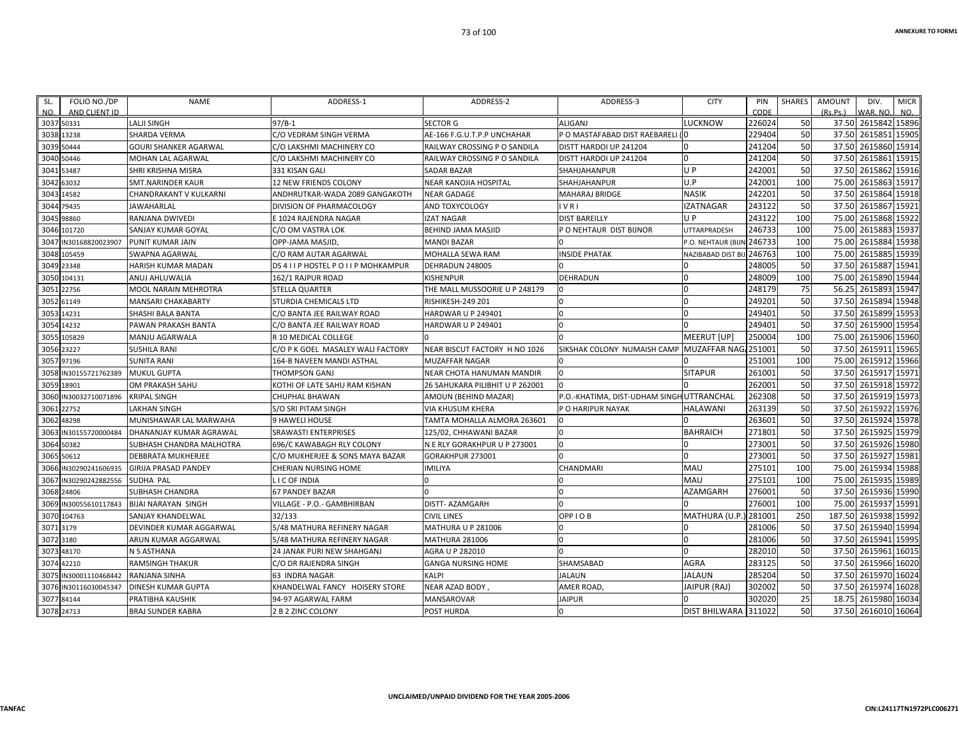| NO.<br>AND CLIENT ID  |                              |                                       |                                 |                                                 |                       |          |           |          |                     |       |
|-----------------------|------------------------------|---------------------------------------|---------------------------------|-------------------------------------------------|-----------------------|----------|-----------|----------|---------------------|-------|
|                       |                              |                                       |                                 |                                                 |                       | CODE     |           | (Rs.Ps.) | WAR, NO.            | NO.   |
| 3037 50331            | <b>LALJI SINGH</b>           | $97/B-1$                              | <b>SECTOR G</b>                 | <b>ALIGANJ</b>                                  | <b>LUCKNOW</b>        | 226024   | 50        |          | 37.50 2615842 15896 |       |
| 3038 13238            | SHARDA VERMA                 | C/O VEDRAM SINGH VERMA                | AE-166 F.G.U.T.P.P UNCHAHAR     | P O MASTAFABAD DIST RAEBARELI (O                |                       | 229404   | 50        | 37.50    | 2615851 15905       |       |
| 3039 50444            | <b>GOURI SHANKER AGARWAL</b> | C/O LAKSHMI MACHINERY CO              | RAILWAY CROSSING P O SANDILA    | DISTT HARDOI UP 241204                          | n                     | 241204   | 50        | 37.50    | 2615860 15914       |       |
| 3040 50446            | MOHAN LAL AGARWAL            | C/O LAKSHMI MACHINERY CO              | RAILWAY CROSSING P O SANDILA    | DISTT HARDOI UP 241204                          | In                    | 241204   | 50        | 37.50    | 2615861 15915       |       |
| 3041 53487            | SHRI KRISHNA MISRA           | 331 KISAN GALI                        | SADAR BAZAR                     | SHAHJAHANPUR                                    | UP                    | 242001   | 50        | 37.50    | 2615862 15916       |       |
| 3042 63032            | <b>SMT.NARINDER KAUR</b>     | 12 NEW FRIENDS COLONY                 | <b>NEAR KANOJIA HOSPITAL</b>    | SHAHJAHANPUR                                    | U.P                   | 242001   | 100       | 75.00    | 2615863 15917       |       |
| 3043 14582            | CHANDRAKANT V KULKARNI       | ANDHRUTKAR-WADA 2089 GANGAKOTH        | <b>NEAR GADAGE</b>              | MAHARAJ BRIDGE                                  | <b>NASIK</b>          | 242201   | 50        | 37.50    | 2615864 15918       |       |
| 3044 79435            | JAWAHARLAL                   | DIVISION OF PHARMACOLOGY              | AND TOXYCOLOGY                  | <b>IVRI</b>                                     | <b>IZATNAGAR</b>      | 243122   | 50        | 37.50    | 2615867 15921       |       |
| 3045 98860            | RANJANA DWIVEDI              | E 1024 RAJENDRA NAGAR                 | <b>IZAT NAGAR</b>               | <b>DIST BAREILLY</b>                            | U P                   | 243122   | 100       | 75.00    | 2615868 15922       |       |
| 3046 101720           | SANJAY KUMAR GOYAL           | C/O OM VASTRA LOK                     | BEHIND JAMA MASJID              | P O NEHTAUR DIST BIJNOR                         | UTTARPRADESH          | 246733   | 100       | 75.00    | 2615883 15937       |       |
| 3047 IN30168820023907 | PUNIT KUMAR JAIN             | OPP-JAMA MASJID                       | <b>MANDI BAZAR</b>              |                                                 | P.O. NEHTAUR (BIJ     | 246733   | 100       | 75.00    | 2615884 15938       |       |
| 3048 105459           | SWAPNA AGARWAL               | C/O RAM AUTAR AGARWAL                 | MOHALLA SEWA RAM                | <b>INSIDE PHATAK</b>                            | NAZIBABAD DIST B      | 246763   | 100       | 75.00    | 2615885 15939       |       |
| 3049 23348            | HARISH KUMAR MADAN           | DS 4 I I P HOSTEL P O I I P MOHKAMPUR | DEHRADUN 248005                 |                                                 | n                     | 248005   | 50        | 37.50    | 2615887 15941       |       |
| 3050 104131           | ANUJ AHLUWALIA               | 162/1 RAJPUR ROAD                     | KISHENPUR                       | DEHRADUN                                        |                       | 248009   | 100       | 75.00    | 2615890 15944       |       |
| 3051 22756            | MOOL NARAIN MEHROTRA         | STELLA QUARTER                        | THE MALL MUSSOORIE U P 248179   |                                                 |                       | 248179   | 75        | 56.25    | 2615893 15947       |       |
| 3052 61149            | <b>MANSARI CHAKABARTY</b>    | STURDIA CHEMICALS LTD                 | <b>RISHIKESH-249 201</b>        |                                                 | n                     | 249201   | 50        | 37.50    | 2615894 15948       |       |
| 3053 14231            | SHASHI BALA BANTA            | C/O BANTA JEE RAILWAY ROAD            | HARDWAR U P 249401              |                                                 |                       | 249401   | 50        | 37.50    | 2615899 15953       |       |
| 3054 14232            | PAWAN PRAKASH BANTA          | C/O BANTA JEE RAILWAY ROAD            | <b>HARDWAR U P 249401</b>       |                                                 |                       | 249401   | 50        | 37.50    | 2615900 15954       |       |
| 3055 105829           | MANJU AGARWALA               | <b>R 10 MEDICAL COLLEGE</b>           |                                 |                                                 | <b>MEERUT</b> [UP]    | 250004   | 100       | 75.00    | 2615906 15960       |       |
| 3056 23227            | <b>SUSHILA RANI</b>          | C/O P K GOEL MASALEY WALI FACTORY     | NEAR BISCUT FACTORY H NO 1026   | SIKSHAK COLONY NUMAISH CAMP MUZAFFAR NAG 251001 |                       |          | <b>50</b> | 37.50    | 2615911 15965       |       |
| 3057 97196            | <b>SUNITA RANI</b>           | 164-B NAVEEN MANDI ASTHAL             | MUZAFFAR NAGAR                  |                                                 |                       | 251001   | 100       | 75.00    | 2615912 15966       |       |
| 3058 IN30155721762389 | <b>MUKUL GUPTA</b>           | <b>THOMPSON GANJ</b>                  | NEAR CHOTA HANUMAN MANDIR       |                                                 | <b>SITAPUR</b>        | 261001   | 50        | 37.50    | 2615917 15971       |       |
| 3059 18901            | OM PRAKASH SAHU              | KOTHI OF LATE SAHU RAM KISHAN         | 26 SAHUKARA PILIBHIT U P 262001 |                                                 |                       | 262001   | <b>50</b> | 37.50    | 2615918 15972       |       |
| 3060 IN30032710071896 | <b>KRIPAL SINGH</b>          | CHUPHAL BHAWAN                        | AMOUN (BEHIND MAZAR)            | P.O.-KHATIMA, DIST-UDHAM SINGH UTTRANCHAL       |                       | 262308   | 50        | 37.50    | 2615919 15973       |       |
| 3061 22752            | <b>LAKHAN SINGH</b>          | S/O SRI PITAM SINGH                   | VIA KHUSUM KHERA                | P O HARIPUR NAYAK                               | <b>HALAWANI</b>       | 263139   | 50        | 37.50    | 2615922 15976       |       |
| 3062 48298            | MUNISHAWAR LAL MARWAHA       | <b>9 HAWELI HOUSE</b>                 | TAMTA MOHALLA ALMORA 263601     |                                                 |                       | 263601   | <b>50</b> | 37.50    | 2615924 15978       |       |
| 3063 IN30155720000484 | DHANANJAY KUMAR AGRAWAL      | <b>SRAWASTI ENTERPRISES</b>           | 125/02, CHHAWANI BAZAR          |                                                 | <b>BAHRAICH</b>       | 271801   | 50        | 37.50    | 2615925 15979       |       |
| 3064 50382            | SUBHASH CHANDRA MALHOTRA     | 696/C KAWABAGH RLY COLONY             | N E RLY GORAKHPUR U P 273001    |                                                 | n                     | 273001   | <b>50</b> | 37.50    | 2615926 15980       |       |
| 3065 50612            | <b>DEBBRATA MUKHERJEE</b>    | C/O MUKHERJEE & SONS MAYA BAZAR       | GORAKHPUR 273001                |                                                 |                       | 273001   | 50        | 37.50    | 2615927 15981       |       |
| 3066 IN30290241606935 | <b>GIRIJA PRASAD PANDEY</b>  | CHERIAN NURSING HOME                  | IMILIYA                         | <b>CHANDMARI</b>                                | <b>MAU</b>            | 275101   | 100       | 75.00    | 2615934 15988       |       |
| 3067 IN30290242882556 | SUDHA PAL                    | LICOFINDIA                            |                                 |                                                 | MAU                   | 275101   | 100       | 75.00    | 2615935 15989       |       |
| 3068 24806            | SUBHASH CHANDRA              | <b>67 PANDEY BAZAR</b>                |                                 |                                                 | <b>AZAMGARH</b>       | 276001   | 50        | 37.50    | 2615936 15990       |       |
| 3069 IN30055610117843 | <b>BIJAI NARAYAN SINGH</b>   | VILLAGE - P.O.- GAMBHIRBAN            | <b>DISTT- AZAMGARH</b>          |                                                 |                       | 276001   | 100       | 75.00    | 2615937 15991       |       |
| 3070 104763           | SANJAY KHANDELWAL            | 32/133                                | <b>CIVIL LINES</b>              | OPP I O B                                       | <b>MATHURA (U.P</b>   | ) 281001 | 250       | 187.50   | 2615938 15992       |       |
| 3071 3179             | DEVINDER KUMAR AGGARWAL      | 5/48 MATHURA REFINERY NAGAR           | <b>MATHURA U P 281006</b>       |                                                 |                       | 281006   | 50        | 37.50    | 2615940 15994       |       |
| 3072 3180             | ARUN KUMAR AGGARWAL          | 5/48 MATHURA REFINERY NAGAR           | <b>MATHURA 281006</b>           |                                                 |                       | 281006   | 50        | 37.50    | 2615941             | 15995 |
| 3073 48170            | N S ASTHANA                  | <b>24 JANAK PURI NEW SHAHGANJ</b>     | AGRA U P 282010                 |                                                 | $\cap$                | 282010   | 50        |          | 37.50 2615961 16015 |       |
| 3074 42210            | <b>RAMSINGH THAKUR</b>       | C/O DR RAJENDRA SINGH                 | <b>GANGA NURSING HOME</b>       | SHAMSABAD                                       | <b>AGRA</b>           | 283125   | 50        | 37.50    | 2615966 16020       |       |
| IN30001110468442      | RANJANA SINHA                | 63 INDRA NAGAR                        | KALPI                           | JALAUN                                          | <b>JALAUN</b>         | 285204   | 50        | 37.50    | 2615970 16024       |       |
| 3076 IN30116030045347 | <b>DINESH KUMAR GUPTA</b>    | KHANDELWAL FANCY HOISERY STORE        | NEAR AZAD BODY                  | AMER ROAD,                                      | JAIPUR (RAJ)          | 302002   | 50        | 37.50    | 2615974 16028       |       |
| 3077 84144            | PRATIBHA KAUSHIK             | 94-97 AGARWAL FARM                    | MANSAROVAR                      | <b>JAIPUR</b>                                   |                       | 302020   | 25        | 18.75    | 2615980 16034       |       |
| 3078 24713            | <b>BRAJ SUNDER KABRA</b>     | 2 B 2 ZINC COLONY                     | POST HURDA                      |                                                 | DIST BHILWARA 1311022 |          | 50        |          | 37.50 2616010 16064 |       |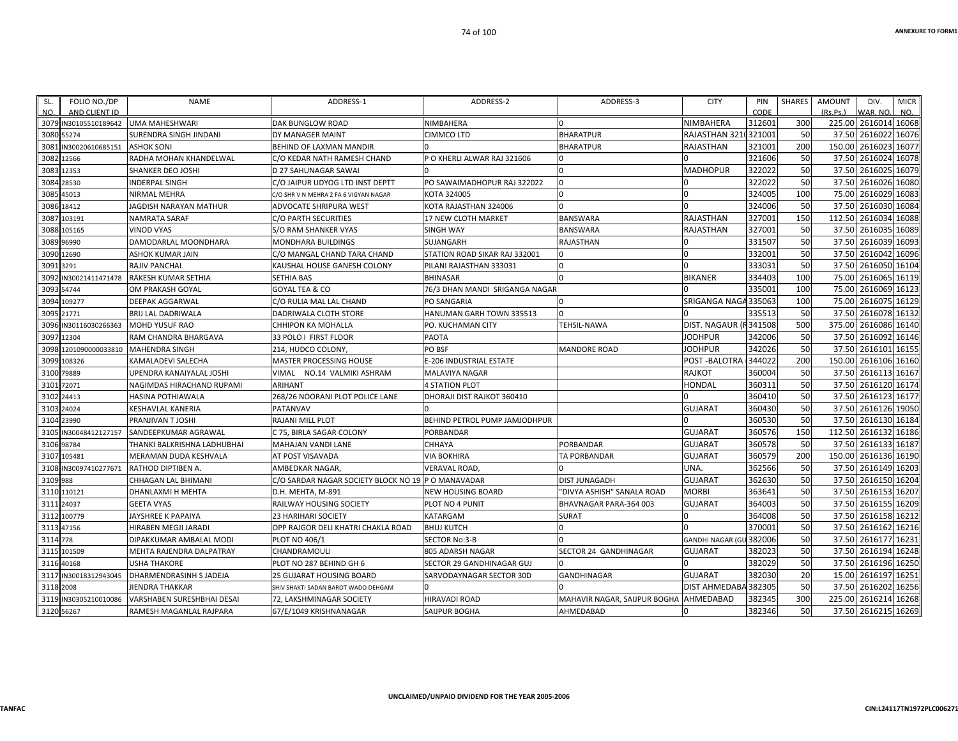| SL.        | FOLIO NO./DP          | NAME                        | ADDRESS-1                                          | ADDRESS-2                      | ADDRESS-3                    | <b>CITY</b>            | PIN    | SHARES | AMOUNT   | DIV.                 | <b>MICR</b> |
|------------|-----------------------|-----------------------------|----------------------------------------------------|--------------------------------|------------------------------|------------------------|--------|--------|----------|----------------------|-------------|
| NO.        | AND CLIENT ID         |                             |                                                    |                                |                              |                        | CODE   |        | (Rs.Ps.) | WAR. NO.             | NO.         |
|            | 3079 IN30105510189642 | <b>UMA MAHESHWARI</b>       | DAK BUNGLOW ROAD                                   | NIMBAHERA                      |                              | <b>NIMBAHERA</b>       | 312601 | 300    |          | 225.00 2616014 16068 |             |
|            | 3080 55274            | SURENDRA SINGH JINDANI      | DY MANAGER MAINT                                   | CIMMCO LTD                     | <b>BHARATPUR</b>             | RAJASTHAN 3210321001   |        | 50     |          | 37.50 2616022 16076  |             |
|            | 3081 IN30020610685151 | <b>ASHOK SONI</b>           | BEHIND OF LAXMAN MANDIR                            |                                | <b>BHARATPUR</b>             | RAJASTHAN              | 321001 | 200    |          | 150.00 2616023       | 16077       |
|            | 3082 12566            | RADHA MOHAN KHANDELWAL      | C/O KEDAR NATH RAMESH CHAND                        | P O KHERLI ALWAR RAJ 321606    |                              |                        | 321606 | 50     |          | 37.50 2616024 16078  |             |
|            | 3083 12353            | SHANKER DEO JOSHI           | D 27 SAHUNAGAR SAWAI                               |                                |                              | MADHOPUR               | 322022 | 50     |          | 37.50 2616025 16079  |             |
|            | 3084 28530            | INDERPAL SINGH              | C/O JAIPUR UDYOG LTD INST DEPTT                    | PO SAWAIMADHOPUR RAJ 322022    | 0                            |                        | 322022 | 50     |          | 37.50 2616026 16080  |             |
|            | 3085 45013            | NIRMAL MEHRA                | C/O SHR V N MEHRA 2 FA 6 VIGYAN NAGAR              | KOTA 324005                    |                              |                        | 324005 | 100    |          | 75.00 2616029        | 16083       |
|            | 3086 18412            | JAGDISH NARAYAN MATHUR      | ADVOCATE SHRIPURA WEST                             | KOTA RAJASTHAN 324006          |                              |                        | 324006 | 50     |          | 37.50 2616030        | 16084       |
|            | 3087 103191           | <b>NAMRATA SARAF</b>        | <b>C/O PARTH SECURITIES</b>                        | <b>17 NEW CLOTH MARKET</b>     | <b>BANSWARA</b>              | RAJASTHAN              | 327001 | 150    |          | 112.50 2616034       | 16088       |
|            | 3088 105165           | <b>VINOD VYAS</b>           | S/O RAM SHANKER VYAS                               | SINGH WAY                      | BANSWARA                     | RAJASTHAN              | 327001 | 50     |          | 37.50 2616035 16089  |             |
|            | 3089 96990            | DAMODARLAL MOONDHARA        | MONDHARA BUILDINGS                                 | SUJANGARH                      | RAJASTHAN                    |                        | 331507 | 50     |          | 37.50 2616039 16093  |             |
|            | 3090 12690            | ASHOK KUMAR JAIN            | C/O MANGAL CHAND TARA CHAND                        | STATION ROAD SIKAR RAJ 332001  |                              |                        | 332001 | 50     |          | 37.50 2616042 16096  |             |
| 3091 3291  |                       | RAJIV PANCHAL               | KAUSHAL HOUSE GANESH COLONY                        | PILANI RAJASTHAN 333031        | $\Omega$                     | $\Omega$               | 333031 | 50     |          | 37.50 2616050 16104  |             |
|            | 3092 IN30021411471478 | RAKESH KUMAR SETHIA         | SETHIA BAS                                         | BHINASAR                       |                              | <b>BIKANER</b>         | 334403 | 100    |          | 75.00 2616065 16119  |             |
|            | 3093 54744            | OM PRAKASH GOYAL            | GOYAL TEA & CO                                     | 76/3 DHAN MANDI SRIGANGA NAGAR |                              |                        | 335001 | 100    | 75.00    | 2616069              | 16123       |
|            | 3094 109277           | DEEPAK AGGARWAL             | C/O RULIA MAL LAL CHAND                            | PO SANGARIA                    | $\Omega$                     | SRIGANGA NAGA 335063   |        | 100    |          | 75.00 2616075        | 16129       |
|            | 3095 21771            | BRIJ LAL DADRIWALA          | DADRIWALA CLOTH STORE                              | HANUMAN GARH TOWN 335513       | <sup>0</sup>                 |                        | 335513 | 50     |          | 37.50 2616078 16132  |             |
|            | 3096 IN30116030266363 | MOHD YUSUF RAO              | CHHIPON KA MOHALLA                                 | PO. KUCHAMAN CITY              | <b>TEHSIL-NAWA</b>           | DIST. NAGAUR (F341508  |        | 500    |          | 375.00 2616086 16140 |             |
|            | 3097 12304            | RAM CHANDRA BHARGAVA        | 33 POLO I FIRST FLOOR                              | PAOTA                          |                              | <b>JODHPUR</b>         | 342006 | 50     |          | 37.50 2616092 16146  |             |
|            | 3098 1201090000033810 | <b>MAHENDRA SINGH</b>       | 214, HUDCO COLONY                                  | PO BSF                         | <b>MANDORE ROAD</b>          | <b>JODHPUR</b>         | 342026 | 50     |          | 37.50 2616101        | 16155       |
|            | 3099 108326           | <b>KAMALADEVI SALECHA</b>   | <b>MASTER PROCESSING HOUSE</b>                     | E-206 INDUSTRIAL ESTATE        |                              | POST -BALOTRA          | 344022 | 200    |          | 150.00 2616106 16160 |             |
|            | 3100 79889            | UPENDRA KANAIYALAL JOSHI    | VIMAL<br>NO.14 VALMIKI ASHRAM                      | MALAVIYA NAGAR                 |                              | <b>RAJKOT</b>          | 360004 | 50     |          | 37.50 2616113 16167  |             |
| 3101 72071 |                       | NAGIMDAS HIRACHAND RUPAMI   | <b>ARIHANT</b>                                     | <b>4 STATION PLOT</b>          |                              | HONDAL                 | 360311 | 50     |          | 37.50 2616120 16174  |             |
|            | 3102 24413            | HASINA POTHIAWALA           | 268/26 NOORANI PLOT POLICE LANE                    | DHORAJI DIST RAJKOT 360410     |                              |                        | 360410 | 50     |          | 37.50 2616123 16177  |             |
| 3103 24024 |                       | KESHAVLAL KANERIA           | PATANVAV                                           |                                |                              | <b>GUJARAT</b>         | 360430 | 50     |          | 37.50 2616126 19050  |             |
|            | 3104 23990            | PRANJIVAN T JOSHI           | RAJANI MILL PLOT                                   | BEHIND PETROL PUMP JAMJODHPUR  |                              |                        | 360530 | 50     |          | 37.50 2616130 16184  |             |
|            | 3105 IN30048412127157 | SANDEEPKUMAR AGRAWAL        | C 75, BIRLA SAGAR COLONY                           | PORBANDAR                      |                              | <b>GUJARAT</b>         | 360576 | 150    |          | 112.50 2616132 16186 |             |
|            | 3106 98784            | THANKI BALKRISHNA LADHUBHAI | <b>MAHAJAN VANDI LANE</b>                          | CHHAYA                         | PORBANDAR                    | <b>GUJARAT</b>         | 360578 | 50     |          | 37.50 2616133 16187  |             |
|            | 3107 105481           | MERAMAN DUDA KESHVALA       | AT POST VISAVADA                                   | VIA BOKHIRA                    | <b>TA PORBANDAR</b>          | <b>GUJARAT</b>         | 360579 | 200    |          | 150.00 2616136 16190 |             |
|            | 3108 IN30097410277671 | RATHOD DIPTIBEN A.          | AMBEDKAR NAGAR,                                    | VERAVAL ROAD,                  |                              | UNA.                   | 362566 | 50     |          | 37.50 2616149 16203  |             |
| 3109 988   |                       | CHHAGAN LAL BHIMANI         | C/O SARDAR NAGAR SOCIETY BLOCK NO 19 P O MANAVADAR |                                | <b>DIST JUNAGADH</b>         | <b>GUJARAT</b>         | 362630 | 50     |          | 37.50 2616150 16204  |             |
|            | 3110 110121           | DHANLAXMI H MEHTA           | D.H. MEHTA, M-891                                  | NEW HOUSING BOARD              | "DIVYA ASHISH" SANALA ROAD   | <b>MORBI</b>           | 363641 | 50     |          | 37.50 2616153 16207  |             |
|            | 3111 24037            | <b>GEETA VYAS</b>           | RAILWAY HOUSING SOCIETY                            | PLOT NO 4 PUNIT                | BHAVNAGAR PARA-364 003       | <b>GUJARAT</b>         | 364003 | 50     |          | 37.50 2616155 16209  |             |
|            | 3112 100779           | JAYSHREE K PAPAIYA          | <b>23 HARIHARI SOCIETY</b>                         | KATARGAM                       | SURAT                        | <sup>n</sup>           | 364008 | 50     |          | 37.50 2616158 16212  |             |
|            | 3113 47156            | HIRABEN MEGJI JARADI        | OPP RAJGOR DELI KHATRI CHAKLA ROAD                 | BHUJ KUTCH                     |                              |                        | 370001 | 50     |          | 37.50 2616162 16216  |             |
| 3114 778   |                       | DIPAKKUMAR AMBALAL MODI     | PLOT NO 406/1                                      | SECTOR No:3-B                  |                              | <b>GANDHI NAGAR (G</b> | 382006 | 50     |          | 37.50 2616177 16231  |             |
|            | 3115 101509           | MEHTA RAJENDRA DALPATRAY    | CHANDRAMOULI                                       | 805 ADARSH NAGAR               | SECTOR 24 GANDHINAGAR        | <b>GUJARAT</b>         | 382023 | 50     |          | 37.50 2616194 16248  |             |
|            | 3116 40168            | USHA THAKORE                | PLOT NO 287 BEHIND GH 6                            | SECTOR 29 GANDHINAGAR GUJ      |                              |                        | 382029 | 50     |          | 37.50 2616196 16250  |             |
|            | 3117 IN30018312943045 | DHARMENDRASINH S JADEJA     | <b>25 GUJARAT HOUSING BOARD</b>                    | SARVODAYNAGAR SECTOR 30D       | <b>GANDHINAGAR</b>           | <b>GUJARAT</b>         | 382030 | 20     |          | 15.00 2616197 16251  |             |
| 3118 2008  |                       | JIENDRA THAKKAR             | SHIV SHAKTI SADAN BAROT WADO DEHGAM                |                                |                              | DIST AHMEDABA 382305   |        | 50     |          | 37.50 2616202 16256  |             |
|            | 3119 IN30305210010086 | VARSHABEN SURESHBHAI DESAI  | 72, LAKSHMINAGAR SOCIETY                           | HIRAVADI ROAD                  | MAHAVIR NAGAR, SAIJPUR BOGHA | AHMEDABAD              | 382345 | 300    |          | 225.00 2616214 16268 |             |
| 3120 56267 |                       | RAMESH MAGANLAL RAJPARA     | 67/E/1049 KRISHNANAGAR                             | SAIJPUR BOGHA                  | AHMEDABAD                    |                        | 382346 | 50     |          | 37.50 2616215 16269  |             |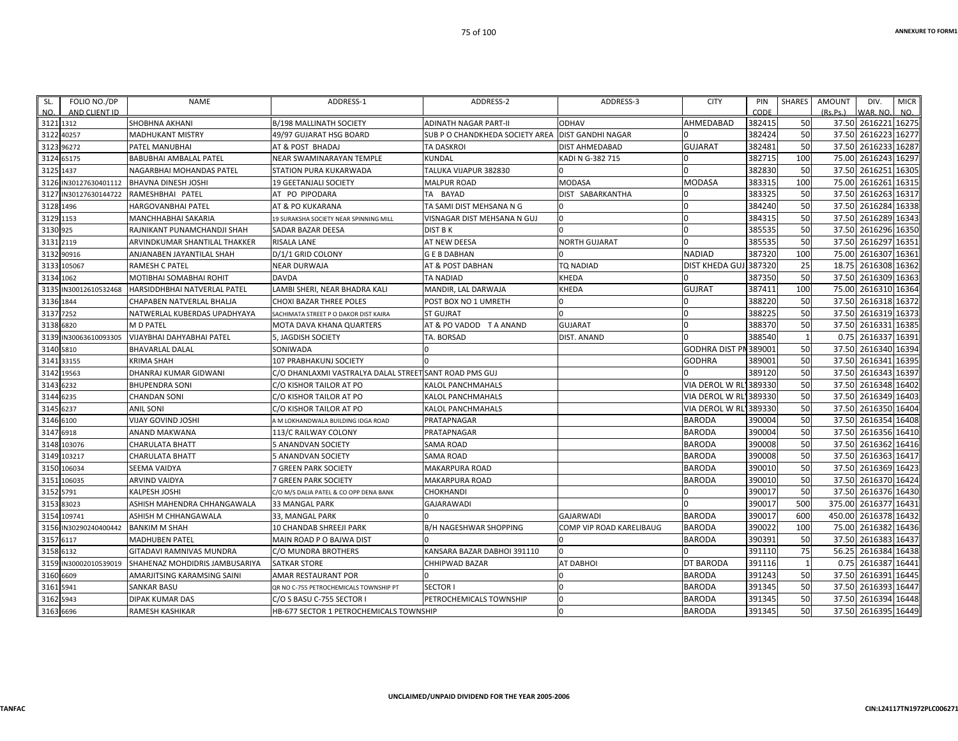| SL.         | FOLIO NO./DP          | NAME                             | ADDRESS-1                                              | ADDRESS-2                       | ADDRESS-3                | <b>CITY</b>           | PIN    | SHARES       | AMOUNT   | DIV.                | <b>MICR</b> |
|-------------|-----------------------|----------------------------------|--------------------------------------------------------|---------------------------------|--------------------------|-----------------------|--------|--------------|----------|---------------------|-------------|
| NO.         | AND CLIENT ID         |                                  |                                                        |                                 |                          |                       | CODE   |              | (Rs.Ps.) | WAR, NO.            | NO.         |
| 3121 1312   |                       | <b>SHOBHNA AKHANI</b>            | <b>B/198 MALLINATH SOCIETY</b>                         | ADINATH NAGAR PART-II           | <b>ODHAV</b>             | AHMEDABAD             | 382415 | 50           |          | 37.50 2616221 16275 |             |
| 3122 40257  |                       | <b>MADHUKANT MISTRY</b>          | 49/97 GUJARAT HSG BOARD                                | SUB P O CHANDKHEDA SOCIETY AREA | <b>DIST GANDHI NAGAR</b> |                       | 382424 | 50           |          | 37.50 2616223       | 16277       |
| 3123 96272  |                       | PATEL MANUBHAI                   | AT & POST BHADAJ                                       | <b>TA DASKROI</b>               | <b>DIST AHMEDABAD</b>    | <b>GUJARAT</b>        | 382481 | 50           |          | 37.50 2616233 16287 |             |
| 3124 65175  |                       | BABUBHAI AMBALAL PATEL           | NEAR SWAMINARAYAN TEMPLE                               | KUNDAL                          | KADI N G-382 715         |                       | 382715 | 100          | 75.00    | 2616243             | 16297       |
| 3125 1437   |                       | NAGARBHAI MOHANDAS PATEL         | STATION PURA KUKARWADA                                 | TALUKA VIJAPUR 382830           |                          |                       | 382830 | 50           |          | 37.50 2616251       | 16305       |
|             | 3126 IN30127630401112 | <b>BHAVNA DINESH JOSHI</b>       | 19 GEETANJALI SOCIETY                                  | <b>MALPUR ROAD</b>              | MODASA                   | MODASA                | 383315 | 100          |          | 75.00 2616261       | 16315       |
|             | 3127 IN30127630144722 | RAMESHBHAI PATEL                 | AT PO PIPODARA                                         | TA BAYAD                        | DIST SABARKANTHA         |                       | 383325 | 50           |          | 37.50 2616263       | 16317       |
| 3128 1496   |                       | <b>HARGOVANBHAI PATEL</b>        | AT & PO KUKARANA                                       | TA SAMI DIST MEHSANA N G        |                          |                       | 384240 | 50           |          | 37.50 2616284 16338 |             |
| 3129 1153   |                       | MANCHHABHAI SAKARIA              | 19 SURAKSHA SOCIETY NEAR SPINNING MILL                 | VISNAGAR DIST MEHSANA N GUJ     | $\Omega$                 |                       | 384315 | 50           |          | 37.50 2616289 16343 |             |
| 3130 925    |                       | RAJNIKANT PUNAMCHANDJI SHAH      | SADAR BAZAR DEESA                                      | DIST B K                        | n                        | <sup>n</sup>          | 385535 | 50           |          | 37.50 2616296       | 16350       |
| 3131 2119   |                       | ARVINDKUMAR SHANTILAL THAKKER    | <b>RISALA LANE</b>                                     | AT NEW DEESA                    | <b>NORTH GUJARAT</b>     |                       | 385535 | 50           |          | 37.50 2616297       | 16351       |
| 3132 90916  |                       | ANJANABEN JAYANTILAL SHAH        | D/1/1 GRID COLONY                                      | <b>GEBDABHAN</b>                |                          | NADIAD                | 387320 | 100          |          | 75.00 2616307 16361 |             |
| 3133 105067 |                       | RAMESH C PATEL                   | NEAR DURWAJA                                           | AT & POST DABHAN                | <b>TQ NADIAD</b>         | DIST KHEDA GUJ 387320 |        | 25           |          | 18.75 2616308       | 16362       |
| 3134 1062   |                       | MOTIBHAI SOMABHAI ROHIT          | <b>DAVDA</b>                                           | TA NADIAD                       | KHEDA                    |                       | 387350 | 50           | 37.50    | 2616309             | 16363       |
|             | 3135 IN30012610532468 | HARSIDDHBHAI NATVERLAL PATEL     | LAMBI SHERI, NEAR BHADRA KALI                          | MANDIR, LAL DARWAJA             | KHEDA                    | GUJRAT                | 387411 | 100          |          | 75.00 2616310 16364 |             |
| 3136 1844   |                       | CHAPABEN NATVERLAL BHALJA        | <b>CHOXI BAZAR THREE POLES</b>                         | POST BOX NO 1 UMRETH            | $\Omega$                 |                       | 388220 | 50           |          | 37.50 2616318 16372 |             |
| 3137 7252   |                       | NATWERLAL KUBERDAS UPADHYAYA     | SACHIMATA STREET P O DAKOR DIST KAIRA                  | <b>ST GUJRAT</b>                | $\Omega$                 |                       | 388225 | 50           |          | 37.50 2616319 16373 |             |
| 3138 6820   |                       | M D PATEL                        | MOTA DAVA KHANA QUARTERS                               | AT & PO VADOD T A ANAND         | <b>GUJARAT</b>           |                       | 388370 | 50           |          | 37.50 2616331       | 16385       |
|             | 3139 IN30063610093305 | <b>VIJAYBHAI DAHYABHAI PATEL</b> | <b>5. JAGDISH SOCIETY</b>                              | TA. BORSAD                      | <b>DIST. ANAND</b>       |                       | 388540 | 1            | 0.75     | 2616337 16391       |             |
| 3140 5810   |                       | <b>BHAVARLAL DALAL</b>           | SONIWADA                                               |                                 |                          | GODHRA DIST PN 389001 |        | 50           |          | 37.50 2616340 16394 |             |
| 3141 33155  |                       | <b>KRIMA SHAH</b>                | 107 PRABHAKUNJ SOCIETY                                 |                                 |                          | <b>GODHRA</b>         | 389001 | 50           |          | 37.50 2616341       | 16395       |
| 3142 19563  |                       | DHANRAJ KUMAR GIDWANI            | C/O DHANLAXMI VASTRALYA DALAL STREET SANT ROAD PMS GUJ |                                 |                          |                       | 389120 | 50           | 37.50    | 2616343 16397       |             |
| 3143 6232   |                       | <b>BHUPENDRA SONI</b>            | C/O KISHOR TAILOR AT PO                                | KALOL PANCHMAHALS               |                          | VIA DEROL W RI        | 389330 | 50           |          | 37.50 2616348 16402 |             |
| 3144 6235   |                       | <b>CHANDAN SONI</b>              | C/O KISHOR TAILOR AT PO                                | KALOL PANCHMAHALS               |                          | <b>VIA DEROL W RL</b> | 389330 | 50           |          | 37.50 2616349       | 16403       |
| 3145 6237   |                       | <b>ANIL SONI</b>                 | C/O KISHOR TAILOR AT PO                                | KALOL PANCHMAHALS               |                          | VIA DEROL W RL'       | 389330 | 50           |          | 37.50 2616350 16404 |             |
| 3146 6100   |                       | <b>VIJAY GOVIND JOSHI</b>        | A M LOKHANDWALA BUILDING IDGA ROAD                     | PRATAPNAGAR                     |                          | <b>BARODA</b>         | 390004 | 50           |          | 37.50 2616354 16408 |             |
| 3147 6918   |                       | ANAND MAKWANA                    | 113/C RAILWAY COLONY                                   | PRATAPNAGAR                     |                          | <b>BARODA</b>         | 390004 | 50           |          | 37.50 2616356 16410 |             |
| 3148 103076 |                       | <b>CHARULATA BHATT</b>           | 5 ANANDVAN SOCIETY                                     | <b>SAMA ROAD</b>                |                          | <b>BARODA</b>         | 390008 | 50           | 37.50    | 2616362 16416       |             |
| 3149 103217 |                       | <b>CHARULATA BHATT</b>           | 5 ANANDVAN SOCIETY                                     | SAMA ROAD                       |                          | <b>BARODA</b>         | 390008 | 50           |          | 37.50 2616363       | 16417       |
| 3150 106034 |                       | SEEMA VAIDYA                     | 7 GREEN PARK SOCIETY                                   | MAKARPURA ROAD                  |                          | <b>BARODA</b>         | 390010 | 50           |          | 37.50 2616369 16423 |             |
| 3151 106035 |                       | <b>ARVIND VAIDYA</b>             | 7 GREEN PARK SOCIETY                                   | MAKARPURA ROAD                  |                          | <b>BARODA</b>         | 390010 | 50           |          | 37.50 2616370 16424 |             |
| 3152 5791   |                       | KALPESH JOSHI                    | C/O M/S DALIA PATEL & CO OPP DENA BANK                 | CHOKHANDI                       |                          |                       | 390017 | 50           |          | 37.50 2616376 16430 |             |
| 3153 83023  |                       | ASHISH MAHENDRA CHHANGAWALA      | <b>33 MANGAL PARK</b>                                  | <b>GAJARAWADI</b>               |                          |                       | 390017 | 500          |          | 375.00 2616377      | 16431       |
| 3154 109741 |                       | ASHISH M CHHANGAWALA             | 33, MANGAL PARK                                        |                                 | <b>GAJARWADI</b>         | <b>BARODA</b>         | 390017 | 600          | 450.00   | 2616378             | 16432       |
|             | 3156 IN30290240400442 | <b>BANKIM M SHAH</b>             | 10 CHANDAB SHREEJI PARK                                | B/H NAGESHWAR SHOPPING          | COMP VIP ROAD KARELIBAUG | <b>BARODA</b>         | 390022 | 100          | 75.00    | 2616382 16436       |             |
| 3157 6117   |                       | <b>MADHUBEN PATEL</b>            | MAIN ROAD P O BAJWA DIST                               |                                 |                          | BARODA                | 390391 | 50           |          | 37.50 2616383 16437 |             |
| 3158 6132   |                       | <b>GITADAVI RAMNIVAS MUNDRA</b>  | C/O MUNDRA BROTHERS                                    | KANSARA BAZAR DABHOI 391110     |                          |                       | 391110 | 75           |          | 56.25 2616384       | 16438       |
|             | 3159 IN30002010539019 | SHAHENAZ MOHDIDRIS JAMBUSARIYA   | <b>SATKAR STORE</b>                                    | CHHIPWAD BAZAR                  | AT DABHOI                | DT BARODA             | 391116 | $\mathbf{1}$ |          | 0.75 2616387 16441  |             |
| 3160 6609   |                       | AMARJITSING KARAMSING SAINI      | AMAR RESTAURANT POR                                    |                                 | $\Omega$                 | <b>BARODA</b>         | 391243 | 50           |          | 37.50 2616391       | 16445       |
| 3161 5941   |                       | <b>SANKAR BASU</b>               | QR NO C-755 PETROCHEMICALS TOWNSHIP PT                 | <b>SECTOR I</b>                 | $\Omega$                 | <b>BARODA</b>         | 391345 | 50           |          | 37.50 2616393 16447 |             |
| 3162 5943   |                       | DIPAK KUMAR DAS                  | C/O S BASU C-755 SECTOR I                              | PETROCHEMICALS TOWNSHIP         | $\Omega$                 | <b>BARODA</b>         | 391345 | 50           |          | 37.50 2616394       | 16448       |
| 3163 6696   |                       | <b>RAMESH KASHIKAR</b>           | <b>HB-677 SECTOR 1 PETROCHEMICALS TOWNSHIP</b>         |                                 | $\Omega$                 | <b>BARODA</b>         | 391345 | 50           |          | 37.50 2616395 16449 |             |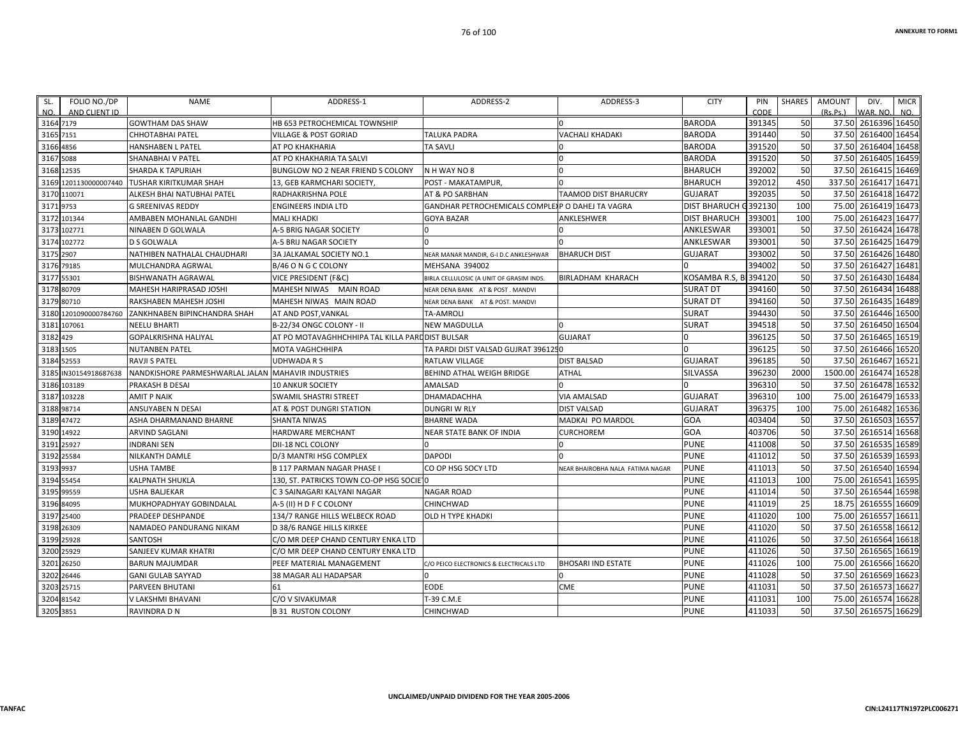| FOLIO NO./DP<br>SL.<br>NO.<br>AND CLIENT ID | <b>NAME</b>                                        | ADDRESS-1                                        | ADDRESS-2                                         | ADDRESS-3                        | <b>CITY</b>         | PIN<br>CODE | <b>SHARES</b> | <b>AMOUNT</b><br>(Rs, Ps.) | DIV.<br>WAR, NO     | <b>MICR</b><br>NO. |
|---------------------------------------------|----------------------------------------------------|--------------------------------------------------|---------------------------------------------------|----------------------------------|---------------------|-------------|---------------|----------------------------|---------------------|--------------------|
| 3164 7179                                   | <b>GOWTHAM DAS SHAW</b>                            | HB 653 PETROCHEMICAL TOWNSHIP                    |                                                   |                                  | <b>BARODA</b>       | 391345      | 50            |                            | 37.50 2616396 16450 |                    |
| 3165<br>7151                                | CHHOTABHAI PATEL                                   | VILLAGE & POST GORIAD                            | <b>TALUKA PADRA</b>                               | <b>VACHALI KHADAKI</b>           | <b>BARODA</b>       | 391440      | 50            | 37.50                      | 2616400             | 16454              |
| 3166 4856                                   | <b>HANSHABEN L PATEL</b>                           | AT PO KHAKHARIA                                  | <b>TA SAVLI</b>                                   | l O                              | <b>BARODA</b>       | 391520      | 50            | 37.50                      | 2616404             | 16458              |
| 5088<br>3167                                | <b>SHANABHAI V PATEL</b>                           | AT PO KHAKHARIA TA SALVI                         |                                                   | $\Omega$                         | <b>BARODA</b>       | 391520      | 50            | 37.50                      | 2616405             | 16459              |
| 3168<br>12535                               | SHARDA K TAPURIAH                                  | BUNGLOW NO 2 NEAR FRIEND S COLONY                | N H WAY NO 8                                      | $\Omega$                         | <b>BHARUCH</b>      | 392002      | 50            | 37.50                      | 2616415             | 16469              |
| 3169                                        | 1201130000007440 TUSHAR KIRITKUMAR SHAH            | 13, GEB KARMCHARI SOCIETY                        | POST - MAKATAMPUR,                                | $\Omega$                         | <b>BHARUCH</b>      | 392012      | 450           | 337.50                     | 2616417             | 16471              |
| 3170 110071                                 | ALKESH BHAI NATUBHAI PATEL                         | <b>RADHAKRISHNA POLE</b>                         | AT & PO SARBHAN                                   | <b>TAAMOD DIST BHARUCRY</b>      | <b>GUJARAT</b>      | 392035      | 50            | 37.50                      | 2616418             | 16472              |
| 3171<br>9753                                | <b>G SREENIVAS REDDY</b>                           | <b>ENGINEERS INDIA LTD</b>                       | GANDHAR PETROCHEMICALS COMPLE) P O DAHEJ TA VAGRA |                                  | <b>DIST BHARUCH</b> | G392130     | 100           | 75.00                      | 2616419             | 16473              |
| 3172 101344                                 | AMBABEN MOHANLAL GANDHI                            | <b>MALI KHADKI</b>                               | <b>GOYA BAZAR</b>                                 | ANKLESHWER                       | <b>DIST BHARUCH</b> | 393001      | 100           | 75.00                      | 2616423             | 16477              |
| 102771<br>3173                              | NINABEN D GOLWALA                                  | A-5 BRIG NAGAR SOCIETY                           |                                                   |                                  | ANKLESWAR           | 393001      | 50            | 37.50                      | 2616424             | 16478              |
| 3174<br>102772                              | <b>D S GOLWALA</b>                                 | A-5 BRIJ NAGAR SOCIETY                           |                                                   |                                  | ANKLESWAR           | 393001      | 50            | 37.50                      | 2616425             | 16479              |
| 3175 2907                                   | NATHIBEN NATHALAL CHAUDHARI                        | 3A JALKAMAL SOCIETY NO.1                         | NEAR MANAR MANDIR, G-I D.C ANKLESHWAR             | <b>BHARUCH DIST</b>              | <b>GUJARAT</b>      | 393002      | 50            | 37.50                      | 2616426             | 16480              |
| 3176 79185                                  | MULCHANDRA AGRWAL                                  | B/46 O N G C COLONY                              | MEHSANA 394002                                    |                                  |                     | 394002      | 50            | 37.50                      | 2616427             | 16481              |
| 55301<br>3177                               | <b>BISHWANATH AGRAWAL</b>                          | <b>VICE PRESIDENT (F&amp;C)</b>                  | BIRLA CELLULOSIC (A UNIT OF GRASIM INDS.          | <b>BIRLADHAM KHARACH</b>         | KOSAMBA R.S.<br>-RI | 394120      | 50            | 37.50                      | 2616430             | 16484              |
| 3178<br>80709                               | MAHESH HARIPRASAD JOSHI                            | MAHESH NIWAS MAIN ROAD                           | NEAR DENA BANK AT & POST. MANDVI                  |                                  | <b>SURAT DT</b>     | 394160      | 50            | 37.50                      | 2616434             | 16488              |
| 3179 80710                                  | RAKSHABEN MAHESH JOSHI                             | MAHESH NIWAS MAIN ROAD                           | NEAR DENA BANK AT & POST. MANDVI                  |                                  | <b>SURAT DT</b>     | 394160      | 50            | 37.50                      | 2616435             | 16489              |
| 1201090000784760<br>3180                    | ZANKHNABEN BIPINCHANDRA SHAH                       | AT AND POST, VANKAL                              | <b>TA-AMROLI</b>                                  |                                  | <b>SURAT</b>        | 394430      | 50            | 37.50                      | 2616446             | 16500              |
| 3181<br>107061                              | <b>NEELU BHARTI</b>                                | B-22/34 ONGC COLONY - II                         | <b>NEW MAGDULLA</b>                               | $\Omega$                         | <b>SURAT</b>        | 394518      | 50            | 37.50                      | 2616450             | 16504              |
| 3182 429                                    | <b>GOPALKRISHNA HALIYAL</b>                        | AT PO MOTAVAGHHCHHIPA TAL KILLA PARL DIST BULSAR |                                                   | <b>GUJARAT</b>                   |                     | 396125      | 50            | 37.50                      | 2616465             | 16519              |
| 1505<br>3183                                | <b>NUTANBEN PATEL</b>                              | <b>MOTA VAGHCHHIPA</b>                           | TA PARDI DIST VALSAD GUJRAT 3961250               |                                  |                     | 396125      | 50            | 37.50                      | 2616466             | 16520              |
| 3184<br>52553                               | <b>RAVJI S PATEL</b>                               | <b>UDHWADA R S</b>                               | <b>RATLAW VILLAGE</b>                             | <b>DIST BALSAD</b>               | <b>GUJARAT</b>      | 396185      | 50            | 37.50                      | 2616467             | 16521              |
| 3185<br>IN30154918687638                    | NANDKISHORE PARMESHWARLAL JALAN MAHAVIR INDUSTRIES |                                                  | BEHIND ATHAL WEIGH BRIDGE                         | <b>ATHAL</b>                     | <b>SILVASSA</b>     | 396230      | 2000          | 1500.00                    | 2616474             | 16528              |
| 3186 103189                                 | PRAKASH B DESAI                                    | <b>10 ANKUR SOCIETY</b>                          | AMALSAD                                           |                                  |                     | 396310      | 50            | 37.50                      | 2616478             | 16532              |
| 318<br>103228                               | <b>AMIT P NAIK</b>                                 | SWAMIL SHASTRI STREET                            | DHAMADACHHA                                       | <b>VIA AMALSAD</b>               | <b>GUJARAT</b>      | 396310      | 100           | 75.00                      | 2616479             | 16533              |
| 3188 98714                                  | ANSUYABEN N DESAI                                  | AT & POST DUNGRI STATION                         | <b>DUNGRI W RLY</b>                               | <b>DIST VALSAD</b>               | <b>GUJARAT</b>      | 396375      | 100           | 75.00                      | 2616482             | 16536              |
| 47472<br>3189                               | ASHA DHARMANAND BHARNE                             | <b>SHANTA NIWAS</b>                              | <b>BHARNE WADA</b>                                | <b>MADKAI PO MARDOL</b>          | GOA                 | 403404      | 50            | 37.50                      | 2616503             | 16557              |
| 3190<br>14922                               | <b>ARVIND SAGLANI</b>                              | HARDWARE MERCHANT                                | <b>NEAR STATE BANK OF INDIA</b>                   | <b>CURCHOREM</b>                 | GOA                 | 403706      | 50            | 37.50                      | 2616514             | 16568              |
| 25927<br>3191                               | <b>INDRANI SEN</b>                                 | DII-18 NCL COLONY                                |                                                   | n                                | <b>PUNE</b>         | 411008      | 50            | 37.50                      | 2616535             | 16589              |
| 25584<br>3192                               | NILKANTH DAMLE                                     | D/3 MANTRI HSG COMPLEX                           | <b>DAPODI</b>                                     |                                  | <b>PUNE</b>         | 411012      | 50            | 37.50                      | 2616539             | 16593              |
| 3193<br>9937                                | <b>USHA TAMBE</b>                                  | <b>B 117 PARMAN NAGAR PHASE I</b>                | CO OP HSG SOCY LTD                                | NEAR BHAIROBHA NALA FATIMA NAGAR | <b>PUNE</b>         | 411013      | 50            | 37.50                      | 2616540             | 16594              |
| 3194<br>55454                               | <b>KALPNATH SHUKLA</b>                             | 130, ST. PATRICKS TOWN CO-OP HSG SOCIE 0         |                                                   |                                  | <b>PUNE</b>         | 411013      | 100           | 75.00                      | 2616541             | 16595              |
| 99559<br>3195                               | <b>USHA BALJEKAR</b>                               | C 3 SAINAGARI KALYANI NAGAR                      | <b>NAGAR ROAD</b>                                 |                                  | <b>PUNE</b>         | 411014      | 50            | 37.50                      | 2616544             | 16598              |
| 3196<br>84095                               | MUKHOPADHYAY GOBINDALAL                            | A-5 (II) H D F C COLONY                          | CHINCHWAD                                         |                                  | <b>PUNE</b>         | 411019      | 25            | 18.75                      | 2616555             | 16609              |
| 3197<br>25400                               | PRADEEP DESHPANDE                                  | 134/7 RANGE HILLS WELBECK ROAD                   | OLD H TYPE KHADKI                                 |                                  | <b>PUNE</b>         | 411020      | 100           | 75.00                      | 2616557             | 16611              |
| 3198 26309                                  | NAMADEO PANDURANG NIKAM                            | D 38/6 RANGE HILLS KIRKEE                        |                                                   |                                  | <b>PUNE</b>         | 411020      | 50            | 37.50                      | 2616558             | 16612              |
| 3199 25928                                  | SANTOSH                                            | C/O MR DEEP CHAND CENTURY ENKA LTD               |                                                   |                                  | <b>PUNE</b>         | 411026      | 50            | 37.50                      | 2616564             | 16618              |
| 25929<br>3200                               | SANJEEV KUMAR KHATRI                               | C/O MR DEEP CHAND CENTURY ENKA LTD               |                                                   |                                  | <b>PUNE</b>         | 411026      | 50            | 37.50                      | 2616565             | 16619              |
| 26250<br>3201                               | <b>BARUN MAJUMDAR</b>                              | PEEF MATERIAL MANAGEMENT                         | C/O PEICO ELECTRONICS & ELECTRICALS LTD           | <b>BHOSARI IND ESTATE</b>        | <b>PUNE</b>         | 411026      | 100           | 75.00                      | 2616566             | 16620              |
| 26446<br>3202                               | <b>GANI GULAB SAYYAD</b>                           | 38 MAGAR ALI HADAPSAR                            |                                                   |                                  | <b>PUNE</b>         | 411028      | 50            | 37.50                      | 2616569             | 16623              |
| 3203<br>25715                               | <b>PARVEEN BHUTANI</b>                             | 61                                               | <b>EODE</b>                                       | <b>CME</b>                       | <b>PUNE</b>         | 411031      | 50            | 37.50                      | 2616573             | 16627              |
| 3204 81542                                  | V LAKSHMI BHAVANI                                  | C/O V SIVAKUMAR                                  | T-39 C.M.E                                        |                                  | <b>PUNE</b>         | 411031      | 100           | 75.00                      | 2616574             | 16628              |
| 3205 3851                                   | RAVINDRA D N                                       | <b>B 31 RUSTON COLONY</b>                        | CHINCHWAD                                         |                                  | <b>PUNE</b>         | 411033      | 50            |                            | 37.50 2616575 16629 |                    |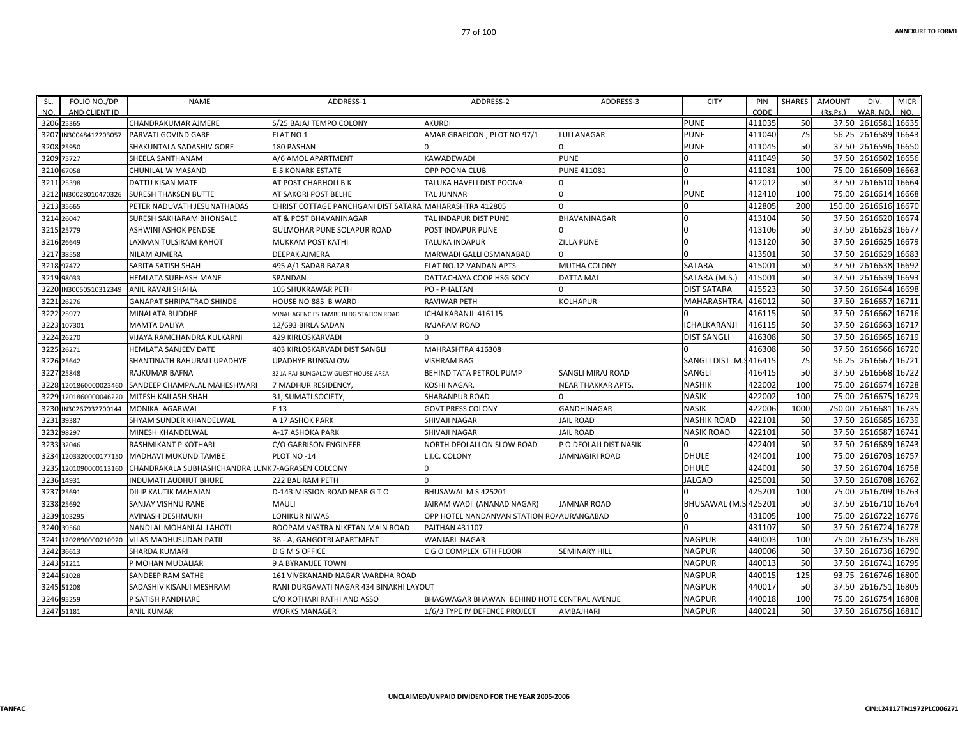| FOLIO NO./DP<br>SL.<br>AND CLIENT ID<br>NO. | <b>NAME</b>                                      | ADDRESS-1                               | ADDRESS-2                                   | ADDRESS-3                 | <b>CITY</b>            | PIN<br>CODE | <b>SHARES</b> | <b>AMOUNT</b><br>(Rs, Ps) | DIV.<br>WAR, NO     | <b>MICR</b><br>NO. |
|---------------------------------------------|--------------------------------------------------|-----------------------------------------|---------------------------------------------|---------------------------|------------------------|-------------|---------------|---------------------------|---------------------|--------------------|
| 3206 25365                                  | CHANDRAKUMAR AJMERE                              | S/25 BAJAJ TEMPO COLONY                 | <b>AKURDI</b>                               |                           | <b>PUNE</b>            | 411035      | 50            | 37.50                     | 2616581 16635       |                    |
| 3207<br>N30048412203057                     | <b>PARVATI GOVIND GARE</b>                       | FLAT NO 1                               | AMAR GRAFICON, PLOT NO 97/1                 | LULLANAGAR                | <b>PUNE</b>            | 411040      | 75            | 56.25                     | 2616589             | 16643              |
| 3208 25950                                  | SHAKUNTALA SADASHIV GORE                         | 180 PASHAN                              |                                             | $\Omega$                  | <b>PUNE</b>            | 411045      | 50            | 37.50                     | 2616596             | 16650              |
| 3209 75727                                  | SHEELA SANTHANAM                                 | A/6 AMOL APARTMENT                      | <b>KAWADEWADI</b>                           | <b>PUNE</b>               |                        | 411049      | 50            | 37.50                     | 2616602             | 16656              |
| 3210<br>67058                               | CHUNILAL W MASAND                                | <b>E-5 KONARK ESTATE</b>                | OPP POONA CLUB                              | <b>PUNE 411081</b>        |                        | 411081      | 100           | 75.00                     | 2616609             | 16663              |
| 3211<br>25398                               | DATTU KISAN MATE                                 | AT POST CHARHOLI B K                    | TALUKA HAVELI DIST POONA                    | l O                       | $\Omega$               | 412012      | 50            | 37.50                     | 2616610             | 16664              |
| 3212<br>IN30028010470326                    | <b>SURESH THAKSEN BUTTE</b>                      | AT SAKORI POST BELHE                    | <b>TAL JUNNAR</b>                           | $\Omega$                  | <b>PUNE</b>            | 412410      | 100           | 75.00                     | 2616614             | 16668              |
| 3213<br>35665                               | PETER NADUVATH JESUNATHADAS                      | CHRIST COTTAGE PANCHGANI DIST SATARA    | MAHARASHTRA 412805                          |                           |                        | 412805      | 200           | 150.00                    | 2616616             | 16670              |
| 3214 26047                                  | SURESH SAKHARAM BHONSALE                         | AT & POST BHAVANINAGAR                  | TAL INDAPUR DIST PUNE                       | <b>BHAVANINAGAR</b>       | U                      | 413104      | 50            | 37.50                     | 2616620             | 16674              |
| 3215<br>25779                               | <b>ASHWINI ASHOK PENDSE</b>                      | <b>GULMOHAR PUNE SOLAPUR ROAD</b>       | POST INDAPUR PUNE                           |                           |                        | 413106      | 50            | 37.50                     | 2616623             | 16677              |
| 3216<br>26649                               | LAXMAN TULSIRAM RAHOT                            | MUKKAM POST KATHI                       | <b>TALUKA INDAPUR</b>                       | <b>ZILLA PUNE</b>         |                        | 413120      | 50            | 37.50                     | 2616625             | 16679              |
| 38558<br>3217                               | NILAM AJMERA                                     | DEEPAK AJMERA                           | MARWADI GALLI OSMANABAD                     |                           |                        | 413501      | 50            | 37.50                     | 2616629             | 16683              |
| 3218<br>97472                               | SARITA SATISH SHAH                               | 495 A/1 SADAR BAZAR                     | FLAT NO.12 VANDAN APTS                      | <b>MUTHA COLONY</b>       | <b>SATARA</b>          | 415001      | 50            | 37.50                     | 2616638             | 16692              |
| 3219<br>98033                               | <b>HEMLATA SUBHASH MANE</b>                      | SPANDAN                                 | DATTACHAYA COOP HSG SOCY                    | <b>DATTA MAL</b>          | SATARA (M.S.)          | 415001      | 50            | 37.50                     | 2616639             | 16693              |
| IN30050510312349<br>3220                    | <b>ANIL RAVAJI SHAHA</b>                         | 105 SHUKRAWAR PETH                      | PO - PHALTAN                                | $\Omega$                  | <b>DIST SATARA</b>     | 415523      | 50            | 37.50                     | 2616644             | 16698              |
| 3221<br>26276                               | <b>GANAPAT SHRIPATRAO SHINDE</b>                 | HOUSE NO 885 B WARD                     | <b>RAVIWAR PETH</b>                         | <b>KOLHAPUR</b>           | <b>MAHARASHTRA</b>     | 416012      | 50            | 37.50                     | 2616657             | 16711              |
| 3222<br>25977                               | MINALATA BUDDHE                                  | MINAL AGENCIES TAMBE BLDG STATION ROAD  | ICHALKARANJI 416115                         |                           |                        | 416115      | 50            | 37.50                     | 2616662             | 16716              |
| 3223<br>107301                              | <b>MAMTA DALIYA</b>                              | 12/693 BIRLA SADAN                      | RAJARAM ROAD                                |                           | ICHALKARANJI           | 416115      | 50            | 37.50                     | 2616663             | 16717              |
| 3224<br>26270                               | VIJAYA RAMCHANDRA KULKARNI                       | <b>429 KIRLOSKARVADI</b>                |                                             |                           | <b>DIST SANGLI</b>     | 416308      | 50            | 37.50                     | 2616665             | 16719              |
| 3225<br>26271                               | HEMLATA SANJEEV DATE                             | 403 KIRLOSKARVADI DIST SANGLI           | MAHRASHTRA 416308                           |                           |                        | 416308      | 50            | 37.50                     | 2616666             | 16720              |
| 3226 25642                                  | SHANTINATH BAHUBALI UPADHYE                      | <b>UPADHYE BUNGALOW</b>                 | <b>VISHRAM BAG</b>                          |                           | SANGLI DIST M. 9416415 |             | 75            | 56.25                     | 2616667             | 16721              |
| 3227<br>25848                               | <b>RAJKUMAR BAFNA</b>                            | 32 JAIRAJ BUNGALOW GUEST HOUSE AREA     | <b>BEHIND TATA PETROL PUMP</b>              | <b>SANGLI MIRAJ ROAD</b>  | SANGLI                 | 416415      | 50            | 37.50                     | 2616668             | 16722              |
| 1201860000023460<br>3228                    | <b>SANDEEP CHAMPALAL MAHESHWARI</b>              | 7 MADHUR RESIDENCY,                     | KOSHI NAGAR.                                | <b>NEAR THAKKAR APTS,</b> | <b>NASHIK</b>          | 422002      | 100           | 75.00                     | 2616674             | 16728              |
| 1201860000046220<br>3229                    | MITESH KAILASH SHAH                              | 31, SUMATI SOCIETY,                     | <b>SHARANPUR ROAD</b>                       |                           | <b>NASIK</b>           | 422002      | 100           | 75.00                     | 2616675             | 16729              |
| 3230<br>IN30267932700144                    | MONIKA AGARWAL                                   | E 13                                    | <b>GOVT PRESS COLONY</b>                    | <b>GANDHINAGAR</b>        | <b>NASIK</b>           | 422006      | 1000          | 750.00                    | 2616681             | 16735              |
| 3231<br>39387                               | SHYAM SUNDER KHANDELWAL                          | A 17 ASHOK PARK                         | SHIVAJI NAGAR                               | <b>JAIL ROAD</b>          | <b>NASHIK ROAD</b>     | 422101      | 50            | 37.50                     | 2616685             | 16739              |
| 3232<br>98297                               | MINESH KHANDELWAL                                | A-17 ASHOKA PARK                        | SHIVAJI NAGAR                               | <b>JAIL ROAD</b>          | <b>NASIK ROAD</b>      | 422101      | 50            | 37.50                     | 2616687             | 16741              |
| 32046<br>3233                               | RASHMIKANT P KOTHARI                             | C/O GARRISON ENGINEER                   | NORTH DEOLALI ON SLOW ROAD                  | P O DEOLALI DIST NASIK    |                        | 422401      | 50            | 37.50                     | 2616689             | 16743              |
| 1203320000177150<br>3234                    | MADHAVI MUKUND TAMBE                             | PLOT NO -14                             | L.I.C. COLONY                               | <b>JAMNAGIRI ROAD</b>     | <b>DHULE</b>           | 424001      | 100           | 75.00                     | 2616703             | 16757              |
| 3235<br>1201090000113160                    | CHANDRAKALA SUBHASHCHANDRA LUNK7-AGRASEN COLCONY |                                         |                                             |                           | <b>DHULE</b>           | 424001      | 50            | 37.50                     | 2616704             | 16758              |
| 3236 14931                                  | <b>INDUMATI AUDHUT BHURE</b>                     | 222 BALIRAM PETH                        |                                             |                           | <b>JALGAO</b>          | 425001      | 50            | 37.50                     | 2616708 16762       |                    |
| 25691<br>3237                               | <b>DILIP KAUTIK MAHAJAN</b>                      | D-143 MISSION ROAD NEAR G TO            | BHUSAWAL M S 425201                         |                           |                        | 425201      | 100           | 75.00                     | 2616709             | 16763              |
| 3238<br>25692                               | SANJAY VISHNU RANE                               | <b>MAULI</b>                            | JAIRAM WADI (ANANAD NAGAR)                  | <b>JAMNAR ROAD</b>        | <b>BHUSAWAL (M</b>     | 425201      | 50            | 37.50                     | 2616710             | 16764              |
| 103295<br>3239                              | AVINASH DESHMUKH                                 | LONIKUR NIWAS                           | OPP HOTEL NANDANVAN STATION ROJAURANGABAD   |                           |                        | 431005      | 100           | 75.00                     | 2616722             | 16776              |
| 39560<br>3240                               | NANDLAL MOHANLAL LAHOTI                          | ROOPAM VASTRA NIKETAN MAIN ROAD         | <b>PAITHAN 431107</b>                       |                           |                        | 431107      | 50            | 37.50                     | 2616724             | 16778              |
| 324<br>1202890000210920                     | VILAS MADHUSUDAN PATIL                           | 38 - A, GANGOTRI APARTMENT              | WANJARI NAGAR                               |                           | <b>NAGPUR</b>          | 440003      | 100           | 75.00                     | 2616735             | 16789              |
| 3242 36613                                  | SHARDA KUMARI                                    | <b>D G M S OFFICE</b>                   | C G O COMPLEX 6TH FLOOR                     | <b>SEMINARY HILL</b>      | <b>NAGPUR</b>          | 440006      | 50            | 37.50                     | 2616736 16790       |                    |
| 51211<br>3243                               | P MOHAN MUDALIAR                                 | 9 A BYRAMJEE TOWN                       |                                             |                           | <b>NAGPUR</b>          | 440013      | 50            | 37.50                     | 2616741             | 16795              |
| 3244<br>51028                               | SANDEEP RAM SATHE                                | 161 VIVEKANAND NAGAR WARDHA ROAD        |                                             |                           | <b>NAGPUR</b>          | 440015      | 125           | 93.75                     | 2616746             | 16800              |
| 3245 51208                                  | SADASHIV KISANJI MESHRAM                         | RANI DURGAVATI NAGAR 434 BINAKHI LAYOUT |                                             |                           | <b>NAGPUR</b>          | 440017      | 50            | 37.50                     | 2616751             | 16805              |
| 3246 95259                                  | P SATISH PANDHARE                                | C/O KOTHARI RATHI AND ASSO              | BHAGWAGAR BHAWAN BEHIND HOTE CENTRAL AVENUE |                           | <b>NAGPUR</b>          | 440018      | 100           | 75.00                     | 2616754             | 16808              |
| 3247 51181                                  | <b>ANIL KUMAR</b>                                | <b>WORKS MANAGER</b>                    | 1/6/3 TYPE IV DEFENCE PROJECT               | <b>AMBAJHARI</b>          | <b>NAGPUR</b>          | 440021      | 50            |                           | 37.50 2616756 16810 |                    |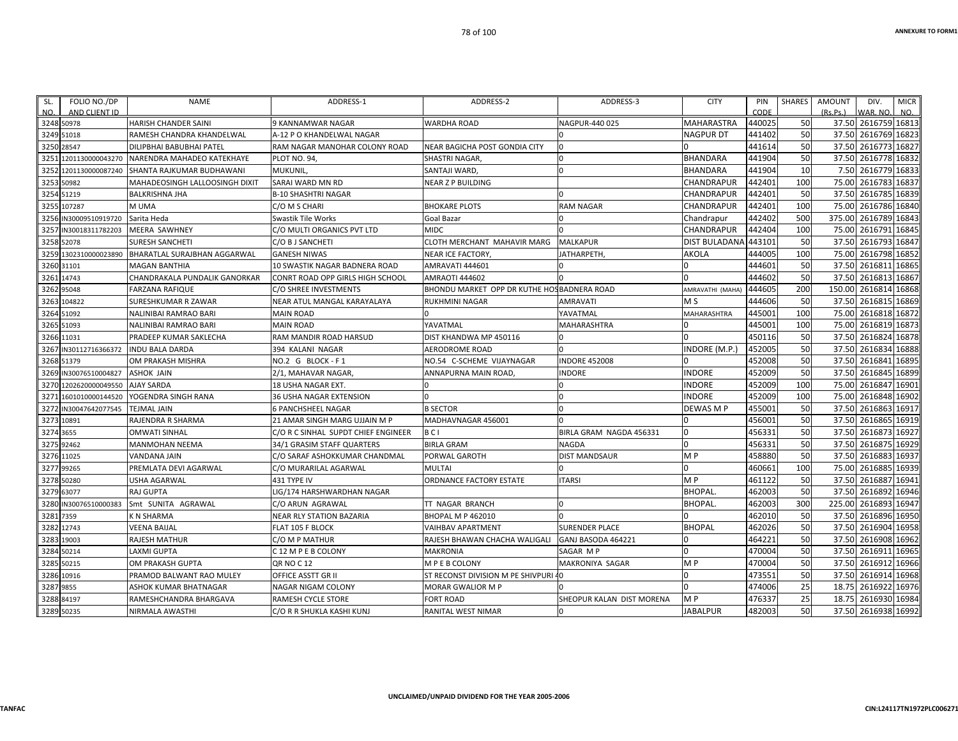| FOLIO NO./DP<br>SL.<br>NO.<br>AND CLIENT ID | <b>NAME</b>                         | ADDRESS-1                           | ADDRESS-2                                   | ADDRESS-3                 | <b>CITY</b>          | PIN<br>CODE | <b>SHARES</b>   | <b>AMOUNT</b><br>(Rs Ps) | DIV.<br>VAR, NO     | <b>MICR</b><br>NO. |
|---------------------------------------------|-------------------------------------|-------------------------------------|---------------------------------------------|---------------------------|----------------------|-------------|-----------------|--------------------------|---------------------|--------------------|
| 3248 50978                                  | <b>HARISH CHANDER SAINI</b>         | 9 KANNAMWAR NAGAR                   | <b>WARDHA ROAD</b>                          | NAGPUR-440 025            | <b>MAHARASTRA</b>    | 440025      | 50              | 37.50                    | 2616759 16813       |                    |
| 3249<br>51018                               | RAMESH CHANDRA KHANDELWAL           | A-12 P O KHANDELWAL NAGAR           |                                             |                           | <b>NAGPUR DT</b>     | 441402      | 50              | 37.50                    | 2616769             | 16823              |
| 3250<br>28547                               | DILIPBHAI BABUBHAI PATEL            | RAM NAGAR MANOHAR COLONY ROAD       | NEAR BAGICHA POST GONDIA CITY               |                           |                      | 441614      | <b>50</b>       | 37.50                    | 2616773             | 16827              |
| 1201130000043270<br>325                     | NARENDRA MAHADEO KATEKHAYE          | PLOT NO. 94,                        | SHASTRI NAGAR,                              |                           | <b>BHANDARA</b>      | 441904      | 50              | 37.50                    | 2616778 16832       |                    |
| 325<br>1201130000087240                     | SHANTA RAJKUMAR BUDHAWANI           | MUKUNIL,                            | SANTAJI WARD.                               | $\Omega$                  | <b>BHANDARA</b>      | 441904      | 10 <sup>1</sup> | 7.50                     | 2616779 16833       |                    |
| 3253<br>50982                               | MAHADEOSINGH LALLOOSINGH DIXIT      | SARAI WARD MN RD                    | <b>NEAR Z P BUILDING</b>                    |                           | CHANDRAPUR           | 442401      | 100             | 75.00                    | 2616783             | 16837              |
| 3254<br>51219                               | <b>BALKRISHNA JHA</b>               | <b>B-10 SHASHTRI NAGAR</b>          |                                             |                           | CHANDRAPUR           | 442401      | 50              | 37.50                    | 2616785 16839       |                    |
| 107287<br>3255                              | M UMA                               | C/O M S CHARI                       | <b>BHOKARE PLOTS</b>                        | RAM NAGAR                 | CHANDRAPUR           | 442401      | 100             | 75.00                    | 2616786             | 16840              |
| 3256 IN30009510919720                       | Sarita Heda                         | <b>Swastik Tile Works</b>           | Goal Bazar                                  |                           | Chandrapur           | 442402      | 500             | 375.00                   | 2616789             | 16843              |
| 3257<br>IN30018311782203                    | <b>MEERA SAWHNEY</b>                | C/O MULTI ORGANICS PVT LTD          | <b>MIDC</b>                                 |                           | CHANDRAPUR           | 442404      | 100             | 75.00                    | 2616791             | 16845              |
| 3258<br>52078                               | <b>SURESH SANCHETI</b>              | C/O B J SANCHETI                    | CLOTH MERCHANT MAHAVIR MARG                 | MALKAPUR                  | <b>DIST BULADANA</b> | 443101      | 50              | 37.50                    | 2616793             | 16847              |
| 1302310000023890<br>3259                    | <b>BHARATLAL SURAJBHAN AGGARWAL</b> | <b>GANESH NIWAS</b>                 | <b>NEAR ICE FACTORY</b>                     | <b>IATHARPETH.</b>        | <b>AKOLA</b>         | 444005      | 100             | 75.00                    | 2616798             | 16852              |
| 3260 31101                                  | <b>MAGAN BANTHIA</b>                | 10 SWASTIK NAGAR BADNERA ROAD       | AMRAVATI 444601                             |                           |                      | 444601      | 50              | 37.50                    | 2616811             | 16865              |
| 3261<br>14743                               | CHANDRAKALA PUNDALIK GANORKAR       | CONRT ROAD OPP GIRLS HIGH SCHOOL    | <b>AMRAOTI 444602</b>                       |                           |                      | 444602      | 50              | 37.50                    | 2616813             | 16867              |
| 3262 95048                                  | <b>FARZANA RAFIQUE</b>              | C/O SHREE INVESTMENTS               | BHONDU MARKET OPP DR KUTHE HOS BADNERA ROAD |                           | AMRAVATHI (MAHA      | 444605      | 200             | 150.00                   | 2616814             | 16868              |
| 104822<br>3263                              | SURESHKUMAR R ZAWAR                 | NEAR ATUL MANGAL KARAYALAYA         | <b>RUKHMINI NAGAR</b>                       | AMRAVATI                  | M <sub>S</sub>       | 444606      | 50              | 37.50                    | 2616815             | 16869              |
| 3264<br>51092                               | NALINIBAI RAMRAO BARI               | <b>MAIN ROAD</b>                    |                                             | YAVATMAL                  | MAHARASHTRA          | 445001      | 100             | 75.00                    | 2616818             | 16872              |
| 3265<br>51093                               | NALINIBAI RAMRAO BARI               | <b>MAIN ROAD</b>                    | YAVATMAL                                    | MAHARASHTRA               |                      | 445001      | 100             | 75.00                    | 2616819             | 16873              |
| 11031<br>3266                               | PRADEEP KUMAR SAKLECHA              | RAM MANDIR ROAD HARSUD              | DIST KHANDWA MP 450116                      |                           |                      | 450116      | 50              | 37.50                    | 2616824             | 16878              |
| IN30112716366372<br>3267                    | <b>INDU BALA DARDA</b>              | 394 KALANI NAGAR                    | <b>AERODROME ROAD</b>                       |                           | <b>INDORE (M.P.)</b> | 452005      | 50              | 37.50                    | 2616834             | 16888              |
| 3268 51379                                  | OM PRAKASH MISHRA                   | NO.2 G BLOCK-F1                     | NO.54 C-SCHEME VIJAYNAGAR                   | <b>NDORE 452008</b>       | 0                    | 452008      | 50              | 37.50                    | 2616841             | 16895              |
| IN30076510004827<br>3269                    | <b>ASHOK JAIN</b>                   | 2/1, MAHAVAR NAGAR,                 | ANNAPURNA MAIN ROAD,                        | <b>NDORE</b>              | <b>INDORE</b>        | 452009      | 50              | 37.50                    | 2616845             | 16899              |
| 1202620000049550<br>3270                    | <b>AJAY SARDA</b>                   | <b>18 USHA NAGAR EXT.</b>           |                                             |                           | <b>INDORE</b>        | 452009      | 100             | 75.00                    | 2616847             | 16901              |
| 3271<br>1601010000144520                    | YOGENDRA SINGH RANA                 | 36 USHA NAGAR EXTENSION             | $\Omega$                                    | $\Omega$                  | <b>INDORE</b>        | 452009      | 100             | 75.00                    | 2616848             | 16902              |
| 3272<br>IN30047642077545                    | <b>TEJMAL JAIN</b>                  | <b>6 PANCHSHEEL NAGAR</b>           | <b>B SECTOR</b>                             |                           | DEWAS M P            | 455001      | 50              | 37.50                    | 2616863 16917       |                    |
| 10891<br>3273                               | RAJENDRA R SHARMA                   | 21 AMAR SINGH MARG UJJAIN M P       | MADHAVNAGAR 456001                          |                           |                      | 456001      | 50              | 37.50                    | 2616865             | 16919              |
| 3274<br>3655                                | <b>OMWATI SINHAL</b>                | C/O R C SINHAL SUPDT CHIEF ENGINEER | BCI                                         | BIRLA GRAM NAGDA 456331   | $\Omega$             | 456331      | 50              | 37.50                    | 2616873             | 16927              |
| 3275<br>92462                               | <b>MANMOHAN NEEMA</b>               | 34/1 GRASIM STAFF QUARTERS          | <b>BIRLA GRAM</b>                           | NAGDA                     | <sup>0</sup>         | 456331      | 50              | 37.50                    | 2616875             | 16929              |
| 3276 11025                                  | <b>VANDANA JAIN</b>                 | C/O SARAF ASHOKKUMAR CHANDMAL       | PORWAL GAROTH                               | DIST MANDSAUR             | M <sub>P</sub>       | 458880      | 50              | 37.50                    | 2616883             | 16937              |
| 3277<br>99265                               | PREMLATA DEVI AGARWAL               | C/O MURARILAL AGARWAL               | <b>MULTAI</b>                               |                           | U                    | 460661      | 100             | 75.00                    | 2616885             | 16939              |
| 3278<br>50280                               | <b>USHA AGARWAL</b>                 | 431 TYPE IV                         | ORDNANCE FACTORY ESTATE                     | TARSI                     | M <sub>P</sub>       | 461122      | 50              | 37.50                    | 2616887             | 16941              |
| 3279<br>63077                               | <b>RAJ GUPTA</b>                    | LIG/174 HARSHWARDHAN NAGAR          |                                             |                           | <b>BHOPAL</b>        | 462003      | 50              | 37.50                    | 2616892             | 16946              |
| 3280<br>IN30076510000383                    | Smt SUNITA AGRAWAL                  | C/O ARUN AGRAWAL                    | TT NAGAR BRANCH                             |                           | <b>BHOPAL</b>        | 462003      | 300             | 225.00                   | 2616893             | 16947              |
| 3281 7359                                   | K N SHARMA                          | <b>NEAR RLY STATION BAZARIA</b>     | <b>BHOPAL M P 462010</b>                    |                           |                      | 462010      | 50              |                          | 37.50 2616896       | 16950              |
| 12743<br>3282                               | <b>VEENA BAIJAL</b>                 | FLAT 105 F BLOCK                    | <b>VAIHBAV APARTMENT</b>                    | <b>SURENDER PLACE</b>     | <b>BHOPAL</b>        | 462026      | 50              | 37.50                    | 2616904             | 16958              |
| 19003<br>3283                               | RAJESH MATHUR                       | C/O M P MATHUR                      | RAJESH BHAWAN CHACHA WALIGALI               | GANJ BASODA 464221        |                      | 464221      | 50              | 37.50                    | 2616908             | 16962              |
| 50214<br>3284                               | <b>LAXMI GUPTA</b>                  | C 12 M P E B COLONY                 | <b>MAKRONIA</b>                             | SAGAR M P                 | <sup>0</sup>         | 470004      | 50              | 37.50                    | 2616911             | 16965              |
| 3285<br>50215                               | <b>OM PRAKASH GUPTA</b>             | <b>QR NO C 12</b>                   | M P E B COLONY                              | MAKRONIYA SAGAR           | M <sub>P</sub>       | 470004      | 50              | 37.50                    | 2616912             | 16966              |
| 3286 10916                                  | PRAMOD BALWANT RAO MULEY            | OFFICE ASSTT GR II                  | ST RECONST DIVISION M PE SHIVPURI           |                           | $\Omega$             | 473551      | 50              | 37.50                    | 2616914             | 16968              |
| 9855<br>3287                                | ASHOK KUMAR BHATNAGAR               | NAGAR NIGAM COLONY                  | <b>MORAR GWALIOR M P</b>                    |                           | <sup>0</sup>         | 474006      | 25              | 18.75                    | 2616922             | 16976              |
| 3288 84197                                  | RAMESHCHANDRA BHARGAVA              | <b>RAMESH CYCLE STORE</b>           | <b>FORT ROAD</b>                            | SHEOPUR KALAN DIST MORENA | M <sub>P</sub>       | 476337      | 25              | 18.75                    | 2616930             | 16984              |
| 3289 50235                                  | NIRMALA AWASTHI                     | C/O R R SHUKLA KASHI KUNJ           | RANITAL WEST NIMAR                          |                           | <b>JABALPUR</b>      | 482003      | 50              |                          | 37.50 2616938 16992 |                    |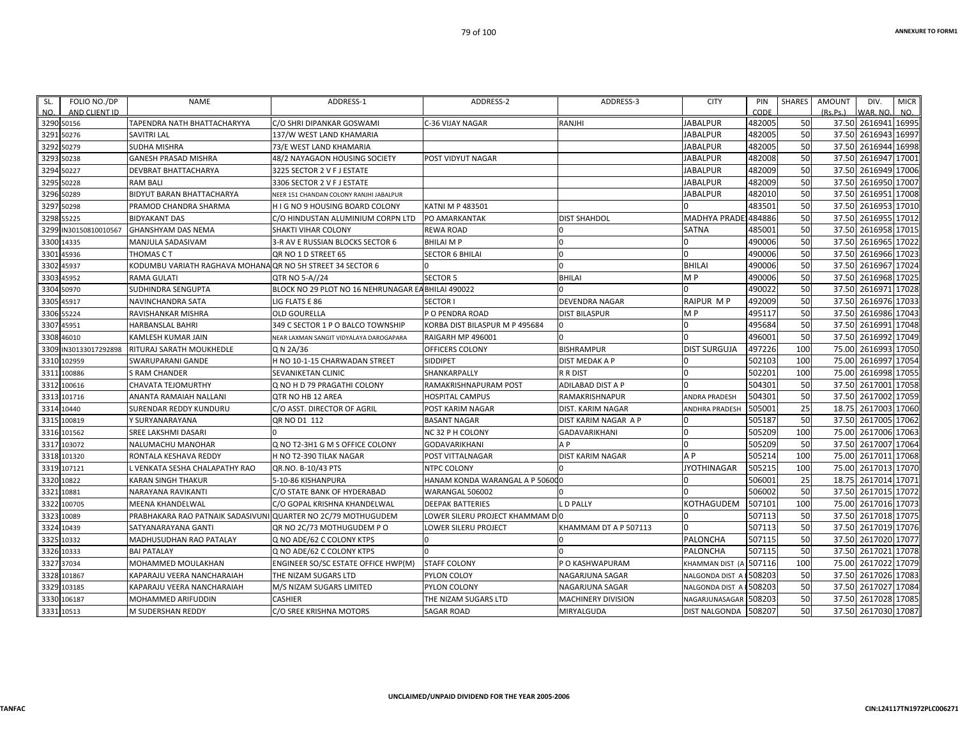| FOLIO NO./DP<br>SL.<br>NO.<br>AND CLIENT ID | <b>NAME</b>                                                | ADDRESS-1                                          | ADDRESS-2                       | ADDRESS-3                 | <b>CITY</b>          | PIN<br>CODE | <b>SHARES</b> | <b>AMOUNT</b><br>(Rs, Ps.) | DIV.<br>WAR, NO     | <b>MICR</b><br>NO. |
|---------------------------------------------|------------------------------------------------------------|----------------------------------------------------|---------------------------------|---------------------------|----------------------|-------------|---------------|----------------------------|---------------------|--------------------|
| 3290<br>50156                               | TAPENDRA NATH BHATTACHARYYA                                | C/O SHRI DIPANKAR GOSWAMI                          | C-36 VIJAY NAGAR                | RANJHI                    | <b>JABALPUR</b>      | 482005      | 50            |                            | 37.50 2616941 16995 |                    |
| 3291<br>50276                               | <b>SAVITRI LAL</b>                                         | 137/W WEST LAND KHAMARIA                           |                                 |                           | JABALPUR             | 482005      | 50            | 37.50                      | 2616943             | 16997              |
| 3292<br>50279                               | SUDHA MISHRA                                               | 73/E WEST LAND KHAMARIA                            |                                 |                           | JABALPUR             | 482005      | 50            | 37.50                      | 2616944             | 16998              |
| 3293<br>50238                               | <b>GANESH PRASAD MISHRA</b>                                | 48/2 NAYAGAON HOUSING SOCIETY                      | POST VIDYUT NAGAR               |                           | JABALPUR             | 482008      | 50            | 37.50                      | 2616947             | 17001              |
| 3294<br>50227                               | DEVBRAT BHATTACHARYA                                       | 3225 SECTOR 2 V F J ESTATE                         |                                 |                           | JABALPUR             | 482009      | 50            | 37.50                      | 2616949             | 17006              |
| 3295<br>50228                               | <b>RAM BALI</b>                                            | 3306 SECTOR 2 V F J ESTATE                         |                                 |                           | JABALPUR             | 482009      | 50            | 37.50                      | 2616950             | 17007              |
| 3296<br>50289                               | BIDYUT BARAN BHATTACHARYA                                  | NEER 151 CHANDAN COLONY RANJHI JABALPUR            |                                 |                           | <b>JABALPUR</b>      | 482010      | 50            | 37.50                      | 2616951             | 17008              |
| 3297<br>50298                               | PRAMOD CHANDRA SHARMA                                      | H I G NO 9 HOUSING BOARD COLONY                    | <b>KATNI M P 483501</b>         |                           |                      | 483501      | 50            | 37.50                      | 2616953             | 17010              |
| 3298 55225                                  | <b>BIDYAKANT DAS</b>                                       | C/O HINDUSTAN ALUMINIUM CORPN LTD                  | <b>PO AMARKANTAK</b>            | <b>DIST SHAHDOL</b>       | <b>MADHYA PRADE:</b> | 484886      | 50            | 37.50                      | 2616955             | 17012              |
| 3299<br>IN30150810010567                    | <b>GHANSHYAM DAS NEMA</b>                                  | SHAKTI VIHAR COLONY                                | <b>REWA ROAD</b>                |                           | <b>SATNA</b>         | 485001      | 50            | 37.50                      | 2616958             | 17015              |
| 3300<br>14335                               | MANJULA SADASIVAM                                          | 3-R AV E RUSSIAN BLOCKS SECTOR 6                   | <b>BHILAI MP</b>                | $\Omega$                  |                      | 490006      | 50            | 37.50                      | 2616965             | 17022              |
| 45936<br>3301                               | THOMAS C T                                                 | QR NO 1 D STREET 65                                | <b>SECTOR 6 BHILAI</b>          | 0                         | <sup>0</sup>         | 490006      | 50            | 37.50                      | 2616966             | 17023              |
| 3302<br>45937                               | KODUMBU VARIATH RAGHAVA MOHANA QR NO 5H STREET 34 SECTOR 6 |                                                    |                                 | $\Omega$                  | <b>BHILAI</b>        | 490006      | 50            | 37.50                      | 2616967 17024       |                    |
| 45952<br>3303                               | <b>RAMA GULATI</b>                                         | QTR NO 5-A//24                                     | <b>SECTOR 5</b>                 | <b>BHILAI</b>             | M <sub>P</sub>       | 490006      | 50            | 37.50                      | 2616968             | 17025              |
| 50970<br>3304                               | SUDHINDRA SENGUPTA                                         | BLOCK NO 29 PLOT NO 16 NEHRUNAGAR EA BHILAI 490022 |                                 |                           |                      | 490022      | 50            | 37.50                      | 2616971             | 17028              |
| 45917<br>3305                               | NAVINCHANDRA SATA                                          | LIG FLATS E 86                                     | <b>SECTOR I</b>                 | <b>DEVENDRA NAGAR</b>     | <b>RAIPUR MP</b>     | 492009      | 50            | 37.50                      | 2616976             | 17033              |
| 55224<br>3306                               | RAVISHANKAR MISHRA                                         | <b>OLD GOURELLA</b>                                | P O PENDRA ROAD                 | <b>DIST BILASPUR</b>      | M <sub>P</sub>       | 495117      | 50            | 37.50                      | 2616986             | 17043              |
| 3307<br>45951                               | <b>HARBANSLAL BAHRI</b>                                    | 349 C SECTOR 1 P O BALCO TOWNSHIP                  | KORBA DIST BILASPUR M P 495684  | l O                       |                      | 495684      | 50            | 37.50                      | 2616991             | 17048              |
| 3308<br>46010                               | KAMLESH KUMAR JAIN                                         | NEAR LAXMAN SANGIT VIDYALAYA DAROGAPARA            | RAIGARH MP 496001               |                           |                      | 496001      | 50            | 37.50                      | 2616992             | 17049              |
| IN30133017292898<br>3309                    | RITURAJ SARATH MOUKHEDLE                                   | Q N 2A/36                                          | OFFICERS COLONY                 | <b>BISHRAMPUR</b>         | <b>DIST SURGUJA</b>  | 497226      | 100           | 75.00                      | 2616993             | 17050              |
| 102959<br>3310                              | SWARUPARANI GANDE                                          | H NO 10-1-15 CHARWADAN STREET                      | SIDDIPET                        | <b>DIST MEDAK A P</b>     |                      | 502103      | 100           | 75.00                      | 2616997             | 17054              |
| 3311<br>100886                              | <b>S RAM CHANDER</b>                                       | SEVANIKETAN CLINIC                                 | SHANKARPALLY                    | <b>R R DIST</b>           |                      | 502201      | 100           | 75.00                      | 2616998             | 17055              |
| 3312<br>100616                              | CHAVATA TEJOMURTHY                                         | Q NO H D 79 PRAGATHI COLONY                        | RAMAKRISHNAPURAM POST           | <b>ADILABAD DIST A P</b>  |                      | 504301      | 50            | 37.50                      | 2617001             | 17058              |
| 101716<br>3313                              | ANANTA RAMAIAH NALLANI                                     | QTR NO HB 12 AREA                                  | <b>HOSPITAL CAMPUS</b>          | RAMAKRISHNAPUR            | <b>ANDRA PRADESH</b> | 504301      | 50            | 37.50                      | 2617002             | 17059              |
| 3314<br>10440                               | <b>SURENDAR REDDY KUNDURU</b>                              | C/O ASST. DIRECTOR OF AGRIL                        | POST KARIM NAGAR                | <b>DIST. KARIM NAGAR</b>  | ANDHRA PRADESH       | 505001      | 25            | 18.75                      | 2617003 17060       |                    |
| 3315<br>100819                              | Y SURYANARAYANA                                            | QR NO D1 112                                       | <b>BASANT NAGAR</b>             | DIST KARIM NAGAR A P      |                      | 505187      | 50            | 37.50                      | 2617005             | 17062              |
| 3316 101562                                 | SREE LAKSHMI DASARI                                        |                                                    | NC 32 P H COLONY                | <b>GADAVARIKHANI</b>      |                      | 505209      | 100           | 75.00                      | 2617006             | 17063              |
| 103072<br>3317                              | NALUMACHU MANOHAR                                          | Q NO T2-3H1 G M S OFFICE COLONY                    | <b>GODAVARIKHANI</b>            | A P                       |                      | 505209      | 50            | 37.50                      | 2617007             | 17064              |
| 101320<br>3318                              | RONTALA KESHAVA REDDY                                      | H NO T2-390 TILAK NAGAR                            | POST VITTALNAGAR                | <b>DIST KARIM NAGAR</b>   | A <sub>P</sub>       | 505214      | 100           | 75.00                      | 2617011             | 17068              |
| 107121<br>3319                              | L VENKATA SESHA CHALAPATHY RAO                             | QR.NO. B-10/43 PTS                                 | NTPC COLONY                     |                           | <b>JYOTHINAGAR</b>   | 505215      | 100           | 75.00                      | 2617013             | 17070              |
| 3320<br>10822                               | <b>KARAN SINGH THAKUR</b>                                  | 5-10-86 KISHANPURA                                 | HANAM KONDA WARANGAL A P 506000 |                           |                      | 506001      | 25            |                            | 18.75 2617014       | 17071              |
| 10881<br>3321                               | NARAYANA RAVIKANTI                                         | C/O STATE BANK OF HYDERABAD                        | WARANGAL 506002                 |                           |                      | 506002      | 50            | 37.50                      | 2617015             | 17072              |
| 3322<br>100705                              | MEENA KHANDELWAL                                           | C/O GOPAL KRISHNA KHANDELWAL                       | <b>DEEPAK BATTERIES</b>         | <b>LD PALLY</b>           | KOTHAGUDEM           | 507101      | 100           | 75.00                      | 2617016             | 17073              |
| 3323<br>10089                               | PRABHAKARA RAO PATNAIK SADASIVUNI                          | QUARTER NO 2C/79 MOTHUGUDEM                        | LOWER SILERU PROJECT KHAMMAM DO |                           |                      | 507113      | 50            | 37.50                      | 2617018             | 17075              |
| 10439<br>3324                               | SATYANARAYANA GANTI                                        | QR NO 2C/73 MOTHUGUDEM PO                          | LOWER SILERU PROJECT            | KHAMMAM DT A P 507113     |                      | 507113      | 50            | 37.50                      | 2617019             | 17076              |
| 3325<br>10332                               | MADHUSUDHAN RAO PATALAY                                    | Q NO ADE/62 C COLONY KTPS                          |                                 |                           | <b>PALONCHA</b>      | 507115      | 50            | 37.50                      | 2617020             | 17077              |
| 3326 10333                                  | <b>BAI PATALAY</b>                                         | Q NO ADE/62 C COLONY KTPS                          |                                 |                           | PALONCHA             | 507115      | 50            | 37.50                      | 2617021 17078       |                    |
| 37034<br>3327                               | MOHAMMED MOULAKHAN                                         | ENGINEER SO/SC ESTATE OFFICE HWP(M)                | <b>STAFF COLONY</b>             | P O KASHWAPURAM           | KHAMMAN DIST         | 507116      | 100           | 75.00                      | 2617022             | 17079              |
| 101867<br>3328                              | KAPARAJU VEERA NANCHARAIAH                                 | THE NIZAM SUGARS LTD                               | PYLON COLOY                     | NAGARJUNA SAGAR           | <b>NALGONDA DIST</b> | 508203      | 50            | 37.50                      | 2617026             | 17083              |
| 3329 103185                                 | KAPARAJU VEERA NANCHARAIAH                                 | M/S NIZAM SUGARS LIMITED                           | PYLON COLONY                    | NAGARJUNA SAGAR           | NALGONDA DIST        | 508203      | 50            | 37.50                      | 2617027             | 17084              |
| 3330 106187                                 | <b>MOHAMMED ARIFUDDIN</b>                                  | <b>CASHIER</b>                                     | THE NIZAM SUGARS LTD            | <b>MACHINERY DIVISION</b> | NAGARJUNASAGAR       | 508203      | 50            | 37.50                      | 2617028             | 17085              |
| 3331 10513                                  | <b>M SUDERSHAN REDDY</b>                                   | C/O SREE KRISHNA MOTORS                            | <b>SAGAR ROAD</b>               | MIRYALGUDA                | <b>DIST NALGONDA</b> | 508207      | 50            |                            | 37.50 2617030 17087 |                    |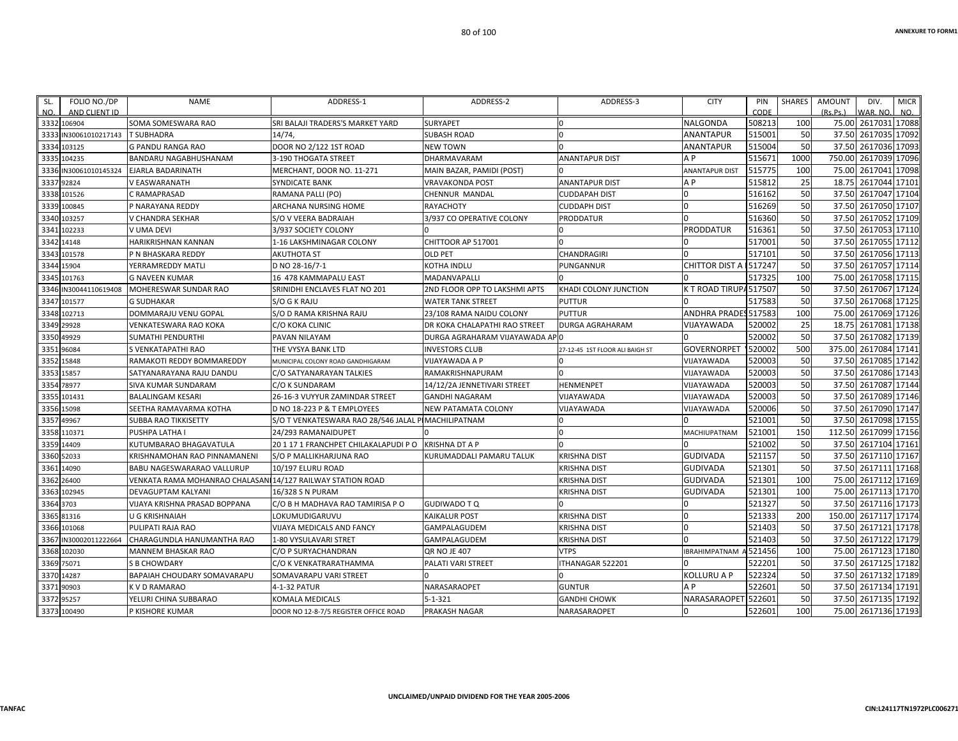| FOLIO NO./DP<br>SL.<br>NO.<br>AND CLIENT ID | <b>NAME</b>                                                | ADDRESS-1                             | ADDRESS-2                       | ADDRESS-3                       | <b>CITY</b>            | PIN<br>CODE | <b>SHARES</b> | <b>AMOUNT</b><br>(Rs, Ps.) | DIV.<br>WAR, NO     | <b>MICR</b><br>NO. |
|---------------------------------------------|------------------------------------------------------------|---------------------------------------|---------------------------------|---------------------------------|------------------------|-------------|---------------|----------------------------|---------------------|--------------------|
| 3332 106904                                 | SOMA SOMESWARA RAO                                         | SRI BALAJI TRADERS'S MARKET YARD      | <b>SURYAPET</b>                 | $\Omega$                        | NALGONDA               | 508213      | 100           | 75.00                      | 2617031 17088       |                    |
| 3333<br>N30061010217143                     | <b>T SUBHADRA</b>                                          | 14/74                                 | <b>SUBASH ROAD</b>              | $\Omega$                        | ANANTAPUR              | 515001      | 50            | 37.50                      | 2617035             | 17092              |
| 3334<br>103125                              | <b>G PANDU RANGA RAO</b>                                   | <b>DOOR NO 2/122 1ST ROAD</b>         | <b>NEW TOWN</b>                 |                                 | ANANTAPUR              | 515004      | 50            | 37.50                      | 2617036             | 17093              |
| 104235<br>3335                              | BANDARU NAGABHUSHANAM                                      | 3-190 THOGATA STREET                  | DHARMAVARAM                     | <b>ANANTAPUR DIST</b>           | A P                    | 515671      | 1000          | 750.00                     | 2617039             | 17096              |
| IN30061010145324<br>3336                    | <b>EJARLA BADARINATH</b>                                   | MERCHANT, DOOR NO. 11-271             | MAIN BAZAR, PAMIDI (POST)       |                                 | <b>ANANTAPUR DIST</b>  | 515775      | 100           | 75.00                      | 2617041             | 17098              |
| 92824<br>3337                               | V EASWARANATH                                              | <b>SYNDICATE BANK</b>                 | <b>VRAVAKONDA POST</b>          | <b>ANANTAPUR DIST</b>           | A P                    | 515812      | 25            | 18.75                      | 2617044 17101       |                    |
| 3338<br>101526                              | C RAMAPRASAD                                               | RAMANA PALLI (PO)                     | CHENNUR MANDAL                  | <b>CUDDAPAH DIST</b>            |                        | 516162      | 50            | 37.50                      | 2617047             | 17104              |
| 3339<br>100845                              | P NARAYANA REDDY                                           | ARCHANA NURSING HOME                  | <b>RAYACHOTY</b>                | <b>CUDDAPH DIST</b>             |                        | 516269      | 50            | 37.50                      | 2617050             | 17107              |
| 103257<br>3340                              | V CHANDRA SEKHAR                                           | S/O V VEERA BADRAIAH                  | 3/937 CO OPERATIVE COLONY       | <b>PRODDATUR</b>                |                        | 516360      | 50            | 37.50                      | 2617052 17109       |                    |
| 102233<br>3341                              | V UMA DEVI                                                 | 3/937 SOCIETY COLONY                  |                                 |                                 | <b>PRODDATUR</b>       | 516361      | 50            | 37.50                      | 2617053             | 17110              |
| 14148<br>3342                               | HARIKRISHNAN KANNAN                                        | 1-16 LAKSHMINAGAR COLONY              | CHITTOOR AP 517001              | $\Omega$                        |                        | 517001      | 50            | 37.50                      | 2617055             | 17112              |
| 101578<br>3343                              | P N BHASKARA REDDY                                         | <b>AKUTHOTA ST</b>                    | <b>OLD PET</b>                  | CHANDRAGIRI                     |                        | 517101      | 50            | 37.50                      | 2617056             | 17113              |
| 3344<br>15904                               | YERRAMREDDY MATLI                                          | D NO 28-16/7-1                        | <b>KOTHA INDLU</b>              | <b>PUNGANNUR</b>                | CHITTOR DIST A 1517247 |             | 50            | 37.50                      | 2617057 17114       |                    |
| 101763<br>3345                              | <b>G NAVEEN KUMAR</b>                                      | 16 478 KAMMAPALU EAST                 | MADANVAPALLI                    |                                 |                        | 517325      | 100           | 75.00                      | 2617058             | 17115              |
| 3346<br>IN30044110619408                    | MOHERESWAR SUNDAR RAO                                      | SRINIDHI ENCLAVES FLAT NO 201         | 2ND FLOOR OPP TO LAKSHMI APTS   | KHADI COLONY JUNCTION           | K T ROAD TIRUPA517507  |             | 50            | 37.50                      | 2617067 17124       |                    |
| 3347<br>101577                              | <b>G SUDHAKAR</b>                                          | S/O G K RAJU                          | <b>WATER TANK STREET</b>        | <b>PUTTUR</b>                   |                        | 517583      | 50            | 37.50                      | 2617068             | 17125              |
| 3348<br>102713                              | DOMMARAJU VENU GOPAL                                       | S/O D RAMA KRISHNA RAJU               | 23/108 RAMA NAIDU COLONY        | <b>PUTTUR</b>                   | ANDHRA PRADES 517583   |             | 100           | 75.00                      | 2617069             | 17126              |
| 29928<br>3349                               | <b>VENKATESWARA RAO KOKA</b>                               | <b>C/O KOKA CLINIC</b>                | DR KOKA CHALAPATHI RAO STREET   | <b>DURGA AGRAHARAM</b>          | VIJAYAWADA             | 520002      | 25            | 18.75                      | 2617081             | 17138              |
| 3350<br>49929                               | SUMATHI PENDURTHI                                          | PAVAN NILAYAM                         | DURGA AGRAHARAM VIJAYAWADA AP 0 |                                 |                        | 520002      | 50            | 37.50                      | 2617082             | 17139              |
| 96084<br>335                                | S VENKATAPATHI RAO                                         | THE VYSYA BANK LTD                    | <b>INVESTORS CLUB</b>           | 27-12-45 1ST FLOOR ALI BAIGH ST | <b>GOVERNORPET</b>     | 520002      | 500           | 375.00                     | 2617084             | 17141              |
| 335<br>15848                                | RAMAKOTI REDDY BOMMAREDDY                                  | MUNICIPAL COLONY ROAD GANDHIGARAM     | VIJAYAWADA A P                  | $\Omega$                        | VIJAYAWADA             | 520003      | 50            | 37.50                      | 2617085 17142       |                    |
| 15857<br>3353                               | SATYANARAYANA RAJU DANDU                                   | C/O SATYANARAYAN TALKIES              | RAMAKRISHNAPURAM                | $\Omega$                        | VIJAYAWADA             | 520003      | 50            | 37.50                      | 2617086 17143       |                    |
| 78977<br>3354                               | <b>SIVA KUMAR SUNDARAM</b>                                 | C/O K SUNDARAM                        | 14/12/2A JENNETIVARI STREET     | <b>HENMENPET</b>                | VIJAYAWADA             | 520003      | 50            | 37.50                      | 2617087             | 17144              |
| 335<br>101431                               | <b>BALALINGAM KESARI</b>                                   | 26-16-3 VUYYUR ZAMINDAR STREET        | <b>GANDHI NAGARAM</b>           | VIJAYAWADA                      | VIJAYAWADA             | 520003      | 50            | 37.50                      | 2617089             | 17146              |
| 3356 15098                                  | SEETHA RAMAVARMA KOTHA                                     | D NO 18-223 P & T EMPLOYEES           | <b>NEW PATAMATA COLONY</b>      | VIJAYAWADA                      | VIJAYAWADA             | 520006      | 50            | 37.50                      | 2617090             | 17147              |
| 49967<br>3357                               | SUBBA RAO TIKKISETTY                                       | S/O T VENKATESWARA RAO 28/546 JALAL   | PI MACHILIPATNAM                | $\Omega$                        |                        | 521001      | 50            | 37.50                      | 2617098             | 17155              |
| 3358<br>110371                              | PUSHPA LATHA I                                             | 24/293 RAMANAIDUPET                   |                                 | $\overline{0}$                  | MACHIUPATNAM           | 521001      | 150           | 112.50                     | 2617099             | 17156              |
| 3359<br>14409                               | KUTUMBARAO BHAGAVATULA                                     | 201171FRANCHPET CHILAKALAPUDI PO      | <b>KRISHNA DT A P</b>           | $\Omega$                        |                        | 521002      | 50            | 37.50                      | 2617104 17161       |                    |
| 52033<br>3360                               | KRISHNAMOHAN RAO PINNAMANENI                               | S/O P MALLIKHARJUNA RAO               | KURUMADDALI PAMARU TALUK        | <b>KRISHNA DIST</b>             | <b>GUDIVADA</b>        | 521157      | 50            | 37.50                      | 2617110             | 17167              |
| 3361<br>14090                               | <b>BABU NAGESWARARAO VALLURUP</b>                          | 10/197 ELURU ROAD                     |                                 | <b>KRISHNA DIST</b>             | <b>GUDIVADA</b>        | 521301      | 50            | 37.50                      | 2617111 17168       |                    |
| 3362<br>26400                               | VENKATA RAMA MOHANRAO CHALASAN 14/127 RAILWAY STATION ROAD |                                       |                                 | <b>KRISHNA DIST</b>             | <b>GUDIVADA</b>        | 521301      | 100           | 75.00                      | 2617112 17169       |                    |
| 102945<br>3363                              | <b>DEVAGUPTAM KALYANI</b>                                  | 16/328 S N PURAM                      |                                 | <b>KRISHNA DIST</b>             | <b>GUDIVADA</b>        | 521301      | 100           | 75.00                      | 2617113 17170       |                    |
| 3364<br>3703                                | VIJAYA KRISHNA PRASAD BOPPANA                              | C/O B H MADHAVA RAO TAMIRISA P O      | <b>GUDIWADO TO</b>              |                                 |                        | 521327      | 50            | 37.50                      | 2617116             | 17173              |
| 3365 81316                                  | <b>U G KRISHNAIAH</b>                                      | LOKUMUDIGARUVU                        | <b>KAIKALUR POST</b>            | <b>KRISHNA DIST</b>             |                        | 521333      | 200           | 150.00                     | 2617117 17174       |                    |
| 3366 101068                                 | PULIPATI RAJA RAO                                          | VIJAYA MEDICALS AND FANCY             | <b>GAMPALAGUDEM</b>             | <b>KRISHNA DIST</b>             |                        | 521403      | 50            | 37.50                      | 2617121             | 17178              |
| 336<br>N30002011222664                      | CHARAGUNDLA HANUMANTHA RAO                                 | 1-80 VYSULAVARI STRET                 | GAMPALAGUDEM                    | <b>KRISHNA DIST</b>             |                        | 521403      | 50            | 37.50                      | 2617122             | 17179              |
| 3368<br>102030                              | MANNEM BHASKAR RAO                                         | C/O P SURYACHANDRAN                   | <b>OR NO JE 407</b>             | <b>VTPS</b>                     | <b>BRAHIMPATNAM</b>    | 521456      | 100           | 75.00                      | 2617123 17180       |                    |
| 3369<br>75071                               | <b>S B CHOWDARY</b>                                        | C/O K VENKATRARATHAMMA                | <b>PALATI VARI STREET</b>       | ITHANAGAR 522201                |                        | 522201      | 50            | 37.50                      | 2617125 17182       |                    |
| 14287<br>3370                               | BAPAIAH CHOUDARY SOMAVARAPU                                | SOMAVARAPU VARI STREET                |                                 |                                 | KOLLURU A P            | 522324      | 50            | 37.50                      | 2617132             | 17189              |
| 90903<br>3371                               | K V D RAMARAO                                              | 4-1-32 PATUR                          | NARASARAOPET                    | <b>GUNTUR</b>                   | A <sub>P</sub>         | 522601      | 50            | 37.50                      | 2617134             | 17191              |
| 95257<br>3372                               | YELURI CHINA SUBBARAO                                      | KOMALA MEDICALS                       | $5 - 1 - 321$                   | <b>GANDHI CHOWK</b>             | NARASARAOPET           | 522601      | 50            | 37.50                      | 2617135             | 17192              |
| 3373 100490                                 | P KISHORE KUMAR                                            | DOOR NO 12-8-7/5 REGISTER OFFICE ROAD | PRAKASH NAGAR                   | NARASARAOPET                    |                        | 522601      | 100           |                            | 75.00 2617136 17193 |                    |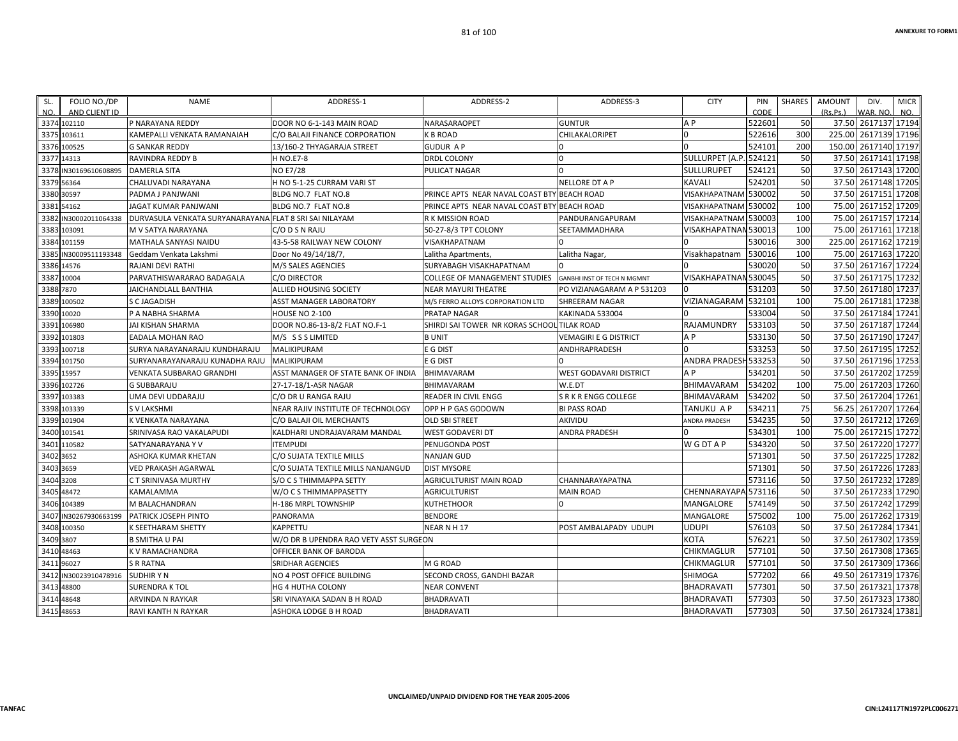| SL.         | FOLIO NO./DP          | NAME                                                   | ADDRESS-1                              | ADDRESS-2                                   | ADDRESS-3                     | <b>CITY</b>            | PIN    | SHARES | <b>AMOUNT</b> | DIV.                 | <b>MICR</b> |
|-------------|-----------------------|--------------------------------------------------------|----------------------------------------|---------------------------------------------|-------------------------------|------------------------|--------|--------|---------------|----------------------|-------------|
| NO.         | AND CLIENT ID         |                                                        |                                        |                                             |                               |                        | CODE   |        | (Rs.Ps.)      | WAR. NO.             | NO.         |
|             | 3374 102110           | P NARAYANA REDDY                                       | DOOR NO 6-1-143 MAIN ROAD              | NARASARAOPET                                | <b>GUNTUR</b>                 | A P                    | 522601 | 50     |               | 37.50 2617137 17194  |             |
|             | 3375 103611           | KAMEPALLI VENKATA RAMANAIAH                            | C/O BALAJI FINANCE CORPORATION         | K B ROAD                                    | CHILAKALORIPET                |                        | 522616 | 300    |               | 225.00 2617139 17196 |             |
|             | 3376 100525           | <b>G SANKAR REDDY</b>                                  | 13/160-2 THYAGARAJA STREET             | GUDUR A P                                   |                               | n                      | 524101 | 200    |               | 150.00 2617140 17197 |             |
| 3377 14313  |                       | RAVINDRA REDDY B                                       | <b>H NO.E7-8</b>                       | DRDL COLONY                                 | <sup>0</sup>                  | SULLURPET (A.P. 524121 |        | 50     |               | 37.50 2617141 17198  |             |
|             | 3378 IN30169610608895 | <b>DAMERLA SITA</b>                                    | <b>NO E7/28</b>                        | PULICAT NAGAR                               |                               | <b>SULLURUPET</b>      | 524121 | 50     |               | 37.50 2617143 17200  |             |
| 3379 56364  |                       | CHALUVADI NARAYANA                                     | H NO 5-1-25 CURRAM VARI ST             |                                             | NELLORE DT A P                | KAVALI                 | 524201 | 50     |               | 37.50 2617148 17205  |             |
| 3380 30597  |                       | PADMA J PANJWANI                                       | BLDG NO.7 FLAT NO.8                    | PRINCE APTS NEAR NAVAL COAST BTY BEACH ROAD |                               | VISAKHAPATNAM 530002   |        | 50     |               | 37.50 2617151 17208  |             |
| 3381 54162  |                       | JAGAT KUMAR PANJWANI                                   | BLDG NO.7 FLAT NO.8                    | PRINCE APTS NEAR NAVAL COAST BTY BEACH ROAD |                               | VISAKHAPATNAM 530002   |        | 100    |               | 75.00 2617152 17209  |             |
|             | 3382 IN30002011064338 | DURVASULA VENKATA SURYANARAYANA FLAT 8 SRI SAI NILAYAM |                                        | R K MISSION ROAD                            | PANDURANGAPURAM               | VISAKHAPATNAM 530003   |        | 100    |               | 75.00 2617157 17214  |             |
| 3383 103091 |                       | M V SATYA NARAYANA                                     | C/O D S N RAJU                         | 50-27-8/3 TPT COLONY                        | SEETAMMADHARA                 | VISAKHAPATNAN 530013   |        | 100    |               | 75.00 2617161 17218  |             |
|             | 3384 101159           | MATHALA SANYASI NAIDU                                  | 43-5-58 RAILWAY NEW COLONY             | VISAKHAPATNAM                               |                               |                        | 530016 | 300    |               | 225.00 2617162 17219 |             |
|             | 3385 IN30009511193348 | Geddam Venkata Lakshmi                                 | Door No 49/14/18/7,                    | Lalitha Apartments,                         | Lalitha Nagar,                | Visakhapatnam          | 530016 | 100    |               | 75.00 2617163 17220  |             |
| 3386 14576  |                       | RAJANI DEVI RATHI                                      | M/S SALES AGENCIES                     | SURYABAGH VISAKHAPATNAM                     |                               |                        | 530020 | 50     |               | 37.50 2617167 17224  |             |
| 3387 10004  |                       | PARVATHISWARARAO BADAGALA                              | C/O DIRECTOR                           | COLLEGE OF MANAGEMENT STUDIES               | GANBHI INST OF TECH N MGMNT   | VISAKHAPATNAN 530045   |        | 50     |               | 37.50 2617175 17232  |             |
| 3388 7870   |                       | JAICHANDLALL BANTHIA                                   | ALLIED HOUSING SOCIETY                 | NEAR MAYURI THEATRE                         | PO VIZIANAGARAM A P 531203    |                        | 531203 | 50     |               | 37.50 2617180 17237  |             |
|             | 3389 100502           | S C JAGADISH                                           | <b>ASST MANAGER LABORATORY</b>         | M/S FERRO ALLOYS CORPORATION LTD            | SHREERAM NAGAR                | VIZIANAGARAM           | 532101 | 100    |               | 75.00 2617181 17238  |             |
| 3390 10020  |                       | P A NABHA SHARMA                                       | <b>HOUSE NO 2-100</b>                  | PRATAP NAGAR                                | KAKINADA 533004               |                        | 533004 | 50     |               | 37.50 2617184 17241  |             |
|             | 3391 106980           | JAI KISHAN SHARMA                                      | DOOR NO.86-13-8/2 FLAT NO.F-1          | SHIRDI SAI TOWER NR KORAS SCHOOL TILAK ROAD |                               | RAJAMUNDRY             | 533103 | 50     |               | 37.50 2617187 17244  |             |
|             | 3392 101803           | EADALA MOHAN RAO                                       | M/S SSSLIMITED                         | <b>BUNIT</b>                                | <b>VEMAGIRI E G DISTRICT</b>  | A <sub>P</sub>         | 533130 | 50     |               | 37.50 2617190 17247  |             |
|             | 3393 100718           | SURYA NARAYANARAJU KUNDHARAJU                          | MALIKIPURAM                            | E G DIST                                    | ANDHRAPRADESH                 |                        | 533253 | 50     |               | 37.50 2617195 17252  |             |
|             | 3394 101750           | SURYANARAYANARAJU KUNADHA RAJU                         | <b>MALIKIPURAM</b>                     | E G DIST                                    |                               | ANDRA PRADESH 533253   |        | 50     |               | 37.50 2617196 17253  |             |
| 3395 15957  |                       | VENKATA SUBBARAO GRANDHI                               | ASST MANAGER OF STATE BANK OF INDIA    | BHIMAVARAM                                  | <b>WEST GODAVARI DISTRICT</b> | A P                    | 534201 | 50     |               | 37.50 2617202 17259  |             |
|             | 3396 102726           | <b>G SUBBARAJU</b>                                     | 27-17-18/1-ASR NAGAR                   | BHIMAVARAM                                  | W.E.DT                        | BHIMAVARAM             | 534202 | 100    |               | 75.00 2617203 17260  |             |
|             | 3397 103383           | UMA DEVI UDDARAJU                                      | C/O DR U RANGA RAJU                    | READER IN CIVIL ENGG                        | S R K R ENGG COLLEGE          | <b>BHIMAVARAM</b>      | 534202 | 50     |               | 37.50 2617204 17261  |             |
|             | 3398 103339           | <b>SVLAKSHMI</b>                                       | NEAR RAJIV INSTITUTE OF TECHNOLOGY     | OPP H P GAS GODOWN                          | <b>BI PASS ROAD</b>           | TANUKU A P             | 534211 | 75     |               | 56.25 2617207 17264  |             |
| 3399 101904 |                       | K VENKATA NARAYANA                                     | C/O BALAJI OIL MERCHANTS               | <b>OLD SBI STREET</b>                       | AKIVIDU                       | ANDRA PRADESH          | 534235 | 50     |               | 37.50 2617212 17269  |             |
| 3400 101541 |                       | SRINIVASA RAO VAKALAPUDI                               | KALDHARI UNDRAJAVARAM MANDAL           | WEST GODAVERI DT                            | ANDRA PRADESH                 |                        | 534301 | 100    |               | 75.00 2617215        | 17272       |
|             | 3401 110582           | SATYANARAYANA Y V                                      | <b>ITEMPUDI</b>                        | PENUGONDA POST                              |                               | <b>WGDTAP</b>          | 534320 | 50     |               | 37.50 2617220 17277  |             |
| 3402 3652   |                       | ASHOKA KUMAR KHETAN                                    | C/O SUJATA TEXTILE MILLS               | <b>NANJAN GUD</b>                           |                               |                        | 571301 | 50     |               | 37.50 2617225 17282  |             |
| 3403 3659   |                       | VED PRAKASH AGARWAL                                    | C/O SUJATA TEXTILE MILLS NANJANGUD     | <b>DIST MYSORE</b>                          |                               |                        | 571301 | 50     |               | 37.50 2617226 17283  |             |
| 3404 3208   |                       | C T SRINIVASA MURTHY                                   | S/O C S THIMMAPPA SETTY                | AGRICULTURIST MAIN ROAD                     | CHANNARAYAPATNA               |                        | 573116 | 50     |               | 37.50 2617232 17289  |             |
| 3405 48472  |                       | KAMALAMMA                                              | W/O C S THIMMAPPASETTY                 | AGRICULTURIST                               | <b>MAIN ROAD</b>              | CHENNARAYAPA 573116    |        | 50     |               | 37.50 2617233 17290  |             |
|             | 3406 104389           | M BALACHANDRAN                                         | H-186 MRPL TOWNSHIP                    | KUTHETHOOR                                  | n                             | MANGALORE              | 574149 | 50     |               | 37.50 2617242 17299  |             |
|             | 3407 IN30267930663199 | PATRICK JOSEPH PINTO                                   | PANORAMA                               | <b>BENDORE</b>                              |                               | MANGALORE              | 575002 | 100    |               | 75.00 2617262 17319  |             |
|             | 3408 100350           | K SEETHARAM SHETTY                                     | <b>KAPPETTU</b>                        | NEARNH17                                    | POST AMBALAPADY UDUPI         | UDUPI                  | 576103 | 50     |               | 37.50 2617284 17341  |             |
| 3409 3807   |                       | <b>B SMITHA U PAI</b>                                  | W/O DR B UPENDRA RAO VETY ASST SURGEON |                                             |                               | KOTA                   | 576221 | 50     |               | 37.50 2617302 17359  |             |
| 3410 48463  |                       | K V RAMACHANDRA                                        | OFFICER BANK OF BARODA                 |                                             |                               | CHIKMAGLUR             | 577101 | 50     |               | 37.50 2617308 17365  |             |
| 3411 96027  |                       | <b>S R RATNA</b>                                       | <b>SRIDHAR AGENCIES</b>                | M G ROAD                                    |                               | CHIKMAGLUR             | 577101 | 50     |               | 37.50 2617309 17366  |             |
|             | 3412 IN30023910478916 | <b>SUDHIR Y N</b>                                      | NO 4 POST OFFICE BUILDING              | SECOND CROSS, GANDHI BAZAR                  |                               | SHIMOGA                | 577202 | 66     |               | 49.50 2617319 17376  |             |
| 3413 48800  |                       | SURENDRA K TOL                                         | <b>HG 4 HUTHA COLONY</b>               | <b>NEAR CONVENT</b>                         |                               | <b>BHADRAVATI</b>      | 577301 | 50     |               | 37.50 2617321 17378  |             |
| 3414 48648  |                       | ARVINDA N RAYKAR                                       | SRI VINAYAKA SADAN B H ROAD            | BHADRAVATI                                  |                               | <b>BHADRAVATI</b>      | 577303 | 50     |               | 37.50 2617323 17380  |             |
| 3415 48653  |                       | RAVI KANTH N RAYKAR                                    | ASHOKA LODGE B H ROAD                  | BHADRAVATI                                  |                               | <b>BHADRAVATI</b>      | 577303 | 50     |               | 37.50 2617324 17381  |             |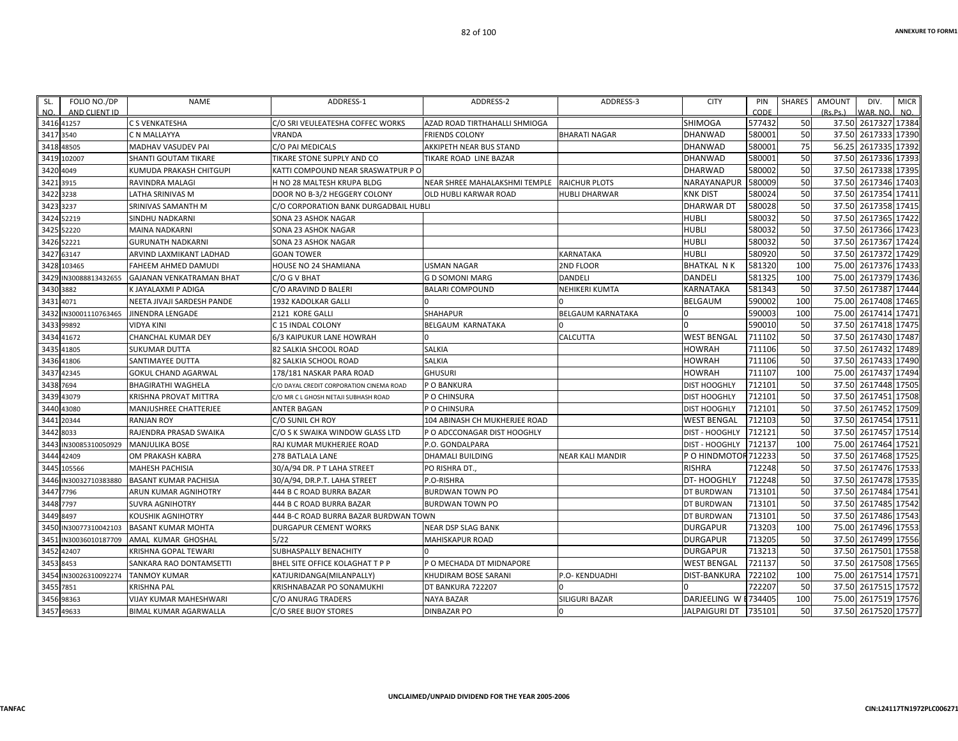| SL.       | FOLIO NO./DP          | NAME                            | ADDRESS-1                                | ADDRESS-2                     | ADDRESS-3                | <b>CITY</b>          | PIN    | SHARES | <b>AMOUNT</b> | DIV.                | <b>MICR</b> |
|-----------|-----------------------|---------------------------------|------------------------------------------|-------------------------------|--------------------------|----------------------|--------|--------|---------------|---------------------|-------------|
| NO.       | AND CLIENT ID         |                                 |                                          |                               |                          |                      | CODE   |        | (Rs.Ps.)      | WAR. NO.            | NO.         |
|           | 3416 41257            | C S VENKATESHA                  | C/O SRI VEULEATESHA COFFEC WORKS         | AZAD ROAD TIRTHAHALLI SHMIOGA |                          | <b>SHIMOGA</b>       | 577432 | 50     |               | 37.50 2617327 17384 |             |
| 3417 3540 |                       | C N MALLAYYA                    | VRANDA                                   | <b>FRIENDS COLONY</b>         | <b>BHARATI NAGAR</b>     | <b>DHANWAD</b>       | 580001 | 50     | 37.50         | 2617333 17390       |             |
|           | 3418 48505            | MADHAV VASUDEV PAI              | C/O PAI MEDICALS                         | AKKIPETH NEAR BUS STAND       |                          | DHANWAD              | 580001 | 75     | 56.25         | 2617335 17392       |             |
|           | 3419 102007           | <b>SHANTI GOUTAM TIKARE</b>     | TIKARE STONE SUPPLY AND CO               | TIKARE ROAD LINE BAZAR        |                          | <b>DHANWAD</b>       | 580001 | 50     |               | 37.50 2617336 17393 |             |
| 3420 4049 |                       | KUMUDA PRAKASH CHITGUPI         | KATTI COMPOUND NEAR SRASWATPUR P O       |                               |                          | <b>DHARWAD</b>       | 580002 | 50     |               | 37.50 2617338 17395 |             |
| 3421 3915 |                       | RAVINDRA MALAGI                 | H NO 28 MALTESH KRUPA BLDG               | NEAR SHREE MAHALAKSHMI TEMPLE | <b>RAICHUR PLOTS</b>     | NARAYANAPUR          | 580009 | 50     |               | 37.50 2617346 17403 |             |
| 3422 3238 |                       | LATHA SRINIVAS M                | DOOR NO B-3/2 HEGGERY COLONY             | OLD HUBLI KARWAR ROAD         | <b>HUBLI DHARWAR</b>     | <b>KNK DIST</b>      | 580024 | 50     |               | 37.50 2617354 17411 |             |
| 3423 3237 |                       | SRINIVAS SAMANTH M              | C/O CORPORATION BANK DURGADBAIL HUBLI    |                               |                          | <b>DHARWAR DT</b>    | 580028 | 50     |               | 37.50 2617358 17415 |             |
|           | 3424 52219            | SINDHU NADKARNI                 | SONA 23 ASHOK NAGAR                      |                               |                          | <b>HUBLI</b>         | 580032 | 50     | 37.50         | 2617365 17422       |             |
|           | 3425 52220            | <b>MAINA NADKARNI</b>           | SONA 23 ASHOK NAGAR                      |                               |                          | <b>HUBLI</b>         | 580032 | 50     |               | 37.50 2617366 17423 |             |
|           | 3426 52221            | <b>GURUNATH NADKARNI</b>        | SONA 23 ASHOK NAGAR                      |                               |                          | <b>HUBLI</b>         | 580032 | 50     |               | 37.50 2617367 17424 |             |
|           | 3427 63147            | ARVIND LAXMIKANT LADHAD         | <b>GOAN TOWER</b>                        |                               | KARNATAKA                | <b>HUBLI</b>         | 580920 | 50     |               | 37.50 2617372 17429 |             |
|           | 3428 103465           | FAHEEM AHMED DAMUDI             | HOUSE NO 24 SHAMIANA                     | <b>USMAN NAGAR</b>            | 2ND FLOOR                | <b>BHATKAL NK</b>    | 581320 | 100    |               | 75.00 2617376 17433 |             |
|           | 3429 IN30088813432655 | <b>GAJANAN VENKATRAMAN BHAT</b> | C/O G V BHAT                             | <b>GD SOMONI MARG</b>         | <b>DANDELI</b>           | <b>DANDELI</b>       | 581325 | 100    |               | 75.00 2617379 17436 |             |
| 3430 3882 |                       | K JAYALAXMI P ADIGA             | C/O ARAVIND D BALERI                     | <b>BALARI COMPOUND</b>        | NEHIKERI KUMTA           | KARNATAKA            | 581343 | 50     | 37.50         | 2617387 17444       |             |
| 3431 4071 |                       | NEETA JIVAJI SARDESH PANDE      | 1932 KADOLKAR GALLI                      |                               |                          | <b>BELGAUM</b>       | 590002 | 100    |               | 75.00 2617408 17465 |             |
|           | 3432 IN30001110763465 | <b>JINENDRA LENGADE</b>         | 2121 KORE GALLI                          | <b>SHAHAPUR</b>               | <b>BELGAUM KARNATAKA</b> |                      | 590003 | 100    |               | 75.00 2617414 17471 |             |
|           | 3433 99892            | <b>VIDYA KINI</b>               | C 15 INDAL COLONY                        | <b>BELGAUM KARNATAKA</b>      |                          |                      | 590010 | 50     |               | 37.50 2617418 17475 |             |
|           | 3434 41672            | CHANCHAL KUMAR DEY              | 6/3 KAIPUKUR LANE HOWRAH                 |                               | <b>CALCUTTA</b>          | <b>WEST BENGAL</b>   | 711102 | 50     |               | 37.50 2617430 17487 |             |
|           | 3435 41805            | <b>SUKUMAR DUTTA</b>            | 82 SALKIA SHCOOL ROAD                    | SALKIA                        |                          | <b>HOWRAH</b>        | 711106 | 50     |               | 37.50 2617432 17489 |             |
|           | 3436 41806            | SANTIMAYEE DUTTA                | 82 SALKIA SCHOOL ROAD                    | <b>SALKIA</b>                 |                          | <b>HOWRAH</b>        | 711106 | 50     |               | 37.50 2617433 17490 |             |
|           | 3437 42345            | <b>GOKUL CHAND AGARWAL</b>      | 178/181 NASKAR PARA ROAD                 | <b>GHUSURI</b>                |                          | <b>HOWRAH</b>        | 711107 | 100    | 75.00         | 2617437 17494       |             |
| 3438 7694 |                       | <b>BHAGIRATHI WAGHELA</b>       | C/O DAYAL CREDIT CORPORATION CINEMA ROAD | P O BANKURA                   |                          | <b>DIST HOOGHLY</b>  | 712101 | 50     |               | 37.50 2617448 17505 |             |
|           | 3439 43079            | KRISHNA PROVAT MITTRA           | C/O MR C L GHOSH NETAJI SUBHASH ROAD     | P O CHINSURA                  |                          | <b>DIST HOOGHLY</b>  | 712101 | 50     |               | 37.50 2617451 17508 |             |
|           | 3440 43080            | MANJUSHREE CHATTERJEE           | <b>ANTER BAGAN</b>                       | P O CHINSURA                  |                          | <b>DIST HOOGHLY</b>  | 712101 | 50     |               | 37.50 2617452 17509 |             |
|           | 3441 20344            | <b>RANJAN ROY</b>               | C/O SUNIL CH ROY                         | 104 ABINASH CH MUKHERJEE ROAD |                          | <b>WEST BENGAL</b>   | 712103 | 50     |               | 37.50 2617454 17511 |             |
| 3442 8033 |                       | RAJENDRA PRASAD SWAIKA          | C/O S K SWAIKA WINDOW GLASS LTD          | P O ADCCONAGAR DIST HOOGHLY   |                          | DIST - HOOGHLY       | 712121 | 50     |               | 37.50 2617457 17514 |             |
|           | 3443 IN30085310050929 | <b>MANJULIKA BOSE</b>           | RAJ KUMAR MUKHERJEE ROAD                 | P.O. GONDALPARA               |                          | DIST - HOOGHLY       | 712137 | 100    | 75.00         | 2617464             | 17521       |
|           | 3444 42409            | OM PRAKASH KABRA                | 278 BATLALA LANE                         | <b>DHAMALI BUILDING</b>       | <b>NEAR KALI MANDIR</b>  | PO HINDMOTOR 712233  |        | 50     | 37.50         | 2617468 17525       |             |
|           | 3445 105566           | <b>MAHESH PACHISIA</b>          | 30/A/94 DR. P T LAHA STREET              | PO RISHRA DT.,                |                          | <b>RISHRA</b>        | 712248 | 50     |               | 37.50 2617476 17533 |             |
|           | 3446 IN30032710383880 | <b>BASANT KUMAR PACHISIA</b>    | 30/A/94, DR.P.T. LAHA STREET             | P.O-RISHRA                    |                          | DT-HOOGHLY           | 712248 | 50     |               | 37.50 2617478 17535 |             |
| 3447 7796 |                       | ARUN KUMAR AGNIHOTRY            | 444 B C ROAD BURRA BAZAR                 | <b>BURDWAN TOWN PO</b>        |                          | DT BURDWAN           | 713101 | 50     |               | 37.50 2617484 17541 |             |
| 3448 7797 |                       | <b>SUVRA AGNIHOTRY</b>          | 444 B C ROAD BURRA BAZAR                 | <b>BURDWAN TOWN PO</b>        |                          | DT BURDWAN           | 713101 | 50     |               | 37.50 2617485 17542 |             |
| 3449 8497 |                       | KOUSHIK AGNIHOTRY               | 444 B-C ROAD BURRA BAZAR BURDWAN TOWN    |                               |                          | DT BURDWAN           | 713101 | 50     |               | 37.50 2617486 17543 |             |
|           | 3450 IN30077310042103 | <b>BASANT KUMAR MOHTA</b>       | <b>DURGAPUR CEMENT WORKS</b>             | NEAR DSP SLAG BANK            |                          | <b>DURGAPUR</b>      | 713203 | 100    | 75.00         | 2617496 17553       |             |
|           | 3451 IN30036010187709 | AMAL KUMAR GHOSHAL              | 5/22                                     | MAHISKAPUR ROAD               |                          | <b>DURGAPUR</b>      | 713205 | 50     | 37.50         | 2617499 17556       |             |
|           | 3452 42407            | KRISHNA GOPAL TEWARI            | SUBHASPALLY BENACHITY                    |                               |                          | <b>DURGAPUR</b>      | 713213 | 50     |               | 37.50 2617501       | 17558       |
| 3453 8453 |                       | SANKARA RAO DONTAMSETTI         | BHEL SITE OFFICE KOLAGHAT T P P          | P O MECHADA DT MIDNAPORE      |                          | <b>WEST BENGAL</b>   | 721137 | 50     |               | 37.50 2617508 17565 |             |
|           | 3454 IN30026310092274 | <b>TANMOY KUMAR</b>             | KATJURIDANGA(MILANPALLY)                 | KHUDIRAM BOSE SARANI          | P.O- KENDUADHI           | <b>DIST-BANKURA</b>  | 722102 | 100    |               | 75.00 2617514 17571 |             |
| 3455 7851 |                       | <b>KRISHNA PAL</b>              | KRISHNABAZAR PO SONAMUKHI                | DT BANKURA 722207             |                          |                      | 722207 | 50     |               | 37.50 2617515 17572 |             |
|           | 3456 98363            | VIJAY KUMAR MAHESHWARI          | C/O ANURAG TRADERS                       | NAYA BAZAR                    | <b>SILIGURI BAZAR</b>    | DARJEELING W E734405 |        | 100    |               | 75.00 2617519 17576 |             |
|           | 3457 49633            | <b>BIMAL KUMAR AGARWALLA</b>    | C/O SREE BIJOY STORES                    | <b>DINBAZAR PO</b>            |                          | <b>JALPAIGURI DT</b> | 735101 | 50     |               | 37.50 2617520 17577 |             |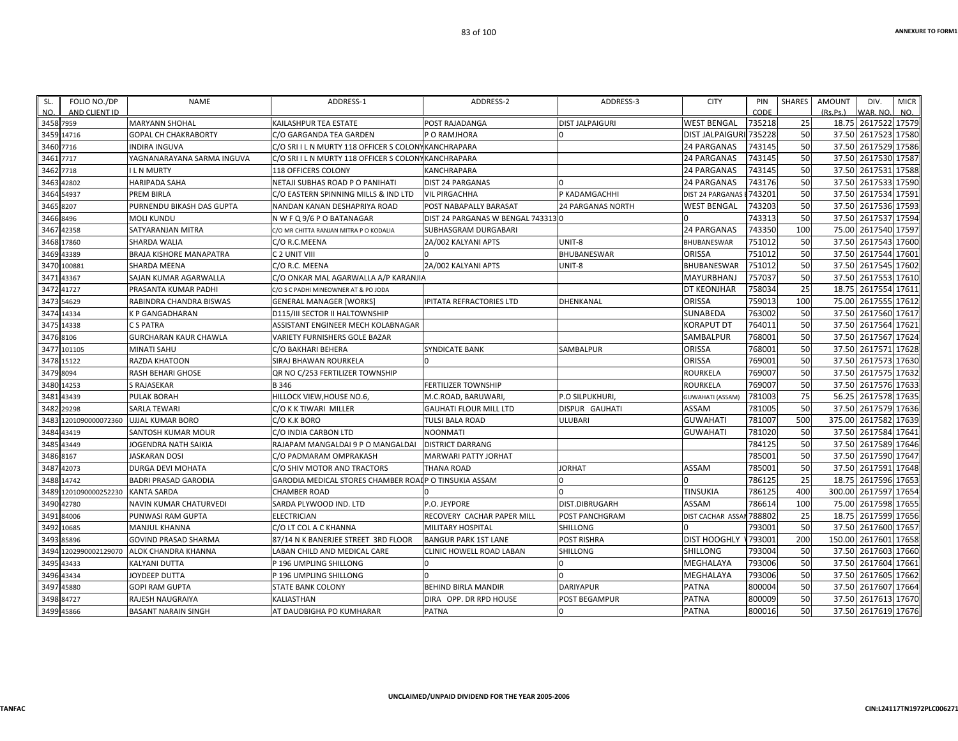| FOLIO NO./DP<br>SL.<br>AND CLIENT ID<br>NO. | <b>NAME</b>                          | ADDRESS-1                                             | ADDRESS-2                          | ADDRESS-3                | <b>CITY</b>             | PIN<br>CODE | <b>SHARES</b> | <b>AMOUNT</b><br>(Rs, Ps.) | DIV.<br>WAR. NO     | <b>MICR</b><br>NO. |
|---------------------------------------------|--------------------------------------|-------------------------------------------------------|------------------------------------|--------------------------|-------------------------|-------------|---------------|----------------------------|---------------------|--------------------|
| 3458 7959                                   | <b>MARYANN SHOHAL</b>                | <b>KAILASHPUR TEA ESTATE</b>                          | POST RAJADANGA                     | <b>DIST JALPAIGURI</b>   | <b>WEST BENGAL</b>      | 735218      | 25            | 18.75                      | 2617522 17579       |                    |
| 3459<br>14716                               | <b>GOPAL CH CHAKRABORTY</b>          | C/O GARGANDA TEA GARDEN                               | P O RAMJHORA                       |                          | <b>DIST JALPAIGU</b>    | 735228      | 50            | 37.50                      | 2617523             | 17580              |
| 3460 7716                                   | <b>INDIRA INGUVA</b>                 | C/O SRIIL N MURTY 118 OFFICER S COLON                 | <b>YKANCHRAPARA</b>                |                          | <b>24 PARGANAS</b>      | 743145      | 50            | 37.50                      | 2617529 17586       |                    |
| 7717<br>3461                                | YAGNANARAYANA SARMA INGUVA           | C/O SRIIL N MURTY 118 OFFICER S COLONY KANCHRAPARA    |                                    |                          | <b>24 PARGANAS</b>      | 743145      | 50            | 37.50                      | 2617530             | 17587              |
| 3462<br>7718                                | <b>ILN MURTY</b>                     | 118 OFFICERS COLONY                                   | KANCHRAPARA                        |                          | <b>24 PARGANAS</b>      | 743145      | 50            | 37.50                      | 2617531 17588       |                    |
| 42802<br>3463                               | <b>HARIPADA SAHA</b>                 | NETAJI SUBHAS ROAD P O PANIHATI                       | <b>DIST 24 PARGANAS</b>            |                          | <b>24 PARGANAS</b>      | 743176      | 50            | 37.50                      | 2617533 17590       |                    |
| 54937<br>3464                               | <b>PREM BIRLA</b>                    | C/O EASTERN SPINNING MILLS & IND LTD                  | <b>VIL PIRGACHHA</b>               | P KADAMGACHHI            | DIST 24 PARGANA!        | 743201      | 50            | 37.50                      | 2617534 17591       |                    |
| 3465<br>8207                                | PURNENDU BIKASH DAS GUPTA            | NANDAN KANAN DESHAPRIYA ROAD                          | POST NABAPALLY BARASAT             | <b>24 PARGANAS NORTH</b> | <b>WEST BENGAL</b>      | 743203      | 50            | 37.50                      | 2617536             | 17593              |
| 3466 8496                                   | <b>MOLI KUNDU</b>                    | N W F Q 9/6 P O BATANAGAR                             | DIST 24 PARGANAS W BENGAL 743313 0 |                          |                         | 743313      | 50            | 37.50                      | 2617537 17594       |                    |
| 42358<br>3467                               | SATYARANJAN MITRA                    | C/O MR CHITTA RANJAN MITRA P O KODALIA                | SUBHASGRAM DURGABARI               |                          | 24 PARGANAS             | 743350      | 100           | 75.00                      | 2617540             | 17597              |
| 17860<br>3468                               | SHARDA WALIA                         | C/O R.C.MEENA                                         | 2A/002 KALYANI APTS                | UNIT-8                   | BHUBANESWAR             | 751012      | 50            | 37.50                      | 2617543             | 17600              |
| 3469 43389                                  | BRAJA KISHORE MANAPATRA              | C 2 UNIT VIII                                         |                                    | <b>BHUBANESWAR</b>       | <b>ORISSA</b>           | 751012      | 50            | 37.50                      | 2617544 17601       |                    |
| 100881<br>3470                              | <b>SHARDA MEENA</b>                  | C/O R.C. MEENA                                        | 2A/002 KALYANI APTS                | UNIT-8                   | BHUBANESWAR             | 751012      | 50            | 37.50                      | 2617545 17602       |                    |
| 43367<br>3471                               | SAJAN KUMAR AGARWALLA                | C/O ONKAR MAL AGARWALLA A/P KARANJIA                  |                                    |                          | <b>MAYURBHANJ</b>       | 757037      | 50            | 37.50                      | 2617553             | 17610              |
| 41727<br>3472                               | PRASANTA KUMAR PADHI                 | C/O S C PADHI MINEOWNER AT & PO JODA                  |                                    |                          | <b>DT KEONJHAR</b>      | 758034      | 25            | 18.75                      | 2617554 17611       |                    |
| 54629<br>3473                               | RABINDRA CHANDRA BISWAS              | <b>GENERAL MANAGER [WORKS]</b>                        | IPITATA REFRACTORIES LTD           | <b>DHENKANAL</b>         | <b>ORISSA</b>           | 759013      | 100           | 75.00                      | 2617555             | 17612              |
| 14334<br>3474                               | <b>K P GANGADHARAN</b>               | <b>D115/III SECTOR II HALTOWNSHIP</b>                 |                                    |                          | <b>SUNABEDA</b>         | 763002      | 50            | 37.50                      | 2617560             | 17617              |
| 3475 14338                                  | C S PATRA                            | ASSISTANT ENGINEER MECH KOLABNAGAR                    |                                    |                          | <b>KORAPUT DT</b>       | 764011      | 50            | 37.50                      | 2617564 17621       |                    |
| 3476 8106                                   | <b>GURCHARAN KAUR CHAWLA</b>         | VARIETY FURNISHERS GOLE BAZAR                         |                                    |                          | SAMBALPUR               | 768001      | 50            | 37.50                      | 2617567 17624       |                    |
| 101105<br>3477                              | <b>MINATI SAHU</b>                   | C/O BAKHARI BEHERA                                    | <b>SYNDICATE BANK</b>              | <b>SAMBALPUR</b>         | ORISSA                  | 768001      | 50            | 37.50                      | 2617571             | 17628              |
| 3478<br>15122                               | <b>RAZDA KHATOON</b>                 | SIRAJ BHAWAN ROURKELA                                 | $\Omega$                           |                          | ORISSA                  | 769001      | 50            | 37.50                      | 2617573 17630       |                    |
| 3479<br>8094                                | RASH BEHARI GHOSE                    | QR NO C/253 FERTILIZER TOWNSHIP                       |                                    |                          | <b>ROURKELA</b>         | 769007      | 50            | 37.50                      | 2617575             | 17632              |
| 14253<br>3480                               | <b>S RAJASEKAR</b>                   | B 346                                                 | <b>FERTILIZER TOWNSHIP</b>         |                          | <b>ROURKELA</b>         | 769007      | 50            | 37.50                      | 2617576 17633       |                    |
| 43439<br>348                                | PULAK BORAH                          | HILLOCK VIEW, HOUSE NO.6,                             | M.C.ROAD, BARUWARI,                | P.O SILPUKHURI,          | <b>GUWAHATI (ASSAM)</b> | 781003      | 75            | 56.25                      | 2617578 17635       |                    |
| 3482 29298                                  | <b>SARLA TEWARI</b>                  | C/O K K TIWARI MILLER                                 | <b>GAUHATI FLOUR MILL LTD</b>      | <b>DISPUR GAUHATI</b>    | <b>ASSAM</b>            | 781005      | 50            |                            | 37.50 2617579 17636 |                    |
| 3483<br>1201090000072360                    | UJJAL KUMAR BORO                     | C/O K.K BORO                                          | <b>TULSI BALA ROAD</b>             | <b>ULUBARI</b>           | <b>GUWAHATI</b>         | 781007      | 500           | 375.00                     | 2617582             | 17639              |
| 3484<br>43419                               | SANTOSH KUMAR MOUR                   | C/O INDIA CARBON LTD                                  | <b>NOONMATI</b>                    |                          | <b>GUWAHATI</b>         | 781020      | 50            | 37.50                      | 2617584             | 17641              |
| 43449<br>3485                               | JOGENDRA NATH SAIKIA                 | RAJAPAM MANGALDAI 9 P O MANGALDAI                     | <b>DISTRICT DARRANG</b>            |                          |                         | 784125      | 50            | 37.50                      | 2617589 17646       |                    |
| 3486 8167                                   | <b>JASKARAN DOSI</b>                 | C/O PADMARAM OMPRAKASH                                | <b>MARWARI PATTY JORHAT</b>        |                          |                         | 785001      | 50            | 37.50                      | 2617590             | 17647              |
| 3487<br>42073                               | DURGA DEVI MOHATA                    | C/O SHIV MOTOR AND TRACTORS                           | <b>THANA ROAD</b>                  | <b>JORHAT</b>            | ASSAM                   | 785001      | 50            | 37.50                      | 2617591             | 17648              |
| 14742<br>3488                               | <b>BADRI PRASAD GARODIA</b>          | GARODIA MEDICAL STORES CHAMBER ROALP O TINSUKIA ASSAM |                                    | $\Omega$                 |                         | 786125      | 25            | 18.75                      | 2617596             | 17653              |
| 1201090000252230 KANTA SARDA<br>3489        |                                      | <b>CHAMBER ROAD</b>                                   |                                    |                          | <b>TINSUKIA</b>         | 786125      | 400           | 300.00                     | 2617597 17654       |                    |
| 3490<br>42780                               | NAVIN KUMAR CHATURVEDI               | SARDA PLYWOOD IND. LTD                                | P.O. JEYPORE                       | DIST.DIBRUGARH           | ASSAM                   | 786614      | 100           | 75.00                      | 2617598             | 17655              |
| 84006<br>3491                               | PUNWASI RAM GUPTA                    | <b>ELECTRICIAN</b>                                    | RECOVERY CACHAR PAPER MILL         | <b>POST PANCHGRAM</b>    | <b>DIST CACHAR ASSA</b> | 788802      | 25            | 18.75                      | 2617599 17656       |                    |
| 10685<br>3492                               | <b>MANJUL KHANNA</b>                 | C/O LT COL A C KHANNA                                 | <b>MILITARY HOSPITAL</b>           | <b>SHILLONG</b>          |                         | 793001      | 50            | 37.50                      | 2617600             | 17657              |
| 85896<br>3493                               | <b>GOVIND PRASAD SHARMA</b>          | 87/14 N K BANERJEE STREET 3RD FLOOR                   | <b>BANGUR PARK 1ST LANE</b>        | <b>POST RISHRA</b>       | <b>DIST HOOGHLY</b>     | 793001      | 200           | 150.00                     | 2617601             | 17658              |
| 3494                                        | 1202990002129070 ALOK CHANDRA KHANNA | LABAN CHILD AND MEDICAL CARE                          | CLINIC HOWELL ROAD LABAN           | <b>SHILLONG</b>          | <b>SHILLONG</b>         | 793004      | 50            | 37.50                      | 2617603             | 17660              |
| 3495<br>43433                               | <b>KALYANI DUTTA</b>                 | P 196 UMPLING SHILLONG                                |                                    | $\Omega$                 | <b>MEGHALAYA</b>        | 793006      | 50            | 37.50                      | 2617604 17661       |                    |
| 43434<br>3496                               | JOYDEEP DUTTA                        | P 196 UMPLING SHILLONG                                |                                    | $\Omega$                 | MEGHALAYA               | 793006      | 50            | 37.50                      | 2617605             | 17662              |
| 45880<br>3497                               | <b>GOPI RAM GUPTA</b>                | <b>STATE BANK COLONY</b>                              | <b>BEHIND BIRLA MANDIR</b>         | <b>DARIYAPUR</b>         | <b>PATNA</b>            | 800004      | 50            | 37.50                      | 2617607             | 17664              |
| 3498 84727                                  | RAJESH NAUGRAIYA                     | KALIASTHAN                                            | DIRA OPP. DR RPD HOUSE             | <b>POST BEGAMPUR</b>     | <b>PATNA</b>            | 800009      | 50            | 37.50                      | 2617613             | 17670              |
| 3499 45866                                  | <b>BASANT NARAIN SINGH</b>           | AT DAUDBIGHA PO KUMHARAR                              | <b>PATNA</b>                       | $\overline{0}$           | <b>PATNA</b>            | 800016      | 50            |                            | 37.50 2617619 17676 |                    |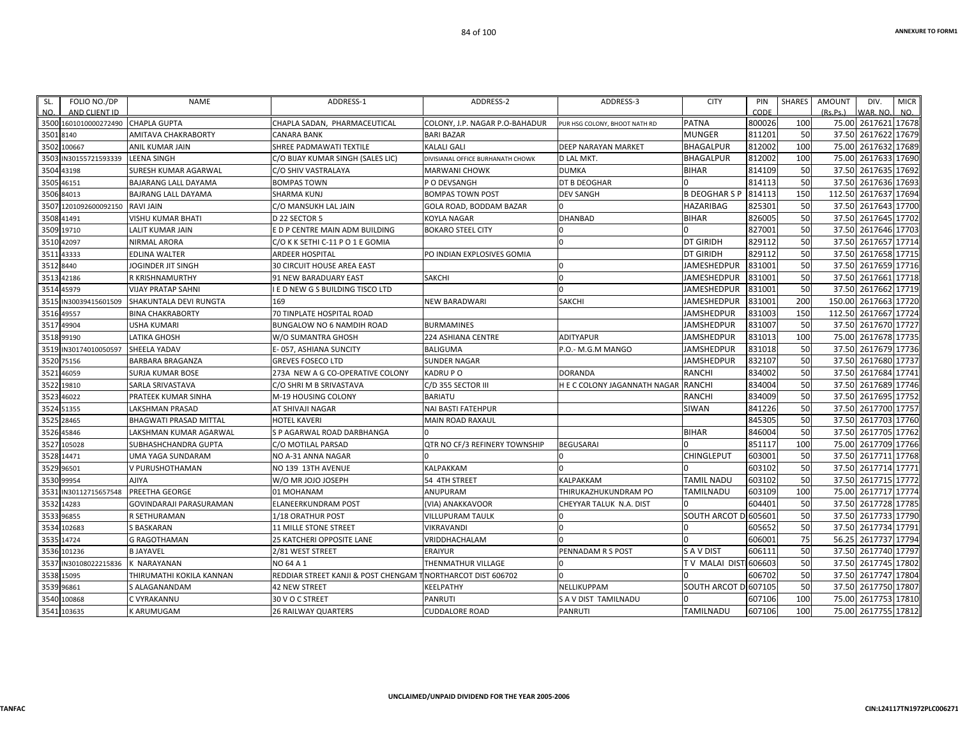| FOLIO NO./DP<br>SL.<br>AND CLIENT ID<br>NO. | <b>NAME</b>                    | ADDRESS-1                           | ADDRESS-2                         | ADDRESS-3                     | <b>CITY</b>          | PIN<br>CODE | <b>SHARES</b> | <b>AMOUNT</b><br>(Rs, Ps.) | DIV.<br>WAR. NO     | <b>MICR</b><br>NO. |
|---------------------------------------------|--------------------------------|-------------------------------------|-----------------------------------|-------------------------------|----------------------|-------------|---------------|----------------------------|---------------------|--------------------|
| 3500 1601010000272490 CHAPLA GUPTA          |                                | CHAPLA SADAN, PHARMACEUTICAL        | COLONY, J.P. NAGAR P.O-BAHADUR    | PUR HSG COLONY, BHOOT NATH RD | <b>PATNA</b>         | 800026      | 100           | 75.00                      | 2617621 17678       |                    |
| 3501<br>8140                                | AMITAVA CHAKRABORTY            | <b>CANARA BANK</b>                  | <b>BARI BAZAR</b>                 |                               | <b>MUNGER</b>        | 811201      | 50            | 37.50                      | 2617622             | 17679              |
| 3502 100667                                 | ANIL KUMAR JAIN                | SHREE PADMAWATI TEXTILE             | <b>KALALI GALI</b>                | <b>DEEP NARAYAN MARKET</b>    | <b>BHAGALPUR</b>     | 812002      | 100           | 75.00                      | 2617632 17689       |                    |
| IN30155721593339<br>3503                    | <b>LEENA SINGH</b>             | C/O BIJAY KUMAR SINGH (SALES LIC)   | DIVISIANAL OFFICE BURHANATH CHOWK | <b>D LAL MKT.</b>             | <b>BHAGALPUR</b>     | 812002      | 100           | 75.00                      | 2617633             | 17690              |
| 3504<br>43198                               | SURESH KUMAR AGARWAL           | C/O SHIV VASTRALAYA                 | <b>MARWANI CHOWK</b>              | <b>DUMKA</b>                  | <b>BIHAR</b>         | 814109      | 50            | 37.50                      | 2617635             | 17692              |
| 3505<br>46151                               | BAJARANG LALL DAYAMA           | <b>BOMPAS TOWN</b>                  | P O DEVSANGH                      | DT B DEOGHAR                  |                      | 814113      | 50            | 37.50                      | 2617636             | 17693              |
| 3506 84013                                  | <b>BAJRANG LALL DAYAMA</b>     | <b>SHARMA KUNJ</b>                  | <b>BOMPAS TOWN POST</b>           | <b>DEV SANGH</b>              | <b>B DEOGHAR S P</b> | 814113      | 150           | 112.50                     | 2617637 17694       |                    |
| 1201092600092150<br>350                     | <b>RAVI JAIN</b>               | C/O MANSUKH LAL JAIN                | GOLA ROAD. BODDAM BAZAR           |                               | <b>HAZARIBAG</b>     | 825301      | 50            | 37.50                      | 2617643             | 17700              |
| 3508 41491                                  | <b>VISHU KUMAR BHATI</b>       | D 22 SECTOR 5                       | <b>KOYLA NAGAR</b>                | <b>DHANBAD</b>                | <b>BIHAR</b>         | 826005      | 50            | 37.50                      | 2617645 17702       |                    |
| 3509<br>19710                               | <b>LALIT KUMAR JAIN</b>        | E D P CENTRE MAIN ADM BUILDING      | <b>BOKARO STEEL CITY</b>          |                               |                      | 827001      | 50            | 37.50                      | 2617646             | 17703              |
| 42097<br>3510                               | NIRMAL ARORA                   | C/O K K SETHI C-11 P O 1 E GOMIA    |                                   | $\Omega$                      | <b>DT GIRIDH</b>     | 829112      | 50            | 37.50                      | 2617657             | 17714              |
| 43333<br>351.                               | <b>EDLINA WALTER</b>           | <b>ARDEER HOSPITAL</b>              | PO INDIAN EXPLOSIVES GOMIA        |                               | <b>DT GIRIDH</b>     | 829112      | 50            | 37.50                      | 2617658 17715       |                    |
| 3512<br>8440                                | JOGINDER JIT SINGH             | <b>30 CIRCUIT HOUSE AREA EAST</b>   |                                   | 0                             | JAMESHEDPUR          | 831001      | 50            | 37.50                      | 2617659 17716       |                    |
| 42186<br>3513                               | <b>R KRISHNAMURTHY</b>         | <b>91 NEW BARADUARY EAST</b>        | <b>SAKCHI</b>                     | $\Omega$                      | <b>JAMESHEDPUR</b>   | 831001      | 50            | 37.50                      | 2617661             | 17718              |
| 3514<br>45979                               | <b>VIJAY PRATAP SAHNI</b>      | I E D NEW G S BUILDING TISCO LTD    |                                   | $\Omega$                      | <b>JAMESHEDPUR</b>   | 831001      | 50            | 37.50                      | 2617662             | 17719              |
| 3515<br>IN30039415601509                    | SHAKUNTALA DEVI RUNGTA         | 169                                 | <b>NEW BARADWARI</b>              | SAKCHI                        | JAMESHEDPUR          | 831001      | 200           | 150.00                     | 2617663             | 17720              |
| 49557<br>3516                               | <b>BINA CHAKRABORTY</b>        | <b>70 TINPLATE HOSPITAL ROAD</b>    |                                   |                               | <b>JAMSHEDPUR</b>    | 831003      | 150           | 112.50                     | 2617667             | 17724              |
| 3517<br>49904                               | <b>USHA KUMARI</b>             | <b>BUNGALOW NO 6 NAMDIH ROAD</b>    | <b>BURMAMINES</b>                 |                               | <b>JAMSHEDPUR</b>    | 831007      | 50            | 37.50                      | 2617670 17727       |                    |
| 3518 99190                                  | <b>LATIKA GHOSH</b>            | W/O SUMANTRA GHOSH                  | 224 ASHIANA CENTRE                | <b>ADITYAPUR</b>              | JAMSHEDPUR           | 831013      | 100           | 75.00                      | 2617678 17735       |                    |
| 3519<br>IN30174010050597                    | SHEELA YADAV                   | E-057, ASHIANA SUNCITY              | <b>BALIGUMA</b>                   | P.O.- M.G.M MANGO             | <b>JAMSHEDPUR</b>    | 831018      | 50            | 37.50                      | 2617679 17736       |                    |
| 3520<br>75156                               | <b>BARBARA BRAGANZA</b>        | <b>GREVES FOSECO LTD</b>            | <b>SUNDER NAGAR</b>               |                               | <b>JAMSHEDPUR</b>    | 832107      | 50            | 37.50                      | 2617680             | 17737              |
| 3521<br>46059                               | <b>SURJA KUMAR BOSE</b>        | 273A NEW A G CO-OPERATIVE COLONY    | <b>KADRUPO</b>                    | <b>DORANDA</b>                | <b>RANCHI</b>        | 834002      | 50            |                            | 37.50 2617684 17741 |                    |
| 3522<br>19810                               | SARLA SRIVASTAVA               | C/O SHRI M B SRIVASTAVA             | C/D 355 SECTOR III                | H E C COLONY JAGANNATH NAGAR  | <b>RANCHI</b>        | 834004      | 50            | 37.50                      | 2617689             | 17746              |
| 3523<br>46022                               | PRATEEK KUMAR SINHA            | M-19 HOUSING COLONY                 | <b>BARIATU</b>                    |                               | <b>RANCHI</b>        | 834009      | 50            | 37.50                      | 2617695             | 17752              |
| 51355<br>3524                               | LAKSHMAN PRASAD                | AT SHIVAJI NAGAR                    | NAI BASTI FATEHPUR                |                               | SIWAN                | 841226      | 50            |                            | 37.50 2617700 17757 |                    |
| 3525<br>28465                               | <b>BHAGWATI PRASAD MITTAL</b>  | <b>HOTEL KAVERI</b>                 | MAIN ROAD RAXAUL                  |                               |                      | 845305      | 50            | 37.50                      | 2617703 17760       |                    |
| 45846<br>3526                               | LAKSHMAN KUMAR AGARWAL         | S P AGARWAL ROAD DARBHANGA          |                                   |                               | <b>BIHAR</b>         | 846004      | 50            | 37.50                      | 2617705             | 17762              |
| 105028<br>3527                              | SUBHASHCHANDRA GUPTA           | C/O MOTILAL PARSAD                  | QTR NO CF/3 REFINERY TOWNSHIP     | <b>BEGUSARAI</b>              |                      | 851117      | 100           | 75.00                      | 2617709             | 17766              |
| 3528<br>14471                               | <b>UMA YAGA SUNDARAM</b>       | NO A-31 ANNA NAGAR                  |                                   |                               | CHINGLEPUT           | 603001      | 50            | 37.50                      | 2617711 17768       |                    |
| 3529<br>96501                               | V PURUSHOTHAMAN                | NO 139 13TH AVENUE                  | KALPAKKAM                         | $\Omega$                      |                      | 603102      | 50            | 37.50                      | 2617714 17771       |                    |
| 99954<br>3530                               | <b>AJIYA</b>                   | W/O MR JOJO JOSEPH                  | 54 4TH STREET                     | <b>KALPAKKAM</b>              | <b>TAMIL NADU</b>    | 603102      | 50            | 37.50                      | 2617715 17772       |                    |
| IN30112715657548<br>353                     | PREETHA GEORGE                 | 01 MOHANAM                          | ANUPURAM                          | THIRUKAZHUKUNDRAM PO          | TAMILNADU            | 603109      | 100           | 75.00                      | 2617717 17774       |                    |
| 3532<br>14283                               | <b>GOVINDARAJI PARASURAMAN</b> | <b>ELANEERKUNDRAM POST</b>          | (VIA) ANAKKAVOOR                  | CHEYYAR TALUK N.A. DIST       |                      | 604401      | 50            | 37.50                      | 2617728 17785       |                    |
| 96855<br>3533                               | R SETHURAMAN                   | 1/18 ORATHUR POST                   | <b>VILLUPURAM TAULK</b>           | $\Omega$                      | SOUTH ARCOT D 605601 |             | 50            | 37.50                      | 2617733 17790       |                    |
| 102683<br>3534                              | S BASKARAN                     | <b>11 MILLE STONE STREET</b>        | <b>VIKRAVANDI</b>                 | 0                             |                      | 605652      | 50            | 37.50                      | 2617734             | 17791              |
| 14724<br>3535                               | <b>G RAGOTHAMAN</b>            | 25 KATCHERI OPPOSITE LANE           | VRIDDHACHALAM                     |                               |                      | 606001      | 75            | 56.25                      | 2617737             | 17794              |
| 3536<br>101236                              | <b>B JAYAVEL</b>               | 2/81 WEST STREET                    | <b>ERAIYUR</b>                    | PENNADAM R S POST             | S A V DIST           | 606111      | 50            | 37.50                      | 2617740             | 17797              |
| 3537<br>IN30108022215836                    | K NARAYANAN                    | NO 64 A 1                           | THENMATHUR VILLAGE                | <sup>0</sup>                  | TV MALAI DISTI606603 |             | 50            | 37.50                      | 2617745 17802       |                    |
| 15095<br>3538                               | THIRUMATHI KOKILA KANNAN       | REDDIAR STREET KANJI & POST CHENGAM | TNORTHARCOT DIST 606702           | $\Omega$                      |                      | 606702      | 50            | 37.50                      | 2617747 17804       |                    |
| 3539<br>96861                               | S ALAGANANDAM                  | <b>42 NEW STREET</b>                | KEELPATHY                         | NELLIKUPPAM                   | <b>SOUTH ARCOT</b>   | 607105      | 50            | 37.50                      | 2617750             | 17807              |
| 3540 100868                                 | C VYRAKANNU                    | 30 V O C STREET                     | <b>PANRUTI</b>                    | S A V DIST TAMILNADU          |                      | 607106      | 100           | 75.00                      | 2617753             | 17810              |
| 3541 103635                                 | <b>KARUMUGAM</b>               | <b>26 RAILWAY QUARTERS</b>          | <b>CUDDALORE ROAD</b>             | <b>PANRUTI</b>                | <b>TAMILNADU</b>     | 607106      | 100           |                            | 75.00 2617755 17812 |                    |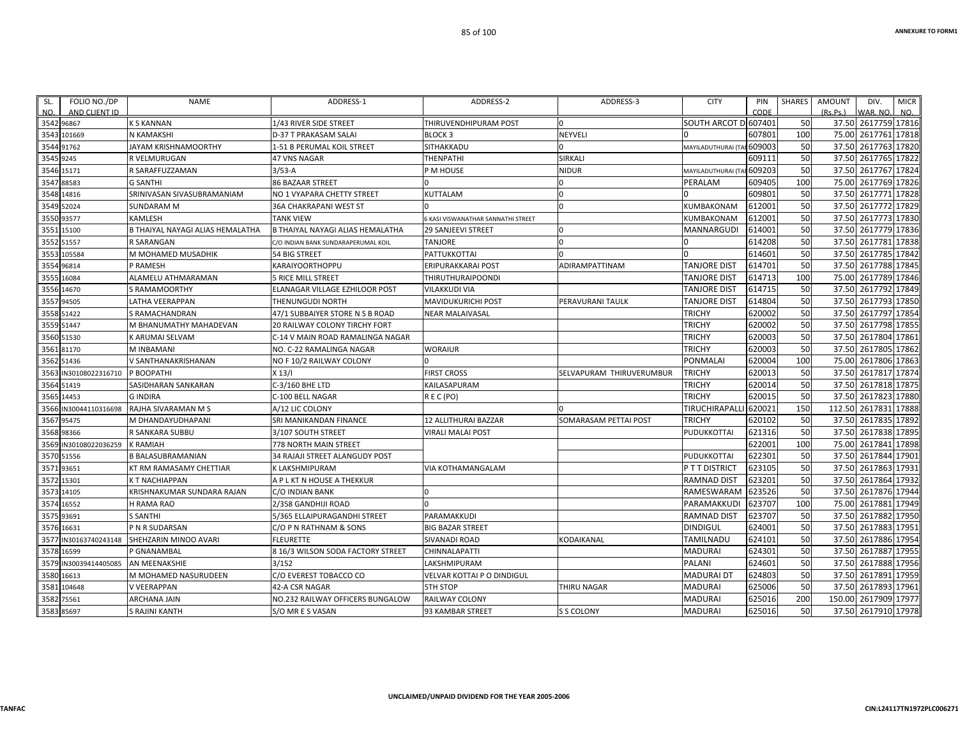| FOLIO NO./DP<br>SL.   | NAME                             | ADDRESS-1                               | ADDRESS-2                          | ADDRESS-3                | <b>CITY</b>          | PIN    | SHARES | AMOUNT   | DIV.                | <b>MICR</b> |
|-----------------------|----------------------------------|-----------------------------------------|------------------------------------|--------------------------|----------------------|--------|--------|----------|---------------------|-------------|
| AND CLIENT ID<br>NO.  |                                  |                                         |                                    |                          |                      | CODE   |        | (Rs.Ps.) | WAR. NO.            | NO.         |
| 3542 96867            | <b>K S KANNAN</b>                | 1/43 RIVER SIDE STREET                  | THIRUVENDHIPURAM POST              |                          | SOUTH ARCOT D 607401 |        | 50     |          | 37.50 2617759 17816 |             |
| 3543 101669           | N KAMAKSHI                       | D-37 T PRAKASAM SALAI                   | <b>BLOCK3</b>                      | NEYVELI                  |                      | 607801 | 100    |          | 75.00 2617761 17818 |             |
| 3544 91762            | JAYAM KRISHNAMOORTHY             | 1-51 B PERUMAL KOIL STREET              | SITHAKKADU                         |                          | MAYILADUTHURAI (T.   | 609003 | 50     |          | 37.50 2617763 17820 |             |
| 3545 9245             | R VELMURUGAN                     | 47 VNS NAGAR                            | THENPATHI                          | <b>SIRKALI</b>           |                      | 609111 | 50     |          | 37.50 2617765 17822 |             |
| 3546 15171            | R SARAFFUZZAMAN                  | $3/53 - A$                              | P M HOUSE                          | <b>NIDUR</b>             | MAYILADUTHURAI (     | 609203 | 50     | 37.50    | 2617767 17824       |             |
| 3547 88583            | <b>G SANTHI</b>                  | <b>86 BAZAAR STREET</b>                 |                                    | $\Omega$                 | PERALAM              | 609405 | 100    |          | 75.00 2617769 17826 |             |
| 3548 14816            | SRINIVASAN SIVASUBRAMANIAM       | NO 1 VYAPARA CHETTY STREET              | KUTTALAM                           |                          |                      | 609801 | 50     |          | 37.50 2617771 17828 |             |
| 3549 52024            | <b>SUNDARAM M</b>                | <b>36A CHAKRAPANI WEST ST</b>           |                                    |                          | KUMBAKONAM           | 612001 | 50     | 37.50    | 2617772 17829       |             |
| 3550 93577            | <b>KAMLESH</b>                   | <b>TANK VIEW</b>                        | 6 KASI VISWANATHAR SANNATHI STREET |                          | KUMBAKONAM           | 612001 | 50     | 37.50    | 2617773 17830       |             |
| 3551 15100            | B THAIYAL NAYAGI ALIAS HEMALATHA | <b>B THAIYAL NAYAGI ALIAS HEMALATHA</b> | <b>29 SANJEEVI STREET</b>          |                          | MANNARGUDI           | 614001 | 50     |          | 37.50 2617779 17836 |             |
| 3552 51557            | R SARANGAN                       | C/O INDIAN BANK SUNDARAPERUMAL KOIL     | <b>TANJORE</b>                     |                          |                      | 614208 | 50     |          | 37.50 2617781 17838 |             |
| 3553 105584           | M MOHAMED MUSADHIK               | 54 BIG STREET                           | PATTUKKOTTAI                       |                          |                      | 614601 | 50     |          | 37.50 2617785 17842 |             |
| 3554 96814            | P RAMESH                         | <b>KARAIYOORTHOPPU</b>                  | ERIPURAKKARAI POST                 | ADIRAMPATTINAM           | TANJORE DIST         | 614701 | 50     |          | 37.50 2617788 17845 |             |
| 3555 16084            | ALAMELU ATHMARAMAN               | <b>5 RICE MILL STREET</b>               | THIRUTHURAIPOONDI                  |                          | <b>TANJORE DIST</b>  | 614713 | 100    | 75.00    | 2617789 17846       |             |
| 3556 14670            | S RAMAMOORTHY                    | ELANAGAR VILLAGE EZHILOOR POST          | VILAKKUDI VIA                      |                          | <b>TANJORE DIST</b>  | 614715 | 50     | 37.50    | 2617792 17849       |             |
| 3557 94505            | LATHA VEERAPPAN                  | <b>THENUNGUDI NORTH</b>                 | MAVIDUKURICHI POST                 | PERAVURANI TAULK         | TANJORE DIST         | 614804 | 50     |          | 37.50 2617793 17850 |             |
| 3558 51422            | S RAMACHANDRAN                   | 47/1 SUBBAIYER STORE N S B ROAD         | <b>NEAR MALAIVASAL</b>             |                          | TRICHY               | 620002 | 50     |          | 37.50 2617797 17854 |             |
| 3559 51447            | M BHANUMATHY MAHADEVAN           | 20 RAILWAY COLONY TIRCHY FORT           |                                    |                          | <b>TRICHY</b>        | 620002 | 50     | 37.50    | 2617798 17855       |             |
| 3560 51530            | K ARUMAI SELVAM                  | C-14 V MAIN ROAD RAMALINGA NAGAR        |                                    |                          | <b>TRICHY</b>        | 620003 | 50     |          | 37.50 2617804 17861 |             |
| 3561 81170            | M INBAMANI                       | NO. C-22 RAMALINGA NAGAR                | <b>WORAIUR</b>                     |                          | <b>TRICHY</b>        | 620003 | 50     | 37.50    | 2617805 17862       |             |
| 3562 51436            | V SANTHANAKRISHANAN              | NO F 10/2 RAILWAY COLONY                |                                    |                          | <b>PONMALAI</b>      | 620004 | 100    | 75.00    | 2617806 17863       |             |
| 3563 IN30108022316710 | P BOOPATHI                       | $X$ 13/I                                | <b>FIRST CROSS</b>                 | SELVAPURAM THIRUVERUMBUR | <b>TRICHY</b>        | 620013 | 50     | 37.50    | 2617817 17874       |             |
| 3564 51419            | SASIDHARAN SANKARAN              | C-3/160 BHE LTD                         | KAILASAPURAM                       |                          | <b>TRICHY</b>        | 620014 | 50     |          | 37.50 2617818 17875 |             |
| 3565 14453            | <b>GINDIRA</b>                   | C-100 BELL NAGAR                        | REC(PO)                            |                          | <b>TRICHY</b>        | 620015 | 50     |          | 37.50 2617823 17880 |             |
| 3566 IN30044110316698 | RAJHA SIVARAMAN M S              | A/12 LIC COLONY                         |                                    |                          | TIRUCHIRAPAL         | 620021 | 150    | 112.50   | 2617831 17888       |             |
| 3567 95475            | M DHANDAYUDHAPANI                | SRI MANIKANDAN FINANCE                  | <b>12 ALLITHURAI BAZZAR</b>        | SOMARASAM PETTAI POST    | <b>TRICHY</b>        | 620102 | 50     |          | 37.50 2617835 17892 |             |
| 3568 98366            | R SANKARA SUBBU                  | 3/107 SOUTH STREET                      | VIRALI MALAI POST                  |                          | PUDUKKOTTAI          | 621316 | 50     |          | 37.50 2617838 17895 |             |
| 3569 IN30108022036259 | <b>K RAMIAH</b>                  | 778 NORTH MAIN STREET                   |                                    |                          |                      | 622001 | 100    | 75.00    | 2617841 17898       |             |
| 3570 51556            | <b>B BALASUBRAMANIAN</b>         | <b>34 RAJAJI STREET ALANGUDY POST</b>   |                                    |                          | PUDUKKOTTAI          | 622301 | 50     | 37.50    | 2617844 17901       |             |
| 3571 93651            | KT RM RAMASAMY CHETTIAR          | K LAKSHMIPURAM                          | VIA KOTHAMANGALAM                  |                          | P T T DISTRICT       | 623105 | 50     |          | 37.50 2617863 17931 |             |
| 3572 15301            | K T NACHIAPPAN                   | A P L KT N HOUSE A THEKKUR              |                                    |                          | <b>RAMNAD DIST</b>   | 623201 | 50     | 37.50    | 2617864 17932       |             |
| 3573 14105            | KRISHNAKUMAR SUNDARA RAJAN       | C/O INDIAN BANK                         |                                    |                          | RAMESWARAM           | 623526 | 50     | 37.50    | 2617876 17944       |             |
| 3574 16552            | H RAMA RAO                       | 2/358 GANDHIJI ROAD                     | $\Omega$                           |                          | PARAMAKKUDI          | 623707 | 100    |          | 75.00 2617881 17949 |             |
| 3575 93691            | <b>S SANTHI</b>                  | 5/365 ELLAIPURAGANDHI STREET            | PARAMAKKUDI                        |                          | <b>RAMNAD DIST</b>   | 623707 | 50     |          | 37.50 2617882 17950 |             |
| 3576 16631            | P N R SUDARSAN                   | C/O P N RATHNAM & SONS                  | <b>BIG BAZAR STREET</b>            |                          | <b>DINDIGUL</b>      | 624001 | 50     |          | 37.50 2617883 17951 |             |
| 3577 IN30163740243148 | SHEHZARIN MINOO AVARI            | <b>FLEURETTE</b>                        | <b>SIVANADI ROAD</b>               | KODAIKANAL               | TAMILNADU            | 624101 | 50     |          | 37.50 2617886 17954 |             |
| 3578 16599            | P GNANAMBAL                      | 8 16/3 WILSON SODA FACTORY STREET       | CHINNALAPATTI                      |                          | <b>MADURAI</b>       | 624301 | 50     |          | 37.50 2617887 17955 |             |
| 3579 IN30039414405085 | AN MEENAKSHIE                    | 3/152                                   | LAKSHMIPURAM                       |                          | <b>PALANI</b>        | 624601 | 50     |          | 37.50 2617888 17956 |             |
| 3580 16613            | M MOHAMED NASURUDEEN             | C/O EVEREST TOBACCO CO                  | VELVAR KOTTAI P O DINDIGUL         |                          | <b>MADURAI DT</b>    | 624803 | 50     |          | 37.50 2617891 17959 |             |
| 3581 104648           | V VEERAPPAN                      | 42-A CSR NAGAR                          | <b>5TH STOP</b>                    | THIRU NAGAR              | <b>MADURAI</b>       | 625006 | 50     |          | 37.50 2617893 17961 |             |
| 3582 75561            | ARCHANA JAIN                     | NO.232 RAILWAY OFFICERS BUNGALOW        | RAILWAY COLONY                     |                          | <b>MADURAI</b>       | 625016 | 200    | 150.00   | 2617909 17977       |             |
| 3583 85697            | S RAJINI KANTH                   | S/O MR E S VASAN                        | 93 KAMBAR STREET                   | S S COLONY               | <b>MADURAI</b>       | 625016 | 50     |          | 37.50 2617910 17978 |             |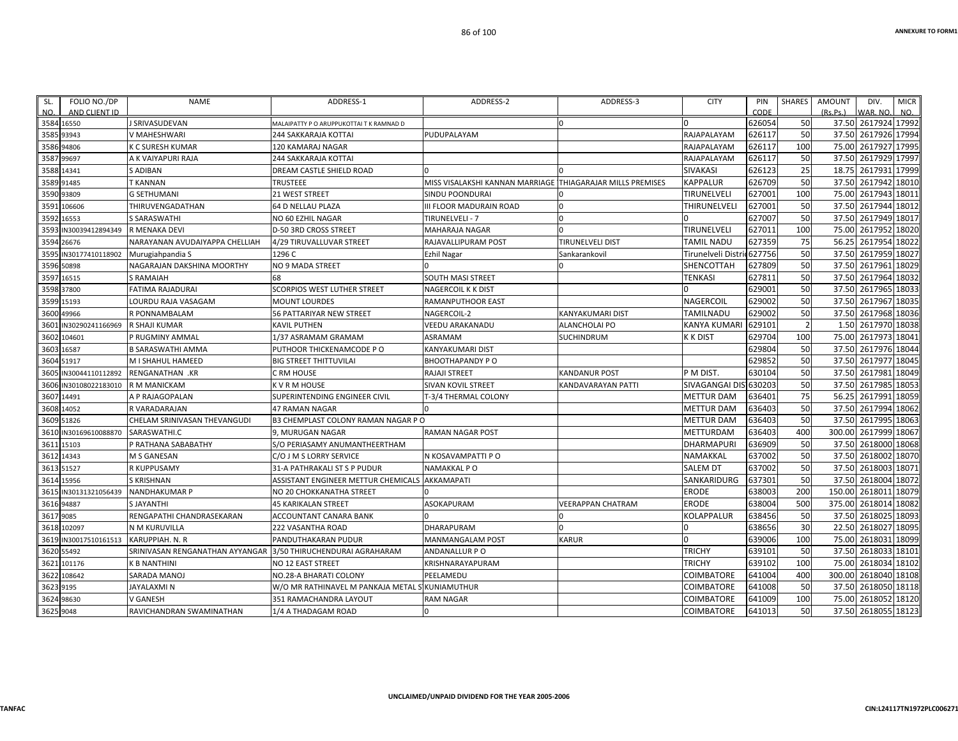| SL.        | FOLIO NO./DP          | <b>NAME</b>                     | ADDRESS-1                                | ADDRESS-2                                                   | ADDRESS-3                | <b>CITY</b>           | PIN    | SHARES | AMOUNT<br>DIV.          | <b>MICR</b> |
|------------|-----------------------|---------------------------------|------------------------------------------|-------------------------------------------------------------|--------------------------|-----------------------|--------|--------|-------------------------|-------------|
| NO.        | AND CLIENT ID         |                                 |                                          |                                                             |                          |                       | CODE   |        | (Rs.Ps.)<br>WAR, NO.    | NO.         |
| 3584 16550 |                       | J SRIVASUDEVAN                  | MALAIPATTY P O ARUPPUKOTTAI T K RAMNAD D |                                                             |                          |                       | 626054 | 50     | 37.50 2617924 17992     |             |
| 3585 93943 |                       | V MAHESHWARI                    | <b>244 SAKKARAJA KOTTAI</b>              | PUDUPALAYAM                                                 |                          | RAJAPALAYAM           | 626117 | 50     | 2617926 17994<br>37.50  |             |
| 3586 94806 |                       | K C SURESH KUMAR                | 120 KAMARAJ NAGAR                        |                                                             |                          | RAJAPALAYAM           | 626117 | 100    | 2617927 17995<br>75.00  |             |
| 3587 99697 |                       | A K VAIYAPURI RAJA              | 244 SAKKARAJA KOTTAI                     |                                                             |                          | RAJAPALAYAM           | 626117 | 50     | 2617929 17997<br>37.50  |             |
| 3588 14341 |                       | S ADIBAN                        | DREAM CASTLE SHIELD ROAD                 |                                                             |                          | SIVAKASI              | 626123 | 25     | 2617931 17999<br>18.75  |             |
| 3589 91485 |                       | T KANNAN                        | TRUSTEEE                                 | MISS VISALAKSHI KANNAN MARRIAGE  THIAGARAJAR MILLS PREMISES |                          | KAPPALUR              | 626709 | 50     | 37.50<br>2617942 18010  |             |
| 3590 93809 |                       | <b>G SETHUMANI</b>              | 21 WEST STREET                           | SINDU POONDURAI                                             |                          | TIRUNELVELI           | 627001 | 100    | 75.00<br>2617943 18011  |             |
|            | 3591 106606           | THIRUVENGADATHAN                | 64 D NELLAU PLAZA                        | III FLOOR MADURAIN ROAD                                     |                          | THIRUNELVELI          | 627001 | 50     | 2617944 18012<br>37.50  |             |
| 3592 16553 |                       | <b>S SARASWATHI</b>             | NO 60 EZHIL NAGAR                        | TIRUNELVELI - 7                                             |                          |                       | 627007 | 50     | 2617949 18017<br>37.50  |             |
|            | 3593 IN30039412894349 | R MENAKA DEVI                   | D-50 3RD CROSS STREET                    | MAHARAJA NAGAR                                              |                          | TIRUNELVELI           | 627011 | 100    | 2617952 18020<br>75.00  |             |
|            | 3594 26676            | NARAYANAN AVUDAIYAPPA CHELLIAH  | 4/29 TIRUVALLUVAR STREET                 | RAJAVALLIPURAM POST                                         | TIRUNELVELI DIST         | TAMIL NADU            | 627359 | 75     | 2617954 18022<br>56.25  |             |
|            | 3595 IN30177410118902 | Murugiahpandia S                | 1296 C                                   | Ezhil Nagar                                                 | Sankarankovil            | Tirunelveli Disti     | 627756 | 50     | 37.50<br>2617959 18027  |             |
| 3596 50898 |                       | NAGARAJAN DAKSHINA MOORTHY      | NO 9 MADA STREET                         |                                                             |                          | SHENCOTTAH            | 627809 | 50     | 37.50<br>2617961        | 18029       |
| 3597 16515 |                       | <b>S RAMAIAH</b>                | 68                                       | SOUTH MASI STREET                                           |                          | TENKASI               | 627811 | 50     | 2617964 18032<br>37.50  |             |
| 3598 37800 |                       | <b>FATIMA RAJADURAI</b>         | <b>SCORPIOS WEST LUTHER STREET</b>       | NAGERCOIL K K DIST                                          |                          |                       | 629001 | 50     | 37.50<br>2617965 18033  |             |
| 3599 15193 |                       | LOURDU RAJA VASAGAM             | <b>MOUNT LOURDES</b>                     | RAMANPUTHOOR EAST                                           |                          | NAGERCOIL             | 629002 | 50     | 2617967<br>37.50        | 18035       |
| 3600 49966 |                       | R PONNAMBALAM                   | 56 PATTARIYAR NEW STREET                 | NAGERCOIL-2                                                 | <b>KANYAKUMARI DIST</b>  | <b>TAMILNADU</b>      | 629002 | 50     | 37.50 2617968 18036     |             |
|            | 3601 IN30290241166969 | R SHAJI KUMAR                   | <b>KAVIL PUTHEN</b>                      | VEEDU ARAKANADU                                             | ALANCHOLAI PO            | KANYA KUMARI          | 629101 |        | 2617970 18038<br>1.50   |             |
|            | 3602 104601           | P RUGMINY AMMAL                 | 1/37 ASRAMAM GRAMAM                      | ASRAMAM                                                     | <b>SUCHINDRUM</b>        | K K DIST              | 629704 | 100    | 2617973 18041<br>75.00  |             |
| 3603 16587 |                       | B SARASWATHI AMMA               | PUTHOOR THICKENAMCODE PO                 | KANYAKUMARI DIST                                            |                          |                       | 629804 | 50     | 37.50 2617976 18044     |             |
| 3604 51917 |                       | M I SHAHUL HAMEED               | <b>BIG STREET THITTUVILAI</b>            | BHOOTHAPANDY PO                                             |                          |                       | 629852 | 50     | 37.50<br>2617977 18045  |             |
| 3605       | IN30044110112892      | RENGANATHAN .KR                 | C RM HOUSE                               | RAJAJI STREET                                               | <b>KANDANUR POST</b>     | P M DIST.             | 630104 | 50     | 2617981 18049<br>37.50  |             |
| 3606       | IN30108022183010      | R M MANICKAM                    | K V R M HOUSE                            | SIVAN KOVIL STREET                                          | KANDAVARAYAN PATTI       | SIVAGANGAI DIS 630203 |        | 50     | 37.50<br>2617985 18053  |             |
| 3607 14491 |                       | A P RAJAGOPALAN                 | SUPERINTENDING ENGINEER CIVIL            | <b>F-3/4 THERMAL COLONY</b>                                 |                          | <b>METTUR DAM</b>     | 636401 | 75     | 2617991 18059<br>56.25  |             |
| 3608 14052 |                       | R VARADARAJAN                   | <b>47 RAMAN NAGAR</b>                    |                                                             |                          | <b>METTUR DAM</b>     | 636403 | 50     | 37.50<br>2617994        | 18062       |
|            | 3609 51826            | CHELAM SRINIVASAN THEVANGUDI    | B3 CHEMPLAST COLONY RAMAN NAGAR P O      |                                                             |                          | <b>METTUR DAM</b>     | 636403 | 50     | 37.50<br>2617995 18063  |             |
|            | 3610 IN30169610088870 | SARASWATHI.C                    | 9, MURUGAN NAGAR                         | RAMAN NAGAR POST                                            |                          | METTURDAM             | 636403 | 400    | 300.00<br>2617999 18067 |             |
| 3611 15103 |                       | P RATHANA SABABATHY             | S/O PERIASAMY ANUMANTHEERTHAM            |                                                             |                          | DHARMAPURI            | 636909 | 50     | 37.50<br>2618000 18068  |             |
| 3612 14343 |                       | M S GANESAN                     | C/O J M S LORRY SERVICE                  | N KOSAVAMPATTI P O                                          |                          | NAMAKKAL              | 637002 | 50     | 2618002 18070<br>37.50  |             |
| 3613 51527 |                       | R KUPPUSAMY                     | 31-A PATHRAKALI ST S P PUDUR             | NAMAKKAL P O                                                |                          | <b>SALEM DT</b>       | 637002 | 50     | 37.50<br>2618003 18071  |             |
|            | 3614 15956            | <b>S KRISHNAN</b>               | ASSISTANT ENGINEER METTUR CHEMICALS      | AKKAMAPATI                                                  |                          | SANKARIDURG           | 637301 | 50     | 37.50<br>2618004 18072  |             |
|            | 3615 IN30131321056439 | <b>NANDHAKUMAR P</b>            | NO 20 CHOKKANATHA STREET                 |                                                             |                          | <b>ERODE</b>          | 638003 | 200    | 150.00<br>2618011       | 18079       |
| 3616 94887 |                       | <b>SJAYANTHI</b>                | <b>45 KARIKALAN STREET</b>               | ASOKAPURAM                                                  | <b>VEERAPPAN CHATRAM</b> | ERODE                 | 638004 | 500    | 375.00<br>2618014 18082 |             |
| 3617 9085  |                       | RENGAPATHI CHANDRASEKARAN       | ACCOUNTANT CANARA BANK                   |                                                             |                          | KOLAPPALUR            | 638456 | 50     | 37.50<br>2618025 18093  |             |
|            | 3618 102097           | N M KURUVILLA                   | 222 VASANTHA ROAD                        | DHARAPURAM                                                  |                          |                       | 638656 | 30     | 2618027<br>22.50        | 18095       |
|            | 3619 IN30017510161513 | KARUPPIAH, N. R.                | PANDUTHAKARAN PUDUR                      | <b>MANMANGALAM POST</b>                                     | <b>KARUR</b>             |                       | 639006 | 100    | 75.00<br>2618031 18099  |             |
|            | 3620 55492            | SRINIVASAN RENGANATHAN AYYANGAR | 3/50 THIRUCHENDURAI AGRAHARAM            | ANDANALLUR P O                                              |                          | <b>TRICHY</b>         | 639101 | 50     | 2618033 18101<br>37.50  |             |
|            | 3621 101176           | <b>K B NANTHINI</b>             | NO 12 EAST STREET                        | KRISHNARAYAPURAM                                            |                          | <b>TRICHY</b>         | 639102 | 100    | 75.00<br>2618034 18102  |             |
|            | 3622 108642           | SARADA MANOJ                    | NO.28-A BHARATI COLONY                   | PEELAMEDU                                                   |                          | COIMBATORE            | 641004 | 400    | 2618040 18108<br>300.00 |             |
| 3623 9195  |                       | <b>JAYALAXMI N</b>              | W/O MR RATHINAVEL M PANKAJA METAL S      | KUNIAMUTHUR                                                 |                          | COIMBATORE            | 641008 | 50     | 2618050 18118<br>37.50  |             |
| 3624 98630 |                       | V GANESH                        | 351 RAMACHANDRA LAYOUT                   | <b>RAM NAGAR</b>                                            |                          | COIMBATORE            | 641009 | 100    | 2618052 18120<br>75.00  |             |
| 3625 9048  |                       | RAVICHANDRAN SWAMINATHAN        | 1/4 A THADAGAM ROAD                      |                                                             |                          | COIMBATORE            | 641013 | 50     | 37.50 2618055 18123     |             |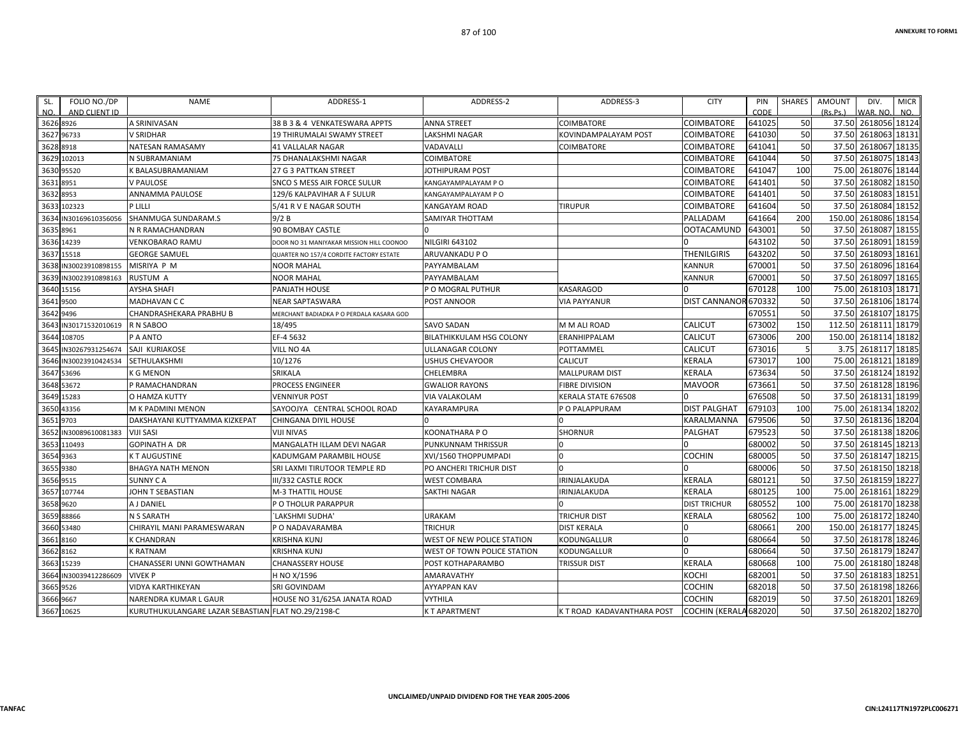| CODE<br>641025<br>COIMBATORE<br>641030<br>COIMBATORE<br>COIMBATORE<br>641041<br>641044<br>COIMBATORE | 50<br>50<br>50<br>50                                                                                                                                                                  | (Rs.Ps.)<br>WAR. NO.<br>NO.<br>2618056 18124<br>37.50<br>37.50<br>2618063 18131<br>2618067 18135<br>37.50                                                                                                                                                                                                                                                                                                                                                                                                                                                                                                                                                |
|------------------------------------------------------------------------------------------------------|---------------------------------------------------------------------------------------------------------------------------------------------------------------------------------------|----------------------------------------------------------------------------------------------------------------------------------------------------------------------------------------------------------------------------------------------------------------------------------------------------------------------------------------------------------------------------------------------------------------------------------------------------------------------------------------------------------------------------------------------------------------------------------------------------------------------------------------------------------|
|                                                                                                      |                                                                                                                                                                                       |                                                                                                                                                                                                                                                                                                                                                                                                                                                                                                                                                                                                                                                          |
|                                                                                                      |                                                                                                                                                                                       |                                                                                                                                                                                                                                                                                                                                                                                                                                                                                                                                                                                                                                                          |
|                                                                                                      |                                                                                                                                                                                       |                                                                                                                                                                                                                                                                                                                                                                                                                                                                                                                                                                                                                                                          |
|                                                                                                      |                                                                                                                                                                                       |                                                                                                                                                                                                                                                                                                                                                                                                                                                                                                                                                                                                                                                          |
|                                                                                                      |                                                                                                                                                                                       | 2618075 18143<br>37.50                                                                                                                                                                                                                                                                                                                                                                                                                                                                                                                                                                                                                                   |
|                                                                                                      |                                                                                                                                                                                       | 75.00<br>2618076 18144                                                                                                                                                                                                                                                                                                                                                                                                                                                                                                                                                                                                                                   |
|                                                                                                      |                                                                                                                                                                                       | 2618082 18150<br>37.50                                                                                                                                                                                                                                                                                                                                                                                                                                                                                                                                                                                                                                   |
|                                                                                                      |                                                                                                                                                                                       | 37.50<br>2618083<br>18151                                                                                                                                                                                                                                                                                                                                                                                                                                                                                                                                                                                                                                |
|                                                                                                      |                                                                                                                                                                                       | 37.50<br>2618084 18152                                                                                                                                                                                                                                                                                                                                                                                                                                                                                                                                                                                                                                   |
|                                                                                                      |                                                                                                                                                                                       | 2618086 18154<br>150.00                                                                                                                                                                                                                                                                                                                                                                                                                                                                                                                                                                                                                                  |
|                                                                                                      |                                                                                                                                                                                       | 37.50<br>2618087 18155                                                                                                                                                                                                                                                                                                                                                                                                                                                                                                                                                                                                                                   |
|                                                                                                      |                                                                                                                                                                                       | 37.50<br>2618091 18159                                                                                                                                                                                                                                                                                                                                                                                                                                                                                                                                                                                                                                   |
|                                                                                                      |                                                                                                                                                                                       | 2618093 18161<br>37.50                                                                                                                                                                                                                                                                                                                                                                                                                                                                                                                                                                                                                                   |
|                                                                                                      |                                                                                                                                                                                       | 37.50<br>2618096 18164                                                                                                                                                                                                                                                                                                                                                                                                                                                                                                                                                                                                                                   |
|                                                                                                      |                                                                                                                                                                                       | 2618097 18165<br>37.50                                                                                                                                                                                                                                                                                                                                                                                                                                                                                                                                                                                                                                   |
|                                                                                                      |                                                                                                                                                                                       | 75.00<br>2618103<br>18171                                                                                                                                                                                                                                                                                                                                                                                                                                                                                                                                                                                                                                |
|                                                                                                      |                                                                                                                                                                                       | 37.50<br>2618106 18174                                                                                                                                                                                                                                                                                                                                                                                                                                                                                                                                                                                                                                   |
|                                                                                                      |                                                                                                                                                                                       | 37.50<br>2618107 18175                                                                                                                                                                                                                                                                                                                                                                                                                                                                                                                                                                                                                                   |
|                                                                                                      |                                                                                                                                                                                       | 2618111 18179<br>112.50                                                                                                                                                                                                                                                                                                                                                                                                                                                                                                                                                                                                                                  |
|                                                                                                      |                                                                                                                                                                                       | 18182<br>150.00<br>2618114                                                                                                                                                                                                                                                                                                                                                                                                                                                                                                                                                                                                                               |
|                                                                                                      |                                                                                                                                                                                       | 2618117 18185<br>3.75                                                                                                                                                                                                                                                                                                                                                                                                                                                                                                                                                                                                                                    |
|                                                                                                      |                                                                                                                                                                                       | 2618121 18189<br>75.00                                                                                                                                                                                                                                                                                                                                                                                                                                                                                                                                                                                                                                   |
|                                                                                                      |                                                                                                                                                                                       | 2618124 18192<br>37.50                                                                                                                                                                                                                                                                                                                                                                                                                                                                                                                                                                                                                                   |
|                                                                                                      |                                                                                                                                                                                       | 2618128 18196<br>37.50                                                                                                                                                                                                                                                                                                                                                                                                                                                                                                                                                                                                                                   |
|                                                                                                      |                                                                                                                                                                                       | 2618131 18199<br>37.50                                                                                                                                                                                                                                                                                                                                                                                                                                                                                                                                                                                                                                   |
|                                                                                                      |                                                                                                                                                                                       | 75.00<br>2618134 18202                                                                                                                                                                                                                                                                                                                                                                                                                                                                                                                                                                                                                                   |
|                                                                                                      |                                                                                                                                                                                       | 37.50<br>2618136 18204                                                                                                                                                                                                                                                                                                                                                                                                                                                                                                                                                                                                                                   |
|                                                                                                      |                                                                                                                                                                                       | 37.50<br>2618138 18206                                                                                                                                                                                                                                                                                                                                                                                                                                                                                                                                                                                                                                   |
|                                                                                                      |                                                                                                                                                                                       | 37.50<br>2618145 18213                                                                                                                                                                                                                                                                                                                                                                                                                                                                                                                                                                                                                                   |
|                                                                                                      |                                                                                                                                                                                       | 2618147 18215<br>37.50                                                                                                                                                                                                                                                                                                                                                                                                                                                                                                                                                                                                                                   |
|                                                                                                      |                                                                                                                                                                                       | 37.50<br>2618150 18218                                                                                                                                                                                                                                                                                                                                                                                                                                                                                                                                                                                                                                   |
|                                                                                                      |                                                                                                                                                                                       | 37.50<br>2618159 18227                                                                                                                                                                                                                                                                                                                                                                                                                                                                                                                                                                                                                                   |
|                                                                                                      |                                                                                                                                                                                       | 2618161 18229<br>75.00                                                                                                                                                                                                                                                                                                                                                                                                                                                                                                                                                                                                                                   |
|                                                                                                      |                                                                                                                                                                                       | 2618170 18238<br>75.00                                                                                                                                                                                                                                                                                                                                                                                                                                                                                                                                                                                                                                   |
|                                                                                                      | 100                                                                                                                                                                                   | 2618172 18240<br>75.00                                                                                                                                                                                                                                                                                                                                                                                                                                                                                                                                                                                                                                   |
|                                                                                                      |                                                                                                                                                                                       | 150.00<br>2618177 18245                                                                                                                                                                                                                                                                                                                                                                                                                                                                                                                                                                                                                                  |
|                                                                                                      |                                                                                                                                                                                       | 37.50<br>2618178 18246                                                                                                                                                                                                                                                                                                                                                                                                                                                                                                                                                                                                                                   |
|                                                                                                      |                                                                                                                                                                                       | 2618179 18247<br>37.50                                                                                                                                                                                                                                                                                                                                                                                                                                                                                                                                                                                                                                   |
|                                                                                                      |                                                                                                                                                                                       | 75.00<br>2618180 18248                                                                                                                                                                                                                                                                                                                                                                                                                                                                                                                                                                                                                                   |
|                                                                                                      |                                                                                                                                                                                       | 37.50<br>2618183 18251                                                                                                                                                                                                                                                                                                                                                                                                                                                                                                                                                                                                                                   |
|                                                                                                      |                                                                                                                                                                                       | 37.50<br>2618198 18266                                                                                                                                                                                                                                                                                                                                                                                                                                                                                                                                                                                                                                   |
|                                                                                                      |                                                                                                                                                                                       | 2618201 18269<br>37.50                                                                                                                                                                                                                                                                                                                                                                                                                                                                                                                                                                                                                                   |
|                                                                                                      |                                                                                                                                                                                       | 37.50 2618202 18270                                                                                                                                                                                                                                                                                                                                                                                                                                                                                                                                                                                                                                      |
| <b>CALICUT</b><br><b>CALICUT</b><br><b>MAVOOR</b><br>PALGHAT                                         | <b>COIMBATORE</b><br><b>COIMBATORE</b><br>COIMBATORE<br>COIMBATORE<br>PALLADAM<br><b>OOTACAMUND</b><br><b>THENILGIRIS</b><br><b>DIST PALGHAT</b><br>KARALMANNA<br><b>DIST TRICHUR</b> | 100<br>641047<br>50<br>641401<br>50<br>641401<br>50<br>641604<br>200<br>641664<br>643001<br>50<br>643102<br>50<br>643202<br>50<br>50<br>670001<br>670001<br>50<br>670128<br>100<br>DIST CANNANOR 670332<br>50<br>50<br>670551<br>150<br>673002<br>673006<br>200<br>673016<br>673017<br>100<br>673634<br>50<br>50<br>673661<br>676508<br>50<br>679103<br>100<br>679506<br>50<br>679523<br>50<br>680002<br>50<br>50<br>680005<br>50<br>680006<br>680121<br>50<br>100<br>680125<br>680552<br>100<br>680562<br>680661<br>200<br>680664<br>50<br>680664<br>50<br>100<br>680668<br>682001<br>50<br>682018<br>50<br>50<br>682019<br>50<br>COCHIN (KERALA 682020 |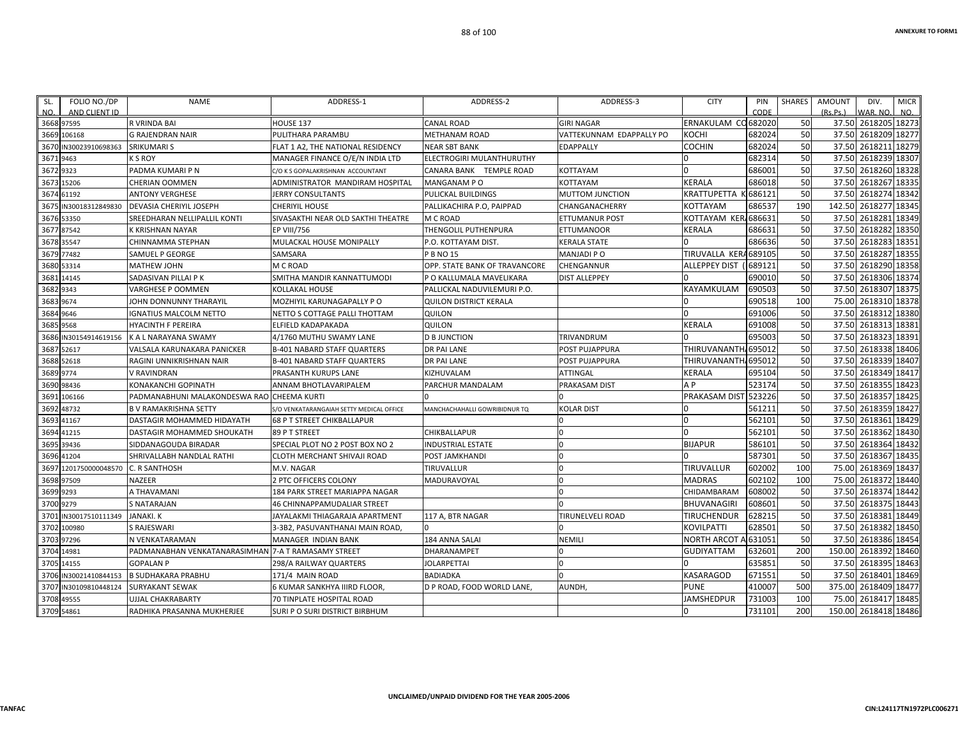| SL.        | FOLIO NO./DP          | NAME                                                | ADDRESS-1                                | ADDRESS-2                     | ADDRESS-3                | <b>CITY</b>                     | PIN     | SHARES | AMOUNT   | DIV.                 | <b>MICR</b> |
|------------|-----------------------|-----------------------------------------------------|------------------------------------------|-------------------------------|--------------------------|---------------------------------|---------|--------|----------|----------------------|-------------|
| NO.        | AND CLIENT ID         |                                                     |                                          |                               |                          |                                 | CODE    |        | (Rs.Ps.) | WAR. NO.             | NO.         |
|            | 3668 97595            | R VRINDA BAI                                        | HOUSE 137                                | <b>CANAL ROAD</b>             | <b>GIRI NAGAR</b>        | ERNAKULAM CO682020              |         | 50     |          | 37.50 2618205 18273  |             |
|            | 3669 106168           | <b>G RAJENDRAN NAIR</b>                             | PULITHARA PARAMBU                        | METHANAM ROAD                 | VATTEKUNNAM EDAPPALLY PO | косні                           | 682024  | 50     |          | 37.50 2618209 18277  |             |
|            | 3670 IN30023910698363 | <b>SRIKUMARI S</b>                                  | FLAT 1 A2, THE NATIONAL RESIDENCY        | NEAR SBT BANK                 | EDAPPALLY                | COCHIN                          | 682024  | 50     |          | 37.50 2618211        | 18279       |
| 3671 9463  |                       | K S ROY                                             | MANAGER FINANCE O/E/N INDIA LTD          | ELECTROGIRI MULANTHURUTHY     |                          |                                 | 682314  | 50     |          | 37.50 2618239 18307  |             |
| 3672 9323  |                       | PADMA KUMARI P N                                    | C/O K S GOPALAKRISHNAN ACCOUNTANT        | CANARA BANK TEMPLE ROAD       | KOTTAYAM                 |                                 | 686001  | 50     |          | 37.50 2618260 18328  |             |
| 3673 15206 |                       | CHERIAN OOMMEN                                      | ADMINISTRATOR MANDIRAM HOSPITAL          | MANGANAM PO                   | KOTTAYAM                 | KERALA                          | 686018  | 50     |          | 37.50 2618267 18335  |             |
| 3674 61192 |                       | ANTONY VERGHESE                                     | JERRY CONSULTANTS                        | PULICKAL BUILDINGS            | <b>MUTTOM JUNCTION</b>   | KRATTUPETTA                     | K686121 | 50     |          | 37.50 2618274        | 18342       |
|            | 3675 IN30018312849830 | DEVASIA CHERIYIL JOSEPH                             | CHERIYIL HOUSE                           | PALLIKACHIRA P.O, PAIPPAD     | CHANGANACHERRY           | KOTTAYAM                        | 686537  | 190    |          | 142.50 2618277       | 18345       |
| 3676 53350 |                       | SREEDHARAN NELLIPALLIL KONTI                        | SIVASAKTHI NEAR OLD SAKTHI THEATRE       | M C ROAD                      | ETTUMANUR POST           | KOTTAYAM KER/686631             |         | 50     |          | 37.50 2618281        | 18349       |
| 3677 87542 |                       | K KRISHNAN NAYAR                                    | <b>EP VIII/756</b>                       | THENGOLIL PUTHENPURA          | ETTUMANOOR               | KERALA                          | 686631  | 50     |          | 37.50 2618282        | 18350       |
|            | 3678 35547            | CHINNAMMA STEPHAN                                   | MULACKAL HOUSE MONIPALLY                 | P.O. KOTTAYAM DIST.           | KERALA STATE             |                                 | 686636  | 50     |          | 37.50 2618283 18351  |             |
|            | 3679 77482            | SAMUEL P GEORGE                                     | SAMSARA                                  | P B NO 15                     | <b>MANJADI P O</b>       | TIRUVALLA KERA689105            |         | 50     |          | 37.50 2618287        | 18355       |
| 3680 53314 |                       | <b>MATHEW JOHN</b>                                  | M C ROAD                                 | OPP. STATE BANK OF TRAVANCORE | CHENGANNUR               | <b>ALLEPPEY DIST</b>            | (689121 | 50     |          | 37.50 2618290 18358  |             |
|            | 3681 14145            | SADASIVAN PILLAI P K                                | SMITHA MANDIR KANNATTUMODI               | P O KALLUMALA MAVELIKARA      | <b>DIST ALLEPPEY</b>     |                                 | 690010  | 50     |          | 37.50 2618306 18374  |             |
| 3682 9343  |                       | <b>VARGHESE P OOMMEN</b>                            | <b>KOLLAKAL HOUSE</b>                    | PALLICKAL NADUVILEMURI P.O.   |                          | KAYAMKULAM                      | 690503  | 50     |          | 37.50 2618307 18375  |             |
| 3683 9674  |                       | JOHN DONNUNNY THARAYIL                              | MOZHIYIL KARUNAGAPALLY P O               | <b>QUILON DISTRICT KERALA</b> |                          |                                 | 690518  | 100    |          | 75.00 2618310 18378  |             |
| 3684 9646  |                       | <b>GNATIUS MALCOLM NETTO</b>                        | NETTO S COTTAGE PALLI THOTTAM            | QUILON                        |                          |                                 | 691006  | 50     |          | 37.50 2618312 18380  |             |
| 3685 9568  |                       | <b>HYACINTH F PEREIRA</b>                           | ELFIELD KADAPAKADA                       | QUILON                        |                          | KERALA                          | 691008  | 50     |          | 37.50 2618313 18381  |             |
|            | 3686 IN30154914619156 | K A L NARAYANA SWAMY                                | 4/1760 MUTHU SWAMY LANE                  | <b>D B JUNCTION</b>           | TRIVANDRUM               |                                 | 695003  | 50     |          | 37.50 2618323 18391  |             |
|            | 3687 52617            | VALSALA KARUNAKARA PANICKER                         | <b>B-401 NABARD STAFF QUARTERS</b>       | <b>DR PAI LANE</b>            | POST PUJAPPURA           | THIRUVANANTH <sub>4695012</sub> |         | 50     |          | 37.50 2618338 18406  |             |
|            | 3688 52618            | RAGINI UNNIKRISHNAN NAIR                            | <b>B-401 NABARD STAFF QUARTERS</b>       | <b>DR PAI LANE</b>            | POST PUJAPPURA           | THIRUVANANTH, 695012            |         | 50     |          | 37.50 2618339 18407  |             |
| 3689 9774  |                       | V RAVINDRAN                                         | PRASANTH KURUPS LANE                     | KIZHUVALAM                    | ATTINGAL                 | KERALA                          | 695104  | 50     |          | 37.50 2618349 18417  |             |
| 3690 98436 |                       | KONAKANCHI GOPINATH                                 | ANNAM BHOTLAVARIPALEM                    | PARCHUR MANDALAM              | PRAKASAM DIST            | A <sub>P</sub>                  | 523174  | 50     |          | 37.50 2618355 18423  |             |
|            | 3691 106166           | PADMANABHUNI MALAKONDESWA RAO CHEEMA KURTI          |                                          |                               |                          | PRAKASAM DIST                   | 523226  | 50     |          | 37.50 2618357 18425  |             |
| 3692 48732 |                       | <b>B V RAMAKRISHNA SETTY</b>                        | S/O VENKATARANGAIAH SETTY MEDICAL OFFICE | MANCHACHAHALLI GOWRIBIDNUR TQ | <b>KOLAR DIST</b>        |                                 | 561211  | 50     |          | 37.50 2618359 18427  |             |
| 3693 41167 |                       | DASTAGIR MOHAMMED HIDAYATH                          | <b>68 P T STREET CHIKBALLAPUR</b>        |                               |                          |                                 | 562101  | 50     |          | 37.50 2618361        | 18429       |
|            | 3694 41215            | DASTAGIR MOHAMMED SHOUKATH                          | 89 P T STREET                            | CHIKBALLAPUR                  |                          |                                 | 562101  | 50     |          | 37.50 2618362        | 18430       |
|            | 3695 39436            | SIDDANAGOUDA BIRADAR                                | SPECIAL PLOT NO 2 POST BOX NO 2          | <b>INDUSTRIAL ESTATE</b>      | $\Omega$                 | <b>BIJAPUR</b>                  | 586101  | 50     |          | 37.50 2618364 18432  |             |
|            | 3696 41204            | SHRIVALLABH NANDLAL RATHI                           | CLOTH MERCHANT SHIVAJI ROAD              | POST JAMKHANDI                | $\Omega$                 |                                 | 587301  | 50     |          | 37.50 2618367 18435  |             |
|            | 3697 1201750000048570 | C. R SANTHOSH                                       | M.V. NAGAR                               | TIRUVALLUR                    | <sup>0</sup>             | TIRUVALLUR                      | 602002  | 100    |          | 75.00 2618369 18437  |             |
|            | 3698 97509            | <b>NAZEER</b>                                       | 2 PTC OFFICERS COLONY                    | MADURAVOYAL                   |                          | <b>MADRAS</b>                   | 602102  | 100    |          | 75.00 2618372 18440  |             |
| 3699 9293  |                       | A THAVAMANI                                         | 184 PARK STREET MARIAPPA NAGAR           |                               |                          | CHIDAMBARAM                     | 608002  | 50     |          | 37.50 2618374        | 18442       |
| 3700 9279  |                       | <b>S NATARAJAN</b>                                  | <b>46 CHINNAPPAMUDALIAR STREET</b>       |                               |                          | <b>BHUVANAGIRI</b>              | 608601  | 50     |          | 37.50 2618375 18443  |             |
|            | 3701 IN30017510111349 | <b>JANAKI, K</b>                                    | JAYALAKMI THIAGARAJA APARTMENT           | 117 A. BTR NAGAR              | TIRUNELVELI ROAD         | <b>TIRUCHENDUR</b>              | 628215  | 50     |          | 37.50 2618381        | 18449       |
|            | 3702 100980           | S RAJESWARI                                         | 3-3B2, PASUVANTHANAI MAIN ROAD,          | <sup>n</sup>                  |                          | KOVILPATTI                      | 628501  | 50     |          | 37.50 2618382 18450  |             |
| 3703 97296 |                       | N VENKATARAMAN                                      | <b>MANAGER INDIAN BANK</b>               | 184 ANNA SALAI                | <b>NEMILI</b>            | NORTH ARCOT A 631051            |         | 50     |          | 37.50 2618386 18454  |             |
| 3704 14981 |                       | PADMANABHAN VENKATANARASIMHAN 7-A T RAMASAMY STREET |                                          | DHARANAMPET                   | n                        | GUDIYATTAM                      | 632601  | 200    |          | 150.00 2618392 18460 |             |
| 3705 14155 |                       | <b>GOPALAN P</b>                                    | 298/A RAILWAY QUARTERS                   | <b>JOLARPETTAI</b>            |                          |                                 | 635851  | 50     |          | 37.50 2618395 18463  |             |
|            | 3706 IN30021410844153 | <b>B SUDHAKARA PRABHU</b>                           | 171/4 MAIN ROAD                          | <b>BADIADKA</b>               |                          | KASARAGOD                       | 671551  | 50     |          | 37.50 2618401        | 18469       |
|            | 3707 IN30109810448124 | <b>SURYAKANT SEWAK</b>                              | 6 KUMAR SANKHYA IIIRD FLOOR,             | D P ROAD, FOOD WORLD LANE,    | AUNDH,                   | <b>PUNE</b>                     | 410007  | 500    |          | 375.00 2618409 18477 |             |
| 3708 49555 |                       | UJJAL CHAKRABARTY                                   | 70 TINPLATE HOSPITAL ROAD                |                               |                          | JAMSHEDPUR                      | 731003  | 100    | 75.00    | 2618417              | 18485       |
| 3709 54861 |                       | RADHIKA PRASANNA MUKHERJEE                          | SURI P O SURI DISTRICT BIRBHUM           |                               |                          |                                 | 731101  | 200    |          | 150.00 2618418 18486 |             |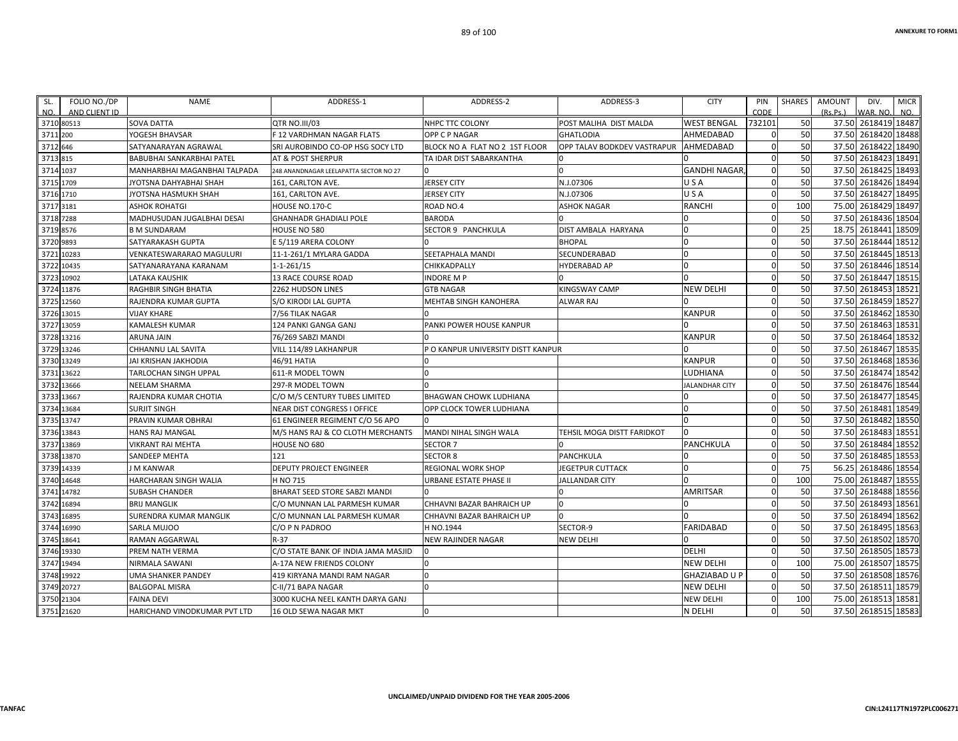| FOLIO NO./DP<br>SL.<br>NO.<br>AND CLIENT ID | <b>NAME</b>                  | ADDRESS-1                              | ADDRESS-2                          | ADDRESS-3                          | <b>CITY</b>           | PIN<br>CODE  | <b>SHARES</b> | <b>AMOUNT</b><br>(Rs, Ps.) | DIV.<br>WAR, NO     | <b>MICR</b><br>NO. |
|---------------------------------------------|------------------------------|----------------------------------------|------------------------------------|------------------------------------|-----------------------|--------------|---------------|----------------------------|---------------------|--------------------|
| 3710 80513                                  | <b>SOVA DATTA</b>            | QTR NO.III/03                          | NHPC TTC COLONY                    | POST MALIHA DIST MALDA             | <b>WEST BENGAL</b>    | 732101       | 50            |                            | 37.50 2618419 18487 |                    |
| 3711<br>200                                 | YOGESH BHAVSAR               | <b>F12 VARDHMAN NAGAR FLATS</b>        | OPP C P NAGAR                      | <b>GHATLODIA</b>                   | AHMEDABAD             | $\mathbf 0$  | 50            | 37.50                      | 2618420             | 18488              |
| 3712 646                                    | SATYANARAYAN AGRAWAL         | SRI AUROBINDO CO-OP HSG SOCY LTD       | BLOCK NO A FLAT NO 2 1ST FLOOR     | <b>OPP TALAV BODKDEV VASTRAPUR</b> | AHMEDABAD             | $\Omega$     | 50            | 37.50                      | 2618422             | 18490              |
| 3713 815                                    | BABUBHAI SANKARBHAI PATEL    | AT & POST SHERPUR                      | TA IDAR DIST SABARKANTHA           | l O                                |                       | $\mathbf 0$  | 50            | 37.50                      | 2618423             | 18491              |
| 3714<br>1037                                | MANHARBHAI MAGANBHAI TALPADA | 248 ANANDNAGAR LEELAPATTA SECTOR NO 27 |                                    | $\Omega$                           | <b>GANDHI NAGAR</b>   | $\Omega$     | 50            | 37.50                      | 2618425             | 18493              |
| 3715 1709                                   | JYOTSNA DAHYABHAI SHAH       | 161, CARLTON AVE.                      | <b>JERSEY CITY</b>                 | N.J.07306                          | USA                   | $\mathbf{0}$ | 50            |                            | 37.50 2618426       | 18494              |
| 3716 1710                                   | JYOTSNA HASMUKH SHAH         | 161, CARLTON AVE.                      | <b>JERSEY CITY</b>                 | N.J.07306                          | USA                   | $\mathbf 0$  | 50            | 37.50                      | 2618427             | 18495              |
| 3717<br>3181                                | <b>ASHOK ROHATGI</b>         | HOUSE NO.170-C                         | ROAD NO.4                          | <b>ASHOK NAGAR</b>                 | <b>RANCHI</b>         | $\mathbf 0$  | 100           | 75.00                      | 2618429             | 18497              |
| 3718 7288                                   | MADHUSUDAN JUGALBHAI DESAI   | <b>GHANHADR GHADIALI POLE</b>          | <b>BARODA</b>                      |                                    |                       | $\mathbf{0}$ | 50            | 37.50                      | 2618436             | 18504              |
| 8576<br>3719                                | <b>B M SUNDARAM</b>          | HOUSE NO 580                           | SECTOR 9 PANCHKULA                 | <b>DIST AMBALA HARYANA</b>         | $\Omega$              | $\Omega$     | 25            | 18.75                      | 2618441             | 18509              |
| 3720<br>9893                                | SATYARAKASH GUPTA            | E 5/119 ARERA COLONY                   |                                    | <b>BHOPAL</b>                      | $\Omega$              | $\Omega$     | 50            | 37.50                      | 2618444             | 18512              |
| 10283<br>3721                               | VENKATESWARARAO MAGULURI     | 11-1-261/1 MYLARA GADDA                | SEETAPHALA MANDI                   | SECUNDERABAD                       | $\Omega$              | $\Omega$     | 50            | 37.50                      | 2618445             | 18513              |
| 10435<br>3722                               | SATYANARAYANA KARANAM        | $1 - 1 - 261/15$                       | CHIKKADPALLY                       | <b>HYDERABAD AP</b>                |                       | $\Omega$     | 50            | 37.50                      | 2618446             | 18514              |
| 10902<br>3723                               | LATAKA KAUSHIK               | 13 RACE COURSE ROAD                    | <b>INDORE M P</b>                  |                                    |                       | $\mathbf 0$  | 50            | 37.50                      | 2618447             | 18515              |
| 3724 11876                                  | RAGHBIR SINGH BHATIA         | 2262 HUDSON LINES                      | <b>GTB NAGAR</b>                   | <b>KINGSWAY CAMP</b>               | <b>NEW DELHI</b>      | $\mathbf 0$  | 50            | 37.50                      | 2618453             | 18521              |
| 12560<br>3725                               | RAJENDRA KUMAR GUPTA         | S/O KIRODI LAL GUPTA                   | MEHTAB SINGH KANOHERA              | <b>ALWAR RAJ</b>                   |                       | $\Omega$     | 50            | 37.50                      | 2618459             | 18527              |
| 3726 13015                                  | <b>VIJAY KHARE</b>           | 7/56 TILAK NAGAR                       |                                    |                                    | <b>KANPUR</b>         | $\Omega$     | 50            |                            | 37.50 2618462       | 18530              |
| 13059<br>3727                               | <b>KAMALESH KUMAR</b>        | 124 PANKI GANGA GANJ                   | PANKI POWER HOUSE KANPUR           |                                    |                       | $\Omega$     | 50            | 37.50                      | 2618463             | 18531              |
| 3728 13216                                  | <b>ARUNA JAIN</b>            | 76/269 SABZI MANDI                     |                                    |                                    | <b>KANPUR</b>         | $\Omega$     | 50            | 37.50                      | 2618464             | 18532              |
| 13246<br>3729                               | CHHANNU LAL SAVITA           | VILL 114/89 LAKHANPUR                  | P O KANPUR UNIVERSITY DISTT KANPUR |                                    |                       | $\Omega$     | 50            | 37.50                      | 2618467             | 18535              |
| 3730 13249                                  | JAI KRISHAN JAKHODIA         | 46/91 HATIA                            | n                                  |                                    | <b>KANPUR</b>         | $\mathbf 0$  | 50            | 37.50                      | 2618468             | 18536              |
| 13622<br>3731                               | TARLOCHAN SINGH UPPAL        | 611-R MODEL TOWN                       |                                    |                                    | <b>LUDHIANA</b>       | $\Omega$     | 50            | 37.50                      | 2618474             | 18542              |
| 13666<br>3732                               | <b>NEELAM SHARMA</b>         | 297-R MODEL TOWN                       |                                    |                                    | <b>JALANDHAR CITY</b> | $\Omega$     | 50            | 37.50                      | 2618476             | 18544              |
| 3733<br>13667                               | RAJENDRA KUMAR CHOTIA        | C/O M/S CENTURY TUBES LIMITED          | <b>BHAGWAN CHOWK LUDHIANA</b>      |                                    |                       | $\Omega$     | 50            | 37.50                      | 2618477 18545       |                    |
| 3734 13684                                  | <b>SURJIT SINGH</b>          | <b>NEAR DIST CONGRESS I OFFICE</b>     | OPP CLOCK TOWER LUDHIANA           |                                    |                       | $\Omega$     | 50            | 37.50                      | 2618481             | 18549              |
| 13747<br>3735                               | PRAVIN KUMAR OBHRAI          | 61 ENGINEER REGIMENT C/O 56 APO        |                                    |                                    | <sup>n</sup>          | $\Omega$     | 50            | 37.50                      | 2618482             | 18550              |
| 3736<br>13843                               | <b>HANS RAJ MANGAL</b>       | M/S HANS RAJ & CO CLOTH MERCHANTS      | MANDI NIHAL SINGH WALA             | TEHSIL MOGA DISTT FARIDKOT         | $\Omega$              | $\Omega$     | 50            | 37.50                      | 2618483             | 18551              |
| 3737<br>13869                               | VIKRANT RAI MEHTA            | HOUSE NO 680                           | <b>SECTOR 7</b>                    |                                    | PANCHKULA             | <sup>0</sup> | 50            | 37.50                      | 2618484             | 18552              |
| 13870<br>3738                               | SANDEEP MEHTA                | 121                                    | <b>SECTOR 8</b>                    | <b>PANCHKULA</b>                   |                       | $\Omega$     | 50            | 37.50                      | 2618485             | 18553              |
| 14339<br>3739                               | <b>JM KANWAR</b>             | DEPUTY PROJECT ENGINEER                | <b>REGIONAL WORK SHOP</b>          | <b>JEGETPUR CUTTACK</b>            |                       | $\Omega$     | 75            | 56.25                      | 2618486             | 18554              |
| 3740 14648                                  | HARCHARAN SINGH WALIA        | H NO 715                               | <b>URBANE ESTATE PHASE II</b>      | <b>JALLANDAR CITY</b>              |                       | $\Omega$     | 100           | 75.00                      | 2618487             | 18555              |
| 3741<br>14782                               | <b>SUBASH CHANDER</b>        | BHARAT SEED STORE SABZI MANDI          | $\Omega$                           | $\Omega$                           | <b>AMRITSAR</b>       | $\mathbf 0$  | 50            | 37.50                      | 2618488             | 18556              |
| 3742<br>16894                               | <b>BRIJ MANGLIK</b>          | C/O MUNNAN LAL PARMESH KUMAR           | CHHAVNI BAZAR BAHRAICH UP          | 0                                  |                       | $\Omega$     | 50            | 37.50                      | 2618493             | 18561              |
| 3743 16895                                  | SURENDRA KUMAR MANGLIK       | C/O MUNNAN LAL PARMESH KUMAR           | CHHAVNI BAZAR BAHRAICH UP          | 0                                  |                       | $\Omega$     | 50            |                            | 37.50 2618494       | 18562              |
| 3744<br>16990                               | SARLA MUJOO                  | C/O P N PADROO                         | H NO.1944                          | SECTOR-9                           | <b>FARIDABAD</b>      | $\Omega$     | 50            | 37.50                      | 2618495             | 18563              |
| 3745<br>18641                               | RAMAN AGGARWAL               | $R-37$                                 | <b>NEW RAJINDER NAGAR</b>          | <b>NEW DELHI</b>                   |                       | $\Omega$     | 50            | 37.50                      | 2618502             | 18570              |
| 3746 19330                                  | PREM NATH VERMA              | C/O STATE BANK OF INDIA JAMA MASJID    |                                    |                                    | <b>DELHI</b>          | $\Omega$     | 50            | 37.50                      | 2618505             | 18573              |
| 3747<br>19494                               | NIRMALA SAWANI               | A-17A NEW FRIENDS COLONY               | $\Omega$                           |                                    | <b>NEW DELHI</b>      | $\Omega$     | 100           | 75.00                      | 2618507             | 18575              |
| 3748 19922                                  | <b>UMA SHANKER PANDEY</b>    | 419 KIRYANA MANDI RAM NAGAR            |                                    |                                    | <b>GHAZIABAD U P</b>  | $\Omega$     | 50            | 37.50                      | 2618508             | 18576              |
| 3749 20727                                  | <b>BALGOPAL MISRA</b>        | C-II/71 BAPA NAGAR                     | $\Omega$                           |                                    | <b>NEW DELHI</b>      | $\Omega$     | 50            | 37.50                      | 2618511             | 18579              |
| 3750 21304                                  | <b>FAINA DEVI</b>            | 3000 KUCHA NEEL KANTH DARYA GANJ       |                                    |                                    | <b>NEW DELHI</b>      | $\Omega$     | 100           | 75.00                      | 2618513             | 18581              |
| 3751 21620                                  | HARICHAND VINODKUMAR PVT LTD | 16 OLD SEWA NAGAR MKT                  | $\Omega$                           |                                    | N DELHI               | $\Omega$     | 50            |                            | 37.50 2618515 18583 |                    |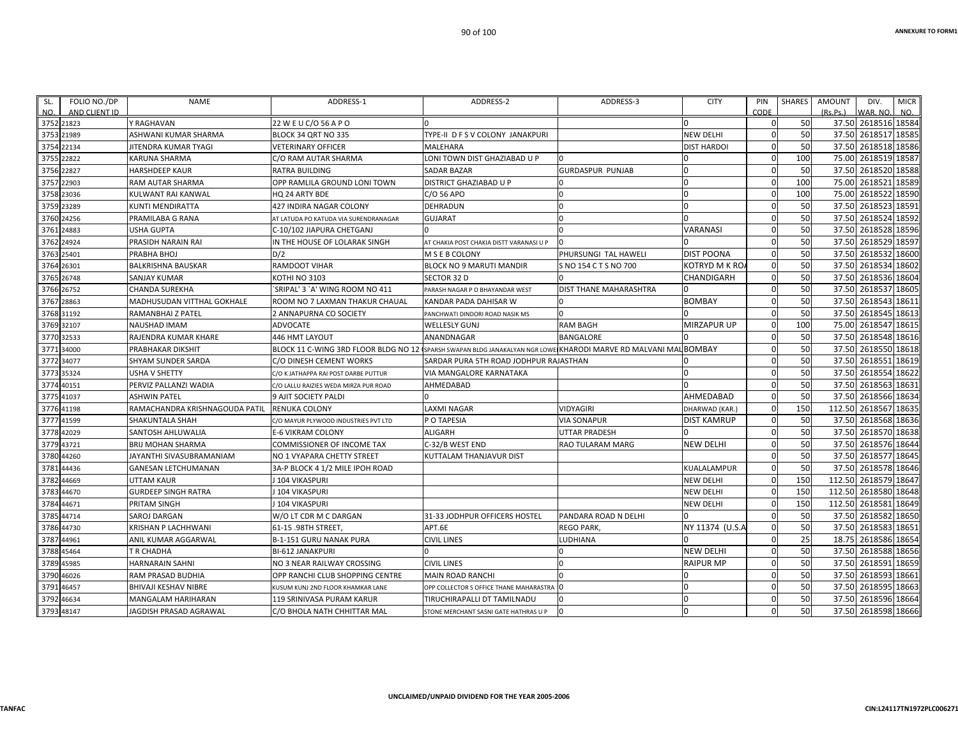**CIN:L24117TN1972PLC006271**

| SL.  | FOLIO NO./DP                | <b>NAME</b>                    | ADDRESS-1                                                                                                 | ADDRESS-2                                | ADDRESS-3               | <b>CITY</b>        | PIN<br>CODE    | SHARES | AMOUNT<br>(Rs, Ps) | DIV.                            | <b>MICR</b> |
|------|-----------------------------|--------------------------------|-----------------------------------------------------------------------------------------------------------|------------------------------------------|-------------------------|--------------------|----------------|--------|--------------------|---------------------------------|-------------|
| NO.  | AND CLIENT ID<br>3752 21823 | Y RAGHAVAN                     | 22 W E U C/O 56 A P O                                                                                     | n                                        |                         | 0                  | $\mathbf{0}$   | 50     |                    | WAR. NO.<br>37.50 2618516 18584 | NO.         |
|      | 3753 21989                  | ASHWANI KUMAR SHARMA           | BLOCK 34 QRT NO 335                                                                                       | TYPE-II D F S V COLONY JANAKPURI         |                         | NEW DELHI          | $\Omega$       | 50     |                    | 37.50 2618517 18585             |             |
|      | 3754 22134                  | JITENDRA KUMAR TYAGI           | VETERINARY OFFICER                                                                                        | <b>MALEHARA</b>                          |                         | <b>DIST HARDOI</b> | $\mathbf 0$    | 50     |                    | 37.50 2618518 18586             |             |
|      | 3755 22822                  | KARUNA SHARMA                  | C/O RAM AUTAR SHARMA                                                                                      | LONI TOWN DIST GHAZIABAD U P             |                         |                    | $\mathbf{0}$   | 100    |                    | 75.00 2618519 18587             |             |
|      | 3756 22827                  | HARSHDEEP KAUR                 | RATRA BUILDING                                                                                            | <b>SADAR BAZAR</b>                       | <b>GURDASPUR PUNJAB</b> |                    | $\Omega$       | 50     |                    | 37.50 2618520 18588             |             |
|      | 3757 22903                  | RAM AUTAR SHARMA               | OPP RAMLILA GROUND LONI TOWN                                                                              | <b>DISTRICT GHAZIABAD U P</b>            |                         |                    | $\mathbf 0$    | 100    | 75.00              | 2618521 18589                   |             |
| 3758 | 23036                       | KULWANT RAI KANWAL             | HQ 24 ARTY BDE                                                                                            | C/O 56 APO                               |                         |                    | $\mathbf 0$    | 100    | 75.00              | 2618522 18590                   |             |
|      | 3759 23289                  | KUNTI MENDIRATTA               | 427 INDIRA NAGAR COLONY                                                                                   | DEHRADUN                                 |                         | <sup>0</sup>       | $\Omega$       | 50     |                    | 37.50 2618523 18591             |             |
|      | 3760 24256                  | PRAMILABA G RANA               | AT LATUDA PO KATUDA VIA SURENDRANAGAR                                                                     | <b>GUJARAT</b>                           |                         |                    | $\Omega$       | 50     |                    | 37.50 2618524 18592             |             |
| 3761 | 24883                       | USHA GUPTA                     | C-10/102 JIAPURA CHETGANJ                                                                                 |                                          |                         | VARANASI           | $\Omega$       | 50     |                    | 37.50 2618528 18596             |             |
|      | 3762 24924                  | PRASIDH NARAIN RAI             | IN THE HOUSE OF LOLARAK SINGH                                                                             | AT CHAKIA POST CHAKIA DISTT VARANASI U P |                         |                    | $\Omega$       | 50     |                    | 37.50 2618529 18597             |             |
|      | 3763 25401                  | PRABHA BHOJ                    | D/2                                                                                                       | M S E B COLONY                           | PHURSUNGI TAL HAWELI    | <b>DIST POONA</b>  | $\Omega$       | 50     |                    | 37.50 2618532 18600             |             |
|      | 3764 26301                  | BALKRISHNA BAUSKAR             | RAMDOOT VIHAR                                                                                             | <b>BLOCK NO 9 MARUTI MANDIR</b>          | S NO 154 C T S NO 700   | KOTRYD M K RO/     | $\mathbf{0}$   | 50     |                    | 37.50 2618534 18602             |             |
|      | 3765 26748                  | SANJAY KUMAR                   | KOTHI NO 3103                                                                                             | SECTOR 32 D                              |                         | CHANDIGARH         | $\Omega$       | 50     |                    | 37.50 2618536 18604             |             |
|      | 3766 26752                  | CHANDA SUREKHA                 | SRIPAL' 3 `A' WING ROOM NO 411                                                                            | PARASH NAGAR P O BHAYANDAR WEST          | DIST THANE MAHARASHTRA  |                    | $\Omega$       | 50     |                    | 37.50 2618537 18605             |             |
| 3767 | 28863                       | MADHUSUDAN VITTHAL GOKHALE     | ROOM NO 7 LAXMAN THAKUR CHAUAL                                                                            | KANDAR PADA DAHISAR W                    |                         | BOMBAY             | $\mathbf{0}$   | 50     |                    | 37.50 2618543 18611             |             |
|      | 3768 31192                  | RAMANBHAI Z PATEL              | 2 ANNAPURNA CO SOCIETY                                                                                    | PANCHWATI DINDORI ROAD NASIK MS          |                         |                    | $\Omega$       | 50     |                    | 37.50 2618545 18613             |             |
|      | 3769 32107                  | NAUSHAD IMAM                   | ADVOCATE                                                                                                  | <b>WELLESLY GUNJ</b>                     | RAM BAGH                | MIRZAPUR UP        | $\Omega$       | 100    |                    | 75.00 2618547 18615             |             |
|      | 3770 32533                  | RAJENDRA KUMAR KHARE           | 446 HMT LAYOUT                                                                                            | ANANDNAGAR                               | BANGALORE               |                    | $\Omega$       | 50     |                    | 37.50 2618548                   | 18616       |
| 3771 | 34000                       | PRABHAKAR DIKSHIT              | BLOCK 11 C-WING 3RD FLOOR BLDG NO 12 (SPARSH SWAPAN BLDG JANAKALYAN NGR LOWE KHARODI MARVE RD MALVANI MAI |                                          |                         | <b>BOMBAY</b>      | $\Omega$       | 50     |                    | 37.50 2618550                   | 18618       |
|      | 3772 34077                  | SHYAM SUNDER SARDA             | C/O DINESH CEMENT WORKS                                                                                   | SARDAR PURA 5TH ROAD JODHPUR RAJASTHAN   |                         |                    | $\Omega$       | 50     |                    | 37.50 2618551                   | 18619       |
|      | 3773 35324                  | USHA V SHETTY                  | C/O K JATHAPPA RAI POST DARBE PUTTUR                                                                      | VIA MANGALORE KARNATAKA                  |                         |                    | $\Omega$       | 50     |                    | 37.50 2618554                   | 18622       |
| 3774 | 40151                       | PERVIZ PALLANZI WADIA          | C/O LALLU RAIZIES WEDA MIRZA PUR ROAD                                                                     | AHMEDABAD                                |                         |                    | $\Omega$       | 50     |                    | 37.50 2618563                   | 18631       |
|      | 3775 41037                  | ASHWIN PATEL                   | 9 AJIT SOCIETY PALDI                                                                                      |                                          |                         | AHMEDABAD          | $\mathbf{0}$   | 50     |                    | 37.50 2618566 18634             |             |
|      | 3776 41198                  | RAMACHANDRA KRISHNAGOUDA PATIL | RENUKA COLONY                                                                                             | <b>LAXMI NAGAR</b>                       | VIDYAGIRI               | DHARWAD (KAR.)     | $\mathbf 0$    | 150    |                    | 112.50 2618567 18635            |             |
| 3777 | 41599                       | SHAKUNTALA SHAH                | C/O MAYUR PLYWOOD INDUSTRIES PVT LTD                                                                      | P O TAPESIA                              | VIA SONAPUR             | DIST KAMRUP        | $\Omega$       | 50     |                    | 37.50 2618568 18636             |             |
|      | 3778 42029                  | SANTOSH AHLUWALIA              | E-6 VIKRAM COLONY                                                                                         | <b>ALIGARH</b>                           | UTTAR PRADESH           |                    | $\Omega$       | 50     |                    | 37.50 2618570                   | 18638       |
| 3779 | 43721                       | <b>BRIJ MOHAN SHARMA</b>       | COMMISSIONER OF INCOME TAX                                                                                | C-32/B WEST END                          | RAO TULARAM MARG        | <b>NEW DELHI</b>   | $\Omega$       | 50     |                    | 37.50 2618576 18644             |             |
| 3780 | 44260                       | JAYANTHI SIVASUBRAMANIAM       | NO 1 VYAPARA CHETTY STREET                                                                                | KUTTALAM THANJAVUR DIST                  |                         |                    | $\Omega$       | 50     |                    | 37.50 2618577 18645             |             |
| 3781 | 44436                       | GANESAN LETCHUMANAN            | 3A-P BLOCK 4 1/2 MILE IPOH ROAD                                                                           |                                          |                         | KUALALAMPUR        | $\mathbf 0$    | 50     |                    | 37.50 2618578 18646             |             |
| 3782 | 44669                       | UTTAM KAUR                     | 104 VIKASPURI                                                                                             |                                          |                         | NEW DELHI          | $\Omega$       | 150    |                    | 112.50 2618579 18647            |             |
| 3783 | 44670                       | <b>GURDEEP SINGH RATRA</b>     | 104 VIKASPURI                                                                                             |                                          |                         | NEW DELHI          | $\mathbf{0}$   | 150    |                    | 112.50 2618580 18648            |             |
| 3784 | 44671                       | PRITAM SINGH                   | 104 VIKASPURI                                                                                             |                                          |                         | NEW DELHI          | $\mathbf 0$    | 150    |                    | 112.50 2618581 18649            |             |
| 3785 | 44714                       | <b>SAROJ DARGAN</b>            | W/O LT CDR M C DARGAN                                                                                     | 31-33 JODHPUR OFFICERS HOSTEL            | PANDARA ROAD N DELHI    |                    | $\Omega$       | 50     |                    | 37.50 2618582 18650             |             |
| 3786 | 44730                       | KRISHAN P LACHHWANI            | 61-15 .98TH STREET.                                                                                       | APT.6E                                   | REGO PARK,              | NY 11374 (U.S.A    | $\Omega$       | 50     |                    | 37.50 2618583                   | 18651       |
| 3787 | 44961                       | ANIL KUMAR AGGARWAL            | <b>B-1-151 GURU NANAK PURA</b>                                                                            | <b>CIVIL LINES</b>                       | <b>LUDHIANA</b>         |                    | $\mathbf{0}$   | 25     |                    | 18.75 2618586 18654             |             |
|      | 3788 45464                  | T R CHADHA                     | <b>BI-612 JANAKPURI</b>                                                                                   |                                          |                         | <b>NEW DELHI</b>   | $\mathbf{0}$   | 50     |                    | 37.50 2618588 18656             |             |
| 3789 | 45985                       | HARNARAIN SAHNI                | NO 3 NEAR RAILWAY CROSSING                                                                                | <b>CIVIL LINES</b>                       |                         | <b>RAIPUR MP</b>   | $\Omega$       | 50     |                    | 37.50 2618591 18659             |             |
| 3790 | 46026                       | RAM PRASAD BUDHIA              | OPP RANCHI CLUB SHOPPING CENTRE                                                                           | <b>MAIN ROAD RANCHI</b>                  |                         |                    | $\Omega$       | 50     |                    | 37.50 2618593 18661             |             |
| 3791 | 46457                       | BHIVAJI KESHAV NIBRE           | KUSUM KUNJ 2ND FLOOR KHAMKAR LANE                                                                         | OPP COLLECTOR S OFFICE THANE MAHARASTRA  |                         |                    | $\overline{0}$ | 50     |                    | 37.50 2618595 18663             |             |
|      | 3792 46634                  | MANGALAM HARIHARAN             | 119 SRINIVASA PURAM KARUR                                                                                 | TIRUCHIRAPALLI DT TAMILNADU              | $\Omega$                |                    | $\mathbf{0}$   | 50     |                    | 37.50 2618596 18664             |             |
|      | 3793 48147                  | JAGDISH PRASAD AGRAWAL         | C/O BHOLA NATH CHHITTAR MAL                                                                               | STONE MERCHANT SASNI GATE HATHRAS U P    |                         |                    | $\Omega$       | 50     |                    | 37.50 2618598 18666             |             |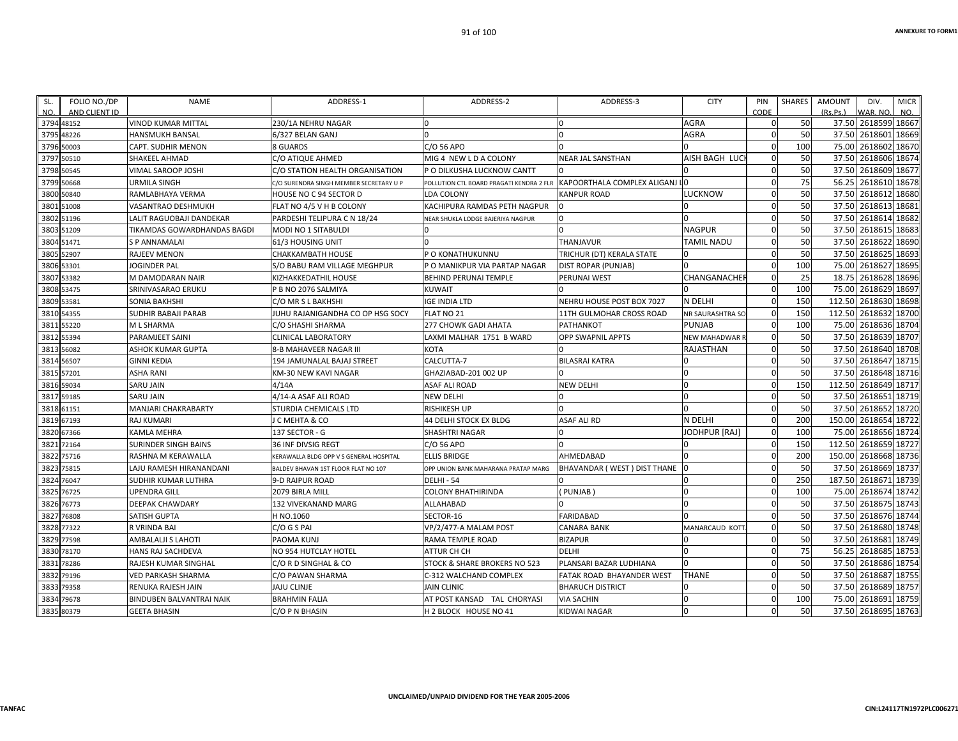**CIN:L24117TN1972PLC006271**

| SL. | FOLIO NO./DP  | <b>NAME</b>                     | ADDRESS-1                               | ADDRESS-2                                | ADDRESS-3                      | <b>CITY</b>         | PIN         | <b>SHARES</b> | <b>AMOUNT</b><br>DIV.<br><b>MICR</b> |
|-----|---------------|---------------------------------|-----------------------------------------|------------------------------------------|--------------------------------|---------------------|-------------|---------------|--------------------------------------|
| NO. | AND CLIENT ID |                                 |                                         |                                          |                                |                     | CODE        |               | (Rs.Ps.)<br>VAR. NO.<br>NO.          |
|     | 3794 48152    | <b>VINOD KUMAR MITTAL</b>       | 230/1A NEHRU NAGAR                      |                                          |                                | AGRA                |             | 50            | 37.50 2618599 18667                  |
|     | 3795 48226    | <b>HANSMUKH BANSAL</b>          | 6/327 BELAN GANJ                        | $\Omega$                                 |                                | AGRA                | $\mathbf 0$ | 50            | 37.50 2618601<br>18669               |
|     | 3796 50003    | <b>CAPT. SUDHIR MENON</b>       | 8 GUARDS                                | C/O 56 APO                               |                                |                     | $\Omega$    | 100           | 75.00<br>2618602 18670               |
|     | 3797 50510    | <b>SHAKEEL AHMAD</b>            | C/O ATIQUE AHMED                        | MIG 4 NEW LD A COLONY                    | NEAR JAL SANSTHAN              | AISH BAGH LUCI      | 0           | 50            | 37.50 2618606 18674                  |
|     | 3798 50545    | VIMAL SAROOP JOSHI              | C/O STATION HEALTH ORGANISATION         | P O DILKUSHA LUCKNOW CANTT               |                                |                     | 0           | 50            | 37.50 2618609 18677                  |
|     | 3799 50668    | <b>URMILA SINGH</b>             | C/O SURENDRA SINGH MEMBER SECRETARY U P | POLLUTION CTL BOARD PRAGATI KENDRA 2 FLR | KAPOORTHALA COMPLEX ALIGANJ LO |                     | 0           | 75            | 2618610 18678<br>56.25               |
|     | 3800 50840    | RAMLABHAYA VERMA                | HOUSE NO C 94 SECTOR D                  | <b>LDA COLONY</b>                        | KANPUR ROAD                    | LUCKNOW             | 0           | 50            | 37.50<br>2618612 18680               |
|     | 3801 51008    | VASANTRAO DESHMUKH              | FLAT NO 4/5 V H B COLONY                | KACHIPURA RAMDAS PETH NAGPUR             |                                |                     | $\Omega$    | 50            | 2618613 18681<br>37.50               |
|     | 3802 51196    | LALIT RAGUOBAJI DANDEKAR        | PARDESHI TELIPURA C N 18/24             | NEAR SHUKLA LODGE BAJERIYA NAGPUR        |                                |                     | 0           | 50            | 37.50 2618614 18682                  |
|     | 3803 51209    | TIKAMDAS GOWARDHANDAS BAGDI     | MODI NO 1 SITABULDI                     |                                          |                                | <b>NAGPUR</b>       | 0           | 50            | 37.50<br>2618615 18683               |
|     | 3804 51471    | S P ANNAMALAI                   | 61/3 HOUSING UNIT                       |                                          | <b>THANJAVUR</b>               | <b>TAMIL NADU</b>   | 0           | 50            | 2618622 18690<br>37.50               |
|     | 3805 52907    | <b>RAJEEV MENON</b>             | <b>CHAKKAMBATH HOUSE</b>                | <b>PO KONATHUKUNNU</b>                   | TRICHUR (DT) KERALA STATE      |                     | $\Omega$    | 50            | 2618625 18693<br>37.50               |
|     | 3806 53301    | JOGINDER PAL                    | S/O BABU RAM VILLAGE MEGHPUR            | P O MANIKPUR VIA PARTAP NAGAR            | DIST ROPAR (PUNJAB)            |                     | 0           | 100           | 75.00<br>2618627<br>18695            |
|     | 3807 53382    | M DAMODARAN NAIR                | KIZHAKKEDATHIL HOUSE                    | <b>BEHIND PERUNAI TEMPLE</b>             | PERUNAI WEST                   | <b>CHANGANACHE</b>  | 0           | 25            | 18.75<br>2618628 18696               |
|     | 3808 53475    | SRINIVASARAO ERUKU              | P B NO 2076 SALMIYA                     | <b>KUWAIT</b>                            |                                |                     | $\mathbf 0$ | 100           | 2618629 18697<br>75.00               |
|     | 3809 53581    | <b>SONIA BAKHSHI</b>            | C/O MR S L BAKHSHI                      | <b>IGE INDIA LTD</b>                     | NEHRU HOUSE POST BOX 7027      | N DELHI             | 0           | 150           | 2618630 18698<br>112.50              |
|     | 3810 54355    | SUDHIR BABAJI PARAB             | JUHU RAJANIGANDHA CO OP HSG SOCY        | <b>FLAT NO 21</b>                        | 11TH GULMOHAR CROSS ROAD       | NR SAURASHTRA SO    | 0           | 150           | 112.50 2618632 18700                 |
|     | 3811 55220    | M L SHARMA                      | C/O SHASHI SHARMA                       | <b>277 CHOWK GADI AHATA</b>              | PATHANKOT                      | <b>PUNJAB</b>       | 0           | 100           | 75.00<br>2618636 18704               |
|     | 3812 55394    | PARAMJEET SAINI                 | <b>CLINICAL LABORATORY</b>              | LAXMI MALHAR 1751 B WARD                 | OPP SWAPNIL APPTS              | <b>NEW MAHADWAR</b> | 0           | 50            | 37.50<br>2618639 18707               |
|     | 3813 56082    | ASHOK KUMAR GUPTA               | 8-B MAHAVEER NAGAR III                  | <b>KOTA</b>                              |                                | RAJASTHAN           | 0           | 50            | 37.50 2618640 18708                  |
|     | 3814 56507    | <b>GINNI KEDIA</b>              | 194 JAMUNALAL BAJAJ STREET              | CALCUTTA-7                               | <b>BILASRAI KATRA</b>          |                     |             | 50            | 2618647 18715<br>37.50               |
|     | 3815 57201    | <b>ASHA RANI</b>                | KM-30 NEW KAVI NAGAR                    | GHAZIABAD-201 002 UP                     |                                |                     | $\mathbf 0$ | 50            | 2618648 18716<br>37.50               |
|     | 3816 59034    | <b>SARU JAIN</b>                | 4/14A                                   | ASAF ALI ROAD                            | NEW DELHI                      |                     | 0           | 150           | 112.50<br>2618649 18717              |
|     | 3817 59185    | <b>SARU JAIN</b>                | 4/14-A ASAF ALI ROAD                    | <b>NEW DELHI</b>                         |                                |                     | $\Omega$    | 50            | 37.50 2618651 18719                  |
|     | 3818 61151    | MANJARI CHAKRABARTY             | STURDIA CHEMICALS LTD                   | <b>RISHIKESH UP</b>                      |                                |                     | $\mathbf 0$ | 50            | 37.50<br>2618652 18720               |
|     | 3819 67193    | <b>RAJ KUMARI</b>               | J C MEHTA & CO                          | <b>44 DELHI STOCK EX BLDG</b>            | ASAF ALI RD                    | N DELHI             | $\mathbf 0$ | 200           | 150.00<br>2618654 18722              |
|     | 3820 67366    | KAMLA MEHRA                     | 137 SECTOR - G                          | <b>SHASHTRI NAGAR</b>                    |                                | JODHPUR [RAJ]       | 0           | 100           | 75.00<br>2618656 18724               |
|     | 3821 72164    | <b>SURINDER SINGH BAINS</b>     | 36 INF DIVSIG REGT                      | C/O 56 APO                               |                                |                     | $\mathbf 0$ | 150           | 112.50<br>2618659 18727              |
|     | 3822 75716    | RASHNA M KERAWALLA              | KERAWALLA BLDG OPP V S GENERAL HOSPITAL | <b>ELLIS BRIDGE</b>                      | AHMEDABAD                      |                     | $\mathbf 0$ | 200           | 150.00<br>2618668 18736              |
|     | 3823 75815    | LAJU RAMESH HIRANANDANI         | BALDEV BHAVAN 1ST FLOOR FLAT NO 107     | OPP UNION BANK MAHARANA PRATAP MARG      | BHAVANDAR (WEST) DIST THANE    |                     | 0           | 50            | 37.50 2618669 18737                  |
|     | 3824 76047    | <b>SUDHIR KUMAR LUTHRA</b>      | 9-D RAIPUR ROAD                         | <b>DELHI - 54</b>                        |                                |                     | $\mathbf 0$ | 250           | 187.50<br>2618671 18739              |
|     | 3825 76725    | <b>UPENDRA GILL</b>             | 2079 BIRLA MILL                         | <b>COLONY BHATHIRINDA</b>                | PUNJAB)                        |                     | 0           | 100           | 2618674 18742<br>75.00               |
|     | 3826 76773    | <b>DEEPAK CHAWDARY</b>          | 132 VIVEKANAND MARG                     | ALLAHABAD                                |                                |                     | $\mathbf 0$ | 50            | 37.50 2618675 18743                  |
|     | 3827 76808    | SATISH GUPTA                    | H NO.1060                               | SECTOR-16                                | <b>FARIDABAD</b>               |                     | $\Omega$    | 50            | 37.50 2618676 18744                  |
|     | 3828 77322    | R VRINDA BAI                    | C/O G S PAI                             | VP/2/477-A MALAM POST                    | CANARA BANK                    | MANARCAUD KOTT      | $\mathbf 0$ | 50            | 37.50<br>2618680 18748               |
|     | 3829 77598    | AMBALALJI S LAHOTI              | PAOMA KUNJ                              | RAMA TEMPLE ROAD                         | <b>BIZAPUR</b>                 |                     | 0           | 50            | 2618681<br>18749<br>37.50            |
|     | 3830 78170    | HANS RAJ SACHDEVA               | NO 954 HUTCLAY HOTEL                    | <b>ATTUR CH CH</b>                       | <b>DELHI</b>                   |                     | 0           | 75            | 56.25<br>2618685 18753               |
|     | 3831 78286    | RAJESH KUMAR SINGHAL            | C/O R D SINGHAL & CO                    | STOCK & SHARE BROKERS NO 523             | PLANSARI BAZAR LUDHIANA        |                     | $\mathbf 0$ | 50            | 37.50<br>2618686 18754               |
|     | 3832 79196    | VED PARKASH SHARMA              | C/O PAWAN SHARMA                        | C-312 WALCHAND COMPLEX                   | FATAK ROAD BHAYANDER WEST      | THANE               | 0           | 50            | 2618687<br>18755<br>37.50            |
|     | 3833 79358    | RENUKA RAJESH JAIN              | <b>JAJU CLINJE</b>                      | <b>JAIN CLINIC</b>                       | <b>BHARUCH DISTRICT</b>        |                     | $\mathbf 0$ | 50            | 37.50<br>2618689 18757               |
|     | 3834 79678    | <b>BINDUBEN BALVANTRAI NAIK</b> | <b>BRAHMIN FALIA</b>                    | AT POST KANSAD TAL CHORYASI              | <b>VIA SACHIN</b>              |                     | $\Omega$    | 100           | 2618691<br>75.00<br>18759            |
|     | 3835 80379    | <b>GEETA BHASIN</b>             | C/O P N BHASIN                          | H 2 BLOCK HOUSE NO 41                    | KIDWAI NAGAR                   |                     | $\Omega$    | 50            | 37.50 2618695 18763                  |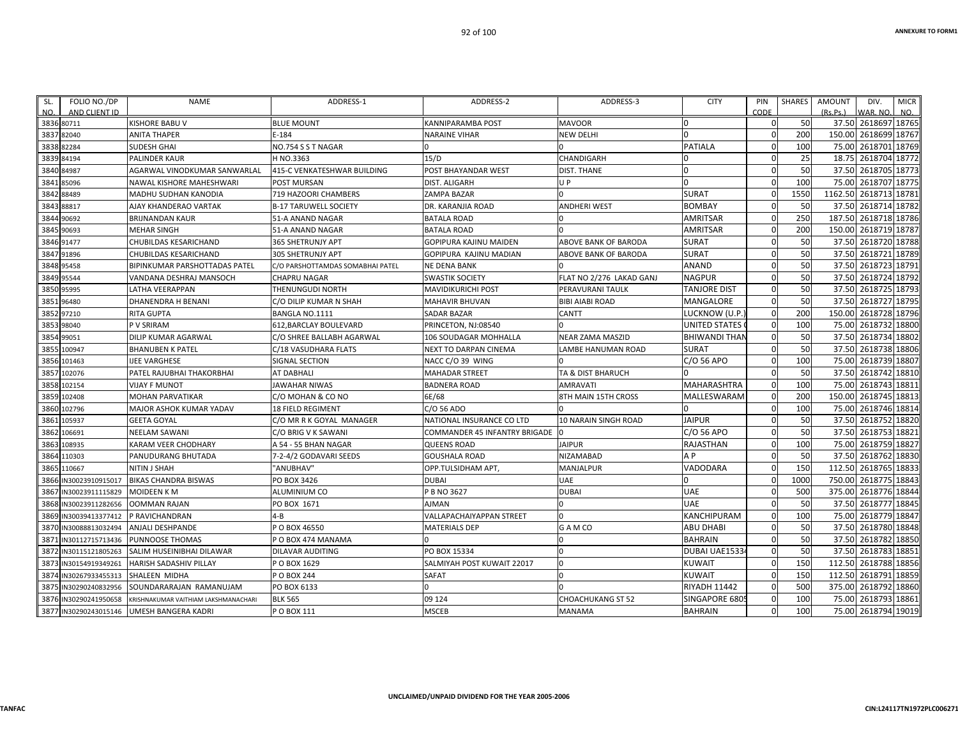| SL.          | FOLIO NO./DP          | <b>NAME</b>                                   | ADDRESS-1                                | ADDRESS-2                       | ADDRESS-3                        | <b>CITY</b>         | PIN                      | SHARES    | <b>AMOUNT</b><br><b>MICR</b><br>DIV.             |
|--------------|-----------------------|-----------------------------------------------|------------------------------------------|---------------------------------|----------------------------------|---------------------|--------------------------|-----------|--------------------------------------------------|
| NO.          | AND CLIENT ID         |                                               |                                          |                                 |                                  |                     | CODE                     |           | NO.<br>(Rs.Ps.)<br>WAR, NO.                      |
|              | 3836 80711            | <b>KISHORE BABU V</b>                         | <b>BLUE MOUNT</b>                        | KANNIPARAMBA POST               | <b>MAVOOR</b>                    | <sup>0</sup>        | $\Omega$                 | 50        | 37.50<br>2618697 18765                           |
| 3837         | 82040                 | <b>ANITA THAPER</b>                           | $E - 184$                                | <b>NARAINE VIHAR</b>            | <b>NEW DELHI</b>                 |                     | $\Omega$<br>$\mathbf{0}$ | 200       | 150.00<br>2618699 18767                          |
| 3838         | 82284                 | SUDESH GHAI                                   | NO.754 S S T NAGAR                       | 15/D                            |                                  | PATIALA             | $\Omega$                 | 100<br>25 | 75.00<br>2618701 18769<br>2618704 18772<br>18.75 |
| 3839<br>3840 | 84194<br>84987        | PALINDER KAUR<br>AGARWAL VINODKUMAR SANWARLAL | H NO.3363<br>415-C VENKATESHWAR BUILDING | POST BHAYANDAR WEST             | CHANDIGARH<br><b>DIST. THANE</b> |                     | $\Omega$                 | 50        | 2618705 18773<br>37.50                           |
|              | 3841 85096            | NAWAL KISHORE MAHESHWARI                      |                                          | DIST. ALIGARH                   | UP                               | $\Omega$            | $\mathbf 0$              | 100       | 75.00<br>2618707 18775                           |
| 3842         | 88489                 | MADHU SUDHAN KANODIA                          | POST MURSAN<br>719 HAZOORI CHAMBERS      | ZAMPA BAZAR                     |                                  | <b>SURAT</b>        | $\Omega$                 | 1550      | 2618713 18781<br>1162.50                         |
| 3843         | 88817                 | AJAY KHANDERAO VARTAK                         | <b>B-17 TARUWELL SOCIETY</b>             | DR. KARANJIA ROAD               | <b>ANDHERI WEST</b>              | <b>BOMBAY</b>       | $\Omega$                 | 50        | 37.50<br>2618714 18782                           |
| 3844         | 90692                 | <b>BRIJNANDAN KAUR</b>                        | 51-A ANAND NAGAR                         | <b>BATALA ROAD</b>              |                                  | AMRITSAR            | $\mathbf 0$              | 250       | 187.50<br>2618718 18786                          |
| 3845         | 90693                 | <b>MEHAR SINGH</b>                            | 51-A ANAND NAGAR                         | <b>BATALA ROAD</b>              |                                  | AMRITSAR            | $\mathbf{0}$             | 200       | 150.00<br>2618719 18787                          |
|              | 3846 91477            | CHUBILDAS KESARICHAND                         | 365 SHETRUNJY APT                        | GOPIPURA KAJINU MAIDEN          | ABOVE BANK OF BARODA             | <b>SURAT</b>        | $\mathbf 0$              | 50        | 37.50<br>2618720 18788                           |
| 3847         | 91896                 | CHUBILDAS KESARICHAND                         | 305 SHETRUNJY APT                        | GOPIPURA KAJINU MADIAN          | ABOVE BANK OF BARODA             | <b>SURAT</b>        | $\Omega$                 | 50        | 37.50<br>2618721 18789                           |
| 3848         | 95458                 | BIPINKUMAR PARSHOTTADAS PATEL                 | C/O PARSHOTTAMDAS SOMABHAI PATEL         | NE DENA BANK                    |                                  | <b>ANAND</b>        | $\mathbf{0}$             | 50        | 37.50 2618723 18791                              |
| 3849         | 95544                 | VANDANA DESHRAJ MANSOCH                       | <b>CHAPRU NAGAR</b>                      | <b>SWASTIK SOCIETY</b>          | FLAT NO 2/276 LAKAD GANJ         | <b>NAGPUR</b>       | $\Omega$                 | 50        | 37.50<br>2618724 18792                           |
| 3850         | 95995                 | LATHA VEERAPPAN                               | THENUNGUDI NORTH                         | MAVIDIKURICHI POST              | PERAVURANI TAULK                 | <b>TANJORE DIST</b> | $\mathbf 0$              | 50        | 37.50<br>2618725<br>18793                        |
| 3851         | 96480                 | DHANENDRA H BENANI                            | C/O DILIP KUMAR N SHAH                   | MAHAVIR BHUVAN                  | <b>BIBI AIABI ROAD</b>           | MANGALORE           | $\mathbf 0$              | 50        | 2618727 18795<br>37.50                           |
|              | 3852 97210            | <b>RITA GUPTA</b>                             | BANGLA NO.1111                           | SADAR BAZAR                     | CANTT                            | LUCKNOW (U.P.       | $\mathbf 0$              | 200       | 150.00<br>2618728 18796                          |
| 3853         | 98040                 | P V SRIRAM                                    | 612, BARCLAY BOULEVARD                   | PRINCETON, NJ:08540             |                                  | UNITED STATES       | $\mathbf 0$              | 100       | 75.00<br>2618732 18800                           |
| 3854         | 99051                 | DILIP KUMAR AGARWAL                           | C/O SHREE BALLABH AGARWAL                | 106 SOUDAGAR MOHHALLA           | <b>NEAR ZAMA MASZID</b>          | BHIWANDI THAN       | $\mathbf 0$              | 50        | 2618734 18802<br>37.50                           |
| 3855         | 100947                | <b>BHANUBEN K PATEL</b>                       | C/18 VASUDHARA FLATS                     | NEXT TO DARPAN CINEMA           | LAMBE HANUMAN ROAD               | <b>SURAT</b>        | $\mathbf{0}$             | 50        | 2618738 18806<br>37.50                           |
| 3856         | 101463                | <b>IJEE VARGHESE</b>                          | <b>SIGNAL SECTION</b>                    | NACC C/O 39 WING                |                                  | C/O 56 APO          | $\mathbf 0$              | 100       | 2618739 18807<br>75.00                           |
| 3857         | 102076                | PATEL RAJUBHAI THAKORBHAI                     | <b>AT DABHALI</b>                        | <b>MAHADAR STREET</b>           | TA & DIST BHARUCH                |                     | $\mathbf 0$              | 50        | 2618742 18810<br>37.50                           |
| 3858         | 102154                | <b>VIJAY F MUNOT</b>                          | <b>JAWAHAR NIWAS</b>                     | <b>BADNERA ROAD</b>             | <b>AMRAVATI</b>                  | MAHARASHTRA         | $\mathbf 0$              | 100       | 2618743 18811<br>75.00                           |
| 3859         | 102408                | <b>MOHAN PARVATIKAR</b>                       | C/O MOHAN & CO NO                        | 6E/68                           | 8TH MAIN 15TH CROSS              | MALLESWARAM         | $\Omega$                 | 200       | 150.00<br>2618745 18813                          |
| 3860         | 102796                | MAJOR ASHOK KUMAR YADAV                       | <b>18 FIELD REGIMENT</b>                 | C/O 56 ADO                      |                                  |                     | $\Omega$                 | 100       | 2618746 18814<br>75.00                           |
| 3861         | 105937                | <b>GEETA GOYAL</b>                            | C/O MR R K GOYAL MANAGER                 | NATIONAL INSURANCE CO LTD       | <b>10 NARAIN SINGH ROAD</b>      | <b>JAIPUR</b>       | $\Omega$                 | 50        | 37.50<br>2618752 18820                           |
| 3862         | 106691                | <b>NEELAM SAWANI</b>                          | C/O BRIG V K SAWANI                      | COMMANDER 45 INFANTRY BRIGADE 0 |                                  | C/O 56 APO          | $\Omega$                 | 50        | 37.50 2618753 18821                              |
| 3863         | 108935                | <b>KARAM VEER CHODHARY</b>                    | A 54 - 55 BHAN NAGAR                     | <b>QUEENS ROAD</b>              | <b>JAIPUR</b>                    | RAJASTHAN           | $\Omega$                 | 100       | 2618759 18827<br>75.00                           |
| 3864         | 110303                | PANUDURANG BHUTADA                            | 7-2-4/2 GODAVARI SEEDS                   | <b>GOUSHALA ROAD</b>            | <b>NIZAMABAD</b>                 | A P                 | $\mathbf 0$              | 50        | 2618762 18830<br>37.50                           |
| 3865         | 110667                | NITIN J SHAH                                  | "ANUBHAV"                                | OPP.TULSIDHAM APT,              | <b>MANJALPUR</b>                 | VADODARA            | $\mathbf{0}$             | 150       | 112.50<br>2618765 18833                          |
| 3866         | N30023910915017       | <b>BIKAS CHANDRA BISWAS</b>                   | PO BOX 3426                              | <b>DUBAI</b>                    | <b>UAE</b>                       |                     | $\Omega$                 | 1000      | 750.00<br>2618775 18843                          |
| 3867         | N30023911115829       | <b>MOIDEEN K M</b>                            | ALUMINIUM CO                             | P B NO 3627                     | <b>DUBAI</b>                     | <b>UAE</b>          | $\Omega$                 | 500       | 2618776 18844<br>375.00                          |
| 3868         | N30023911282656       | <b>OOMMAN RAJAN</b>                           | PO BOX 1671                              | <b>AJMAN</b>                    | $\Omega$                         | <b>UAE</b>          | $\Omega$                 | 50        | 37.50<br>2618777 18845                           |
| 3869         | IN30039413377412      | P RAVICHANDRAN                                | 4-B                                      | VALLAPACHAIYAPPAN STREET        |                                  | KANCHIPURAM         | $\Omega$                 | 100       | 2618779 18847<br>75.00                           |
| 3870         | N30088813032494       | <b>ANJALI DESHPANDE</b>                       | P O BOX 46550                            | <b>MATERIALS DEP</b>            | G A M CO                         | ABU DHABI           | $\Omega$                 | 50        | 2618780 18848<br>37.50                           |
| 3871         | IN30112715713436      | <b>PUNNOOSE THOMAS</b>                        | P O BOX 474 MANAMA                       |                                 | n                                | <b>BAHRAIN</b>      | $\mathbf 0$              | 50        | 2618782 18850<br>37.50                           |
| 3872         | IN30115121805263      | SALIM HUSEINIBHAI DILAWAR                     | DILAVAR AUDITING                         | PO BOX 15334                    | <sup>0</sup>                     | DUBAI UAE1533       | $\mathbf{0}$             | 50        | 37.50 2618783 18851                              |
| 3873         | IN30154919349261      | <b>HARISH SADASHIV PILLAY</b>                 | P O BOX 1629                             | SALMIYAH POST KUWAIT 22017      | $\Omega$                         | KUWAIT              | $\overline{0}$           | 150       | 112.50<br>2618788 18856                          |
| 3874         | IN30267933455313      | SHALEEN MIDHA                                 | P O BOX 244                              | SAFAT                           |                                  | KUWAIT              | $\Omega$                 | 150       | 2618791 18859<br>112.50                          |
| 3875         | IN30290240832956      | SOUNDARARAJAN RAMANUJAM                       | PO BOX 6133                              |                                 |                                  | RIYADH 11442        | $\Omega$                 | 500       | 375.00<br>2618792 18860                          |
| 3876         | IN30290241950658      | KRISHNAKUMAR VAITHIAM LAKSHMANACHARI          | <b>BLK 565</b>                           | 09 124                          | CHOACHUKANG ST 52                | SINGAPORE 6805      | $\Omega$                 | 100       | 2618793 18861<br>75.00                           |
|              | 3877 IN30290243015146 | <b>UMESH BANGERA KADRI</b>                    | P O BOX 111                              | <b>MSCEB</b>                    | <b>MANAMA</b>                    | <b>BAHRAIN</b>      | $\Omega$                 | 100       | 75.00 2618794 19019                              |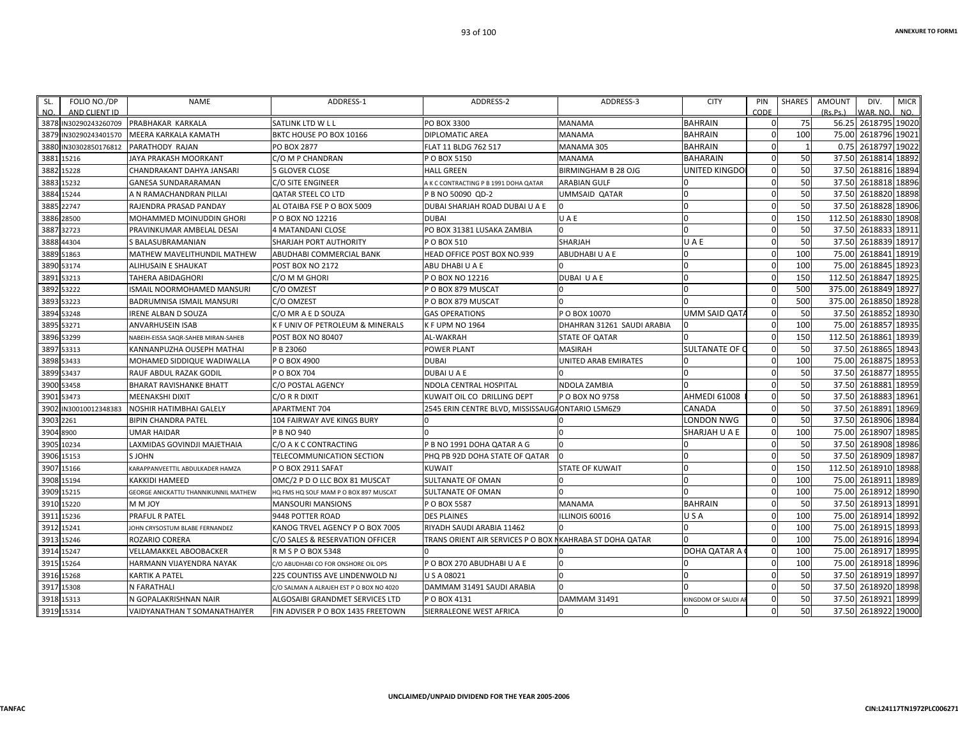**CIN:L24117TN1972PLC006271**

| SL. | FOLIO NO./DP                           | <b>NAME</b>                          | ADDRESS-1                                | ADDRESS-2                                                | ADDRESS-3                  | <b>CITY</b>        | PIN                         | SHARES | AMOUNT   | DIV.                           | <b>MICR</b> |
|-----|----------------------------------------|--------------------------------------|------------------------------------------|----------------------------------------------------------|----------------------------|--------------------|-----------------------------|--------|----------|--------------------------------|-------------|
| NO. | AND CLIENT ID<br>3878 IN30290243260709 | <b>PRABHAKAR KARKALA</b>             | SATLINK LTD W L L                        | PO BOX 3300                                              | <b>MANAMA</b>              | <b>BAHRAIN</b>     | <b>CODE</b><br>$\mathbf{0}$ | 75     | (Rs.Ps.) | WAR, NO<br>56.25 2618795 19020 | NO.         |
|     | 3879 IN30290243401570                  | MEERA KARKALA KAMATH                 | BKTC HOUSE PO BOX 10166                  | <b>DIPLOMATIC AREA</b>                                   | <b>MANAMA</b>              | <b>BAHRAIN</b>     | $\mathbf{0}$                | 100    |          | 75.00 2618796 19021            |             |
|     | 3880 IN30302850176812                  | PARATHODY RAJAN                      | PO BOX 2877                              | FLAT 11 BLDG 762 517                                     | MANAMA 305                 | <b>BAHRAIN</b>     | $\mathbf 0$                 |        | 0.75     | 2618797                        | 19022       |
|     | 3881 15216                             | JAYA PRAKASH MOORKANT                | C/O M P CHANDRAN                         | P O BOX 5150                                             | MANAMA                     | <b>BAHARAIN</b>    | $\mathbf 0$                 | 50     | 37.50    | 2618814                        | 18892       |
|     | 3882 15228                             | CHANDRAKANT DAHYA JANSARI            | <b>5 GLOVER CLOSE</b>                    | <b>HALL GREEN</b>                                        | BIRMINGHAM B 28 OJG        | UNITED KINGDO      | $\mathbf 0$                 | 50     | 37.50    | 2618816                        | 18894       |
|     | 3883 15232                             | <b>GANESA SUNDARARAMAN</b>           | C/O SITE ENGINEER                        | A K C CONTRACTING P B 1991 DOHA QATAR                    | <b>ARABIAN GULF</b>        |                    | $\mathbf 0$                 | 50     | 37.50    | 2618818                        | 18896       |
|     | 3884 15244                             | A N RAMACHANDRAN PILLAI              | <b>QATAR STEEL CO LTD</b>                | P B NO 50090 QD-2                                        | UMMSAID QATAR              |                    | $\mathbf 0$                 | 50     | 37.50    | 2618820                        | 18898       |
|     | 3885 22747                             | RAJENDRA PRASAD PANDAY               | AL OTAIBA FSE P O BOX 5009               | DUBAI SHARJAH ROAD DUBAI U A E                           |                            |                    | $\mathbf 0$                 | 50     | 37.50    | 2618828 18906                  |             |
|     | 3886 28500                             | MOHAMMED MOINUDDIN GHORI             | POBOX NO 12216                           | <b>DUBAI</b>                                             | UAE                        |                    | $\mathbf 0$                 | 150    | 112.50   | 2618830                        | 18908       |
|     | 3887 32723                             | PRAVINKUMAR AMBELAL DESAI            | 4 MATANDANI CLOSE                        | PO BOX 31381 LUSAKA ZAMBIA                               |                            |                    | $\mathbf 0$                 | 50     | 37.50    | 2618833                        | 18911       |
|     | 3888 44304                             | S BALASUBRAMANIAN                    | SHARJAH PORT AUTHORITY                   | P O BOX 510                                              | SHARJAH                    | UAE                | $\mathbf 0$                 | 50     | 37.50    | 2618839 18917                  |             |
|     | 3889 51863                             | MATHEW MAVELITHUNDIL MATHEW          | ABUDHABI COMMERCIAL BANK                 | HEAD OFFICE POST BOX NO.939                              | ABUDHABI U A E             |                    | $\mathbf 0$                 | 100    | 75.00    | 2618841                        | 18919       |
|     | 3890 53174                             | ALIHUSAIN E SHAUKAT                  | POST BOX NO 2172                         | ABU DHABI U A E                                          |                            |                    | $\mathbf 0$                 | 100    | 75.00    | 2618845                        | 18923       |
|     | 3891 53213                             | <b>TAHERA ABIDAGHORI</b>             | C/O M M GHORI                            | P O BOX NO 12216                                         | DUBAI U A E                |                    | $\mathbf 0$                 | 150    | 112.50   | 2618847                        | 18925       |
|     | 3892 53222                             | ISMAIL NOORMOHAMED MANSURI           | C/O OMZEST                               | P O BOX 879 MUSCAT                                       |                            |                    | $\Omega$                    | 500    | 375.00   | 2618849                        | 18927       |
|     | 3893 53223                             | BADRUMNISA ISMAIL MANSURI            | C/O OMZEST                               | P O BOX 879 MUSCAT                                       |                            |                    | $\mathbf 0$                 | 500    | 375.00   | 2618850                        | 18928       |
|     | 3894 53248                             | <b>IRENE ALBAN D SOUZA</b>           | C/O MR A E D SOUZA                       | <b>GAS OPERATIONS</b>                                    | P O BOX 10070              | UMM SAID QATA      | $\mathbf 0$                 | 50     | 37.50    | 2618852                        | 18930       |
|     | 3895 53271                             | <b>ANVARHUSEIN ISAB</b>              | K F UNIV OF PETROLEUM & MINERALS         | <b>KF UPM NO 1964</b>                                    | DHAHRAN 31261 SAUDI ARABIA |                    | $\mathbf 0$                 | 100    | 75.00    | 2618857                        | 18935       |
|     | 3896 53299                             | NABEIH-EISSA SAQR-SAHEB MIRAN-SAHEB  | <b>POST BOX NO 80407</b>                 | AL-WAKRAH                                                | <b>STATE OF QATAR</b>      |                    | $\mathbf 0$                 | 150    | 112.50   | 2618861                        | 18939       |
|     | 3897 53313                             | KANNANPUZHA OUSEPH MATHAI            | P B 23060                                | <b>POWER PLANT</b>                                       | MASIRAH                    | SULTANATE OF C     | $\mathbf 0$                 | 50     | 37.50    | 2618865                        | 18943       |
|     | 3898 53433                             | MOHAMED SIDDIQUE WADIWALLA           | P O BOX 4900                             | <b>DUBAI</b>                                             | UNITED ARAB EMIRATES       |                    | $\mathbf{0}$                | 100    | 75.00    | 2618875                        | 18953       |
|     | 3899 53437                             | RAUF ABDUL RAZAK GODIL               | P O BOX 704                              | <b>DUBAI U A E</b>                                       |                            |                    | $\mathbf 0$                 | 50     | 37.50    | 2618877                        | 18955       |
|     | 3900 53458                             | <b>BHARAT RAVISHANKE BHATT</b>       | C/O POSTAL AGENCY                        | NDOLA CENTRAL HOSPITAL                                   | NDOLA ZAMBIA               |                    | $\mathbf 0$                 | 50     | 37.50    | 2618881                        | 18959       |
|     | 3901 53473                             | <b>MEENAKSHI DIXIT</b>               | C/O R R DIXIT                            | KUWAIT OIL CO DRILLING DEPT                              | P O BOX NO 9758            | AHMEDI 61008       | $\mathbf 0$                 | 50     | 37.50    | 2618883                        | 18961       |
|     | 3902 IN30010012348383                  | NOSHIR HATIMBHAI GALELY              | <b>APARTMENT 704</b>                     | 2545 ERIN CENTRE BLVD. MISSISSAUGAONTARIO L5M6Z9         |                            | CANADA             | $\mathbf 0$                 | 50     | 37.50    | 2618891                        | 18969       |
|     | 3903 2261                              | <b>BIPIN CHANDRA PATEL</b>           | 104 FAIRWAY AVE KINGS BURY               |                                                          |                            | LONDON NWG         | $\mathbf{0}$                | 50     | 37.50    | 2618906                        | 18984       |
|     | 3904 8900                              | <b>UMAR HAIDAR</b>                   | P B NO 940                               |                                                          |                            | SHARJAH U A E      | $\mathbf 0$                 | 100    | 75.00    | 2618907                        | 18985       |
|     | 3905 10234                             | LAXMIDAS GOVINDJI MAJETHAIA          | C/O A K C CONTRACTING                    | P B NO 1991 DOHA QATAR A G                               |                            |                    | $\Omega$                    | 50     | 37.50    | 2618908                        | 18986       |
|     | 3906 15153                             | S JOHN                               | TELECOMMUNICATION SECTION                | PHO PB 92D DOHA STATE OF OATAR                           |                            |                    | $\Omega$                    | 50     | 37.50    | 2618909                        | 18987       |
|     | 3907 15166                             | KARAPPANVEETTIL ABDULKADER HAMZA     | POBOX 2911 SAFAT                         | <b>KUWAIT</b>                                            | STATE OF KUWAIT            |                    | $\mathbf 0$                 | 150    | 112.50   | 2618910                        | 18988       |
|     | 3908 15194                             | <b>KAKKIDI HAMEED</b>                | OMC/2 P D O LLC BOX 81 MUSCAT            | <b>SULTANATE OF OMAN</b>                                 |                            |                    | $\mathbf 0$                 | 100    | 75.00    | 2618911                        | 18989       |
|     | 3909 15215                             | GEORGE ANICKATTU THANNIKUNNIL MATHEW | HQ FMS HQ SOLF MAM P O BOX 897 MUSCAT    | <b>SULTANATE OF OMAN</b>                                 |                            |                    | $\Omega$                    | 100    | 75.00    | 2618912                        | 18990       |
|     | 3910 15220                             | <b>MMJOY</b>                         | <b>MANSOURI MANSIONS</b>                 | P O BOX 5587                                             | <b>MANAMA</b>              | <b>BAHRAIN</b>     | $\mathbf 0$                 | 50     | 37.50    | 2618913                        | 18991       |
|     | 3911 15236                             | PRAFUL R PATEL                       | 9448 POTTER ROAD                         | <b>DES PLAINES</b>                                       | LLINOIS 60016              | USA                | $\mathbf 0$                 | 100    | 75.00    | 2618914                        | 18992       |
|     | 3912 15241                             | JOHN CRYSOSTUM BLABE FERNANDEZ       | KANOG TRVEL AGENCY P O BOX 7005          | RIYADH SAUDI ARABIA 11462                                |                            |                    | $\mathbf 0$                 | 100    | 75.00    | 2618915                        | 18993       |
|     | 3913 15246                             | ROZARIO CORERA                       | C/O SALES & RESERVATION OFFICER          | TRANS ORIENT AIR SERVICES P O BOX NKAHRABA ST DOHA QATAR |                            |                    | $\mathbf 0$                 | 100    | 75.00    | 2618916                        | 18994       |
|     | 3914 15247                             | <b>VELLAMAKKEL ABOOBACKER</b>        | R M S P O BOX 5348                       |                                                          |                            | DOHA QATAR A       | $\mathbf 0$                 | 100    | 75.00    | 2618917                        | 18995       |
|     | 3915 15264                             | HARMANN VIJAYENDRA NAYAK             | C/O ABUDHABI CO FOR ONSHORE OIL OPS      | P O BOX 270 ABUDHABI U A E                               |                            |                    | $\mathbf 0$                 | 100    | 75.00    | 2618918 18996                  |             |
|     | 3916 15268                             | <b>KARTIK A PATEL</b>                | 225 COUNTISS AVE LINDENWOLD NJ           | U S A 08021                                              |                            |                    | $\mathbf 0$                 | 50     | 37.50    | 2618919                        | 18997       |
|     | 3917 15308                             | N FARATHALI                          | C/O SALMAN A ALRAJEH EST P O BOX NO 4020 | DAMMAM 31491 SAUDI ARABIA                                |                            |                    | $\Omega$                    | 50     | 37.50    | 2618920                        | 18998       |
|     | 3918 15313                             | N GOPALAKRISHNAN NAIR                | ALGOSAIBI GRANDMET SERVICES LTD          | P O BOX 4131                                             | DAMMAM 31491               | KINGDOM OF SAUDI A | $\mathbf 0$                 | 50     | 37.50    | 2618921                        | 18999       |
|     | 3919 15314                             | VAIDYANATHAN T SOMANATHAIYER         | FIN ADVISER P O BOX 1435 FREETOWN        | SIERRALEONE WEST AFRICA                                  |                            |                    | $\Omega$                    | 50     | 37.50    | 2618922 19000                  |             |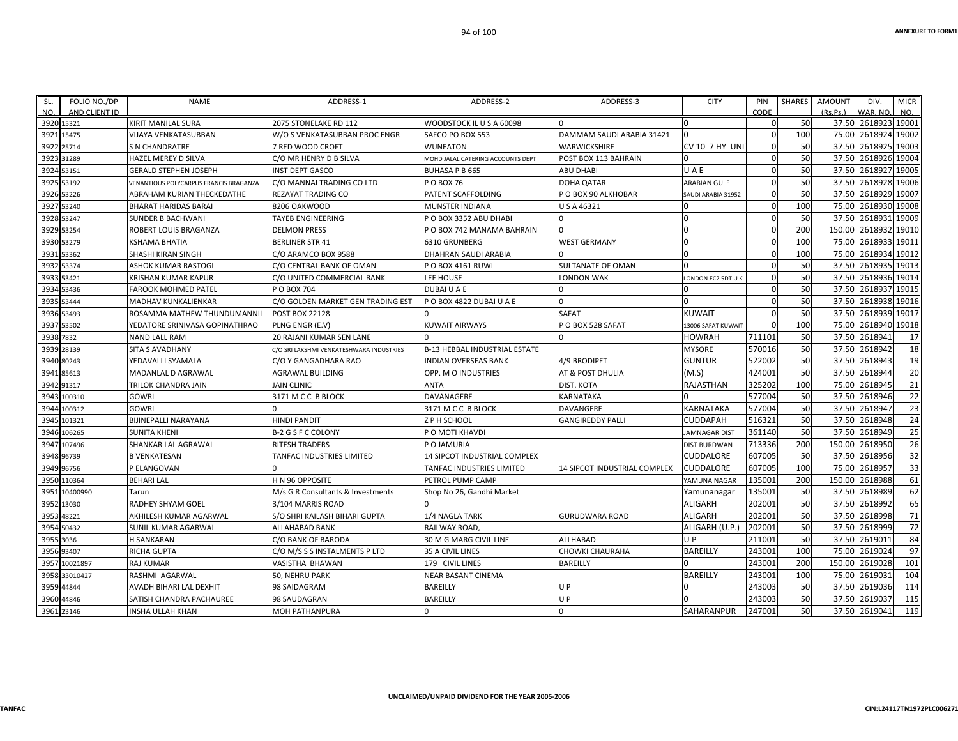| SL.        | FOLIO NO./DP  | <b>NAME</b>                            | ADDRESS-1                                | ADDRESS-2                            | ADDRESS-3                    | <b>CITY</b>           | PIN         | SHARES | <b>AMOUNT</b> | DIV.          | <b>MICR</b>     |
|------------|---------------|----------------------------------------|------------------------------------------|--------------------------------------|------------------------------|-----------------------|-------------|--------|---------------|---------------|-----------------|
| NO.        | AND CLIENT ID |                                        |                                          |                                      |                              |                       | CODE        |        | (Rs.Ps.)      | VAR. NO.      | NO.             |
| 3920 15321 |               | <b>KIRIT MANILAL SURA</b>              | 2075 STONELAKE RD 112                    | WOODSTOCK IL U S A 60098             |                              |                       | $\Omega$    | 50     | 37.50         | 2618923 19001 |                 |
| 3921 15475 |               | <b>VIJAYA VENKATASUBBAN</b>            | W/O S VENKATASUBBAN PROC ENGR            | SAFCO PO BOX 553                     | DAMMAM SAUDI ARABIA 31421    |                       | $\Omega$    | 100    | 75.00         | 2618924 19002 |                 |
| 3922 25714 |               | <b>S N CHANDRATRE</b>                  | 7 RED WOOD CROFT                         | WUNEATON                             | WARWICKSHIRE                 | <b>CV 10 7 HY UNI</b> | $\mathbf 0$ | 50     | 37.50         | 2618925 19003 |                 |
| 3923 31289 |               | <b>HAZEL MEREY D SILVA</b>             | C/O MR HENRY D B SILVA                   | MOHD JALAL CATERING ACCOUNTS DEPT    | POST BOX 113 BAHRAIN         |                       | $\Omega$    | 50     | 37.50         | 2618926 19004 |                 |
| 3924 53151 |               | <b>GERALD STEPHEN JOSEPH</b>           | <b>INST DEPT GASCO</b>                   | <b>BUHASA P B 665</b>                | ABU DHABI                    | UAE                   | $\mathbf 0$ | 50     | 37.50         | 2618927 19005 |                 |
| 3925 53192 |               | VENANTIOUS POLYCARPUS FRANCIS BRAGANZA | C/O MANNAI TRADING CO LTD                | P O BOX 76                           | <b>DOHA QATAR</b>            | <b>ARABIAN GULF</b>   | $\mathbf 0$ | 50     | 37.50         | 2618928 19006 |                 |
| 3926 53226 |               | ABRAHAM KURIAN THECKEDATHE             | REZAYAT TRADING CO                       | PATENT SCAFFOLDING                   | P O BOX 90 ALKHOBAR          | SAUDI ARABIA 31952    | $\mathbf 0$ | 50     | 37.50         | 2618929 19007 |                 |
| 3927 53240 |               | <b>BHARAT HARIDAS BARAI</b>            | 8206 OAKWOOD                             | MUNSTER INDIANA                      | USA 46321                    |                       | $\mathbf 0$ | 100    | 75.00         | 2618930 19008 |                 |
| 3928 53247 |               | <b>SUNDER B BACHWANI</b>               | <b>TAYEB ENGINEERING</b>                 | POBOX 3352 ABU DHABI                 |                              |                       | $\mathbf 0$ | 50     | 37.50         | 2618931 19009 |                 |
| 3929 53254 |               | ROBERT LOUIS BRAGANZA                  | <b>DELMON PRESS</b>                      | P O BOX 742 MANAMA BAHRAIN           |                              |                       | $\mathbf 0$ | 200    | 150.00        | 2618932 19010 |                 |
| 3930 53279 |               | <b>KSHAMA BHATIA</b>                   | <b>BERLINER STR 41</b>                   | 6310 GRUNBERG                        | <b>WEST GERMANY</b>          |                       | $\Omega$    | 100    | 75.00         | 2618933 19011 |                 |
| 3931 53362 |               | SHASHI KIRAN SINGH                     | C/O ARAMCO BOX 9588                      | DHAHRAN SAUDI ARABIA                 |                              |                       | $\Omega$    | 100    | 75.00         | 2618934 19012 |                 |
| 3932 53374 |               | <b>ASHOK KUMAR RASTOGI</b>             | C/O CENTRAL BANK OF OMAN                 | P O BOX 4161 RUWI                    | SULTANATE OF OMAN            |                       | $\Omega$    | 50     | 37.50         | 2618935 19013 |                 |
| 3933 53421 |               | <b>KRISHAN KUMAR KAPUR</b>             | C/O UNITED COMMERCIAL BANK               | <b>LEE HOUSE</b>                     | LONDON WAK                   | ONDON EC2 5DT U       | $\mathbf 0$ | 50     | 37.50         | 2618936 19014 |                 |
| 3934 53436 |               | <b>FAROOK MOHMED PATEL</b>             | P O BOX 704                              | DUBAI U A E                          |                              |                       | $\Omega$    | 50     | 37.50         | 2618937 19015 |                 |
| 3935 53444 |               | <b>MADHAV KUNKALIENKAR</b>             | C/O GOLDEN MARKET GEN TRADING EST        | POBOX 4822 DUBAI U A E               |                              |                       | $\Omega$    | 50     | 37.50         | 2618938 19016 |                 |
| 3936 53493 |               | ROSAMMA MATHEW THUNDUMANNIL            | <b>POST BOX 22128</b>                    |                                      | <b>SAFAT</b>                 | <b>KUWAIT</b>         | $\Omega$    | 50     | 37.50         | 2618939 19017 |                 |
| 3937 53502 |               | YEDATORE SRINIVASA GOPINATHRAO         | PLNG ENGR (E.V)                          | <b>KUWAIT AIRWAYS</b>                | POBOX 528 SAFAT              | 13006 SAFAT KUWAIT    | $\Omega$    | 100    | 75.00         | 2618940 19018 |                 |
| 3938 7832  |               | <b>NAND LALL RAM</b>                   | <b>20 RAJANI KUMAR SEN LANE</b>          |                                      |                              | <b>HOWRAH</b>         | 711101      | 50     | 37.50         | 2618941       | 17              |
| 3939 28139 |               | <b>SITA S AVADHANY</b>                 | C/O SRI LAKSHMI VENKATESHWARA INDUSTRIES | <b>B-13 HEBBAL INDUSTRIAL ESTATE</b> |                              | <b>MYSORE</b>         | 570016      | 50     |               | 37.50 2618942 | 18              |
| 3940 80243 |               | YEDAVALLI SYAMALA                      | C/O Y GANGADHARA RAO                     | <b>NDIAN OVERSEAS BANK</b>           | 4/9 BRODIPET                 | <b>GUNTUR</b>         | 522002      | 50     | 37.50         | 2618943       | 19              |
| 3941 85613 |               | MADANLAL D AGRAWAL                     | <b>AGRAWAL BUILDING</b>                  | OPP. M O INDUSTRIES                  | AT & POST DHULIA             | (M.S)                 | 424001      | 50     | 37.50         | 2618944       | 20              |
| 3942 91317 |               | TRILOK CHANDRA JAIN                    | <b>JAIN CLINIC</b>                       | ANTA                                 | DIST. KOTA                   | RAJASTHAN             | 325202      | 100    | 75.00         | 2618945       | 21              |
|            | 3943 100310   | <b>GOWRI</b>                           | 3171 M C C B BLOCK                       | DAVANAGERE                           | KARNATAKA                    |                       | 577004      | 50     | 37.50         | 2618946       | 22              |
|            | 3944 100312   | <b>GOWRI</b>                           |                                          | 3171 M C C B BLOCK                   | DAVANGERE                    | KARNATAKA             | 577004      | 50     | 37.50         | 2618947       | $\overline{23}$ |
|            | 3945 101321   | <b>BIJINEPALLI NARAYANA</b>            | <b>HINDI PANDIT</b>                      | Z P H SCHOOL                         | <b>GANGIREDDY PALLI</b>      | <b>CUDDAPAH</b>       | 516321      | 50     | 37.50         | 2618948       | 24              |
|            | 3946 106265   | <b>SUNITA KHENI</b>                    | <b>B-2 G S F C COLONY</b>                | P O MOTI KHAVDI                      |                              | <b>JAMNAGAR DIST</b>  | 361140      | 50     | 37.50         | 2618949       | 25              |
|            | 3947 107496   | SHANKAR LAL AGRAWAL                    | <b>RITESH TRADERS</b>                    | P O JAMURIA                          |                              | <b>DIST BURDWAN</b>   | 713336      | 200    | 150.00        | 2618950       | 26              |
| 3948 96739 |               | <b>B VENKATESAN</b>                    | TANFAC INDUSTRIES LIMITED                | 14 SIPCOT INDUSTRIAL COMPLEX         |                              | <b>CUDDALORE</b>      | 607005      | 50     | 37.50         | 2618956       | 32              |
| 3949 96756 |               | P ELANGOVAN                            |                                          | TANFAC INDUSTRIES LIMITED            | 14 SIPCOT INDUSTRIAL COMPLEX | CUDDALORE             | 607005      | 100    |               | 75.00 2618957 | 33              |
|            | 3950 110364   | <b>BEHARI LAL</b>                      | H N 96 OPPOSITE                          | PETROL PUMP CAMP                     |                              | YAMUNA NAGAR          | 135001      | 200    | 150.00        | 2618988       | 61              |
| 3951       | 10400990      | Tarun                                  | M/s G R Consultants & Investments        | Shop No 26, Gandhi Market            |                              | Yamunanagar           | 135001      | 50     | 37.50         | 2618989       | 62              |
| 3952 13030 |               | <b>RADHEY SHYAM GOEL</b>               | 3/104 MARRIS ROAD                        |                                      |                              | ALIGARH               | 202001      | 50     |               | 37.50 2618992 | 65              |
| 3953       | 48221         | AKHILESH KUMAR AGARWAL                 | S/O SHRI KAILASH BIHARI GUPTA            | 1/4 NAGLA TARK                       | GURUDWARA ROAD               | <b>ALIGARH</b>        | 202001      | 50     | 37.50         | 2618998       | 71              |
| 3954 50432 |               | SUNIL KUMAR AGARWAL                    | ALLAHABAD BANK                           | RAILWAY ROAD,                        |                              | ALIGARH (U.P.)        | 202001      | 50     | 37.50         | 2618999       | 72              |
| 3955 3036  |               | <b>H SANKARAN</b>                      | C/O BANK OF BARODA                       | 30 M G MARG CIVIL LINE               | ALLHABAD                     | U P                   | 211001      | 50     | 37.50         | 2619011       | 84              |
| 3956 93407 |               | <b>RICHA GUPTA</b>                     | C/O M/S S S INSTALMENTS P LTD            | 35 A CIVIL LINES                     | CHOWKI CHAURAHA              | <b>BAREILLY</b>       | 243001      | 100    | 75.00         | 2619024       | 97              |
|            | 3957 10021897 | <b>RAJ KUMAR</b>                       | VASISTHA BHAWAN                          | 179 CIVIL LINES                      | BAREILLY                     |                       | 243001      | 200    | 150.00        | 2619028       | 101             |
|            | 3958 33010427 | RASHMI AGARWAL                         | 50, NEHRU PARK                           | NEAR BASANT CINEMA                   |                              | <b>BAREILLY</b>       | 243001      | 100    | 75.00         | 261903        | 104             |
| 3959 44844 |               | AVADH BIHARI LAL DEXHIT                | 98 SAIDAGRAM                             | BAREILLY                             | U P                          |                       | 243003      | 50     | 37.50         | 2619036       | 114             |
| 3960 44846 |               | SATISH CHANDRA PACHAUREE               | 98 SAUDAGRAN                             | BAREILLY                             | UP                           |                       | 243003      | 50     | 37.50         | 2619037       | 115             |
| 3961 23146 |               | <b>INSHA ULLAH KHAN</b>                | <b>MOH PATHANPURA</b>                    |                                      |                              | SAHARANPUR            | 247001      | 50     |               | 37.50 2619041 | 119             |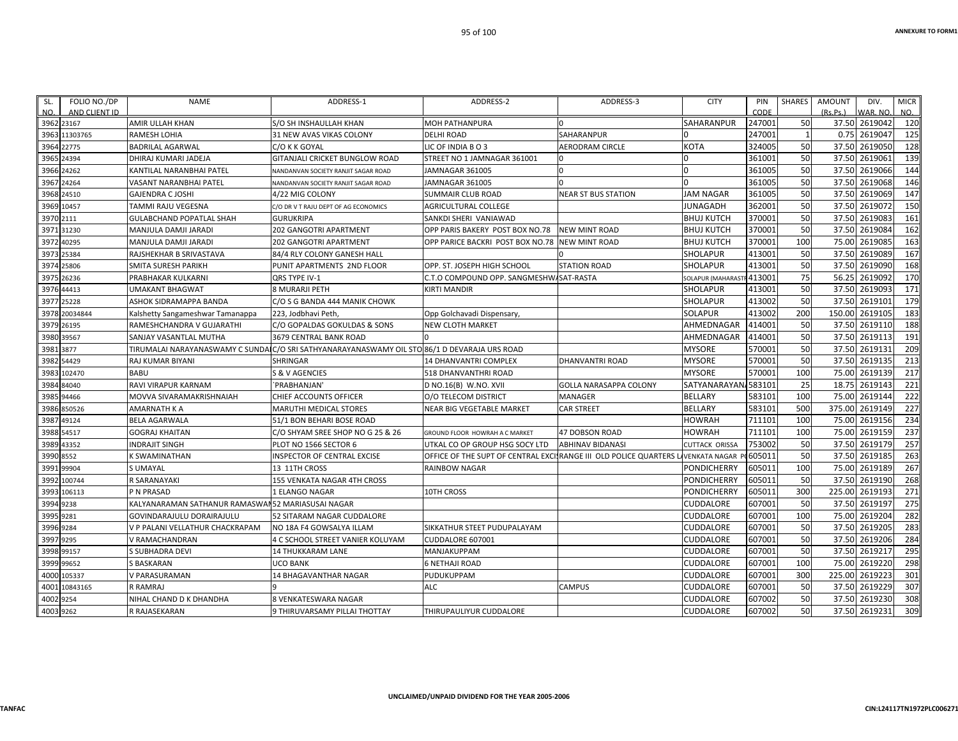| FOLIO NO./DP<br>SL.<br>NO.<br>AND CLIENT ID | <b>NAME</b>                                        | ADDRESS-1                                                                                    | ADDRESS-2                                                          | ADDRESS-3                     | <b>CITY</b>             | PIN<br>CODE | <b>SHARES</b> | <b>AMOUNT</b><br>(Rs, Ps.) | DIV.<br>WAR, NO | <b>MICR</b><br>NO. |
|---------------------------------------------|----------------------------------------------------|----------------------------------------------------------------------------------------------|--------------------------------------------------------------------|-------------------------------|-------------------------|-------------|---------------|----------------------------|-----------------|--------------------|
| 3962 23167                                  | <b>AMIR ULLAH KHAN</b>                             | <b>S/O SH INSHAULLAH KHAN</b>                                                                | <b>MOH PATHANPURA</b>                                              |                               | <b>SAHARANPUR</b>       | 247001      | 50            | 37.50                      | 2619042         | 120                |
| 3963<br>11303765                            | RAMESH LOHIA                                       | 31 NEW AVAS VIKAS COLONY                                                                     | <b>DELHI ROAD</b>                                                  | SAHARANPUR                    |                         | 247001      |               | 0.75                       | 2619047         | 125                |
| 3964 22775                                  | <b>BADRILAL AGARWAL</b>                            | C/O K K GOYAL                                                                                | LIC OF INDIA BO3                                                   | <b>AERODRAM CIRCLE</b>        | <b>KOTA</b>             | 324005      | 50            | 37.50                      | 2619050         | 128                |
| 3965 24394                                  | DHIRAJ KUMARI JADEJA                               | <b>GITANJALI CRICKET BUNGLOW ROAD</b>                                                        | STREET NO 1 JAMNAGAR 361001                                        | In                            |                         | 361001      | 50            | 37.50                      | 2619061         | 139                |
| 3966 24262                                  | KANTILAL NARANBHAI PATEL                           | NANDANVAN SOCIETY RANJIT SAGAR ROAD                                                          | JAMNAGAR 361005                                                    | $\Omega$                      |                         | 361005      | 50            | 37.50                      | 2619066         | 144                |
| 24264<br>3967                               | VASANT NARANBHAI PATEL                             | NANDANVAN SOCIETY RANJIT SAGAR ROAD                                                          | JAMNAGAR 361005                                                    | $\Omega$                      |                         | 361005      | 50            | 37.50                      | 2619068         | 146                |
| 3968<br>24510                               | <b>GAJENDRA C JOSHI</b>                            | 4/22 MIG COLONY                                                                              | <b>SUMMAIR CLUB ROAD</b>                                           | <b>NEAR ST BUS STATION</b>    | <b>JAM NAGAR</b>        | 361005      | 50            | 37.50                      | 2619069         | 147                |
| 3969 10457                                  | TAMMI RAJU VEGESNA                                 | C/O DR V T RAJU DEPT OF AG ECONOMICS                                                         | <b>AGRICULTURAL COLLEGE</b>                                        |                               | <b>JUNAGADH</b>         | 362001      | 50            | 37.50                      | 2619072         | 150                |
| 3970 2111                                   | <b>GULABCHAND POPATLAL SHAH</b>                    | <b>GURUKRIPA</b>                                                                             | SANKDI SHERI VANIAWAD                                              |                               | <b>BHUJ KUTCH</b>       | 370001      | 50            | 37.50                      | 2619083         | 161                |
| 3971<br>31230                               | MANJULA DAMJI JARADI                               | 202 GANGOTRI APARTMENT                                                                       | OPP PARIS BAKERY POST BOX NO.78                                    | <b>NEW MINT ROAD</b>          | <b>BHUJ KUTCH</b>       | 370001      | 50            | 37.50                      | 2619084         | 162                |
| 3972<br>40295                               | MANJULA DAMJI JARADI                               | 202 GANGOTRI APARTMENT                                                                       | OPP PARICE BACKRI POST BOX NO.78                                   | <b>NEW MINT ROAD</b>          | <b>BHUJ KUTCH</b>       | 370001      | 100           | 75.00                      | 2619085         | 163                |
| 3973 25384                                  | RAJSHEKHAR B SRIVASTAVA                            | 84/4 RLY COLONY GANESH HALL                                                                  |                                                                    |                               | <b>SHOLAPUR</b>         | 413001      | 50            | 37.50                      | 2619089         | 167                |
| 3974<br>25806                               | <b>SMITA SURESH PARIKH</b>                         | PUNIT APARTMENTS 2ND FLOOR                                                                   | OPP. ST. JOSEPH HIGH SCHOOL                                        | <b>STATION ROAD</b>           | <b>SHOLAPUR</b>         | 413001      | 50            | 37.50                      | 2619090         | 168                |
| 26236<br>3975                               | PRABHAKAR KULKARNI                                 | <b>ORS TYPE IV-1</b>                                                                         | C.T.O COMPOUND OPP. SANGMESHW/SAT-RASTA                            |                               | <b>SOLAPUR (MAHARAS</b> | 413001      | 75            | 56.25                      | 2619092         | 170                |
| 44413<br>3976                               | <b>UMAKANT BHAGWAT</b>                             | 8 MURARJI PETH                                                                               | <b>KIRTI MANDIR</b>                                                |                               | <b>SHOLAPUR</b>         | 413001      | 50            | 37.50                      | 2619093         | 171                |
| 3977<br>25228                               | ASHOK SIDRAMAPPA BANDA                             | C/O S G BANDA 444 MANIK CHOWK                                                                |                                                                    |                               | SHOLAPUR                | 413002      | 50            | 37.50                      | 2619101         | 179                |
| 20034844<br>3978                            | Kalshetty Sangameshwar Tamanappa                   | 223, Jodbhavi Peth,                                                                          | Opp Golchavadi Dispensary,                                         |                               | <b>SOLAPUR</b>          | 413002      | 200           | 150.00                     | 2619105         | 183                |
| 3979<br>26195                               | RAMESHCHANDRA V GUJARATHI                          | C/O GOPALDAS GOKULDAS & SONS                                                                 | <b>NEW CLOTH MARKET</b>                                            |                               | AHMEDNAGAR              | 414001      | 50            | 37.50                      | 2619110         | 188                |
| 3980 39567                                  | SANJAY VASANTLAL MUTHA                             | 3679 CENTRAL BANK ROAD                                                                       |                                                                    |                               | AHMEDNAGAR              | 414001      | 50            | 37.50                      | 2619113         | 191                |
| 3877<br>3981                                |                                                    | TIRUMALAI NARAYANASWAMY C SUNDAIC/O SRI SATHYANARAYANASWAMY OIL STO 86/1 D DEVARAJA URS ROAD |                                                                    |                               | <b>MYSORE</b>           | 570001      | 50            | 37.50                      | 2619131         | 209                |
| 3982<br>54429                               | <b>RAJ KUMAR BIYANI</b>                            | <b>SHRINGAR</b>                                                                              | <b>14 DHANVANTRI COMPLEX</b>                                       | <b>DHANVANTRI ROAD</b>        | <b>MYSORE</b>           | 570001      | 50            | 37.50                      | 2619135         | 213                |
| 102470<br>3983                              | BABU                                               | S & V AGENCIES                                                                               | 518 DHANVANTHRI ROAD                                               |                               | <b>MYSORE</b>           | 570001      | 100           | 75.00                      | 2619139         | 217                |
| 84040<br>3984                               | RAVI VIRAPUR KARNAM                                | `PRABHANJAN'                                                                                 | D NO.16(B) W.NO. XVII                                              | <b>GOLLA NARASAPPA COLONY</b> | SATYANARAYAN/583101     |             | 25            | 18.75                      | 2619143         | 221                |
| 398<br>94466                                | MOVVA SIVARAMAKRISHNAIAH                           | CHIEF ACCOUNTS OFFICER                                                                       | O/O TELECOM DISTRICT                                               | <b>MANAGER</b>                | <b>BELLARY</b>          | 583101      | 100           | 75.00                      | 2619144         | 222                |
| 3986 850526                                 | AMARNATH K A                                       | <b>MARUTHI MEDICAL STORES</b>                                                                | <b>NEAR BIG VEGETABLE MARKET</b>                                   | <b>CAR STREET</b>             | <b>BELLARY</b>          | 583101      | 500           | 375.00                     | 2619149         | 227                |
| 3987<br>49124                               | <b>BELA AGARWALA</b>                               | 51/1 BON BEHARI BOSE ROAD                                                                    |                                                                    |                               | <b>HOWRAH</b>           | 711101      | 100           | 75.00                      | 2619156         | 234                |
| 3988<br>54517                               | <b>GOGRAJ KHAITAN</b>                              | C/O SHYAM SREE SHOP NO G 25 & 26                                                             | GROUND FLOOR HOWRAH A C MARKET                                     | 47 DOBSON ROAD                | <b>HOWRAH</b>           | 711101      | 100           | 75.00                      | 2619159         | 237                |
| 3989<br>43352                               | <b>INDRAJIT SINGH</b>                              | PLOT NO 1566 SECTOR 6                                                                        | UTKAL CO OP GROUP HSG SOCY LTD                                     | <b>ABHINAV BIDANASI</b>       | <b>CUTTACK ORISSA</b>   | 753002      | 50            | 37.50                      | 2619179         | 257                |
| 3990<br>8552                                | K SWAMINATHAN                                      | <b>INSPECTOR OF CENTRAL EXCISE</b>                                                           | OFFICE OF THE SUPT OF CENTRAL EXCITRANGE III OLD POLICE QUARTERS I |                               | <b>VENKATA NAGAR</b>    | 605011      | 50            | 37.50                      | 2619185         | 263                |
| 3991<br>99904                               | <b>SUMAYAL</b>                                     | 13 11TH CROSS                                                                                | <b>RAINBOW NAGAR</b>                                               |                               | <b>PONDICHERRY</b>      | 605011      | 100           | 75.00                      | 2619189         | 267                |
| 100744<br>3992                              | R SARANAYAKI                                       | 155 VENKATA NAGAR 4TH CROSS                                                                  |                                                                    |                               | <b>PONDICHERRY</b>      | 605011      | 50            | 37.50                      | 2619190         | 268                |
| 3993<br>106113                              | P N PRASAD                                         | 1 ELANGO NAGAR                                                                               | <b>10TH CROSS</b>                                                  |                               | <b>PONDICHERRY</b>      | 605011      | 300           | 225.00                     | 2619193         | 271                |
| 3994<br>9238                                | KALYANARAMAN SATHANUR RAMASWAI 52 MARIASUSAI NAGAR |                                                                                              |                                                                    |                               | CUDDALORE               | 607001      | 50            | 37.50                      | 2619197         | 275                |
| 3995 9281                                   | GOVINDARAJULU DORAIRAJULU                          | 52 SITARAM NAGAR CUDDALORE                                                                   |                                                                    |                               | CUDDALORE               | 607001      | 100           | 75.00                      | 2619204         | 282                |
| 3996 9284                                   | V P PALANI VELLATHUR CHACKRAPAM                    | NO 18A F4 GOWSALYA ILLAM                                                                     | SIKKATHUR STEET PUDUPALAYAM                                        |                               | <b>CUDDALORE</b>        | 607001      | 50            | 37.50                      | 2619205         | 283                |
| 3997<br>9295                                | V RAMACHANDRAN                                     | 4 C SCHOOL STREET VANIER KOLUYAM                                                             | CUDDALORE 607001                                                   |                               | CUDDALORE               | 607001      | 50            | 37.50                      | 2619206         | 284                |
| 3998 99157                                  | S SUBHADRA DEVI                                    | <b>14 THUKKARAM LANE</b>                                                                     | MANJAKUPPAM                                                        |                               | CUDDALORE               | 607001      | 50            | 37.50                      | 2619217         | 295                |
| 3999<br>99652                               | <b>S BASKARAN</b>                                  | <b>UCO BANK</b>                                                                              | <b>6 NETHAJI ROAD</b>                                              |                               | CUDDALORE               | 607001      | 100           | 75.00                      | 2619220         | 298                |
| 105337<br>4000                              | V PARASURAMAN                                      | <b>14 BHAGAVANTHAR NAGAR</b>                                                                 | PUDUKUPPAM                                                         |                               | CUDDALORE               | 607001      | 300           | 225.00                     | 2619223         | 301                |
| 4001<br>10843165                            | <b>R RAMRAJ</b>                                    |                                                                                              | <b>ALC</b>                                                         | <b>CAMPUS</b>                 | CUDDALORE               | 607001      | 50            | 37.50                      | 2619229         | 307                |
| 4002 9254                                   | NIHAL CHAND D K DHANDHA                            | 8 VENKATESWARA NAGAR                                                                         |                                                                    |                               | <b>CUDDALORE</b>        | 607002      | 50            | 37.50                      | 2619230         | 308                |
| 4003 9262                                   | R RAJASEKARAN                                      | 9 THIRUVARSAMY PILLAI THOTTAY                                                                | THIRUPAULIYUR CUDDALORE                                            |                               | CUDDALORE               | 607002      | 50            |                            | 37.50 2619231   | 309                |

**TANFAC**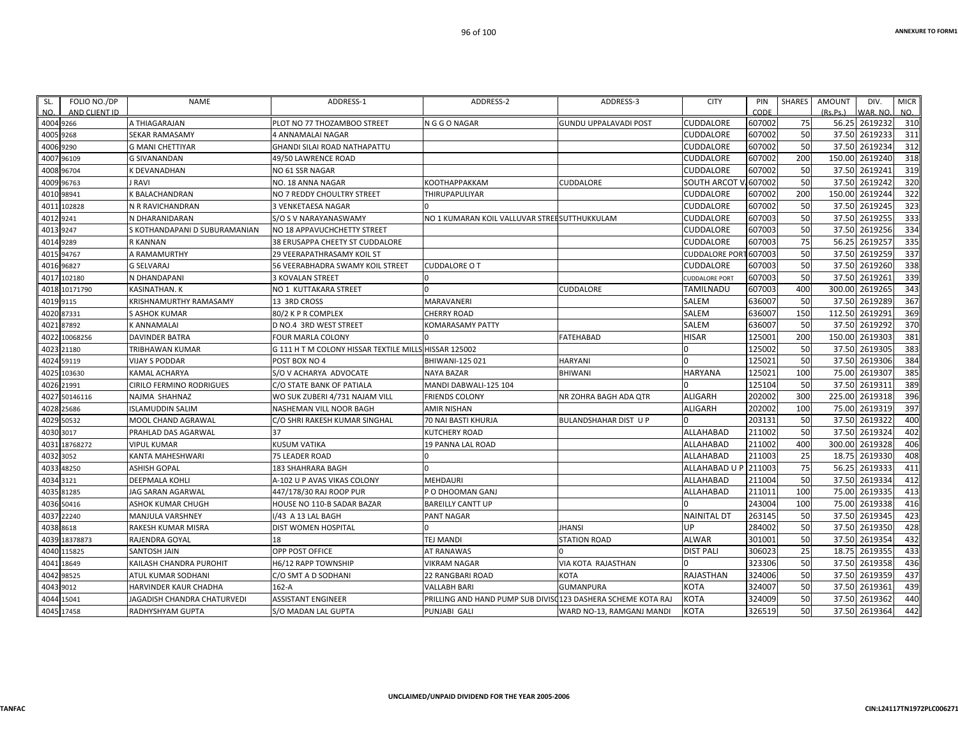| SL.  | FOLIO NO./DP  | NAME                            | ADDRESS-1                                             | ADDRESS-2                                    | ADDRESS-3                           | <b>CITY</b>           | PIN    | SHARES    | <b>AMOUNT</b> | DIV.           | <b>MICR</b> |
|------|---------------|---------------------------------|-------------------------------------------------------|----------------------------------------------|-------------------------------------|-----------------------|--------|-----------|---------------|----------------|-------------|
| NO.  | AND CLIENT ID |                                 |                                                       |                                              |                                     |                       | CODE   |           | (Rs, Ps)      | WAR. NO.       | NO.         |
|      | 4004 9266     | A THIAGARAJAN                   | PLOT NO 77 THOZAMBOO STREET                           | N G G O NAGAR                                | <b>GUNDU UPPALAVADI POST</b>        | <b>CUDDALORE</b>      | 607002 | 75        |               | 56.25 2619232  | 310         |
|      | 4005 9268     | <b>SEKAR RAMASAMY</b>           | 4 ANNAMALAI NAGAR                                     |                                              |                                     | CUDDALORE             | 607002 | 50        | 37.50         | 2619233        | 311         |
| 4006 | 9290          | <b>G MANI CHETTIYAR</b>         | <b>GHANDI SILAI ROAD NATHAPATTU</b>                   |                                              |                                     | CUDDALORE             | 607002 | 50        | 37.50         | 2619234        | 312         |
|      | 4007 96109    | <b>G SIVANANDAN</b>             | 49/50 LAWRENCE ROAD                                   |                                              |                                     | CUDDALORE             | 607002 | 200       |               | 150.00 2619240 | 318         |
| 4008 | 96704         | K DEVANADHAN                    | NO 61 SSR NAGAR                                       |                                              |                                     | CUDDALORE             | 607002 | 50        | 37.50         | 2619241        | 319         |
| 4009 | 96763         | J RAVI                          | NO. 18 ANNA NAGAR                                     | <b>КООТНАРРАККАМ</b>                         | CUDDALORE                           | <b>SOUTH ARCOT</b>    | 607002 | 50        | 37.50         | 2619242        | 320         |
| 4010 | 98941         | K BALACHANDRAN                  | NO 7 REDDY CHOULTRY STREET                            | THIRUPAPULIYAR                               |                                     | CUDDALORE             | 607002 | 200       | 150.00        | 2619244        | 322         |
| 4011 | 102828        | N R RAVICHANDRAN                | <b>3 VENKETAESA NAGAR</b>                             |                                              |                                     | CUDDALORE             | 607002 | 50        | 37.50         | 2619245        | 323         |
| 4012 | 9241          | N DHARANIDARAN                  | S/O S V NARAYANASWAMY                                 | NO 1 KUMARAN KOIL VALLUVAR STREESUTTHUKKULAM |                                     | CUDDALORE             | 607003 | 50        | 37.50         | 2619255        | 333         |
|      | 4013 9247     | S KOTHANDAPANI D SUBURAMANIAN   | NO 18 APPAVUCHCHETTY STREET                           |                                              |                                     | CUDDALORE             | 607003 | 50        | 37.50         | 2619256        | 334         |
| 4014 | 9289          | <b>R KANNAN</b>                 | 38 ERUSAPPA CHEETY ST CUDDALORE                       |                                              |                                     | CUDDALORE             | 607003 | 75        | 56.25         | 2619257        | 335         |
| 4015 | 94767         | A RAMAMURTHY                    | <b>29 VEERAPATHRASAMY KOIL ST</b>                     |                                              |                                     | <b>CUDDALORE PO</b>   | 607003 | 50        | 37.50         | 2619259        | 337         |
| 4016 | 96827         | <b>G SELVARAJ</b>               | 56 VEERABHADRA SWAMY KOIL STREET                      | <b>CUDDALORE O T</b>                         |                                     | CUDDALORE             | 607003 | 50        | 37.50         | 2619260        | 338         |
|      | 4017 102180   | N DHANDAPANI                    | <b>3 KOVALAN STREET</b>                               |                                              |                                     | <b>CUDDALORE PORT</b> | 607003 | 50        |               | 37.50 2619261  | 339         |
| 4018 | 10171790      | KASINATHAN. K                   | NO 1 KUTTAKARA STREET                                 |                                              | <b>CUDDALORE</b>                    | <b>TAMILNADU</b>      | 607003 | 400       | 300.00        | 2619265        | 343         |
| 4019 | 9115          | <b>KRISHNAMURTHY RAMASAMY</b>   | 13 3RD CROSS                                          | <b>MARAVANERI</b>                            |                                     | SALEM                 | 636007 | 50        |               | 37.50 2619289  | 367         |
| 4020 | 87331         | S ASHOK KUMAR                   | 80/2 K P R COMPLEX                                    | <b>CHERRY ROAD</b>                           |                                     | SALEM                 | 636007 | 150       | 112.50        | 2619291        | 369         |
| 4021 | 87892         | <b>K ANNAMALAI</b>              | D NO.4 3RD WEST STREET                                | <b>KOMARASAMY PATTY</b>                      |                                     | SALEM                 | 636007 | 50        | 37.50         | 2619292        | 370         |
| 4022 | 10068256      | <b>DAVINDER BATRA</b>           | <b>FOUR MARLA COLONY</b>                              |                                              | <b>FATEHABAD</b>                    | <b>HISAR</b>          | 125001 | 200       | 150.00        | 2619303        | 381         |
|      | 4023 21180    | TRIBHAWAN KUMAR                 | G 111 H T M COLONY HISSAR TEXTILE MILLS HISSAR 125002 |                                              |                                     |                       | 125002 | 50        |               | 37.50 2619305  | 383         |
| 4024 | 59119         | <b>VIJAY S PODDAR</b>           | POST BOX NO 4                                         | BHIWANI-125 021                              | <b>HARYANI</b>                      |                       | 125021 | 50        | 37.50         | 2619306        | 384         |
| 4025 | 103630        | KAMAL ACHARYA                   | S/O V ACHARYA ADVOCATE                                | <b>NAYA BAZAR</b>                            | BHIWANI                             | <b>HARYANA</b>        | 125021 | 100       | 75.00         | 2619307        | 385         |
| 4026 | 21991         | <b>CIRILO FERMINO RODRIGUES</b> | C/O STATE BANK OF PATIALA                             | MANDI DABWALI-125 104                        |                                     |                       | 125104 | 50        |               | 37.50 2619311  | 389         |
| 4027 | 50146116      | NAJMA SHAHNAZ                   | WO SUK ZUBERI 4/731 NAJAM VILL                        | <b>FRIENDS COLONY</b>                        | NR ZOHRA BAGH ADA OTR               | <b>ALIGARH</b>        | 202002 | 300       | 225.00        | 2619318        | 396         |
| 4028 | 25686         | <b>ISLAMUDDIN SALIM</b>         | NASHEMAN VILL NOOR BAGH                               | AMIR NISHAN                                  |                                     | <b>ALIGARH</b>        | 202002 | 100       | 75.00         | 2619319        | 397         |
| 4029 | 50532         | MOOL CHAND AGRAWAL              | C/O SHRI RAKESH KUMAR SINGHAL                         | 70 NAI BASTI KHURJA                          | BULANDSHAHAR DIST U P               | <sup>0</sup>          | 203131 | 50        | 37.50         | 2619322        | 400         |
| 4030 | 3017          | PRAHLAD DAS AGARWAL             | 37                                                    | <b>KUTCHERY ROAD</b>                         |                                     | ALLAHABAD             | 211002 | 50        | 37.50         | 2619324        | 402         |
| 4031 | 18768272      | <b>VIPUL KUMAR</b>              | <b>KUSUM VATIKA</b>                                   | 19 PANNA LAL ROAD                            |                                     | ALLAHABAD             | 211002 | 400       | 300.00        | 2619328        | 406         |
| 4032 | 3052          | KANTA MAHESHWARI                | <b>75 LEADER ROAD</b>                                 |                                              |                                     | ALLAHABAD             | 211003 | 25        | 18.75         | 2619330        | 408         |
| 4033 | 48250         | <b>ASHISH GOPAL</b>             | 183 SHAHRARA BAGH                                     |                                              |                                     | ALLAHABAD U           | 211003 | 75        | 56.25         | 2619333        | 411         |
| 4034 | 3121          | <b>DEEPMALA KOHLI</b>           | A-102 U P AVAS VIKAS COLONY                           | <b>MEHDAURI</b>                              |                                     | ALLAHABAD             | 211004 | 50        | 37.50         | 2619334        | 412         |
| 4035 | 81285         | <b>JAG SARAN AGARWAL</b>        | 447/178/30 RAJ ROOP PUR                               | P O DHOOMAN GANJ                             |                                     | <b>ALLAHABAD</b>      | 211011 | 100       | 75.00         | 2619335        | 413         |
|      | 4036 50416    | ASHOK KUMAR CHUGH               | HOUSE NO 110-B SADAR BAZAR                            | <b>BAREILLY CANTT UP</b>                     |                                     |                       | 243004 | 100       | 75.00         | 2619338        | 416         |
|      | 4037 22240    | MANJULA VARSHNEY                | I/43 A 13 LAL BAGH                                    | PANT NAGAR                                   |                                     | <b>NAINITAL DT</b>    | 263145 | 50        | 37.50         | 2619345        | 423         |
| 4038 | 8618          | RAKESH KUMAR MISRA              | <b>DIST WOMEN HOSPITAL</b>                            |                                              | <b>JHANSI</b>                       | UP                    | 284002 | 50        |               | 37.50 2619350  | 428         |
| 4039 | 18378873      | RAJENDRA GOYAL                  | 18                                                    | TEJ MANDI                                    | <b>STATION ROAD</b>                 | <b>ALWAR</b>          | 301001 | 50        | 37.50         | 2619354        | 432         |
| 4040 | 115825        | <b>SANTOSH JAIN</b>             | OPP POST OFFICE                                       | AT RANAWAS                                   |                                     | <b>DIST PALI</b>      | 306023 | 25        | 18.75         | 2619355        | 433         |
| 4041 | 18649         | KAILASH CHANDRA PUROHIT         | H6/12 RAPP TOWNSHIP                                   | <b>VIKRAM NAGAR</b>                          | VIA KOTA RAJASTHAN                  |                       | 323306 | 50        | 37.50         | 2619358        | 436         |
| 4042 | 98525         | ATUL KUMAR SODHANI              | C/O SMT A D SODHANI                                   | 22 RANGBARI ROAD                             | <b>KOTA</b>                         | <b>RAJASTHAN</b>      | 324006 | 50        |               | 37.50 2619359  | 437         |
| 4043 | 9012          | HARVINDER KAUR CHADHA           | $162-A$                                               | <b>VALLABH BARI</b>                          | <b>GUMANPURA</b>                    | <b>KOTA</b>           | 324007 | 50        | 37.50         | 2619361        | 439         |
| 4044 | 15041         | JAGADISH CHANDRA CHATURVEDI     | <b>ASSISTANT ENGINEER</b>                             | PRILLING AND HAND PUMP SUB DIVIS             | <b>0123 DASHERA SCHEME KOTA RAJ</b> | <b>KOTA</b>           | 324009 | 50        | 37.50         | 2619362        | 440         |
|      | 4045 17458    | RADHYSHYAM GUPTA                | S/O MADAN LAL GUPTA                                   | PUNJABI GALI                                 | WARD NO-13, RAMGANJ MANDI           | <b>KOTA</b>           | 326519 | <b>50</b> |               | 37.50 2619364  | 442         |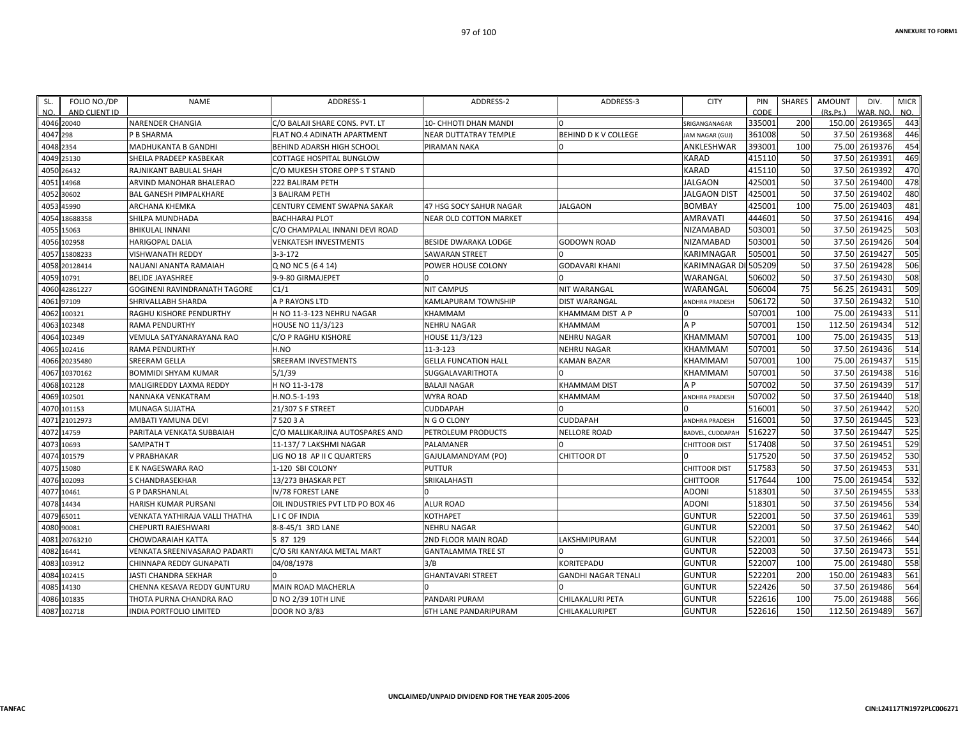| SL.       | FOLIO NO./DP  | NAME                           | ADDRESS-1                          | ADDRESS-2                    | ADDRESS-3                  | <b>CITY</b>                 | PIN    | <b>SHARES</b> | <b>AMOUNT</b> | DIV.           | <b>MICR</b> |
|-----------|---------------|--------------------------------|------------------------------------|------------------------------|----------------------------|-----------------------------|--------|---------------|---------------|----------------|-------------|
| NO.       | AND CLIENT ID |                                |                                    |                              |                            |                             | CODE   |               | (Rs.Ps.)      | VAR, NO.       | NO.         |
|           | 4046 20040    | <b>NARENDER CHANGIA</b>        | C/O BALAJI SHARE CONS. PVT. LT     | <b>10- CHHOTI DHAN MANDI</b> |                            | SRIGANGANAGAR               | 335001 | 200           |               | 150.00 2619365 | 443         |
| 4047 298  |               | P B SHARMA                     | <b>FLAT NO.4 ADINATH APARTMENT</b> | NEAR DUTTATRAY TEMPLE        | BEHIND D K V COLLEGE       | JAM NAGAR (GUJ)             | 361008 | 50            | 37.50         | 2619368        | 446         |
| 4048 2354 |               | MADHUKANTA B GANDHI            | BEHIND ADARSH HIGH SCHOOL          | PIRAMAN NAKA                 |                            | ANKLESHWAR                  | 393001 | 100           | 75.00         | 2619376        | 454         |
|           | 4049 25130    | SHEILA PRADEEP KASBEKAR        | COTTAGE HOSPITAL BUNGLOW           |                              |                            | KARAD                       | 415110 | 50            | 37.50         | 2619391        | 469         |
|           | 4050 26432    | RAJNIKANT BABULAL SHAH         | C/O MUKESH STORE OPP S T STAND     |                              |                            | <b>KARAD</b>                | 415110 | 50            | 37.50         | 2619392        | 470         |
|           | 4051 14968    | ARVIND MANOHAR BHALERAO        | 222 BALIRAM PETH                   |                              |                            | <b>JALGAON</b>              | 425001 | 50            | 37.50         | 2619400        | 478         |
|           | 4052 30602    | <b>BAL GANESH PIMPALKHARE</b>  | <b>3 BALIRAM PETH</b>              |                              |                            | JALGAON DIST                | 425001 | 50            | 37.50         | 2619402        | 480         |
|           | 4053 45990    | ARCHANA KHEMKA                 | CENTURY CEMENT SWAPNA SAKAR        | 47 HSG SOCY SAHUR NAGAR      | <b>JALGAON</b>             | <b>BOMBAY</b>               | 425001 | 100           | 75.00         | 2619403        | 481         |
| 4054      | 18688358      | SHILPA MUNDHADA                | <b>BACHHARAJ PLOT</b>              | NEAR OLD COTTON MARKET       |                            | <b>AMRAVATI</b>             | 444601 | 50            | 37.50         | 2619416        | 494         |
|           | 4055 15063    | <b>BHIKULAL INNANI</b>         | C/O CHAMPALAL INNANI DEVI ROAD     |                              |                            | NIZAMABAD                   | 503001 | 50            | 37.50         | 2619425        | 503         |
|           | 4056 102958   | <b>HARIGOPAL DALIA</b>         | <b>VENKATESH INVESTMENTS</b>       | <b>BESIDE DWARAKA LODGE</b>  | <b>GODOWN ROAD</b>         | <b>NIZAMABAD</b>            | 503001 | 50            | 37.50         | 2619426        | 504         |
|           | 4057 15808233 | VISHWANATH REDDY               | $3 - 3 - 172$                      | <b>SAWARAN STREET</b>        |                            | KARIMNAGAR                  | 505001 | 50            | 37.50         | 2619427        | 505         |
|           | 4058 20128414 | NAUANI ANANTA RAMAIAH          | Q NO NC 5 (6 4 14)                 | POWER HOUSE COLONY           | <b>GODAVARI KHANI</b>      | <b>KARIMNAGAR</b>           | 505209 | 50            | 37.50         | 2619428        | 506         |
|           | 4059 10791    | <b>BELIDE JAYASHREE</b>        | 9-9-80 GIRMAJEPET                  |                              |                            | WARANGAL                    | 506002 | 50            | 37.50         | 2619430        | 508         |
|           | 4060 42861227 | GOGINENI RAVINDRANATH TAGORE   | C1/1                               | <b>NIT CAMPUS</b>            | <b>NIT WARANGAL</b>        | WARANGAL                    | 506004 | 75            | 56.25         | 2619431        | 509         |
|           | 4061 97109    | SHRIVALLABH SHARDA             | A P RAYONS LTD                     | KAMLAPURAM TOWNSHIP          | <b>DIST WARANGAL</b>       | <b><i>NDHRA PRADESH</i></b> | 506172 | 50            | 37.50         | 2619432        | 510         |
|           | 4062 100321   | RAGHU KISHORE PENDURTHY        | H NO 11-3-123 NEHRU NAGAR          | KHAMMAM                      | KHAMMAM DIST A P           |                             | 507001 | 100           | 75.00         | 2619433        | 511         |
|           | 4063 102348   | <b>RAMA PENDURTHY</b>          | HOUSE NO 11/3/123                  | <b>NEHRU NAGAR</b>           | <b>KHAMMAM</b>             | A <sub>P</sub>              | 507001 | 150           | 112.50        | 2619434        | 512         |
| 4064      | 102349        | VEMULA SATYANARAYANA RAO       | C/O P RAGHU KISHORE                | HOUSE 11/3/123               | <b>NEHRU NAGAR</b>         | KHAMMAM                     | 507001 | 100           | 75.00         | 2619435        | 513         |
|           | 4065 102416   | <b>RAMA PENDURTHY</b>          | H.NO                               | $11 - 3 - 123$               | <b>NEHRU NAGAR</b>         | KHAMMAM                     | 507001 | 50            | 37.50         | 2619436        | 514         |
|           | 4066 20235480 | SREERAM GELLA                  | <b>SREERAM INVESTMENTS</b>         | <b>GELLA FUNCATION HALL</b>  | <b>KAMAN BAZAR</b>         | KHAMMAM                     | 507001 | 100           | 75.00         | 2619437        | 515         |
| 4067      | 10370162      | <b>BOMMIDI SHYAM KUMAR</b>     | 5/1/39                             | SUGGALAVARITHOTA             |                            | KHAMMAM                     | 507001 | 50            | 37.50         | 2619438        | 516         |
|           | 4068 102128   | MALIGIREDDY LAXMA REDDY        | H NO 11-3-178                      | <b>BALAJI NAGAR</b>          | <b>KHAMMAM DIST</b>        | A <sub>P</sub>              | 507002 | 50            | 37.50         | 2619439        | 517         |
|           | 4069 102501   | NANNAKA VENKATRAM              | H.NO.5-1-193                       | <b>WYRA ROAD</b>             | KHAMMAM                    | <b>NDHRA PRADESH</b>        | 507002 | 50            | 37.50         | 2619440        | 518         |
| 4070      | 101153        | MUNAGA SUJATHA                 | 21/307 S F STREET                  | <b>CUDDAPAH</b>              |                            |                             | 516001 | 50            | 37.50         | 2619442        | 520         |
|           | 4071 21012973 | AMBATI YAMUNA DEVI             | 75203A                             | N G O CLONY                  | <b>CUDDAPAH</b>            | <b>ANDHRA PRADESH</b>       | 516001 | 50            | 37.50         | 2619445        | 523         |
|           | 4072 14759    | PARITALA VENKATA SUBBAIAH      | C/O MALLIKARJINA AUTOSPARES AND    | PETROLEUM PRODUCTS           | <b>NELLORE ROAD</b>        | BADVEL, CUDDAPAH            | 516227 | 50            | 37.50         | 2619447        | 525         |
|           | 4073 10693    | SAMPATH T                      | 11-137/7 LAKSHMI NAGAR             | PALAMANER                    |                            | <b>CHITTOOR DIST</b>        | 517408 | 50            | 37.50         | 2619451        | 529         |
| 4074      | 101579        | V PRABHAKAR                    | LIG NO 18 AP II C QUARTERS         | GAJULAMANDYAM (PO)           | CHITTOOR DT                |                             | 517520 | 50            | 37.50         | 2619452        | 530         |
|           | 4075 15080    | E K NAGESWARA RAO              | 1-120 SBI COLONY                   | <b>PUTTUR</b>                |                            | <b>CHITTOOR DIST</b>        | 517583 | 50            | 37.50         | 2619453        | 531         |
|           | 4076 102093   | S CHANDRASEKHAR                | 13/273 BHASKAR PET                 | SRIKALAHASTI                 |                            | CHITTOOR                    | 517644 | 100           | 75.00         | 2619454        | 532         |
|           | 4077 10461    | <b>G P DARSHANLAL</b>          | IV/78 FOREST LANE                  |                              |                            | <b>ADONI</b>                | 518301 | 50            | 37.50         | 2619455        | 533         |
|           | 4078 14434    | <b>HARISH KUMAR PURSANI</b>    | OIL INDUSTRIES PVT LTD PO BOX 46   | <b>ALUR ROAD</b>             |                            | <b>ADONI</b>                | 518301 | 50            | 37.50         | 2619456        | 534         |
|           | 4079 65011    | VENKATA YATHIRAJA VALLI THATHA | LI C OF INDIA                      | KOTHAPET                     |                            | <b>GUNTUR</b>               | 522001 | 50            | 37.50         | 2619461        | 539         |
|           | 4080 90081    | CHEPURTI RAJESHWARI            | 8-8-45/1 3RD LANE                  | <b>NEHRU NAGAR</b>           |                            | <b>GUNTUR</b>               | 522001 | 50            | 37.50         | 2619462        | 540         |
|           | 4081 20763210 | CHOWDARAIAH KATTA              | 5 87 129                           | 2ND FLOOR MAIN ROAD          | LAKSHMIPURAM               | <b>GUNTUR</b>               | 522001 | 50            | 37.50         | 2619466        | 544         |
|           | 4082 16441    | VENKATA SREENIVASARAO PADARTI  | C/O SRI KANYAKA METAL MART         | <b>GANTALAMMA TREE ST</b>    |                            | <b>GUNTUR</b>               | 522003 | 50            | 37.50         | 2619473        | 551         |
|           | 4083 103912   | CHINNAPA REDDY GUNAPATI        | 04/08/1978                         | 3/B                          | <b>KORITEPADU</b>          | <b>GUNTUR</b>               | 522007 | 100           | 75.00         | 2619480        | 558         |
| 4084      | 102415        | JASTI CHANDRA SEKHAR           |                                    | <b>GHANTAVARI STREET</b>     | <b>GANDHI NAGAR TENALI</b> | <b>GUNTUR</b>               | 522201 | 200           | 150.00        | 2619483        | 561         |
|           | 4085 14130    | CHENNA KESAVA REDDY GUNTURU    | MAIN ROAD MACHERLA                 | $\Omega$                     |                            | <b>GUNTUR</b>               | 522426 | 50            | 37.50         | 2619486        | 564         |
|           | 4086 101835   | THOTA PURNA CHANDRA RAO        | D NO 2/39 10TH LINE                | PANDARI PURAM                | CHILAKALURI PETA           | <b>GUNTUR</b>               | 522616 | 100           | 75.00         | 2619488        | 566         |
|           | 4087 102718   | INDIA PORTFOLIO LIMITED        | <b>DOOR NO 3/83</b>                | 6TH LANE PANDARIPURAM        | CHILAKALURIPET             | <b>GUNTUR</b>               | 522616 | 150           |               | 112.50 2619489 | 567         |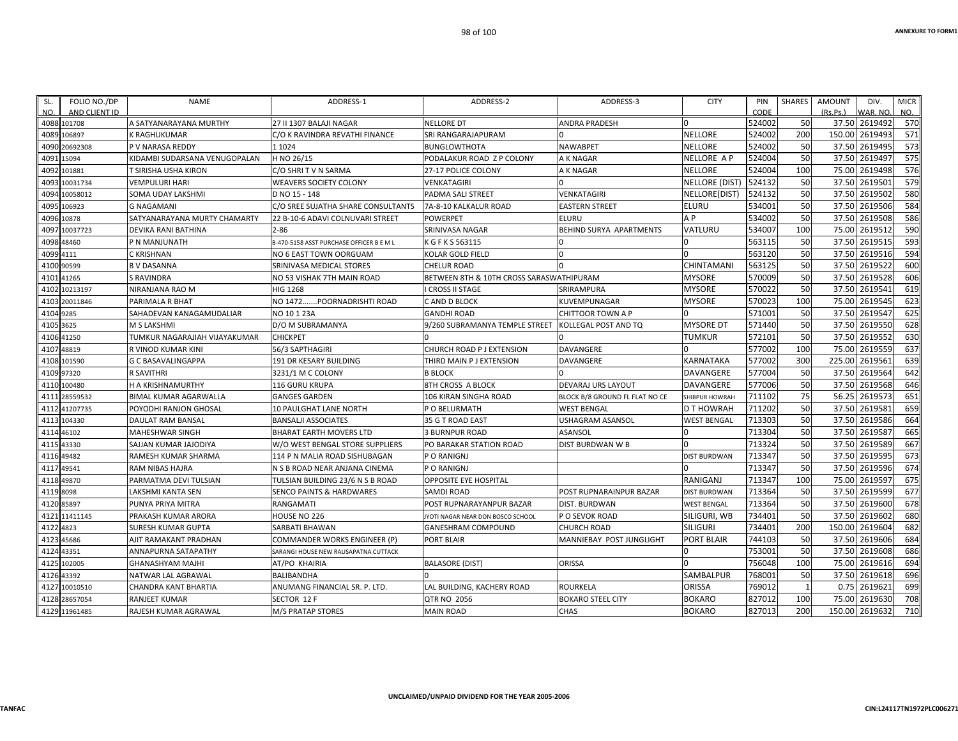| SL.        | FOLIO NO./DP  | <b>NAME</b>                   | ADDRESS-1                                | ADDRESS-2                                | ADDRESS-3                      | <b>CITY</b>         | PIN    | <b>SHARES</b> | AMOUNT   | DIV.     | <b>MICR</b> |
|------------|---------------|-------------------------------|------------------------------------------|------------------------------------------|--------------------------------|---------------------|--------|---------------|----------|----------|-------------|
| NO.        | AND CLIENT ID |                               |                                          |                                          |                                |                     | CODE   |               | (Rs.Ps.) | VAR. NO. | NO.         |
|            | 4088 101708   | A SATYANARAYANA MURTHY        | 27 II 1307 BALAJI NAGAR                  | <b>NELLORE DT</b>                        | <b>ANDRA PRADESH</b>           |                     | 524002 | 50            | 37.50    | 2619492  | 570         |
|            | 4089 106897   | K RAGHUKUMAR                  | C/O K RAVINDRA REVATHI FINANCE           | SRI RANGARAJAPURAM                       |                                | <b>NELLORE</b>      | 524002 | 200           | 150.00   | 2619493  | 571         |
|            | 4090 20692308 | P V NARASA REDDY              | 1 1 0 2 4                                | <b>BUNGLOWTHOTA</b>                      | <b>NAWABPET</b>                | NELLORE             | 524002 | 50            | 37.50    | 2619495  | 573         |
|            | 4091 15094    | KIDAMBI SUDARSANA VENUGOPALAN | H NO 26/15                               | PODALAKUR ROAD Z P COLONY                | A K NAGAR                      | NELLORE A P         | 524004 | 50            | 37.50    | 2619497  | 575         |
|            | 4092 101881   | T SIRISHA USHA KIRON          | C/O SHRIT V N SARMA                      | 27-17 POLICE COLONY                      | A K NAGAR                      | NELLORE             | 524004 | 100           | 75.00    | 2619498  | 576         |
|            | 4093 10031734 | VEMPULURI HARI                | <b>WEAVERS SOCIETY COLONY</b>            | VENKATAGIRI                              |                                | NELLORE (DIST)      | 524132 | 50            | 37.50    | 2619501  | 579         |
|            | 4094 10058012 | SOMA UDAY LAKSHMI             | D NO 15 - 148                            | PADMA SALI STREET                        | VENKATAGIRI                    | NELLORE(DIST)       | 524132 | 50            | 37.50    | 2619502  | 580         |
|            | 4095 106923   | <b>G NAGAMANI</b>             | C/O SREE SUJATHA SHARE CONSULTANTS       | 7A-8-10 KALKALUR ROAD                    | <b>EASTERN STREET</b>          | <b>ELURU</b>        | 534001 | 50            | 37.50    | 2619506  | 584         |
| 4096       | 10878         | SATYANARAYANA MURTY CHAMARTY  | 22 B-10-6 ADAVI COLNUVARI STREET         | <b>POWERPET</b>                          | ELURU                          | A P                 | 534002 | 50            | 37.50    | 2619508  | 586         |
|            | 4097 10037723 | DEVIKA RANI BATHINA           | $2 - 86$                                 | SRINIVASA NAGAR                          | BEHIND SURYA APARTMENTS        | VATLURU             | 534007 | 100           | 75.00    | 2619512  | 590         |
|            | 4098 48460    | P N MANJUNATH                 | B-470-5158 ASST PURCHASE OFFICER B E M L | K G F K S 563115                         |                                |                     | 563115 | 50            | 37.50    | 2619515  | 593         |
| 4099 4111  |               | C KRISHNAN                    | NO 6 EAST TOWN OORGUAM                   | KOLAR GOLD FIELD                         |                                |                     | 563120 | 50            | 37.50    | 2619516  | 594         |
|            | 4100 90599    | <b>B V DASANNA</b>            | SRINIVASA MEDICAL STORES                 | <b>CHELUR ROAD</b>                       |                                | CHINTAMANI          | 563125 | 50            | 37.50    | 2619522  | 600         |
|            | 4101 41265    | S RAVINDRA                    | NO 53 VISHAK 7TH MAIN ROAD               | BETWEEN 8TH & 10TH CROSS SARASWATHIPURAM |                                | MYSORE              | 570009 | 50            | 37.50    | 2619528  | 606         |
|            | 4102 10213197 | NIRANJANA RAO M               | <b>HIG 1268</b>                          | <b>CROSS II STAGE</b>                    | SRIRAMPURA                     | <b>MYSORE</b>       | 570022 | 50            | 37.50    | 2619541  | 619         |
|            | 4103 20011846 | PARIMALA R BHAT               | NO 1472POORNADRISHTI ROAD                | C AND D BLOCK                            | KUVEMPUNAGAR                   | <b>MYSORE</b>       | 570023 | 100           | 75.00    | 2619545  | 623         |
| 4104 9285  |               | SAHADEVAN KANAGAMUDALIAR      | NO 10 1 23A                              | <b>GANDHI ROAD</b>                       | CHITTOOR TOWN A P              |                     | 571001 | 50            | 37.50    | 2619547  | 625         |
| 4105 3625  |               | M S LAKSHMI                   | D/O M SUBRAMANYA                         | 9/260 SUBRAMANYA TEMPLE STREET           | KOLLEGAL POST AND TQ           | <b>MYSORE DT</b>    | 571440 | 50            | 37.50    | 2619550  | 628         |
| 4106       | 41250         | TUMKUR NAGARAJIAH VIJAYAKUMAR | <b>CHICKPET</b>                          |                                          |                                | TUMKUR              | 572101 | 50            | 37.50    | 2619552  | 630         |
| 4107       | 48819         | R VINOD KUMAR KINI            | 56/3 SAPTHAGIRI                          | CHURCH ROAD P J EXTENSION                | <b>DAVANGERE</b>               |                     | 577002 | 100           | 75.00    | 2619559  | 637         |
|            | 4108 101590   | <b>G C BASAVALINGAPPA</b>     | 191 DR KESARY BUILDING                   | THIRD MAIN P J EXTENSION                 | DAVANGERE                      | KARNATAKA           | 577002 | 300           | 225.00   | 2619561  | 639         |
|            | 4109 97320    | R SAVITHRI                    | 3231/1 M C COLONY                        | <b>B BLOCK</b>                           |                                | DAVANGERE           | 577004 | 50            | 37.50    | 2619564  | 642         |
|            | 4110 100480   | H A KRISHNAMURTHY             | 116 GURU KRUPA                           | 8TH CROSS A BLOCK                        | DEVARAJ URS LAYOUT             | DAVANGERE           | 577006 | 50            | 37.50    | 2619568  | 646         |
|            | 4111 28559532 | BIMAL KUMAR AGARWALLA         | <b>GANGES GARDEN</b>                     | <b>106 KIRAN SINGHA ROAD</b>             | BLOCK B/8 GROUND FL FLAT NO CE | SHIBPUR HOWRAH      | 711102 | 75            | 56.25    | 2619573  | 651         |
|            | 4112 41207735 | POYODHI RANJON GHOSAL         | <b>10 PAULGHAT LANE NORTH</b>            | P O BELURMATH                            | <b>WEST BENGAL</b>             | D T HOWRAH          | 711202 | 50            | 37.50    | 2619581  | 659         |
|            | 4113 104330   | <b>DAULAT RAM BANSAL</b>      | <b>BANSALJI ASSOCIATES</b>               | 35 G T ROAD EAST                         | <b>USHAGRAM ASANSOL</b>        | <b>WEST BENGAL</b>  | 713303 | 50            | 37.50    | 2619586  | 664         |
|            | 4114 46102    | MAHESHWAR SINGH               | BHARAT EARTH MOVERS LTD                  | 3 BURNPUR ROAD                           | ASANSOL                        |                     | 713304 | 50            | 37.50    | 2619587  | 665         |
| 4115 43330 |               | SAJJAN KUMAR JAJODIYA         | W/O WEST BENGAL STORE SUPPLIERS          | PO BARAKAR STATION ROAD                  | DIST BURDWAN W B               |                     | 713324 | 50            | 37.50    | 2619589  | 667         |
| 4116 49482 |               | RAMESH KUMAR SHARMA           | 114 P N MALIA ROAD SISHUBAGAN            | P O RANIGNJ                              |                                | <b>DIST BURDWAN</b> | 713347 | 50            | 37.50    | 2619595  | 673         |
|            | 4117 49541    | RAM NIBAS HAJRA               | N S B ROAD NEAR ANJANA CINEMA            | P O RANIGNJ                              |                                |                     | 713347 | 50            | 37.50    | 2619596  | 674         |
| 4118 49870 |               | PARMATMA DEVI TULSIAN         | TULSIAN BUILDING 23/6 N S B ROAD         | <b>OPPOSITE EYE HOSPITAL</b>             |                                | RANIGANJ            | 713347 | 100           | 75.00    | 2619597  | 675         |
| 4119 8098  |               | LAKSHMI KANTA SEN             | <b>SENCO PAINTS &amp; HARDWARES</b>      | <b>SAMDI ROAD</b>                        | POST RUPNARAINPUR BAZAR        | <b>DIST BURDWAN</b> | 713364 | 50            | 37.50    | 2619599  | 677         |
| 4120 85897 |               | PUNYA PRIYA MITRA             | RANGAMATI                                | POST RUPNARAYANPUR BAZAR                 | DIST. BURDWAN                  | <b>WEST BENGAL</b>  | 713364 | 50            | 37.50    | 2619600  | 678         |
|            | 4121 11411145 | PRAKASH KUMAR ARORA           | HOUSE NO 226                             | IYOTI NAGAR NEAR DON BOSCO SCHOOL        | P O SEVOK ROAD                 | SILIGURI, WB        | 734401 | 50            | 37.50    | 2619602  | 680         |
| 4122 4823  |               | SURESH KUMAR GUPTA            | SARBATI BHAWAN                           | <b>GANESHRAM COMPOUND</b>                | CHURCH ROAD                    | SILIGURI            | 734401 | 200           | 150.00   | 2619604  | 682         |
|            | 4123 45686    | AJIT RAMAKANT PRADHAN         | COMMANDER WORKS ENGINEER (P)             | PORT BLAIR                               | MANNIEBAY POST JUNGLIGHT       | PORT BLAIR          | 744103 | 50            | 37.50    | 2619606  | 684         |
|            | 4124 43351    | ANNAPURNA SATAPATHY           | SARANGI HOUSE NEW RAUSAPATNA CUTTACK     |                                          |                                |                     | 753001 | 50            | 37.50    | 2619608  | 686         |
| 4125       | 102005        | GHANASHYAM MAJHI              | AT/PO KHAIRIA                            | <b>BALASORE (DIST)</b>                   | ORISSA                         |                     | 756048 | 100           | 75.00    | 2619616  | 694         |
|            | 4126 43392    | NATWAR LAL AGRAWAL            | <b>BALIBANDHA</b>                        |                                          |                                | SAMBALPUR           | 768001 | 50            | 37.50    | 2619618  | 696         |
|            | 4127 10010510 | CHANDRA KANT BHARTIA          | ANUMANG FINANCIAL SR. P. LTD.            | LAL BUILDING, KACHERY ROAD               | ROURKELA                       | ORISSA              | 769012 |               | 0.75     | 2619621  | 699         |
|            | 4128 28657054 | <b>RANJEET KUMAR</b>          | SECTOR 12 F                              | QTR NO 2056                              | <b>BOKARO STEEL CITY</b>       | <b>BOKARO</b>       | 827012 | 100           | 75.00    | 2619630  | 708         |
|            | 4129 11961485 | RAJESH KUMAR AGRAWAL          | M/S PRATAP STORES                        | <b>MAIN ROAD</b>                         | CHAS                           | <b>BOKARO</b>       | 827013 | 200           | 150.00   | 2619632  | 710         |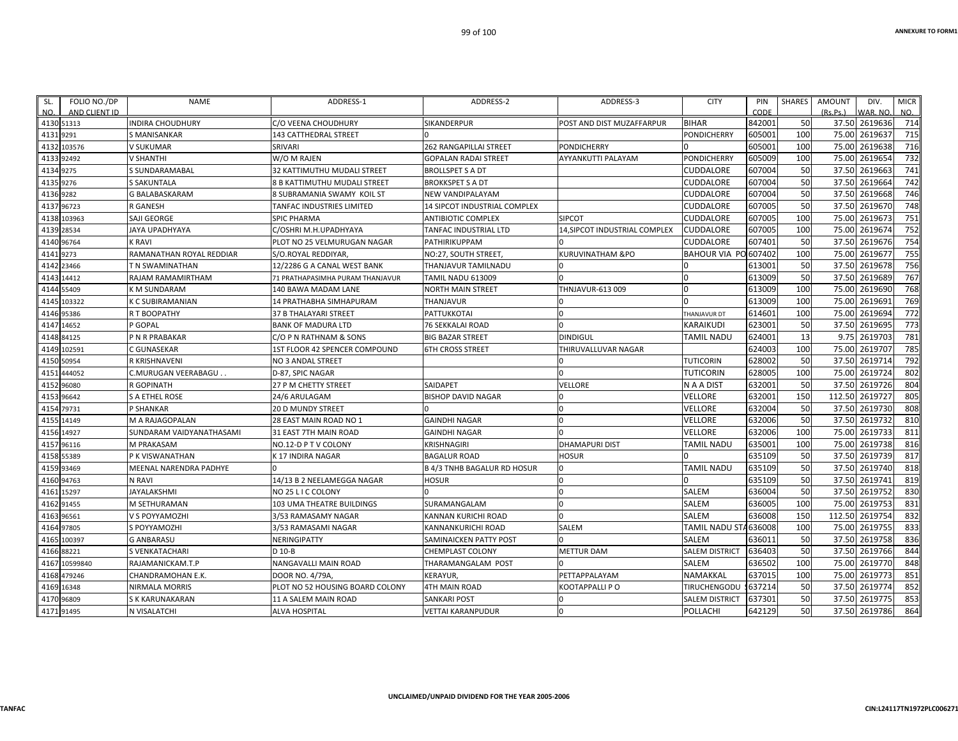| FOLIO NO./DP<br>SL.<br>NO.<br>AND CLIENT ID | <b>NAME</b>              | ADDRESS-1                        | ADDRESS-2                          | ADDRESS-3                           | <b>CITY</b>           | PIN<br>CODE | <b>SHARES</b> | <b>AMOUNT</b><br>(Rs, Ps.) | DIV.<br>VAR. NO | <b>MICR</b><br>NO. |
|---------------------------------------------|--------------------------|----------------------------------|------------------------------------|-------------------------------------|-----------------------|-------------|---------------|----------------------------|-----------------|--------------------|
| 4130 51313                                  | <b>INDIRA CHOUDHURY</b>  | <b>C/O VEENA CHOUDHURY</b>       | <b>SIKANDERPUR</b>                 | POST AND DIST MUZAFFARPUR           | <b>BIHAR</b>          | 842001      | 50            | 37.50                      | 2619636         | 714                |
| 4131<br>9291                                | S MANISANKAR             | 143 CATTHEDRAL STREET            |                                    |                                     | PONDICHERRY           | 605001      | 100           | 75.00                      | 261963          | 715                |
| 103576<br>4132                              | V SUKUMAR                | <b>SRIVARI</b>                   | <b>262 RANGAPILLAI STREET</b>      | <b>PONDICHERRY</b>                  |                       | 605001      | 100           | 75.00                      | 2619638         | 716                |
| 92492<br>4133                               | V SHANTHI                | W/O M RAJEN                      | <b>GOPALAN RADAI STREET</b>        | AYYANKUTTI PALAYAM                  | <b>PONDICHERRY</b>    | 605009      | 100           | 75.00                      | 2619654         | 732                |
| 4134<br>9275                                | S SUNDARAMABAL           | 32 KATTIMUTHU MUDALI STREET      | <b>BROLLSPET S A DT</b>            |                                     | CUDDALORE             | 607004      | 50            | 37.50                      | 2619663         | 741                |
| 4135 9276                                   | S SAKUNTALA              | 8 B KATTIMUTHU MUDALI STREET     | <b>BROKKSPET S A DT</b>            |                                     | CUDDALORE             | 607004      | 50            | 37.50                      | 2619664         | 742                |
| 4136 9282                                   | G BALABASKARAM           | 8 SUBRAMANIA SWAMY KOIL ST       | NEW VANDIPALAYAM                   |                                     | CUDDALORE             | 607004      | 50            | 37.50                      | 2619668         | 746                |
| 4137<br>96723                               | <b>R GANESH</b>          | TANFAC INDUSTRIES LIMITED        | 14 SIPCOT INDUSTRIAL COMPLEX       |                                     | <b>CUDDALORE</b>      | 607005      | 50            | 37.50                      | 2619670         | 748                |
| 103963<br>4138                              | SAJI GEORGE              | <b>SPIC PHARMA</b>               | <b>ANTIBIOTIC COMPLEX</b>          | <b>SIPCOT</b>                       | <b>CUDDALORE</b>      | 607005      | 100           | 75.00                      | 2619673         | 751                |
| 4139<br>28534                               | <b>JAYA UPADHYAYA</b>    | C/OSHRI M.H.UPADHYAYA            | TANFAC INDUSTRIAL LTD              | <b>14.SIPCOT INDUSTRIAL COMPLEX</b> | <b>CUDDALORE</b>      | 607005      | 100           | 75.00                      | 2619674         | 752                |
| 96764<br>4140                               | K RAVI                   | PLOT NO 25 VELMURUGAN NAGAR      | PATHIRIKUPPAM                      |                                     | CUDDALORE             | 607401      | 50            | 37.50                      | 2619676         | 754                |
| 9273<br>4141                                | RAMANATHAN ROYAL REDDIAR | S/O.ROYAL REDDIYAR               | NO:27, SOUTH STREET                | <b>KURUVINATHAM &amp;PO</b>         | BAHOUR VIA PO 607402  |             | 100           | 75.00                      | 2619677         | 755                |
| 4142<br>23466                               | T N SWAMINATHAN          | 12/2286 G A CANAL WEST BANK      | THANJAVUR TAMILNADU                |                                     |                       | 613001      | 50            | 37.50                      | 2619678         | 756                |
| 14412<br>4143                               | RAJAM RAMAMIRTHAM        | 71 PRATHAPASIMHA PURAM THANJAVUR | <b>TAMIL NADU 613009</b>           |                                     |                       | 613009      | 50            | 37.50                      | 2619689         | 767                |
| 55409<br>4144                               | <b>KM SUNDARAM</b>       | 140 BAWA MADAM LANE              | <b>NORTH MAIN STREET</b>           | THNJAVUR-613 009                    |                       | 613009      | 100           | 75.00                      | 2619690         | 768                |
| 103322<br>4145                              | K C SUBIRAMANIAN         | 14 PRATHABHA SIMHAPURAM          | THANJAVUR                          |                                     |                       | 613009      | 100           | 75.00                      | 2619691         | 769                |
| 4146 95386                                  | R T BOOPATHY             | 37 B THALAYARI STREET            | PATTUKKOTAI                        | $\Omega$                            | THANJAVUR DT          | 614601      | 100           | 75.00                      | 2619694         | $\overline{772}$   |
| 4147<br>14652                               | P GOPAL                  | <b>BANK OF MADURA LTD</b>        | <b>76 SEKKALAI ROAD</b>            | $\Omega$                            | <b>KARAIKUDI</b>      | 623001      | 50            | 37.50                      | 2619695         | 773                |
| 4148 84125                                  | P N R PRABAKAR           | C/O P N RATHNAM & SONS           | <b>BIG BAZAR STREET</b>            | <b>DINDIGUL</b>                     | TAMIL NADU            | 624001      | 13            | 9.75                       | 2619703         | 781                |
| 102591<br>4149                              | C GUNASEKAR              | 1ST FLOOR 42 SPENCER COMPOUND    | <b>6TH CROSS STREET</b>            | THIRUVALLUVAR NAGAR                 |                       | 624003      | 100           | 75.00                      | 2619707         | 785                |
| 4150<br>50954                               | <b>R KRISHNAVENI</b>     | <b>NO 3 ANDAL STREET</b>         |                                    | $\Omega$                            | <b>TUTICORIN</b>      | 628002      | 50            | 37.50                      | 2619714         | 792                |
| 444052<br>4151                              | C.MURUGAN VEERABAGU.     | D-87, SPIC NAGAR                 |                                    | $\Omega$                            | TUTICORIN             | 628005      | 100           | 75.00                      | 2619724         | 802                |
| 96080<br>4152                               | <b>R GOPINATH</b>        | 27 P M CHETTY STREET             | <b>SAIDAPET</b>                    | <b>VELLORE</b>                      | N A A DIST            | 632001      | 50            | 37.50                      | 2619726         | 804                |
| 4153<br>96642                               | S A ETHEL ROSE           | 24/6 ARULAGAM                    | <b>BISHOP DAVID NAGAR</b>          | $\overline{0}$                      | VELLORE               | 632001      | 150           | 112.50                     | 2619727         | 805                |
| 4154 79731                                  | P SHANKAR                | <b>20 D MUNDY STREET</b>         |                                    | 0                                   | <b>VELLORE</b>        | 632004      | 50            | 37.50                      | 2619730         | 808                |
| 4155 14149                                  | <b>M A RAJAGOPALAN</b>   | 28 EAST MAIN ROAD NO 1           | <b>GAINDHI NAGAR</b>               | $\Omega$                            | <b>VELLORE</b>        | 632006      | 50            | 37.50                      | 2619732         | 810                |
| 4156<br>14927                               | SUNDARAM VAIDYANATHASAMI | 31 EAST 7TH MAIN ROAD            | <b>GAINDHI NAGAR</b>               | $\Omega$                            | <b>VELLORE</b>        | 632006      | 100           | 75.00                      | 2619733         | 811                |
| 4157 96116                                  | <b>M PRAKASAM</b>        | NO.12-D P T V COLONY             | <b>KRISHNAGIRI</b>                 | <b>DHAMAPURI DIST</b>               | <b>TAMIL NADU</b>     | 635001      | 100           | 75.00                      | 2619738         | 816                |
| 4158<br>55389                               | P K VISWANATHAN          | K 17 INDIRA NAGAR                | <b>BAGALUR ROAD</b>                | <b>HOSUR</b>                        |                       | 635109      | 50            | 37.50                      | 2619739         | 817                |
| 4159<br>93469                               | MEENAL NARENDRA PADHYE   |                                  | <b>B 4/3 TNHB BAGALUR RD HOSUR</b> | 0                                   | <b>TAMIL NADU</b>     | 635109      | 50            | 37.50                      | 2619740         | 818                |
| 94763<br>4160                               | N RAVI                   | 14/13 B 2 NEELAMEGGA NAGAR       | <b>HOSUR</b>                       | 0                                   |                       | 635109      | 50            | 37.50                      | 2619741         | 819                |
| 4161<br>15297                               | <b>JAYALAKSHMI</b>       | NO 25 L I C COLONY               |                                    | $\Omega$                            | <b>SALEM</b>          | 636004      | 50            | 37.50                      | 2619752         | 830                |
| 91455<br>4162                               | M SETHURAMAN             | 103 UMA THEATRE BUILDINGS        | SURAMANGALAM                       | $\Omega$                            | SALEM                 | 636005      | 100           | 75.00                      | 2619753         | 831                |
| 96561<br>4163                               | V S POYYAMOZHI           | 3/53 RAMASAMY NAGAR              | <b>KANNAN KURICHI ROAD</b>         | $\Omega$                            | <b>SALEM</b>          | 636008      | 150           | 112.50                     | 2619754         | 832                |
| 4164 97805                                  | S POYYAMOZHI             | 3/53 RAMASAMI NAGAR              | <b>KANNANKURICHI ROAD</b>          | <b>SALEM</b>                        | TAMIL NADU STA636008  |             | 100           | 75.00                      | 2619755         | 833                |
| 100397<br>4165                              | <b>G ANBARASU</b>        | NERINGIPATTY                     | SAMINAICKEN PATTY POST             |                                     | <b>SALEM</b>          | 636011      | 50            | 37.50                      | 2619758         | 836                |
| 4166 88221                                  | S VENKATACHARI           | D 10-B                           | CHEMPLAST COLONY                   | <b>METTUR DAM</b>                   | <b>SALEM DISTRICT</b> | 636403      | 50            | 37.50                      | 2619766         | 844                |
| 4167<br>10599840                            | RAJAMANICKAM.T.P         | NANGAVALLI MAIN ROAD             | <b>THARAMANGALAM POST</b>          |                                     | <b>SALEM</b>          | 636502      | 100           | 75.00                      | 2619770         | 848                |
| 479246<br>4168                              | CHANDRAMOHAN E.K.        | DOOR NO. 4/79A,                  | <b>KERAYUR.</b>                    | PETTAPPALAYAM                       | <b>NAMAKKAL</b>       | 637015      | 100           | 75.00                      | 2619773         | 851                |
| 4169<br>16348                               | NIRMALA MORRIS           | PLOT NO 52 HOUSING BOARD COLONY  | <b>4TH MAIN ROAD</b>               | KOOTAPPALLI P O                     | TIRUCHENGODU          | 637214      | 50            | 37.50                      | 2619774         | 852                |
| 4170 96809                                  | S K KARUNAKARAN          | 11 A SALEM MAIN ROAD             | <b>SANKARI POST</b>                | $\Omega$                            | <b>SALEM DISTRICT</b> | 637301      | 50            | 37.50                      | 2619775         | 853                |
| 4171 91495                                  | N VISALATCHI             | <b>ALVA HOSPITAL</b>             | <b>VETTAI KARANPUDUR</b>           | $\Omega$                            | POLLACHI              | 642129      | 50            |                            | 37.50 2619786   | 864                |